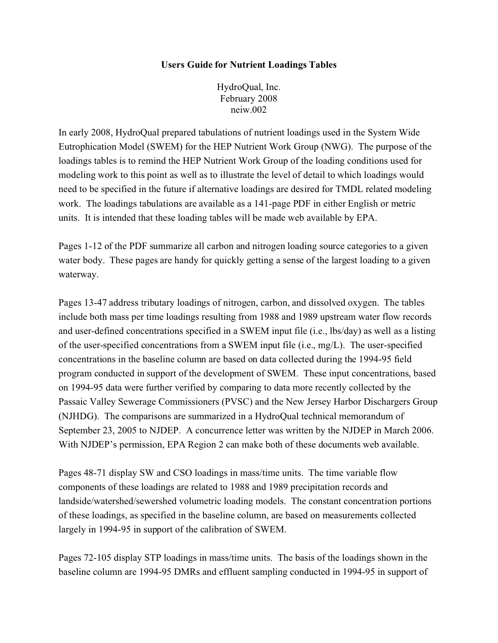## **Users Guide for Nutrient Loadings Tables**

HydroQual, Inc. February 2008 neiw.002

In early 2008, HydroQual prepared tabulations of nutrient loadings used in the System Wide Eutrophication Model (SWEM) for the HEP Nutrient Work Group (NWG). The purpose of the loadings tables is to remind the HEP Nutrient Work Group of the loading conditions used for modeling work to this point as well as to illustrate the level of detail to which loadings would need to be specified in the future if alternative loadings are desired for TMDL related modeling work. The loadings tabulations are available as a 141-page PDF in either English or metric units. It is intended that these loading tables will be made web available by EPA.

Pages 1-12 of the PDF summarize all carbon and nitrogen loading source categories to a given water body. These pages are handy for quickly getting a sense of the largest loading to a given waterway.

Pages 13-47 address tributary loadings of nitrogen, carbon, and dissolved oxygen. The tables include both mass per time loadings resulting from 1988 and 1989 upstream water flow records and user-defined concentrations specified in a SWEM input file (i.e., lbs/day) as well as a listing of the user-specified concentrations from a SWEM input file (i.e., mg/L). The user-specified concentrations in the baseline column are based on data collected during the 1994-95 field program conducted in support of the development of SWEM. These input concentrations, based on 1994-95 data were further verified by comparing to data more recently collected by the Passaic Valley Sewerage Commissioners (PVSC) and the New Jersey Harbor Dischargers Group (NJHDG). The comparisons are summarized in a HydroQual technical memorandum of September 23, 2005 to NJDEP. A concurrence letter was written by the NJDEP in March 2006. With NJDEP's permission, EPA Region 2 can make both of these documents web available.

Pages 48-71 display SW and CSO loadings in mass/time units. The time variable flow components of these loadings are related to 1988 and 1989 precipitation records and landside/watershed/sewershed volumetric loading models. The constant concentration portions of these loadings, as specified in the baseline column, are based on measurements collected largely in 1994-95 in support of the calibration of SWEM.

Pages 72-105 display STP loadings in mass/time units. The basis of the loadings shown in the baseline column are 1994-95 DMRs and effluent sampling conducted in 1994-95 in support of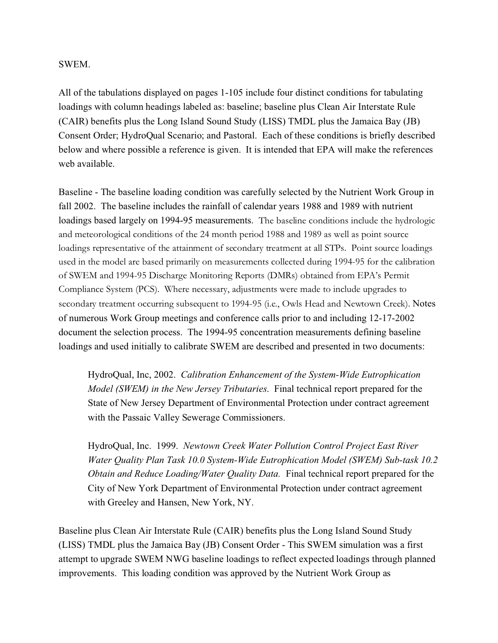## SWEM.

All of the tabulations displayed on pages 1-105 include four distinct conditions for tabulating loadings with column headings labeled as: baseline; baseline plus Clean Air Interstate Rule (CAIR) benefits plus the Long Island Sound Study (LISS) TMDL plus the Jamaica Bay (JB) Consent Order; HydroQual Scenario; and Pastoral. Each of these conditions is briefly described below and where possible a reference is given. It is intended that EPA will make the references web available.

Baseline - The baseline loading condition was carefully selected by the Nutrient Work Group in fall 2002. The baseline includes the rainfall of calendar years 1988 and 1989 with nutrient loadings based largely on 1994-95 measurements. The baseline conditions include the hydrologic and meteorological conditions of the 24 month period 1988 and 1989 as well as point source loadings representative of the attainment of secondary treatment at all STPs. Point source loadings used in the model are based primarily on measurements collected during 1994-95 for the calibration of SWEM and 1994-95 Discharge Monitoring Reports (DMRs) obtained from EPA's Permit Compliance System (PCS). Where necessary, adjustments were made to include upgrades to secondary treatment occurring subsequent to 1994-95 (i.e., Owls Head and Newtown Creek). Notes of numerous Work Group meetings and conference calls prior to and including 12-17-2002 document the selection process. The 1994-95 concentration measurements defining baseline loadings and used initially to calibrate SWEM are described and presented in two documents:

HydroQual, Inc, 2002. *Calibration Enhancement of the System-Wide Eutrophication Model (SWEM) in the New Jersey Tributaries*. Final technical report prepared for the State of New Jersey Department of Environmental Protection under contract agreement with the Passaic Valley Sewerage Commissioners.

HydroQual, Inc. 1999. *Newtown Creek Water Pollution Control Project East River Water Quality Plan Task 10.0 System-Wide Eutrophication Model (SWEM) Sub-task 10.2 Obtain and Reduce Loading/Water Quality Data.* Final technical report prepared for the City of New York Department of Environmental Protection under contract agreement with Greeley and Hansen, New York, NY.

Baseline plus Clean Air Interstate Rule (CAIR) benefits plus the Long Island Sound Study (LISS) TMDL plus the Jamaica Bay (JB) Consent Order - This SWEM simulation was a first attempt to upgrade SWEM NWG baseline loadings to reflect expected loadings through planned improvements. This loading condition was approved by the Nutrient Work Group as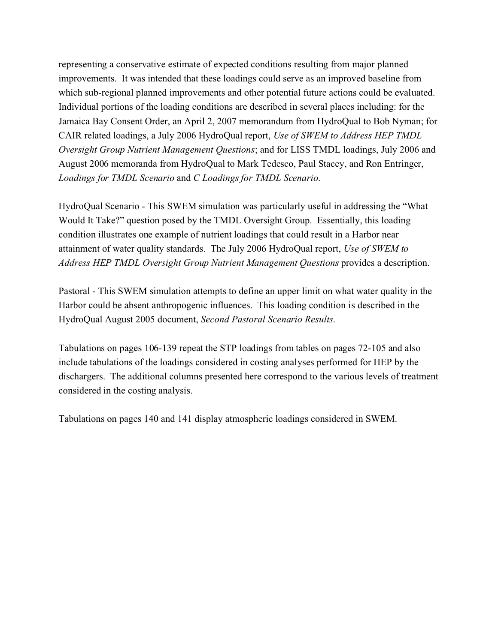representing a conservative estimate of expected conditions resulting from major planned improvements. It was intended that these loadings could serve as an improved baseline from which sub-regional planned improvements and other potential future actions could be evaluated. Individual portions of the loading conditions are described in several places including: for the Jamaica Bay Consent Order, an April 2, 2007 memorandum from HydroQual to Bob Nyman; for CAIR related loadings, a July 2006 HydroQual report, *Use of SWEM to Address HEP TMDL Oversight Group Nutrient Management Questions*; and for LISS TMDL loadings, July 2006 and August 2006 memoranda from HydroQual to Mark Tedesco, Paul Stacey, and Ron Entringer, *Loadings for TMDL Scenario* and *C Loadings for TMDL Scenario*.

HydroQual Scenario - This SWEM simulation was particularly useful in addressing the "What Would It Take?" question posed by the TMDL Oversight Group. Essentially, this loading condition illustrates one example of nutrient loadings that could result in a Harbor near attainment of water quality standards. The July 2006 HydroQual report, *Use of SWEM to Address HEP TMDL Oversight Group Nutrient Management Questions* provides a description.

Pastoral - This SWEM simulation attempts to define an upper limit on what water quality in the Harbor could be absent anthropogenic influences. This loading condition is described in the HydroQual August 2005 document, *Second Pastoral Scenario Results*.

Tabulations on pages 106-139 repeat the STP loadings from tables on pages 72-105 and also include tabulations of the loadings considered in costing analyses performed for HEP by the dischargers. The additional columns presented here correspond to the various levels of treatment considered in the costing analysis.

Tabulations on pages 140 and 141 display atmospheric loadings considered in SWEM.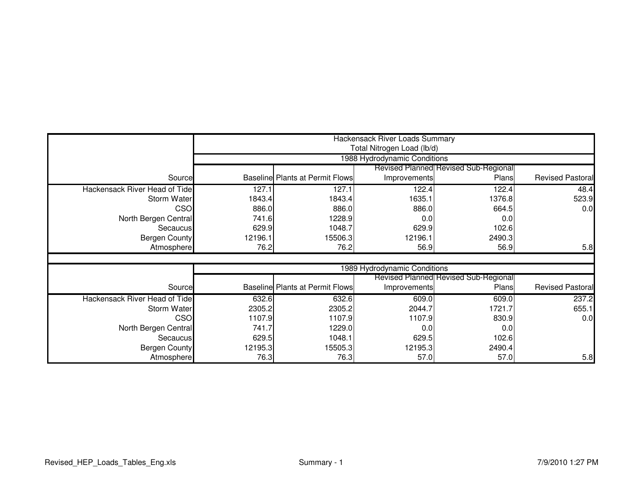|                               |         | Hackensack River Loads Summary<br>Total Nitrogen Load (lb/d) |                              |                                             |                         |  |  |
|-------------------------------|---------|--------------------------------------------------------------|------------------------------|---------------------------------------------|-------------------------|--|--|
|                               |         | 1988 Hydrodynamic Conditions                                 |                              |                                             |                         |  |  |
|                               |         |                                                              |                              | <b>Revised Planned Revised Sub-Regional</b> |                         |  |  |
| Source                        |         | Baseline Plants at Permit Flows                              | Improvements                 | Plans                                       | <b>Revised Pastoral</b> |  |  |
| Hackensack River Head of Tide | 127.1   | 127.1                                                        | 122.4                        | 122.4                                       | 48.4                    |  |  |
| <b>Storm Water</b>            | 1843.4  | 1843.4                                                       | 1635.1                       | 1376.8                                      | 523.9                   |  |  |
| CSO                           | 886.0   | 886.0                                                        | 886.0                        | 664.5                                       | 0.0                     |  |  |
| North Bergen Central          | 741.6   | 1228.9                                                       | 0.0                          | 0.0                                         |                         |  |  |
| Secaucus                      | 629.9   | 1048.7                                                       | 629.9                        | 102.6                                       |                         |  |  |
| <b>Bergen County</b>          | 12196.1 | 15506.3                                                      | 12196.1                      | 2490.3                                      |                         |  |  |
| Atmosphere                    | 76.2    | 76.2                                                         | 56.9                         | 56.9                                        | 5.8                     |  |  |
|                               |         |                                                              |                              |                                             |                         |  |  |
|                               |         |                                                              | 1989 Hydrodynamic Conditions |                                             |                         |  |  |
|                               |         |                                                              |                              | Revised Planned Revised Sub-Regional        |                         |  |  |
| Source                        |         | <b>Baseline Plants at Permit Flows</b>                       | Improvements                 | Plans                                       | <b>Revised Pastoral</b> |  |  |
| Hackensack River Head of Tide | 632.6   | 632.6                                                        | 609.0                        | 609.0                                       | 237.2                   |  |  |
| Storm Water                   | 2305.2  | 2305.2                                                       | 2044.7                       | 1721.7                                      | 655.1                   |  |  |
| CSO                           | 1107.9  | 1107.9                                                       | 1107.9                       | 830.9                                       | 0.0                     |  |  |
| North Bergen Central          | 741.7   | 1229.0                                                       | 0.0                          | 0.0                                         |                         |  |  |
| Secaucus                      | 629.5   | 1048.1                                                       | 629.5                        | 102.6                                       |                         |  |  |
| <b>Bergen County</b>          | 12195.3 | 15505.3                                                      | 12195.3                      | 2490.4                                      |                         |  |  |
| Atmosphere                    | 76.3    | 76.3                                                         | 57.0                         | 57.0                                        | 5.8                     |  |  |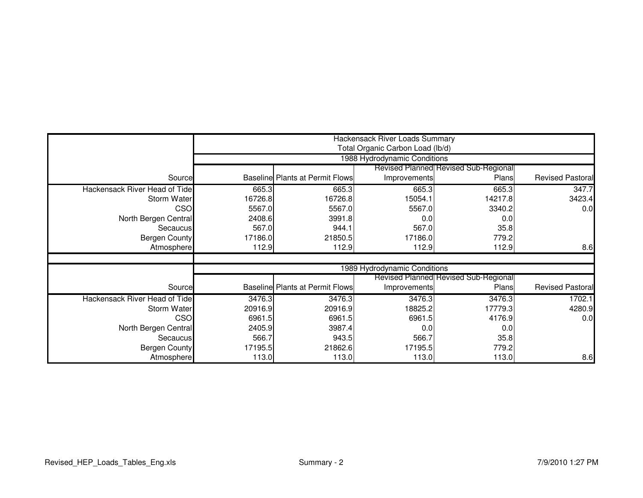|                               |         |                                                                  | Hackensack River Loads Summary |                                             |                         |  |  |
|-------------------------------|---------|------------------------------------------------------------------|--------------------------------|---------------------------------------------|-------------------------|--|--|
|                               |         | Total Organic Carbon Load (lb/d)<br>1988 Hydrodynamic Conditions |                                |                                             |                         |  |  |
|                               |         |                                                                  |                                | <b>Revised Planned Revised Sub-Regional</b> |                         |  |  |
| Source                        |         | <b>Baseline Plants at Permit Flows</b>                           | Improvements                   | Plans                                       | <b>Revised Pastoral</b> |  |  |
| Hackensack River Head of Tide | 665.3   | 665.3                                                            | 665.3                          | 665.3                                       | 347.7                   |  |  |
| <b>Storm Water</b>            | 16726.8 | 16726.8                                                          | 15054.1                        | 14217.8                                     | 3423.4                  |  |  |
| CSO                           | 5567.0  | 5567.0                                                           | 5567.0                         | 3340.2                                      | 0.0                     |  |  |
| North Bergen Central          | 2408.6  | 3991.8                                                           | 0.0                            | 0.0                                         |                         |  |  |
| Secaucus                      | 567.0   | 944.1                                                            | 567.0                          | 35.8                                        |                         |  |  |
| <b>Bergen County</b>          | 17186.0 | 21850.5                                                          | 17186.0                        | 779.2                                       |                         |  |  |
| Atmosphere                    | 112.9   | 112.9                                                            | 112.9                          | 112.9                                       | 8.6                     |  |  |
|                               |         |                                                                  |                                |                                             |                         |  |  |
|                               |         |                                                                  | 1989 Hydrodynamic Conditions   |                                             |                         |  |  |
|                               |         |                                                                  |                                | <b>Revised Planned Revised Sub-Regional</b> |                         |  |  |
| Source                        |         | <b>Baseline Plants at Permit Flows</b>                           | Improvements                   | Plans                                       | <b>Revised Pastoral</b> |  |  |
| Hackensack River Head of Tide | 3476.3  | 3476.3                                                           | 3476.3                         | 3476.3                                      | 1702.1                  |  |  |
| <b>Storm Water</b>            | 20916.9 | 20916.9                                                          | 18825.2                        | 17779.3                                     | 4280.9                  |  |  |
| CSO                           | 6961.5  | 6961.5                                                           | 6961.5                         | 4176.9                                      | 0.0                     |  |  |
| North Bergen Central          | 2405.9  | 3987.4                                                           | 0.0                            | 0.0                                         |                         |  |  |
| Secaucus                      | 566.7   | 943.5                                                            | 566.7                          | 35.8                                        |                         |  |  |
| <b>Bergen County</b>          | 17195.5 | 21862.6                                                          | 17195.5                        | 779.2                                       |                         |  |  |
| Atmosphere                    | 113.0   | 113.0                                                            | 113.0                          | 113.0                                       | 8.6                     |  |  |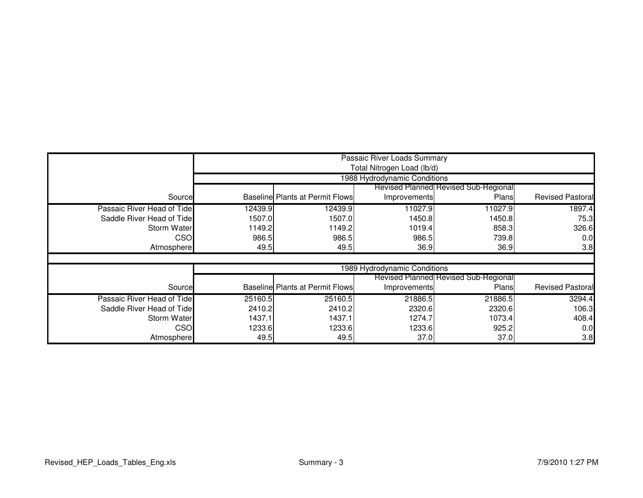|                            |         | Passaic River Loads Summary<br>Total Nitrogen Load (lb/d) |                              |                                             |                         |  |  |
|----------------------------|---------|-----------------------------------------------------------|------------------------------|---------------------------------------------|-------------------------|--|--|
|                            |         |                                                           | 1988 Hydrodynamic Conditions |                                             |                         |  |  |
|                            |         |                                                           |                              | <b>Revised Planned Revised Sub-Regional</b> |                         |  |  |
| Source                     |         | <b>Baseline Plants at Permit Flows</b>                    | <b>Improvements</b>          | Plans                                       | <b>Revised Pastoral</b> |  |  |
| Passaic River Head of Tide | 12439.9 | 12439.9                                                   | 11027.9                      | 11027.9                                     | 1897.4                  |  |  |
| Saddle River Head of Tide  | 1507.0  | 1507.0                                                    | 1450.8                       | 1450.8                                      | 75.3                    |  |  |
| <b>Storm Water</b>         | 1149.2  | 1149.2                                                    | 1019.4                       | 858.3                                       | 326.6                   |  |  |
| CSO                        | 986.5   | 986.5                                                     | 986.5                        | 739.8                                       | 0.0                     |  |  |
| Atmosphere                 | 49.5    | 49.5                                                      | 36.9                         | 36.9                                        | 3.8                     |  |  |
|                            |         |                                                           |                              |                                             |                         |  |  |
|                            |         |                                                           | 1989 Hydrodynamic Conditions |                                             |                         |  |  |
|                            |         |                                                           |                              | <b>Revised Planned Revised Sub-Regional</b> |                         |  |  |
| Source                     |         | <b>Baseline Plants at Permit Flows</b>                    | <b>Improvements</b>          | Plans                                       | <b>Revised Pastoral</b> |  |  |
| Passaic River Head of Tide | 25160.5 | 25160.5                                                   | 21886.5                      | 21886.5                                     | 3294.4                  |  |  |
| Saddle River Head of Tide  | 2410.2  | 2410.2                                                    | 2320.6                       | 2320.6                                      | 106.3                   |  |  |
| <b>Storm Water</b>         | 1437.1  | 1437.1                                                    | 1274.7                       | 1073.4                                      | 408.4                   |  |  |
| CSO                        | 1233.6  | 1233.6                                                    | 1233.6                       | 925.2                                       | 0.0                     |  |  |
| Atmosphere                 | 49.5    | 49.5                                                      | 37.0                         | 37.0                                        | 3.8                     |  |  |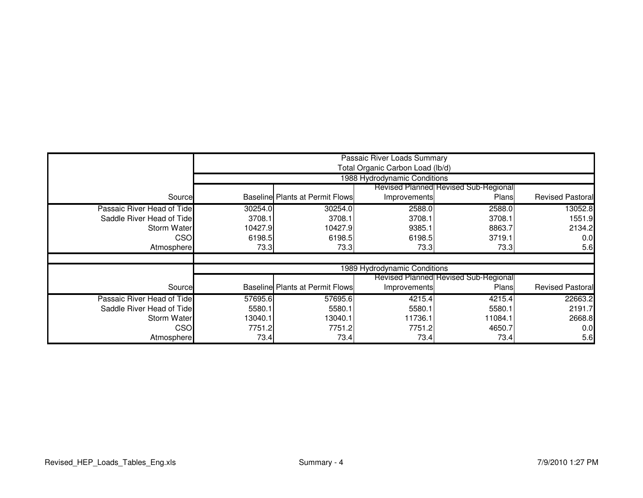|                            |         |                                        | Passaic River Loads Summary<br>Total Organic Carbon Load (lb/d) |                                             |                         |  |
|----------------------------|---------|----------------------------------------|-----------------------------------------------------------------|---------------------------------------------|-------------------------|--|
|                            |         | 1988 Hydrodynamic Conditions           |                                                                 |                                             |                         |  |
|                            |         |                                        |                                                                 | <b>Revised Planned Revised Sub-Regional</b> |                         |  |
| Source                     |         | <b>Baseline Plants at Permit Flows</b> | Improvements                                                    | Plans                                       | <b>Revised Pastoral</b> |  |
| Passaic River Head of Tide | 30254.0 | 30254.0                                | 2588.0                                                          | 2588.0                                      | 13052.8                 |  |
| Saddle River Head of Tide  | 3708.1  | 3708.1                                 | 3708.1                                                          | 3708.1                                      | 1551.9                  |  |
| Storm Water                | 10427.9 | 10427.9                                | 9385.1                                                          | 8863.7                                      | 2134.2                  |  |
| CSO                        | 6198.5  | 6198.5                                 | 6198.5                                                          | 3719.1                                      | 0.0                     |  |
| Atmosphere                 | 73.3    | 73.3                                   | 73.3                                                            | 73.3                                        | 5.6                     |  |
|                            |         |                                        |                                                                 |                                             |                         |  |
|                            |         |                                        | 1989 Hydrodynamic Conditions                                    |                                             |                         |  |
|                            |         |                                        |                                                                 | <b>Revised Planned Revised Sub-Regional</b> |                         |  |
| Source                     |         | <b>Baseline Plants at Permit Flows</b> | Improvements                                                    | Plans                                       | <b>Revised Pastoral</b> |  |
| Passaic River Head of Tide | 57695.6 | 57695.6                                | 4215.4                                                          | 4215.4                                      | 22663.2                 |  |
| Saddle River Head of Tide  | 5580.1  | 5580.1                                 | 5580.1                                                          | 5580.1                                      | 2191.7                  |  |
| Storm Water                | 13040.1 | 13040.1                                | 11736.1                                                         | 11084.1                                     | 2668.8                  |  |
| CSO                        | 7751.2  | 7751.2                                 | 7751.2                                                          | 4650.7                                      | 0.0                     |  |
| Atmosphere                 | 73.4    | 73.4                                   | 73.4                                                            | 73.4                                        | 5.6                     |  |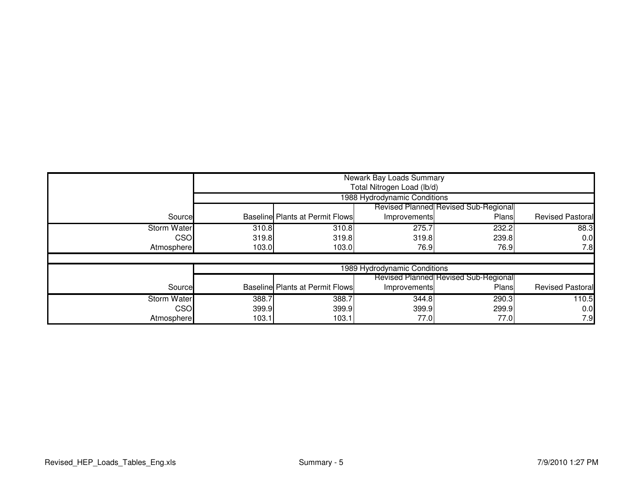|                    |       | Newark Bay Loads Summary<br>Total Nitrogen Load (lb/d) |                              |                                             |                         |  |  |
|--------------------|-------|--------------------------------------------------------|------------------------------|---------------------------------------------|-------------------------|--|--|
|                    |       | 1988 Hydrodynamic Conditions                           |                              |                                             |                         |  |  |
|                    |       |                                                        |                              | <b>Revised Planned Revised Sub-Regional</b> |                         |  |  |
| Source             |       | <b>Baseline Plants at Permit Flows</b>                 | Improvements                 | Plans                                       | <b>Revised Pastoral</b> |  |  |
| <b>Storm Water</b> | 310.8 | 310.8                                                  | 275.7                        | 232.2                                       | 88.3                    |  |  |
| <b>CSO</b>         | 319.8 | 319.8                                                  | 319.8                        | 239.8                                       | 0.0                     |  |  |
| Atmosphere         | 103.0 | 103.0                                                  | 76.9                         | 76.9                                        | 7.8                     |  |  |
|                    |       |                                                        |                              |                                             |                         |  |  |
|                    |       |                                                        | 1989 Hydrodynamic Conditions |                                             |                         |  |  |
|                    |       |                                                        |                              | <b>Revised Planned Revised Sub-Regional</b> |                         |  |  |
| Source             |       | <b>Baseline Plants at Permit Flows</b>                 | Improvements                 | Plans                                       | <b>Revised Pastoral</b> |  |  |
| <b>Storm Water</b> | 388.7 | 388.7                                                  | 344.8                        | 290.3                                       | 110.5                   |  |  |
| <b>CSO</b>         | 399.9 | 399.9                                                  | 399.9                        | 299.9                                       | 0.0                     |  |  |
| Atmosphere         | 103.1 | 103.1                                                  | 77.0                         | 77.0                                        | 7.9                     |  |  |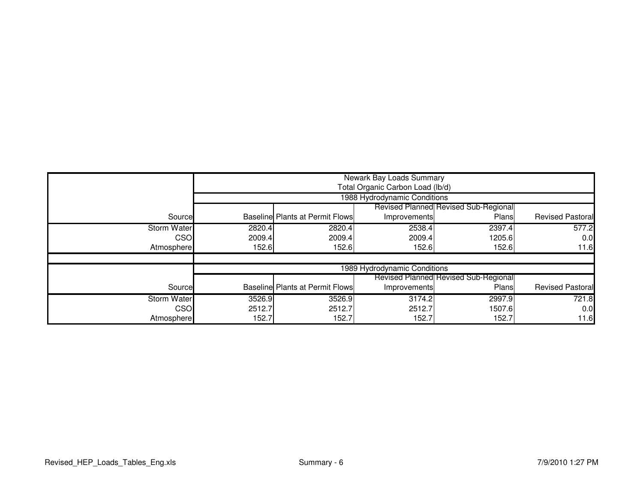|                    |        | Newark Bay Loads Summary<br>Total Organic Carbon Load (lb/d) |                              |                                             |                  |  |  |
|--------------------|--------|--------------------------------------------------------------|------------------------------|---------------------------------------------|------------------|--|--|
|                    |        | 1988 Hydrodynamic Conditions                                 |                              |                                             |                  |  |  |
|                    |        |                                                              |                              | <b>Revised Planned Revised Sub-Regional</b> |                  |  |  |
| Source             |        | <b>Baseline Plants at Permit Flows</b>                       | Improvements                 | Plans                                       | Revised Pastoral |  |  |
| <b>Storm Water</b> | 2820.4 | 2820.4                                                       | 2538.4                       | 2397.4                                      | 577.2            |  |  |
| <b>CSO</b>         | 2009.4 | 2009.4                                                       | 2009.4                       | 1205.6                                      | 0.0              |  |  |
| Atmosphere         | 152.6  | 152.6                                                        | 152.6                        | 152.6                                       | 11.6             |  |  |
|                    |        |                                                              |                              |                                             |                  |  |  |
|                    |        |                                                              | 1989 Hydrodynamic Conditions |                                             |                  |  |  |
|                    |        |                                                              |                              | Revised Planned Revised Sub-Regional        |                  |  |  |
| Source             |        | <b>Baseline Plants at Permit Flows</b>                       | Improvements                 | Plans                                       | Revised Pastoral |  |  |
| Storm Water        | 3526.9 | 3526.9                                                       | 3174.2                       | 2997.9                                      | 721.8            |  |  |
| <b>CSO</b>         | 2512.7 | 2512.7                                                       | 2512.7                       | 1507.6                                      | 0.0              |  |  |
| Atmosphere         | 152.7  | 152.7                                                        | 152.7                        | 152.7                                       | 11.6             |  |  |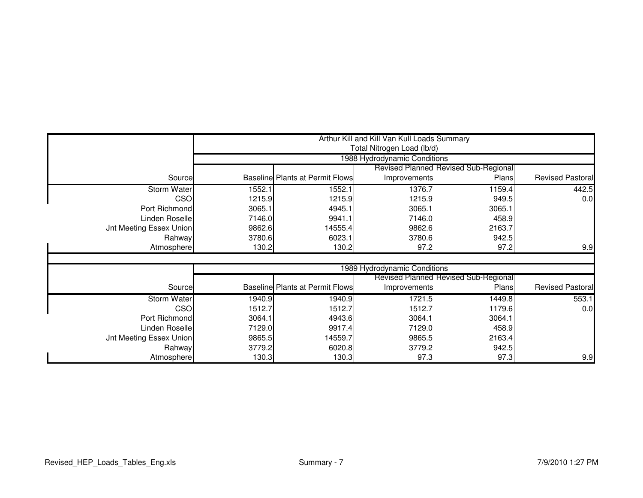|                                |        |                                                                             | Arthur Kill and Kill Van Kull Loads Summary |                                             |                  |  |  |
|--------------------------------|--------|-----------------------------------------------------------------------------|---------------------------------------------|---------------------------------------------|------------------|--|--|
|                                |        |                                                                             | Total Nitrogen Load (lb/d)                  |                                             |                  |  |  |
|                                |        | 1988 Hydrodynamic Conditions<br><b>Revised Planned Revised Sub-Regional</b> |                                             |                                             |                  |  |  |
| Source                         |        | <b>Baseline Plants at Permit Flows</b>                                      | Improvements                                | Plans                                       | Revised Pastoral |  |  |
| <b>Storm Water</b>             | 1552.1 | 1552.1                                                                      | 1376.7                                      | 1159.4                                      | 442.5            |  |  |
| CSO                            | 1215.9 | 1215.9                                                                      | 1215.9                                      | 949.5                                       | 0.0              |  |  |
| Port Richmond                  | 3065.1 | 4945.1                                                                      | 3065.1                                      | 3065.1                                      |                  |  |  |
| Linden Roselle                 | 7146.0 | 9941.1                                                                      | 7146.0                                      | 458.9                                       |                  |  |  |
| <b>Jnt Meeting Essex Union</b> | 9862.6 | 14555.4                                                                     | 9862.6                                      | 2163.7                                      |                  |  |  |
| Rahway                         | 3780.6 | 6023.1                                                                      | 3780.6                                      | 942.5                                       |                  |  |  |
| Atmosphere                     | 130.2  | 130.2                                                                       | 97.2                                        | 97.2                                        | 9.9              |  |  |
|                                |        |                                                                             |                                             |                                             |                  |  |  |
|                                |        |                                                                             | 1989 Hydrodynamic Conditions                |                                             |                  |  |  |
|                                |        |                                                                             |                                             | <b>Revised Planned Revised Sub-Regional</b> |                  |  |  |
| Source                         |        | <b>Baseline Plants at Permit Flows</b>                                      | Improvements                                | Plans                                       | Revised Pastoral |  |  |
| <b>Storm Water</b>             | 1940.9 | 1940.9                                                                      | 1721.5                                      | 1449.8                                      | 553.1            |  |  |
| CSO                            | 1512.7 | 1512.7                                                                      | 1512.7                                      | 1179.6                                      | 0.0              |  |  |
| Port Richmond                  | 3064.1 | 4943.6                                                                      | 3064.1                                      | 3064.1                                      |                  |  |  |
| Linden Roselle                 | 7129.0 | 9917.4                                                                      | 7129.0                                      | 458.9                                       |                  |  |  |
| <b>Jnt Meeting Essex Union</b> | 9865.5 | 14559.7                                                                     | 9865.5                                      | 2163.4                                      |                  |  |  |
| Rahway                         | 3779.2 | 6020.8                                                                      | 3779.2                                      | 942.5                                       |                  |  |  |
| Atmosphere                     | 130.3  | 130.3                                                                       | 97.3                                        | 97.3                                        | 9.9              |  |  |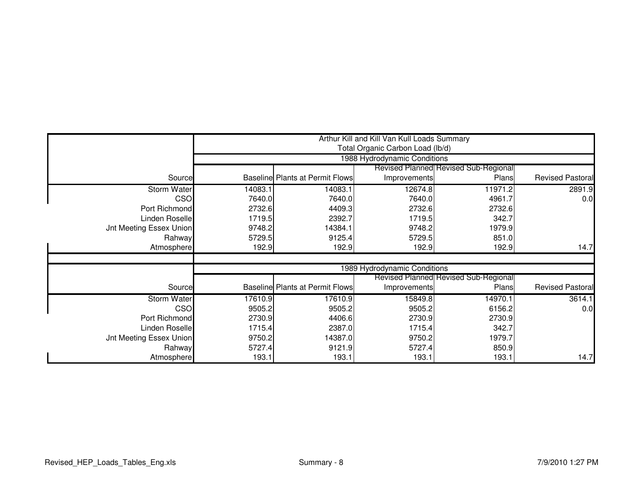|                                |         | Arthur Kill and Kill Van Kull Loads Summary<br>Total Organic Carbon Load (lb/d) |                              |                                             |                         |  |  |
|--------------------------------|---------|---------------------------------------------------------------------------------|------------------------------|---------------------------------------------|-------------------------|--|--|
|                                |         | 1988 Hydrodynamic Conditions                                                    |                              |                                             |                         |  |  |
|                                |         |                                                                                 |                              | <b>Revised Planned Revised Sub-Regional</b> |                         |  |  |
| Source                         |         | <b>Baseline Plants at Permit Flows</b>                                          | Improvements                 | Plans                                       | <b>Revised Pastoral</b> |  |  |
| <b>Storm Water</b>             | 14083.1 | 14083.1                                                                         | 12674.8                      | 11971.2                                     | 2891.9                  |  |  |
| CSO                            | 7640.0  | 7640.0                                                                          | 7640.0                       | 4961.7                                      | 0.0                     |  |  |
| Port Richmond                  | 2732.6  | 4409.3                                                                          | 2732.6                       | 2732.6                                      |                         |  |  |
| Linden Roselle                 | 1719.5  | 2392.7                                                                          | 1719.5                       | 342.7                                       |                         |  |  |
| <b>Jnt Meeting Essex Union</b> | 9748.2  | 14384.1                                                                         | 9748.2                       | 1979.9                                      |                         |  |  |
| Rahway                         | 5729.5  | 9125.4                                                                          | 5729.5                       | 851.0                                       |                         |  |  |
| Atmosphere                     | 192.9   | 192.9                                                                           | 192.9                        | 192.9                                       | 14.7                    |  |  |
|                                |         |                                                                                 |                              |                                             |                         |  |  |
|                                |         |                                                                                 | 1989 Hydrodynamic Conditions |                                             |                         |  |  |
|                                |         |                                                                                 |                              | <b>Revised Planned Revised Sub-Regional</b> |                         |  |  |
| Source                         |         | <b>Baseline Plants at Permit Flows</b>                                          | Improvements                 | Plans                                       | <b>Revised Pastoral</b> |  |  |
| <b>Storm Water</b>             | 17610.9 | 17610.9                                                                         | 15849.8                      | 14970.1                                     | 3614.1                  |  |  |
| <b>CSO</b>                     | 9505.2  | 9505.2                                                                          | 9505.2                       | 6156.2                                      | 0.0                     |  |  |
| Port Richmond                  | 2730.9  | 4406.6                                                                          | 2730.9                       | 2730.9                                      |                         |  |  |
| Linden Roselle                 | 1715.4  | 2387.0                                                                          | 1715.4                       | 342.7                                       |                         |  |  |
| <b>Jnt Meeting Essex Union</b> | 9750.2  | 14387.0                                                                         | 9750.2                       | 1979.7                                      |                         |  |  |
| Rahway                         | 5727.4  | 9121.9                                                                          | 5727.4                       | 850.9                                       |                         |  |  |
| Atmosphere                     | 193.1   | 193.1                                                                           | 193.1                        | 193.1                                       | 14.7                    |  |  |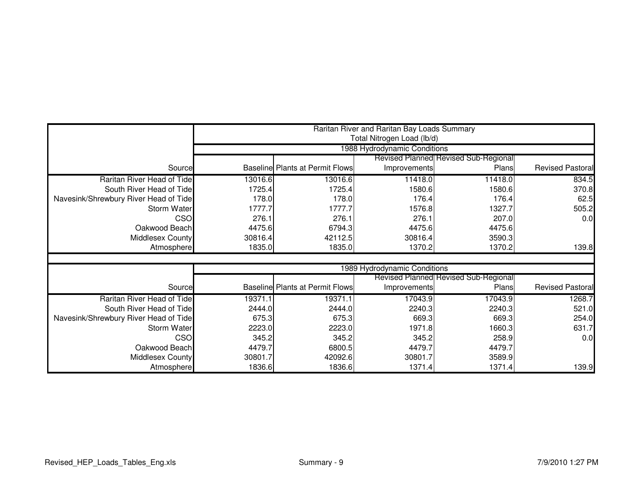|                                       |         | Raritan River and Raritan Bay Loads Summary<br>Total Nitrogen Load (lb/d) |                              |                                             |                         |  |  |  |
|---------------------------------------|---------|---------------------------------------------------------------------------|------------------------------|---------------------------------------------|-------------------------|--|--|--|
|                                       |         | 1988 Hydrodynamic Conditions                                              |                              |                                             |                         |  |  |  |
|                                       |         |                                                                           |                              | Revised Planned Revised Sub-Regional        |                         |  |  |  |
| Source                                |         | <b>Baseline Plants at Permit Flows</b>                                    | Improvements                 | Plans                                       | <b>Revised Pastoral</b> |  |  |  |
| Raritan River Head of Tide            | 13016.6 | 13016.6                                                                   | 11418.0                      | 11418.0                                     | 834.5                   |  |  |  |
| South River Head of Tide              | 1725.4  | 1725.4                                                                    | 1580.6                       | 1580.6                                      | 370.8                   |  |  |  |
| Navesink/Shrewbury River Head of Tide | 178.0   | 178.0                                                                     | 176.4                        | 176.4                                       | 62.5                    |  |  |  |
| Storm Water                           | 1777.7  | 1777.7                                                                    | 1576.8                       | 1327.7                                      | 505.2                   |  |  |  |
| <b>CSO</b>                            | 276.1   | 276.1                                                                     | 276.1                        | 207.0                                       | 0.0                     |  |  |  |
| Oakwood Beach                         | 4475.6  | 6794.3                                                                    | 4475.6                       | 4475.6                                      |                         |  |  |  |
| Middlesex County                      | 30816.4 | 42112.5                                                                   | 30816.4                      | 3590.3                                      |                         |  |  |  |
| Atmosphere                            | 1835.0  | 1835.0                                                                    | 1370.2                       | 1370.2                                      | 139.8                   |  |  |  |
|                                       |         |                                                                           |                              |                                             |                         |  |  |  |
|                                       |         |                                                                           | 1989 Hydrodynamic Conditions |                                             |                         |  |  |  |
|                                       |         |                                                                           |                              | <b>Revised Planned Revised Sub-Regional</b> |                         |  |  |  |
| Source                                |         | <b>Baseline Plants at Permit Flows</b>                                    | Improvements                 | Plans                                       | <b>Revised Pastoral</b> |  |  |  |
| Raritan River Head of Tide            | 19371.1 | 19371.1                                                                   | 17043.9                      | 17043.9                                     | 1268.7                  |  |  |  |
| South River Head of Tide              | 2444.0  | 2444.0                                                                    | 2240.3                       | 2240.3                                      | 521.0                   |  |  |  |
| Navesink/Shrewbury River Head of Tide | 675.3   | 675.3                                                                     | 669.3                        | 669.3                                       | 254.0                   |  |  |  |
| Storm Water                           | 2223.0  | 2223.0                                                                    | 1971.8                       | 1660.3                                      | 631.7                   |  |  |  |
| <b>CSO</b>                            | 345.2   | 345.2                                                                     | 345.2                        | 258.9                                       | 0.0                     |  |  |  |
| Oakwood Beach                         | 4479.7  | 6800.5                                                                    | 4479.7                       | 4479.7                                      |                         |  |  |  |
| <b>Middlesex County</b>               | 30801.7 | 42092.6                                                                   | 30801.7                      | 3589.9                                      |                         |  |  |  |
| Atmosphere                            | 1836.6  | 1836.6                                                                    | 1371.4                       | 1371.4                                      | 139.9                   |  |  |  |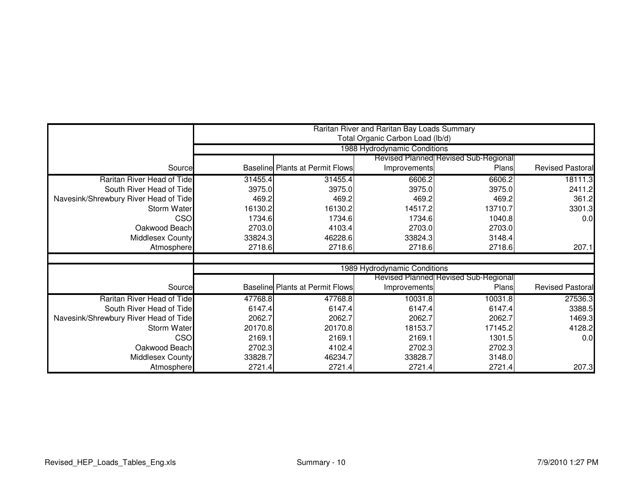|                                       |         |                                        | Raritan River and Raritan Bay Loads Summary<br>Total Organic Carbon Load (lb/d) |                                      |                         |  |  |
|---------------------------------------|---------|----------------------------------------|---------------------------------------------------------------------------------|--------------------------------------|-------------------------|--|--|
|                                       |         | 1988 Hydrodynamic Conditions           |                                                                                 |                                      |                         |  |  |
|                                       |         |                                        |                                                                                 | Revised Planned Revised Sub-Regional |                         |  |  |
| Source                                |         | Baseline Plants at Permit Flows        | Improvements                                                                    | Plans                                | <b>Revised Pastoral</b> |  |  |
| Raritan River Head of Tide            | 31455.4 | 31455.4                                | 6606.2                                                                          | 6606.2                               | 18111.3                 |  |  |
| South River Head of Tide              | 3975.0  | 3975.0                                 | 3975.0                                                                          | 3975.0                               | 2411.2                  |  |  |
| Navesink/Shrewbury River Head of Tide | 469.2   | 469.2                                  | 469.2                                                                           | 469.2                                | 361.2                   |  |  |
| <b>Storm Water</b>                    | 16130.2 | 16130.2                                | 14517.2                                                                         | 13710.7                              | 3301.3                  |  |  |
| <b>CSO</b>                            | 1734.6  | 1734.6                                 | 1734.6                                                                          | 1040.8                               | 0.0                     |  |  |
| Oakwood Beach                         | 2703.0  | 4103.4                                 | 2703.0                                                                          | 2703.0                               |                         |  |  |
| <b>Middlesex County</b>               | 33824.3 | 46228.6                                | 33824.3                                                                         | 3148.4                               |                         |  |  |
| Atmosphere                            | 2718.6  | 2718.6                                 | 2718.6                                                                          | 2718.6                               | 207.1                   |  |  |
|                                       |         |                                        |                                                                                 |                                      |                         |  |  |
|                                       |         |                                        | 1989 Hydrodynamic Conditions                                                    |                                      |                         |  |  |
|                                       |         |                                        |                                                                                 | Revised Planned Revised Sub-Regional |                         |  |  |
| Source                                |         | <b>Baseline Plants at Permit Flows</b> | Improvements                                                                    | Plans                                | <b>Revised Pastoral</b> |  |  |
| Raritan River Head of Tide            | 47768.8 | 47768.8                                | 10031.8                                                                         | 10031.8                              | 27536.3                 |  |  |
| South River Head of Tide              | 6147.4  | 6147.4                                 | 6147.4                                                                          | 6147.4                               | 3388.5                  |  |  |
| Navesink/Shrewbury River Head of Tide | 2062.7  | 2062.7                                 | 2062.7                                                                          | 2062.7                               | 1469.3                  |  |  |
| <b>Storm Water</b>                    | 20170.8 | 20170.8                                | 18153.7                                                                         | 17145.2                              | 4128.2                  |  |  |
| CSO                                   | 2169.1  | 2169.1                                 | 2169.1                                                                          | 1301.5                               | 0.0                     |  |  |
| Oakwood Beach                         | 2702.3  | 4102.4                                 | 2702.3                                                                          | 2702.3                               |                         |  |  |
| <b>Middlesex County</b>               | 33828.7 | 46234.7                                | 33828.7                                                                         | 3148.0                               |                         |  |  |
| Atmosphere                            | 2721.4  | 2721.4                                 | 2721.4                                                                          | 2721.4                               | 207.3                   |  |  |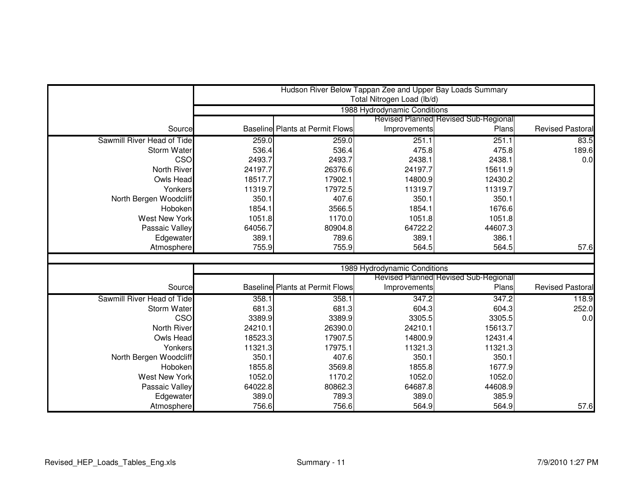|                            |         |                                        | Hudson River Below Tappan Zee and Upper Bay Loads Summary |                                      |                         |  |  |
|----------------------------|---------|----------------------------------------|-----------------------------------------------------------|--------------------------------------|-------------------------|--|--|
|                            |         |                                        | Total Nitrogen Load (lb/d)                                |                                      |                         |  |  |
|                            |         | 1988 Hydrodynamic Conditions           |                                                           |                                      |                         |  |  |
|                            |         |                                        |                                                           | Revised Planned Revised Sub-Regional |                         |  |  |
| Source                     |         | <b>Baseline Plants at Permit Flows</b> | Improvements                                              | Plans                                | <b>Revised Pastoral</b> |  |  |
| Sawmill River Head of Tide | 259.0   | 259.0                                  | 251.1                                                     | 251.1                                | 83.5                    |  |  |
| Storm Water                | 536.4   | 536.4                                  | 475.8                                                     | 475.8                                | 189.6                   |  |  |
| CSO                        | 2493.7  | 2493.7                                 | 2438.1                                                    | 2438.1                               | 0.0                     |  |  |
| North River                | 24197.7 | 26376.6                                | 24197.7                                                   | 15611.9                              |                         |  |  |
| Owls Head                  | 18517.7 | 17902.1                                | 14800.9                                                   | 12430.2                              |                         |  |  |
| Yonkers                    | 11319.7 | 17972.5                                | 11319.7                                                   | 11319.7                              |                         |  |  |
| North Bergen Woodcliff     | 350.1   | 407.6                                  | 350.1                                                     | 350.1                                |                         |  |  |
| Hoboken                    | 1854.1  | 3566.5                                 | 1854.1                                                    | 1676.6                               |                         |  |  |
| <b>West New York</b>       | 1051.8  | 1170.0                                 | 1051.8                                                    | 1051.8                               |                         |  |  |
| Passaic Valley             | 64056.7 | 80904.8                                | 64722.2                                                   | 44607.3                              |                         |  |  |
| Edgewater                  | 389.1   | 789.6                                  | 389.1                                                     | 386.1                                |                         |  |  |
| Atmosphere                 | 755.9   | 755.9                                  | 564.5                                                     | 564.5                                | 57.6                    |  |  |
|                            |         |                                        |                                                           |                                      |                         |  |  |
|                            |         |                                        | 1989 Hydrodynamic Conditions                              |                                      |                         |  |  |
|                            |         |                                        |                                                           | Revised Planned Revised Sub-Regional |                         |  |  |
| Source                     |         | <b>Baseline Plants at Permit Flows</b> | Improvements                                              | Plans                                | <b>Revised Pastoral</b> |  |  |
| Sawmill River Head of Tide | 358.1   | 358.1                                  | 347.2                                                     | 347.2                                | 118.9                   |  |  |
| Storm Water                | 681.3   | 681.3                                  | 604.3                                                     | 604.3                                | 252.0                   |  |  |
| CSO                        | 3389.9  | 3389.9                                 | 3305.5                                                    | 3305.5                               | 0.0                     |  |  |
| North River                | 24210.1 | 26390.0                                | 24210.1                                                   | 15613.7                              |                         |  |  |
| Owls Head                  | 18523.3 | 17907.5                                | 14800.9                                                   | 12431.4                              |                         |  |  |
| Yonkers                    | 11321.3 | 17975.1                                | 11321.3                                                   | 11321.3                              |                         |  |  |
| North Bergen Woodcliff     | 350.1   | 407.6                                  | 350.1                                                     | 350.1                                |                         |  |  |
| Hoboken                    | 1855.8  | 3569.8                                 | 1855.8                                                    | 1677.9                               |                         |  |  |
| <b>West New York</b>       | 1052.0  | 1170.2                                 | 1052.0                                                    | 1052.0                               |                         |  |  |
| Passaic Valley             | 64022.8 | 80862.3                                | 64687.8                                                   | 44608.9                              |                         |  |  |
| Edgewater                  | 389.0   | 789.3                                  | 389.0                                                     | 385.9                                |                         |  |  |
| Atmosphere                 | 756.6   | 756.6                                  | 564.9                                                     | 564.9                                | 57.6                    |  |  |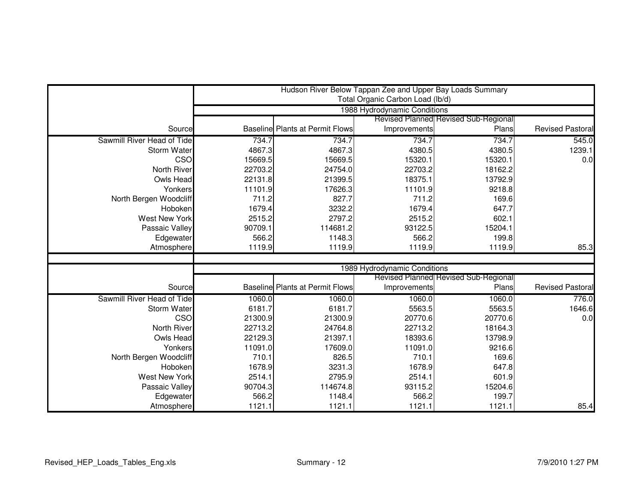|                            |                 |                                        | Hudson River Below Tappan Zee and Upper Bay Loads Summary |                                             |                         |
|----------------------------|-----------------|----------------------------------------|-----------------------------------------------------------|---------------------------------------------|-------------------------|
|                            |                 |                                        | Total Organic Carbon Load (lb/d)                          |                                             |                         |
|                            |                 |                                        | 1988 Hydrodynamic Conditions                              | Revised Planned Revised Sub-Regional        |                         |
| Source                     |                 | <b>Baseline Plants at Permit Flows</b> | Improvements                                              | Plans                                       | <b>Revised Pastoral</b> |
| Sawmill River Head of Tide | 734.7           | 734.7                                  | 734.7                                                     | 734.7                                       | 545.0                   |
| Storm Water                | 4867.3          | 4867.3                                 | 4380.5                                                    | 4380.5                                      | 1239.1                  |
| CSO                        | 15669.5         | 15669.5                                | 15320.1                                                   | 15320.1                                     | 0.0                     |
| <b>North River</b>         | 22703.2         | 24754.0                                | 22703.2                                                   | 18162.2                                     |                         |
| Owls Head                  | 22131.8         | 21399.5                                | 18375.1                                                   | 13792.9                                     |                         |
| Yonkers                    | 11101.9         | 17626.3                                | 11101.9                                                   | 9218.8                                      |                         |
| North Bergen Woodcliff     | 711.2           | 827.7                                  | 711.2                                                     | 169.6                                       |                         |
| Hoboken                    | 1679.4          | 3232.2                                 | 1679.4                                                    | 647.7                                       |                         |
| <b>West New York</b>       | 2515.2          | 2797.2                                 | 2515.2                                                    | 602.1                                       |                         |
| Passaic Valley             | 90709.1         | 114681.2                               | 93122.5                                                   | 15204.1                                     |                         |
| Edgewater                  | 566.2           | 1148.3                                 | 566.2                                                     | 199.8                                       |                         |
| Atmosphere                 | 1119.9          | 1119.9                                 | 1119.9                                                    | 1119.9                                      | 85.3                    |
|                            |                 |                                        |                                                           |                                             |                         |
|                            |                 |                                        | 1989 Hydrodynamic Conditions                              |                                             |                         |
|                            |                 |                                        |                                                           | <b>Revised Planned Revised Sub-Regional</b> |                         |
| Source                     |                 | <b>Baseline Plants at Permit Flows</b> | Improvements                                              | Plans                                       | <b>Revised Pastoral</b> |
| Sawmill River Head of Tide | 1060.0          | 1060.0                                 | 1060.0                                                    | 1060.0                                      | 776.0                   |
| Storm Water                | 6181.7          | 6181.7                                 | 5563.5                                                    | 5563.5                                      | 1646.6                  |
| CSO                        | 21300.9         | 21300.9                                | 20770.6                                                   | 20770.6                                     | 0.0                     |
| North River                | 22713.2         | 24764.8                                | 22713.2                                                   | 18164.3                                     |                         |
| Owls Head                  | 22129.3         | 21397.1                                | 18393.6                                                   | 13798.9                                     |                         |
| Yonkers                    | 11091.0         | 17609.0                                | 11091.0                                                   | 9216.6                                      |                         |
| North Bergen Woodcliff     | 710.1           | 826.5                                  | 710.1                                                     | 169.6                                       |                         |
| Hoboken                    | 1678.9          | 3231.3                                 | 1678.9                                                    | 647.8                                       |                         |
| <b>West New York</b>       | 2514.1          | 2795.9                                 | 2514.1                                                    | 601.9                                       |                         |
| Passaic Valley             | 90704.3         | 114674.8                               | 93115.2                                                   | 15204.6                                     |                         |
| Edgewater                  | 566.2<br>1121.1 | 1148.4<br>1121.1                       | 566.2<br>1121.1                                           | 199.7<br>1121.1                             | 85.4                    |
| Atmosphere                 |                 |                                        |                                                           |                                             |                         |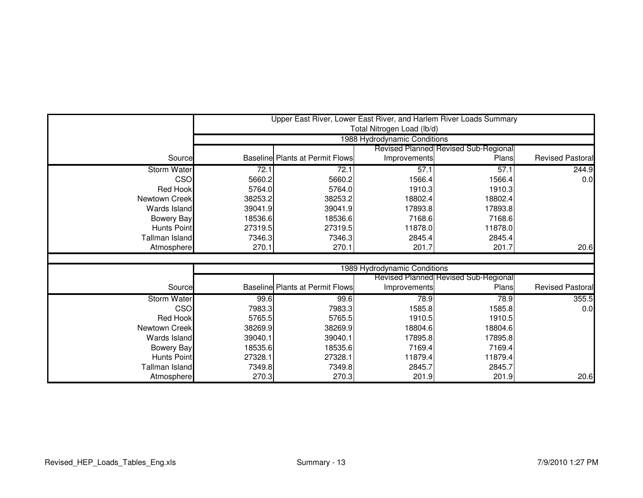|                       |                                             |                                        |                              | Upper East River, Lower East River, and Harlem River Loads Summary |                         |  |  |
|-----------------------|---------------------------------------------|----------------------------------------|------------------------------|--------------------------------------------------------------------|-------------------------|--|--|
|                       |                                             |                                        | Total Nitrogen Load (lb/d)   |                                                                    |                         |  |  |
|                       |                                             | 1988 Hydrodynamic Conditions           |                              |                                                                    |                         |  |  |
|                       | <b>Revised Planned Revised Sub-Regional</b> |                                        |                              |                                                                    |                         |  |  |
| Source                |                                             | Baseline Plants at Permit Flows        | Improvements                 | Plans                                                              | <b>Revised Pastoral</b> |  |  |
| <b>Storm Water</b>    | 72.1                                        | 72.1                                   | 57.1                         | 57.1                                                               | 244.9                   |  |  |
| <b>CSO</b>            | 5660.2                                      | 5660.2                                 | 1566.4                       | 1566.4                                                             | 0.0                     |  |  |
| <b>Red Hook</b>       | 5764.0                                      | 5764.0                                 | 1910.3                       | 1910.3                                                             |                         |  |  |
| Newtown Creek         | 38253.2                                     | 38253.2                                | 18802.4                      | 18802.4                                                            |                         |  |  |
| Wards Island          | 39041.9                                     | 39041.9                                | 17893.8                      | 17893.8                                                            |                         |  |  |
| <b>Bowery Bay</b>     | 18536.6                                     | 18536.6                                | 7168.6                       | 7168.6                                                             |                         |  |  |
| <b>Hunts Point</b>    | 27319.5                                     | 27319.5                                | 11878.0                      | 11878.0                                                            |                         |  |  |
| <b>Tallman Island</b> | 7346.3                                      | 7346.3                                 | 2845.4                       | 2845.4                                                             |                         |  |  |
| Atmosphere            | 270.1                                       | 270.1                                  | 201.7                        | 201.7                                                              | 20.6                    |  |  |
|                       |                                             |                                        |                              |                                                                    |                         |  |  |
|                       |                                             |                                        | 1989 Hydrodynamic Conditions |                                                                    |                         |  |  |
|                       |                                             |                                        |                              | Revised Planned Revised Sub-Regional                               |                         |  |  |
| Source                |                                             | <b>Baseline Plants at Permit Flows</b> | Improvements                 | Plans                                                              | <b>Revised Pastoral</b> |  |  |
| <b>Storm Water</b>    | 99.6                                        | 99.6                                   | 78.9                         | 78.9                                                               | 355.5                   |  |  |
| CSO                   | 7983.3                                      | 7983.3                                 | 1585.8                       | 1585.8                                                             | 0.0                     |  |  |
| <b>Red Hook</b>       | 5765.5                                      | 5765.5                                 | 1910.5                       | 1910.5                                                             |                         |  |  |
| <b>Newtown Creek</b>  | 38269.9                                     | 38269.9                                | 18804.6                      | 18804.6                                                            |                         |  |  |
| Wards Island          | 39040.1                                     | 39040.1                                | 17895.8                      | 17895.8                                                            |                         |  |  |
| <b>Bowery Bay</b>     | 18535.6                                     | 18535.6                                | 7169.4                       | 7169.4                                                             |                         |  |  |
| <b>Hunts Point</b>    | 27328.1                                     | 27328.1                                | 11879.4                      | 11879.4                                                            |                         |  |  |
| <b>Tallman Island</b> | 7349.8                                      | 7349.8                                 | 2845.7                       | 2845.7                                                             |                         |  |  |
| Atmosphere            | 270.3                                       | 270.3                                  | 201.9                        | 201.9                                                              | 20.6                    |  |  |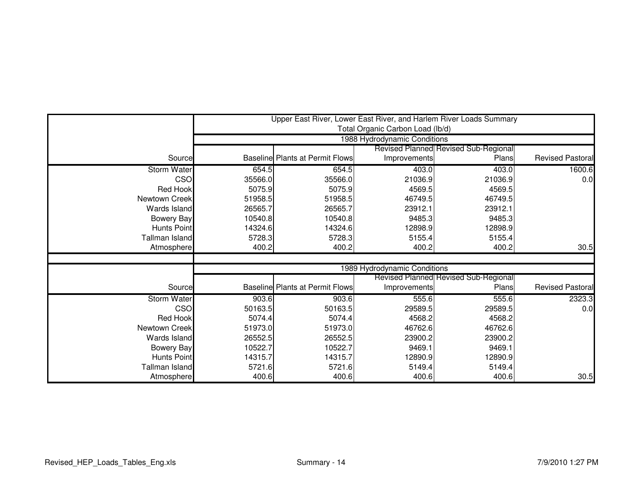|                    |         |                                             | Total Organic Carbon Load (lb/d) | Upper East River, Lower East River, and Harlem River Loads Summary |                         |  |  |
|--------------------|---------|---------------------------------------------|----------------------------------|--------------------------------------------------------------------|-------------------------|--|--|
|                    |         | 1988 Hydrodynamic Conditions                |                                  |                                                                    |                         |  |  |
|                    |         | <b>Revised Planned Revised Sub-Regional</b> |                                  |                                                                    |                         |  |  |
| Source             |         | <b>Baseline Plants at Permit Flows</b>      | Improvements                     | Plans                                                              | <b>Revised Pastoral</b> |  |  |
| <b>Storm Water</b> | 654.5   | 654.5                                       | 403.0                            | 403.0                                                              | 1600.6                  |  |  |
| <b>CSO</b>         | 35566.0 | 35566.0                                     | 21036.9                          | 21036.9                                                            | 0.0                     |  |  |
| <b>Red Hook</b>    | 5075.9  | 5075.9                                      | 4569.5                           | 4569.5                                                             |                         |  |  |
| Newtown Creek      | 51958.5 | 51958.5                                     | 46749.5                          | 46749.5                                                            |                         |  |  |
| Wards Island       | 26565.7 | 26565.7                                     | 23912.1                          | 23912.1                                                            |                         |  |  |
| <b>Bowery Bay</b>  | 10540.8 | 10540.8                                     | 9485.3                           | 9485.3                                                             |                         |  |  |
| <b>Hunts Point</b> | 14324.6 | 14324.6                                     | 12898.9                          | 12898.9                                                            |                         |  |  |
| Tallman Island     | 5728.3  | 5728.3                                      | 5155.4                           | 5155.4                                                             |                         |  |  |
| Atmosphere         | 400.2   | 400.2                                       | 400.2                            | 400.2                                                              | 30.5                    |  |  |
|                    |         |                                             |                                  |                                                                    |                         |  |  |
|                    |         |                                             | 1989 Hydrodynamic Conditions     |                                                                    |                         |  |  |
|                    |         |                                             |                                  | Revised Planned Revised Sub-Regional                               |                         |  |  |
| Source             |         | <b>Baseline Plants at Permit Flows</b>      | Improvements                     | Plans                                                              | <b>Revised Pastoral</b> |  |  |
| <b>Storm Water</b> | 903.6   | 903.6                                       | 555.6                            | 555.6                                                              | 2323.3                  |  |  |
| CSO                | 50163.5 | 50163.5                                     | 29589.5                          | 29589.5                                                            | 0.0                     |  |  |
| <b>Red Hook</b>    | 5074.4  | 5074.4                                      | 4568.2                           | 4568.2                                                             |                         |  |  |
| Newtown Creek      | 51973.0 | 51973.0                                     | 46762.6                          | 46762.6                                                            |                         |  |  |
| Wards Island       | 26552.5 | 26552.5                                     | 23900.2                          | 23900.2                                                            |                         |  |  |
| <b>Bowery Bay</b>  | 10522.7 | 10522.7                                     | 9469.1                           | 9469.1                                                             |                         |  |  |
| <b>Hunts Point</b> | 14315.7 | 14315.7                                     | 12890.9                          | 12890.9                                                            |                         |  |  |
| Tallman Island     | 5721.6  | 5721.6                                      | 5149.4                           | 5149.4                                                             |                         |  |  |
| Atmosphere         | 400.6   | 400.6                                       | 400.6                            | 400.6                                                              | 30.5                    |  |  |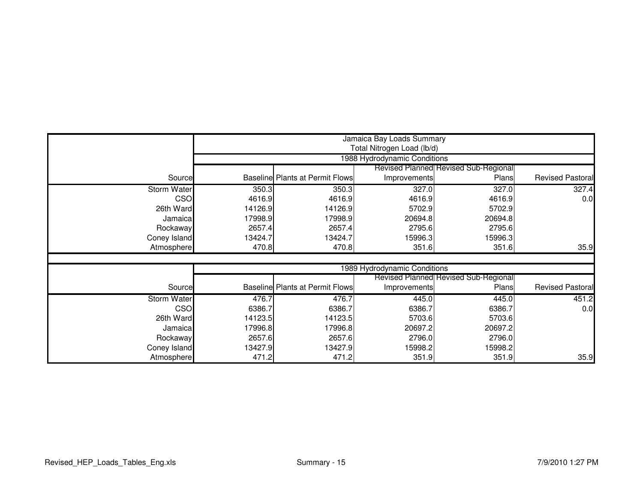|                    |         |                                                            | Jamaica Bay Loads Summary    |                                      |                         |  |  |
|--------------------|---------|------------------------------------------------------------|------------------------------|--------------------------------------|-------------------------|--|--|
|                    |         | Total Nitrogen Load (lb/d)<br>1988 Hydrodynamic Conditions |                              |                                      |                         |  |  |
|                    |         | <b>Revised Planned Revised Sub-Regional</b>                |                              |                                      |                         |  |  |
| Source             |         | <b>Baseline Plants at Permit Flows</b>                     | Improvements                 | Plans                                | Revised Pastoral        |  |  |
| <b>Storm Water</b> | 350.3   | 350.3                                                      | 327.0                        | 327.0                                | 327.4                   |  |  |
| <b>CSO</b>         | 4616.9  | 4616.9                                                     | 4616.9                       | 4616.9                               | 0.0                     |  |  |
| 26th Ward          | 14126.9 | 14126.9                                                    | 5702.9                       | 5702.9                               |                         |  |  |
| Jamaica            | 17998.9 | 17998.9                                                    | 20694.8                      | 20694.8                              |                         |  |  |
| Rockaway           | 2657.4  | 2657.4                                                     | 2795.6                       | 2795.6                               |                         |  |  |
| Coney Island       | 13424.7 | 13424.7                                                    | 15996.3                      | 15996.3                              |                         |  |  |
| Atmosphere         | 470.8   | 470.8                                                      | 351.6                        | 351.6                                | 35.9                    |  |  |
|                    |         |                                                            |                              |                                      |                         |  |  |
|                    |         |                                                            | 1989 Hydrodynamic Conditions |                                      |                         |  |  |
|                    |         |                                                            |                              | Revised Planned Revised Sub-Regional |                         |  |  |
| Source             |         | <b>Baseline Plants at Permit Flows</b>                     | Improvements                 | Plans                                | <b>Revised Pastoral</b> |  |  |
| <b>Storm Water</b> | 476.7   | 476.7                                                      | 445.0                        | 445.0                                | 451.2                   |  |  |
| <b>CSO</b>         | 6386.7  | 6386.7                                                     | 6386.7                       | 6386.7                               | 0.0                     |  |  |
| 26th Ward          | 14123.5 | 14123.5                                                    | 5703.6                       | 5703.6                               |                         |  |  |
| Jamaical           | 17996.8 | 17996.8                                                    | 20697.2                      | 20697.2                              |                         |  |  |
| Rockaway           | 2657.6  | 2657.6                                                     | 2796.0                       | 2796.0                               |                         |  |  |
| Coney Island       | 13427.9 | 13427.9                                                    | 15998.2                      | 15998.2                              |                         |  |  |
| Atmosphere         | 471.2   | 471.2                                                      | 351.9                        | 351.9                                | 35.9                    |  |  |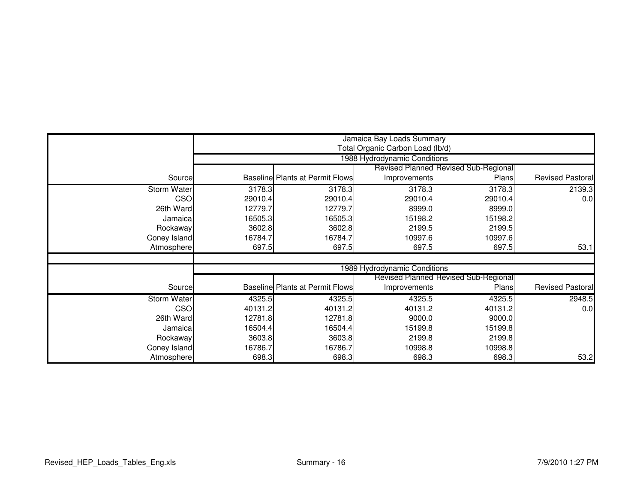|                    |         | Jamaica Bay Loads Summary              |                                  |                                             |                         |  |  |
|--------------------|---------|----------------------------------------|----------------------------------|---------------------------------------------|-------------------------|--|--|
|                    |         |                                        | Total Organic Carbon Load (lb/d) |                                             |                         |  |  |
|                    |         |                                        | 1988 Hydrodynamic Conditions     |                                             |                         |  |  |
|                    |         |                                        |                                  | <b>Revised Planned Revised Sub-Regional</b> |                         |  |  |
| Source             |         | <b>Baseline Plants at Permit Flows</b> | Improvements                     | Plans                                       | <b>Revised Pastoral</b> |  |  |
| <b>Storm Water</b> | 3178.3  | 3178.3                                 | 3178.3                           | 3178.3                                      | 2139.3                  |  |  |
| <b>CSO</b>         | 29010.4 | 29010.4                                | 29010.4                          | 29010.4                                     | 0.0                     |  |  |
| 26th Ward          | 12779.7 | 12779.7                                | 8999.0                           | 8999.0                                      |                         |  |  |
| Jamaical           | 16505.3 | 16505.3                                | 15198.2                          | 15198.2                                     |                         |  |  |
| Rockaway           | 3602.8  | 3602.8                                 | 2199.5                           | 2199.5                                      |                         |  |  |
| Coney Island       | 16784.7 | 16784.7                                | 10997.6                          | 10997.6                                     |                         |  |  |
| Atmosphere         | 697.5   | 697.5                                  | 697.5                            | 697.5                                       | 53.1                    |  |  |
|                    |         |                                        |                                  |                                             |                         |  |  |
|                    |         |                                        | 1989 Hydrodynamic Conditions     |                                             |                         |  |  |
|                    |         |                                        |                                  | <b>Revised Planned Revised Sub-Regional</b> |                         |  |  |
| Source             |         | <b>Baseline Plants at Permit Flows</b> | Improvements                     | Plans                                       | <b>Revised Pastoral</b> |  |  |
| <b>Storm Water</b> | 4325.5  | 4325.5                                 | 4325.5                           | 4325.5                                      | 2948.5                  |  |  |
| <b>CSO</b>         | 40131.2 | 40131.2                                | 40131.2                          | 40131.2                                     | 0.0                     |  |  |
| 26th Ward          | 12781.8 | 12781.8                                | 9000.0                           | 9000.0                                      |                         |  |  |
| Jamaica            | 16504.4 | 16504.4                                | 15199.8                          | 15199.8                                     |                         |  |  |
| Rockaway           | 3603.8  | 3603.8                                 | 2199.8                           | 2199.8                                      |                         |  |  |
| Coney Island       | 16786.7 | 16786.7                                | 10998.8                          | 10998.8                                     |                         |  |  |
| Atmosphere         | 698.3   | 698.3                                  | 698.3                            | 698.3                                       | 53.2                    |  |  |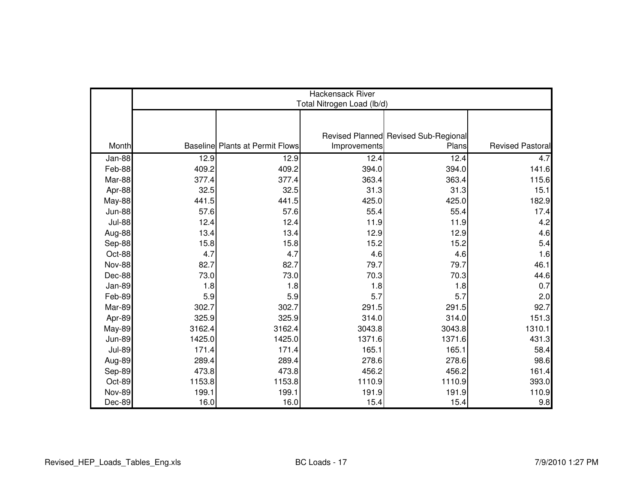|               | Hackensack River<br>Total Nitrogen Load (lb/d) |                                        |              |                                      |                         |  |  |
|---------------|------------------------------------------------|----------------------------------------|--------------|--------------------------------------|-------------------------|--|--|
|               |                                                |                                        |              |                                      |                         |  |  |
|               |                                                |                                        |              | Revised Planned Revised Sub-Regional |                         |  |  |
| Month         |                                                | <b>Baseline Plants at Permit Flows</b> | Improvements | Plans                                | <b>Revised Pastoral</b> |  |  |
| Jan-88        | 12.9                                           | 12.9                                   | 12.4         | 12.4                                 | 4.7                     |  |  |
| Feb-88        | 409.2                                          | 409.2                                  | 394.0        | 394.0                                | 141.6                   |  |  |
| Mar-88        | 377.4                                          | 377.4                                  | 363.4        | 363.4                                | 115.6                   |  |  |
| Apr-88        | 32.5                                           | 32.5                                   | 31.3         | 31.3                                 | 15.1                    |  |  |
| May-88        | 441.5                                          | 441.5                                  | 425.0        | 425.0                                | 182.9                   |  |  |
| <b>Jun-88</b> | 57.6                                           | 57.6                                   | 55.4         | 55.4                                 | 17.4                    |  |  |
| <b>Jul-88</b> | 12.4                                           | 12.4                                   | 11.9         | 11.9                                 | 4.2                     |  |  |
| Aug-88        | 13.4                                           | 13.4                                   | 12.9         | 12.9                                 | 4.6                     |  |  |
| Sep-88        | 15.8                                           | 15.8                                   | 15.2         | 15.2                                 | 5.4                     |  |  |
| Oct-88        | 4.7                                            | 4.7                                    | 4.6          | 4.6                                  | 1.6                     |  |  |
| <b>Nov-88</b> | 82.7                                           | 82.7                                   | 79.7         | 79.7                                 | 46.1                    |  |  |
| Dec-88        | 73.0                                           | 73.0                                   | 70.3         | 70.3                                 | 44.6                    |  |  |
| Jan-89        | 1.8                                            | 1.8                                    | 1.8          | 1.8                                  | 0.7                     |  |  |
| Feb-89        | 5.9                                            | 5.9                                    | 5.7          | 5.7                                  | 2.0                     |  |  |
| Mar-89        | 302.7                                          | 302.7                                  | 291.5        | 291.5                                | 92.7                    |  |  |
| Apr-89        | 325.9                                          | 325.9                                  | 314.0        | 314.0                                | 151.3                   |  |  |
| May-89        | 3162.4                                         | 3162.4                                 | 3043.8       | 3043.8                               | 1310.1                  |  |  |
| <b>Jun-89</b> | 1425.0                                         | 1425.0                                 | 1371.6       | 1371.6                               | 431.3                   |  |  |
| <b>Jul-89</b> | 171.4                                          | 171.4                                  | 165.1        | 165.1                                | 58.4                    |  |  |
| Aug-89        | 289.4                                          | 289.4                                  | 278.6        | 278.6                                | 98.6                    |  |  |
| Sep-89        | 473.8                                          | 473.8                                  | 456.2        | 456.2                                | 161.4                   |  |  |
| Oct-89        | 1153.8                                         | 1153.8                                 | 1110.9       | 1110.9                               | 393.0                   |  |  |
| <b>Nov-89</b> | 199.1                                          | 199.1                                  | 191.9        | 191.9                                | 110.9                   |  |  |
| Dec-89        | 16.0                                           | 16.0                                   | 15.4         | 15.4                                 | 9.8                     |  |  |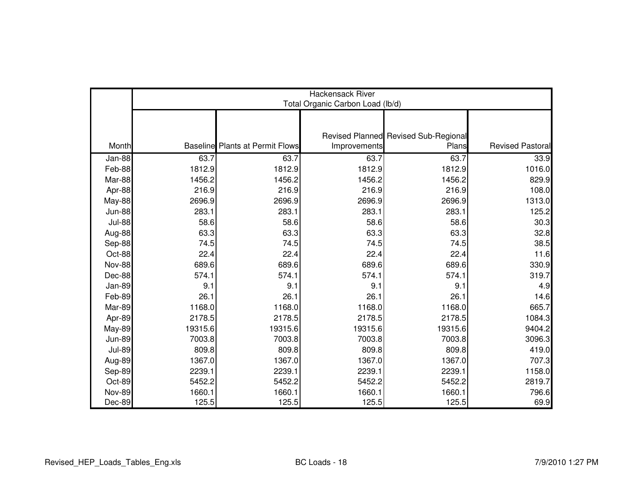|               | Hackensack River<br>Total Organic Carbon Load (lb/d) |                                        |              |                                      |                         |  |  |
|---------------|------------------------------------------------------|----------------------------------------|--------------|--------------------------------------|-------------------------|--|--|
|               |                                                      |                                        |              |                                      |                         |  |  |
|               |                                                      |                                        |              | Revised Planned Revised Sub-Regional |                         |  |  |
| Month         |                                                      | <b>Baseline</b> Plants at Permit Flows | Improvements | Plans                                | <b>Revised Pastoral</b> |  |  |
| Jan-88        | 63.7                                                 | 63.7                                   | 63.7         | 63.7                                 | 33.9                    |  |  |
| Feb-88        | 1812.9                                               | 1812.9                                 | 1812.9       | 1812.9                               | 1016.0                  |  |  |
| Mar-88        | 1456.2                                               | 1456.2                                 | 1456.2       | 1456.2                               | 829.9                   |  |  |
| Apr-88        | 216.9                                                | 216.9                                  | 216.9        | 216.9                                | 108.0                   |  |  |
| May-88        | 2696.9                                               | 2696.9                                 | 2696.9       | 2696.9                               | 1313.0                  |  |  |
| <b>Jun-88</b> | 283.1                                                | 283.1                                  | 283.1        | 283.1                                | 125.2                   |  |  |
| <b>Jul-88</b> | 58.6                                                 | 58.6                                   | 58.6         | 58.6                                 | 30.3                    |  |  |
| Aug-88        | 63.3                                                 | 63.3                                   | 63.3         | 63.3                                 | 32.8                    |  |  |
| Sep-88        | 74.5                                                 | 74.5                                   | 74.5         | 74.5                                 | 38.5                    |  |  |
| Oct-88        | 22.4                                                 | 22.4                                   | 22.4         | 22.4                                 | 11.6                    |  |  |
| <b>Nov-88</b> | 689.6                                                | 689.6                                  | 689.6        | 689.6                                | 330.9                   |  |  |
| Dec-88        | 574.1                                                | 574.1                                  | 574.1        | 574.1                                | 319.7                   |  |  |
| Jan-89        | 9.1                                                  | 9.1                                    | 9.1          | 9.1                                  | 4.9                     |  |  |
| Feb-89        | 26.1                                                 | 26.1                                   | 26.1         | 26.1                                 | 14.6                    |  |  |
| Mar-89        | 1168.0                                               | 1168.0                                 | 1168.0       | 1168.0                               | 665.7                   |  |  |
| Apr-89        | 2178.5                                               | 2178.5                                 | 2178.5       | 2178.5                               | 1084.3                  |  |  |
| <b>May-89</b> | 19315.6                                              | 19315.6                                | 19315.6      | 19315.6                              | 9404.2                  |  |  |
| <b>Jun-89</b> | 7003.8                                               | 7003.8                                 | 7003.8       | 7003.8                               | 3096.3                  |  |  |
| <b>Jul-89</b> | 809.8                                                | 809.8                                  | 809.8        | 809.8                                | 419.0                   |  |  |
| Aug-89        | 1367.0                                               | 1367.0                                 | 1367.0       | 1367.0                               | 707.3                   |  |  |
| Sep-89        | 2239.1                                               | 2239.1                                 | 2239.1       | 2239.1                               | 1158.0                  |  |  |
| Oct-89        | 5452.2                                               | 5452.2                                 | 5452.2       | 5452.2                               | 2819.7                  |  |  |
| <b>Nov-89</b> | 1660.1                                               | 1660.1                                 | 1660.1       | 1660.1                               | 796.6                   |  |  |
| Dec-89        | 125.5                                                | 125.5                                  | 125.5        | 125.5                                | 69.9                    |  |  |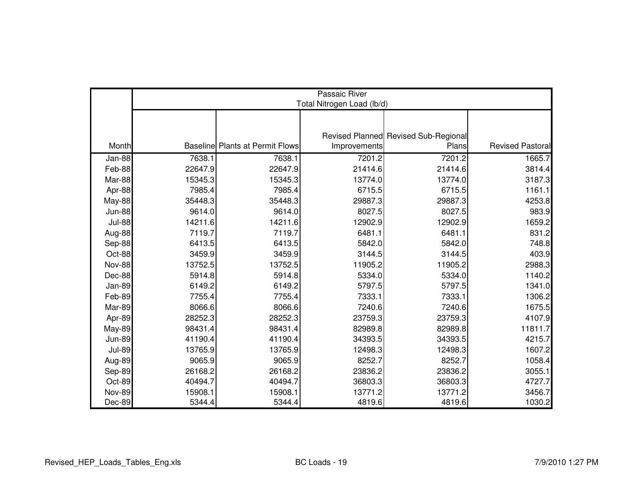|               | Passaic River<br>Total Nitrogen Load (lb/d) |                                        |              |                                      |                         |  |  |  |
|---------------|---------------------------------------------|----------------------------------------|--------------|--------------------------------------|-------------------------|--|--|--|
|               |                                             |                                        |              |                                      |                         |  |  |  |
|               |                                             |                                        |              |                                      |                         |  |  |  |
|               |                                             |                                        |              | Revised Planned Revised Sub-Regional |                         |  |  |  |
| Month         |                                             | <b>Baseline Plants at Permit Flows</b> | Improvements | Plans                                | <b>Revised Pastoral</b> |  |  |  |
| Jan-88        | 7638.1                                      | 7638.1                                 | 7201.2       | 7201.2                               | 1665.7                  |  |  |  |
| Feb-88        | 22647.9                                     | 22647.9                                | 21414.6      | 21414.6                              | 3814.4                  |  |  |  |
| Mar-88        | 15345.3                                     | 15345.3                                | 13774.0      | 13774.0                              | 3187.3                  |  |  |  |
| Apr-88        | 7985.4                                      | 7985.4                                 | 6715.5       | 6715.5                               | 1161.1                  |  |  |  |
| May-88        | 35448.3                                     | 35448.3                                | 29887.3      | 29887.3                              | 4253.8                  |  |  |  |
| <b>Jun-88</b> | 9614.0                                      | 9614.0                                 | 8027.5       | 8027.5                               | 983.9                   |  |  |  |
| <b>Jul-88</b> | 14211.6                                     | 14211.6                                | 12902.9      | 12902.9                              | 1659.2                  |  |  |  |
| Aug-88        | 7119.7                                      | 7119.7                                 | 6481.1       | 6481.1                               | 831.2                   |  |  |  |
| Sep-88        | 6413.5                                      | 6413.5                                 | 5842.0       | 5842.0                               | 748.8                   |  |  |  |
| Oct-88        | 3459.9                                      | 3459.9                                 | 3144.5       | 3144.5                               | 403.9                   |  |  |  |
| <b>Nov-88</b> | 13752.5                                     | 13752.5                                | 11905.2      | 11905.2                              | 2988.3                  |  |  |  |
| Dec-88        | 5914.8                                      | 5914.8                                 | 5334.0       | 5334.0                               | 1140.2                  |  |  |  |
| Jan-89        | 6149.2                                      | 6149.2                                 | 5797.5       | 5797.5                               | 1341.0                  |  |  |  |
| Feb-89        | 7755.4                                      | 7755.4                                 | 7333.1       | 7333.1                               | 1306.2                  |  |  |  |
| Mar-89        | 8066.6                                      | 8066.6                                 | 7240.6       | 7240.6                               | 1675.5                  |  |  |  |
| Apr-89        | 28252.3                                     | 28252.3                                | 23759.3      | 23759.3                              | 4107.9                  |  |  |  |
| May-89        | 98431.4                                     | 98431.4                                | 82989.8      | 82989.8                              | 11811.7                 |  |  |  |
| <b>Jun-89</b> | 41190.4                                     | 41190.4                                | 34393.5      | 34393.5                              | 4215.7                  |  |  |  |
| <b>Jul-89</b> | 13765.9                                     | 13765.9                                | 12498.3      | 12498.3                              | 1607.2                  |  |  |  |
| Aug-89        | 9065.9                                      | 9065.9                                 | 8252.7       | 8252.7                               | 1058.4                  |  |  |  |
| Sep-89        | 26168.2                                     | 26168.2                                | 23836.2      | 23836.2                              | 3055.1                  |  |  |  |
| Oct-89        | 40494.7                                     | 40494.7                                | 36803.3      | 36803.3                              | 4727.7                  |  |  |  |
| <b>Nov-89</b> | 15908.1                                     | 15908.1                                | 13771.2      | 13771.2                              | 3456.7                  |  |  |  |
| Dec-89        | 5344.4                                      | 5344.4                                 | 4819.6       | 4819.6                               | 1030.2                  |  |  |  |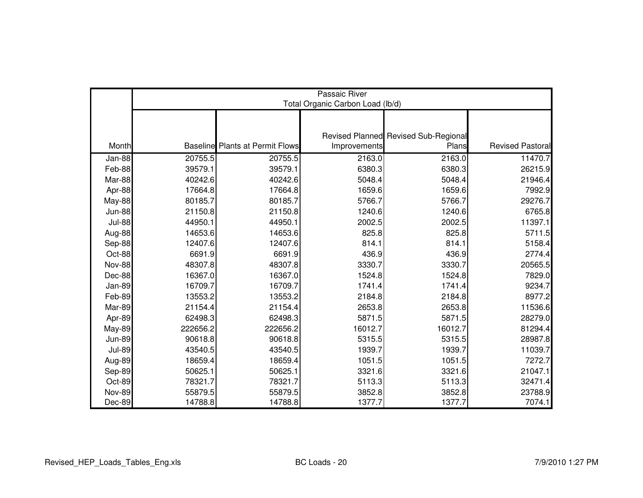|               | Passaic River<br>Total Organic Carbon Load (lb/d) |                                        |              |                                      |                         |  |  |  |
|---------------|---------------------------------------------------|----------------------------------------|--------------|--------------------------------------|-------------------------|--|--|--|
|               |                                                   |                                        |              |                                      |                         |  |  |  |
|               |                                                   |                                        |              |                                      |                         |  |  |  |
|               |                                                   | <b>Baseline</b> Plants at Permit Flows |              | Revised Planned Revised Sub-Regional | <b>Revised Pastoral</b> |  |  |  |
| Month         |                                                   |                                        | Improvements | Plans                                |                         |  |  |  |
| Jan-88        | 20755.5                                           | 20755.5                                | 2163.0       | 2163.0                               | 11470.7                 |  |  |  |
| Feb-88        | 39579.1                                           | 39579.1                                | 6380.3       | 6380.3                               | 26215.9                 |  |  |  |
| Mar-88        | 40242.6                                           | 40242.6                                | 5048.4       | 5048.4                               | 21946.4                 |  |  |  |
| Apr-88        | 17664.8                                           | 17664.8                                | 1659.6       | 1659.6                               | 7992.9                  |  |  |  |
| <b>May-88</b> | 80185.7                                           | 80185.7                                | 5766.7       | 5766.7                               | 29276.7                 |  |  |  |
| <b>Jun-88</b> | 21150.8                                           | 21150.8                                | 1240.6       | 1240.6                               | 6765.8                  |  |  |  |
| <b>Jul-88</b> | 44950.1                                           | 44950.1                                | 2002.5       | 2002.5                               | 11397.1                 |  |  |  |
| Aug-88        | 14653.6                                           | 14653.6                                | 825.8        | 825.8                                | 5711.5                  |  |  |  |
| Sep-88        | 12407.6                                           | 12407.6                                | 814.1        | 814.1                                | 5158.4                  |  |  |  |
| Oct-88        | 6691.9                                            | 6691.9                                 | 436.9        | 436.9                                | 2774.4                  |  |  |  |
| <b>Nov-88</b> | 48307.8                                           | 48307.8                                | 3330.7       | 3330.7                               | 20565.5                 |  |  |  |
| Dec-88        | 16367.0                                           | 16367.0                                | 1524.8       | 1524.8                               | 7829.0                  |  |  |  |
| Jan-89        | 16709.7                                           | 16709.7                                | 1741.4       | 1741.4                               | 9234.7                  |  |  |  |
| Feb-89        | 13553.2                                           | 13553.2                                | 2184.8       | 2184.8                               | 8977.2                  |  |  |  |
| Mar-89        | 21154.4                                           | 21154.4                                | 2653.8       | 2653.8                               | 11536.6                 |  |  |  |
| Apr-89        | 62498.3                                           | 62498.3                                | 5871.5       | 5871.5                               | 28279.0                 |  |  |  |
| <b>May-89</b> | 222656.2                                          | 222656.2                               | 16012.7      | 16012.7                              | 81294.4                 |  |  |  |
| <b>Jun-89</b> | 90618.8                                           | 90618.8                                | 5315.5       | 5315.5                               | 28987.8                 |  |  |  |
| <b>Jul-89</b> | 43540.5                                           | 43540.5                                | 1939.7       | 1939.7                               | 11039.7                 |  |  |  |
| Aug-89        | 18659.4                                           | 18659.4                                | 1051.5       | 1051.5                               | 7272.7                  |  |  |  |
| Sep-89        | 50625.1                                           | 50625.1                                | 3321.6       | 3321.6                               | 21047.1                 |  |  |  |
| Oct-89        | 78321.7                                           | 78321.7                                | 5113.3       | 5113.3                               | 32471.4                 |  |  |  |
| <b>Nov-89</b> | 55879.5                                           | 55879.5                                | 3852.8       | 3852.8                               | 23788.9                 |  |  |  |
| Dec-89        | 14788.8                                           | 14788.8                                | 1377.7       | 1377.7                               | 7074.1                  |  |  |  |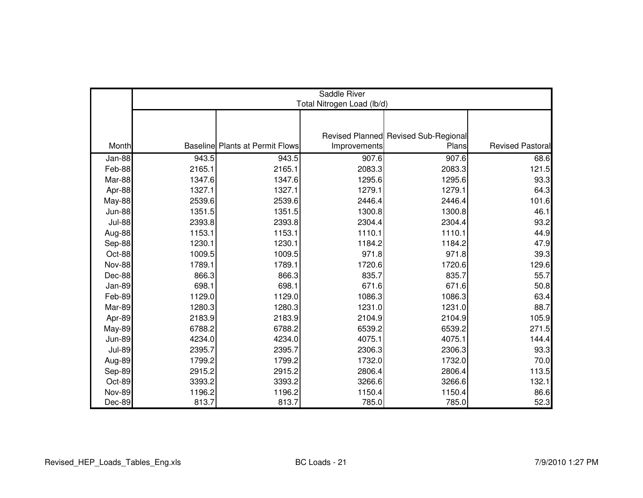|               | Saddle River<br>Total Nitrogen Load (lb/d) |                                        |              |                                               |                         |  |  |  |
|---------------|--------------------------------------------|----------------------------------------|--------------|-----------------------------------------------|-------------------------|--|--|--|
|               |                                            |                                        |              |                                               |                         |  |  |  |
|               |                                            |                                        |              |                                               |                         |  |  |  |
| Month         |                                            | <b>Baseline Plants at Permit Flows</b> | Improvements | Revised Planned Revised Sub-Regional<br>Plans | <b>Revised Pastoral</b> |  |  |  |
| Jan-88        | 943.5                                      | 943.5                                  | 907.6        | 907.6                                         | 68.6                    |  |  |  |
| Feb-88        | 2165.1                                     | 2165.1                                 | 2083.3       | 2083.3                                        | 121.5                   |  |  |  |
| Mar-88        | 1347.6                                     | 1347.6                                 | 1295.6       | 1295.6                                        | 93.3                    |  |  |  |
|               | 1327.1                                     | 1327.1                                 | 1279.1       | 1279.1                                        |                         |  |  |  |
| Apr-88        | 2539.6                                     | 2539.6                                 | 2446.4       | 2446.4                                        | 64.3<br>101.6           |  |  |  |
| May-88        |                                            |                                        |              |                                               |                         |  |  |  |
| <b>Jun-88</b> | 1351.5                                     | 1351.5                                 | 1300.8       | 1300.8                                        | 46.1                    |  |  |  |
| <b>Jul-88</b> | 2393.8                                     | 2393.8                                 | 2304.4       | 2304.4                                        | 93.2                    |  |  |  |
| Aug-88        | 1153.1                                     | 1153.1                                 | 1110.1       | 1110.1                                        | 44.9                    |  |  |  |
| Sep-88        | 1230.1                                     | 1230.1                                 | 1184.2       | 1184.2                                        | 47.9                    |  |  |  |
| Oct-88        | 1009.5                                     | 1009.5                                 | 971.8        | 971.8                                         | 39.3                    |  |  |  |
| Nov-88        | 1789.1                                     | 1789.1                                 | 1720.6       | 1720.6                                        | 129.6                   |  |  |  |
| Dec-88        | 866.3                                      | 866.3                                  | 835.7        | 835.7                                         | 55.7                    |  |  |  |
| Jan-89        | 698.1                                      | 698.1                                  | 671.6        | 671.6                                         | 50.8                    |  |  |  |
| Feb-89        | 1129.0                                     | 1129.0                                 | 1086.3       | 1086.3                                        | 63.4                    |  |  |  |
| Mar-89        | 1280.3                                     | 1280.3                                 | 1231.0       | 1231.0                                        | 88.7                    |  |  |  |
| Apr-89        | 2183.9                                     | 2183.9                                 | 2104.9       | 2104.9                                        | 105.9                   |  |  |  |
| <b>May-89</b> | 6788.2                                     | 6788.2                                 | 6539.2       | 6539.2                                        | 271.5                   |  |  |  |
| <b>Jun-89</b> | 4234.0                                     | 4234.0                                 | 4075.1       | 4075.1                                        | 144.4                   |  |  |  |
| <b>Jul-89</b> | 2395.7                                     | 2395.7                                 | 2306.3       | 2306.3                                        | 93.3                    |  |  |  |
| Aug-89        | 1799.2                                     | 1799.2                                 | 1732.0       | 1732.0                                        | 70.0                    |  |  |  |
| Sep-89        | 2915.2                                     | 2915.2                                 | 2806.4       | 2806.4                                        | 113.5                   |  |  |  |
| Oct-89        | 3393.2                                     | 3393.2                                 | 3266.6       | 3266.6                                        | 132.1                   |  |  |  |
| <b>Nov-89</b> | 1196.2                                     | 1196.2                                 | 1150.4       | 1150.4                                        | 86.6                    |  |  |  |
| Dec-89        | 813.7                                      | 813.7                                  | 785.0        | 785.0                                         | 52.3                    |  |  |  |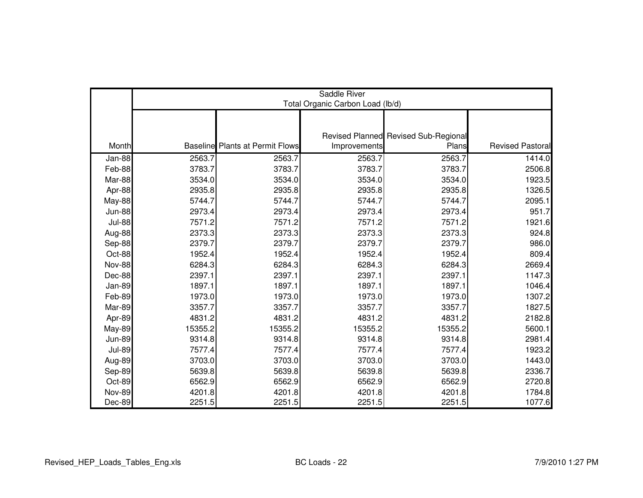|               | Saddle River<br>Total Organic Carbon Load (lb/d) |                                        |              |                                      |                  |  |  |  |
|---------------|--------------------------------------------------|----------------------------------------|--------------|--------------------------------------|------------------|--|--|--|
|               |                                                  |                                        |              |                                      |                  |  |  |  |
|               |                                                  |                                        |              | Revised Planned Revised Sub-Regional |                  |  |  |  |
| Month         |                                                  | <b>Baseline</b> Plants at Permit Flows | Improvements | Plans                                | Revised Pastoral |  |  |  |
| Jan-88        | 2563.7                                           | 2563.7                                 | 2563.7       | 2563.7                               | 1414.0           |  |  |  |
| Feb-88        | 3783.7                                           | 3783.7                                 | 3783.7       | 3783.7                               | 2506.8           |  |  |  |
| Mar-88        | 3534.0                                           | 3534.0                                 | 3534.0       | 3534.0                               | 1923.5           |  |  |  |
| Apr-88        | 2935.8                                           | 2935.8                                 | 2935.8       | 2935.8                               | 1326.5           |  |  |  |
| <b>May-88</b> | 5744.7                                           | 5744.7                                 | 5744.7       | 5744.7                               | 2095.1           |  |  |  |
| <b>Jun-88</b> | 2973.4                                           | 2973.4                                 | 2973.4       | 2973.4                               | 951.7            |  |  |  |
| <b>Jul-88</b> | 7571.2                                           | 7571.2                                 | 7571.2       | 7571.2                               | 1921.6           |  |  |  |
| Aug-88        | 2373.3                                           | 2373.3                                 | 2373.3       | 2373.3                               | 924.8            |  |  |  |
| Sep-88        | 2379.7                                           | 2379.7                                 | 2379.7       | 2379.7                               | 986.0            |  |  |  |
| Oct-88        | 1952.4                                           | 1952.4                                 | 1952.4       | 1952.4                               | 809.4            |  |  |  |
| <b>Nov-88</b> | 6284.3                                           | 6284.3                                 | 6284.3       | 6284.3                               | 2669.4           |  |  |  |
| Dec-88        | 2397.1                                           | 2397.1                                 | 2397.1       | 2397.1                               | 1147.3           |  |  |  |
| <b>Jan-89</b> | 1897.1                                           | 1897.1                                 | 1897.1       | 1897.1                               | 1046.4           |  |  |  |
| Feb-89        | 1973.0                                           | 1973.0                                 | 1973.0       | 1973.0                               | 1307.2           |  |  |  |
| Mar-89        | 3357.7                                           | 3357.7                                 | 3357.7       | 3357.7                               | 1827.5           |  |  |  |
| Apr-89        | 4831.2                                           | 4831.2                                 | 4831.2       | 4831.2                               | 2182.8           |  |  |  |
| <b>May-89</b> | 15355.2                                          | 15355.2                                | 15355.2      | 15355.2                              | 5600.1           |  |  |  |
| <b>Jun-89</b> | 9314.8                                           | 9314.8                                 | 9314.8       | 9314.8                               | 2981.4           |  |  |  |
| <b>Jul-89</b> | 7577.4                                           | 7577.4                                 | 7577.4       | 7577.4                               | 1923.2           |  |  |  |
| Aug-89        | 3703.0                                           | 3703.0                                 | 3703.0       | 3703.0                               | 1443.0           |  |  |  |
| Sep-89        | 5639.8                                           | 5639.8                                 | 5639.8       | 5639.8                               | 2336.7           |  |  |  |
| Oct-89        | 6562.9                                           | 6562.9                                 | 6562.9       | 6562.9                               | 2720.8           |  |  |  |
| <b>Nov-89</b> | 4201.8                                           | 4201.8                                 | 4201.8       | 4201.8                               | 1784.8           |  |  |  |
| Dec-89        | 2251.5                                           | 2251.5                                 | 2251.5       | 2251.5                               | 1077.6           |  |  |  |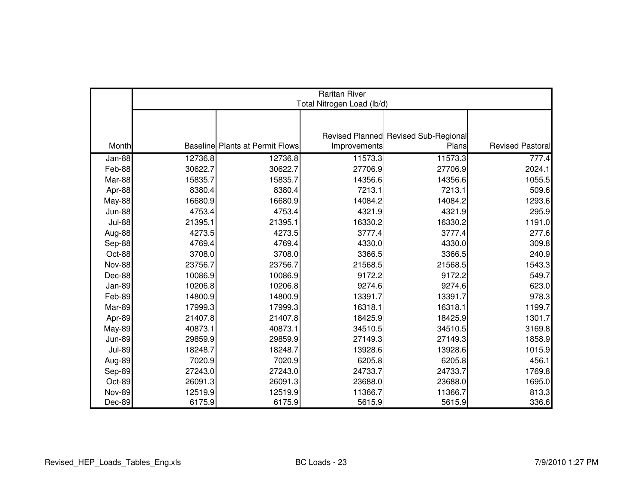|               | <b>Raritan River</b><br>Total Nitrogen Load (lb/d) |                                        |              |                                      |                         |  |  |  |
|---------------|----------------------------------------------------|----------------------------------------|--------------|--------------------------------------|-------------------------|--|--|--|
|               |                                                    |                                        |              |                                      |                         |  |  |  |
|               |                                                    |                                        |              |                                      |                         |  |  |  |
|               |                                                    |                                        |              | Revised Planned Revised Sub-Regional |                         |  |  |  |
| Month         |                                                    | <b>Baseline Plants at Permit Flows</b> | Improvements | Plans                                | <b>Revised Pastoral</b> |  |  |  |
| $Jan-88$      | 12736.8                                            | 12736.8                                | 11573.3      | 11573.3                              | 777.4                   |  |  |  |
| Feb-88        | 30622.7                                            | 30622.7                                | 27706.9      | 27706.9                              | 2024.1                  |  |  |  |
| Mar-88        | 15835.7                                            | 15835.7                                | 14356.6      | 14356.6                              | 1055.5                  |  |  |  |
| Apr-88        | 8380.4                                             | 8380.4                                 | 7213.1       | 7213.1                               | 509.6                   |  |  |  |
| May-88        | 16680.9                                            | 16680.9                                | 14084.2      | 14084.2                              | 1293.6                  |  |  |  |
| <b>Jun-88</b> | 4753.4                                             | 4753.4                                 | 4321.9       | 4321.9                               | 295.9                   |  |  |  |
| <b>Jul-88</b> | 21395.1                                            | 21395.1                                | 16330.2      | 16330.2                              | 1191.0                  |  |  |  |
| Aug-88        | 4273.5                                             | 4273.5                                 | 3777.4       | 3777.4                               | 277.6                   |  |  |  |
| Sep-88        | 4769.4                                             | 4769.4                                 | 4330.0       | 4330.0                               | 309.8                   |  |  |  |
| Oct-88        | 3708.0                                             | 3708.0                                 | 3366.5       | 3366.5                               | 240.9                   |  |  |  |
| <b>Nov-88</b> | 23756.7                                            | 23756.7                                | 21568.5      | 21568.5                              | 1543.3                  |  |  |  |
| Dec-88        | 10086.9                                            | 10086.9                                | 9172.2       | 9172.2                               | 549.7                   |  |  |  |
| <b>Jan-89</b> | 10206.8                                            | 10206.8                                | 9274.6       | 9274.6                               | 623.0                   |  |  |  |
| Feb-89        | 14800.9                                            | 14800.9                                | 13391.7      | 13391.7                              | 978.3                   |  |  |  |
| Mar-89        | 17999.3                                            | 17999.3                                | 16318.1      | 16318.1                              | 1199.7                  |  |  |  |
| Apr-89        | 21407.8                                            | 21407.8                                | 18425.9      | 18425.9                              | 1301.7                  |  |  |  |
| <b>May-89</b> | 40873.1                                            | 40873.1                                | 34510.5      | 34510.5                              | 3169.8                  |  |  |  |
| <b>Jun-89</b> | 29859.9                                            | 29859.9                                | 27149.3      | 27149.3                              | 1858.9                  |  |  |  |
| <b>Jul-89</b> | 18248.7                                            | 18248.7                                | 13928.6      | 13928.6                              | 1015.9                  |  |  |  |
| Aug-89        | 7020.9                                             | 7020.9                                 | 6205.8       | 6205.8                               | 456.1                   |  |  |  |
| Sep-89        | 27243.0                                            | 27243.0                                | 24733.7      | 24733.7                              | 1769.8                  |  |  |  |
| Oct-89        | 26091.3                                            | 26091.3                                | 23688.0      | 23688.0                              | 1695.0                  |  |  |  |
| <b>Nov-89</b> | 12519.9                                            | 12519.9                                | 11366.7      | 11366.7                              | 813.3                   |  |  |  |
| Dec-89        | 6175.9                                             | 6175.9                                 | 5615.9       | 5615.9                               | 336.6                   |  |  |  |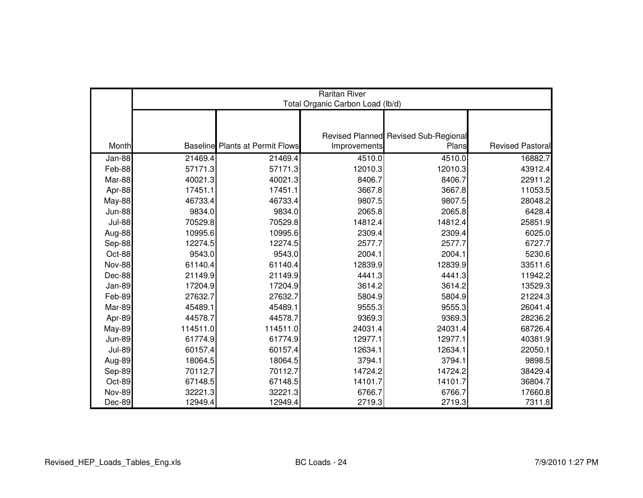|               | <b>Raritan River</b><br>Total Organic Carbon Load (lb/d) |                                        |              |                                      |                         |  |  |  |
|---------------|----------------------------------------------------------|----------------------------------------|--------------|--------------------------------------|-------------------------|--|--|--|
|               |                                                          |                                        |              |                                      |                         |  |  |  |
|               |                                                          |                                        |              | Revised Planned Revised Sub-Regional |                         |  |  |  |
| Month         |                                                          | <b>Baseline</b> Plants at Permit Flows | Improvements | Plans                                | <b>Revised Pastoral</b> |  |  |  |
| Jan-88        | 21469.4                                                  | 21469.4                                | 4510.0       | 4510.0                               | 16882.7                 |  |  |  |
| Feb-88        | 57171.3                                                  | 57171.3                                | 12010.3      | 12010.3                              | 43912.4                 |  |  |  |
| Mar-88        | 40021.3                                                  | 40021.3                                | 8406.7       | 8406.7                               | 22911.2                 |  |  |  |
| Apr-88        | 17451.1                                                  | 17451.1                                | 3667.8       | 3667.8                               | 11053.5                 |  |  |  |
| <b>May-88</b> | 46733.4                                                  | 46733.4                                | 9807.5       | 9807.5                               | 28048.2                 |  |  |  |
| <b>Jun-88</b> | 9834.0                                                   | 9834.0                                 | 2065.8       | 2065.8                               | 6428.4                  |  |  |  |
| <b>Jul-88</b> | 70529.8                                                  | 70529.8                                | 14812.4      | 14812.4                              | 25851.9                 |  |  |  |
| Aug-88        | 10995.6                                                  | 10995.6                                | 2309.4       | 2309.4                               | 6025.0                  |  |  |  |
| Sep-88        | 12274.5                                                  | 12274.5                                | 2577.7       | 2577.7                               | 6727.7                  |  |  |  |
| Oct-88        | 9543.0                                                   | 9543.0                                 | 2004.1       | 2004.1                               | 5230.6                  |  |  |  |
| <b>Nov-88</b> | 61140.4                                                  | 61140.4                                | 12839.9      | 12839.9                              | 33511.6                 |  |  |  |
| Dec-88        | 21149.9                                                  | 21149.9                                | 4441.3       | 4441.3                               | 11942.2                 |  |  |  |
| Jan-89        | 17204.9                                                  | 17204.9                                | 3614.2       | 3614.2                               | 13529.3                 |  |  |  |
| Feb-89        | 27632.7                                                  | 27632.7                                | 5804.9       | 5804.9                               | 21224.3                 |  |  |  |
| Mar-89        | 45489.1                                                  | 45489.1                                | 9555.3       | 9555.3                               | 26041.4                 |  |  |  |
| Apr-89        | 44578.7                                                  | 44578.7                                | 9369.3       | 9369.3                               | 28236.2                 |  |  |  |
| <b>May-89</b> | 114511.0                                                 | 114511.0                               | 24031.4      | 24031.4                              | 68726.4                 |  |  |  |
| <b>Jun-89</b> | 61774.9                                                  | 61774.9                                | 12977.1      | 12977.1                              | 40381.9                 |  |  |  |
| <b>Jul-89</b> | 60157.4                                                  | 60157.4                                | 12634.1      | 12634.1                              | 22050.1                 |  |  |  |
| Aug-89        | 18064.5                                                  | 18064.5                                | 3794.1       | 3794.1                               | 9898.5                  |  |  |  |
| Sep-89        | 70112.7                                                  | 70112.7                                | 14724.2      | 14724.2                              | 38429.4                 |  |  |  |
| Oct-89        | 67148.5                                                  | 67148.5                                | 14101.7      | 14101.7                              | 36804.7                 |  |  |  |
| <b>Nov-89</b> | 32221.3                                                  | 32221.3                                | 6766.7       | 6766.7                               | 17660.8                 |  |  |  |
| Dec-89        | 12949.4                                                  | 12949.4                                | 2719.3       | 2719.3                               | 7311.8                  |  |  |  |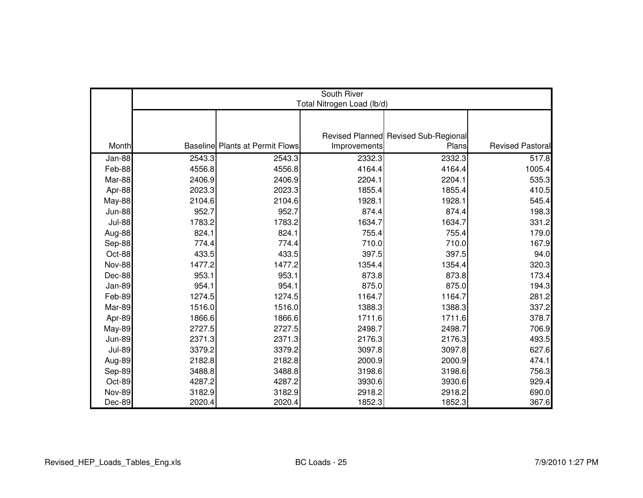|               | South River<br>Total Nitrogen Load (lb/d) |                                        |              |                                      |                         |  |
|---------------|-------------------------------------------|----------------------------------------|--------------|--------------------------------------|-------------------------|--|
|               |                                           |                                        |              |                                      |                         |  |
|               |                                           |                                        |              |                                      |                         |  |
|               |                                           |                                        |              | Revised Planned Revised Sub-Regional |                         |  |
| Month         |                                           | <b>Baseline Plants at Permit Flows</b> | Improvements | Plans                                | <b>Revised Pastoral</b> |  |
| Jan-88        | 2543.3                                    | 2543.3                                 | 2332.3       | 2332.3                               | 517.8                   |  |
| Feb-88        | 4556.8                                    | 4556.8                                 | 4164.4       | 4164.4                               | 1005.4                  |  |
| Mar-88        | 2406.9                                    | 2406.9                                 | 2204.1       | 2204.1                               | 535.3                   |  |
| Apr-88        | 2023.3                                    | 2023.3                                 | 1855.4       | 1855.4                               | 410.5                   |  |
| May-88        | 2104.6                                    | 2104.6                                 | 1928.1       | 1928.1                               | 545.4                   |  |
| <b>Jun-88</b> | 952.7                                     | 952.7                                  | 874.4        | 874.4                                | 198.3                   |  |
| <b>Jul-88</b> | 1783.2                                    | 1783.2                                 | 1634.7       | 1634.7                               | 331.2                   |  |
| Aug-88        | 824.1                                     | 824.1                                  | 755.4        | 755.4                                | 179.0                   |  |
| Sep-88        | 774.4                                     | 774.4                                  | 710.0        | 710.0                                | 167.9                   |  |
| Oct-88        | 433.5                                     | 433.5                                  | 397.5        | 397.5                                | 94.0                    |  |
| <b>Nov-88</b> | 1477.2                                    | 1477.2                                 | 1354.4       | 1354.4                               | 320.3                   |  |
| Dec-88        | 953.1                                     | 953.1                                  | 873.8        | 873.8                                | 173.4                   |  |
| <b>Jan-89</b> | 954.1                                     | 954.1                                  | 875.0        | 875.0                                | 194.3                   |  |
| Feb-89        | 1274.5                                    | 1274.5                                 | 1164.7       | 1164.7                               | 281.2                   |  |
| Mar-89        | 1516.0                                    | 1516.0                                 | 1388.3       | 1388.3                               | 337.2                   |  |
| Apr-89        | 1866.6                                    | 1866.6                                 | 1711.6       | 1711.6                               | 378.7                   |  |
| <b>May-89</b> | 2727.5                                    | 2727.5                                 | 2498.7       | 2498.7                               | 706.9                   |  |
| <b>Jun-89</b> | 2371.3                                    | 2371.3                                 | 2176.3       | 2176.3                               | 493.5                   |  |
| <b>Jul-89</b> | 3379.2                                    | 3379.2                                 | 3097.8       | 3097.8                               | 627.6                   |  |
| Aug-89        | 2182.8                                    | 2182.8                                 | 2000.9       | 2000.9                               | 474.1                   |  |
| Sep-89        | 3488.8                                    | 3488.8                                 | 3198.6       | 3198.6                               | 756.3                   |  |
| Oct-89        | 4287.2                                    | 4287.2                                 | 3930.6       | 3930.6                               | 929.4                   |  |
| <b>Nov-89</b> | 3182.9                                    | 3182.9                                 | 2918.2       | 2918.2                               | 690.0                   |  |
| Dec-89        | 2020.4                                    | 2020.4                                 | 1852.3       | 1852.3                               | 367.6                   |  |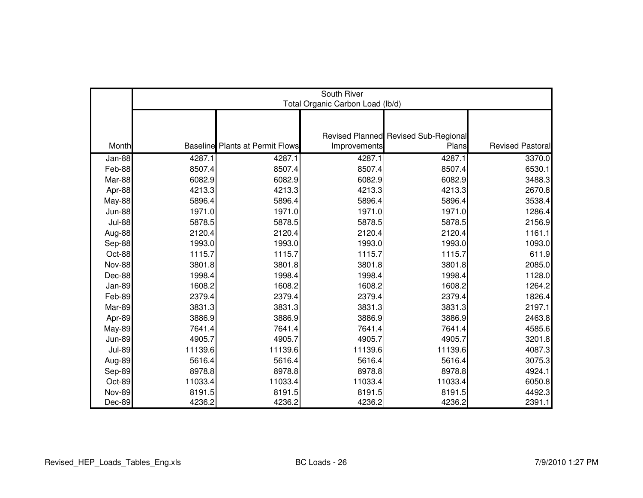|               | South River<br>Total Organic Carbon Load (lb/d) |                                        |              |                                      |                  |  |
|---------------|-------------------------------------------------|----------------------------------------|--------------|--------------------------------------|------------------|--|
|               |                                                 |                                        |              |                                      |                  |  |
|               |                                                 |                                        |              | Revised Planned Revised Sub-Regional |                  |  |
| Month         |                                                 | <b>Baseline</b> Plants at Permit Flows | Improvements | Plans                                | Revised Pastoral |  |
| Jan-88        | 4287.1                                          | 4287.1                                 | 4287.1       | 4287.1                               | 3370.0           |  |
| Feb-88        | 8507.4                                          | 8507.4                                 | 8507.4       | 8507.4                               | 6530.1           |  |
| Mar-88        | 6082.9                                          | 6082.9                                 | 6082.9       | 6082.9                               | 3488.3           |  |
| Apr-88        | 4213.3                                          | 4213.3                                 | 4213.3       | 4213.3                               | 2670.8           |  |
| <b>May-88</b> | 5896.4                                          | 5896.4                                 | 5896.4       | 5896.4                               | 3538.4           |  |
| <b>Jun-88</b> | 1971.0                                          | 1971.0                                 | 1971.0       | 1971.0                               | 1286.4           |  |
| <b>Jul-88</b> | 5878.5                                          | 5878.5                                 | 5878.5       | 5878.5                               | 2156.9           |  |
| Aug-88        | 2120.4                                          | 2120.4                                 | 2120.4       | 2120.4                               | 1161.1           |  |
| Sep-88        | 1993.0                                          | 1993.0                                 | 1993.0       | 1993.0                               | 1093.0           |  |
| Oct-88        | 1115.7                                          | 1115.7                                 | 1115.7       | 1115.7                               | 611.9            |  |
| <b>Nov-88</b> | 3801.8                                          | 3801.8                                 | 3801.8       | 3801.8                               | 2085.0           |  |
| Dec-88        | 1998.4                                          | 1998.4                                 | 1998.4       | 1998.4                               | 1128.0           |  |
| Jan-89        | 1608.2                                          | 1608.2                                 | 1608.2       | 1608.2                               | 1264.2           |  |
| Feb-89        | 2379.4                                          | 2379.4                                 | 2379.4       | 2379.4                               | 1826.4           |  |
| Mar-89        | 3831.3                                          | 3831.3                                 | 3831.3       | 3831.3                               | 2197.1           |  |
| Apr-89        | 3886.9                                          | 3886.9                                 | 3886.9       | 3886.9                               | 2463.8           |  |
| <b>May-89</b> | 7641.4                                          | 7641.4                                 | 7641.4       | 7641.4                               | 4585.6           |  |
| <b>Jun-89</b> | 4905.7                                          | 4905.7                                 | 4905.7       | 4905.7                               | 3201.8           |  |
| <b>Jul-89</b> | 11139.6                                         | 11139.6                                | 11139.6      | 11139.6                              | 4087.3           |  |
| Aug-89        | 5616.4                                          | 5616.4                                 | 5616.4       | 5616.4                               | 3075.3           |  |
| Sep-89        | 8978.8                                          | 8978.8                                 | 8978.8       | 8978.8                               | 4924.1           |  |
| Oct-89        | 11033.4                                         | 11033.4                                | 11033.4      | 11033.4                              | 6050.8           |  |
| <b>Nov-89</b> | 8191.5                                          | 8191.5                                 | 8191.5       | 8191.5                               | 4492.3           |  |
| Dec-89        | 4236.2                                          | 4236.2                                 | 4236.2       | 4236.2                               | 2391.1           |  |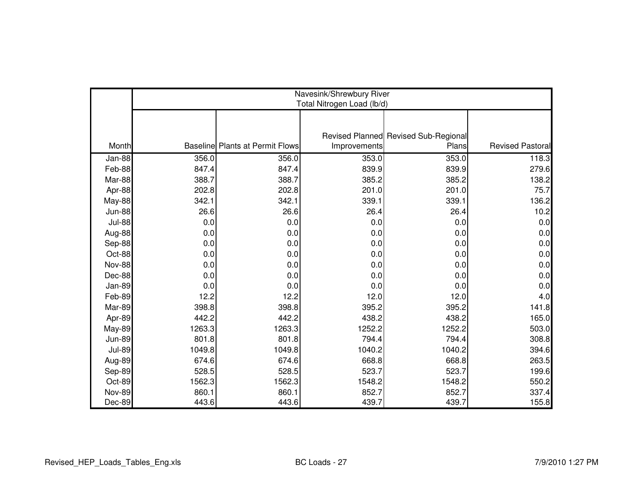|               | Navesink/Shrewbury River<br>Total Nitrogen Load (lb/d) |                                        |              |                                      |                  |  |
|---------------|--------------------------------------------------------|----------------------------------------|--------------|--------------------------------------|------------------|--|
|               |                                                        |                                        |              | Revised Planned Revised Sub-Regional |                  |  |
| Month         |                                                        | <b>Baseline Plants at Permit Flows</b> | Improvements | Plans                                | Revised Pastoral |  |
| Jan-88        | 356.0                                                  | 356.0                                  | 353.0        | 353.0                                | 118.3            |  |
| Feb-88        | 847.4                                                  | 847.4                                  | 839.9        | 839.9                                | 279.6            |  |
| Mar-88        | 388.7                                                  | 388.7                                  | 385.2        | 385.2                                | 138.2            |  |
| Apr-88        | 202.8                                                  | 202.8                                  | 201.0        | 201.0                                | 75.7             |  |
| May-88        | 342.1                                                  | 342.1                                  | 339.1        | 339.1                                | 136.2            |  |
| <b>Jun-88</b> | 26.6                                                   | 26.6                                   | 26.4         | 26.4                                 | 10.2             |  |
| <b>Jul-88</b> | 0.0                                                    | 0.0                                    | 0.0          | 0.0                                  | 0.0              |  |
| Aug-88        | 0.0                                                    | 0.0                                    | 0.0          | 0.0                                  | 0.0              |  |
| Sep-88        | 0.0                                                    | 0.0                                    | 0.0          | 0.0                                  | 0.0              |  |
| Oct-88        | 0.0                                                    | 0.0                                    | 0.0          | 0.0                                  | 0.0              |  |
| Nov-88        | 0.0                                                    | 0.0                                    | 0.0          | 0.0                                  | 0.0              |  |
| Dec-88        | 0.0                                                    | 0.0                                    | 0.0          | 0.0                                  | 0.0              |  |
| Jan-89        | 0.0                                                    | 0.0                                    | 0.0          | 0.0                                  | 0.0              |  |
| Feb-89        | 12.2                                                   | 12.2                                   | 12.0         | 12.0                                 | 4.0              |  |
| Mar-89        | 398.8                                                  | 398.8                                  | 395.2        | 395.2                                | 141.8            |  |
| Apr-89        | 442.2                                                  | 442.2                                  | 438.2        | 438.2                                | 165.0            |  |
| <b>May-89</b> | 1263.3                                                 | 1263.3                                 | 1252.2       | 1252.2                               | 503.0            |  |
| <b>Jun-89</b> | 801.8                                                  | 801.8                                  | 794.4        | 794.4                                | 308.8            |  |
| <b>Jul-89</b> | 1049.8                                                 | 1049.8                                 | 1040.2       | 1040.2                               | 394.6            |  |
| Aug-89        | 674.6                                                  | 674.6                                  | 668.8        | 668.8                                | 263.5            |  |
| Sep-89        | 528.5                                                  | 528.5                                  | 523.7        | 523.7                                | 199.6            |  |
| Oct-89        | 1562.3                                                 | 1562.3                                 | 1548.2       | 1548.2                               | 550.2            |  |
| <b>Nov-89</b> | 860.1                                                  | 860.1                                  | 852.7        | 852.7                                | 337.4            |  |
| Dec-89        | 443.6                                                  | 443.6                                  | 439.7        | 439.7                                | 155.8            |  |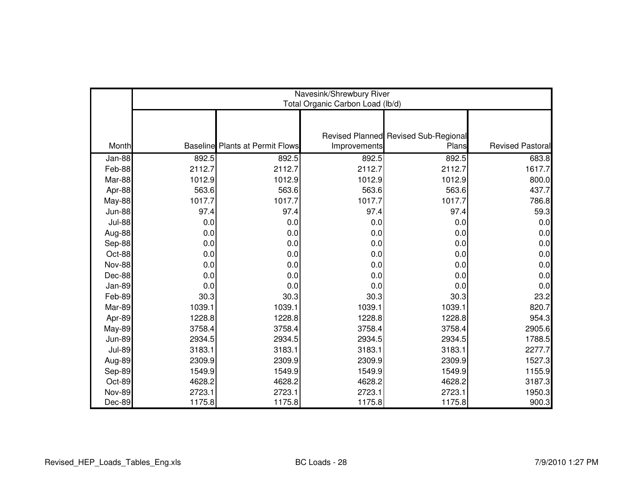|               | Navesink/Shrewbury River<br>Total Organic Carbon Load (lb/d) |                                        |              |                                      |                         |  |
|---------------|--------------------------------------------------------------|----------------------------------------|--------------|--------------------------------------|-------------------------|--|
|               |                                                              |                                        |              |                                      |                         |  |
|               |                                                              |                                        |              | Revised Planned Revised Sub-Regional |                         |  |
| Month         |                                                              | <b>Baseline</b> Plants at Permit Flows | Improvements | Plans                                | <b>Revised Pastoral</b> |  |
| Jan-88        | 892.5                                                        | 892.5                                  | 892.5        | 892.5                                | 683.8                   |  |
| Feb-88        | 2112.7                                                       | 2112.7                                 | 2112.7       | 2112.7                               | 1617.7                  |  |
| Mar-88        | 1012.9                                                       | 1012.9                                 | 1012.9       | 1012.9                               | 800.0                   |  |
| Apr-88        | 563.6                                                        | 563.6                                  | 563.6        | 563.6                                | 437.7                   |  |
| May-88        | 1017.7                                                       | 1017.7                                 | 1017.7       | 1017.7                               | 786.8                   |  |
| <b>Jun-88</b> | 97.4                                                         | 97.4                                   | 97.4         | 97.4                                 | 59.3                    |  |
| <b>Jul-88</b> | 0.0                                                          | 0.0                                    | 0.0          | 0.0                                  | 0.0                     |  |
| Aug-88        | 0.0                                                          | 0.0                                    | 0.0          | 0.0                                  | 0.0                     |  |
| Sep-88        | 0.0                                                          | 0.0                                    | 0.0          | 0.0                                  | 0.0                     |  |
| Oct-88        | 0.0                                                          | 0.0                                    | 0.0          | 0.0                                  | 0.0                     |  |
| <b>Nov-88</b> | 0.0                                                          | 0.0                                    | 0.0          | 0.0                                  | 0.0                     |  |
| Dec-88        | 0.0                                                          | 0.0                                    | 0.0          | 0.0                                  | 0.0                     |  |
| Jan-89        | 0.0                                                          | 0.0                                    | 0.0          | 0.0                                  | 0.0                     |  |
| Feb-89        | 30.3                                                         | 30.3                                   | 30.3         | 30.3                                 | 23.2                    |  |
| Mar-89        | 1039.1                                                       | 1039.1                                 | 1039.1       | 1039.1                               | 820.7                   |  |
| Apr-89        | 1228.8                                                       | 1228.8                                 | 1228.8       | 1228.8                               | 954.3                   |  |
| May-89        | 3758.4                                                       | 3758.4                                 | 3758.4       | 3758.4                               | 2905.6                  |  |
| <b>Jun-89</b> | 2934.5                                                       | 2934.5                                 | 2934.5       | 2934.5                               | 1788.5                  |  |
| <b>Jul-89</b> | 3183.1                                                       | 3183.1                                 | 3183.1       | 3183.1                               | 2277.7                  |  |
| Aug-89        | 2309.9                                                       | 2309.9                                 | 2309.9       | 2309.9                               | 1527.3                  |  |
| Sep-89        | 1549.9                                                       | 1549.9                                 | 1549.9       | 1549.9                               | 1155.9                  |  |
| Oct-89        | 4628.2                                                       | 4628.2                                 | 4628.2       | 4628.2                               | 3187.3                  |  |
| <b>Nov-89</b> | 2723.1                                                       | 2723.1                                 | 2723.1       | 2723.1                               | 1950.3                  |  |
| Dec-89        | 1175.8                                                       | 1175.8                                 | 1175.8       | 1175.8                               | 900.3                   |  |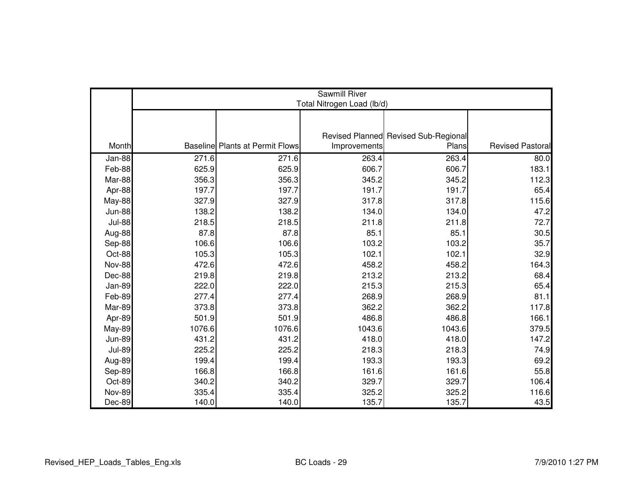|               | <b>Sawmill River</b><br>Total Nitrogen Load (lb/d) |                                        |              |                                      |                         |  |
|---------------|----------------------------------------------------|----------------------------------------|--------------|--------------------------------------|-------------------------|--|
|               |                                                    |                                        |              |                                      |                         |  |
|               |                                                    |                                        |              |                                      |                         |  |
|               |                                                    |                                        |              | Revised Planned Revised Sub-Regional |                         |  |
| Month         |                                                    | <b>Baseline Plants at Permit Flows</b> | Improvements | Plans                                | <b>Revised Pastoral</b> |  |
| Jan-88        | 271.6                                              | 271.6                                  | 263.4        | 263.4                                | 80.0                    |  |
| Feb-88        | 625.9                                              | 625.9                                  | 606.7        | 606.7                                | 183.1                   |  |
| Mar-88        | 356.3                                              | 356.3                                  | 345.2        | 345.2                                | 112.3                   |  |
| Apr-88        | 197.7                                              | 197.7                                  | 191.7        | 191.7                                | 65.4                    |  |
| May-88        | 327.9                                              | 327.9                                  | 317.8        | 317.8                                | 115.6                   |  |
| <b>Jun-88</b> | 138.2                                              | 138.2                                  | 134.0        | 134.0                                | 47.2                    |  |
| <b>Jul-88</b> | 218.5                                              | 218.5                                  | 211.8        | 211.8                                | 72.7                    |  |
| Aug-88        | 87.8                                               | 87.8                                   | 85.1         | 85.1                                 | 30.5                    |  |
| Sep-88        | 106.6                                              | 106.6                                  | 103.2        | 103.2                                | 35.7                    |  |
| Oct-88        | 105.3                                              | 105.3                                  | 102.1        | 102.1                                | 32.9                    |  |
| <b>Nov-88</b> | 472.6                                              | 472.6                                  | 458.2        | 458.2                                | 164.3                   |  |
| Dec-88        | 219.8                                              | 219.8                                  | 213.2        | 213.2                                | 68.4                    |  |
| Jan-89        | 222.0                                              | 222.0                                  | 215.3        | 215.3                                | 65.4                    |  |
| Feb-89        | 277.4                                              | 277.4                                  | 268.9        | 268.9                                | 81.1                    |  |
| Mar-89        | 373.8                                              | 373.8                                  | 362.2        | 362.2                                | 117.8                   |  |
| Apr-89        | 501.9                                              | 501.9                                  | 486.8        | 486.8                                | 166.1                   |  |
| May-89        | 1076.6                                             | 1076.6                                 | 1043.6       | 1043.6                               | 379.5                   |  |
| <b>Jun-89</b> | 431.2                                              | 431.2                                  | 418.0        | 418.0                                | 147.2                   |  |
| <b>Jul-89</b> | 225.2                                              | 225.2                                  | 218.3        | 218.3                                | 74.9                    |  |
| Aug-89        | 199.4                                              | 199.4                                  | 193.3        | 193.3                                | 69.2                    |  |
| Sep-89        | 166.8                                              | 166.8                                  | 161.6        | 161.6                                | 55.8                    |  |
| Oct-89        | 340.2                                              | 340.2                                  | 329.7        | 329.7                                | 106.4                   |  |
| <b>Nov-89</b> | 335.4                                              | 335.4                                  | 325.2        | 325.2                                | 116.6                   |  |
| Dec-89        | 140.0                                              | 140.0                                  | 135.7        | 135.7                                | 43.5                    |  |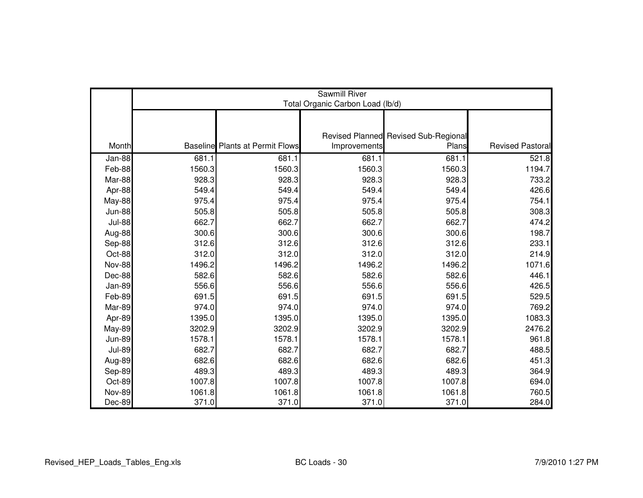|               | <b>Sawmill River</b><br>Total Organic Carbon Load (lb/d) |                                        |              |                                      |                         |  |
|---------------|----------------------------------------------------------|----------------------------------------|--------------|--------------------------------------|-------------------------|--|
|               |                                                          |                                        |              |                                      |                         |  |
|               |                                                          |                                        |              | Revised Planned Revised Sub-Regional |                         |  |
| Month         |                                                          | <b>Baseline</b> Plants at Permit Flows | Improvements | Plans                                | <b>Revised Pastoral</b> |  |
| Jan-88        | 681.1                                                    | 681.1                                  | 681.1        | 681.1                                | 521.8                   |  |
| Feb-88        | 1560.3                                                   | 1560.3                                 | 1560.3       | 1560.3                               | 1194.7                  |  |
| Mar-88        | 928.3                                                    | 928.3                                  | 928.3        | 928.3                                | 733.2                   |  |
| Apr-88        | 549.4                                                    | 549.4                                  | 549.4        | 549.4                                | 426.6                   |  |
| <b>May-88</b> | 975.4                                                    | 975.4                                  | 975.4        | 975.4                                | 754.1                   |  |
| <b>Jun-88</b> | 505.8                                                    | 505.8                                  | 505.8        | 505.8                                | 308.3                   |  |
| <b>Jul-88</b> | 662.7                                                    | 662.7                                  | 662.7        | 662.7                                | 474.2                   |  |
| Aug-88        | 300.6                                                    | 300.6                                  | 300.6        | 300.6                                | 198.7                   |  |
| Sep-88        | 312.6                                                    | 312.6                                  | 312.6        | 312.6                                | 233.1                   |  |
| Oct-88        | 312.0                                                    | 312.0                                  | 312.0        | 312.0                                | 214.9                   |  |
| <b>Nov-88</b> | 1496.2                                                   | 1496.2                                 | 1496.2       | 1496.2                               | 1071.6                  |  |
| Dec-88        | 582.6                                                    | 582.6                                  | 582.6        | 582.6                                | 446.1                   |  |
| Jan-89        | 556.6                                                    | 556.6                                  | 556.6        | 556.6                                | 426.5                   |  |
| Feb-89        | 691.5                                                    | 691.5                                  | 691.5        | 691.5                                | 529.5                   |  |
| Mar-89        | 974.0                                                    | 974.0                                  | 974.0        | 974.0                                | 769.2                   |  |
| Apr-89        | 1395.0                                                   | 1395.0                                 | 1395.0       | 1395.0                               | 1083.3                  |  |
| <b>May-89</b> | 3202.9                                                   | 3202.9                                 | 3202.9       | 3202.9                               | 2476.2                  |  |
| <b>Jun-89</b> | 1578.1                                                   | 1578.1                                 | 1578.1       | 1578.1                               | 961.8                   |  |
| <b>Jul-89</b> | 682.7                                                    | 682.7                                  | 682.7        | 682.7                                | 488.5                   |  |
| Aug-89        | 682.6                                                    | 682.6                                  | 682.6        | 682.6                                | 451.3                   |  |
| Sep-89        | 489.3                                                    | 489.3                                  | 489.3        | 489.3                                | 364.9                   |  |
| Oct-89        | 1007.8                                                   | 1007.8                                 | 1007.8       | 1007.8                               | 694.0                   |  |
| <b>Nov-89</b> | 1061.8                                                   | 1061.8                                 | 1061.8       | 1061.8                               | 760.5                   |  |
| Dec-89        | 371.0                                                    | 371.0                                  | 371.0        | 371.0                                | 284.0                   |  |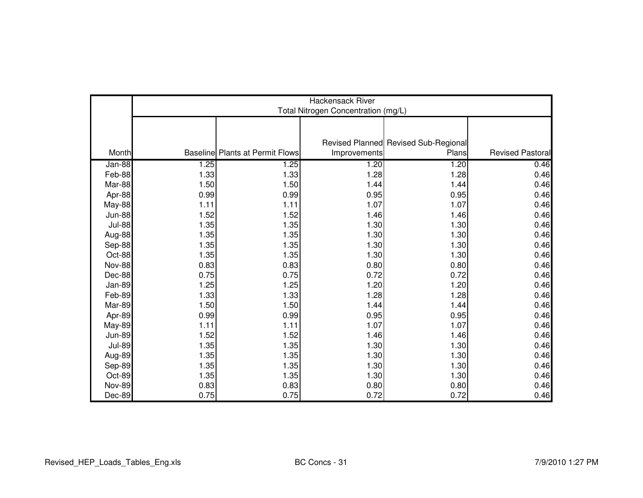|               | <b>Hackensack River</b><br>Total Nitrogen Concentration (mg/L) |                                        |              |                                      |                  |  |
|---------------|----------------------------------------------------------------|----------------------------------------|--------------|--------------------------------------|------------------|--|
|               |                                                                |                                        |              |                                      |                  |  |
|               |                                                                |                                        |              | Revised Planned Revised Sub-Regional |                  |  |
| Month         |                                                                | <b>Baseline Plants at Permit Flows</b> | Improvements | Plans                                | Revised Pastoral |  |
| Jan-88        | 1.25                                                           | 1.25                                   | 1.20         | 1.20                                 | 0.46             |  |
| Feb-88        | 1.33                                                           | 1.33                                   | 1.28         | 1.28                                 | 0.46             |  |
| Mar-88        | 1.50                                                           | 1.50                                   | 1.44         | 1.44                                 | 0.46             |  |
| Apr-88        | 0.99                                                           | 0.99                                   | 0.95         | 0.95                                 | 0.46             |  |
| May-88        | 1.11                                                           | 1.11                                   | 1.07         | 1.07                                 | 0.46             |  |
| <b>Jun-88</b> | 1.52                                                           | 1.52                                   | 1.46         | 1.46                                 | 0.46             |  |
| <b>Jul-88</b> | 1.35                                                           | 1.35                                   | 1.30         | 1.30                                 | 0.46             |  |
| Aug-88        | 1.35                                                           | 1.35                                   | 1.30         | 1.30                                 | 0.46             |  |
| Sep-88        | 1.35                                                           | 1.35                                   | 1.30         | 1.30                                 | 0.46             |  |
| Oct-88        | 1.35                                                           | 1.35                                   | 1.30         | 1.30                                 | 0.46             |  |
| <b>Nov-88</b> | 0.83                                                           | 0.83                                   | 0.80         | 0.80                                 | 0.46             |  |
| Dec-88        | 0.75                                                           | 0.75                                   | 0.72         | 0.72                                 | 0.46             |  |
| <b>Jan-89</b> | 1.25                                                           | 1.25                                   | 1.20         | 1.20                                 | 0.46             |  |
| Feb-89        | 1.33                                                           | 1.33                                   | 1.28         | 1.28                                 | 0.46             |  |
| Mar-89        | 1.50                                                           | 1.50                                   | 1.44         | 1.44                                 | 0.46             |  |
| Apr-89        | 0.99                                                           | 0.99                                   | 0.95         | 0.95                                 | 0.46             |  |
| <b>May-89</b> | 1.11                                                           | 1.11                                   | 1.07         | 1.07                                 | 0.46             |  |
| <b>Jun-89</b> | 1.52                                                           | 1.52                                   | 1.46         | 1.46                                 | 0.46             |  |
| <b>Jul-89</b> | 1.35                                                           | 1.35                                   | 1.30         | 1.30                                 | 0.46             |  |
| Aug-89        | 1.35                                                           | 1.35                                   | 1.30         | 1.30                                 | 0.46             |  |
| Sep-89        | 1.35                                                           | 1.35                                   | 1.30         | 1.30                                 | 0.46             |  |
| Oct-89        | 1.35                                                           | 1.35                                   | 1.30         | 1.30                                 | 0.46             |  |
| <b>Nov-89</b> | 0.83                                                           | 0.83                                   | 0.80         | 0.80                                 | 0.46             |  |
| Dec-89        | 0.75                                                           | 0.75                                   | 0.72         | 0.72                                 | 0.46             |  |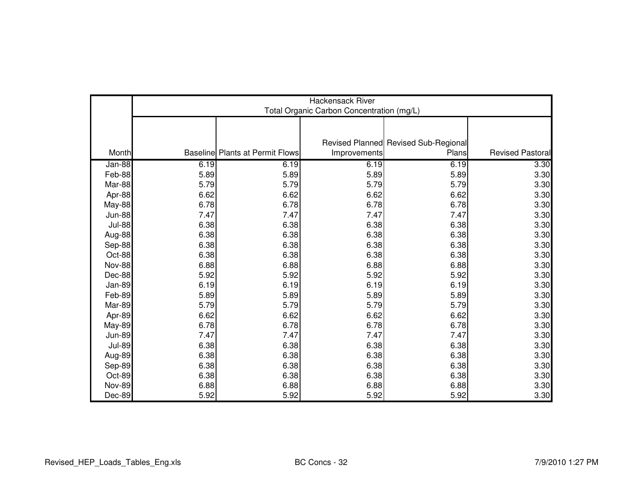|               | <b>Hackensack River</b><br>Total Organic Carbon Concentration (mg/L) |                                        |              |                                      |                         |  |
|---------------|----------------------------------------------------------------------|----------------------------------------|--------------|--------------------------------------|-------------------------|--|
|               |                                                                      |                                        |              |                                      |                         |  |
|               |                                                                      |                                        |              | Revised Planned Revised Sub-Regional |                         |  |
| Month         |                                                                      | <b>Baseline Plants at Permit Flows</b> | Improvements | Plans                                | <b>Revised Pastoral</b> |  |
| Jan-88        | 6.19                                                                 | 6.19                                   | 6.19         | 6.19                                 | 3.30                    |  |
| Feb-88        | 5.89                                                                 | 5.89                                   | 5.89         | 5.89                                 | 3.30                    |  |
| Mar-88        | 5.79                                                                 | 5.79                                   | 5.79         | 5.79                                 | 3.30                    |  |
| Apr-88        | 6.62                                                                 | 6.62                                   | 6.62         | 6.62                                 | 3.30                    |  |
| May-88        | 6.78                                                                 | 6.78                                   | 6.78         | 6.78                                 | 3.30                    |  |
| <b>Jun-88</b> | 7.47                                                                 | 7.47                                   | 7.47         | 7.47                                 | 3.30                    |  |
| <b>Jul-88</b> | 6.38                                                                 | 6.38                                   | 6.38         | 6.38                                 | 3.30                    |  |
| Aug-88        | 6.38                                                                 | 6.38                                   | 6.38         | 6.38                                 | 3.30                    |  |
| Sep-88        | 6.38                                                                 | 6.38                                   | 6.38         | 6.38                                 | 3.30                    |  |
| Oct-88        | 6.38                                                                 | 6.38                                   | 6.38         | 6.38                                 | 3.30                    |  |
| <b>Nov-88</b> | 6.88                                                                 | 6.88                                   | 6.88         | 6.88                                 | 3.30                    |  |
| Dec-88        | 5.92                                                                 | 5.92                                   | 5.92         | 5.92                                 | 3.30                    |  |
| Jan-89        | 6.19                                                                 | 6.19                                   | 6.19         | 6.19                                 | 3.30                    |  |
| Feb-89        | 5.89                                                                 | 5.89                                   | 5.89         | 5.89                                 | 3.30                    |  |
| Mar-89        | 5.79                                                                 | 5.79                                   | 5.79         | 5.79                                 | 3.30                    |  |
| Apr-89        | 6.62                                                                 | 6.62                                   | 6.62         | 6.62                                 | 3.30                    |  |
| <b>May-89</b> | 6.78                                                                 | 6.78                                   | 6.78         | 6.78                                 | 3.30                    |  |
| <b>Jun-89</b> | 7.47                                                                 | 7.47                                   | 7.47         | 7.47                                 | 3.30                    |  |
| <b>Jul-89</b> | 6.38                                                                 | 6.38                                   | 6.38         | 6.38                                 | 3.30                    |  |
| Aug-89        | 6.38                                                                 | 6.38                                   | 6.38         | 6.38                                 | 3.30                    |  |
| Sep-89        | 6.38                                                                 | 6.38                                   | 6.38         | 6.38                                 | 3.30                    |  |
| Oct-89        | 6.38                                                                 | 6.38                                   | 6.38         | 6.38                                 | 3.30                    |  |
| <b>Nov-89</b> | 6.88                                                                 | 6.88                                   | 6.88         | 6.88                                 | 3.30                    |  |
| Dec-89        | 5.92                                                                 | 5.92                                   | 5.92         | 5.92                                 | 3.30                    |  |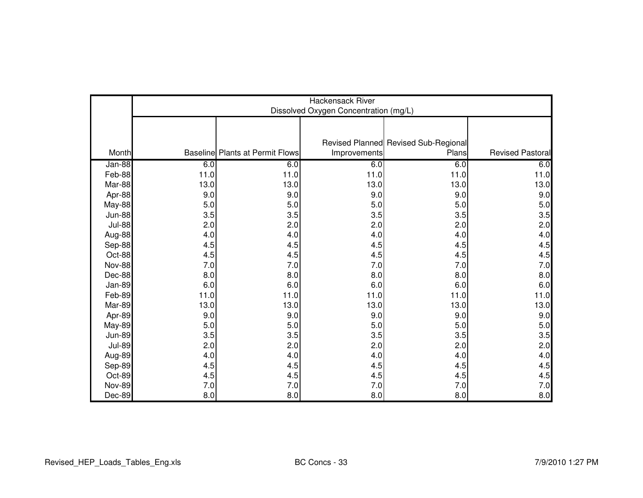|               | Hackensack River<br>Dissolved Oxygen Concentration (mg/L) |                                        |              |                                      |                         |  |
|---------------|-----------------------------------------------------------|----------------------------------------|--------------|--------------------------------------|-------------------------|--|
|               |                                                           |                                        |              |                                      |                         |  |
|               |                                                           |                                        |              | Revised Planned Revised Sub-Regional |                         |  |
| Month         |                                                           | <b>Baseline Plants at Permit Flows</b> | Improvements | Plans                                | <b>Revised Pastoral</b> |  |
| Jan-88        | 6.0                                                       | 6.0                                    | 6.0          | 6.0                                  | 6.0                     |  |
| Feb-88        | 11.0                                                      | 11.0                                   | 11.0         | 11.0                                 | 11.0                    |  |
| Mar-88        | 13.0                                                      | 13.0                                   | 13.0         | 13.0                                 | 13.0                    |  |
| Apr-88        | 9.0                                                       | 9.0                                    | 9.0          | 9.0                                  | 9.0                     |  |
| <b>May-88</b> | 5.0                                                       | 5.0                                    | 5.0          | 5.0                                  | 5.0                     |  |
| <b>Jun-88</b> | 3.5                                                       | 3.5                                    | 3.5          | 3.5                                  | 3.5                     |  |
| <b>Jul-88</b> | 2.0                                                       | 2.0                                    | 2.0          | 2.0                                  | 2.0                     |  |
| Aug-88        | 4.0                                                       | 4.0                                    | 4.0          | 4.0                                  | 4.0                     |  |
| Sep-88        | 4.5                                                       | 4.5                                    | 4.5          | 4.5                                  | 4.5                     |  |
| Oct-88        | 4.5                                                       | 4.5                                    | 4.5          | 4.5                                  | 4.5                     |  |
| <b>Nov-88</b> | 7.0                                                       | 7.0                                    | 7.0          | 7.0                                  | 7.0                     |  |
| Dec-88        | 8.0                                                       | 8.0                                    | 8.0          | 8.0                                  | 8.0                     |  |
| Jan-89        | 6.0                                                       | 6.0                                    | 6.0          | 6.0                                  | 6.0                     |  |
| Feb-89        | 11.0                                                      | 11.0                                   | 11.0         | 11.0                                 | 11.0                    |  |
| Mar-89        | 13.0                                                      | 13.0                                   | 13.0         | 13.0                                 | 13.0                    |  |
| Apr-89        | 9.0                                                       | 9.0                                    | 9.0          | 9.0                                  | 9.0                     |  |
| <b>May-89</b> | 5.0                                                       | 5.0                                    | 5.0          | 5.0                                  | 5.0                     |  |
| <b>Jun-89</b> | 3.5                                                       | 3.5                                    | 3.5          | 3.5                                  | 3.5                     |  |
| <b>Jul-89</b> | 2.0                                                       | 2.0                                    | 2.0          | 2.0                                  | 2.0                     |  |
| Aug-89        | 4.0                                                       | 4.0                                    | 4.0          | 4.0                                  | 4.0                     |  |
| Sep-89        | 4.5                                                       | 4.5                                    | 4.5          | 4.5                                  | 4.5                     |  |
| Oct-89        | 4.5                                                       | 4.5                                    | 4.5          | 4.5                                  | 4.5                     |  |
| <b>Nov-89</b> | 7.0                                                       | $7.0$                                  | 7.0          | 7.0                                  | 7.0                     |  |
| Dec-89        | 8.0                                                       | 8.0                                    | 8.0          | 8.0                                  | 8.0                     |  |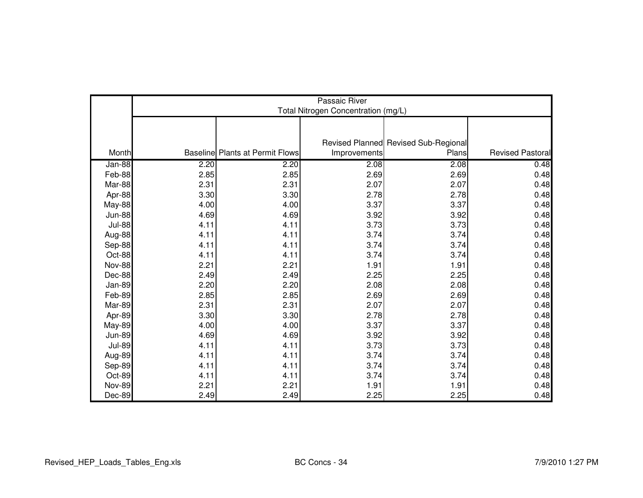|               | Passaic River<br>Total Nitrogen Concentration (mg/L) |                                        |              |                                      |                  |  |  |
|---------------|------------------------------------------------------|----------------------------------------|--------------|--------------------------------------|------------------|--|--|
|               |                                                      |                                        |              |                                      |                  |  |  |
|               |                                                      |                                        |              | Revised Planned Revised Sub-Regional |                  |  |  |
| Month         |                                                      | <b>Baseline Plants at Permit Flows</b> | Improvements | Plans                                | Revised Pastoral |  |  |
| Jan-88        | 2.20                                                 | 2.20                                   | 2.08         | 2.08                                 | 0.48             |  |  |
| Feb-88        | 2.85                                                 | 2.85                                   | 2.69         | 2.69                                 | 0.48             |  |  |
| Mar-88        | 2.31                                                 | 2.31                                   | 2.07         | 2.07                                 | 0.48             |  |  |
| Apr-88        | 3.30                                                 | 3.30                                   | 2.78         | 2.78                                 | 0.48             |  |  |
| May-88        | 4.00                                                 | 4.00                                   | 3.37         | 3.37                                 | 0.48             |  |  |
| <b>Jun-88</b> | 4.69                                                 | 4.69                                   | 3.92         | 3.92                                 | 0.48             |  |  |
| <b>Jul-88</b> | 4.11                                                 | 4.11                                   | 3.73         | 3.73                                 | 0.48             |  |  |
| Aug-88        | 4.11                                                 | 4.11                                   | 3.74         | 3.74                                 | 0.48             |  |  |
| Sep-88        | 4.11                                                 | 4.11                                   | 3.74         | 3.74                                 | 0.48             |  |  |
| Oct-88        | 4.11                                                 | 4.11                                   | 3.74         | 3.74                                 | 0.48             |  |  |
| Nov-88        | 2.21                                                 | 2.21                                   | 1.91         | 1.91                                 | 0.48             |  |  |
| Dec-88        | 2.49                                                 | 2.49                                   | 2.25         | 2.25                                 | 0.48             |  |  |
| <b>Jan-89</b> | 2.20                                                 | 2.20                                   | 2.08         | 2.08                                 | 0.48             |  |  |
| Feb-89        | 2.85                                                 | 2.85                                   | 2.69         | 2.69                                 | 0.48             |  |  |
| Mar-89        | 2.31                                                 | 2.31                                   | 2.07         | 2.07                                 | 0.48             |  |  |
| Apr-89        | 3.30                                                 | 3.30                                   | 2.78         | 2.78                                 | 0.48             |  |  |
| <b>May-89</b> | 4.00                                                 | 4.00                                   | 3.37         | 3.37                                 | 0.48             |  |  |
| <b>Jun-89</b> | 4.69                                                 | 4.69                                   | 3.92         | 3.92                                 | 0.48             |  |  |
| <b>Jul-89</b> | 4.11                                                 | 4.11                                   | 3.73         | 3.73                                 | 0.48             |  |  |
| Aug-89        | 4.11                                                 | 4.11                                   | 3.74         | 3.74                                 | 0.48             |  |  |
| Sep-89        | 4.11                                                 | 4.11                                   | 3.74         | 3.74                                 | 0.48             |  |  |
| Oct-89        | 4.11                                                 | 4.11                                   | 3.74         | 3.74                                 | 0.48             |  |  |
| <b>Nov-89</b> | 2.21                                                 | 2.21                                   | 1.91         | 1.91                                 | 0.48             |  |  |
| Dec-89        | 2.49                                                 | 2.49                                   | 2.25         | 2.25                                 | 0.48             |  |  |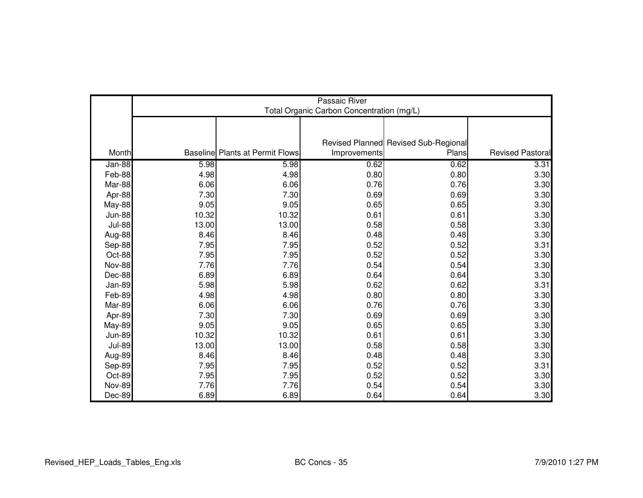|               | Passaic River<br>Total Organic Carbon Concentration (mg/L) |                                        |              |                                      |                         |  |  |
|---------------|------------------------------------------------------------|----------------------------------------|--------------|--------------------------------------|-------------------------|--|--|
|               |                                                            |                                        |              |                                      |                         |  |  |
|               |                                                            |                                        |              |                                      |                         |  |  |
| Month         |                                                            | <b>Baseline Plants at Permit Flows</b> |              | Revised Planned Revised Sub-Regional | <b>Revised Pastoral</b> |  |  |
|               |                                                            |                                        | Improvements | Plans                                |                         |  |  |
| Jan-88        | 5.98                                                       | 5.98                                   | 0.62         | 0.62                                 | 3.31                    |  |  |
| Feb-88        | 4.98                                                       | 4.98                                   | 0.80         | 0.80                                 | 3.30                    |  |  |
| Mar-88        | 6.06                                                       | 6.06                                   | 0.76         | 0.76                                 | 3.30                    |  |  |
| Apr-88        | 7.30                                                       | 7.30                                   | 0.69         | 0.69                                 | 3.30                    |  |  |
| <b>May-88</b> | 9.05                                                       | 9.05                                   | 0.65         | 0.65                                 | 3.30                    |  |  |
| <b>Jun-88</b> | 10.32                                                      | 10.32                                  | 0.61         | 0.61                                 | 3.30                    |  |  |
| <b>Jul-88</b> | 13.00                                                      | 13.00                                  | 0.58         | 0.58                                 | 3.30                    |  |  |
| Aug-88        | 8.46                                                       | 8.46                                   | 0.48         | 0.48                                 | 3.30                    |  |  |
| Sep-88        | 7.95                                                       | 7.95                                   | 0.52         | 0.52                                 | 3.31                    |  |  |
| Oct-88        | 7.95                                                       | 7.95                                   | 0.52         | 0.52                                 | 3.30                    |  |  |
| <b>Nov-88</b> | 7.76                                                       | 7.76                                   | 0.54         | 0.54                                 | 3.30                    |  |  |
| Dec-88        | 6.89                                                       | 6.89                                   | 0.64         | 0.64                                 | 3.30                    |  |  |
| Jan-89        | 5.98                                                       | 5.98                                   | 0.62         | 0.62                                 | 3.31                    |  |  |
| Feb-89        | 4.98                                                       | 4.98                                   | 0.80         | 0.80                                 | 3.30                    |  |  |
| Mar-89        | 6.06                                                       | 6.06                                   | 0.76         | 0.76                                 | 3.30                    |  |  |
| Apr-89        | 7.30                                                       | 7.30                                   | 0.69         | 0.69                                 | 3.30                    |  |  |
| <b>May-89</b> | 9.05                                                       | 9.05                                   | 0.65         | 0.65                                 | 3.30                    |  |  |
| <b>Jun-89</b> | 10.32                                                      | 10.32                                  | 0.61         | 0.61                                 | 3.30                    |  |  |
| <b>Jul-89</b> | 13.00                                                      | 13.00                                  | 0.58         | 0.58                                 | 3.30                    |  |  |
| Aug-89        | 8.46                                                       | 8.46                                   | 0.48         | 0.48                                 | 3.30                    |  |  |
| Sep-89        | 7.95                                                       | 7.95                                   | 0.52         | 0.52                                 | 3.31                    |  |  |
| Oct-89        | 7.95                                                       | 7.95                                   | 0.52         | 0.52                                 | 3.30                    |  |  |
| <b>Nov-89</b> | 7.76                                                       | 7.76                                   | 0.54         | 0.54                                 | 3.30                    |  |  |
| Dec-89        | 6.89                                                       | 6.89                                   | 0.64         | 0.64                                 | 3.30                    |  |  |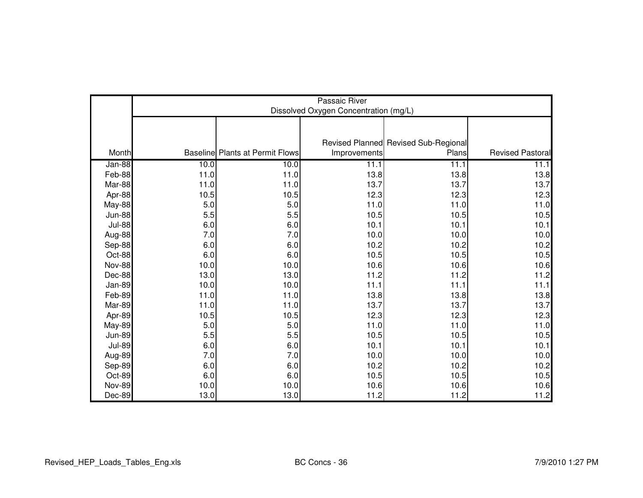|               |      | Passaic River<br>Dissolved Oxygen Concentration (mg/L) |              |                                      |                         |  |  |  |
|---------------|------|--------------------------------------------------------|--------------|--------------------------------------|-------------------------|--|--|--|
|               |      |                                                        |              |                                      |                         |  |  |  |
|               |      |                                                        |              | Revised Planned Revised Sub-Regional |                         |  |  |  |
| Month         |      | <b>Baseline Plants at Permit Flows</b>                 | Improvements | Plans                                | <b>Revised Pastoral</b> |  |  |  |
| Jan-88        | 10.0 | 10.0                                                   | 11.1         | 11.1                                 | 11.1                    |  |  |  |
| Feb-88        | 11.0 | 11.0                                                   | 13.8         | 13.8                                 | 13.8                    |  |  |  |
| Mar-88        | 11.0 | 11.0                                                   | 13.7         | 13.7                                 | 13.7                    |  |  |  |
| Apr-88        | 10.5 | 10.5                                                   | 12.3         | 12.3                                 | 12.3                    |  |  |  |
| <b>May-88</b> | 5.0  | 5.0                                                    | 11.0         | 11.0                                 | 11.0                    |  |  |  |
| <b>Jun-88</b> | 5.5  | 5.5                                                    | 10.5         | 10.5                                 | 10.5                    |  |  |  |
| <b>Jul-88</b> | 6.0  | 6.0                                                    | 10.1         | 10.1                                 | 10.1                    |  |  |  |
| Aug-88        | 7.0  | 7.0                                                    | 10.0         | 10.0                                 | 10.0                    |  |  |  |
| Sep-88        | 6.0  | 6.0                                                    | 10.2         | 10.2                                 | 10.2                    |  |  |  |
| Oct-88        | 6.0  | 6.0                                                    | 10.5         | 10.5                                 | 10.5                    |  |  |  |
| <b>Nov-88</b> | 10.0 | 10.0                                                   | 10.6         | 10.6                                 | 10.6                    |  |  |  |
| Dec-88        | 13.0 | 13.0                                                   | 11.2         | 11.2                                 | 11.2                    |  |  |  |
| Jan-89        | 10.0 | 10.0                                                   | 11.1         | 11.1                                 | 11.1                    |  |  |  |
| Feb-89        | 11.0 | 11.0                                                   | 13.8         | 13.8                                 | 13.8                    |  |  |  |
| Mar-89        | 11.0 | 11.0                                                   | 13.7         | 13.7                                 | 13.7                    |  |  |  |
| Apr-89        | 10.5 | 10.5                                                   | 12.3         | 12.3                                 | 12.3                    |  |  |  |
| <b>May-89</b> | 5.0  | 5.0                                                    | 11.0         | 11.0                                 | 11.0                    |  |  |  |
| <b>Jun-89</b> | 5.5  | 5.5                                                    | 10.5         | 10.5                                 | 10.5                    |  |  |  |
| <b>Jul-89</b> | 6.0  | 6.0                                                    | 10.1         | 10.1                                 | 10.1                    |  |  |  |
| Aug-89        | 7.0  | 7.0                                                    | 10.0         | 10.0                                 | 10.0                    |  |  |  |
| Sep-89        | 6.0  | 6.0                                                    | 10.2         | 10.2                                 | 10.2                    |  |  |  |
| Oct-89        | 6.0  | 6.0                                                    | 10.5         | 10.5                                 | 10.5                    |  |  |  |
| <b>Nov-89</b> | 10.0 | 10.0                                                   | 10.6         | 10.6                                 | 10.6                    |  |  |  |
| Dec-89        | 13.0 | 13.0                                                   | 11.2         | 11.2                                 | 11.2                    |  |  |  |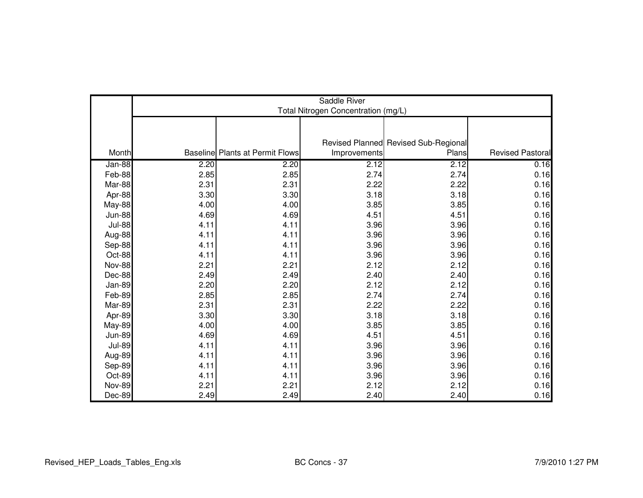|               | Saddle River<br>Total Nitrogen Concentration (mg/L) |                                        |              |                                      |                  |  |  |
|---------------|-----------------------------------------------------|----------------------------------------|--------------|--------------------------------------|------------------|--|--|
|               |                                                     |                                        |              |                                      |                  |  |  |
|               |                                                     |                                        |              |                                      |                  |  |  |
|               |                                                     |                                        |              | Revised Planned Revised Sub-Regional |                  |  |  |
| Month         |                                                     | <b>Baseline Plants at Permit Flows</b> | Improvements | Plans                                | Revised Pastoral |  |  |
| Jan-88        | 2.20                                                | 2.20                                   | 2.12         | 2.12                                 | 0.16             |  |  |
| Feb-88        | 2.85                                                | 2.85                                   | 2.74         | 2.74                                 | 0.16             |  |  |
| Mar-88        | 2.31                                                | 2.31                                   | 2.22         | 2.22                                 | 0.16             |  |  |
| Apr-88        | 3.30                                                | 3.30                                   | 3.18         | 3.18                                 | 0.16             |  |  |
| May-88        | 4.00                                                | 4.00                                   | 3.85         | 3.85                                 | 0.16             |  |  |
| <b>Jun-88</b> | 4.69                                                | 4.69                                   | 4.51         | 4.51                                 | 0.16             |  |  |
| <b>Jul-88</b> | 4.11                                                | 4.11                                   | 3.96         | 3.96                                 | 0.16             |  |  |
| Aug-88        | 4.11                                                | 4.11                                   | 3.96         | 3.96                                 | 0.16             |  |  |
| Sep-88        | 4.11                                                | 4.11                                   | 3.96         | 3.96                                 | 0.16             |  |  |
| Oct-88        | 4.11                                                | 4.11                                   | 3.96         | 3.96                                 | 0.16             |  |  |
| <b>Nov-88</b> | 2.21                                                | 2.21                                   | 2.12         | 2.12                                 | 0.16             |  |  |
| Dec-88        | 2.49                                                | 2.49                                   | 2.40         | 2.40                                 | 0.16             |  |  |
| <b>Jan-89</b> | 2.20                                                | 2.20                                   | 2.12         | 2.12                                 | 0.16             |  |  |
| Feb-89        | 2.85                                                | 2.85                                   | 2.74         | 2.74                                 | 0.16             |  |  |
| Mar-89        | 2.31                                                | 2.31                                   | 2.22         | 2.22                                 | 0.16             |  |  |
| Apr-89        | 3.30                                                | 3.30                                   | 3.18         | 3.18                                 | 0.16             |  |  |
| <b>May-89</b> | 4.00                                                | 4.00                                   | 3.85         | 3.85                                 | 0.16             |  |  |
| <b>Jun-89</b> | 4.69                                                | 4.69                                   | 4.51         | 4.51                                 | 0.16             |  |  |
| <b>Jul-89</b> | 4.11                                                | 4.11                                   | 3.96         | 3.96                                 | 0.16             |  |  |
| Aug-89        | 4.11                                                | 4.11                                   | 3.96         | 3.96                                 | 0.16             |  |  |
| Sep-89        | 4.11                                                | 4.11                                   | 3.96         | 3.96                                 | 0.16             |  |  |
| Oct-89        | 4.11                                                | 4.11                                   | 3.96         | 3.96                                 | 0.16             |  |  |
| <b>Nov-89</b> | 2.21                                                | 2.21                                   | 2.12         | 2.12                                 | 0.16             |  |  |
| Dec-89        | 2.49                                                | 2.49                                   | 2.40         | 2.40                                 | 0.16             |  |  |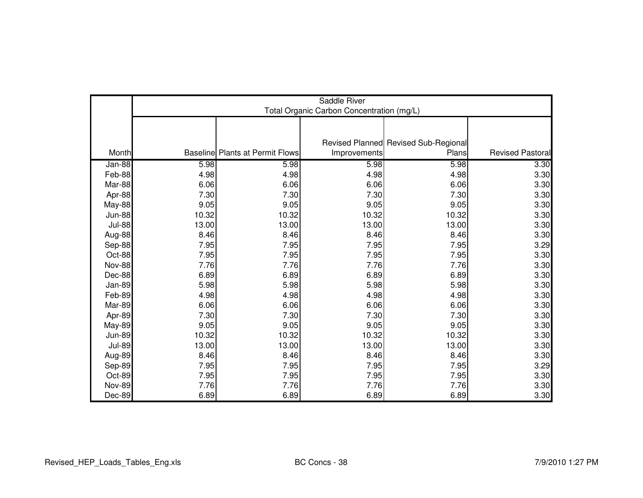|               | Saddle River<br>Total Organic Carbon Concentration (mg/L) |                                        |              |                                      |                         |  |  |
|---------------|-----------------------------------------------------------|----------------------------------------|--------------|--------------------------------------|-------------------------|--|--|
|               |                                                           |                                        |              |                                      |                         |  |  |
|               |                                                           |                                        |              |                                      |                         |  |  |
|               |                                                           |                                        |              | Revised Planned Revised Sub-Regional |                         |  |  |
| Month         |                                                           | <b>Baseline Plants at Permit Flows</b> | Improvements | Plans                                | <b>Revised Pastoral</b> |  |  |
| Jan-88        | 5.98                                                      | 5.98                                   | 5.98         | 5.98                                 | 3.30                    |  |  |
| Feb-88        | 4.98                                                      | 4.98                                   | 4.98         | 4.98                                 | 3.30                    |  |  |
| Mar-88        | 6.06                                                      | 6.06                                   | 6.06         | 6.06                                 | 3.30                    |  |  |
| Apr-88        | 7.30                                                      | 7.30                                   | 7.30         | 7.30                                 | 3.30                    |  |  |
| <b>May-88</b> | 9.05                                                      | 9.05                                   | 9.05         | 9.05                                 | 3.30                    |  |  |
| <b>Jun-88</b> | 10.32                                                     | 10.32                                  | 10.32        | 10.32                                | 3.30                    |  |  |
| <b>Jul-88</b> | 13.00                                                     | 13.00                                  | 13.00        | 13.00                                | 3.30                    |  |  |
| Aug-88        | 8.46                                                      | 8.46                                   | 8.46         | 8.46                                 | 3.30                    |  |  |
| Sep-88        | 7.95                                                      | 7.95                                   | 7.95         | 7.95                                 | 3.29                    |  |  |
| Oct-88        | 7.95                                                      | 7.95                                   | 7.95         | 7.95                                 | 3.30                    |  |  |
| <b>Nov-88</b> | 7.76                                                      | 7.76                                   | 7.76         | 7.76                                 | 3.30                    |  |  |
| Dec-88        | 6.89                                                      | 6.89                                   | 6.89         | 6.89                                 | 3.30                    |  |  |
| Jan-89        | 5.98                                                      | 5.98                                   | 5.98         | 5.98                                 | 3.30                    |  |  |
| Feb-89        | 4.98                                                      | 4.98                                   | 4.98         | 4.98                                 | 3.30                    |  |  |
| Mar-89        | 6.06                                                      | 6.06                                   | 6.06         | 6.06                                 | 3.30                    |  |  |
| Apr-89        | 7.30                                                      | 7.30                                   | 7.30         | 7.30                                 | 3.30                    |  |  |
| <b>May-89</b> | 9.05                                                      | 9.05                                   | 9.05         | 9.05                                 | 3.30                    |  |  |
| <b>Jun-89</b> | 10.32                                                     | 10.32                                  | 10.32        | 10.32                                | 3.30                    |  |  |
| <b>Jul-89</b> | 13.00                                                     | 13.00                                  | 13.00        | 13.00                                | 3.30                    |  |  |
| Aug-89        | 8.46                                                      | 8.46                                   | 8.46         | 8.46                                 | 3.30                    |  |  |
| Sep-89        | 7.95                                                      | 7.95                                   | 7.95         | 7.95                                 | 3.29                    |  |  |
| Oct-89        | 7.95                                                      | 7.95                                   | 7.95         | 7.95                                 | 3.30                    |  |  |
| <b>Nov-89</b> | 7.76                                                      | 7.76                                   | 7.76         | 7.76                                 | 3.30                    |  |  |
| Dec-89        | 6.89                                                      | 6.89                                   | 6.89         | 6.89                                 | 3.30                    |  |  |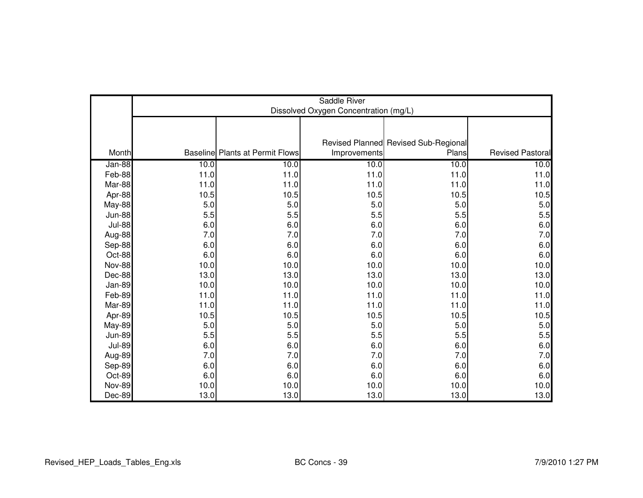|               |      | Saddle River<br>Dissolved Oxygen Concentration (mg/L) |              |                                      |                         |  |  |  |
|---------------|------|-------------------------------------------------------|--------------|--------------------------------------|-------------------------|--|--|--|
|               |      |                                                       |              |                                      |                         |  |  |  |
|               |      |                                                       |              | Revised Planned Revised Sub-Regional |                         |  |  |  |
| Month         |      | <b>Baseline Plants at Permit Flows</b>                | Improvements | Plans                                | <b>Revised Pastoral</b> |  |  |  |
| Jan-88        | 10.0 | 10.0                                                  | 10.0         | 10.0                                 | 10.0                    |  |  |  |
| Feb-88        | 11.0 | 11.0                                                  | 11.0         | 11.0                                 | 11.0                    |  |  |  |
| Mar-88        | 11.0 | 11.0                                                  | 11.0         | 11.0                                 | 11.0                    |  |  |  |
| Apr-88        | 10.5 | 10.5                                                  | 10.5         | 10.5                                 | 10.5                    |  |  |  |
| <b>May-88</b> | 5.0  | 5.0                                                   | 5.0          | 5.0                                  | 5.0                     |  |  |  |
| <b>Jun-88</b> | 5.5  | 5.5                                                   | 5.5          | $5.5\,$                              | 5.5                     |  |  |  |
| <b>Jul-88</b> | 6.0  | 6.0                                                   | 6.0          | 6.0                                  | 6.0                     |  |  |  |
| Aug-88        | 7.0  | 7.0                                                   | 7.0          | 7.0                                  | 7.0                     |  |  |  |
| Sep-88        | 6.0  | 6.0                                                   | 6.0          | 6.0                                  | 6.0                     |  |  |  |
| Oct-88        | 6.0  | 6.0                                                   | 6.0          | 6.0                                  | 6.0                     |  |  |  |
| <b>Nov-88</b> | 10.0 | 10.0                                                  | 10.0         | 10.0                                 | 10.0                    |  |  |  |
| Dec-88        | 13.0 | 13.0                                                  | 13.0         | 13.0                                 | 13.0                    |  |  |  |
| Jan-89        | 10.0 | 10.0                                                  | 10.0         | 10.0                                 | 10.0                    |  |  |  |
| Feb-89        | 11.0 | 11.0                                                  | 11.0         | 11.0                                 | 11.0                    |  |  |  |
| Mar-89        | 11.0 | 11.0                                                  | 11.0         | 11.0                                 | 11.0                    |  |  |  |
| Apr-89        | 10.5 | 10.5                                                  | 10.5         | 10.5                                 | 10.5                    |  |  |  |
| <b>May-89</b> | 5.0  | 5.0                                                   | 5.0          | 5.0                                  | 5.0                     |  |  |  |
| <b>Jun-89</b> | 5.5  | 5.5                                                   | 5.5          | $5.5\,$                              | 5.5                     |  |  |  |
| <b>Jul-89</b> | 6.0  | 6.0                                                   | 6.0          | 6.0                                  | 6.0                     |  |  |  |
| Aug-89        | 7.0  | 7.0                                                   | 7.0          | $7.0\,$                              | 7.0                     |  |  |  |
| Sep-89        | 6.0  | 6.0                                                   | 6.0          | 6.0                                  | 6.0                     |  |  |  |
| Oct-89        | 6.0  | 6.0                                                   | $6.0\,$      | 6.0                                  | 6.0                     |  |  |  |
| <b>Nov-89</b> | 10.0 | 10.0                                                  | 10.0         | 10.0                                 | 10.0                    |  |  |  |
| Dec-89        | 13.0 | 13.0                                                  | 13.0         | 13.0                                 | 13.0                    |  |  |  |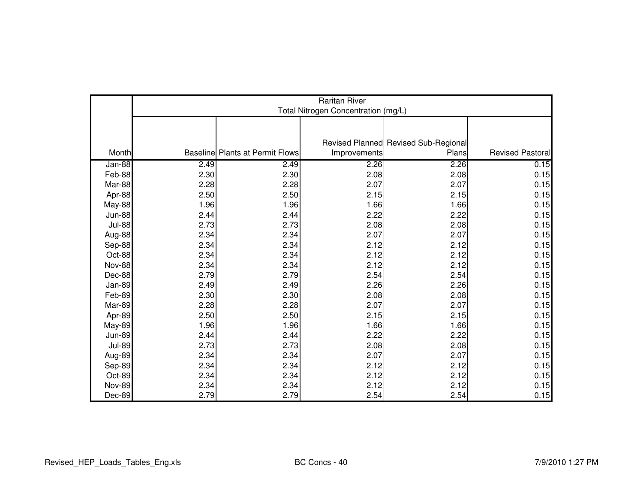|               | <b>Raritan River</b><br>Total Nitrogen Concentration (mg/L) |                                        |              |                                      |                  |  |  |
|---------------|-------------------------------------------------------------|----------------------------------------|--------------|--------------------------------------|------------------|--|--|
|               |                                                             |                                        |              |                                      |                  |  |  |
|               |                                                             |                                        |              |                                      |                  |  |  |
|               |                                                             |                                        |              | Revised Planned Revised Sub-Regional |                  |  |  |
| Month         |                                                             | <b>Baseline Plants at Permit Flows</b> | Improvements | Plans                                | Revised Pastoral |  |  |
| Jan-88        | 2.49                                                        | 2.49                                   | 2.26         | 2.26                                 | 0.15             |  |  |
| Feb-88        | 2.30                                                        | 2.30                                   | 2.08         | 2.08                                 | 0.15             |  |  |
| Mar-88        | 2.28                                                        | 2.28                                   | 2.07         | 2.07                                 | 0.15             |  |  |
| Apr-88        | 2.50                                                        | 2.50                                   | 2.15         | 2.15                                 | 0.15             |  |  |
| May-88        | 1.96                                                        | 1.96                                   | 1.66         | 1.66                                 | 0.15             |  |  |
| <b>Jun-88</b> | 2.44                                                        | 2.44                                   | 2.22         | 2.22                                 | 0.15             |  |  |
| <b>Jul-88</b> | 2.73                                                        | 2.73                                   | 2.08         | 2.08                                 | 0.15             |  |  |
| Aug-88        | 2.34                                                        | 2.34                                   | 2.07         | 2.07                                 | 0.15             |  |  |
| Sep-88        | 2.34                                                        | 2.34                                   | 2.12         | 2.12                                 | 0.15             |  |  |
| Oct-88        | 2.34                                                        | 2.34                                   | 2.12         | 2.12                                 | 0.15             |  |  |
| <b>Nov-88</b> | 2.34                                                        | 2.34                                   | 2.12         | 2.12                                 | 0.15             |  |  |
| Dec-88        | 2.79                                                        | 2.79                                   | 2.54         | 2.54                                 | 0.15             |  |  |
| <b>Jan-89</b> | 2.49                                                        | 2.49                                   | 2.26         | 2.26                                 | 0.15             |  |  |
| Feb-89        | 2.30                                                        | 2.30                                   | 2.08         | 2.08                                 | 0.15             |  |  |
| Mar-89        | 2.28                                                        | 2.28                                   | 2.07         | 2.07                                 | 0.15             |  |  |
| Apr-89        | 2.50                                                        | 2.50                                   | 2.15         | 2.15                                 | 0.15             |  |  |
| <b>May-89</b> | 1.96                                                        | 1.96                                   | 1.66         | 1.66                                 | 0.15             |  |  |
| <b>Jun-89</b> | 2.44                                                        | 2.44                                   | 2.22         | 2.22                                 | 0.15             |  |  |
| <b>Jul-89</b> | 2.73                                                        | 2.73                                   | 2.08         | 2.08                                 | 0.15             |  |  |
| Aug-89        | 2.34                                                        | 2.34                                   | 2.07         | 2.07                                 | 0.15             |  |  |
| Sep-89        | 2.34                                                        | 2.34                                   | 2.12         | 2.12                                 | 0.15             |  |  |
| Oct-89        | 2.34                                                        | 2.34                                   | 2.12         | 2.12                                 | 0.15             |  |  |
| <b>Nov-89</b> | 2.34                                                        | 2.34                                   | 2.12         | 2.12                                 | 0.15             |  |  |
| Dec-89        | 2.79                                                        | 2.79                                   | 2.54         | 2.54                                 | 0.15             |  |  |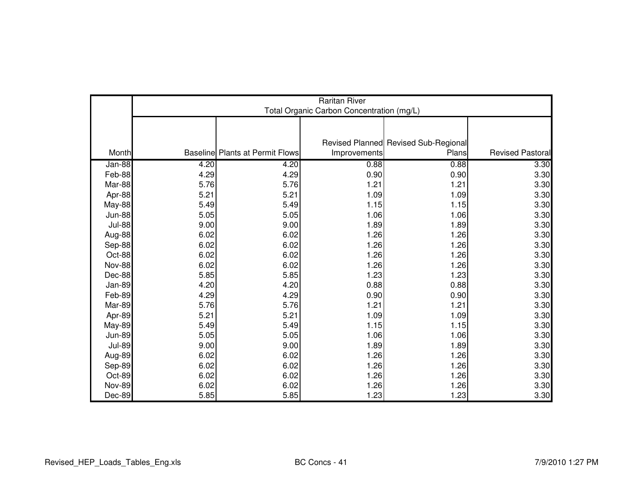|               | <b>Raritan River</b><br>Total Organic Carbon Concentration (mg/L) |                                        |              |                                      |                         |  |  |
|---------------|-------------------------------------------------------------------|----------------------------------------|--------------|--------------------------------------|-------------------------|--|--|
|               |                                                                   |                                        |              |                                      |                         |  |  |
|               |                                                                   |                                        |              |                                      |                         |  |  |
|               |                                                                   |                                        |              | Revised Planned Revised Sub-Regional |                         |  |  |
| Month         |                                                                   | <b>Baseline Plants at Permit Flows</b> | Improvements | Plans                                | <b>Revised Pastoral</b> |  |  |
| Jan-88        | 4.20                                                              | 4.20                                   | 0.88         | 0.88                                 | 3.30                    |  |  |
| Feb-88        | 4.29                                                              | 4.29                                   | 0.90         | 0.90                                 | 3.30                    |  |  |
| Mar-88        | 5.76                                                              | 5.76                                   | 1.21         | 1.21                                 | 3.30                    |  |  |
| Apr-88        | 5.21                                                              | 5.21                                   | 1.09         | 1.09                                 | 3.30                    |  |  |
| <b>May-88</b> | 5.49                                                              | 5.49                                   | 1.15         | 1.15                                 | 3.30                    |  |  |
| <b>Jun-88</b> | 5.05                                                              | 5.05                                   | 1.06         | 1.06                                 | 3.30                    |  |  |
| <b>Jul-88</b> | 9.00                                                              | 9.00                                   | 1.89         | 1.89                                 | 3.30                    |  |  |
| Aug-88        | 6.02                                                              | 6.02                                   | 1.26         | 1.26                                 | 3.30                    |  |  |
| Sep-88        | 6.02                                                              | 6.02                                   | 1.26         | 1.26                                 | 3.30                    |  |  |
| Oct-88        | 6.02                                                              | 6.02                                   | 1.26         | 1.26                                 | 3.30                    |  |  |
| Nov-88        | 6.02                                                              | 6.02                                   | 1.26         | 1.26                                 | 3.30                    |  |  |
| Dec-88        | 5.85                                                              | 5.85                                   | 1.23         | 1.23                                 | 3.30                    |  |  |
| Jan-89        | 4.20                                                              | 4.20                                   | 0.88         | 0.88                                 | 3.30                    |  |  |
| Feb-89        | 4.29                                                              | 4.29                                   | 0.90         | 0.90                                 | 3.30                    |  |  |
| Mar-89        | 5.76                                                              | 5.76                                   | 1.21         | 1.21                                 | 3.30                    |  |  |
| Apr-89        | 5.21                                                              | 5.21                                   | 1.09         | 1.09                                 | 3.30                    |  |  |
| <b>May-89</b> | 5.49                                                              | 5.49                                   | 1.15         | 1.15                                 | 3.30                    |  |  |
| <b>Jun-89</b> | 5.05                                                              | 5.05                                   | 1.06         | 1.06                                 | 3.30                    |  |  |
| <b>Jul-89</b> | 9.00                                                              | 9.00                                   | 1.89         | 1.89                                 | 3.30                    |  |  |
| Aug-89        | 6.02                                                              | 6.02                                   | 1.26         | 1.26                                 | 3.30                    |  |  |
| Sep-89        | 6.02                                                              | 6.02                                   | 1.26         | 1.26                                 | 3.30                    |  |  |
| Oct-89        | 6.02                                                              | 6.02                                   | 1.26         | 1.26                                 | 3.30                    |  |  |
| <b>Nov-89</b> | 6.02                                                              | 6.02                                   | 1.26         | 1.26                                 | 3.30                    |  |  |
| Dec-89        | 5.85                                                              | 5.85                                   | 1.23         | 1.23                                 | 3.30                    |  |  |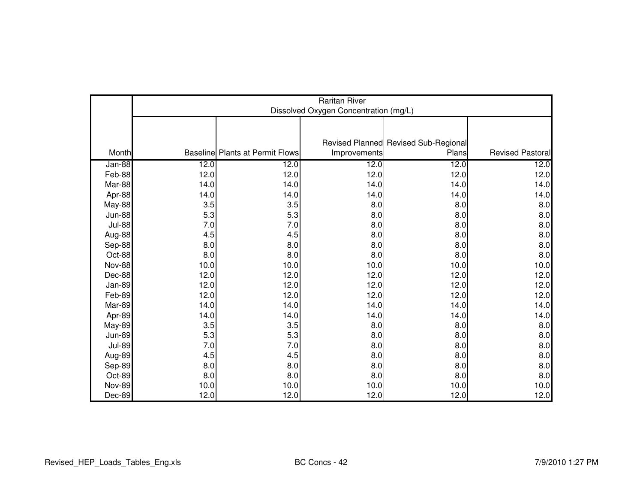|               | <b>Raritan River</b><br>Dissolved Oxygen Concentration (mg/L) |                                        |              |                                      |                         |  |  |
|---------------|---------------------------------------------------------------|----------------------------------------|--------------|--------------------------------------|-------------------------|--|--|
|               |                                                               |                                        |              |                                      |                         |  |  |
|               |                                                               |                                        |              | Revised Planned Revised Sub-Regional |                         |  |  |
| Month         |                                                               | <b>Baseline Plants at Permit Flows</b> | Improvements | Plans                                | <b>Revised Pastoral</b> |  |  |
| Jan-88        | 12.0                                                          | 12.0                                   | 12.0         | 12.0                                 | 12.0                    |  |  |
| Feb-88        | 12.0                                                          | 12.0                                   | 12.0         | 12.0                                 | 12.0                    |  |  |
| Mar-88        | 14.0                                                          | 14.0                                   | 14.0         | 14.0                                 | 14.0                    |  |  |
| Apr-88        | 14.0                                                          | 14.0                                   | 14.0         | 14.0                                 | 14.0                    |  |  |
| <b>May-88</b> | 3.5                                                           | 3.5                                    | 8.0          | 8.0                                  | 8.0                     |  |  |
| <b>Jun-88</b> | 5.3                                                           | 5.3                                    | 8.0          | 8.0                                  | 8.0                     |  |  |
| <b>Jul-88</b> | 7.0                                                           | 7.0                                    | 8.0          | 8.0                                  | 8.0                     |  |  |
| Aug-88        | 4.5                                                           | 4.5                                    | 8.0          | 8.0                                  | 8.0                     |  |  |
| Sep-88        | 8.0                                                           | 8.0                                    | 8.0          | 8.0                                  | 8.0                     |  |  |
| Oct-88        | 8.0                                                           | 8.0                                    | 8.0          | 8.0                                  | 8.0                     |  |  |
| <b>Nov-88</b> | 10.0                                                          | 10.0                                   | 10.0         | 10.0                                 | 10.0                    |  |  |
| Dec-88        | 12.0                                                          | 12.0                                   | 12.0         | 12.0                                 | 12.0                    |  |  |
| Jan-89        | 12.0                                                          | 12.0                                   | 12.0         | 12.0                                 | 12.0                    |  |  |
| Feb-89        | 12.0                                                          | 12.0                                   | 12.0         | 12.0                                 | 12.0                    |  |  |
| Mar-89        | 14.0                                                          | 14.0                                   | 14.0         | 14.0                                 | 14.0                    |  |  |
| Apr-89        | 14.0                                                          | 14.0                                   | 14.0         | 14.0                                 | 14.0                    |  |  |
| <b>May-89</b> | 3.5                                                           | 3.5                                    | 8.0          | 8.0                                  | 8.0                     |  |  |
| <b>Jun-89</b> | 5.3                                                           | 5.3                                    | 8.0          | 8.0                                  | 8.0                     |  |  |
| <b>Jul-89</b> | 7.0                                                           | 7.0                                    | 8.0          | 8.0                                  | 8.0                     |  |  |
| Aug-89        | 4.5                                                           | 4.5                                    | 8.0          | 8.0                                  | 8.0                     |  |  |
| Sep-89        | 8.0                                                           | 8.0                                    | 8.0          | 8.0                                  | 8.0                     |  |  |
| Oct-89        | 8.0                                                           | 8.0                                    | 8.0          | 8.0                                  | 8.0                     |  |  |
| <b>Nov-89</b> | 10.0                                                          | 10.0                                   | 10.0         | 10.0                                 | 10.0                    |  |  |
| Dec-89        | 12.0                                                          | 12.0                                   | 12.0         | 12.0                                 | 12.0                    |  |  |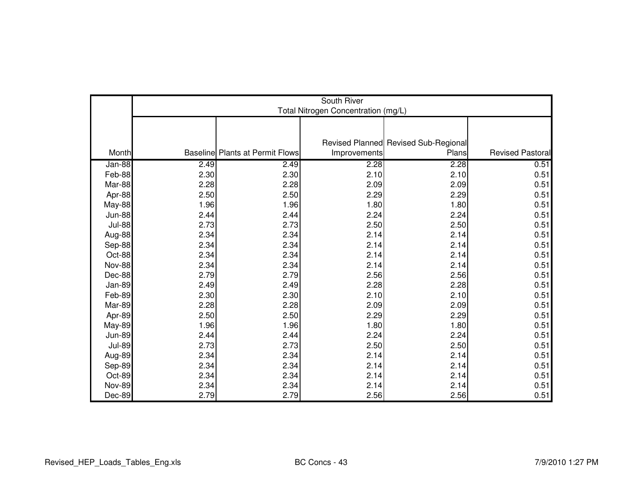|               | South River<br>Total Nitrogen Concentration (mg/L) |                                        |              |                                      |                  |  |  |
|---------------|----------------------------------------------------|----------------------------------------|--------------|--------------------------------------|------------------|--|--|
|               |                                                    |                                        |              |                                      |                  |  |  |
|               |                                                    |                                        |              |                                      |                  |  |  |
|               |                                                    |                                        |              | Revised Planned Revised Sub-Regional |                  |  |  |
| Month         |                                                    | <b>Baseline Plants at Permit Flows</b> | Improvements | Plans                                | Revised Pastoral |  |  |
| Jan-88        | 2.49                                               | 2.49                                   | 2.28         | 2.28                                 | 0.51             |  |  |
| Feb-88        | 2.30                                               | 2.30                                   | 2.10         | 2.10                                 | 0.51             |  |  |
| Mar-88        | 2.28                                               | 2.28                                   | 2.09         | 2.09                                 | 0.51             |  |  |
| Apr-88        | 2.50                                               | 2.50                                   | 2.29         | 2.29                                 | 0.51             |  |  |
| May-88        | 1.96                                               | 1.96                                   | 1.80         | 1.80                                 | 0.51             |  |  |
| <b>Jun-88</b> | 2.44                                               | 2.44                                   | 2.24         | 2.24                                 | 0.51             |  |  |
| <b>Jul-88</b> | 2.73                                               | 2.73                                   | 2.50         | 2.50                                 | 0.51             |  |  |
| Aug-88        | 2.34                                               | 2.34                                   | 2.14         | 2.14                                 | 0.51             |  |  |
| Sep-88        | 2.34                                               | 2.34                                   | 2.14         | 2.14                                 | 0.51             |  |  |
| Oct-88        | 2.34                                               | 2.34                                   | 2.14         | 2.14                                 | 0.51             |  |  |
| <b>Nov-88</b> | 2.34                                               | 2.34                                   | 2.14         | 2.14                                 | 0.51             |  |  |
| Dec-88        | 2.79                                               | 2.79                                   | 2.56         | 2.56                                 | 0.51             |  |  |
| <b>Jan-89</b> | 2.49                                               | 2.49                                   | 2.28         | 2.28                                 | 0.51             |  |  |
| Feb-89        | 2.30                                               | 2.30                                   | 2.10         | 2.10                                 | 0.51             |  |  |
| Mar-89        | 2.28                                               | 2.28                                   | 2.09         | 2.09                                 | 0.51             |  |  |
| Apr-89        | 2.50                                               | 2.50                                   | 2.29         | 2.29                                 | 0.51             |  |  |
| <b>May-89</b> | 1.96                                               | 1.96                                   | 1.80         | 1.80                                 | 0.51             |  |  |
| <b>Jun-89</b> | 2.44                                               | 2.44                                   | 2.24         | 2.24                                 | 0.51             |  |  |
| <b>Jul-89</b> | 2.73                                               | 2.73                                   | 2.50         | 2.50                                 | 0.51             |  |  |
| Aug-89        | 2.34                                               | 2.34                                   | 2.14         | 2.14                                 | 0.51             |  |  |
| Sep-89        | 2.34                                               | 2.34                                   | 2.14         | 2.14                                 | 0.51             |  |  |
| Oct-89        | 2.34                                               | 2.34                                   | 2.14         | 2.14                                 | 0.51             |  |  |
| <b>Nov-89</b> | 2.34                                               | 2.34                                   | 2.14         | 2.14                                 | 0.51             |  |  |
| Dec-89        | 2.79                                               | 2.79                                   | 2.56         | 2.56                                 | 0.51             |  |  |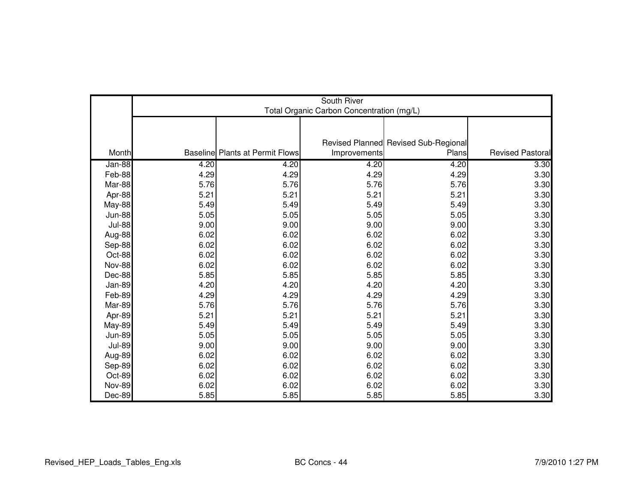|               | South River<br>Total Organic Carbon Concentration (mg/L) |                                        |              |                                      |                         |  |  |
|---------------|----------------------------------------------------------|----------------------------------------|--------------|--------------------------------------|-------------------------|--|--|
|               |                                                          |                                        |              |                                      |                         |  |  |
|               |                                                          |                                        |              |                                      |                         |  |  |
|               |                                                          |                                        |              | Revised Planned Revised Sub-Regional |                         |  |  |
| Month         |                                                          | <b>Baseline Plants at Permit Flows</b> | Improvements | Plans                                | <b>Revised Pastoral</b> |  |  |
| Jan-88        | 4.20                                                     | 4.20                                   | 4.20         | 4.20                                 | 3.30                    |  |  |
| Feb-88        | 4.29                                                     | 4.29                                   | 4.29         | 4.29                                 | 3.30                    |  |  |
| Mar-88        | 5.76                                                     | 5.76                                   | 5.76         | 5.76                                 | 3.30                    |  |  |
| Apr-88        | 5.21                                                     | 5.21                                   | 5.21         | 5.21                                 | 3.30                    |  |  |
| <b>May-88</b> | 5.49                                                     | 5.49                                   | 5.49         | 5.49                                 | 3.30                    |  |  |
| <b>Jun-88</b> | 5.05                                                     | 5.05                                   | 5.05         | 5.05                                 | 3.30                    |  |  |
| <b>Jul-88</b> | 9.00                                                     | 9.00                                   | 9.00         | 9.00                                 | 3.30                    |  |  |
| Aug-88        | 6.02                                                     | 6.02                                   | 6.02         | 6.02                                 | 3.30                    |  |  |
| Sep-88        | 6.02                                                     | 6.02                                   | 6.02         | 6.02                                 | 3.30                    |  |  |
| Oct-88        | 6.02                                                     | 6.02                                   | 6.02         | 6.02                                 | 3.30                    |  |  |
| <b>Nov-88</b> | 6.02                                                     | 6.02                                   | 6.02         | 6.02                                 | 3.30                    |  |  |
| Dec-88        | 5.85                                                     | 5.85                                   | 5.85         | 5.85                                 | 3.30                    |  |  |
| <b>Jan-89</b> | 4.20                                                     | 4.20                                   | 4.20         | 4.20                                 | 3.30                    |  |  |
| Feb-89        | 4.29                                                     | 4.29                                   | 4.29         | 4.29                                 | 3.30                    |  |  |
| Mar-89        | 5.76                                                     | 5.76                                   | 5.76         | 5.76                                 | 3.30                    |  |  |
| Apr-89        | 5.21                                                     | 5.21                                   | 5.21         | 5.21                                 | 3.30                    |  |  |
| <b>May-89</b> | 5.49                                                     | 5.49                                   | 5.49         | 5.49                                 | 3.30                    |  |  |
| <b>Jun-89</b> | 5.05                                                     | 5.05                                   | 5.05         | 5.05                                 | 3.30                    |  |  |
| <b>Jul-89</b> | 9.00                                                     | 9.00                                   | 9.00         | 9.00                                 | 3.30                    |  |  |
| Aug-89        | 6.02                                                     | 6.02                                   | 6.02         | 6.02                                 | 3.30                    |  |  |
| Sep-89        | 6.02                                                     | 6.02                                   | 6.02         | 6.02                                 | 3.30                    |  |  |
| Oct-89        | 6.02                                                     | 6.02                                   | 6.02         | 6.02                                 | 3.30                    |  |  |
| <b>Nov-89</b> | 6.02                                                     | 6.02                                   | 6.02         | 6.02                                 | 3.30                    |  |  |
| Dec-89        | 5.85                                                     | 5.85                                   | 5.85         | 5.85                                 | 3.30                    |  |  |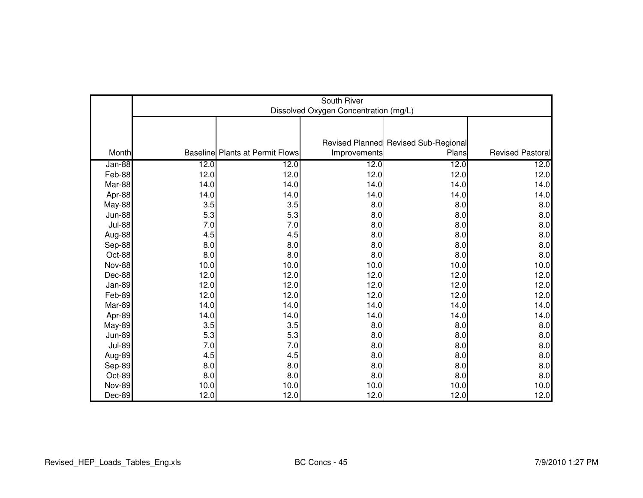|               | South River<br>Dissolved Oxygen Concentration (mg/L) |                                        |              |                                      |                         |  |  |
|---------------|------------------------------------------------------|----------------------------------------|--------------|--------------------------------------|-------------------------|--|--|
|               |                                                      |                                        |              |                                      |                         |  |  |
|               |                                                      |                                        |              | Revised Planned Revised Sub-Regional |                         |  |  |
| Month         |                                                      | <b>Baseline Plants at Permit Flows</b> | Improvements | Plans                                | <b>Revised Pastoral</b> |  |  |
| Jan-88        | 12.0                                                 | 12.0                                   | 12.0         | 12.0                                 | $\overline{12.0}$       |  |  |
| Feb-88        | 12.0                                                 | 12.0                                   | 12.0         | 12.0                                 | 12.0                    |  |  |
| Mar-88        | 14.0                                                 | 14.0                                   | 14.0         | 14.0                                 | 14.0                    |  |  |
| Apr-88        | 14.0                                                 | 14.0                                   | 14.0         | 14.0                                 | 14.0                    |  |  |
| <b>May-88</b> | 3.5                                                  | 3.5                                    | 8.0          | 8.0                                  | 8.0                     |  |  |
| <b>Jun-88</b> | 5.3                                                  | 5.3                                    | 8.0          | 8.0                                  | 8.0                     |  |  |
| <b>Jul-88</b> | 7.0                                                  | 7.0                                    | 8.0          | 8.0                                  | 8.0                     |  |  |
| Aug-88        | 4.5                                                  | 4.5                                    | 8.0          | 8.0                                  | 8.0                     |  |  |
| Sep-88        | 8.0                                                  | 8.0                                    | 8.0          | 8.0                                  | 8.0                     |  |  |
| Oct-88        | 8.0                                                  | 8.0                                    | 8.0          | 8.0                                  | 8.0                     |  |  |
| <b>Nov-88</b> | 10.0                                                 | 10.0                                   | 10.0         | 10.0                                 | 10.0                    |  |  |
| Dec-88        | 12.0                                                 | 12.0                                   | 12.0         | 12.0                                 | 12.0                    |  |  |
| Jan-89        | 12.0                                                 | 12.0                                   | 12.0         | 12.0                                 | 12.0                    |  |  |
| Feb-89        | 12.0                                                 | 12.0                                   | 12.0         | 12.0                                 | 12.0                    |  |  |
| Mar-89        | 14.0                                                 | 14.0                                   | 14.0         | 14.0                                 | 14.0                    |  |  |
| Apr-89        | 14.0                                                 | 14.0                                   | 14.0         | 14.0                                 | 14.0                    |  |  |
| <b>May-89</b> | 3.5                                                  | 3.5                                    | 8.0          | 8.0                                  | 8.0                     |  |  |
| <b>Jun-89</b> | 5.3                                                  | 5.3                                    | 8.0          | 8.0                                  | 8.0                     |  |  |
| <b>Jul-89</b> | 7.0                                                  | 7.0                                    | 8.0          | 8.0                                  | 8.0                     |  |  |
| Aug-89        | 4.5                                                  | 4.5                                    | 8.0          | 8.0                                  | 8.0                     |  |  |
| Sep-89        | 8.0                                                  | 8.0                                    | 8.0          | 8.0                                  | 8.0                     |  |  |
| Oct-89        | 8.0                                                  | 8.0                                    | 8.0          | 8.0                                  | 8.0                     |  |  |
| <b>Nov-89</b> | 10.0                                                 | 10.0                                   | 10.0         | 10.0                                 | 10.0                    |  |  |
| Dec-89        | 12.0                                                 | 12.0                                   | 12.0         | 12.0                                 | 12.0                    |  |  |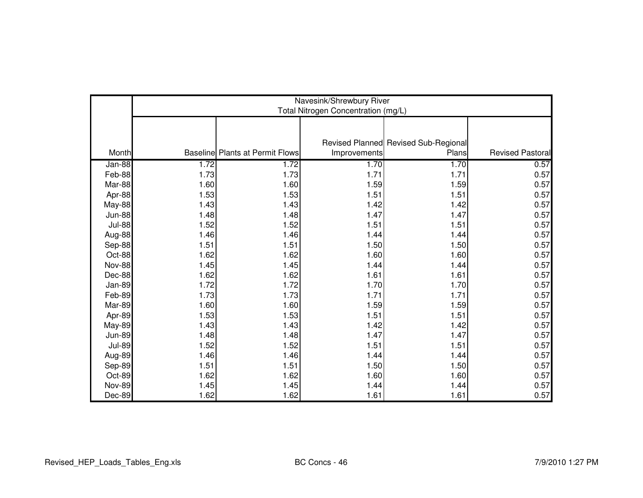|               | Navesink/Shrewbury River<br>Total Nitrogen Concentration (mg/L) |                                        |              |                                      |                         |  |
|---------------|-----------------------------------------------------------------|----------------------------------------|--------------|--------------------------------------|-------------------------|--|
|               |                                                                 |                                        |              |                                      |                         |  |
|               |                                                                 |                                        |              | Revised Planned Revised Sub-Regional |                         |  |
| Month         |                                                                 | <b>Baseline Plants at Permit Flows</b> | Improvements | Plans                                | <b>Revised Pastoral</b> |  |
| Jan-88        | 1.72                                                            | 1.72                                   | 1.70         | 1.70                                 | 0.57                    |  |
| Feb-88        | 1.73                                                            | 1.73                                   | 1.71         | 1.71                                 | 0.57                    |  |
| Mar-88        | 1.60                                                            | 1.60                                   | 1.59         | 1.59                                 | 0.57                    |  |
| Apr-88        | 1.53                                                            | 1.53                                   | 1.51         | 1.51                                 | 0.57                    |  |
| May-88        | 1.43                                                            | 1.43                                   | 1.42         | 1.42                                 | 0.57                    |  |
| <b>Jun-88</b> | 1.48                                                            | 1.48                                   | 1.47         | 1.47                                 | 0.57                    |  |
| <b>Jul-88</b> | 1.52                                                            | 1.52                                   | 1.51         | 1.51                                 | 0.57                    |  |
| Aug-88        | 1.46                                                            | 1.46                                   | 1.44         | 1.44                                 | 0.57                    |  |
| Sep-88        | 1.51                                                            | 1.51                                   | 1.50         | 1.50                                 | 0.57                    |  |
| Oct-88        | 1.62                                                            | 1.62                                   | 1.60         | 1.60                                 | 0.57                    |  |
| <b>Nov-88</b> | 1.45                                                            | 1.45                                   | 1.44         | 1.44                                 | 0.57                    |  |
| Dec-88        | 1.62                                                            | 1.62                                   | 1.61         | 1.61                                 | 0.57                    |  |
| Jan-89        | 1.72                                                            | 1.72                                   | 1.70         | 1.70                                 | 0.57                    |  |
| Feb-89        | 1.73                                                            | 1.73                                   | 1.71         | 1.71                                 | 0.57                    |  |
| Mar-89        | 1.60                                                            | 1.60                                   | 1.59         | 1.59                                 | 0.57                    |  |
| Apr-89        | 1.53                                                            | 1.53                                   | 1.51         | 1.51                                 | 0.57                    |  |
| <b>May-89</b> | 1.43                                                            | 1.43                                   | 1.42         | 1.42                                 | 0.57                    |  |
| <b>Jun-89</b> | 1.48                                                            | 1.48                                   | 1.47         | 1.47                                 | 0.57                    |  |
| <b>Jul-89</b> | 1.52                                                            | 1.52                                   | 1.51         | 1.51                                 | 0.57                    |  |
| Aug-89        | 1.46                                                            | 1.46                                   | 1.44         | 1.44                                 | 0.57                    |  |
| Sep-89        | 1.51                                                            | 1.51                                   | 1.50         | 1.50                                 | 0.57                    |  |
| Oct-89        | 1.62                                                            | 1.62                                   | 1.60         | 1.60                                 | 0.57                    |  |
| <b>Nov-89</b> | 1.45                                                            | 1.45                                   | 1.44         | 1.44                                 | 0.57                    |  |
| Dec-89        | 1.62                                                            | 1.62                                   | 1.61         | 1.61                                 | 0.57                    |  |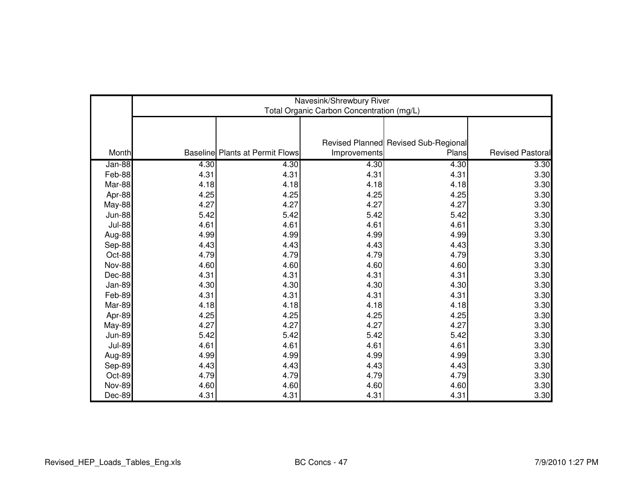|               | Navesink/Shrewbury River<br>Total Organic Carbon Concentration (mg/L) |                                        |              |                                               |                         |  |  |
|---------------|-----------------------------------------------------------------------|----------------------------------------|--------------|-----------------------------------------------|-------------------------|--|--|
|               |                                                                       |                                        |              |                                               |                         |  |  |
|               |                                                                       |                                        |              |                                               |                         |  |  |
| Month         |                                                                       | <b>Baseline Plants at Permit Flows</b> | Improvements | Revised Planned Revised Sub-Regional<br>Plans | <b>Revised Pastoral</b> |  |  |
| Jan-88        | 4.30                                                                  | 4.30                                   | 4.30         | 4.30                                          | 3.30                    |  |  |
| Feb-88        | 4.31                                                                  | 4.31                                   | 4.31         | 4.31                                          | 3.30                    |  |  |
| Mar-88        | 4.18                                                                  | 4.18                                   | 4.18         | 4.18                                          | 3.30                    |  |  |
| Apr-88        | 4.25                                                                  | 4.25                                   | 4.25         | 4.25                                          | 3.30                    |  |  |
| <b>May-88</b> | 4.27                                                                  | 4.27                                   | 4.27         | 4.27                                          | 3.30                    |  |  |
| <b>Jun-88</b> | 5.42                                                                  | 5.42                                   | 5.42         | 5.42                                          | 3.30                    |  |  |
| <b>Jul-88</b> | 4.61                                                                  | 4.61                                   | 4.61         | 4.61                                          | 3.30                    |  |  |
| Aug-88        | 4.99                                                                  | 4.99                                   | 4.99         | 4.99                                          | 3.30                    |  |  |
| Sep-88        | 4.43                                                                  | 4.43                                   | 4.43         | 4.43                                          | 3.30                    |  |  |
| Oct-88        | 4.79                                                                  | 4.79                                   | 4.79         | 4.79                                          | 3.30                    |  |  |
| <b>Nov-88</b> | 4.60                                                                  | 4.60                                   | 4.60         | 4.60                                          | 3.30                    |  |  |
| Dec-88        | 4.31                                                                  | 4.31                                   | 4.31         | 4.31                                          | 3.30                    |  |  |
| Jan-89        | 4.30                                                                  | 4.30                                   | 4.30         | 4.30                                          | 3.30                    |  |  |
| Feb-89        | 4.31                                                                  | 4.31                                   | 4.31         | 4.31                                          | 3.30                    |  |  |
| Mar-89        | 4.18                                                                  | 4.18                                   | 4.18         | 4.18                                          | 3.30                    |  |  |
| Apr-89        | 4.25                                                                  | 4.25                                   | 4.25         | 4.25                                          | 3.30                    |  |  |
| <b>May-89</b> | 4.27                                                                  | 4.27                                   | 4.27         | 4.27                                          | 3.30                    |  |  |
| <b>Jun-89</b> | 5.42                                                                  | 5.42                                   | 5.42         | 5.42                                          | 3.30                    |  |  |
| <b>Jul-89</b> | 4.61                                                                  | 4.61                                   | 4.61         | 4.61                                          | 3.30                    |  |  |
| Aug-89        | 4.99                                                                  | 4.99                                   | 4.99         | 4.99                                          | 3.30                    |  |  |
| Sep-89        | 4.43                                                                  | 4.43                                   | 4.43         | 4.43                                          | 3.30                    |  |  |
| Oct-89        | 4.79                                                                  | 4.79                                   | 4.79         | 4.79                                          | 3.30                    |  |  |
| <b>Nov-89</b> | 4.60                                                                  | 4.60                                   | 4.60         | 4.60                                          | 3.30                    |  |  |
| Dec-89        | 4.31                                                                  | 4.31                                   | 4.31         | 4.31                                          | 3.30                    |  |  |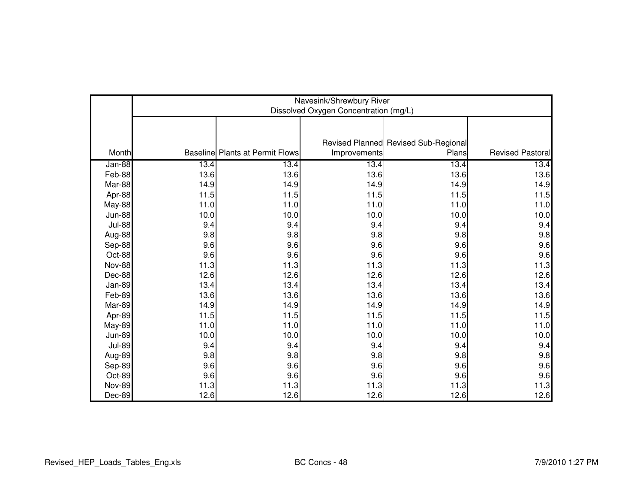|               | Navesink/Shrewbury River<br>Dissolved Oxygen Concentration (mg/L) |                                        |              |                                               |                         |  |  |
|---------------|-------------------------------------------------------------------|----------------------------------------|--------------|-----------------------------------------------|-------------------------|--|--|
| Month         |                                                                   | <b>Baseline Plants at Permit Flows</b> | Improvements | Revised Planned Revised Sub-Regional<br>Plans | <b>Revised Pastoral</b> |  |  |
| Jan-88        | 13.4                                                              | 13.4                                   | 13.4         | 13.4                                          | 13.4                    |  |  |
| Feb-88        | 13.6                                                              | 13.6                                   | 13.6         | 13.6                                          | 13.6                    |  |  |
| Mar-88        | 14.9                                                              | 14.9                                   | 14.9         | 14.9                                          | 14.9                    |  |  |
| Apr-88        | 11.5                                                              | 11.5                                   | 11.5         | 11.5                                          | $11.5$                  |  |  |
| <b>May-88</b> | 11.0                                                              | 11.0                                   | 11.0         | 11.0                                          | 11.0                    |  |  |
| <b>Jun-88</b> | 10.0                                                              | 10.0                                   | 10.0         | 10.0                                          | 10.0                    |  |  |
| <b>Jul-88</b> | 9.4                                                               | 9.4                                    | 9.4          | 9.4                                           | 9.4                     |  |  |
| Aug-88        | 9.8                                                               | 9.8                                    | 9.8          | 9.8                                           | 9.8                     |  |  |
| Sep-88        | 9.6                                                               | 9.6                                    | 9.6          | 9.6                                           | 9.6                     |  |  |
| Oct-88        | 9.6                                                               | 9.6                                    | 9.6          | 9.6                                           | 9.6                     |  |  |
| <b>Nov-88</b> | 11.3                                                              | 11.3                                   | 11.3         | 11.3                                          | 11.3                    |  |  |
| Dec-88        | 12.6                                                              | 12.6                                   | 12.6         | 12.6                                          | 12.6                    |  |  |
| Jan-89        | 13.4                                                              | 13.4                                   | 13.4         | 13.4                                          | 13.4                    |  |  |
| Feb-89        | 13.6                                                              | 13.6                                   | 13.6         | 13.6                                          | 13.6                    |  |  |
| Mar-89        | 14.9                                                              | 14.9                                   | 14.9         | 14.9                                          | 14.9                    |  |  |
| Apr-89        | 11.5                                                              | 11.5                                   | 11.5         | 11.5                                          | 11.5                    |  |  |
| <b>May-89</b> | 11.0                                                              | 11.0                                   | 11.0         | 11.0                                          | 11.0                    |  |  |
| <b>Jun-89</b> | 10.0                                                              | 10.0                                   | 10.0         | 10.0                                          | 10.0                    |  |  |
| <b>Jul-89</b> | 9.4                                                               | 9.4                                    | 9.4          | 9.4                                           | 9.4                     |  |  |
| Aug-89        | 9.8                                                               | 9.8                                    | 9.8          | 9.8                                           | 9.8                     |  |  |
| Sep-89        | 9.6                                                               | 9.6                                    | 9.6          | 9.6                                           | 9.6                     |  |  |
| Oct-89        | 9.6                                                               | 9.6                                    | 9.6          | 9.6                                           | 9.6                     |  |  |
| <b>Nov-89</b> | 11.3                                                              | 11.3                                   | 11.3         | 11.3                                          | 11.3                    |  |  |
| Dec-89        | 12.6                                                              | 12.6                                   | 12.6         | 12.6                                          | 12.6                    |  |  |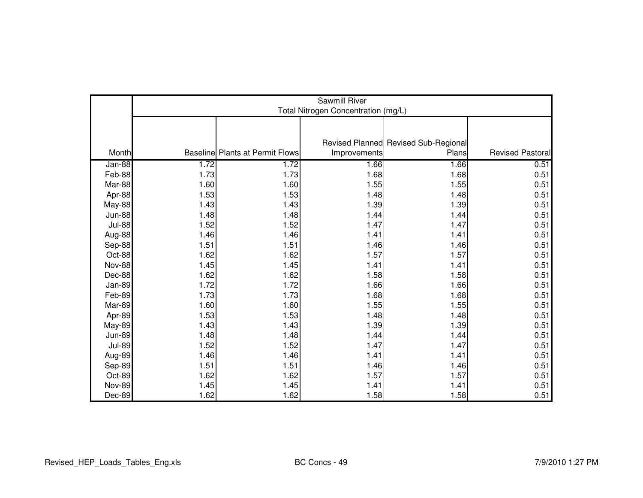|               | Sawmill River<br>Total Nitrogen Concentration (mg/L) |                                        |              |                                      |                         |  |
|---------------|------------------------------------------------------|----------------------------------------|--------------|--------------------------------------|-------------------------|--|
|               |                                                      |                                        |              |                                      |                         |  |
|               |                                                      |                                        |              |                                      |                         |  |
|               |                                                      |                                        |              | Revised Planned Revised Sub-Regional |                         |  |
| Month         |                                                      | <b>Baseline Plants at Permit Flows</b> | Improvements | Plans                                | <b>Revised Pastoral</b> |  |
| Jan-88        | 1.72                                                 | 1.72                                   | 1.66         | 1.66                                 | 0.51                    |  |
| Feb-88        | 1.73                                                 | 1.73                                   | 1.68         | 1.68                                 | 0.51                    |  |
| Mar-88        | 1.60                                                 | 1.60                                   | 1.55         | 1.55                                 | 0.51                    |  |
| Apr-88        | 1.53                                                 | 1.53                                   | 1.48         | 1.48                                 | 0.51                    |  |
| May-88        | 1.43                                                 | 1.43                                   | 1.39         | 1.39                                 | 0.51                    |  |
| <b>Jun-88</b> | 1.48                                                 | 1.48                                   | 1.44         | 1.44                                 | 0.51                    |  |
| <b>Jul-88</b> | 1.52                                                 | 1.52                                   | 1.47         | 1.47                                 | 0.51                    |  |
| Aug-88        | 1.46                                                 | 1.46                                   | 1.41         | 1.41                                 | 0.51                    |  |
| Sep-88        | 1.51                                                 | 1.51                                   | 1.46         | 1.46                                 | 0.51                    |  |
| Oct-88        | 1.62                                                 | 1.62                                   | 1.57         | 1.57                                 | 0.51                    |  |
| Nov-88        | 1.45                                                 | 1.45                                   | 1.41         | 1.41                                 | 0.51                    |  |
| Dec-88        | 1.62                                                 | 1.62                                   | 1.58         | 1.58                                 | 0.51                    |  |
| <b>Jan-89</b> | 1.72                                                 | 1.72                                   | 1.66         | 1.66                                 | 0.51                    |  |
| Feb-89        | 1.73                                                 | 1.73                                   | 1.68         | 1.68                                 | 0.51                    |  |
| Mar-89        | 1.60                                                 | 1.60                                   | 1.55         | 1.55                                 | 0.51                    |  |
| Apr-89        | 1.53                                                 | 1.53                                   | 1.48         | 1.48                                 | 0.51                    |  |
| <b>May-89</b> | 1.43                                                 | 1.43                                   | 1.39         | 1.39                                 | 0.51                    |  |
| <b>Jun-89</b> | 1.48                                                 | 1.48                                   | 1.44         | 1.44                                 | 0.51                    |  |
| <b>Jul-89</b> | 1.52                                                 | 1.52                                   | 1.47         | 1.47                                 | 0.51                    |  |
| Aug-89        | 1.46                                                 | 1.46                                   | 1.41         | 1.41                                 | 0.51                    |  |
| Sep-89        | 1.51                                                 | 1.51                                   | 1.46         | 1.46                                 | 0.51                    |  |
| Oct-89        | 1.62                                                 | 1.62                                   | 1.57         | 1.57                                 | 0.51                    |  |
| <b>Nov-89</b> | 1.45                                                 | 1.45                                   | 1.41         | 1.41                                 | 0.51                    |  |
| Dec-89        | 1.62                                                 | 1.62                                   | 1.58         | 1.58                                 | 0.51                    |  |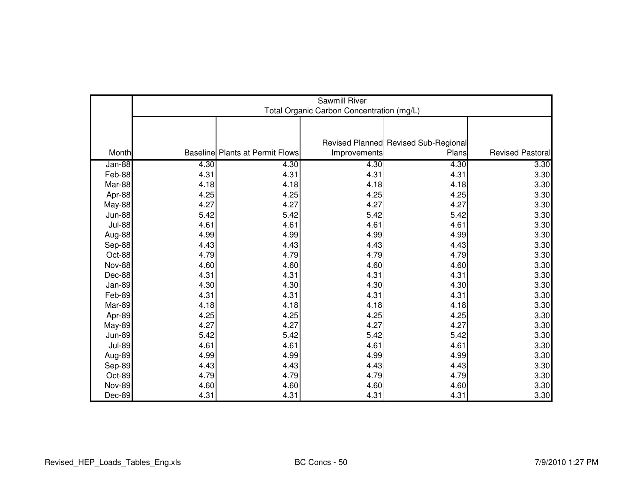|               | Sawmill River<br>Total Organic Carbon Concentration (mg/L) |                                        |              |                                      |                         |  |  |
|---------------|------------------------------------------------------------|----------------------------------------|--------------|--------------------------------------|-------------------------|--|--|
|               |                                                            |                                        |              |                                      |                         |  |  |
|               |                                                            |                                        |              | Revised Planned Revised Sub-Regional |                         |  |  |
| Month         |                                                            | <b>Baseline Plants at Permit Flows</b> | Improvements | Plans                                | <b>Revised Pastoral</b> |  |  |
| Jan-88        | 4.30                                                       | 4.30                                   | 4.30         | 4.30                                 | 3.30                    |  |  |
| Feb-88        | 4.31                                                       | 4.31                                   | 4.31         | 4.31                                 | 3.30                    |  |  |
| Mar-88        | 4.18                                                       | 4.18                                   | 4.18         | 4.18                                 | 3.30                    |  |  |
| Apr-88        | 4.25                                                       | 4.25                                   | 4.25         | 4.25                                 | 3.30                    |  |  |
| <b>May-88</b> | 4.27                                                       | 4.27                                   | 4.27         | 4.27                                 | 3.30                    |  |  |
| <b>Jun-88</b> | 5.42                                                       | 5.42                                   | 5.42         | 5.42                                 | 3.30                    |  |  |
| <b>Jul-88</b> | 4.61                                                       | 4.61                                   | 4.61         | 4.61                                 | 3.30                    |  |  |
| Aug-88        | 4.99                                                       | 4.99                                   | 4.99         | 4.99                                 | 3.30                    |  |  |
| Sep-88        | 4.43                                                       | 4.43                                   | 4.43         | 4.43                                 | 3.30                    |  |  |
| Oct-88        | 4.79                                                       | 4.79                                   | 4.79         | 4.79                                 | 3.30                    |  |  |
| <b>Nov-88</b> | 4.60                                                       | 4.60                                   | 4.60         | 4.60                                 | 3.30                    |  |  |
| Dec-88        | 4.31                                                       | 4.31                                   | 4.31         | 4.31                                 | 3.30                    |  |  |
| <b>Jan-89</b> | 4.30                                                       | 4.30                                   | 4.30         | 4.30                                 | 3.30                    |  |  |
| Feb-89        | 4.31                                                       | 4.31                                   | 4.31         | 4.31                                 | 3.30                    |  |  |
| Mar-89        | 4.18                                                       | 4.18                                   | 4.18         | 4.18                                 | 3.30                    |  |  |
| Apr-89        | 4.25                                                       | 4.25                                   | 4.25         | 4.25                                 | 3.30                    |  |  |
| <b>May-89</b> | 4.27                                                       | 4.27                                   | 4.27         | 4.27                                 | 3.30                    |  |  |
| <b>Jun-89</b> | 5.42                                                       | 5.42                                   | 5.42         | 5.42                                 | 3.30                    |  |  |
| <b>Jul-89</b> | 4.61                                                       | 4.61                                   | 4.61         | 4.61                                 | 3.30                    |  |  |
| Aug-89        | 4.99                                                       | 4.99                                   | 4.99         | 4.99                                 | 3.30                    |  |  |
| Sep-89        | 4.43                                                       | 4.43                                   | 4.43         | 4.43                                 | 3.30                    |  |  |
| Oct-89        | 4.79                                                       | 4.79                                   | 4.79         | 4.79                                 | 3.30                    |  |  |
| <b>Nov-89</b> | 4.60                                                       | 4.60                                   | 4.60         | 4.60                                 | 3.30                    |  |  |
| Dec-89        | 4.31                                                       | 4.31                                   | 4.31         | 4.31                                 | 3.30                    |  |  |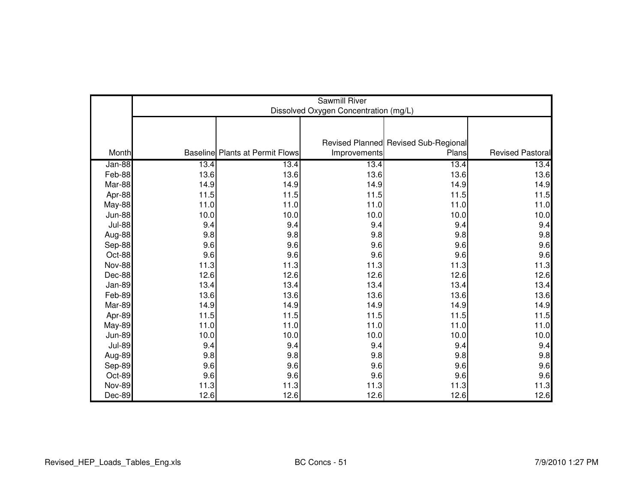|               | Sawmill River<br>Dissolved Oxygen Concentration (mg/L) |                                        |              |                                      |                         |  |  |
|---------------|--------------------------------------------------------|----------------------------------------|--------------|--------------------------------------|-------------------------|--|--|
|               |                                                        |                                        |              |                                      |                         |  |  |
|               |                                                        |                                        |              | Revised Planned Revised Sub-Regional |                         |  |  |
| Month         |                                                        | <b>Baseline Plants at Permit Flows</b> | Improvements | Plans                                | <b>Revised Pastoral</b> |  |  |
| Jan-88        | 13.4                                                   | 13.4                                   | 13.4         | 13.4                                 | 13.4                    |  |  |
| Feb-88        | 13.6                                                   | 13.6                                   | 13.6         | 13.6                                 | 13.6                    |  |  |
| Mar-88        | 14.9                                                   | 14.9                                   | 14.9         | 14.9                                 | 14.9                    |  |  |
| Apr-88        | 11.5                                                   | 11.5                                   | 11.5         | 11.5                                 | $11.5$                  |  |  |
| <b>May-88</b> | 11.0                                                   | 11.0                                   | 11.0         | 11.0                                 | 11.0                    |  |  |
| <b>Jun-88</b> | 10.0                                                   | 10.0                                   | 10.0         | 10.0                                 | 10.0                    |  |  |
| <b>Jul-88</b> | 9.4                                                    | 9.4                                    | 9.4          | 9.4                                  | 9.4                     |  |  |
| Aug-88        | 9.8                                                    | 9.8                                    | 9.8          | 9.8                                  | 9.8                     |  |  |
| Sep-88        | 9.6                                                    | 9.6                                    | 9.6          | 9.6                                  | 9.6                     |  |  |
| Oct-88        | 9.6                                                    | 9.6                                    | 9.6          | 9.6                                  | 9.6                     |  |  |
| <b>Nov-88</b> | 11.3                                                   | 11.3                                   | 11.3         | 11.3                                 | 11.3                    |  |  |
| Dec-88        | 12.6                                                   | 12.6                                   | 12.6         | 12.6                                 | 12.6                    |  |  |
| Jan-89        | 13.4                                                   | 13.4                                   | 13.4         | 13.4                                 | 13.4                    |  |  |
| Feb-89        | 13.6                                                   | 13.6                                   | 13.6         | 13.6                                 | 13.6                    |  |  |
| Mar-89        | 14.9                                                   | 14.9                                   | 14.9         | 14.9                                 | 14.9                    |  |  |
| Apr-89        | 11.5                                                   | 11.5                                   | 11.5         | 11.5                                 | 11.5                    |  |  |
| <b>May-89</b> | 11.0                                                   | 11.0                                   | 11.0         | $11.0$                               | 11.0                    |  |  |
| <b>Jun-89</b> | 10.0                                                   | 10.0                                   | 10.0         | 10.0                                 | 10.0                    |  |  |
| <b>Jul-89</b> | 9.4                                                    | 9.4                                    | 9.4          | 9.4                                  | 9.4                     |  |  |
| Aug-89        | 9.8                                                    | 9.8                                    | 9.8          | 9.8                                  | 9.8                     |  |  |
| Sep-89        | 9.6                                                    | 9.6                                    | 9.6          | 9.6                                  | 9.6                     |  |  |
| Oct-89        | 9.6                                                    | 9.6                                    | 9.6          | 9.6                                  | 9.6                     |  |  |
| <b>Nov-89</b> | 11.3                                                   | 11.3                                   | 11.3         | 11.3                                 | 11.3                    |  |  |
| Dec-89        | 12.6                                                   | 12.6                                   | 12.6         | 12.6                                 | 12.6                    |  |  |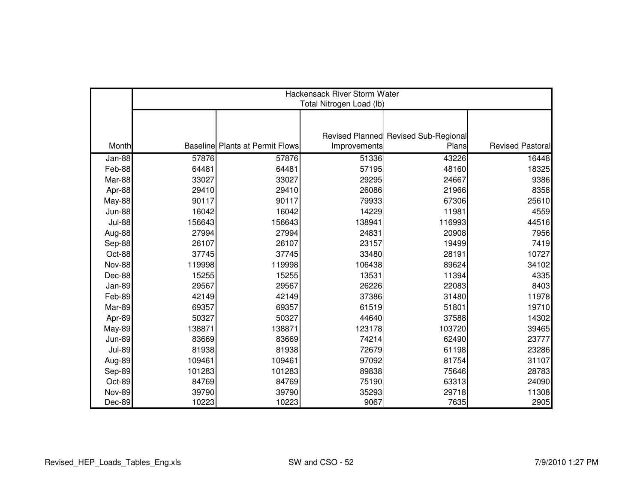|               | Hackensack River Storm Water<br>Total Nitrogen Load (lb) |                                        |              |                                      |                         |  |  |
|---------------|----------------------------------------------------------|----------------------------------------|--------------|--------------------------------------|-------------------------|--|--|
|               |                                                          |                                        |              |                                      |                         |  |  |
|               |                                                          |                                        |              |                                      |                         |  |  |
|               |                                                          |                                        |              | Revised Planned Revised Sub-Regional |                         |  |  |
| Month         |                                                          | <b>Baseline Plants at Permit Flows</b> | Improvements | Plans                                | <b>Revised Pastoral</b> |  |  |
| Jan-88        | 57876                                                    | 57876                                  | 51336        | 43226                                | 16448                   |  |  |
| Feb-88        | 64481                                                    | 64481                                  | 57195        | 48160                                | 18325                   |  |  |
| Mar-88        | 33027                                                    | 33027                                  | 29295        | 24667                                | 9386                    |  |  |
| Apr-88        | 29410                                                    | 29410                                  | 26086        | 21966                                | 8358                    |  |  |
| May-88        | 90117                                                    | 90117                                  | 79933        | 67306                                | 25610                   |  |  |
| <b>Jun-88</b> | 16042                                                    | 16042                                  | 14229        | 11981                                | 4559                    |  |  |
| <b>Jul-88</b> | 156643                                                   | 156643                                 | 138941       | 116993                               | 44516                   |  |  |
| Aug-88        | 27994                                                    | 27994                                  | 24831        | 20908                                | 7956                    |  |  |
| Sep-88        | 26107                                                    | 26107                                  | 23157        | 19499                                | 7419                    |  |  |
| Oct-88        | 37745                                                    | 37745                                  | 33480        | 28191                                | 10727                   |  |  |
| <b>Nov-88</b> | 119998                                                   | 119998                                 | 106438       | 89624                                | 34102                   |  |  |
| Dec-88        | 15255                                                    | 15255                                  | 13531        | 11394                                | 4335                    |  |  |
| <b>Jan-89</b> | 29567                                                    | 29567                                  | 26226        | 22083                                | 8403                    |  |  |
| Feb-89        | 42149                                                    | 42149                                  | 37386        | 31480                                | 11978                   |  |  |
| Mar-89        | 69357                                                    | 69357                                  | 61519        | 51801                                | 19710                   |  |  |
| Apr-89        | 50327                                                    | 50327                                  | 44640        | 37588                                | 14302                   |  |  |
| <b>May-89</b> | 138871                                                   | 138871                                 | 123178       | 103720                               | 39465                   |  |  |
| <b>Jun-89</b> | 83669                                                    | 83669                                  | 74214        | 62490                                | 23777                   |  |  |
| <b>Jul-89</b> | 81938                                                    | 81938                                  | 72679        | 61198                                | 23286                   |  |  |
| Aug-89        | 109461                                                   | 109461                                 | 97092        | 81754                                | 31107                   |  |  |
| Sep-89        | 101283                                                   | 101283                                 | 89838        | 75646                                | 28783                   |  |  |
| Oct-89        | 84769                                                    | 84769                                  | 75190        | 63313                                | 24090                   |  |  |
| <b>Nov-89</b> | 39790                                                    | 39790                                  | 35293        | 29718                                | 11308                   |  |  |
| Dec-89        | 10223                                                    | 10223                                  | 9067         | 7635                                 | 2905                    |  |  |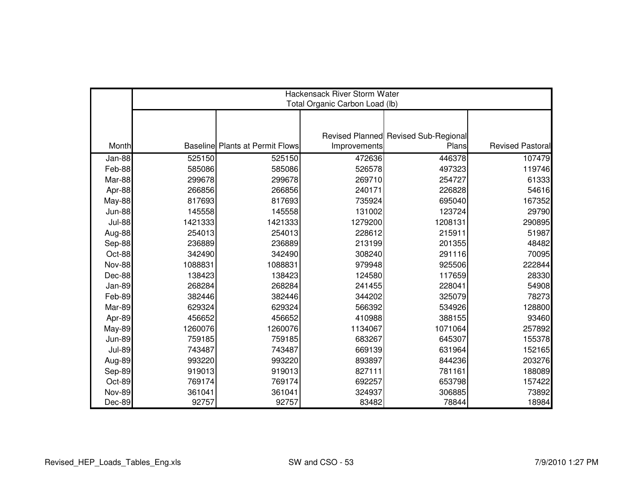|               | <b>Hackensack River Storm Water</b><br>Total Organic Carbon Load (lb) |                                        |              |                                      |                         |  |  |
|---------------|-----------------------------------------------------------------------|----------------------------------------|--------------|--------------------------------------|-------------------------|--|--|
|               |                                                                       |                                        |              |                                      |                         |  |  |
|               |                                                                       |                                        |              |                                      |                         |  |  |
|               |                                                                       |                                        |              | Revised Planned Revised Sub-Regional |                         |  |  |
| Month         |                                                                       | <b>Baseline Plants at Permit Flows</b> | Improvements | Plans                                | <b>Revised Pastoral</b> |  |  |
| Jan-88        | 525150                                                                | 525150                                 | 472636       | 446378                               | 107479                  |  |  |
| Feb-88        | 585086                                                                | 585086                                 | 526578       | 497323                               | 119746                  |  |  |
| Mar-88        | 299678                                                                | 299678                                 | 269710       | 254727                               | 61333                   |  |  |
| Apr-88        | 266856                                                                | 266856                                 | 240171       | 226828                               | 54616                   |  |  |
| <b>May-88</b> | 817693                                                                | 817693                                 | 735924       | 695040                               | 167352                  |  |  |
| <b>Jun-88</b> | 145558                                                                | 145558                                 | 131002       | 123724                               | 29790                   |  |  |
| <b>Jul-88</b> | 1421333                                                               | 1421333                                | 1279200      | 1208131                              | 290895                  |  |  |
| Aug-88        | 254013                                                                | 254013                                 | 228612       | 215911                               | 51987                   |  |  |
| Sep-88        | 236889                                                                | 236889                                 | 213199       | 201355                               | 48482                   |  |  |
| Oct-88        | 342490                                                                | 342490                                 | 308240       | 291116                               | 70095                   |  |  |
| Nov-88        | 1088831                                                               | 1088831                                | 979948       | 925506                               | 222844                  |  |  |
| Dec-88        | 138423                                                                | 138423                                 | 124580       | 117659                               | 28330                   |  |  |
| Jan-89        | 268284                                                                | 268284                                 | 241455       | 228041                               | 54908                   |  |  |
| Feb-89        | 382446                                                                | 382446                                 | 344202       | 325079                               | 78273                   |  |  |
| Mar-89        | 629324                                                                | 629324                                 | 566392       | 534926                               | 128800                  |  |  |
| Apr-89        | 456652                                                                | 456652                                 | 410988       | 388155                               | 93460                   |  |  |
| <b>May-89</b> | 1260076                                                               | 1260076                                | 1134067      | 1071064                              | 257892                  |  |  |
| <b>Jun-89</b> | 759185                                                                | 759185                                 | 683267       | 645307                               | 155378                  |  |  |
| <b>Jul-89</b> | 743487                                                                | 743487                                 | 669139       | 631964                               | 152165                  |  |  |
| Aug-89        | 993220                                                                | 993220                                 | 893897       | 844236                               | 203276                  |  |  |
| Sep-89        | 919013                                                                | 919013                                 | 827111       | 781161                               | 188089                  |  |  |
| Oct-89        | 769174                                                                | 769174                                 | 692257       | 653798                               | 157422                  |  |  |
| <b>Nov-89</b> | 361041                                                                | 361041                                 | 324937       | 306885                               | 73892                   |  |  |
| Dec-89        | 92757                                                                 | 92757                                  | 83482        | 78844                                | 18984                   |  |  |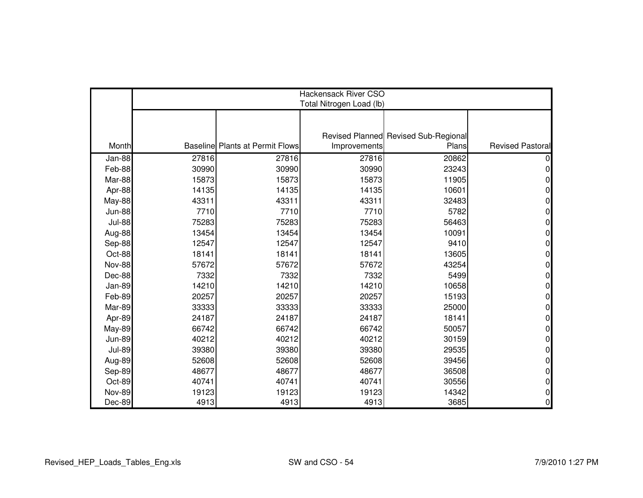|               | Hackensack River CSO<br>Total Nitrogen Load (lb) |                                        |              |                                      |                         |  |  |
|---------------|--------------------------------------------------|----------------------------------------|--------------|--------------------------------------|-------------------------|--|--|
|               |                                                  |                                        |              |                                      |                         |  |  |
|               |                                                  |                                        |              |                                      |                         |  |  |
|               |                                                  |                                        |              | Revised Planned Revised Sub-Regional |                         |  |  |
| Month         |                                                  | <b>Baseline Plants at Permit Flows</b> | Improvements | Plans                                | <b>Revised Pastoral</b> |  |  |
| $Jan-88$      | 27816                                            | 27816                                  | 27816        | 20862                                |                         |  |  |
| Feb-88        | 30990                                            | 30990                                  | 30990        | 23243                                | 0                       |  |  |
| Mar-88        | 15873                                            | 15873                                  | 15873        | 11905                                | 0                       |  |  |
| Apr-88        | 14135                                            | 14135                                  | 14135        | 10601                                | 0                       |  |  |
| <b>May-88</b> | 43311                                            | 43311                                  | 43311        | 32483                                | 0                       |  |  |
| <b>Jun-88</b> | 7710                                             | 7710                                   | 7710         | 5782                                 | 0                       |  |  |
| <b>Jul-88</b> | 75283                                            | 75283                                  | 75283        | 56463                                | 0                       |  |  |
| Aug-88        | 13454                                            | 13454                                  | 13454        | 10091                                | 0                       |  |  |
| Sep-88        | 12547                                            | 12547                                  | 12547        | 9410                                 | 0                       |  |  |
| Oct-88        | 18141                                            | 18141                                  | 18141        | 13605                                | $\Omega$                |  |  |
| <b>Nov-88</b> | 57672                                            | 57672                                  | 57672        | 43254                                | 0                       |  |  |
| Dec-88        | 7332                                             | 7332                                   | 7332         | 5499                                 | 0                       |  |  |
| Jan-89        | 14210                                            | 14210                                  | 14210        | 10658                                | 0                       |  |  |
| Feb-89        | 20257                                            | 20257                                  | 20257        | 15193                                | 0                       |  |  |
| Mar-89        | 33333                                            | 33333                                  | 33333        | 25000                                | 0                       |  |  |
| Apr-89        | 24187                                            | 24187                                  | 24187        | 18141                                | 0                       |  |  |
| <b>May-89</b> | 66742                                            | 66742                                  | 66742        | 50057                                | 0                       |  |  |
| <b>Jun-89</b> | 40212                                            | 40212                                  | 40212        | 30159                                | 0                       |  |  |
| <b>Jul-89</b> | 39380                                            | 39380                                  | 39380        | 29535                                | 0                       |  |  |
| Aug-89        | 52608                                            | 52608                                  | 52608        | 39456                                | 0                       |  |  |
| Sep-89        | 48677                                            | 48677                                  | 48677        | 36508                                | 0                       |  |  |
| Oct-89        | 40741                                            | 40741                                  | 40741        | 30556                                | 0                       |  |  |
| <b>Nov-89</b> | 19123                                            | 19123                                  | 19123        | 14342                                | 0                       |  |  |
| Dec-89        | 4913                                             | 4913                                   | 4913         | 3685                                 | 0                       |  |  |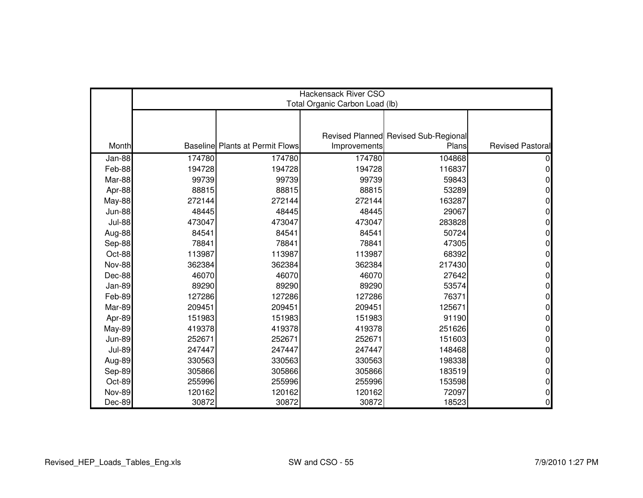|               | Hackensack River CSO<br>Total Organic Carbon Load (lb) |                                        |              |                                      |                         |  |  |
|---------------|--------------------------------------------------------|----------------------------------------|--------------|--------------------------------------|-------------------------|--|--|
|               |                                                        |                                        |              |                                      |                         |  |  |
|               |                                                        |                                        |              |                                      |                         |  |  |
|               |                                                        |                                        |              | Revised Planned Revised Sub-Regional |                         |  |  |
| Month         |                                                        | <b>Baseline Plants at Permit Flows</b> | Improvements | Plans                                | <b>Revised Pastoral</b> |  |  |
| Jan-88        | 174780                                                 | 174780                                 | 174780       | 104868                               |                         |  |  |
| Feb-88        | 194728                                                 | 194728                                 | 194728       | 116837                               | 0                       |  |  |
| Mar-88        | 99739                                                  | 99739                                  | 99739        | 59843                                | 0                       |  |  |
| Apr-88        | 88815                                                  | 88815                                  | 88815        | 53289                                |                         |  |  |
| <b>May-88</b> | 272144                                                 | 272144                                 | 272144       | 163287                               | 0                       |  |  |
| <b>Jun-88</b> | 48445                                                  | 48445                                  | 48445        | 29067                                | 0                       |  |  |
| <b>Jul-88</b> | 473047                                                 | 473047                                 | 473047       | 283828                               | 0                       |  |  |
| Aug-88        | 84541                                                  | 84541                                  | 84541        | 50724                                | 0                       |  |  |
| Sep-88        | 78841                                                  | 78841                                  | 78841        | 47305                                | 0                       |  |  |
| Oct-88        | 113987                                                 | 113987                                 | 113987       | 68392                                | 0                       |  |  |
| <b>Nov-88</b> | 362384                                                 | 362384                                 | 362384       | 217430                               | 0                       |  |  |
| Dec-88        | 46070                                                  | 46070                                  | 46070        | 27642                                | 0                       |  |  |
| Jan-89        | 89290                                                  | 89290                                  | 89290        | 53574                                | 0                       |  |  |
| Feb-89        | 127286                                                 | 127286                                 | 127286       | 76371                                | 0                       |  |  |
| Mar-89        | 209451                                                 | 209451                                 | 209451       | 125671                               | 0                       |  |  |
| Apr-89        | 151983                                                 | 151983                                 | 151983       | 91190                                | 0                       |  |  |
| <b>May-89</b> | 419378                                                 | 419378                                 | 419378       | 251626                               | 0                       |  |  |
| <b>Jun-89</b> | 252671                                                 | 252671                                 | 252671       | 151603                               | 0                       |  |  |
| <b>Jul-89</b> | 247447                                                 | 247447                                 | 247447       | 148468                               | 0                       |  |  |
| Aug-89        | 330563                                                 | 330563                                 | 330563       | 198338                               | 0                       |  |  |
| Sep-89        | 305866                                                 | 305866                                 | 305866       | 183519                               | 0                       |  |  |
| Oct-89        | 255996                                                 | 255996                                 | 255996       | 153598                               | 0                       |  |  |
| <b>Nov-89</b> | 120162                                                 | 120162                                 | 120162       | 72097                                | 0                       |  |  |
| Dec-89        | 30872                                                  | 30872                                  | 30872        | 18523                                | 0                       |  |  |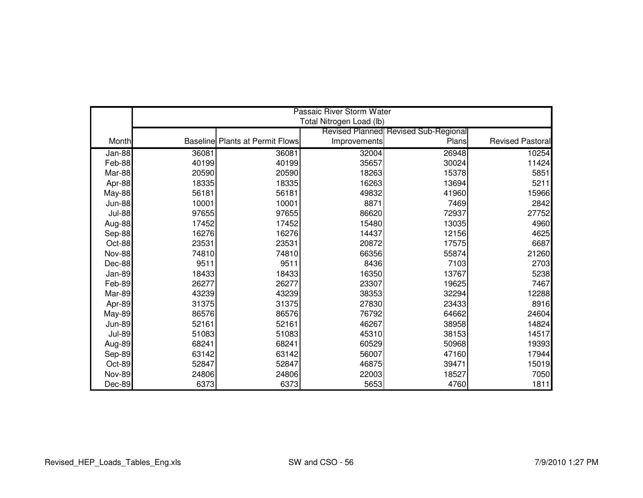|               |       |                                        | Passaic River Storm Water |                                             |                         |
|---------------|-------|----------------------------------------|---------------------------|---------------------------------------------|-------------------------|
|               |       |                                        | Total Nitrogen Load (lb)  |                                             |                         |
|               |       |                                        |                           | <b>Revised Planned Revised Sub-Regional</b> |                         |
| Month         |       | <b>Baseline Plants at Permit Flows</b> | Improvements              | Plans                                       | <b>Revised Pastoral</b> |
| Jan-88        | 36081 | 36081                                  | 32004                     | 26948                                       | 10254                   |
| Feb-88        | 40199 | 40199                                  | 35657                     | 30024                                       | 11424                   |
| Mar-88        | 20590 | 20590                                  | 18263                     | 15378                                       | 5851                    |
| Apr-88        | 18335 | 18335                                  | 16263                     | 13694                                       | 5211                    |
| <b>May-88</b> | 56181 | 56181                                  | 49832                     | 41960                                       | 15966                   |
| <b>Jun-88</b> | 10001 | 10001                                  | 8871                      | 7469                                        | 2842                    |
| <b>Jul-88</b> | 97655 | 97655                                  | 86620                     | 72937                                       | 27752                   |
| Aug-88        | 17452 | 17452                                  | 15480                     | 13035                                       | 4960                    |
| Sep-88        | 16276 | 16276                                  | 14437                     | 12156                                       | 4625                    |
| Oct-88        | 23531 | 23531                                  | 20872                     | 17575                                       | 6687                    |
| <b>Nov-88</b> | 74810 | 74810                                  | 66356                     | 55874                                       | 21260                   |
| Dec-88        | 9511  | 9511                                   | 8436                      | 7103                                        | 2703                    |
| Jan-89        | 18433 | 18433                                  | 16350                     | 13767                                       | 5238                    |
| Feb-89        | 26277 | 26277                                  | 23307                     | 19625                                       | 7467                    |
| Mar-89        | 43239 | 43239                                  | 38353                     | 32294                                       | 12288                   |
| Apr-89        | 31375 | 31375                                  | 27830                     | 23433                                       | 8916                    |
| May-89        | 86576 | 86576                                  | 76792                     | 64662                                       | 24604                   |
| <b>Jun-89</b> | 52161 | 52161                                  | 46267                     | 38958                                       | 14824                   |
| <b>Jul-89</b> | 51083 | 51083                                  | 45310                     | 38153                                       | 14517                   |
| Aug-89        | 68241 | 68241                                  | 60529                     | 50968                                       | 19393                   |
| Sep-89        | 63142 | 63142                                  | 56007                     | 47160                                       | 17944                   |
| Oct-89        | 52847 | 52847                                  | 46875                     | 39471                                       | 15019                   |
| <b>Nov-89</b> | 24806 | 24806                                  | 22003                     | 18527                                       | 7050                    |
| Dec-89        | 6373  | 6373                                   | 5653                      | 4760                                        | 1811                    |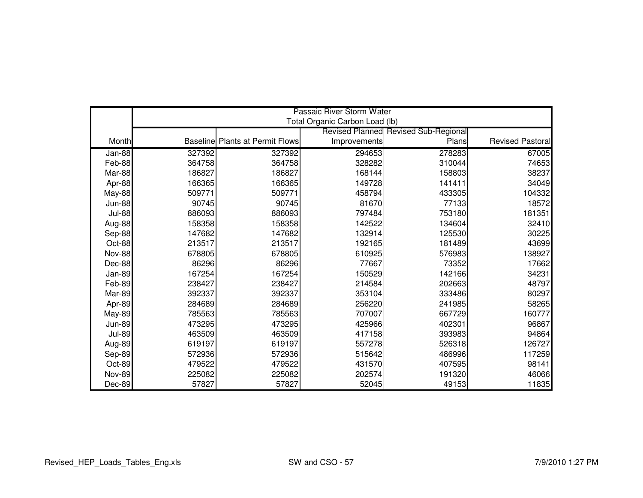|               | Passaic River Storm Water<br>Total Organic Carbon Load (lb) |                                        |              |                                             |                  |  |
|---------------|-------------------------------------------------------------|----------------------------------------|--------------|---------------------------------------------|------------------|--|
|               |                                                             |                                        |              | <b>Revised Planned Revised Sub-Regional</b> |                  |  |
| Month         |                                                             | <b>Baseline Plants at Permit Flows</b> | Improvements | Plans                                       | Revised Pastoral |  |
|               | 327392                                                      | 327392                                 | 294653       | 278283                                      | 67005            |  |
| Jan-88        |                                                             |                                        | 328282       | 310044                                      | 74653            |  |
| Feb-88        | 364758<br>186827                                            | 364758                                 | 168144       | 158803                                      |                  |  |
| Mar-88        |                                                             | 186827                                 |              |                                             | 38237            |  |
| Apr-88        | 166365                                                      | 166365                                 | 149728       | 141411                                      | 34049            |  |
| May-88        | 509771                                                      | 509771                                 | 458794       | 433305                                      | 104332           |  |
| <b>Jun-88</b> | 90745                                                       | 90745                                  | 81670        | 77133                                       | 18572            |  |
| <b>Jul-88</b> | 886093                                                      | 886093                                 | 797484       | 753180                                      | 181351           |  |
| Aug-88        | 158358                                                      | 158358                                 | 142522       | 134604                                      | 32410            |  |
| Sep-88        | 147682                                                      | 147682                                 | 132914       | 125530                                      | 30225            |  |
| Oct-88        | 213517                                                      | 213517                                 | 192165       | 181489                                      | 43699            |  |
| <b>Nov-88</b> | 678805                                                      | 678805                                 | 610925       | 576983                                      | 138927           |  |
| Dec-88        | 86296                                                       | 86296                                  | 77667        | 73352                                       | 17662            |  |
| Jan-89        | 167254                                                      | 167254                                 | 150529       | 142166                                      | 34231            |  |
| Feb-89        | 238427                                                      | 238427                                 | 214584       | 202663                                      | 48797            |  |
| Mar-89        | 392337                                                      | 392337                                 | 353104       | 333486                                      | 80297            |  |
| Apr-89        | 284689                                                      | 284689                                 | 256220       | 241985                                      | 58265            |  |
| <b>May-89</b> | 785563                                                      | 785563                                 | 707007       | 667729                                      | 160777           |  |
| <b>Jun-89</b> | 473295                                                      | 473295                                 | 425966       | 402301                                      | 96867            |  |
| <b>Jul-89</b> | 463509                                                      | 463509                                 | 417158       | 393983                                      | 94864            |  |
| Aug-89        | 619197                                                      | 619197                                 | 557278       | 526318                                      | 126727           |  |
| Sep-89        | 572936                                                      | 572936                                 | 515642       | 486996                                      | 117259           |  |
| Oct-89        | 479522                                                      | 479522                                 | 431570       | 407595                                      | 98141            |  |
| <b>Nov-89</b> | 225082                                                      | 225082                                 | 202574       | 191320                                      | 46066            |  |
| Dec-89        | 57827                                                       | 57827                                  | 52045        | 49153                                       | 11835            |  |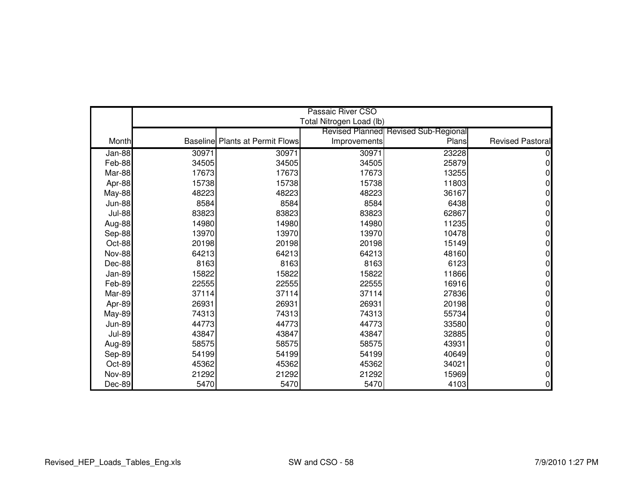|               |       |                                        | Passaic River CSO        |                                      |                         |
|---------------|-------|----------------------------------------|--------------------------|--------------------------------------|-------------------------|
|               |       |                                        | Total Nitrogen Load (lb) |                                      |                         |
|               |       |                                        |                          | Revised Planned Revised Sub-Regional |                         |
| Month         |       | <b>Baseline Plants at Permit Flows</b> | Improvements             | Plans                                | <b>Revised Pastoral</b> |
| Jan-88        | 30971 | 30971                                  | 30971                    | 23228                                |                         |
| Feb-88        | 34505 | 34505                                  | 34505                    | 25879                                |                         |
| Mar-88        | 17673 | 17673                                  | 17673                    | 13255                                |                         |
| Apr-88        | 15738 | 15738                                  | 15738                    | 11803                                | 0                       |
| May-88        | 48223 | 48223                                  | 48223                    | 36167                                | 0                       |
| <b>Jun-88</b> | 8584  | 8584                                   | 8584                     | 6438                                 | 0                       |
| <b>Jul-88</b> | 83823 | 83823                                  | 83823                    | 62867                                | 0                       |
| Aug-88        | 14980 | 14980                                  | 14980                    | 11235                                | 0                       |
| Sep-88        | 13970 | 13970                                  | 13970                    | 10478                                | 0                       |
| Oct-88        | 20198 | 20198                                  | 20198                    | 15149                                | 0                       |
| <b>Nov-88</b> | 64213 | 64213                                  | 64213                    | 48160                                | 0                       |
| Dec-88        | 8163  | 8163                                   | 8163                     | 6123                                 | 0                       |
| Jan-89        | 15822 | 15822                                  | 15822                    | 11866                                | 0                       |
| Feb-89        | 22555 | 22555                                  | 22555                    | 16916                                | 0                       |
| Mar-89        | 37114 | 37114                                  | 37114                    | 27836                                | 0                       |
| Apr-89        | 26931 | 26931                                  | 26931                    | 20198                                | 0                       |
| May-89        | 74313 | 74313                                  | 74313                    | 55734                                | 0                       |
| <b>Jun-89</b> | 44773 | 44773                                  | 44773                    | 33580                                | 0                       |
| <b>Jul-89</b> | 43847 | 43847                                  | 43847                    | 32885                                | 0                       |
| Aug-89        | 58575 | 58575                                  | 58575                    | 43931                                | 0                       |
| Sep-89        | 54199 | 54199                                  | 54199                    | 40649                                | 0                       |
| Oct-89        | 45362 | 45362                                  | 45362                    | 34021                                | 0                       |
| <b>Nov-89</b> | 21292 | 21292                                  | 21292                    | 15969                                | 0                       |
| Dec-89        | 5470  | 5470                                   | 5470                     | 4103                                 | 0                       |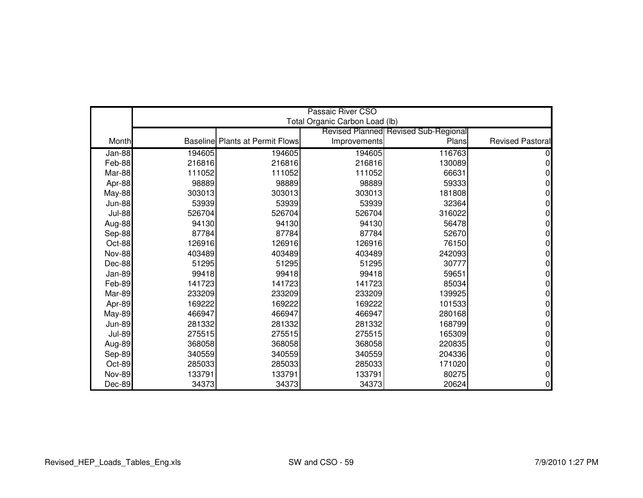|               |        |                                        | Passaic River CSO              |                                      |                         |
|---------------|--------|----------------------------------------|--------------------------------|--------------------------------------|-------------------------|
|               |        |                                        | Total Organic Carbon Load (lb) |                                      |                         |
|               |        |                                        |                                | Revised Planned Revised Sub-Regional |                         |
| Month         |        | <b>Baseline Plants at Permit Flows</b> | Improvements                   | Plans                                | <b>Revised Pastoral</b> |
| Jan-88        | 194605 | 194605                                 | 194605                         | 116763                               |                         |
| Feb-88        | 216816 | 216816                                 | 216816                         | 130089                               |                         |
| Mar-88        | 111052 | 111052                                 | 111052                         | 66631                                |                         |
| Apr-88        | 98889  | 98889                                  | 98889                          | 59333                                |                         |
| <b>May-88</b> | 303013 | 303013                                 | 303013                         | 181808                               |                         |
| <b>Jun-88</b> | 53939  | 53939                                  | 53939                          | 32364                                |                         |
| <b>Jul-88</b> | 526704 | 526704                                 | 526704                         | 316022                               |                         |
| Aug-88        | 94130  | 94130                                  | 94130                          | 56478                                |                         |
| Sep-88        | 87784  | 87784                                  | 87784                          | 52670                                |                         |
| Oct-88        | 126916 | 126916                                 | 126916                         | 76150                                |                         |
| <b>Nov-88</b> | 403489 | 403489                                 | 403489                         | 242093                               |                         |
| Dec-88        | 51295  | 51295                                  | 51295                          | 30777                                |                         |
| Jan-89        | 99418  | 99418                                  | 99418                          | 59651                                |                         |
| Feb-89        | 141723 | 141723                                 | 141723                         | 85034                                |                         |
| Mar-89        | 233209 | 233209                                 | 233209                         | 139925                               |                         |
| Apr-89        | 169222 | 169222                                 | 169222                         | 101533                               |                         |
| May-89        | 466947 | 466947                                 | 466947                         | 280168                               |                         |
| <b>Jun-89</b> | 281332 | 281332                                 | 281332                         | 168799                               |                         |
| <b>Jul-89</b> | 275515 | 275515                                 | 275515                         | 165309                               |                         |
| Aug-89        | 368058 | 368058                                 | 368058                         | 220835                               |                         |
| Sep-89        | 340559 | 340559                                 | 340559                         | 204336                               |                         |
| Oct-89        | 285033 | 285033                                 | 285033                         | 171020                               |                         |
| <b>Nov-89</b> | 133791 | 133791                                 | 133791                         | 80275                                |                         |
| Dec-89        | 34373  | 34373                                  | 34373                          | 20624                                | 0                       |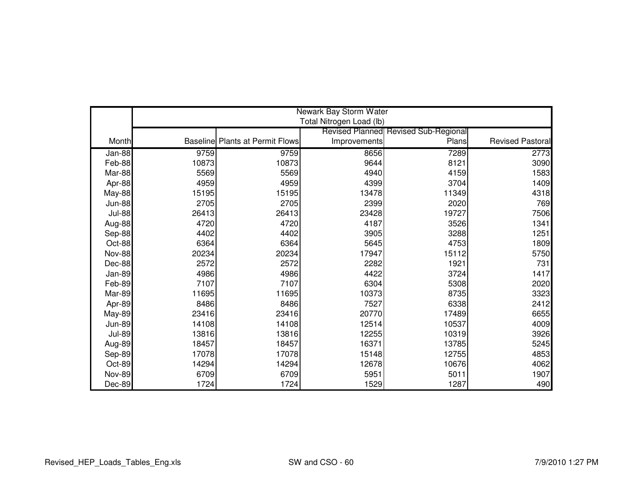|               |       |                                        |                          | Newark Bay Storm Water               |                  |  |  |  |  |
|---------------|-------|----------------------------------------|--------------------------|--------------------------------------|------------------|--|--|--|--|
|               |       |                                        | Total Nitrogen Load (lb) |                                      |                  |  |  |  |  |
|               |       |                                        |                          | Revised Planned Revised Sub-Regional |                  |  |  |  |  |
| Month         |       | <b>Baseline Plants at Permit Flows</b> | Improvements             | Plans                                | Revised Pastoral |  |  |  |  |
| $Jan-88$      | 9759  | 9759                                   | 8656                     | 7289                                 | 2773             |  |  |  |  |
| Feb-88        | 10873 | 10873                                  | 9644                     | 8121                                 | 3090             |  |  |  |  |
| Mar-88        | 5569  | 5569                                   | 4940                     | 4159                                 | 1583             |  |  |  |  |
| Apr-88        | 4959  | 4959                                   | 4399                     | 3704                                 | 1409             |  |  |  |  |
| May-88        | 15195 | 15195                                  | 13478                    | 11349                                | 4318             |  |  |  |  |
| <b>Jun-88</b> | 2705  | 2705                                   | 2399                     | 2020                                 | 769              |  |  |  |  |
| <b>Jul-88</b> | 26413 | 26413                                  | 23428                    | 19727                                | 7506             |  |  |  |  |
| Aug-88        | 4720  | 4720                                   | 4187                     | 3526                                 | 1341             |  |  |  |  |
| Sep-88        | 4402  | 4402                                   | 3905                     | 3288                                 | 1251             |  |  |  |  |
| Oct-88        | 6364  | 6364                                   | 5645                     | 4753                                 | 1809             |  |  |  |  |
| <b>Nov-88</b> | 20234 | 20234                                  | 17947                    | 15112                                | 5750             |  |  |  |  |
| Dec-88        | 2572  | 2572                                   | 2282                     | 1921                                 | 731              |  |  |  |  |
| Jan-89        | 4986  | 4986                                   | 4422                     | 3724                                 | 1417             |  |  |  |  |
| Feb-89        | 7107  | 7107                                   | 6304                     | 5308                                 | 2020             |  |  |  |  |
| Mar-89        | 11695 | 11695                                  | 10373                    | 8735                                 | 3323             |  |  |  |  |
| Apr-89        | 8486  | 8486                                   | 7527                     | 6338                                 | 2412             |  |  |  |  |
| <b>May-89</b> | 23416 | 23416                                  | 20770                    | 17489                                | 6655             |  |  |  |  |
| <b>Jun-89</b> | 14108 | 14108                                  | 12514                    | 10537                                | 4009             |  |  |  |  |
| <b>Jul-89</b> | 13816 | 13816                                  | 12255                    | 10319                                | 3926             |  |  |  |  |
| Aug-89        | 18457 | 18457                                  | 16371                    | 13785                                | 5245             |  |  |  |  |
| Sep-89        | 17078 | 17078                                  | 15148                    | 12755                                | 4853             |  |  |  |  |
| Oct-89        | 14294 | 14294                                  | 12678                    | 10676                                | 4062             |  |  |  |  |
| <b>Nov-89</b> | 6709  | 6709                                   | 5951                     | 5011                                 | 1907             |  |  |  |  |
| Dec-89        | 1724  | 1724                                   | 1529                     | 1287                                 | 490              |  |  |  |  |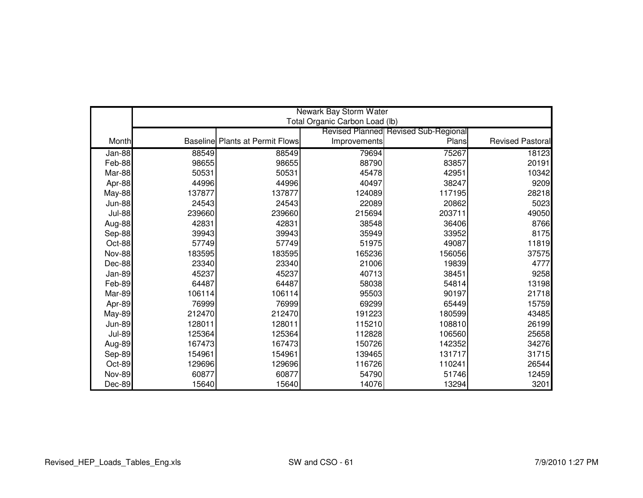|               |        |                                        |              |                                      | Newark Bay Storm Water<br>Total Organic Carbon Load (lb) |  |  |  |  |  |
|---------------|--------|----------------------------------------|--------------|--------------------------------------|----------------------------------------------------------|--|--|--|--|--|
|               |        |                                        |              | Revised Planned Revised Sub-Regional |                                                          |  |  |  |  |  |
| Month         |        | <b>Baseline Plants at Permit Flows</b> | Improvements | Plans                                | <b>Revised Pastoral</b>                                  |  |  |  |  |  |
|               |        |                                        |              |                                      |                                                          |  |  |  |  |  |
| Jan-88        | 88549  | 88549                                  | 79694        | 75267                                | 18123                                                    |  |  |  |  |  |
| Feb-88        | 98655  | 98655                                  | 88790        | 83857                                | 20191                                                    |  |  |  |  |  |
| Mar-88        | 50531  | 50531                                  | 45478        | 42951                                | 10342                                                    |  |  |  |  |  |
| Apr-88        | 44996  | 44996                                  | 40497        | 38247                                | 9209                                                     |  |  |  |  |  |
| <b>May-88</b> | 137877 | 137877                                 | 124089       | 117195                               | 28218                                                    |  |  |  |  |  |
| <b>Jun-88</b> | 24543  | 24543                                  | 22089        | 20862                                | 5023                                                     |  |  |  |  |  |
| <b>Jul-88</b> | 239660 | 239660                                 | 215694       | 203711                               | 49050                                                    |  |  |  |  |  |
| Aug-88        | 42831  | 42831                                  | 38548        | 36406                                | 8766                                                     |  |  |  |  |  |
| Sep-88        | 39943  | 39943                                  | 35949        | 33952                                | 8175                                                     |  |  |  |  |  |
| Oct-88        | 57749  | 57749                                  | 51975        | 49087                                | 11819                                                    |  |  |  |  |  |
| <b>Nov-88</b> | 183595 | 183595                                 | 165236       | 156056                               | 37575                                                    |  |  |  |  |  |
| Dec-88        | 23340  | 23340                                  | 21006        | 19839                                | 4777                                                     |  |  |  |  |  |
| Jan-89        | 45237  | 45237                                  | 40713        | 38451                                | 9258                                                     |  |  |  |  |  |
| Feb-89        | 64487  | 64487                                  | 58038        | 54814                                | 13198                                                    |  |  |  |  |  |
| Mar-89        | 106114 | 106114                                 | 95503        | 90197                                | 21718                                                    |  |  |  |  |  |
| Apr-89        | 76999  | 76999                                  | 69299        | 65449                                | 15759                                                    |  |  |  |  |  |
| <b>May-89</b> | 212470 | 212470                                 | 191223       | 180599                               | 43485                                                    |  |  |  |  |  |
| <b>Jun-89</b> | 128011 | 128011                                 | 115210       | 108810                               | 26199                                                    |  |  |  |  |  |
| <b>Jul-89</b> | 125364 | 125364                                 | 112828       | 106560                               | 25658                                                    |  |  |  |  |  |
| Aug-89        | 167473 | 167473                                 | 150726       | 142352                               | 34276                                                    |  |  |  |  |  |
| Sep-89        | 154961 | 154961                                 | 139465       | 131717                               | 31715                                                    |  |  |  |  |  |
| Oct-89        | 129696 | 129696                                 | 116726       | 110241                               | 26544                                                    |  |  |  |  |  |
| <b>Nov-89</b> | 60877  | 60877                                  | 54790        | 51746                                | 12459                                                    |  |  |  |  |  |
| Dec-89        | 15640  | 15640                                  | 14076        | 13294                                | 3201                                                     |  |  |  |  |  |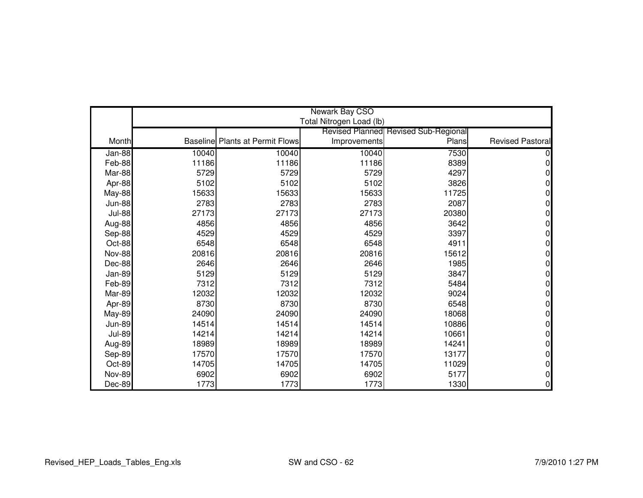|               |       |                                        | Newark Bay CSO           |                                      |                         |
|---------------|-------|----------------------------------------|--------------------------|--------------------------------------|-------------------------|
|               |       |                                        | Total Nitrogen Load (lb) |                                      |                         |
|               |       |                                        |                          | Revised Planned Revised Sub-Regional |                         |
| Month         |       | <b>Baseline Plants at Permit Flows</b> | Improvements             | Plans                                | <b>Revised Pastoral</b> |
| $Jan-88$      | 10040 | 10040                                  | 10040                    | 7530                                 |                         |
| Feb-88        | 11186 | 11186                                  | 11186                    | 8389                                 |                         |
| Mar-88        | 5729  | 5729                                   | 5729                     | 4297                                 |                         |
| Apr-88        | 5102  | 5102                                   | 5102                     | 3826                                 | 0                       |
| May-88        | 15633 | 15633                                  | 15633                    | 11725                                | 0                       |
| <b>Jun-88</b> | 2783  | 2783                                   | 2783                     | 2087                                 | 0                       |
| <b>Jul-88</b> | 27173 | 27173                                  | 27173                    | 20380                                | 0                       |
| Aug-88        | 4856  | 4856                                   | 4856                     | 3642                                 | 0                       |
| Sep-88        | 4529  | 4529                                   | 4529                     | 3397                                 | 0                       |
| Oct-88        | 6548  | 6548                                   | 6548                     | 4911                                 | 0                       |
| <b>Nov-88</b> | 20816 | 20816                                  | 20816                    | 15612                                | 0                       |
| Dec-88        | 2646  | 2646                                   | 2646                     | 1985                                 | 0                       |
| Jan-89        | 5129  | 5129                                   | 5129                     | 3847                                 | 0                       |
| Feb-89        | 7312  | 7312                                   | 7312                     | 5484                                 | 0                       |
| Mar-89        | 12032 | 12032                                  | 12032                    | 9024                                 | 0                       |
| Apr-89        | 8730  | 8730                                   | 8730                     | 6548                                 | 0                       |
| <b>May-89</b> | 24090 | 24090                                  | 24090                    | 18068                                | 0                       |
| <b>Jun-89</b> | 14514 | 14514                                  | 14514                    | 10886                                | 0                       |
| <b>Jul-89</b> | 14214 | 14214                                  | 14214                    | 10661                                | 0                       |
| Aug-89        | 18989 | 18989                                  | 18989                    | 14241                                | 0                       |
| Sep-89        | 17570 | 17570                                  | 17570                    | 13177                                | 0                       |
| Oct-89        | 14705 | 14705                                  | 14705                    | 11029                                | 0                       |
| <b>Nov-89</b> | 6902  | 6902                                   | 6902                     | 5177                                 | 0                       |
| Dec-89        | 1773  | 1773                                   | 1773                     | 1330                                 | 0                       |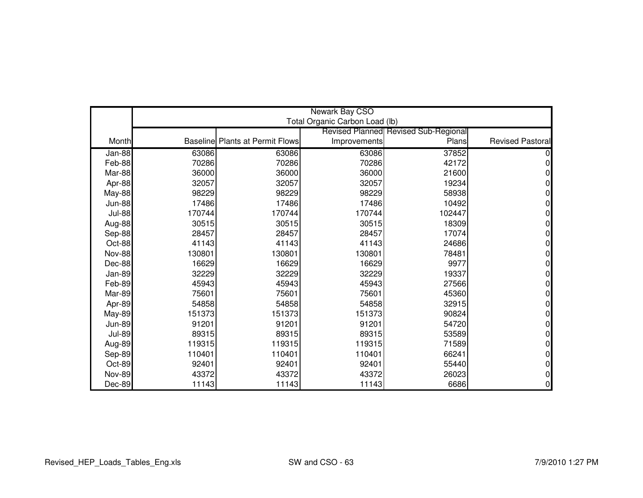|               |        |                                        | Newark Bay CSO                 |                                                      |                         |
|---------------|--------|----------------------------------------|--------------------------------|------------------------------------------------------|-------------------------|
|               |        |                                        | Total Organic Carbon Load (lb) |                                                      |                         |
| Month         |        | <b>Baseline Plants at Permit Flows</b> |                                | <b>Revised Planned Revised Sub-Regional</b><br>Plans | <b>Revised Pastoral</b> |
|               |        |                                        | Improvements                   |                                                      |                         |
| $Jan-88$      | 63086  | 63086                                  | 63086                          | 37852                                                |                         |
| Feb-88        | 70286  | 70286                                  | 70286                          | 42172                                                |                         |
| Mar-88        | 36000  | 36000                                  | 36000                          | 21600                                                |                         |
| Apr-88        | 32057  | 32057                                  | 32057                          | 19234                                                | 0                       |
| May-88        | 98229  | 98229                                  | 98229                          | 58938                                                |                         |
| <b>Jun-88</b> | 17486  | 17486                                  | 17486                          | 10492                                                | n                       |
| <b>Jul-88</b> | 170744 | 170744                                 | 170744                         | 102447                                               |                         |
| Aug-88        | 30515  | 30515                                  | 30515                          | 18309                                                |                         |
| Sep-88        | 28457  | 28457                                  | 28457                          | 17074                                                | O                       |
| Oct-88        | 41143  | 41143                                  | 41143                          | 24686                                                |                         |
| <b>Nov-88</b> | 130801 | 130801                                 | 130801                         | 78481                                                |                         |
| Dec-88        | 16629  | 16629                                  | 16629                          | 9977                                                 |                         |
| Jan-89        | 32229  | 32229                                  | 32229                          | 19337                                                |                         |
| Feb-89        | 45943  | 45943                                  | 45943                          | 27566                                                | 0                       |
| Mar-89        | 75601  | 75601                                  | 75601                          | 45360                                                |                         |
| Apr-89        | 54858  | 54858                                  | 54858                          | 32915                                                |                         |
| <b>May-89</b> | 151373 | 151373                                 | 151373                         | 90824                                                | 0                       |
| <b>Jun-89</b> | 91201  | 91201                                  | 91201                          | 54720                                                |                         |
| <b>Jul-89</b> | 89315  | 89315                                  | 89315                          | 53589                                                |                         |
| Aug-89        | 119315 | 119315                                 | 119315                         | 71589                                                | ი                       |
| Sep-89        | 110401 | 110401                                 | 110401                         | 66241                                                |                         |
| Oct-89        | 92401  | 92401                                  | 92401                          | 55440                                                | 0                       |
| <b>Nov-89</b> | 43372  | 43372                                  | 43372                          | 26023                                                |                         |
| Dec-89        | 11143  | 11143                                  | 11143                          | 6686                                                 | $\Omega$                |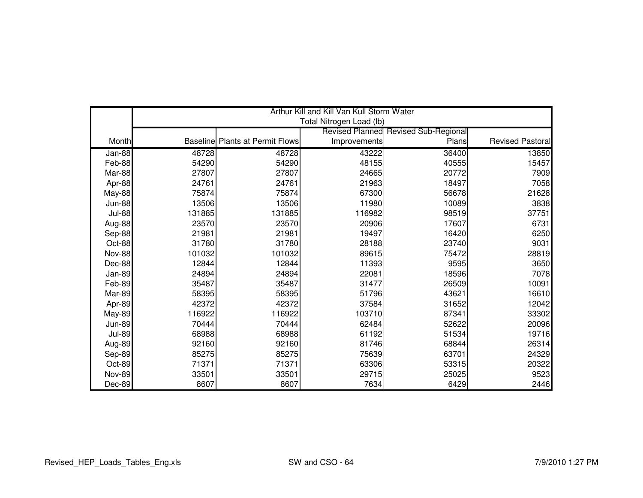|               |        |                                        | Arthur Kill and Kill Van Kull Storm Water |                                             |                         |
|---------------|--------|----------------------------------------|-------------------------------------------|---------------------------------------------|-------------------------|
|               |        |                                        | Total Nitrogen Load (lb)                  |                                             |                         |
|               |        |                                        |                                           | <b>Revised Planned Revised Sub-Regional</b> |                         |
| Month         |        | <b>Baseline Plants at Permit Flows</b> | Improvements                              | Plans                                       | <b>Revised Pastoral</b> |
| Jan-88        | 48728  | 48728                                  | 43222                                     | 36400                                       | 13850                   |
| Feb-88        | 54290  | 54290                                  | 48155                                     | 40555                                       | 15457                   |
| Mar-88        | 27807  | 27807                                  | 24665                                     | 20772                                       | 7909                    |
| Apr-88        | 24761  | 24761                                  | 21963                                     | 18497                                       | 7058                    |
| <b>May-88</b> | 75874  | 75874                                  | 67300                                     | 56678                                       | 21628                   |
| <b>Jun-88</b> | 13506  | 13506                                  | 11980                                     | 10089                                       | 3838                    |
| <b>Jul-88</b> | 131885 | 131885                                 | 116982                                    | 98519                                       | 37751                   |
| Aug-88        | 23570  | 23570                                  | 20906                                     | 17607                                       | 6731                    |
| Sep-88        | 21981  | 21981                                  | 19497                                     | 16420                                       | 6250                    |
| Oct-88        | 31780  | 31780                                  | 28188                                     | 23740                                       | 9031                    |
| <b>Nov-88</b> | 101032 | 101032                                 | 89615                                     | 75472                                       | 28819                   |
| Dec-88        | 12844  | 12844                                  | 11393                                     | 9595                                        | 3650                    |
| Jan-89        | 24894  | 24894                                  | 22081                                     | 18596                                       | 7078                    |
| Feb-89        | 35487  | 35487                                  | 31477                                     | 26509                                       | 10091                   |
| Mar-89        | 58395  | 58395                                  | 51796                                     | 43621                                       | 16610                   |
| Apr-89        | 42372  | 42372                                  | 37584                                     | 31652                                       | 12042                   |
| <b>May-89</b> | 116922 | 116922                                 | 103710                                    | 87341                                       | 33302                   |
| <b>Jun-89</b> | 70444  | 70444                                  | 62484                                     | 52622                                       | 20096                   |
| <b>Jul-89</b> | 68988  | 68988                                  | 61192                                     | 51534                                       | 19716                   |
| Aug-89        | 92160  | 92160                                  | 81746                                     | 68844                                       | 26314                   |
| Sep-89        | 85275  | 85275                                  | 75639                                     | 63701                                       | 24329                   |
| Oct-89        | 71371  | 71371                                  | 63306                                     | 53315                                       | 20322                   |
| <b>Nov-89</b> | 33501  | 33501                                  | 29715                                     | 25025                                       | 9523                    |
| Dec-89        | 8607   | 8607                                   | 7634                                      | 6429                                        | 2446                    |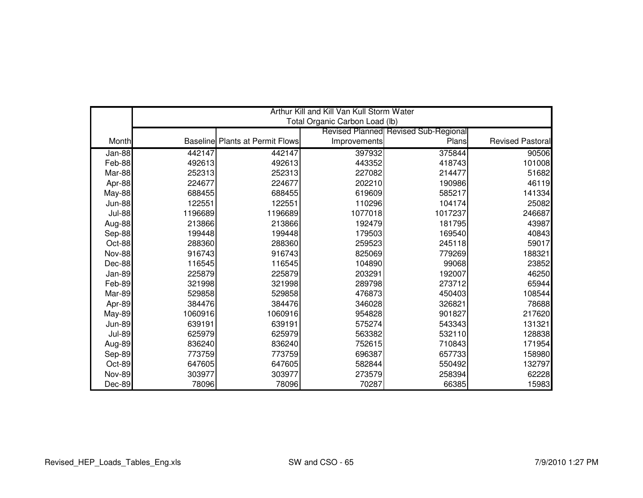|               |         |                                        | Arthur Kill and Kill Van Kull Storm Water |                                      |                         |
|---------------|---------|----------------------------------------|-------------------------------------------|--------------------------------------|-------------------------|
|               |         |                                        | Total Organic Carbon Load (lb)            |                                      |                         |
|               |         |                                        |                                           | Revised Planned Revised Sub-Regional |                         |
| Month         |         | <b>Baseline Plants at Permit Flows</b> | Improvements                              | Plans                                | <b>Revised Pastoral</b> |
| Jan-88        | 442147  | 442147                                 | 397932                                    | 375844                               | 90506                   |
| Feb-88        | 492613  | 492613                                 | 443352                                    | 418743                               | 101008                  |
| Mar-88        | 252313  | 252313                                 | 227082                                    | 214477                               | 51682                   |
| Apr-88        | 224677  | 224677                                 | 202210                                    | 190986                               | 46119                   |
| May-88        | 688455  | 688455                                 | 619609                                    | 585217                               | 141334                  |
| <b>Jun-88</b> | 122551  | 122551                                 | 110296                                    | 104174                               | 25082                   |
| <b>Jul-88</b> | 1196689 | 1196689                                | 1077018                                   | 1017237                              | 246687                  |
| Aug-88        | 213866  | 213866                                 | 192479                                    | 181795                               | 43987                   |
| Sep-88        | 199448  | 199448                                 | 179503                                    | 169540                               | 40843                   |
| Oct-88        | 288360  | 288360                                 | 259523                                    | 245118                               | 59017                   |
| <b>Nov-88</b> | 916743  | 916743                                 | 825069                                    | 779269                               | 188321                  |
| Dec-88        | 116545  | 116545                                 | 104890                                    | 99068                                | 23852                   |
| Jan-89        | 225879  | 225879                                 | 203291                                    | 192007                               | 46250                   |
| Feb-89        | 321998  | 321998                                 | 289798                                    | 273712                               | 65944                   |
| Mar-89        | 529858  | 529858                                 | 476873                                    | 450403                               | 108544                  |
| Apr-89        | 384476  | 384476                                 | 346028                                    | 326821                               | 78688                   |
| <b>May-89</b> | 1060916 | 1060916                                | 954828                                    | 901827                               | 217620                  |
| <b>Jun-89</b> | 639191  | 639191                                 | 575274                                    | 543343                               | 131321                  |
| <b>Jul-89</b> | 625979  | 625979                                 | 563382                                    | 532110                               | 128838                  |
| Aug-89        | 836240  | 836240                                 | 752615                                    | 710843                               | 171954                  |
| Sep-89        | 773759  | 773759                                 | 696387                                    | 657733                               | 158980                  |
| Oct-89        | 647605  | 647605                                 | 582844                                    | 550492                               | 132797                  |
| <b>Nov-89</b> | 303977  | 303977                                 | 273579                                    | 258394                               | 62228                   |
| Dec-89        | 78096   | 78096                                  | 70287                                     | 66385                                | 15983                   |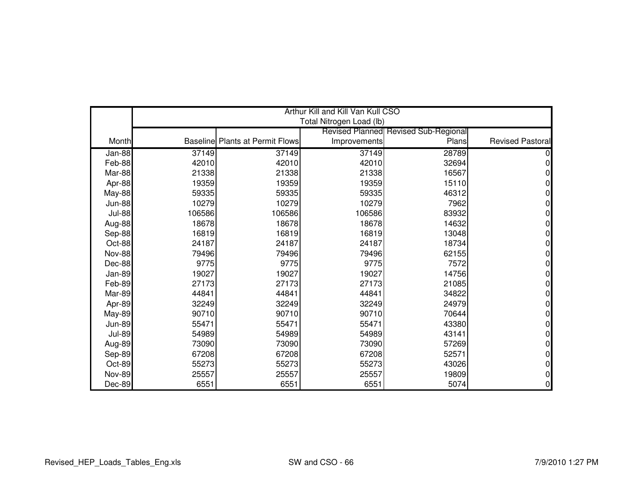|               |        |                                        | Arthur Kill and Kill Van Kull CSO |                                      |                         |
|---------------|--------|----------------------------------------|-----------------------------------|--------------------------------------|-------------------------|
|               |        |                                        | Total Nitrogen Load (lb)          |                                      |                         |
|               |        |                                        |                                   | Revised Planned Revised Sub-Regional |                         |
| Month         |        | <b>Baseline Plants at Permit Flows</b> | Improvements                      | Plans                                | <b>Revised Pastoral</b> |
| Jan-88        | 37149  | 37149                                  | 37149                             | 28789                                |                         |
| Feb-88        | 42010  | 42010                                  | 42010                             | 32694                                |                         |
| Mar-88        | 21338  | 21338                                  | 21338                             | 16567                                |                         |
| Apr-88        | 19359  | 19359                                  | 19359                             | 15110                                | 0                       |
| <b>May-88</b> | 59335  | 59335                                  | 59335                             | 46312                                | 0                       |
| <b>Jun-88</b> | 10279  | 10279                                  | 10279                             | 7962                                 | 0                       |
| <b>Jul-88</b> | 106586 | 106586                                 | 106586                            | 83932                                | 0                       |
| Aug-88        | 18678  | 18678                                  | 18678                             | 14632                                | 0                       |
| Sep-88        | 16819  | 16819                                  | 16819                             | 13048                                | 0                       |
| Oct-88        | 24187  | 24187                                  | 24187                             | 18734                                | 0                       |
| <b>Nov-88</b> | 79496  | 79496                                  | 79496                             | 62155                                | 0                       |
| Dec-88        | 9775   | 9775                                   | 9775                              | 7572                                 | 0                       |
| Jan-89        | 19027  | 19027                                  | 19027                             | 14756                                | 0                       |
| Feb-89        | 27173  | 27173                                  | 27173                             | 21085                                | 0                       |
| Mar-89        | 44841  | 44841                                  | 44841                             | 34822                                | 0                       |
| Apr-89        | 32249  | 32249                                  | 32249                             | 24979                                | 0                       |
| <b>May-89</b> | 90710  | 90710                                  | 90710                             | 70644                                | 0                       |
| <b>Jun-89</b> | 55471  | 55471                                  | 55471                             | 43380                                | 0                       |
| <b>Jul-89</b> | 54989  | 54989                                  | 54989                             | 43141                                | 0                       |
| Aug-89        | 73090  | 73090                                  | 73090                             | 57269                                | 0                       |
| Sep-89        | 67208  | 67208                                  | 67208                             | 52571                                | 0                       |
| Oct-89        | 55273  | 55273                                  | 55273                             | 43026                                | 0                       |
| <b>Nov-89</b> | 25557  | 25557                                  | 25557                             | 19809                                | 0                       |
| Dec-89        | 6551   | 6551                                   | 6551                              | 5074                                 | 0                       |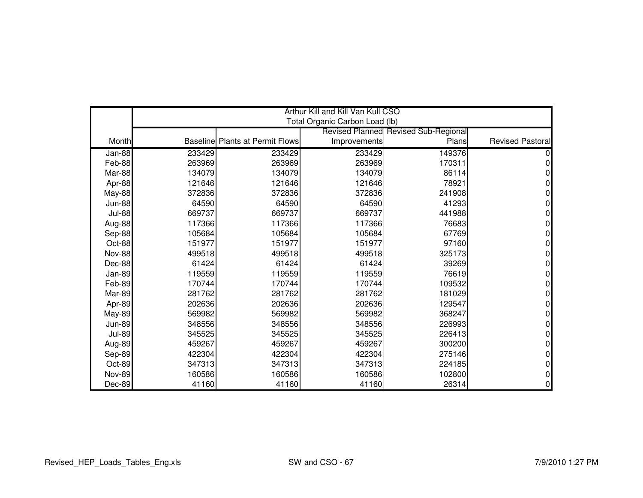|               |        |                                        | Arthur Kill and Kill Van Kull CSO |                                             |                         |
|---------------|--------|----------------------------------------|-----------------------------------|---------------------------------------------|-------------------------|
|               |        |                                        | Total Organic Carbon Load (lb)    |                                             |                         |
|               |        |                                        |                                   | <b>Revised Planned Revised Sub-Regional</b> |                         |
| Month         |        | <b>Baseline Plants at Permit Flows</b> | Improvements                      | Plans                                       | <b>Revised Pastoral</b> |
| Jan-88        | 233429 | 233429                                 | 233429                            | 149376                                      |                         |
| Feb-88        | 263969 | 263969                                 | 263969                            | 170311                                      |                         |
| Mar-88        | 134079 | 134079                                 | 134079                            | 86114                                       |                         |
| Apr-88        | 121646 | 121646                                 | 121646                            | 78921                                       |                         |
| <b>May-88</b> | 372836 | 372836                                 | 372836                            | 241908                                      |                         |
| <b>Jun-88</b> | 64590  | 64590                                  | 64590                             | 41293                                       | 0                       |
| <b>Jul-88</b> | 669737 | 669737                                 | 669737                            | 441988                                      | 0                       |
| Aug-88        | 117366 | 117366                                 | 117366                            | 76683                                       | 0                       |
| Sep-88        | 105684 | 105684                                 | 105684                            | 67769                                       | 0                       |
| Oct-88        | 151977 | 151977                                 | 151977                            | 97160                                       | 0                       |
| <b>Nov-88</b> | 499518 | 499518                                 | 499518                            | 325173                                      | 0                       |
| Dec-88        | 61424  | 61424                                  | 61424                             | 39269                                       | 0                       |
| Jan-89        | 119559 | 119559                                 | 119559                            | 76619                                       | 0                       |
| Feb-89        | 170744 | 170744                                 | 170744                            | 109532                                      | 0                       |
| Mar-89        | 281762 | 281762                                 | 281762                            | 181029                                      | 0                       |
| Apr-89        | 202636 | 202636                                 | 202636                            | 129547                                      | 0                       |
| <b>May-89</b> | 569982 | 569982                                 | 569982                            | 368247                                      | 0                       |
| <b>Jun-89</b> | 348556 | 348556                                 | 348556                            | 226993                                      | 0                       |
| <b>Jul-89</b> | 345525 | 345525                                 | 345525                            | 226413                                      | 0                       |
| Aug-89        | 459267 | 459267                                 | 459267                            | 300200                                      | 0                       |
| Sep-89        | 422304 | 422304                                 | 422304                            | 275146                                      | 0                       |
| Oct-89        | 347313 | 347313                                 | 347313                            | 224185                                      | 0                       |
| <b>Nov-89</b> | 160586 | 160586                                 | 160586                            | 102800                                      | 0                       |
| Dec-89        | 41160  | 41160                                  | 41160                             | 26314                                       | 0                       |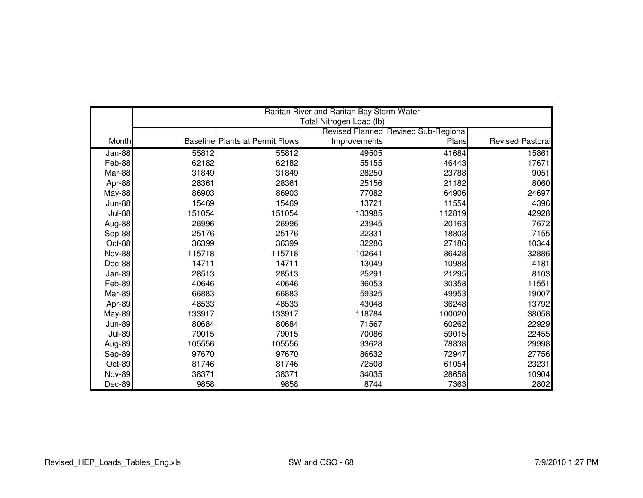|               |        |                                        | Raritan River and Raritan Bay Storm Water |                                             |                         |
|---------------|--------|----------------------------------------|-------------------------------------------|---------------------------------------------|-------------------------|
|               |        |                                        | Total Nitrogen Load (lb)                  |                                             |                         |
|               |        |                                        |                                           | <b>Revised Planned Revised Sub-Regional</b> |                         |
| Month         |        | <b>Baseline Plants at Permit Flows</b> | Improvements                              | Plans                                       | <b>Revised Pastoral</b> |
| Jan-88        | 55812  | 55812                                  | 49505                                     | 41684                                       | 15861                   |
| Feb-88        | 62182  | 62182                                  | 55155                                     | 46443                                       | 17671                   |
| Mar-88        | 31849  | 31849                                  | 28250                                     | 23788                                       | 9051                    |
| Apr-88        | 28361  | 28361                                  | 25156                                     | 21182                                       | 8060                    |
| <b>May-88</b> | 86903  | 86903                                  | 77082                                     | 64906                                       | 24697                   |
| <b>Jun-88</b> | 15469  | 15469                                  | 13721                                     | 11554                                       | 4396                    |
| <b>Jul-88</b> | 151054 | 151054                                 | 133985                                    | 112819                                      | 42928                   |
| Aug-88        | 26996  | 26996                                  | 23945                                     | 20163                                       | 7672                    |
| Sep-88        | 25176  | 25176                                  | 22331                                     | 18803                                       | 7155                    |
| Oct-88        | 36399  | 36399                                  | 32286                                     | 27186                                       | 10344                   |
| <b>Nov-88</b> | 115718 | 115718                                 | 102641                                    | 86428                                       | 32886                   |
| Dec-88        | 14711  | 14711                                  | 13049                                     | 10988                                       | 4181                    |
| Jan-89        | 28513  | 28513                                  | 25291                                     | 21295                                       | 8103                    |
| Feb-89        | 40646  | 40646                                  | 36053                                     | 30358                                       | 11551                   |
| Mar-89        | 66883  | 66883                                  | 59325                                     | 49953                                       | 19007                   |
| Apr-89        | 48533  | 48533                                  | 43048                                     | 36248                                       | 13792                   |
| <b>May-89</b> | 133917 | 133917                                 | 118784                                    | 100020                                      | 38058                   |
| <b>Jun-89</b> | 80684  | 80684                                  | 71567                                     | 60262                                       | 22929                   |
| <b>Jul-89</b> | 79015  | 79015                                  | 70086                                     | 59015                                       | 22455                   |
| Aug-89        | 105556 | 105556                                 | 93628                                     | 78838                                       | 29998                   |
| Sep-89        | 97670  | 97670                                  | 86632                                     | 72947                                       | 27756                   |
| Oct-89        | 81746  | 81746                                  | 72508                                     | 61054                                       | 23231                   |
| <b>Nov-89</b> | 38371  | 38371                                  | 34035                                     | 28658                                       | 10904                   |
| Dec-89        | 9858   | 9858                                   | 8744                                      | 7363                                        | 2802                    |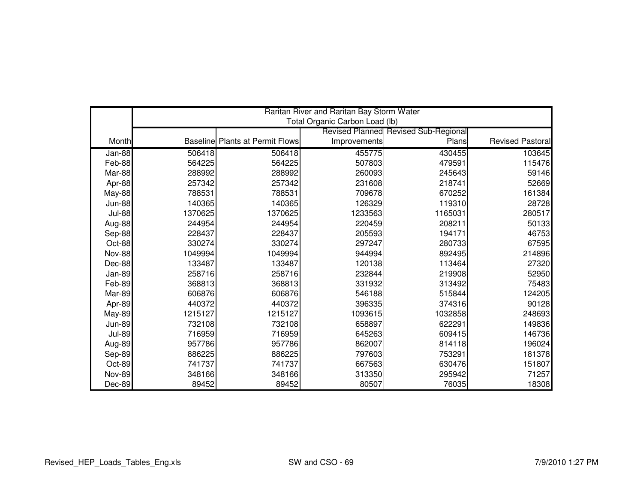|               |         |                                        | Raritan River and Raritan Bay Storm Water |                                             |                         |
|---------------|---------|----------------------------------------|-------------------------------------------|---------------------------------------------|-------------------------|
|               |         |                                        | Total Organic Carbon Load (lb)            | <b>Revised Planned Revised Sub-Regional</b> |                         |
| Month         |         | <b>Baseline Plants at Permit Flows</b> | Improvements                              | Plans                                       | <b>Revised Pastoral</b> |
|               |         |                                        |                                           |                                             |                         |
| Jan-88        | 506418  | 506418                                 | 455775                                    | 430455                                      | 103645                  |
| Feb-88        | 564225  | 564225                                 | 507803                                    | 479591                                      | 115476                  |
| Mar-88        | 288992  | 288992                                 | 260093                                    | 245643                                      | 59146                   |
| Apr-88        | 257342  | 257342                                 | 231608                                    | 218741                                      | 52669                   |
| May-88        | 788531  | 788531                                 | 709678                                    | 670252                                      | 161384                  |
| <b>Jun-88</b> | 140365  | 140365                                 | 126329                                    | 119310                                      | 28728                   |
| <b>Jul-88</b> | 1370625 | 1370625                                | 1233563                                   | 1165031                                     | 280517                  |
| Aug-88        | 244954  | 244954                                 | 220459                                    | 208211                                      | 50133                   |
| Sep-88        | 228437  | 228437                                 | 205593                                    | 194171                                      | 46753                   |
| Oct-88        | 330274  | 330274                                 | 297247                                    | 280733                                      | 67595                   |
| <b>Nov-88</b> | 1049994 | 1049994                                | 944994                                    | 892495                                      | 214896                  |
| Dec-88        | 133487  | 133487                                 | 120138                                    | 113464                                      | 27320                   |
| Jan-89        | 258716  | 258716                                 | 232844                                    | 219908                                      | 52950                   |
| Feb-89        | 368813  | 368813                                 | 331932                                    | 313492                                      | 75483                   |
| Mar-89        | 606876  | 606876                                 | 546188                                    | 515844                                      | 124205                  |
| Apr-89        | 440372  | 440372                                 | 396335                                    | 374316                                      | 90128                   |
| <b>May-89</b> | 1215127 | 1215127                                | 1093615                                   | 1032858                                     | 248693                  |
| <b>Jun-89</b> | 732108  | 732108                                 | 658897                                    | 622291                                      | 149836                  |
| <b>Jul-89</b> | 716959  | 716959                                 | 645263                                    | 609415                                      | 146736                  |
| Aug-89        | 957786  | 957786                                 | 862007                                    | 814118                                      | 196024                  |
| Sep-89        | 886225  | 886225                                 | 797603                                    | 753291                                      | 181378                  |
| Oct-89        | 741737  | 741737                                 | 667563                                    | 630476                                      | 151807                  |
| <b>Nov-89</b> | 348166  | 348166                                 | 313350                                    | 295942                                      | 71257                   |
| Dec-89        | 89452   | 89452                                  | 80507                                     | 76035                                       | 18308                   |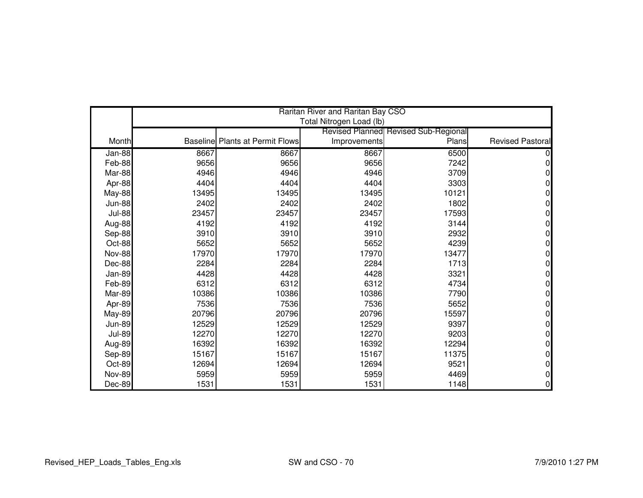|               |       |                                        | Raritan River and Raritan Bay CSO |                                      |                         |
|---------------|-------|----------------------------------------|-----------------------------------|--------------------------------------|-------------------------|
|               |       |                                        | Total Nitrogen Load (lb)          |                                      |                         |
|               |       |                                        |                                   | Revised Planned Revised Sub-Regional |                         |
| Month         |       | <b>Baseline Plants at Permit Flows</b> | Improvements                      | Plans                                | <b>Revised Pastoral</b> |
| Jan-88        | 8667  | 8667                                   | 8667                              | 6500                                 |                         |
| Feb-88        | 9656  | 9656                                   | 9656                              | 7242                                 | 0                       |
| Mar-88        | 4946  | 4946                                   | 4946                              | 3709                                 | 0                       |
| Apr-88        | 4404  | 4404                                   | 4404                              | 3303                                 | 0                       |
| May-88        | 13495 | 13495                                  | 13495                             | 10121                                | 0                       |
| <b>Jun-88</b> | 2402  | 2402                                   | 2402                              | 1802                                 | 0                       |
| <b>Jul-88</b> | 23457 | 23457                                  | 23457                             | 17593                                | 0                       |
| Aug-88        | 4192  | 4192                                   | 4192                              | 3144                                 | 0                       |
| Sep-88        | 3910  | 3910                                   | 3910                              | 2932                                 | 0                       |
| Oct-88        | 5652  | 5652                                   | 5652                              | 4239                                 | 0                       |
| <b>Nov-88</b> | 17970 | 17970                                  | 17970                             | 13477                                | 0                       |
| Dec-88        | 2284  | 2284                                   | 2284                              | 1713                                 | 0                       |
| Jan-89        | 4428  | 4428                                   | 4428                              | 3321                                 | 0                       |
| Feb-89        | 6312  | 6312                                   | 6312                              | 4734                                 | 0                       |
| Mar-89        | 10386 | 10386                                  | 10386                             | 7790                                 | 0                       |
| Apr-89        | 7536  | 7536                                   | 7536                              | 5652                                 | 0                       |
| <b>May-89</b> | 20796 | 20796                                  | 20796                             | 15597                                | 0                       |
| <b>Jun-89</b> | 12529 | 12529                                  | 12529                             | 9397                                 | 0                       |
| <b>Jul-89</b> | 12270 | 12270                                  | 12270                             | 9203                                 | 0                       |
| Aug-89        | 16392 | 16392                                  | 16392                             | 12294                                | 0                       |
| Sep-89        | 15167 | 15167                                  | 15167                             | 11375                                | 0                       |
| Oct-89        | 12694 | 12694                                  | 12694                             | 9521                                 | 0                       |
| <b>Nov-89</b> | 5959  | 5959                                   | 5959                              | 4469                                 | 0                       |
| Dec-89        | 1531  | 1531                                   | 1531                              | 1148                                 | 0                       |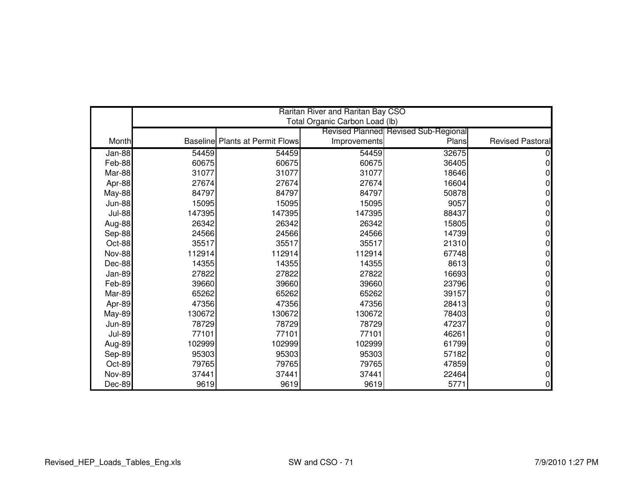|               |        |                                        | Raritan River and Raritan Bay CSO |                                                      |                         |
|---------------|--------|----------------------------------------|-----------------------------------|------------------------------------------------------|-------------------------|
|               |        |                                        | Total Organic Carbon Load (lb)    |                                                      |                         |
| Month         |        | <b>Baseline Plants at Permit Flows</b> |                                   | <b>Revised Planned Revised Sub-Regional</b><br>Plans | <b>Revised Pastoral</b> |
|               |        |                                        | Improvements                      |                                                      |                         |
| Jan-88        | 54459  | 54459                                  | 54459                             | 32675                                                |                         |
| Feb-88        | 60675  | 60675                                  | 60675                             | 36405                                                |                         |
| Mar-88        | 31077  | 31077                                  | 31077                             | 18646                                                |                         |
| Apr-88        | 27674  | 27674                                  | 27674                             | 16604                                                | 0                       |
| May-88        | 84797  | 84797                                  | 84797                             | 50878                                                | 0                       |
| <b>Jun-88</b> | 15095  | 15095                                  | 15095                             | 9057                                                 | 0                       |
| <b>Jul-88</b> | 147395 | 147395                                 | 147395                            | 88437                                                | 0                       |
| Aug-88        | 26342  | 26342                                  | 26342                             | 15805                                                | 0                       |
| Sep-88        | 24566  | 24566                                  | 24566                             | 14739                                                | 0                       |
| Oct-88        | 35517  | 35517                                  | 35517                             | 21310                                                | 0                       |
| <b>Nov-88</b> | 112914 | 112914                                 | 112914                            | 67748                                                | 0                       |
| Dec-88        | 14355  | 14355                                  | 14355                             | 8613                                                 | 0                       |
| Jan-89        | 27822  | 27822                                  | 27822                             | 16693                                                | 0                       |
| Feb-89        | 39660  | 39660                                  | 39660                             | 23796                                                | 0                       |
| Mar-89        | 65262  | 65262                                  | 65262                             | 39157                                                | 0                       |
| Apr-89        | 47356  | 47356                                  | 47356                             | 28413                                                | 0                       |
| <b>May-89</b> | 130672 | 130672                                 | 130672                            | 78403                                                | 0                       |
| <b>Jun-89</b> | 78729  | 78729                                  | 78729                             | 47237                                                | 0                       |
| <b>Jul-89</b> | 77101  | 77101                                  | 77101                             | 46261                                                | 0                       |
| Aug-89        | 102999 | 102999                                 | 102999                            | 61799                                                | 0                       |
| Sep-89        | 95303  | 95303                                  | 95303                             | 57182                                                | 0                       |
| Oct-89        | 79765  | 79765                                  | 79765                             | 47859                                                | 0                       |
| <b>Nov-89</b> | 37441  | 37441                                  | 37441                             | 22464                                                | 0                       |
| Dec-89        | 9619   | 9619                                   | 9619                              | 5771                                                 | 0                       |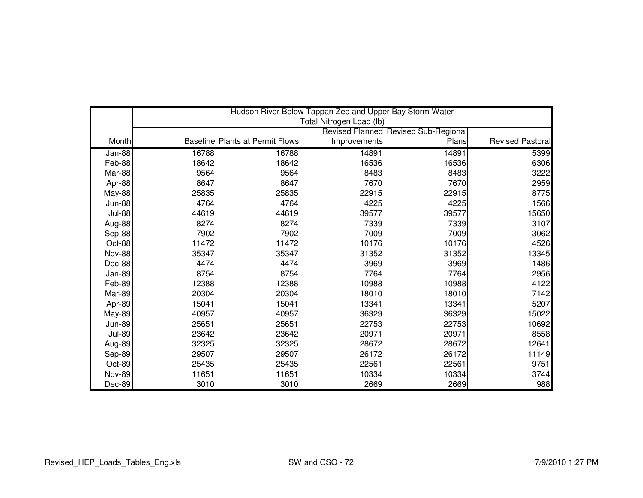|               |       |                                        | Hudson River Below Tappan Zee and Upper Bay Storm Water |                                             |                  |
|---------------|-------|----------------------------------------|---------------------------------------------------------|---------------------------------------------|------------------|
|               |       |                                        | Total Nitrogen Load (lb)                                |                                             |                  |
|               |       |                                        |                                                         | <b>Revised Planned Revised Sub-Regional</b> |                  |
| Month         |       | <b>Baseline Plants at Permit Flows</b> | Improvements                                            | Plans                                       | Revised Pastoral |
| $Jan-88$      | 16788 | 16788                                  | 14891                                                   | 14891                                       | 5399             |
| Feb-88        | 18642 | 18642                                  | 16536                                                   | 16536                                       | 6306             |
| Mar-88        | 9564  | 9564                                   | 8483                                                    | 8483                                        | 3222             |
| Apr-88        | 8647  | 8647                                   | 7670                                                    | 7670                                        | 2959             |
| <b>May-88</b> | 25835 | 25835                                  | 22915                                                   | 22915                                       | 8775             |
| <b>Jun-88</b> | 4764  | 4764                                   | 4225                                                    | 4225                                        | 1566             |
| <b>Jul-88</b> | 44619 | 44619                                  | 39577                                                   | 39577                                       | 15650            |
| Aug-88        | 8274  | 8274                                   | 7339                                                    | 7339                                        | 3107             |
| Sep-88        | 7902  | 7902                                   | 7009                                                    | 7009                                        | 3062             |
| Oct-88        | 11472 | 11472                                  | 10176                                                   | 10176                                       | 4526             |
| <b>Nov-88</b> | 35347 | 35347                                  | 31352                                                   | 31352                                       | 13345            |
| Dec-88        | 4474  | 4474                                   | 3969                                                    | 3969                                        | 1486             |
| Jan-89        | 8754  | 8754                                   | 7764                                                    | 7764                                        | 2956             |
| Feb-89        | 12388 | 12388                                  | 10988                                                   | 10988                                       | 4122             |
| Mar-89        | 20304 | 20304                                  | 18010                                                   | 18010                                       | 7142             |
| Apr-89        | 15041 | 15041                                  | 13341                                                   | 13341                                       | 5207             |
| <b>May-89</b> | 40957 | 40957                                  | 36329                                                   | 36329                                       | 15022            |
| <b>Jun-89</b> | 25651 | 25651                                  | 22753                                                   | 22753                                       | 10692            |
| <b>Jul-89</b> | 23642 | 23642                                  | 20971                                                   | 20971                                       | 8558             |
| Aug-89        | 32325 | 32325                                  | 28672                                                   | 28672                                       | 12641            |
| Sep-89        | 29507 | 29507                                  | 26172                                                   | 26172                                       | 11149            |
| Oct-89        | 25435 | 25435                                  | 22561                                                   | 22561                                       | 9751             |
| <b>Nov-89</b> | 11651 | 11651                                  | 10334                                                   | 10334                                       | 3744             |
| Dec-89        | 3010  | 3010                                   | 2669                                                    | 2669                                        | 988              |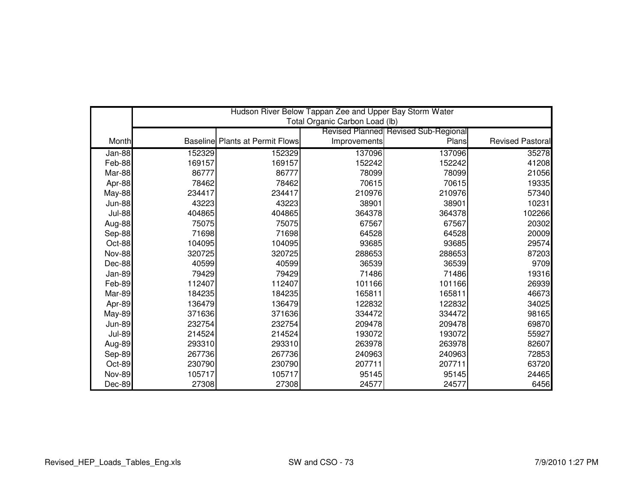|               | Hudson River Below Tappan Zee and Upper Bay Storm Water |                                        |                                |                                      |                         |  |
|---------------|---------------------------------------------------------|----------------------------------------|--------------------------------|--------------------------------------|-------------------------|--|
|               |                                                         |                                        | Total Organic Carbon Load (lb) |                                      |                         |  |
|               |                                                         |                                        |                                | Revised Planned Revised Sub-Regional |                         |  |
| Month         |                                                         | <b>Baseline Plants at Permit Flows</b> | Improvements                   | Plans                                | <b>Revised Pastoral</b> |  |
| Jan-88        | 152329                                                  | 152329                                 | 137096                         | 137096                               | 35278                   |  |
| Feb-88        | 169157                                                  | 169157                                 | 152242                         | 152242                               | 41208                   |  |
| Mar-88        | 86777                                                   | 86777                                  | 78099                          | 78099                                | 21056                   |  |
| Apr-88        | 78462                                                   | 78462                                  | 70615                          | 70615                                | 19335                   |  |
| <b>May-88</b> | 234417                                                  | 234417                                 | 210976                         | 210976                               | 57340                   |  |
| <b>Jun-88</b> | 43223                                                   | 43223                                  | 38901                          | 38901                                | 10231                   |  |
| <b>Jul-88</b> | 404865                                                  | 404865                                 | 364378                         | 364378                               | 102266                  |  |
| Aug-88        | 75075                                                   | 75075                                  | 67567                          | 67567                                | 20302                   |  |
| Sep-88        | 71698                                                   | 71698                                  | 64528                          | 64528                                | 20009                   |  |
| Oct-88        | 104095                                                  | 104095                                 | 93685                          | 93685                                | 29574                   |  |
| <b>Nov-88</b> | 320725                                                  | 320725                                 | 288653                         | 288653                               | 87203                   |  |
| Dec-88        | 40599                                                   | 40599                                  | 36539                          | 36539                                | 9709                    |  |
| Jan-89        | 79429                                                   | 79429                                  | 71486                          | 71486                                | 19316                   |  |
| Feb-89        | 112407                                                  | 112407                                 | 101166                         | 101166                               | 26939                   |  |
| Mar-89        | 184235                                                  | 184235                                 | 165811                         | 165811                               | 46673                   |  |
| Apr-89        | 136479                                                  | 136479                                 | 122832                         | 122832                               | 34025                   |  |
| <b>May-89</b> | 371636                                                  | 371636                                 | 334472                         | 334472                               | 98165                   |  |
| <b>Jun-89</b> | 232754                                                  | 232754                                 | 209478                         | 209478                               | 69870                   |  |
| <b>Jul-89</b> | 214524                                                  | 214524                                 | 193072                         | 193072                               | 55927                   |  |
| Aug-89        | 293310                                                  | 293310                                 | 263978                         | 263978                               | 82607                   |  |
| Sep-89        | 267736                                                  | 267736                                 | 240963                         | 240963                               | 72853                   |  |
| Oct-89        | 230790                                                  | 230790                                 | 207711                         | 207711                               | 63720                   |  |
| <b>Nov-89</b> | 105717                                                  | 105717                                 | 95145                          | 95145                                | 24465                   |  |
| Dec-89        | 27308                                                   | 27308                                  | 24577                          | 24577                                | 6456                    |  |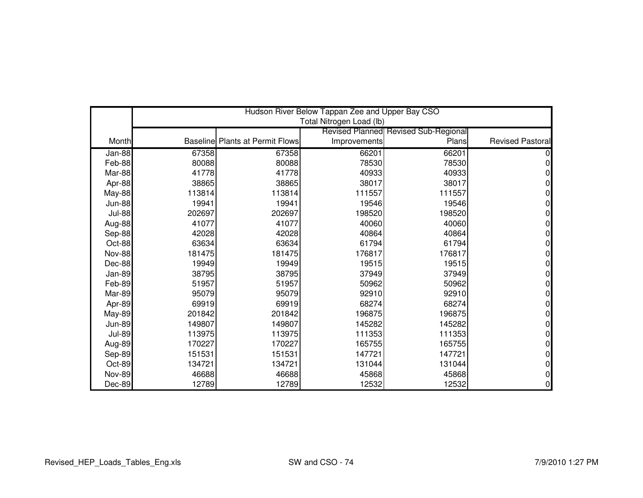|               |        |                                        | Hudson River Below Tappan Zee and Upper Bay CSO |                                      |                         |
|---------------|--------|----------------------------------------|-------------------------------------------------|--------------------------------------|-------------------------|
|               |        |                                        | Total Nitrogen Load (lb)                        |                                      |                         |
|               |        |                                        |                                                 | Revised Planned Revised Sub-Regional |                         |
| Month         |        | <b>Baseline Plants at Permit Flows</b> | Improvements                                    | Plans                                | <b>Revised Pastoral</b> |
| Jan-88        | 67358  | 67358                                  | 66201                                           | 66201                                |                         |
| Feb-88        | 80088  | 80088                                  | 78530                                           | 78530                                |                         |
| Mar-88        | 41778  | 41778                                  | 40933                                           | 40933                                |                         |
| Apr-88        | 38865  | 38865                                  | 38017                                           | 38017                                |                         |
| <b>May-88</b> | 113814 | 113814                                 | 111557                                          | 111557                               |                         |
| <b>Jun-88</b> | 19941  | 19941                                  | 19546                                           | 19546                                | 0                       |
| <b>Jul-88</b> | 202697 | 202697                                 | 198520                                          | 198520                               |                         |
| Aug-88        | 41077  | 41077                                  | 40060                                           | 40060                                |                         |
| Sep-88        | 42028  | 42028                                  | 40864                                           | 40864                                | 0                       |
| Oct-88        | 63634  | 63634                                  | 61794                                           | 61794                                |                         |
| <b>Nov-88</b> | 181475 | 181475                                 | 176817                                          | 176817                               | 0                       |
| Dec-88        | 19949  | 19949                                  | 19515                                           | 19515                                |                         |
| Jan-89        | 38795  | 38795                                  | 37949                                           | 37949                                |                         |
| Feb-89        | 51957  | 51957                                  | 50962                                           | 50962                                | $\Omega$                |
| Mar-89        | 95079  | 95079                                  | 92910                                           | 92910                                | 0                       |
| Apr-89        | 69919  | 69919                                  | 68274                                           | 68274                                |                         |
| May-89        | 201842 | 201842                                 | 196875                                          | 196875                               | 0                       |
| <b>Jun-89</b> | 149807 | 149807                                 | 145282                                          | 145282                               | 0                       |
| <b>Jul-89</b> | 113975 | 113975                                 | 111353                                          | 111353                               | 0                       |
| Aug-89        | 170227 | 170227                                 | 165755                                          | 165755                               |                         |
| Sep-89        | 151531 | 151531                                 | 147721                                          | 147721                               | 0                       |
| Oct-89        | 134721 | 134721                                 | 131044                                          | 131044                               | 0                       |
| <b>Nov-89</b> | 46688  | 46688                                  | 45868                                           | 45868                                |                         |
| Dec-89        | 12789  | 12789                                  | 12532                                           | 12532                                | 0                       |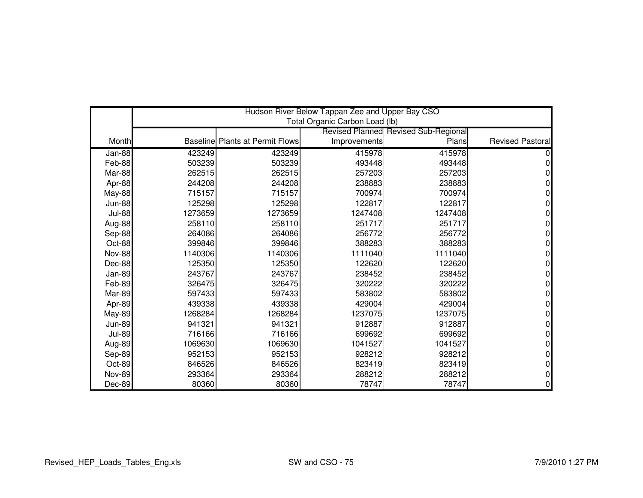|               |         |                                        | Hudson River Below Tappan Zee and Upper Bay CSO |                                      |                  |
|---------------|---------|----------------------------------------|-------------------------------------------------|--------------------------------------|------------------|
|               |         |                                        | Total Organic Carbon Load (lb)                  |                                      |                  |
|               |         |                                        |                                                 | Revised Planned Revised Sub-Regional |                  |
| Month         |         | <b>Baseline Plants at Permit Flows</b> | Improvements                                    | Plans                                | Revised Pastoral |
| Jan-88        | 423249  | 423249                                 | 415978                                          | 415978                               |                  |
| Feb-88        | 503239  | 503239                                 | 493448                                          | 493448                               |                  |
| Mar-88        | 262515  | 262515                                 | 257203                                          | 257203                               |                  |
| Apr-88        | 244208  | 244208                                 | 238883                                          | 238883                               |                  |
| May-88        | 715157  | 715157                                 | 700974                                          | 700974                               |                  |
| <b>Jun-88</b> | 125298  | 125298                                 | 122817                                          | 122817                               |                  |
| <b>Jul-88</b> | 1273659 | 1273659                                | 1247408                                         | 1247408                              |                  |
| Aug-88        | 258110  | 258110                                 | 251717                                          | 251717                               |                  |
| Sep-88        | 264086  | 264086                                 | 256772                                          | 256772                               |                  |
| Oct-88        | 399846  | 399846                                 | 388283                                          | 388283                               |                  |
| <b>Nov-88</b> | 1140306 | 1140306                                | 1111040                                         | 1111040                              |                  |
| Dec-88        | 125350  | 125350                                 | 122620                                          | 122620                               |                  |
| Jan-89        | 243767  | 243767                                 | 238452                                          | 238452                               |                  |
| Feb-89        | 326475  | 326475                                 | 320222                                          | 320222                               |                  |
| Mar-89        | 597433  | 597433                                 | 583802                                          | 583802                               |                  |
| Apr-89        | 439338  | 439338                                 | 429004                                          | 429004                               |                  |
| May-89        | 1268284 | 1268284                                | 1237075                                         | 1237075                              |                  |
| <b>Jun-89</b> | 941321  | 941321                                 | 912887                                          | 912887                               |                  |
| <b>Jul-89</b> | 716166  | 716166                                 | 699692                                          | 699692                               |                  |
| Aug-89        | 1069630 | 1069630                                | 1041527                                         | 1041527                              |                  |
| Sep-89        | 952153  | 952153                                 | 928212                                          | 928212                               |                  |
| Oct-89        | 846526  | 846526                                 | 823419                                          | 823419                               |                  |
| <b>Nov-89</b> | 293364  | 293364                                 | 288212                                          | 288212                               |                  |
| Dec-89        | 80360   | 80360                                  | 78747                                           | 78747                                |                  |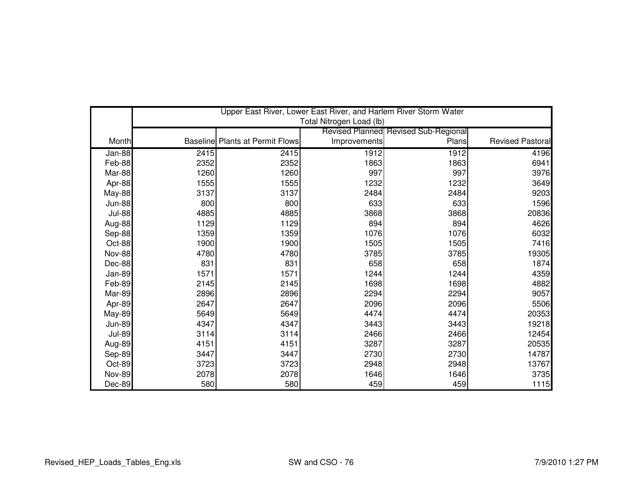|               |      |                                        | Upper East River, Lower East River, and Harlem River Storm Water |                                      |                         |
|---------------|------|----------------------------------------|------------------------------------------------------------------|--------------------------------------|-------------------------|
|               |      |                                        | Total Nitrogen Load (lb)                                         |                                      |                         |
|               |      |                                        |                                                                  | Revised Planned Revised Sub-Regional |                         |
| Month         |      | <b>Baseline Plants at Permit Flows</b> | Improvements                                                     | Plans                                | <b>Revised Pastoral</b> |
| Jan-88        | 2415 | 2415                                   | 1912                                                             | 1912                                 | 4196                    |
| Feb-88        | 2352 | 2352                                   | 1863                                                             | 1863                                 | 6941                    |
| Mar-88        | 1260 | 1260                                   | 997                                                              | 997                                  | 3976                    |
| Apr-88        | 1555 | 1555                                   | 1232                                                             | 1232                                 | 3649                    |
| <b>May-88</b> | 3137 | 3137                                   | 2484                                                             | 2484                                 | 9203                    |
| <b>Jun-88</b> | 800  | 800                                    | 633                                                              | 633                                  | 1596                    |
| <b>Jul-88</b> | 4885 | 4885                                   | 3868                                                             | 3868                                 | 20836                   |
| Aug-88        | 1129 | 1129                                   | 894                                                              | 894                                  | 4626                    |
| Sep-88        | 1359 | 1359                                   | 1076                                                             | 1076                                 | 6032                    |
| Oct-88        | 1900 | 1900                                   | 1505                                                             | 1505                                 | 7416                    |
| <b>Nov-88</b> | 4780 | 4780                                   | 3785                                                             | 3785                                 | 19305                   |
| Dec-88        | 831  | 831                                    | 658                                                              | 658                                  | 1874                    |
| Jan-89        | 1571 | 1571                                   | 1244                                                             | 1244                                 | 4359                    |
| Feb-89        | 2145 | 2145                                   | 1698                                                             | 1698                                 | 4882                    |
| Mar-89        | 2896 | 2896                                   | 2294                                                             | 2294                                 | 9057                    |
| Apr-89        | 2647 | 2647                                   | 2096                                                             | 2096                                 | 5506                    |
| May-89        | 5649 | 5649                                   | 4474                                                             | 4474                                 | 20353                   |
| <b>Jun-89</b> | 4347 | 4347                                   | 3443                                                             | 3443                                 | 19218                   |
| <b>Jul-89</b> | 3114 | 3114                                   | 2466                                                             | 2466                                 | 12454                   |
| Aug-89        | 4151 | 4151                                   | 3287                                                             | 3287                                 | 20535                   |
| Sep-89        | 3447 | 3447                                   | 2730                                                             | 2730                                 | 14787                   |
| Oct-89        | 3723 | 3723                                   | 2948                                                             | 2948                                 | 13767                   |
| <b>Nov-89</b> | 2078 | 2078                                   | 1646                                                             | 1646                                 | 3735                    |
| Dec-89        | 580  | 580                                    | 459                                                              | 459                                  | 1115                    |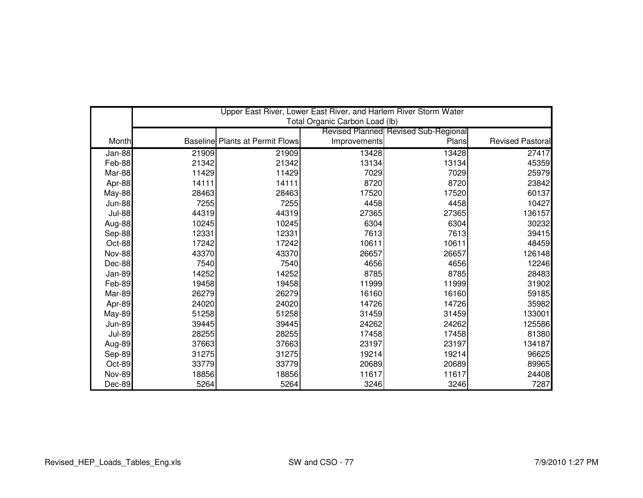|               | Upper East River, Lower East River, and Harlem River Storm Water<br>Total Organic Carbon Load (lb) |                                        |              |                                      |                         |  |
|---------------|----------------------------------------------------------------------------------------------------|----------------------------------------|--------------|--------------------------------------|-------------------------|--|
|               |                                                                                                    |                                        |              | Revised Planned Revised Sub-Regional |                         |  |
| Month         |                                                                                                    | <b>Baseline Plants at Permit Flows</b> | Improvements | Plans                                | <b>Revised Pastoral</b> |  |
|               |                                                                                                    |                                        |              |                                      |                         |  |
| $Jan-88$      | 21909                                                                                              | 21909                                  | 13428        | 13428                                | 27417                   |  |
| Feb-88        | 21342                                                                                              | 21342                                  | 13134        | 13134                                | 45359                   |  |
| Mar-88        | 11429                                                                                              | 11429                                  | 7029         | 7029                                 | 25979                   |  |
| Apr-88        | 14111                                                                                              | 14111                                  | 8720         | 8720                                 | 23842                   |  |
| <b>May-88</b> | 28463                                                                                              | 28463                                  | 17520        | 17520                                | 60137                   |  |
| <b>Jun-88</b> | 7255                                                                                               | 7255                                   | 4458         | 4458                                 | 10427                   |  |
| <b>Jul-88</b> | 44319                                                                                              | 44319                                  | 27365        | 27365                                | 136157                  |  |
| Aug-88        | 10245                                                                                              | 10245                                  | 6304         | 6304                                 | 30232                   |  |
| Sep-88        | 12331                                                                                              | 12331                                  | 7613         | 7613                                 | 39415                   |  |
| Oct-88        | 17242                                                                                              | 17242                                  | 10611        | 10611                                | 48459                   |  |
| <b>Nov-88</b> | 43370                                                                                              | 43370                                  | 26657        | 26657                                | 126148                  |  |
| Dec-88        | 7540                                                                                               | 7540                                   | 4656         | 4656                                 | 12246                   |  |
| Jan-89        | 14252                                                                                              | 14252                                  | 8785         | 8785                                 | 28483                   |  |
| Feb-89        | 19458                                                                                              | 19458                                  | 11999        | 11999                                | 31902                   |  |
| Mar-89        | 26279                                                                                              | 26279                                  | 16160        | 16160                                | 59185                   |  |
| Apr-89        | 24020                                                                                              | 24020                                  | 14726        | 14726                                | 35982                   |  |
| <b>May-89</b> | 51258                                                                                              | 51258                                  | 31459        | 31459                                | 133001                  |  |
| <b>Jun-89</b> | 39445                                                                                              | 39445                                  | 24262        | 24262                                | 125586                  |  |
| <b>Jul-89</b> | 28255                                                                                              | 28255                                  | 17458        | 17458                                | 81380                   |  |
| Aug-89        | 37663                                                                                              | 37663                                  | 23197        | 23197                                | 134187                  |  |
| Sep-89        | 31275                                                                                              | 31275                                  | 19214        | 19214                                | 96625                   |  |
| Oct-89        | 33779                                                                                              | 33779                                  | 20689        | 20689                                | 89965                   |  |
| <b>Nov-89</b> | 18856                                                                                              | 18856                                  | 11617        | 11617                                | 24408                   |  |
| Dec-89        | 5264                                                                                               | 5264                                   | 3246         | 3246                                 | 7287                    |  |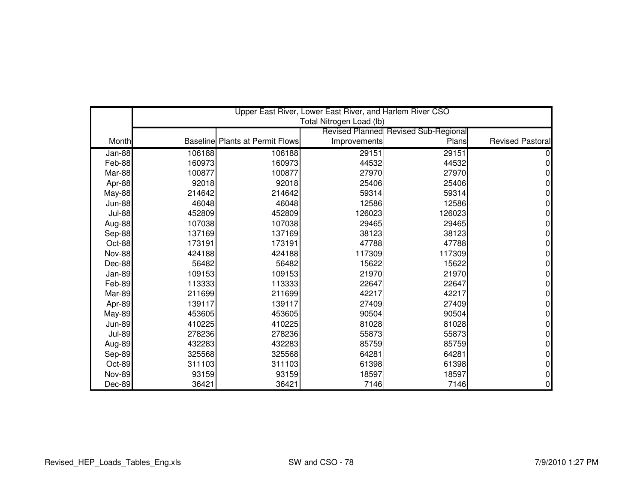|               |        |                                        | Upper East River, Lower East River, and Harlem River CSO |                                      |                         |
|---------------|--------|----------------------------------------|----------------------------------------------------------|--------------------------------------|-------------------------|
|               |        |                                        | Total Nitrogen Load (lb)                                 |                                      |                         |
|               |        |                                        |                                                          | Revised Planned Revised Sub-Regional |                         |
| Month         |        | <b>Baseline Plants at Permit Flows</b> | Improvements                                             | Plans                                | <b>Revised Pastoral</b> |
| Jan-88        | 106188 | 106188                                 | 29151                                                    | 29151                                |                         |
| Feb-88        | 160973 | 160973                                 | 44532                                                    | 44532                                |                         |
| Mar-88        | 100877 | 100877                                 | 27970                                                    | 27970                                |                         |
| Apr-88        | 92018  | 92018                                  | 25406                                                    | 25406                                |                         |
| <b>May-88</b> | 214642 | 214642                                 | 59314                                                    | 59314                                |                         |
| <b>Jun-88</b> | 46048  | 46048                                  | 12586                                                    | 12586                                |                         |
| <b>Jul-88</b> | 452809 | 452809                                 | 126023                                                   | 126023                               |                         |
| Aug-88        | 107038 | 107038                                 | 29465                                                    | 29465                                |                         |
| Sep-88        | 137169 | 137169                                 | 38123                                                    | 38123                                | 0                       |
| Oct-88        | 173191 | 173191                                 | 47788                                                    | 47788                                |                         |
| <b>Nov-88</b> | 424188 | 424188                                 | 117309                                                   | 117309                               |                         |
| Dec-88        | 56482  | 56482                                  | 15622                                                    | 15622                                |                         |
| Jan-89        | 109153 | 109153                                 | 21970                                                    | 21970                                |                         |
| Feb-89        | 113333 | 113333                                 | 22647                                                    | 22647                                | 0                       |
| Mar-89        | 211699 | 211699                                 | 42217                                                    | 42217                                |                         |
| Apr-89        | 139117 | 139117                                 | 27409                                                    | 27409                                |                         |
| <b>May-89</b> | 453605 | 453605                                 | 90504                                                    | 90504                                | 0                       |
| <b>Jun-89</b> | 410225 | 410225                                 | 81028                                                    | 81028                                |                         |
| <b>Jul-89</b> | 278236 | 278236                                 | 55873                                                    | 55873                                | 0                       |
| Aug-89        | 432283 | 432283                                 | 85759                                                    | 85759                                |                         |
| Sep-89        | 325568 | 325568                                 | 64281                                                    | 64281                                |                         |
| Oct-89        | 311103 | 311103                                 | 61398                                                    | 61398                                | 0                       |
| <b>Nov-89</b> | 93159  | 93159                                  | 18597                                                    | 18597                                |                         |
| Dec-89        | 36421  | 36421                                  | 7146                                                     | 7146                                 |                         |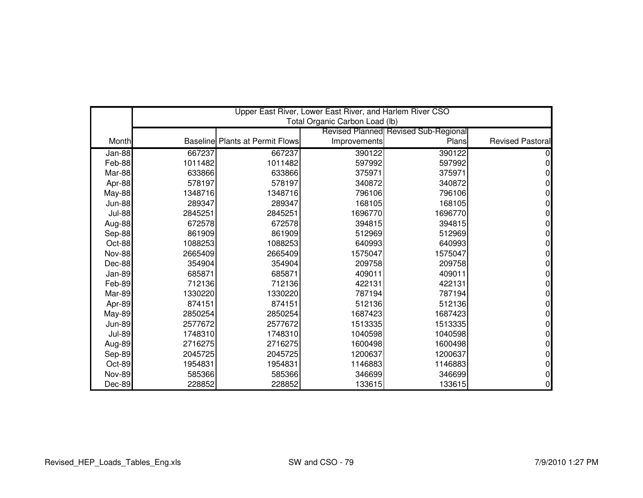|               |         |                                        | Upper East River, Lower East River, and Harlem River CSO |                                      |                  |
|---------------|---------|----------------------------------------|----------------------------------------------------------|--------------------------------------|------------------|
|               |         |                                        | Total Organic Carbon Load (lb)                           |                                      |                  |
|               |         |                                        |                                                          | Revised Planned Revised Sub-Regional |                  |
| Month         |         | <b>Baseline Plants at Permit Flows</b> | Improvements                                             | Plans                                | Revised Pastoral |
| Jan-88        | 667237  | 667237                                 | 390122                                                   | 390122                               |                  |
| Feb-88        | 1011482 | 1011482                                | 597992                                                   | 597992                               |                  |
| Mar-88        | 633866  | 633866                                 | 375971                                                   | 375971                               |                  |
| Apr-88        | 578197  | 578197                                 | 340872                                                   | 340872                               |                  |
| <b>May-88</b> | 1348716 | 1348716                                | 796106                                                   | 796106                               |                  |
| <b>Jun-88</b> | 289347  | 289347                                 | 168105                                                   | 168105                               |                  |
| <b>Jul-88</b> | 2845251 | 2845251                                | 1696770                                                  | 1696770                              |                  |
| Aug-88        | 672578  | 672578                                 | 394815                                                   | 394815                               |                  |
| Sep-88        | 861909  | 861909                                 | 512969                                                   | 512969                               |                  |
| Oct-88        | 1088253 | 1088253                                | 640993                                                   | 640993                               |                  |
| <b>Nov-88</b> | 2665409 | 2665409                                | 1575047                                                  | 1575047                              |                  |
| Dec-88        | 354904  | 354904                                 | 209758                                                   | 209758                               |                  |
| Jan-89        | 685871  | 685871                                 | 409011                                                   | 409011                               |                  |
| Feb-89        | 712136  | 712136                                 | 422131                                                   | 422131                               | 0                |
| Mar-89        | 1330220 | 1330220                                | 787194                                                   | 787194                               |                  |
| Apr-89        | 874151  | 874151                                 | 512136                                                   | 512136                               |                  |
| <b>May-89</b> | 2850254 | 2850254                                | 1687423                                                  | 1687423                              |                  |
| <b>Jun-89</b> | 2577672 | 2577672                                | 1513335                                                  | 1513335                              |                  |
| <b>Jul-89</b> | 1748310 | 1748310                                | 1040598                                                  | 1040598                              |                  |
| Aug-89        | 2716275 | 2716275                                | 1600498                                                  | 1600498                              |                  |
| Sep-89        | 2045725 | 2045725                                | 1200637                                                  | 1200637                              |                  |
| Oct-89        | 1954831 | 1954831                                | 1146883                                                  | 1146883                              |                  |
| <b>Nov-89</b> | 585366  | 585366                                 | 346699                                                   | 346699                               |                  |
| Dec-89        | 228852  | 228852                                 | 133615                                                   | 133615                               |                  |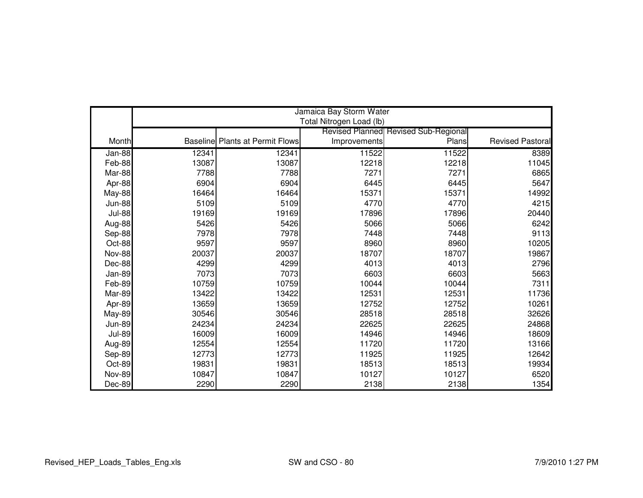|               |       |                                        | Jamaica Bay Storm Water  |                                             |                  |
|---------------|-------|----------------------------------------|--------------------------|---------------------------------------------|------------------|
|               |       |                                        | Total Nitrogen Load (lb) |                                             |                  |
|               |       |                                        |                          | <b>Revised Planned Revised Sub-Regional</b> |                  |
| Month         |       | <b>Baseline Plants at Permit Flows</b> | Improvements             | Plans                                       | Revised Pastoral |
| Jan-88        | 12341 | 12341                                  | 11522                    | 11522                                       | 8389             |
| Feb-88        | 13087 | 13087                                  | 12218                    | 12218                                       | 11045            |
| Mar-88        | 7788  | 7788                                   | 7271                     | 7271                                        | 6865             |
| Apr-88        | 6904  | 6904                                   | 6445                     | 6445                                        | 5647             |
| <b>May-88</b> | 16464 | 16464                                  | 15371                    | 15371                                       | 14992            |
| <b>Jun-88</b> | 5109  | 5109                                   | 4770                     | 4770                                        | 4215             |
| <b>Jul-88</b> | 19169 | 19169                                  | 17896                    | 17896                                       | 20440            |
| Aug-88        | 5426  | 5426                                   | 5066                     | 5066                                        | 6242             |
| Sep-88        | 7978  | 7978                                   | 7448                     | 7448                                        | 9113             |
| Oct-88        | 9597  | 9597                                   | 8960                     | 8960                                        | 10205            |
| <b>Nov-88</b> | 20037 | 20037                                  | 18707                    | 18707                                       | 19867            |
| Dec-88        | 4299  | 4299                                   | 4013                     | 4013                                        | 2796             |
| Jan-89        | 7073  | 7073                                   | 6603                     | 6603                                        | 5663             |
| Feb-89        | 10759 | 10759                                  | 10044                    | 10044                                       | 7311             |
| Mar-89        | 13422 | 13422                                  | 12531                    | 12531                                       | 11736            |
| Apr-89        | 13659 | 13659                                  | 12752                    | 12752                                       | 10261            |
| <b>May-89</b> | 30546 | 30546                                  | 28518                    | 28518                                       | 32626            |
| <b>Jun-89</b> | 24234 | 24234                                  | 22625                    | 22625                                       | 24868            |
| <b>Jul-89</b> | 16009 | 16009                                  | 14946                    | 14946                                       | 18609            |
| Aug-89        | 12554 | 12554                                  | 11720                    | 11720                                       | 13166            |
| Sep-89        | 12773 | 12773                                  | 11925                    | 11925                                       | 12642            |
| Oct-89        | 19831 | 19831                                  | 18513                    | 18513                                       | 19934            |
| <b>Nov-89</b> | 10847 | 10847                                  | 10127                    | 10127                                       | 6520             |
| Dec-89        | 2290  | 2290                                   | 2138                     | 2138                                        | 1354             |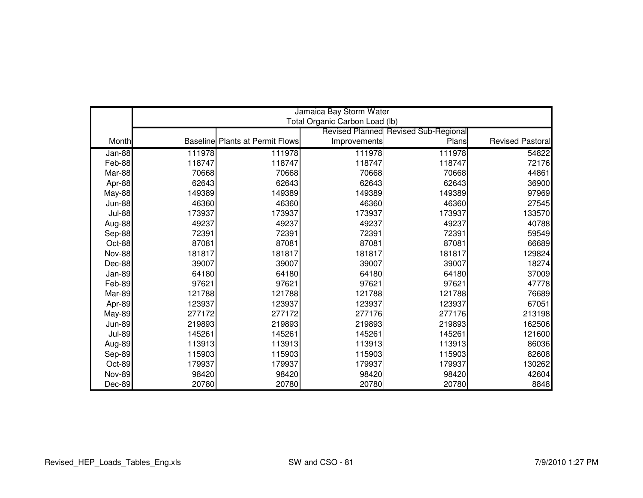|               |        |                                        | Jamaica Bay Storm Water        |                                      |                         |
|---------------|--------|----------------------------------------|--------------------------------|--------------------------------------|-------------------------|
|               |        |                                        | Total Organic Carbon Load (lb) | Revised Planned Revised Sub-Regional |                         |
| Month         |        | <b>Baseline Plants at Permit Flows</b> | Improvements                   | Plans                                | <b>Revised Pastoral</b> |
|               |        |                                        |                                |                                      |                         |
| Jan-88        | 111978 | 111978                                 | 111978                         | 111978                               | 54822                   |
| Feb-88        | 118747 | 118747                                 | 118747                         | 118747                               | 72176                   |
| Mar-88        | 70668  | 70668                                  | 70668                          | 70668                                | 44861                   |
| Apr-88        | 62643  | 62643                                  | 62643                          | 62643                                | 36900                   |
| <b>May-88</b> | 149389 | 149389                                 | 149389                         | 149389                               | 97969                   |
| <b>Jun-88</b> | 46360  | 46360                                  | 46360                          | 46360                                | 27545                   |
| <b>Jul-88</b> | 173937 | 173937                                 | 173937                         | 173937                               | 133570                  |
| Aug-88        | 49237  | 49237                                  | 49237                          | 49237                                | 40788                   |
| Sep-88        | 72391  | 72391                                  | 72391                          | 72391                                | 59549                   |
| Oct-88        | 87081  | 87081                                  | 87081                          | 87081                                | 66689                   |
| <b>Nov-88</b> | 181817 | 181817                                 | 181817                         | 181817                               | 129824                  |
| Dec-88        | 39007  | 39007                                  | 39007                          | 39007                                | 18274                   |
| Jan-89        | 64180  | 64180                                  | 64180                          | 64180                                | 37009                   |
| Feb-89        | 97621  | 97621                                  | 97621                          | 97621                                | 47778                   |
| Mar-89        | 121788 | 121788                                 | 121788                         | 121788                               | 76689                   |
| Apr-89        | 123937 | 123937                                 | 123937                         | 123937                               | 67051                   |
| <b>May-89</b> | 277172 | 277172                                 | 277176                         | 277176                               | 213198                  |
| <b>Jun-89</b> | 219893 | 219893                                 | 219893                         | 219893                               | 162506                  |
| <b>Jul-89</b> | 145261 | 145261                                 | 145261                         | 145261                               | 121600                  |
| Aug-89        | 113913 | 113913                                 | 113913                         | 113913                               | 86036                   |
| Sep-89        | 115903 | 115903                                 | 115903                         | 115903                               | 82608                   |
| Oct-89        | 179937 | 179937                                 | 179937                         | 179937                               | 130262                  |
| <b>Nov-89</b> | 98420  | 98420                                  | 98420                          | 98420                                | 42604                   |
| Dec-89        | 20780  | 20780                                  | 20780                          | 20780                                | 8848                    |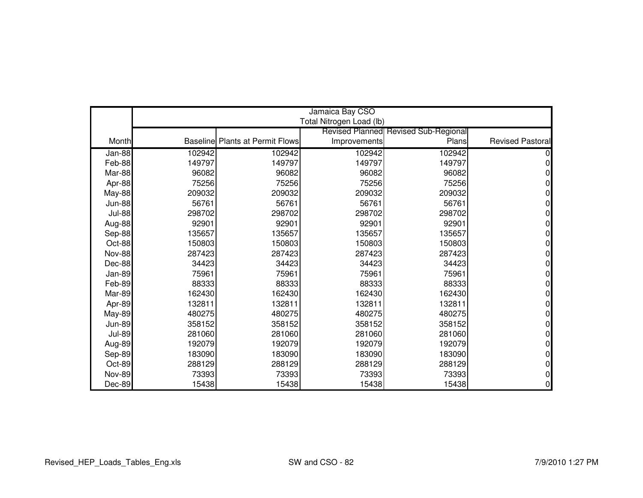|               |        |                                        | Jamaica Bay CSO          |                                             |                         |
|---------------|--------|----------------------------------------|--------------------------|---------------------------------------------|-------------------------|
|               |        |                                        | Total Nitrogen Load (lb) |                                             |                         |
|               |        |                                        |                          | <b>Revised Planned Revised Sub-Regional</b> |                         |
| Month         |        | <b>Baseline Plants at Permit Flows</b> | Improvements             | Plans                                       | <b>Revised Pastoral</b> |
| Jan-88        | 102942 | 102942                                 | 102942                   | 102942                                      |                         |
| Feb-88        | 149797 | 149797                                 | 149797                   | 149797                                      |                         |
| Mar-88        | 96082  | 96082                                  | 96082                    | 96082                                       |                         |
| Apr-88        | 75256  | 75256                                  | 75256                    | 75256                                       |                         |
| May-88        | 209032 | 209032                                 | 209032                   | 209032                                      |                         |
| <b>Jun-88</b> | 56761  | 56761                                  | 56761                    | 56761                                       |                         |
| <b>Jul-88</b> | 298702 | 298702                                 | 298702                   | 298702                                      |                         |
| Aug-88        | 92901  | 92901                                  | 92901                    | 92901                                       |                         |
| Sep-88        | 135657 | 135657                                 | 135657                   | 135657                                      | ი                       |
| Oct-88        | 150803 | 150803                                 | 150803                   | 150803                                      |                         |
| <b>Nov-88</b> | 287423 | 287423                                 | 287423                   | 287423                                      |                         |
| Dec-88        | 34423  | 34423                                  | 34423                    | 34423                                       |                         |
| Jan-89        | 75961  | 75961                                  | 75961                    | 75961                                       |                         |
| Feb-89        | 88333  | 88333                                  | 88333                    | 88333                                       | ი                       |
| Mar-89        | 162430 | 162430                                 | 162430                   | 162430                                      |                         |
| Apr-89        | 132811 | 132811                                 | 132811                   | 132811                                      |                         |
| <b>May-89</b> | 480275 | 480275                                 | 480275                   | 480275                                      | N                       |
| <b>Jun-89</b> | 358152 | 358152                                 | 358152                   | 358152                                      |                         |
| <b>Jul-89</b> | 281060 | 281060                                 | 281060                   | 281060                                      |                         |
| Aug-89        | 192079 | 192079                                 | 192079                   | 192079                                      |                         |
| Sep-89        | 183090 | 183090                                 | 183090                   | 183090                                      |                         |
| Oct-89        | 288129 | 288129                                 | 288129                   | 288129                                      | 0                       |
| <b>Nov-89</b> | 73393  | 73393                                  | 73393                    | 73393                                       |                         |
| Dec-89        | 15438  | 15438                                  | 15438                    | 15438                                       | $\Omega$                |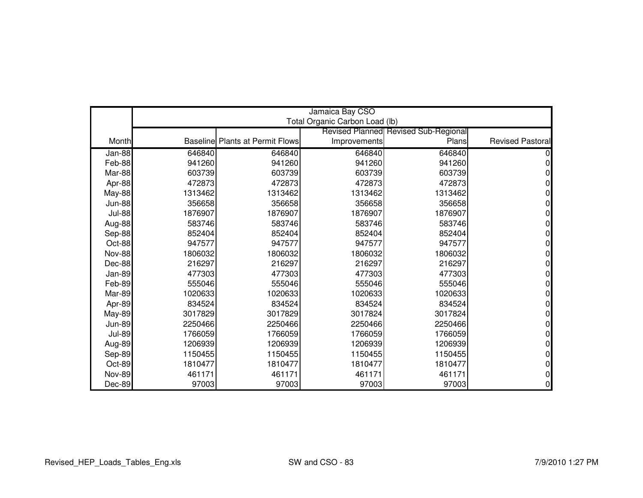|               | Jamaica Bay CSO<br>Total Organic Carbon Load (lb) |                                        |              |                                      |                         |  |
|---------------|---------------------------------------------------|----------------------------------------|--------------|--------------------------------------|-------------------------|--|
|               |                                                   |                                        |              | Revised Planned Revised Sub-Regional |                         |  |
| Month         |                                                   | <b>Baseline Plants at Permit Flows</b> | Improvements | Plans                                | <b>Revised Pastoral</b> |  |
|               |                                                   |                                        |              |                                      |                         |  |
| Jan-88        | 646840                                            | 646840                                 | 646840       | 646840                               |                         |  |
| Feb-88        | 941260                                            | 941260                                 | 941260       | 941260                               |                         |  |
| Mar-88        | 603739                                            | 603739                                 | 603739       | 603739                               |                         |  |
| Apr-88        | 472873                                            | 472873                                 | 472873       | 472873                               |                         |  |
| <b>May-88</b> | 1313462                                           | 1313462                                | 1313462      | 1313462                              |                         |  |
| <b>Jun-88</b> | 356658                                            | 356658                                 | 356658       | 356658                               |                         |  |
| <b>Jul-88</b> | 1876907                                           | 1876907                                | 1876907      | 1876907                              |                         |  |
| Aug-88        | 583746                                            | 583746                                 | 583746       | 583746                               |                         |  |
| Sep-88        | 852404                                            | 852404                                 | 852404       | 852404                               |                         |  |
| Oct-88        | 947577                                            | 947577                                 | 947577       | 947577                               |                         |  |
| <b>Nov-88</b> | 1806032                                           | 1806032                                | 1806032      | 1806032                              |                         |  |
| Dec-88        | 216297                                            | 216297                                 | 216297       | 216297                               |                         |  |
| Jan-89        | 477303                                            | 477303                                 | 477303       | 477303                               |                         |  |
| Feb-89        | 555046                                            | 555046                                 | 555046       | 555046                               |                         |  |
| Mar-89        | 1020633                                           | 1020633                                | 1020633      | 1020633                              |                         |  |
| Apr-89        | 834524                                            | 834524                                 | 834524       | 834524                               |                         |  |
| <b>May-89</b> | 3017829                                           | 3017829                                | 3017824      | 3017824                              |                         |  |
| <b>Jun-89</b> | 2250466                                           | 2250466                                | 2250466      | 2250466                              |                         |  |
| <b>Jul-89</b> | 1766059                                           | 1766059                                | 1766059      | 1766059                              |                         |  |
| Aug-89        | 1206939                                           | 1206939                                | 1206939      | 1206939                              |                         |  |
| Sep-89        | 1150455                                           | 1150455                                | 1150455      | 1150455                              |                         |  |
| Oct-89        | 1810477                                           | 1810477                                | 1810477      | 1810477                              |                         |  |
| <b>Nov-89</b> | 461171                                            | 461171                                 | 461171       | 461171                               |                         |  |
| Dec-89        | 97003                                             | 97003                                  | 97003        | 97003                                |                         |  |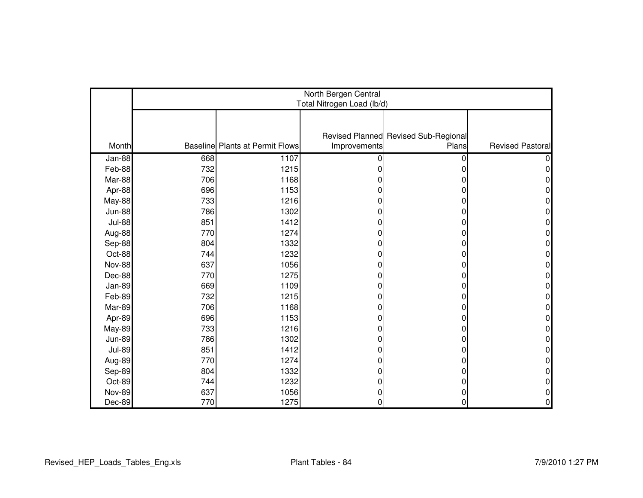|               | North Bergen Central<br>Total Nitrogen Load (lb/d) |                                        |              |                                               |                         |  |  |
|---------------|----------------------------------------------------|----------------------------------------|--------------|-----------------------------------------------|-------------------------|--|--|
|               |                                                    |                                        |              |                                               |                         |  |  |
|               |                                                    |                                        |              |                                               |                         |  |  |
| Month         |                                                    | <b>Baseline</b> Plants at Permit Flows | Improvements | Revised Planned Revised Sub-Regional<br>Plans | <b>Revised Pastoral</b> |  |  |
| Jan-88        | 668                                                | 1107                                   | 0            | 0                                             |                         |  |  |
| Feb-88        | 732                                                | 1215                                   |              | 0                                             |                         |  |  |
| Mar-88        | 706                                                | 1168                                   |              | 0                                             |                         |  |  |
| Apr-88        | 696                                                | 1153                                   |              | 0                                             |                         |  |  |
| May-88        | 733                                                | 1216                                   |              | 0                                             |                         |  |  |
| <b>Jun-88</b> | 786                                                | 1302                                   |              | 0                                             |                         |  |  |
| <b>Jul-88</b> | 851                                                | 1412                                   | 0            | 0                                             |                         |  |  |
| Aug-88        | 770                                                | 1274                                   | ŋ            | 0                                             |                         |  |  |
| Sep-88        | 804                                                | 1332                                   | 0            | 0                                             |                         |  |  |
| Oct-88        | 744                                                | 1232                                   |              | 0                                             |                         |  |  |
| Nov-88        | 637                                                | 1056                                   |              | 0                                             |                         |  |  |
| Dec-88        | 770                                                | 1275                                   | 0            | 0                                             |                         |  |  |
| Jan-89        | 669                                                | 1109                                   | O            | 0                                             |                         |  |  |
| Feb-89        | 732                                                | 1215                                   |              | 0                                             |                         |  |  |
| Mar-89        | 706                                                | 1168                                   |              | 0                                             |                         |  |  |
| Apr-89        | 696                                                | 1153                                   | 0            | 0                                             |                         |  |  |
| <b>May-89</b> | 733                                                | 1216                                   | O            | 0                                             |                         |  |  |
| <b>Jun-89</b> | 786                                                | 1302                                   | 0            | 0                                             |                         |  |  |
| <b>Jul-89</b> | 851                                                | 1412                                   |              | 0                                             |                         |  |  |
| Aug-89        | 770                                                | 1274                                   |              | 0                                             |                         |  |  |
| Sep-89        | 804                                                | 1332                                   |              | 0                                             |                         |  |  |
| Oct-89        | 744                                                | 1232                                   |              | 0                                             |                         |  |  |
| <b>Nov-89</b> | 637                                                | 1056                                   | 0            | 0                                             |                         |  |  |
| Dec-89        | 770                                                | 1275                                   | 0            | 0                                             | 0                       |  |  |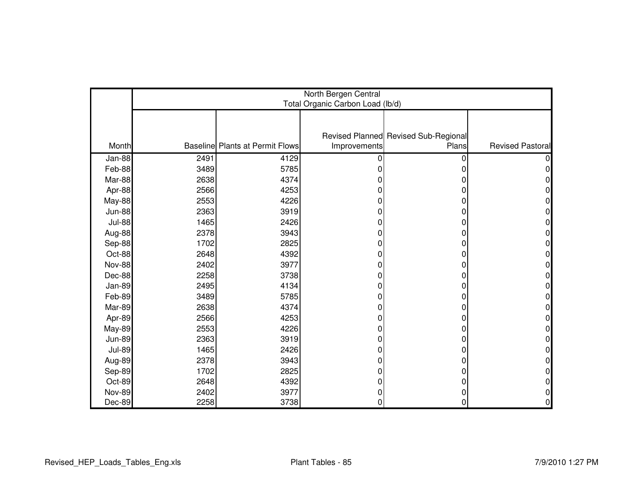|               | North Bergen Central<br>Total Organic Carbon Load (lb/d) |                                        |              |                                      |                         |  |  |
|---------------|----------------------------------------------------------|----------------------------------------|--------------|--------------------------------------|-------------------------|--|--|
|               |                                                          |                                        |              |                                      |                         |  |  |
|               |                                                          |                                        |              | Revised Planned Revised Sub-Regional |                         |  |  |
| Month         |                                                          | <b>Baseline Plants at Permit Flows</b> | Improvements | Plans                                | <b>Revised Pastoral</b> |  |  |
| Jan-88        | 2491                                                     | 4129                                   | <sup>0</sup> | 0                                    |                         |  |  |
| Feb-88        | 3489                                                     | 5785                                   |              | 0                                    |                         |  |  |
| Mar-88        | 2638                                                     | 4374                                   |              |                                      |                         |  |  |
| Apr-88        | 2566                                                     | 4253                                   |              | 0                                    |                         |  |  |
| May-88        | 2553                                                     | 4226                                   |              | O                                    |                         |  |  |
| <b>Jun-88</b> | 2363                                                     | 3919                                   |              | 0                                    |                         |  |  |
| <b>Jul-88</b> | 1465                                                     | 2426                                   |              | 0                                    |                         |  |  |
| Aug-88        | 2378                                                     | 3943                                   |              | 0                                    |                         |  |  |
| Sep-88        | 1702                                                     | 2825                                   | O            | 0                                    |                         |  |  |
| Oct-88        | 2648                                                     | 4392                                   |              | 0                                    |                         |  |  |
| Nov-88        | 2402                                                     | 3977                                   |              | 0                                    |                         |  |  |
| Dec-88        | 2258                                                     | 3738                                   |              | 0                                    |                         |  |  |
| Jan-89        | 2495                                                     | 4134                                   |              | 0                                    |                         |  |  |
| Feb-89        | 3489                                                     | 5785                                   |              | 0                                    | 0                       |  |  |
| Mar-89        | 2638                                                     | 4374                                   |              | 0                                    |                         |  |  |
| Apr-89        | 2566                                                     | 4253                                   |              | 0                                    |                         |  |  |
| <b>May-89</b> | 2553                                                     | 4226                                   |              | 0                                    |                         |  |  |
| <b>Jun-89</b> | 2363                                                     | 3919                                   | ŋ            | 0                                    | 0                       |  |  |
| <b>Jul-89</b> | 1465                                                     | 2426                                   |              | 0                                    |                         |  |  |
| Aug-89        | 2378                                                     | 3943                                   |              | 0                                    |                         |  |  |
| Sep-89        | 1702                                                     | 2825                                   |              | O                                    |                         |  |  |
| Oct-89        | 2648                                                     | 4392                                   |              | 0                                    |                         |  |  |
| <b>Nov-89</b> | 2402                                                     | 3977                                   |              | 0                                    |                         |  |  |
| Dec-89        | 2258                                                     | 3738                                   | $\Omega$     | 0                                    | 0                       |  |  |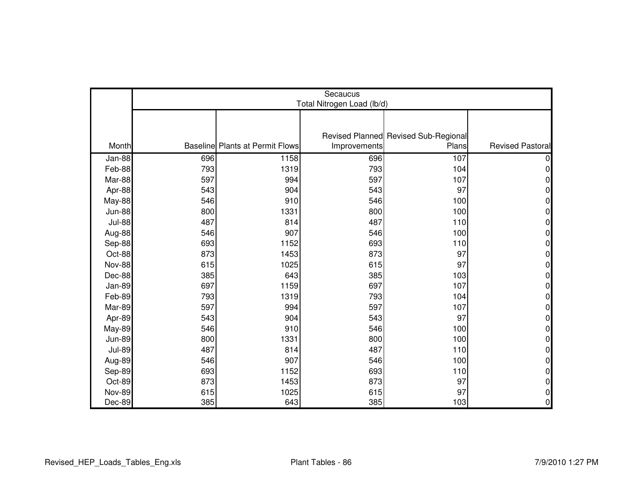|               | Secaucus                   |                                        |              |                                      |                         |  |  |
|---------------|----------------------------|----------------------------------------|--------------|--------------------------------------|-------------------------|--|--|
|               | Total Nitrogen Load (lb/d) |                                        |              |                                      |                         |  |  |
|               |                            |                                        |              |                                      |                         |  |  |
|               |                            |                                        |              | Revised Planned Revised Sub-Regional |                         |  |  |
| Month         |                            | <b>Baseline Plants at Permit Flows</b> | Improvements | Plans                                | <b>Revised Pastoral</b> |  |  |
| Jan-88        | 696                        | 1158                                   | 696          | 107                                  |                         |  |  |
| Feb-88        | 793                        | 1319                                   | 793          | 104                                  | 0                       |  |  |
| Mar-88        | 597                        | 994                                    | 597          | 107                                  | 0                       |  |  |
| Apr-88        | 543                        | 904                                    | 543          | 97                                   | 0                       |  |  |
| May-88        | 546                        | 910                                    | 546          | 100                                  | 0                       |  |  |
| <b>Jun-88</b> | 800                        | 1331                                   | 800          | 100                                  | 0                       |  |  |
| <b>Jul-88</b> | 487                        | 814                                    | 487          | 110                                  | 0                       |  |  |
| Aug-88        | 546                        | 907                                    | 546          | 100                                  | 0                       |  |  |
| Sep-88        | 693                        | 1152                                   | 693          | 110                                  | 0                       |  |  |
| Oct-88        | 873                        | 1453                                   | 873          | 97                                   | 0                       |  |  |
| <b>Nov-88</b> | 615                        | 1025                                   | 615          | 97                                   | 0                       |  |  |
| Dec-88        | 385                        | 643                                    | 385          | 103                                  | 0                       |  |  |
| Jan-89        | 697                        | 1159                                   | 697          | 107                                  | 0                       |  |  |
| Feb-89        | 793                        | 1319                                   | 793          | 104                                  | 0                       |  |  |
| Mar-89        | 597                        | 994                                    | 597          | 107                                  | 0                       |  |  |
| Apr-89        | 543                        | 904                                    | 543          | 97                                   | 0                       |  |  |
| <b>May-89</b> | 546                        | 910                                    | 546          | 100                                  | 0                       |  |  |
| <b>Jun-89</b> | 800                        | 1331                                   | 800          | 100                                  | 0                       |  |  |
| <b>Jul-89</b> | 487                        | 814                                    | 487          | 110                                  | 0                       |  |  |
| Aug-89        | 546                        | 907                                    | 546          | 100                                  | 0                       |  |  |
| Sep-89        | 693                        | 1152                                   | 693          | 110                                  | 0                       |  |  |
| Oct-89        | 873                        | 1453                                   | 873          | 97                                   | 0                       |  |  |
| <b>Nov-89</b> | 615                        | 1025                                   | 615          | 97                                   | 0                       |  |  |
| Dec-89        | 385                        | 643                                    | 385          | 103                                  | 0                       |  |  |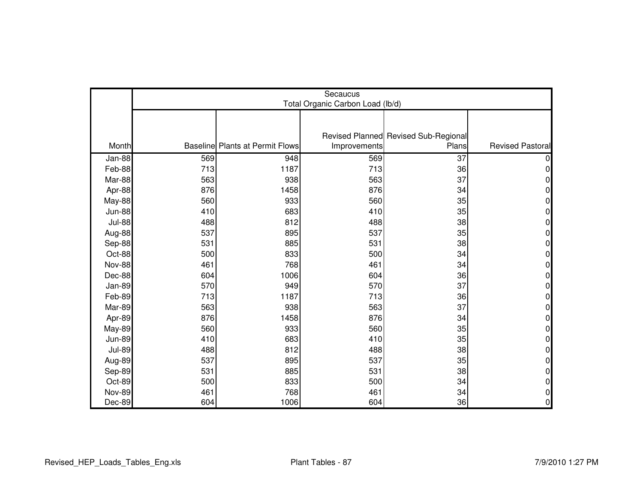|               | Secaucus<br>Total Organic Carbon Load (lb/d) |                                        |              |                                      |                         |  |  |
|---------------|----------------------------------------------|----------------------------------------|--------------|--------------------------------------|-------------------------|--|--|
|               |                                              |                                        |              |                                      |                         |  |  |
|               |                                              |                                        |              |                                      |                         |  |  |
|               |                                              |                                        |              | Revised Planned Revised Sub-Regional |                         |  |  |
| Month         |                                              | <b>Baseline Plants at Permit Flows</b> | Improvements | Plans                                | <b>Revised Pastoral</b> |  |  |
| Jan-88        | 569                                          | 948                                    | 569          | 37                                   |                         |  |  |
| Feb-88        | 713                                          | 1187                                   | 713          | 36                                   | 0                       |  |  |
| Mar-88        | 563                                          | 938                                    | 563          | 37                                   | 0                       |  |  |
| Apr-88        | 876                                          | 1458                                   | 876          | 34                                   | 0                       |  |  |
| <b>May-88</b> | 560                                          | 933                                    | 560          | 35                                   | 0                       |  |  |
| <b>Jun-88</b> | 410                                          | 683                                    | 410          | 35                                   | 0                       |  |  |
| <b>Jul-88</b> | 488                                          | 812                                    | 488          | 38                                   | 0                       |  |  |
| Aug-88        | 537                                          | 895                                    | 537          | 35                                   | 0                       |  |  |
| Sep-88        | 531                                          | 885                                    | 531          | 38                                   | 0                       |  |  |
| Oct-88        | 500                                          | 833                                    | 500          | 34                                   | 0                       |  |  |
| <b>Nov-88</b> | 461                                          | 768                                    | 461          | 34                                   | 0                       |  |  |
| Dec-88        | 604                                          | 1006                                   | 604          | 36                                   | 0                       |  |  |
| Jan-89        | 570                                          | 949                                    | 570          | 37                                   | 0                       |  |  |
| Feb-89        | 713                                          | 1187                                   | 713          | 36                                   | 0                       |  |  |
| Mar-89        | 563                                          | 938                                    | 563          | 37                                   | 0                       |  |  |
| Apr-89        | 876                                          | 1458                                   | 876          | 34                                   | 0                       |  |  |
| <b>May-89</b> | 560                                          | 933                                    | 560          | 35                                   | 0                       |  |  |
| <b>Jun-89</b> | 410                                          | 683                                    | 410          | 35                                   | 0                       |  |  |
| <b>Jul-89</b> | 488                                          | 812                                    | 488          | 38                                   | 0                       |  |  |
| Aug-89        | 537                                          | 895                                    | 537          | 35                                   | 0                       |  |  |
| Sep-89        | 531                                          | 885                                    | 531          | 38                                   | 0                       |  |  |
| Oct-89        | 500                                          | 833                                    | 500          | 34                                   | 0                       |  |  |
| <b>Nov-89</b> | 461                                          | 768                                    | 461          | 34                                   | 0                       |  |  |
| Dec-89        | 604                                          | 1006                                   | 604          | 36                                   | $\overline{0}$          |  |  |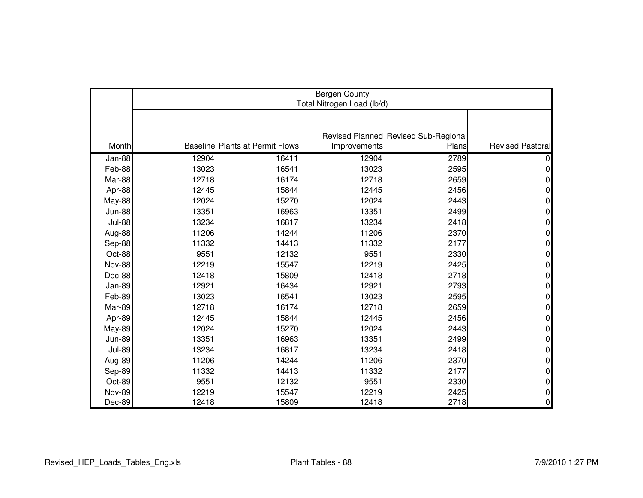|               | <b>Bergen County</b><br>Total Nitrogen Load (lb/d) |                                        |              |                                      |                         |  |  |
|---------------|----------------------------------------------------|----------------------------------------|--------------|--------------------------------------|-------------------------|--|--|
|               |                                                    |                                        |              |                                      |                         |  |  |
|               |                                                    |                                        |              | Revised Planned Revised Sub-Regional |                         |  |  |
| Month         |                                                    | <b>Baseline Plants at Permit Flows</b> | Improvements | Plans                                | <b>Revised Pastoral</b> |  |  |
| Jan-88        | 12904                                              | 16411                                  | 12904        | 2789                                 |                         |  |  |
| Feb-88        | 13023                                              | 16541                                  | 13023        | 2595                                 | 0                       |  |  |
| Mar-88        | 12718                                              | 16174                                  | 12718        | 2659                                 | 0                       |  |  |
| Apr-88        | 12445                                              | 15844                                  | 12445        | 2456                                 | U                       |  |  |
| May-88        | 12024                                              | 15270                                  | 12024        | 2443                                 | 0                       |  |  |
| <b>Jun-88</b> | 13351                                              | 16963                                  | 13351        | 2499                                 | 0                       |  |  |
| <b>Jul-88</b> | 13234                                              | 16817                                  | 13234        | 2418                                 | 0                       |  |  |
| Aug-88        | 11206                                              | 14244                                  | 11206        | 2370                                 | 0                       |  |  |
| Sep-88        | 11332                                              | 14413                                  | 11332        | 2177                                 | 0                       |  |  |
| Oct-88        | 9551                                               | 12132                                  | 9551         | 2330                                 | 0                       |  |  |
| <b>Nov-88</b> | 12219                                              | 15547                                  | 12219        | 2425                                 | 0                       |  |  |
| Dec-88        | 12418                                              | 15809                                  | 12418        | 2718                                 | 0                       |  |  |
| <b>Jan-89</b> | 12921                                              | 16434                                  | 12921        | 2793                                 | 0                       |  |  |
| Feb-89        | 13023                                              | 16541                                  | 13023        | 2595                                 | 0                       |  |  |
| Mar-89        | 12718                                              | 16174                                  | 12718        | 2659                                 | 0                       |  |  |
| Apr-89        | 12445                                              | 15844                                  | 12445        | 2456                                 | 0                       |  |  |
| <b>May-89</b> | 12024                                              | 15270                                  | 12024        | 2443                                 | 0                       |  |  |
| <b>Jun-89</b> | 13351                                              | 16963                                  | 13351        | 2499                                 | 0                       |  |  |
| <b>Jul-89</b> | 13234                                              | 16817                                  | 13234        | 2418                                 | 0                       |  |  |
| Aug-89        | 11206                                              | 14244                                  | 11206        | 2370                                 | U                       |  |  |
| Sep-89        | 11332                                              | 14413                                  | 11332        | 2177                                 | 0                       |  |  |
| Oct-89        | 9551                                               | 12132                                  | 9551         | 2330                                 | 0                       |  |  |
| <b>Nov-89</b> | 12219                                              | 15547                                  | 12219        | 2425                                 | 0                       |  |  |
| Dec-89        | 12418                                              | 15809                                  | 12418        | 2718                                 | 0                       |  |  |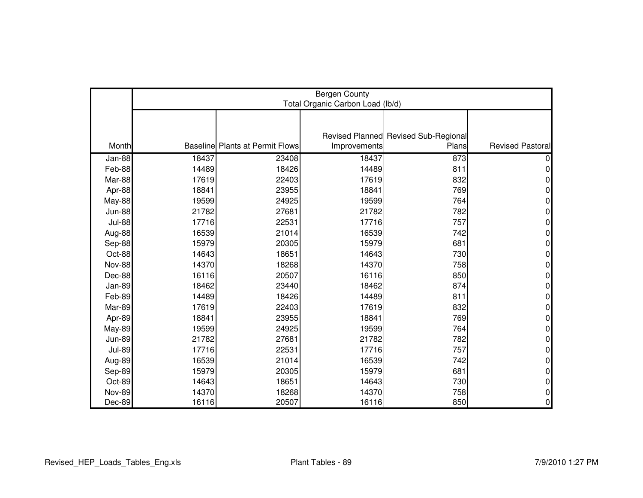|               | <b>Bergen County</b><br>Total Organic Carbon Load (lb/d) |                                        |              |                                      |                         |  |
|---------------|----------------------------------------------------------|----------------------------------------|--------------|--------------------------------------|-------------------------|--|
|               |                                                          |                                        |              |                                      |                         |  |
|               |                                                          |                                        |              | Revised Planned Revised Sub-Regional |                         |  |
| Month         |                                                          | <b>Baseline Plants at Permit Flows</b> | Improvements | Plans                                | <b>Revised Pastoral</b> |  |
| Jan-88        | 18437                                                    | 23408                                  | 18437        | 873                                  |                         |  |
| Feb-88        | 14489                                                    | 18426                                  | 14489        | 811                                  | 0                       |  |
| Mar-88        | 17619                                                    | 22403                                  | 17619        | 832                                  | 0                       |  |
| Apr-88        | 18841                                                    | 23955                                  | 18841        | 769                                  | 0                       |  |
| <b>May-88</b> | 19599                                                    | 24925                                  | 19599        | 764                                  | 0                       |  |
| <b>Jun-88</b> | 21782                                                    | 27681                                  | 21782        | 782                                  | 0                       |  |
| <b>Jul-88</b> | 17716                                                    | 22531                                  | 17716        | 757                                  | 0                       |  |
| Aug-88        | 16539                                                    | 21014                                  | 16539        | 742                                  | 0                       |  |
| Sep-88        | 15979                                                    | 20305                                  | 15979        | 681                                  | 0                       |  |
| Oct-88        | 14643                                                    | 18651                                  | 14643        | 730                                  | 0                       |  |
| <b>Nov-88</b> | 14370                                                    | 18268                                  | 14370        | 758                                  | 0                       |  |
| Dec-88        | 16116                                                    | 20507                                  | 16116        | 850                                  | 0                       |  |
| Jan-89        | 18462                                                    | 23440                                  | 18462        | 874                                  | 0                       |  |
| Feb-89        | 14489                                                    | 18426                                  | 14489        | 811                                  | 0                       |  |
| Mar-89        | 17619                                                    | 22403                                  | 17619        | 832                                  | 0                       |  |
| Apr-89        | 18841                                                    | 23955                                  | 18841        | 769                                  | 0                       |  |
| <b>May-89</b> | 19599                                                    | 24925                                  | 19599        | 764                                  | 0                       |  |
| <b>Jun-89</b> | 21782                                                    | 27681                                  | 21782        | 782                                  | 0                       |  |
| <b>Jul-89</b> | 17716                                                    | 22531                                  | 17716        | 757                                  | 0                       |  |
| Aug-89        | 16539                                                    | 21014                                  | 16539        | 742                                  | 0                       |  |
| Sep-89        | 15979                                                    | 20305                                  | 15979        | 681                                  | 0                       |  |
| Oct-89        | 14643                                                    | 18651                                  | 14643        | 730                                  | 0                       |  |
| <b>Nov-89</b> | 14370                                                    | 18268                                  | 14370        | 758                                  | 0                       |  |
| Dec-89        | 16116                                                    | 20507                                  | 16116        | 850                                  | $\overline{0}$          |  |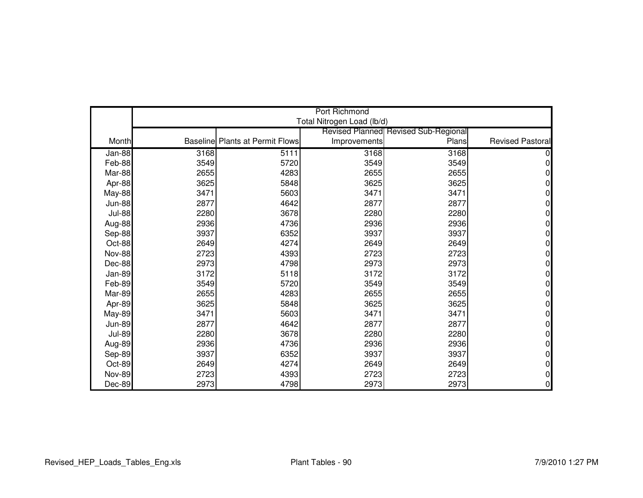|               |      |                                        | <b>Port Richmond</b>       |                                             |                         |
|---------------|------|----------------------------------------|----------------------------|---------------------------------------------|-------------------------|
|               |      |                                        | Total Nitrogen Load (lb/d) |                                             |                         |
|               |      |                                        |                            | <b>Revised Planned Revised Sub-Regional</b> |                         |
| Month         |      | <b>Baseline Plants at Permit Flows</b> | Improvements               | Plans                                       | <b>Revised Pastoral</b> |
| Jan-88        | 3168 | 5111                                   | 3168                       | 3168                                        |                         |
| Feb-88        | 3549 | 5720                                   | 3549                       | 3549                                        | N                       |
| Mar-88        | 2655 | 4283                                   | 2655                       | 2655                                        | O                       |
| Apr-88        | 3625 | 5848                                   | 3625                       | 3625                                        | 0                       |
| May-88        | 3471 | 5603                                   | 3471                       | 3471                                        | 0                       |
| <b>Jun-88</b> | 2877 | 4642                                   | 2877                       | 2877                                        | 0                       |
| <b>Jul-88</b> | 2280 | 3678                                   | 2280                       | 2280                                        | ი                       |
| Aug-88        | 2936 | 4736                                   | 2936                       | 2936                                        | 0                       |
| Sep-88        | 3937 | 6352                                   | 3937                       | 3937                                        | 0                       |
| Oct-88        | 2649 | 4274                                   | 2649                       | 2649                                        | N                       |
| <b>Nov-88</b> | 2723 | 4393                                   | 2723                       | 2723                                        | 0                       |
| Dec-88        | 2973 | 4798                                   | 2973                       | 2973                                        | 0                       |
| Jan-89        | 3172 | 5118                                   | 3172                       | 3172                                        | N                       |
| Feb-89        | 3549 | 5720                                   | 3549                       | 3549                                        | 0                       |
| Mar-89        | 2655 | 4283                                   | 2655                       | 2655                                        | O                       |
| Apr-89        | 3625 | 5848                                   | 3625                       | 3625                                        | O                       |
| <b>May-89</b> | 3471 | 5603                                   | 3471                       | 3471                                        | 0                       |
| <b>Jun-89</b> | 2877 | 4642                                   | 2877                       | 2877                                        | 0                       |
| <b>Jul-89</b> | 2280 | 3678                                   | 2280                       | 2280                                        | 0                       |
| Aug-89        | 2936 | 4736                                   | 2936                       | 2936                                        | 0                       |
| Sep-89        | 3937 | 6352                                   | 3937                       | 3937                                        | 0                       |
| Oct-89        | 2649 | 4274                                   | 2649                       | 2649                                        | 0                       |
| <b>Nov-89</b> | 2723 | 4393                                   | 2723                       | 2723                                        | 0                       |
| Dec-89        | 2973 | 4798                                   | 2973                       | 2973                                        | 0                       |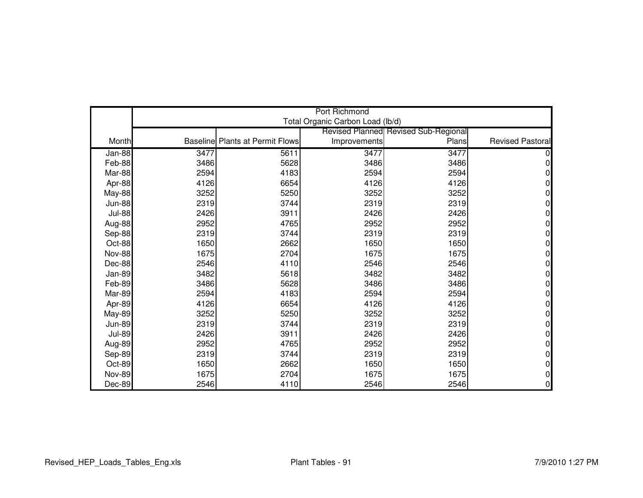|               |      |                                        | <b>Port Richmond</b>             |                                             |                         |
|---------------|------|----------------------------------------|----------------------------------|---------------------------------------------|-------------------------|
|               |      |                                        | Total Organic Carbon Load (lb/d) |                                             |                         |
|               |      |                                        |                                  | <b>Revised Planned Revised Sub-Regional</b> |                         |
| Month         |      | <b>Baseline Plants at Permit Flows</b> | Improvements                     | Plans                                       | <b>Revised Pastoral</b> |
| Jan-88        | 3477 | 5611                                   | 3477                             | 3477                                        |                         |
| Feb-88        | 3486 | 5628                                   | 3486                             | 3486                                        | ი                       |
| Mar-88        | 2594 | 4183                                   | 2594                             | 2594                                        |                         |
| Apr-88        | 4126 | 6654                                   | 4126                             | 4126                                        | 0                       |
| May-88        | 3252 | 5250                                   | 3252                             | 3252                                        | 0                       |
| <b>Jun-88</b> | 2319 | 3744                                   | 2319                             | 2319                                        | 0                       |
| <b>Jul-88</b> | 2426 | 3911                                   | 2426                             | 2426                                        | ი                       |
| Aug-88        | 2952 | 4765                                   | 2952                             | 2952                                        | O                       |
| Sep-88        | 2319 | 3744                                   | 2319                             | 2319                                        | 0                       |
| Oct-88        | 1650 | 2662                                   | 1650                             | 1650                                        | N                       |
| <b>Nov-88</b> | 1675 | 2704                                   | 1675                             | 1675                                        | 0                       |
| Dec-88        | 2546 | 4110                                   | 2546                             | 2546                                        | 0                       |
| Jan-89        | 3482 | 5618                                   | 3482                             | 3482                                        | N                       |
| Feb-89        | 3486 | 5628                                   | 3486                             | 3486                                        | 0                       |
| Mar-89        | 2594 | 4183                                   | 2594                             | 2594                                        | O                       |
| Apr-89        | 4126 | 6654                                   | 4126                             | 4126                                        | O                       |
| <b>May-89</b> | 3252 | 5250                                   | 3252                             | 3252                                        | 0                       |
| <b>Jun-89</b> | 2319 | 3744                                   | 2319                             | 2319                                        | 0                       |
| <b>Jul-89</b> | 2426 | 3911                                   | 2426                             | 2426                                        | 0                       |
| Aug-89        | 2952 | 4765                                   | 2952                             | 2952                                        | 0                       |
| Sep-89        | 2319 | 3744                                   | 2319                             | 2319                                        | 0                       |
| Oct-89        | 1650 | 2662                                   | 1650                             | 1650                                        | 0                       |
| <b>Nov-89</b> | 1675 | 2704                                   | 1675                             | 1675                                        | 0                       |
| Dec-89        | 2546 | 4110                                   | 2546                             | 2546                                        | 0                       |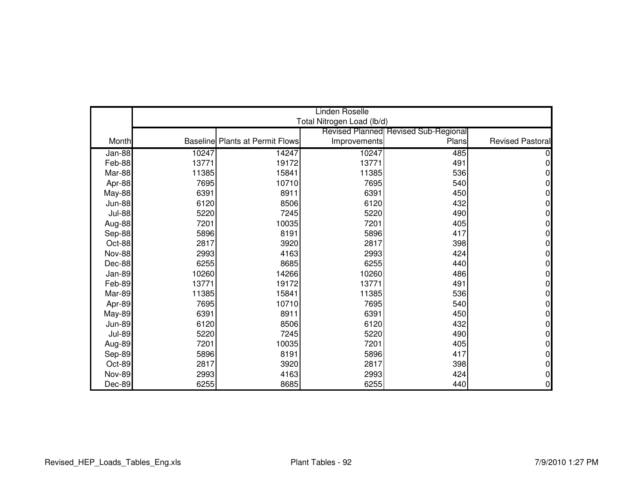|               |       |                                        | Linden Roselle             |                                             |                         |
|---------------|-------|----------------------------------------|----------------------------|---------------------------------------------|-------------------------|
|               |       |                                        | Total Nitrogen Load (lb/d) |                                             |                         |
|               |       |                                        |                            | <b>Revised Planned Revised Sub-Regional</b> |                         |
| Month         |       | <b>Baseline Plants at Permit Flows</b> | Improvements               | Plans                                       | <b>Revised Pastoral</b> |
| Jan-88        | 10247 | 14247                                  | 10247                      | 485                                         |                         |
| Feb-88        | 13771 | 19172                                  | 13771                      | 491                                         | 0                       |
| Mar-88        | 11385 | 15841                                  | 11385                      | 536                                         | N                       |
| Apr-88        | 7695  | 10710                                  | 7695                       | 540                                         | 0                       |
| May-88        | 6391  | 8911                                   | 6391                       | 450                                         | 0                       |
| <b>Jun-88</b> | 6120  | 8506                                   | 6120                       | 432                                         | 0                       |
| <b>Jul-88</b> | 5220  | 7245                                   | 5220                       | 490                                         | 0                       |
| Aug-88        | 7201  | 10035                                  | 7201                       | 405                                         | 0                       |
| Sep-88        | 5896  | 8191                                   | 5896                       | 417                                         | 0                       |
| Oct-88        | 2817  | 3920                                   | 2817                       | 398                                         | N                       |
| <b>Nov-88</b> | 2993  | 4163                                   | 2993                       | 424                                         | 0                       |
| Dec-88        | 6255  | 8685                                   | 6255                       | 440                                         | 0                       |
| Jan-89        | 10260 | 14266                                  | 10260                      | 486                                         | N                       |
| Feb-89        | 13771 | 19172                                  | 13771                      | 491                                         | 0                       |
| Mar-89        | 11385 | 15841                                  | 11385                      | 536                                         | 0                       |
| Apr-89        | 7695  | 10710                                  | 7695                       | 540                                         | O                       |
| <b>May-89</b> | 6391  | 8911                                   | 6391                       | 450                                         | 0                       |
| <b>Jun-89</b> | 6120  | 8506                                   | 6120                       | 432                                         | 0                       |
| <b>Jul-89</b> | 5220  | 7245                                   | 5220                       | 490                                         | 0                       |
| Aug-89        | 7201  | 10035                                  | 7201                       | 405                                         | 0                       |
| Sep-89        | 5896  | 8191                                   | 5896                       | 417                                         | 0                       |
| Oct-89        | 2817  | 3920                                   | 2817                       | 398                                         | 0                       |
| <b>Nov-89</b> | 2993  | 4163                                   | 2993                       | 424                                         | 0                       |
| Dec-89        | 6255  | 8685                                   | 6255                       | 440                                         | 0                       |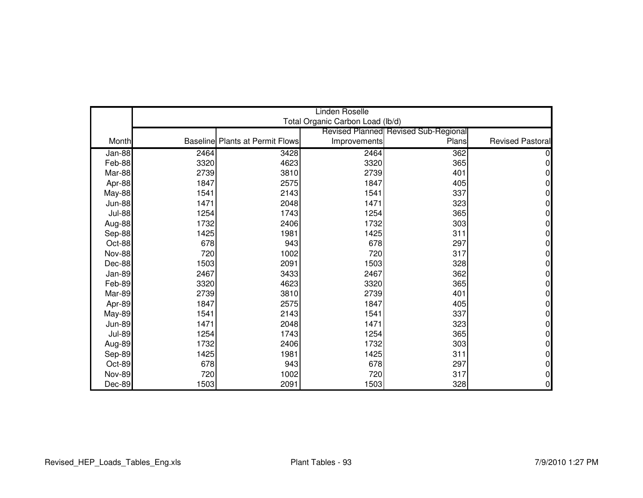|               |      |                                        | <b>Linden Roselle</b>            |                                      |                         |
|---------------|------|----------------------------------------|----------------------------------|--------------------------------------|-------------------------|
|               |      |                                        | Total Organic Carbon Load (lb/d) |                                      |                         |
|               |      |                                        |                                  | Revised Planned Revised Sub-Regional |                         |
| Month         |      | <b>Baseline Plants at Permit Flows</b> | Improvements                     | Plans                                | <b>Revised Pastoral</b> |
| Jan-88        | 2464 | 3428                                   | 2464                             | 362                                  |                         |
| Feb-88        | 3320 | 4623                                   | 3320                             | 365                                  | 0                       |
| Mar-88        | 2739 | 3810                                   | 2739                             | 401                                  | 0                       |
| Apr-88        | 1847 | 2575                                   | 1847                             | 405                                  | 0                       |
| May-88        | 1541 | 2143                                   | 1541                             | 337                                  | 0                       |
| <b>Jun-88</b> | 1471 | 2048                                   | 1471                             | 323                                  | 0                       |
| <b>Jul-88</b> | 1254 | 1743                                   | 1254                             | 365                                  | 0                       |
| Aug-88        | 1732 | 2406                                   | 1732                             | 303                                  | 0                       |
| Sep-88        | 1425 | 1981                                   | 1425                             | 311                                  | 0                       |
| Oct-88        | 678  | 943                                    | 678                              | 297                                  | 0                       |
| <b>Nov-88</b> | 720  | 1002                                   | 720                              | 317                                  | $\Omega$                |
| Dec-88        | 1503 | 2091                                   | 1503                             | 328                                  | 0                       |
| Jan-89        | 2467 | 3433                                   | 2467                             | 362                                  | 0                       |
| Feb-89        | 3320 | 4623                                   | 3320                             | 365                                  | 0                       |
| Mar-89        | 2739 | 3810                                   | 2739                             | 401                                  | 0                       |
| Apr-89        | 1847 | 2575                                   | 1847                             | 405                                  | 0                       |
| <b>May-89</b> | 1541 | 2143                                   | 1541                             | 337                                  | 0                       |
| <b>Jun-89</b> | 1471 | 2048                                   | 1471                             | 323                                  | 0                       |
| <b>Jul-89</b> | 1254 | 1743                                   | 1254                             | 365                                  | $\Omega$                |
| Aug-89        | 1732 | 2406                                   | 1732                             | 303                                  | 0                       |
| Sep-89        | 1425 | 1981                                   | 1425                             | 311                                  | 0                       |
| Oct-89        | 678  | 943                                    | 678                              | 297                                  | 0                       |
| <b>Nov-89</b> | 720  | 1002                                   | 720                              | 317                                  | 0                       |
| Dec-89        | 1503 | 2091                                   | 1503                             | 328                                  | 0                       |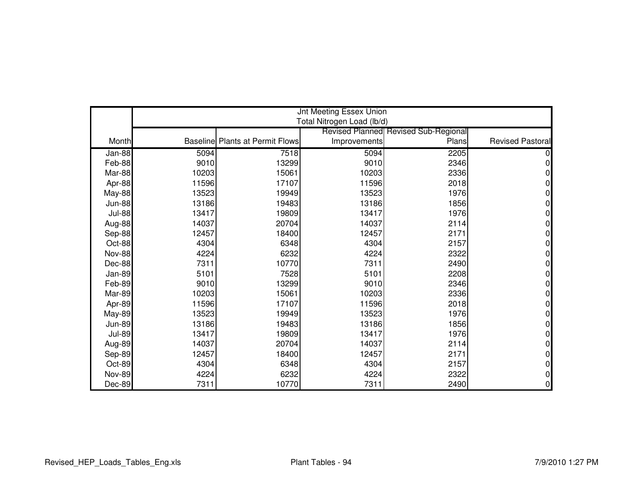|               | <b>Jnt Meeting Essex Union</b> |                                        |                            |                                             |                         |  |
|---------------|--------------------------------|----------------------------------------|----------------------------|---------------------------------------------|-------------------------|--|
|               |                                |                                        | Total Nitrogen Load (lb/d) |                                             |                         |  |
|               |                                |                                        |                            | <b>Revised Planned Revised Sub-Regional</b> | <b>Revised Pastoral</b> |  |
| Month         |                                | <b>Baseline Plants at Permit Flows</b> | Improvements               | Plans                                       |                         |  |
| Jan-88        | 5094                           | 7518                                   | 5094                       | 2205                                        |                         |  |
| Feb-88        | 9010                           | 13299                                  | 9010                       | 2346                                        | U                       |  |
| Mar-88        | 10203                          | 15061                                  | 10203                      | 2336                                        | 0                       |  |
| Apr-88        | 11596                          | 17107                                  | 11596                      | 2018                                        | 0                       |  |
| <b>May-88</b> | 13523                          | 19949                                  | 13523                      | 1976                                        | N                       |  |
| <b>Jun-88</b> | 13186                          | 19483                                  | 13186                      | 1856                                        | 0                       |  |
| <b>Jul-88</b> | 13417                          | 19809                                  | 13417                      | 1976                                        |                         |  |
| Aug-88        | 14037                          | 20704                                  | 14037                      | 2114                                        |                         |  |
| Sep-88        | 12457                          | 18400                                  | 12457                      | 2171                                        | 0                       |  |
| Oct-88        | 4304                           | 6348                                   | 4304                       | 2157                                        |                         |  |
| <b>Nov-88</b> | 4224                           | 6232                                   | 4224                       | 2322                                        | 0                       |  |
| Dec-88        | 7311                           | 10770                                  | 7311                       | 2490                                        |                         |  |
| Jan-89        | 5101                           | 7528                                   | 5101                       | 2208                                        |                         |  |
| Feb-89        | 9010                           | 13299                                  | 9010                       | 2346                                        | 0                       |  |
| Mar-89        | 10203                          | 15061                                  | 10203                      | 2336                                        | o                       |  |
| Apr-89        | 11596                          | 17107                                  | 11596                      | 2018                                        |                         |  |
| <b>May-89</b> | 13523                          | 19949                                  | 13523                      | 1976                                        | 0                       |  |
| <b>Jun-89</b> | 13186                          | 19483                                  | 13186                      | 1856                                        | N                       |  |
| <b>Jul-89</b> | 13417                          | 19809                                  | 13417                      | 1976                                        | 0                       |  |
| Aug-89        | 14037                          | 20704                                  | 14037                      | 2114                                        | 0                       |  |
| Sep-89        | 12457                          | 18400                                  | 12457                      | 2171                                        |                         |  |
| Oct-89        | 4304                           | 6348                                   | 4304                       | 2157                                        | 0                       |  |
| <b>Nov-89</b> | 4224                           | 6232                                   | 4224                       | 2322                                        | ი                       |  |
| Dec-89        | 7311                           | 10770                                  | 7311                       | 2490                                        | 0                       |  |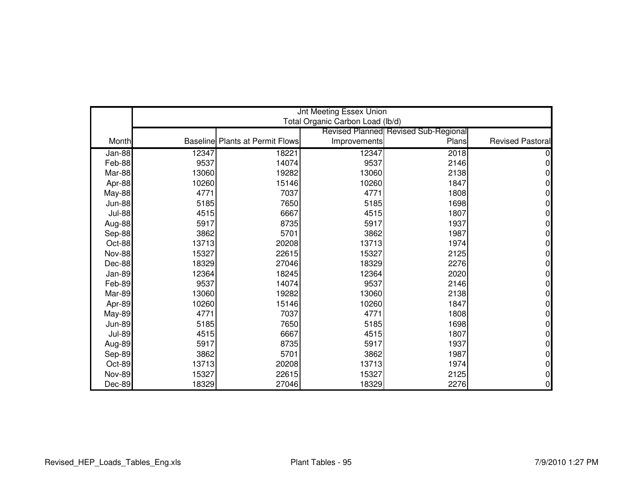|               | <b>Jnt Meeting Essex Union</b><br>Total Organic Carbon Load (lb/d) |                                        |              |                                      |                         |  |
|---------------|--------------------------------------------------------------------|----------------------------------------|--------------|--------------------------------------|-------------------------|--|
|               |                                                                    |                                        |              |                                      |                         |  |
|               |                                                                    |                                        |              | Revised Planned Revised Sub-Regional |                         |  |
| Month         |                                                                    | <b>Baseline Plants at Permit Flows</b> | Improvements | Plans                                | <b>Revised Pastoral</b> |  |
| Jan-88        | 12347                                                              | 18221                                  | 12347        | 2018                                 |                         |  |
| Feb-88        | 9537                                                               | 14074                                  | 9537         | 2146                                 |                         |  |
| Mar-88        | 13060                                                              | 19282                                  | 13060        | 2138                                 | 0                       |  |
| Apr-88        | 10260                                                              | 15146                                  | 10260        | 1847                                 |                         |  |
| May-88        | 4771                                                               | 7037                                   | 4771         | 1808                                 | 0                       |  |
| <b>Jun-88</b> | 5185                                                               | 7650                                   | 5185         | 1698                                 | 0                       |  |
| <b>Jul-88</b> | 4515                                                               | 6667                                   | 4515         | 1807                                 | 0                       |  |
| Aug-88        | 5917                                                               | 8735                                   | 5917         | 1937                                 | 0                       |  |
| Sep-88        | 3862                                                               | 5701                                   | 3862         | 1987                                 | 0                       |  |
| Oct-88        | 13713                                                              | 20208                                  | 13713        | 1974                                 | 0                       |  |
| <b>Nov-88</b> | 15327                                                              | 22615                                  | 15327        | 2125                                 | 0                       |  |
| Dec-88        | 18329                                                              | 27046                                  | 18329        | 2276                                 | 0                       |  |
| Jan-89        | 12364                                                              | 18245                                  | 12364        | 2020                                 | 0                       |  |
| Feb-89        | 9537                                                               | 14074                                  | 9537         | 2146                                 | 0                       |  |
| Mar-89        | 13060                                                              | 19282                                  | 13060        | 2138                                 | 0                       |  |
| Apr-89        | 10260                                                              | 15146                                  | 10260        | 1847                                 | 0                       |  |
| <b>May-89</b> | 4771                                                               | 7037                                   | 4771         | 1808                                 | 0                       |  |
| <b>Jun-89</b> | 5185                                                               | 7650                                   | 5185         | 1698                                 | 0                       |  |
| <b>Jul-89</b> | 4515                                                               | 6667                                   | 4515         | 1807                                 | 0                       |  |
| Aug-89        | 5917                                                               | 8735                                   | 5917         | 1937                                 | 0                       |  |
| Sep-89        | 3862                                                               | 5701                                   | 3862         | 1987                                 | 0                       |  |
| Oct-89        | 13713                                                              | 20208                                  | 13713        | 1974                                 | 0                       |  |
| <b>Nov-89</b> | 15327                                                              | 22615                                  | 15327        | 2125                                 | 0                       |  |
| Dec-89        | 18329                                                              | 27046                                  | 18329        | 2276                                 | 0                       |  |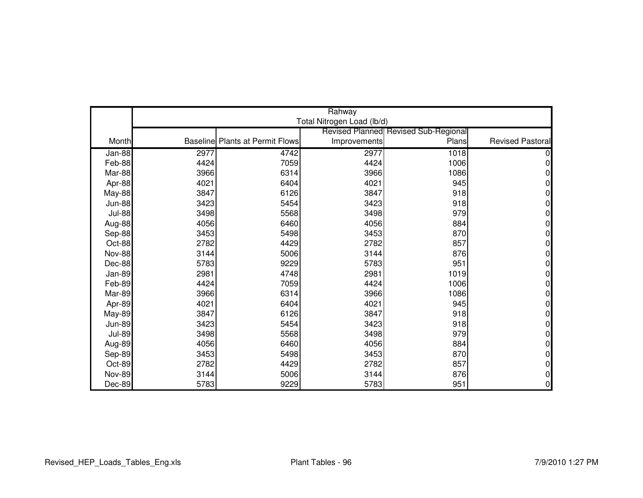|               | Rahway |                                        |                            |                                             |                         |  |
|---------------|--------|----------------------------------------|----------------------------|---------------------------------------------|-------------------------|--|
|               |        |                                        | Total Nitrogen Load (lb/d) |                                             |                         |  |
|               |        |                                        |                            | <b>Revised Planned Revised Sub-Regional</b> |                         |  |
| Month         |        | <b>Baseline Plants at Permit Flows</b> | Improvements               | Plans                                       | <b>Revised Pastoral</b> |  |
| Jan-88        | 2977   | 4742                                   | 2977                       | 1018                                        |                         |  |
| Feb-88        | 4424   | 7059                                   | 4424                       | 1006                                        | 0                       |  |
| Mar-88        | 3966   | 6314                                   | 3966                       | 1086                                        | 0                       |  |
| Apr-88        | 4021   | 6404                                   | 4021                       | 945                                         | 0                       |  |
| May-88        | 3847   | 6126                                   | 3847                       | 918                                         | 0                       |  |
| <b>Jun-88</b> | 3423   | 5454                                   | 3423                       | 918                                         | 0                       |  |
| <b>Jul-88</b> | 3498   | 5568                                   | 3498                       | 979                                         | 0                       |  |
| Aug-88        | 4056   | 6460                                   | 4056                       | 884                                         | 0                       |  |
| Sep-88        | 3453   | 5498                                   | 3453                       | 870                                         | 0                       |  |
| Oct-88        | 2782   | 4429                                   | 2782                       | 857                                         | 0                       |  |
| <b>Nov-88</b> | 3144   | 5006                                   | 3144                       | 876                                         | $\Omega$                |  |
| Dec-88        | 5783   | 9229                                   | 5783                       | 951                                         | 0                       |  |
| Jan-89        | 2981   | 4748                                   | 2981                       | 1019                                        | 0                       |  |
| Feb-89        | 4424   | 7059                                   | 4424                       | 1006                                        | 0                       |  |
| Mar-89        | 3966   | 6314                                   | 3966                       | 1086                                        | 0                       |  |
| Apr-89        | 4021   | 6404                                   | 4021                       | 945                                         | 0                       |  |
| <b>May-89</b> | 3847   | 6126                                   | 3847                       | 918                                         | 0                       |  |
| <b>Jun-89</b> | 3423   | 5454                                   | 3423                       | 918                                         | 0                       |  |
| <b>Jul-89</b> | 3498   | 5568                                   | 3498                       | 979                                         | $\Omega$                |  |
| Aug-89        | 4056   | 6460                                   | 4056                       | 884                                         | 0                       |  |
| Sep-89        | 3453   | 5498                                   | 3453                       | 870                                         | 0                       |  |
| Oct-89        | 2782   | 4429                                   | 2782                       | 857                                         | 0                       |  |
| <b>Nov-89</b> | 3144   | 5006                                   | 3144                       | 876                                         | 0                       |  |
| Dec-89        | 5783   | 9229                                   | 5783                       | 951                                         | 0                       |  |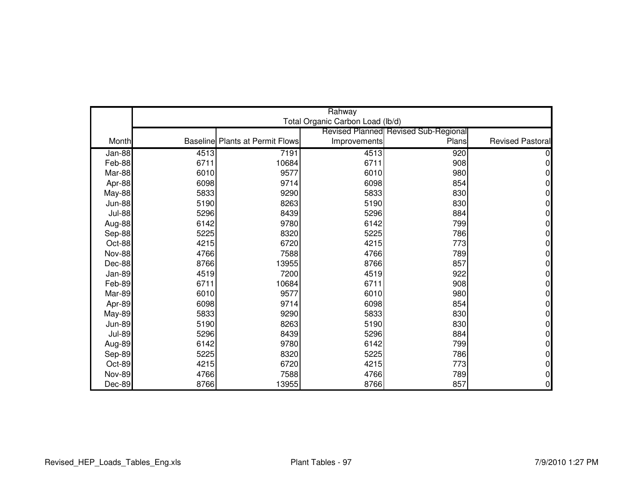|               | Rahway |                                        |                                  |                                      |                         |  |
|---------------|--------|----------------------------------------|----------------------------------|--------------------------------------|-------------------------|--|
|               |        |                                        | Total Organic Carbon Load (lb/d) |                                      |                         |  |
|               |        |                                        |                                  | Revised Planned Revised Sub-Regional |                         |  |
| Month         |        | <b>Baseline Plants at Permit Flows</b> | Improvements                     | Plans                                | <b>Revised Pastoral</b> |  |
| $Jan-88$      | 4513   | 7191                                   | 4513                             | 920                                  |                         |  |
| Feb-88        | 6711   | 10684                                  | 6711                             | 908                                  | 0                       |  |
| Mar-88        | 6010   | 9577                                   | 6010                             | 980                                  | 0                       |  |
| Apr-88        | 6098   | 9714                                   | 6098                             | 854                                  | 0                       |  |
| <b>May-88</b> | 5833   | 9290                                   | 5833                             | 830                                  | 0                       |  |
| <b>Jun-88</b> | 5190   | 8263                                   | 5190                             | 830                                  | 0                       |  |
| <b>Jul-88</b> | 5296   | 8439                                   | 5296                             | 884                                  | 0                       |  |
| Aug-88        | 6142   | 9780                                   | 6142                             | 799                                  | 0                       |  |
| Sep-88        | 5225   | 8320                                   | 5225                             | 786                                  | 0                       |  |
| Oct-88        | 4215   | 6720                                   | 4215                             | 773                                  | 0                       |  |
| <b>Nov-88</b> | 4766   | 7588                                   | 4766                             | 789                                  | 0                       |  |
| Dec-88        | 8766   | 13955                                  | 8766                             | 857                                  | 0                       |  |
| Jan-89        | 4519   | 7200                                   | 4519                             | 922                                  | 0                       |  |
| Feb-89        | 6711   | 10684                                  | 6711                             | 908                                  | 0                       |  |
| Mar-89        | 6010   | 9577                                   | 6010                             | 980                                  | 0                       |  |
| Apr-89        | 6098   | 9714                                   | 6098                             | 854                                  | 0                       |  |
| <b>May-89</b> | 5833   | 9290                                   | 5833                             | 830                                  | 0                       |  |
| <b>Jun-89</b> | 5190   | 8263                                   | 5190                             | 830                                  | 0                       |  |
| <b>Jul-89</b> | 5296   | 8439                                   | 5296                             | 884                                  | 0                       |  |
| Aug-89        | 6142   | 9780                                   | 6142                             | 799                                  | 0                       |  |
| Sep-89        | 5225   | 8320                                   | 5225                             | 786                                  | 0                       |  |
| Oct-89        | 4215   | 6720                                   | 4215                             | 773                                  | 0                       |  |
| <b>Nov-89</b> | 4766   | 7588                                   | 4766                             | 789                                  | 0                       |  |
| Dec-89        | 8766   | 13955                                  | 8766                             | 857                                  | 0                       |  |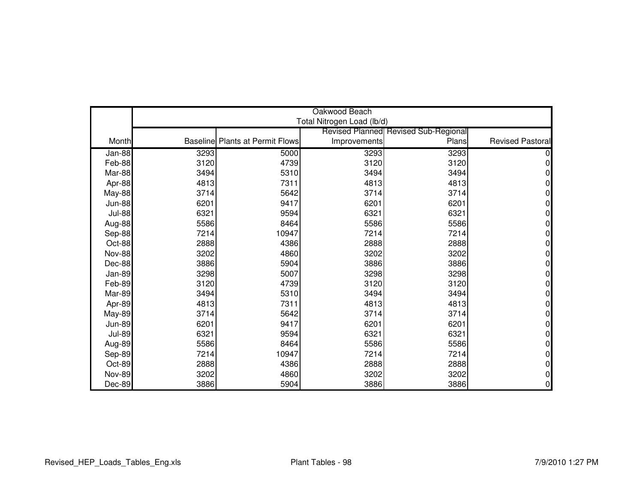|               | Oakwood Beach |                                        |                            |                                             |                         |  |
|---------------|---------------|----------------------------------------|----------------------------|---------------------------------------------|-------------------------|--|
|               |               |                                        | Total Nitrogen Load (lb/d) |                                             |                         |  |
|               |               |                                        |                            | <b>Revised Planned Revised Sub-Regional</b> |                         |  |
| Month         |               | <b>Baseline Plants at Permit Flows</b> | Improvements               | Plans                                       | <b>Revised Pastoral</b> |  |
| Jan-88        | 3293          | 5000                                   | 3293                       | 3293                                        |                         |  |
| Feb-88        | 3120          | 4739                                   | 3120                       | 3120                                        |                         |  |
| Mar-88        | 3494          | 5310                                   | 3494                       | 3494                                        |                         |  |
| Apr-88        | 4813          | 7311                                   | 4813                       | 4813                                        | 0                       |  |
| <b>May-88</b> | 3714          | 5642                                   | 3714                       | 3714                                        | N                       |  |
| <b>Jun-88</b> | 6201          | 9417                                   | 6201                       | 6201                                        | O                       |  |
| <b>Jul-88</b> | 6321          | 9594                                   | 6321                       | 6321                                        |                         |  |
| Aug-88        | 5586          | 8464                                   | 5586                       | 5586                                        | ი                       |  |
| Sep-88        | 7214          | 10947                                  | 7214                       | 7214                                        | 0                       |  |
| Oct-88        | 2888          | 4386                                   | 2888                       | 2888                                        | o                       |  |
| <b>Nov-88</b> | 3202          | 4860                                   | 3202                       | 3202                                        | 0                       |  |
| Dec-88        | 3886          | 5904                                   | 3886                       | 3886                                        | 0                       |  |
| Jan-89        | 3298          | 5007                                   | 3298                       | 3298                                        |                         |  |
| Feb-89        | 3120          | 4739                                   | 3120                       | 3120                                        | 0                       |  |
| Mar-89        | 3494          | 5310                                   | 3494                       | 3494                                        |                         |  |
| Apr-89        | 4813          | 7311                                   | 4813                       | 4813                                        |                         |  |
| May-89        | 3714          | 5642                                   | 3714                       | 3714                                        | 0                       |  |
| <b>Jun-89</b> | 6201          | 9417                                   | 6201                       | 6201                                        | ი                       |  |
| <b>Jul-89</b> | 6321          | 9594                                   | 6321                       | 6321                                        | O                       |  |
| Aug-89        | 5586          | 8464                                   | 5586                       | 5586                                        | 0                       |  |
| Sep-89        | 7214          | 10947                                  | 7214                       | 7214                                        | 0                       |  |
| Oct-89        | 2888          | 4386                                   | 2888                       | 2888                                        | 0                       |  |
| <b>Nov-89</b> | 3202          | 4860                                   | 3202                       | 3202                                        | 0                       |  |
| Dec-89        | 3886          | 5904                                   | 3886                       | 3886                                        | 0                       |  |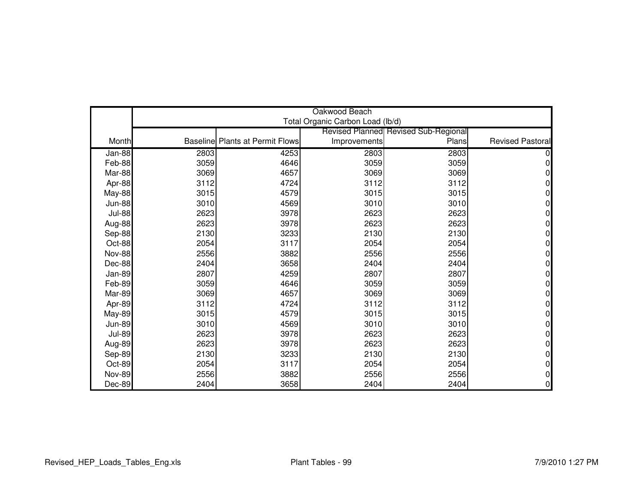|               | Oakwood Beach |                                        |                                  |                                             |                         |  |
|---------------|---------------|----------------------------------------|----------------------------------|---------------------------------------------|-------------------------|--|
|               |               |                                        | Total Organic Carbon Load (lb/d) |                                             |                         |  |
|               |               |                                        |                                  | <b>Revised Planned Revised Sub-Regional</b> |                         |  |
| Month         |               | <b>Baseline Plants at Permit Flows</b> | Improvements                     | Plans                                       | <b>Revised Pastoral</b> |  |
| Jan-88        | 2803          | 4253                                   | 2803                             | 2803                                        |                         |  |
| Feb-88        | 3059          | 4646                                   | 3059                             | 3059                                        |                         |  |
| Mar-88        | 3069          | 4657                                   | 3069                             | 3069                                        |                         |  |
| Apr-88        | 3112          | 4724                                   | 3112                             | 3112                                        |                         |  |
| May-88        | 3015          | 4579                                   | 3015                             | 3015                                        |                         |  |
| <b>Jun-88</b> | 3010          | 4569                                   | 3010                             | 3010                                        | 0                       |  |
| <b>Jul-88</b> | 2623          | 3978                                   | 2623                             | 2623                                        |                         |  |
| Aug-88        | 2623          | 3978                                   | 2623                             | 2623                                        | N                       |  |
| Sep-88        | 2130          | 3233                                   | 2130                             | 2130                                        | 0                       |  |
| Oct-88        | 2054          | 3117                                   | 2054                             | 2054                                        | ი                       |  |
| <b>Nov-88</b> | 2556          | 3882                                   | 2556                             | 2556                                        | ი                       |  |
| Dec-88        | 2404          | 3658                                   | 2404                             | 2404                                        | ი                       |  |
| Jan-89        | 2807          | 4259                                   | 2807                             | 2807                                        |                         |  |
| Feb-89        | 3059          | 4646                                   | 3059                             | 3059                                        | 0                       |  |
| Mar-89        | 3069          | 4657                                   | 3069                             | 3069                                        | ი                       |  |
| Apr-89        | 3112          | 4724                                   | 3112                             | 3112                                        | N                       |  |
| May-89        | 3015          | 4579                                   | 3015                             | 3015                                        | 0                       |  |
| <b>Jun-89</b> | 3010          | 4569                                   | 3010                             | 3010                                        | 0                       |  |
| <b>Jul-89</b> | 2623          | 3978                                   | 2623                             | 2623                                        | 0                       |  |
| Aug-89        | 2623          | 3978                                   | 2623                             | 2623                                        | 0                       |  |
| Sep-89        | 2130          | 3233                                   | 2130                             | 2130                                        | 0                       |  |
| Oct-89        | 2054          | 3117                                   | 2054                             | 2054                                        | 0                       |  |
| <b>Nov-89</b> | 2556          | 3882                                   | 2556                             | 2556                                        | 0                       |  |
| Dec-89        | 2404          | 3658                                   | 2404                             | 2404                                        | 0                       |  |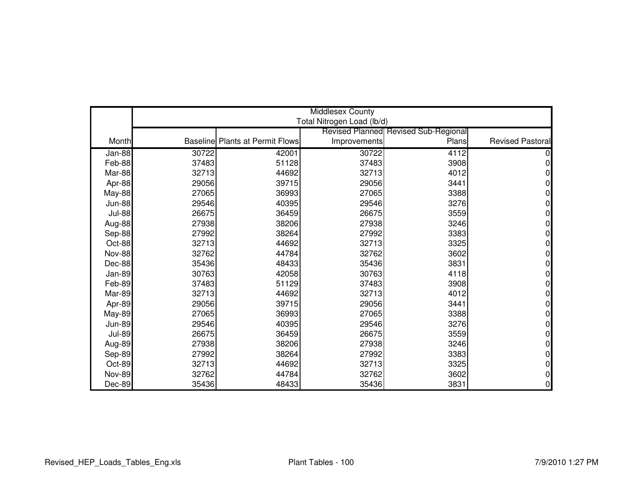|               | Middlesex County |                                        |                            |                                             |                         |  |
|---------------|------------------|----------------------------------------|----------------------------|---------------------------------------------|-------------------------|--|
|               |                  |                                        | Total Nitrogen Load (lb/d) |                                             |                         |  |
|               |                  |                                        |                            | <b>Revised Planned Revised Sub-Regional</b> |                         |  |
| Month         |                  | <b>Baseline Plants at Permit Flows</b> | Improvements               | Plans                                       | <b>Revised Pastoral</b> |  |
| Jan-88        | 30722            | 42001                                  | 30722                      | 4112                                        |                         |  |
| Feb-88        | 37483            | 51128                                  | 37483                      | 3908                                        | U                       |  |
| Mar-88        | 32713            | 44692                                  | 32713                      | 4012                                        |                         |  |
| Apr-88        | 29056            | 39715                                  | 29056                      | 3441                                        |                         |  |
| May-88        | 27065            | 36993                                  | 27065                      | 3388                                        |                         |  |
| <b>Jun-88</b> | 29546            | 40395                                  | 29546                      | 3276                                        | 0                       |  |
| <b>Jul-88</b> | 26675            | 36459                                  | 26675                      | 3559                                        |                         |  |
| Aug-88        | 27938            | 38206                                  | 27938                      | 3246                                        | N                       |  |
| Sep-88        | 27992            | 38264                                  | 27992                      | 3383                                        | 0                       |  |
| Oct-88        | 32713            | 44692                                  | 32713                      | 3325                                        |                         |  |
| <b>Nov-88</b> | 32762            | 44784                                  | 32762                      | 3602                                        | ი                       |  |
| Dec-88        | 35436            | 48433                                  | 35436                      | 3831                                        | ი                       |  |
| Jan-89        | 30763            | 42058                                  | 30763                      | 4118                                        |                         |  |
| Feb-89        | 37483            | 51129                                  | 37483                      | 3908                                        | 0                       |  |
| Mar-89        | 32713            | 44692                                  | 32713                      | 4012                                        | ი                       |  |
| Apr-89        | 29056            | 39715                                  | 29056                      | 3441                                        |                         |  |
| <b>May-89</b> | 27065            | 36993                                  | 27065                      | 3388                                        | 0                       |  |
| <b>Jun-89</b> | 29546            | 40395                                  | 29546                      | 3276                                        | N                       |  |
| <b>Jul-89</b> | 26675            | 36459                                  | 26675                      | 3559                                        | O                       |  |
| Aug-89        | 27938            | 38206                                  | 27938                      | 3246                                        | 0                       |  |
| Sep-89        | 27992            | 38264                                  | 27992                      | 3383                                        | N                       |  |
| Oct-89        | 32713            | 44692                                  | 32713                      | 3325                                        | 0                       |  |
| <b>Nov-89</b> | 32762            | 44784                                  | 32762                      | 3602                                        | ი                       |  |
| Dec-89        | 35436            | 48433                                  | 35436                      | 3831                                        | 0                       |  |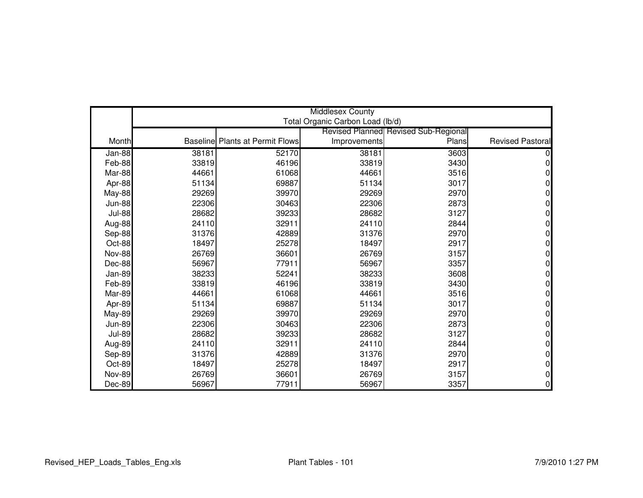|               | Middlesex County |                                        |                                  |                                             |                         |  |
|---------------|------------------|----------------------------------------|----------------------------------|---------------------------------------------|-------------------------|--|
|               |                  |                                        | Total Organic Carbon Load (lb/d) |                                             |                         |  |
|               |                  |                                        |                                  | <b>Revised Planned Revised Sub-Regional</b> |                         |  |
| Month         |                  | <b>Baseline Plants at Permit Flows</b> | Improvements                     | Plans                                       | <b>Revised Pastoral</b> |  |
| Jan-88        | 38181            | 52170                                  | 38181                            | 3603                                        |                         |  |
| Feb-88        | 33819            | 46196                                  | 33819                            | 3430                                        | 0                       |  |
| Mar-88        | 44661            | 61068                                  | 44661                            | 3516                                        |                         |  |
| Apr-88        | 51134            | 69887                                  | 51134                            | 3017                                        |                         |  |
| May-88        | 29269            | 39970                                  | 29269                            | 2970                                        |                         |  |
| <b>Jun-88</b> | 22306            | 30463                                  | 22306                            | 2873                                        | 0                       |  |
| <b>Jul-88</b> | 28682            | 39233                                  | 28682                            | 3127                                        |                         |  |
| Aug-88        | 24110            | 32911                                  | 24110                            | 2844                                        | n                       |  |
| Sep-88        | 31376            | 42889                                  | 31376                            | 2970                                        | 0                       |  |
| Oct-88        | 18497            | 25278                                  | 18497                            | 2917                                        |                         |  |
| <b>Nov-88</b> | 26769            | 36601                                  | 26769                            | 3157                                        | ი                       |  |
| Dec-88        | 56967            | 77911                                  | 56967                            | 3357                                        | ი                       |  |
| Jan-89        | 38233            | 52241                                  | 38233                            | 3608                                        |                         |  |
| Feb-89        | 33819            | 46196                                  | 33819                            | 3430                                        | 0                       |  |
| Mar-89        | 44661            | 61068                                  | 44661                            | 3516                                        | ი                       |  |
| Apr-89        | 51134            | 69887                                  | 51134                            | 3017                                        |                         |  |
| <b>May-89</b> | 29269            | 39970                                  | 29269                            | 2970                                        | 0                       |  |
| <b>Jun-89</b> | 22306            | 30463                                  | 22306                            | 2873                                        | N                       |  |
| <b>Jul-89</b> | 28682            | 39233                                  | 28682                            | 3127                                        | N                       |  |
| Aug-89        | 24110            | 32911                                  | 24110                            | 2844                                        | 0                       |  |
| Sep-89        | 31376            | 42889                                  | 31376                            | 2970                                        | N                       |  |
| Oct-89        | 18497            | 25278                                  | 18497                            | 2917                                        | 0                       |  |
| <b>Nov-89</b> | 26769            | 36601                                  | 26769                            | 3157                                        | ი                       |  |
| Dec-89        | 56967            | 77911                                  | 56967                            | 3357                                        | 0                       |  |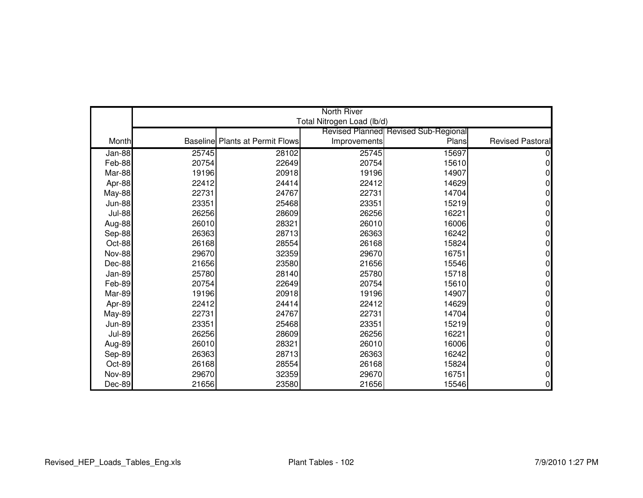|               | <b>North River</b> |                                        |                            |                                             |                         |  |
|---------------|--------------------|----------------------------------------|----------------------------|---------------------------------------------|-------------------------|--|
|               |                    |                                        | Total Nitrogen Load (lb/d) |                                             |                         |  |
|               |                    |                                        |                            | <b>Revised Planned Revised Sub-Regional</b> |                         |  |
| Month         |                    | <b>Baseline Plants at Permit Flows</b> | Improvements               | Plans                                       | <b>Revised Pastoral</b> |  |
| $Jan-88$      | 25745              | 28102                                  | 25745                      | 15697                                       |                         |  |
| Feb-88        | 20754              | 22649                                  | 20754                      | 15610                                       | ი                       |  |
| Mar-88        | 19196              | 20918                                  | 19196                      | 14907                                       |                         |  |
| Apr-88        | 22412              | 24414                                  | 22412                      | 14629                                       | 0                       |  |
| <b>May-88</b> | 22731              | 24767                                  | 22731                      | 14704                                       |                         |  |
| <b>Jun-88</b> | 23351              | 25468                                  | 23351                      | 15219                                       | N                       |  |
| <b>Jul-88</b> | 26256              | 28609                                  | 26256                      | 16221                                       |                         |  |
| Aug-88        | 26010              | 28321                                  | 26010                      | 16006                                       | ი                       |  |
| Sep-88        | 26363              | 28713                                  | 26363                      | 16242                                       | 0                       |  |
| Oct-88        | 26168              | 28554                                  | 26168                      | 15824                                       |                         |  |
| <b>Nov-88</b> | 29670              | 32359                                  | 29670                      | 16751                                       | N                       |  |
| Dec-88        | 21656              | 23580                                  | 21656                      | 15546                                       | N                       |  |
| Jan-89        | 25780              | 28140                                  | 25780                      | 15718                                       |                         |  |
| Feb-89        | 20754              | 22649                                  | 20754                      | 15610                                       | 0                       |  |
| Mar-89        | 19196              | 20918                                  | 19196                      | 14907                                       |                         |  |
| Apr-89        | 22412              | 24414                                  | 22412                      | 14629                                       |                         |  |
| <b>May-89</b> | 22731              | 24767                                  | 22731                      | 14704                                       | 0                       |  |
| <b>Jun-89</b> | 23351              | 25468                                  | 23351                      | 15219                                       | ი                       |  |
| <b>Jul-89</b> | 26256              | 28609                                  | 26256                      | 16221                                       | ი                       |  |
| Aug-89        | 26010              | 28321                                  | 26010                      | 16006                                       | 0                       |  |
| Sep-89        | 26363              | 28713                                  | 26363                      | 16242                                       | N                       |  |
| Oct-89        | 26168              | 28554                                  | 26168                      | 15824                                       | 0                       |  |
| <b>Nov-89</b> | 29670              | 32359                                  | 29670                      | 16751                                       | ი                       |  |
| Dec-89        | 21656              | 23580                                  | 21656                      | 15546                                       | 0                       |  |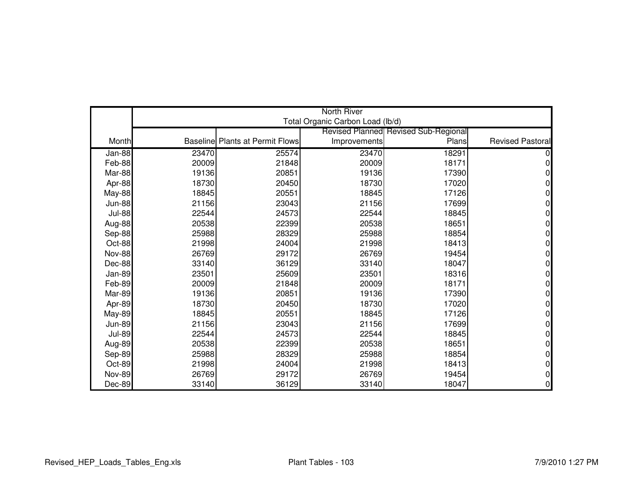|               | <b>North River</b> |                                        |                                  |                                             |                         |  |
|---------------|--------------------|----------------------------------------|----------------------------------|---------------------------------------------|-------------------------|--|
|               |                    |                                        | Total Organic Carbon Load (lb/d) |                                             |                         |  |
|               |                    |                                        |                                  | <b>Revised Planned Revised Sub-Regional</b> |                         |  |
| Month         |                    | <b>Baseline Plants at Permit Flows</b> | Improvements                     | Plans                                       | <b>Revised Pastoral</b> |  |
| Jan-88        | 23470              | 25574                                  | 23470                            | 18291                                       |                         |  |
| Feb-88        | 20009              | 21848                                  | 20009                            | 18171                                       | 0                       |  |
| Mar-88        | 19136              | 20851                                  | 19136                            | 17390                                       |                         |  |
| Apr-88        | 18730              | 20450                                  | 18730                            | 17020                                       | ი                       |  |
| May-88        | 18845              | 20551                                  | 18845                            | 17126                                       |                         |  |
| <b>Jun-88</b> | 21156              | 23043                                  | 21156                            | 17699                                       | 0                       |  |
| <b>Jul-88</b> | 22544              | 24573                                  | 22544                            | 18845                                       |                         |  |
| Aug-88        | 20538              | 22399                                  | 20538                            | 18651                                       | n                       |  |
| Sep-88        | 25988              | 28329                                  | 25988                            | 18854                                       | 0                       |  |
| Oct-88        | 21998              | 24004                                  | 21998                            | 18413                                       |                         |  |
| <b>Nov-88</b> | 26769              | 29172                                  | 26769                            | 19454                                       | ი                       |  |
| Dec-88        | 33140              | 36129                                  | 33140                            | 18047                                       | ი                       |  |
| Jan-89        | 23501              | 25609                                  | 23501                            | 18316                                       |                         |  |
| Feb-89        | 20009              | 21848                                  | 20009                            | 18171                                       | 0                       |  |
| Mar-89        | 19136              | 20851                                  | 19136                            | 17390                                       | ი                       |  |
| Apr-89        | 18730              | 20450                                  | 18730                            | 17020                                       |                         |  |
| <b>May-89</b> | 18845              | 20551                                  | 18845                            | 17126                                       | 0                       |  |
| <b>Jun-89</b> | 21156              | 23043                                  | 21156                            | 17699                                       | N                       |  |
| <b>Jul-89</b> | 22544              | 24573                                  | 22544                            | 18845                                       | 0                       |  |
| Aug-89        | 20538              | 22399                                  | 20538                            | 18651                                       | 0                       |  |
| Sep-89        | 25988              | 28329                                  | 25988                            | 18854                                       | N                       |  |
| Oct-89        | 21998              | 24004                                  | 21998                            | 18413                                       | 0                       |  |
| <b>Nov-89</b> | 26769              | 29172                                  | 26769                            | 19454                                       | ი                       |  |
| Dec-89        | 33140              | 36129                                  | 33140                            | 18047                                       | 0                       |  |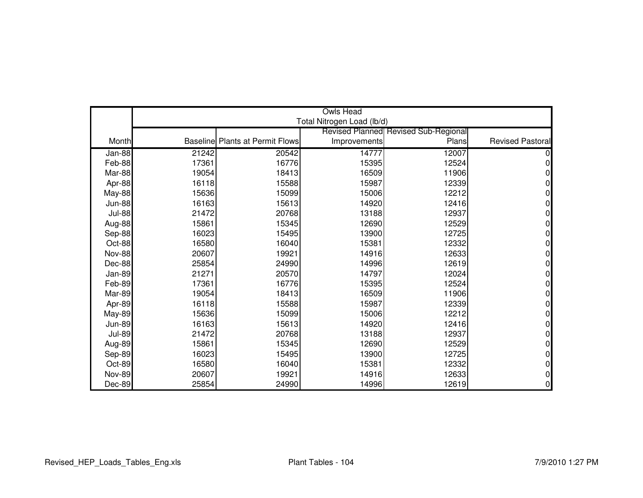|               |       |                                        | <b>Owls Head</b>           |                                             |                         |
|---------------|-------|----------------------------------------|----------------------------|---------------------------------------------|-------------------------|
|               |       |                                        | Total Nitrogen Load (lb/d) |                                             |                         |
|               |       |                                        |                            | <b>Revised Planned Revised Sub-Regional</b> |                         |
| Month         |       | <b>Baseline Plants at Permit Flows</b> | Improvements               | Plans                                       | <b>Revised Pastoral</b> |
| Jan-88        | 21242 | 20542                                  | 14777                      | 12007                                       |                         |
| Feb-88        | 17361 | 16776                                  | 15395                      | 12524                                       | ი                       |
| Mar-88        | 19054 | 18413                                  | 16509                      | 11906                                       |                         |
| Apr-88        | 16118 | 15588                                  | 15987                      | 12339                                       | 0                       |
| <b>May-88</b> | 15636 | 15099                                  | 15006                      | 12212                                       |                         |
| <b>Jun-88</b> | 16163 | 15613                                  | 14920                      | 12416                                       | O                       |
| <b>Jul-88</b> | 21472 | 20768                                  | 13188                      | 12937                                       |                         |
| Aug-88        | 15861 | 15345                                  | 12690                      | 12529                                       | ი                       |
| Sep-88        | 16023 | 15495                                  | 13900                      | 12725                                       | 0                       |
| Oct-88        | 16580 | 16040                                  | 15381                      | 12332                                       |                         |
| <b>Nov-88</b> | 20607 | 19921                                  | 14916                      | 12633                                       | N                       |
| Dec-88        | 25854 | 24990                                  | 14996                      | 12619                                       | 0                       |
| Jan-89        | 21271 | 20570                                  | 14797                      | 12024                                       |                         |
| Feb-89        | 17361 | 16776                                  | 15395                      | 12524                                       | 0                       |
| Mar-89        | 19054 | 18413                                  | 16509                      | 11906                                       |                         |
| Apr-89        | 16118 | 15588                                  | 15987                      | 12339                                       |                         |
| <b>May-89</b> | 15636 | 15099                                  | 15006                      | 12212                                       | 0                       |
| <b>Jun-89</b> | 16163 | 15613                                  | 14920                      | 12416                                       | ი                       |
| <b>Jul-89</b> | 21472 | 20768                                  | 13188                      | 12937                                       | ი                       |
| Aug-89        | 15861 | 15345                                  | 12690                      | 12529                                       | 0                       |
| Sep-89        | 16023 | 15495                                  | 13900                      | 12725                                       | N                       |
| Oct-89        | 16580 | 16040                                  | 15381                      | 12332                                       | 0                       |
| <b>Nov-89</b> | 20607 | 19921                                  | 14916                      | 12633                                       | ი                       |
| Dec-89        | 25854 | 24990                                  | 14996                      | 12619                                       | 0                       |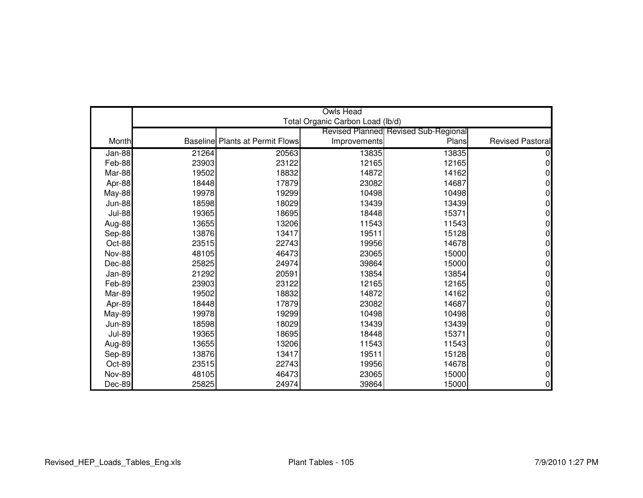|               | <b>Owls Head</b> |                                        |                                  |                                             |                         |  |
|---------------|------------------|----------------------------------------|----------------------------------|---------------------------------------------|-------------------------|--|
|               |                  |                                        | Total Organic Carbon Load (lb/d) |                                             |                         |  |
|               |                  |                                        |                                  | <b>Revised Planned Revised Sub-Regional</b> |                         |  |
| Month         |                  | <b>Baseline Plants at Permit Flows</b> | Improvements                     | Plans                                       | <b>Revised Pastoral</b> |  |
| Jan-88        | 21264            | 20563                                  | 13835                            | 13835                                       |                         |  |
| Feb-88        | 23903            | 23122                                  | 12165                            | 12165                                       | 0                       |  |
| Mar-88        | 19502            | 18832                                  | 14872                            | 14162                                       | n                       |  |
| Apr-88        | 18448            | 17879                                  | 23082                            | 14687                                       | 0                       |  |
| May-88        | 19978            | 19299                                  | 10498                            | 10498                                       |                         |  |
| <b>Jun-88</b> | 18598            | 18029                                  | 13439                            | 13439                                       | 0                       |  |
| <b>Jul-88</b> | 19365            | 18695                                  | 18448                            | 15371                                       |                         |  |
| Aug-88        | 13655            | 13206                                  | 11543                            | 11543                                       | N                       |  |
| Sep-88        | 13876            | 13417                                  | 19511                            | 15128                                       | 0                       |  |
| Oct-88        | 23515            | 22743                                  | 19956                            | 14678                                       | n                       |  |
| <b>Nov-88</b> | 48105            | 46473                                  | 23065                            | 15000                                       | N                       |  |
| Dec-88        | 25825            | 24974                                  | 39864                            | 15000                                       | ი                       |  |
| Jan-89        | 21292            | 20591                                  | 13854                            | 13854                                       |                         |  |
| Feb-89        | 23903            | 23122                                  | 12165                            | 12165                                       | 0                       |  |
| Mar-89        | 19502            | 18832                                  | 14872                            | 14162                                       | ი                       |  |
| Apr-89        | 18448            | 17879                                  | 23082                            | 14687                                       | N                       |  |
| <b>May-89</b> | 19978            | 19299                                  | 10498                            | 10498                                       | 0                       |  |
| <b>Jun-89</b> | 18598            | 18029                                  | 13439                            | 13439                                       | 0                       |  |
| <b>Jul-89</b> | 19365            | 18695                                  | 18448                            | 15371                                       | 0                       |  |
| Aug-89        | 13655            | 13206                                  | 11543                            | 11543                                       | 0                       |  |
| Sep-89        | 13876            | 13417                                  | 19511                            | 15128                                       | 0                       |  |
| Oct-89        | 23515            | 22743                                  | 19956                            | 14678                                       | 0                       |  |
| <b>Nov-89</b> | 48105            | 46473                                  | 23065                            | 15000                                       | 0                       |  |
| Dec-89        | 25825            | 24974                                  | 39864                            | 15000                                       | 0                       |  |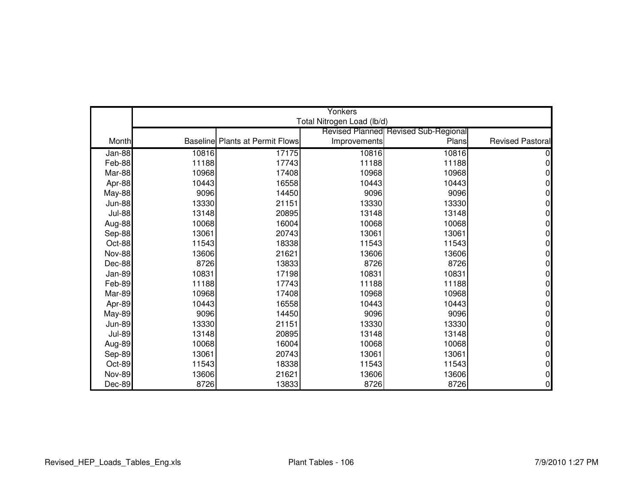|               | Yonkers |                                        |                            |                                             |                         |  |
|---------------|---------|----------------------------------------|----------------------------|---------------------------------------------|-------------------------|--|
|               |         |                                        | Total Nitrogen Load (lb/d) |                                             |                         |  |
|               |         |                                        |                            | <b>Revised Planned Revised Sub-Regional</b> |                         |  |
| Month         |         | <b>Baseline Plants at Permit Flows</b> | Improvements               | Plans                                       | <b>Revised Pastoral</b> |  |
| Jan-88        | 10816   | 17175                                  | 10816                      | 10816                                       |                         |  |
| Feb-88        | 11188   | 17743                                  | 11188                      | 11188                                       | ი                       |  |
| Mar-88        | 10968   | 17408                                  | 10968                      | 10968                                       |                         |  |
| Apr-88        | 10443   | 16558                                  | 10443                      | 10443                                       | 0                       |  |
| <b>May-88</b> | 9096    | 14450                                  | 9096                       | 9096                                        |                         |  |
| <b>Jun-88</b> | 13330   | 21151                                  | 13330                      | 13330                                       | O                       |  |
| <b>Jul-88</b> | 13148   | 20895                                  | 13148                      | 13148                                       |                         |  |
| Aug-88        | 10068   | 16004                                  | 10068                      | 10068                                       |                         |  |
| Sep-88        | 13061   | 20743                                  | 13061                      | 13061                                       | 0                       |  |
| Oct-88        | 11543   | 18338                                  | 11543                      | 11543                                       |                         |  |
| <b>Nov-88</b> | 13606   | 21621                                  | 13606                      | 13606                                       | N                       |  |
| Dec-88        | 8726    | 13833                                  | 8726                       | 8726                                        | 0                       |  |
| Jan-89        | 10831   | 17198                                  | 10831                      | 10831                                       |                         |  |
| Feb-89        | 11188   | 17743                                  | 11188                      | 11188                                       | 0                       |  |
| Mar-89        | 10968   | 17408                                  | 10968                      | 10968                                       |                         |  |
| Apr-89        | 10443   | 16558                                  | 10443                      | 10443                                       |                         |  |
| May-89        | 9096    | 14450                                  | 9096                       | 9096                                        | 0                       |  |
| <b>Jun-89</b> | 13330   | 21151                                  | 13330                      | 13330                                       | ი                       |  |
| <b>Jul-89</b> | 13148   | 20895                                  | 13148                      | 13148                                       | ი                       |  |
| Aug-89        | 10068   | 16004                                  | 10068                      | 10068                                       | 0                       |  |
| Sep-89        | 13061   | 20743                                  | 13061                      | 13061                                       | N                       |  |
| Oct-89        | 11543   | 18338                                  | 11543                      | 11543                                       | 0                       |  |
| <b>Nov-89</b> | 13606   | 21621                                  | 13606                      | 13606                                       | ი                       |  |
| Dec-89        | 8726    | 13833                                  | 8726                       | 8726                                        | 0                       |  |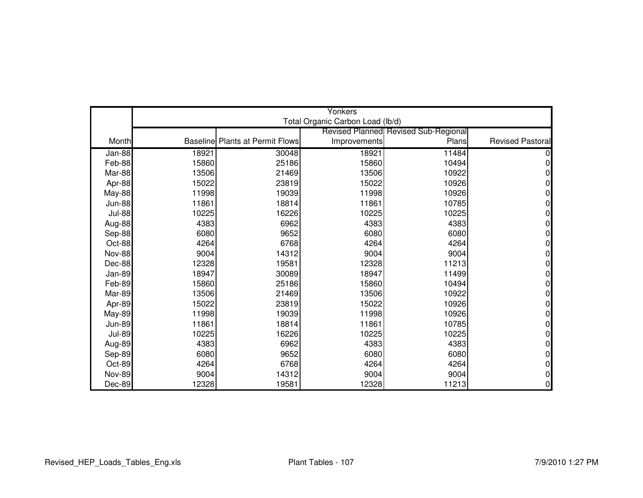|               | Yonkers |                                        |                                  |                                             |                         |  |
|---------------|---------|----------------------------------------|----------------------------------|---------------------------------------------|-------------------------|--|
|               |         |                                        | Total Organic Carbon Load (lb/d) |                                             |                         |  |
|               |         |                                        |                                  | <b>Revised Planned Revised Sub-Regional</b> |                         |  |
| Month         |         | <b>Baseline Plants at Permit Flows</b> | Improvements                     | Plans                                       | <b>Revised Pastoral</b> |  |
| Jan-88        | 18921   | 30048                                  | 18921                            | 11484                                       |                         |  |
| Feb-88        | 15860   | 25186                                  | 15860                            | 10494                                       | 0                       |  |
| Mar-88        | 13506   | 21469                                  | 13506                            | 10922                                       |                         |  |
| Apr-88        | 15022   | 23819                                  | 15022                            | 10926                                       | 0                       |  |
| <b>May-88</b> | 11998   | 19039                                  | 11998                            | 10926                                       | N                       |  |
| <b>Jun-88</b> | 11861   | 18814                                  | 11861                            | 10785                                       | O                       |  |
| <b>Jul-88</b> | 10225   | 16226                                  | 10225                            | 10225                                       |                         |  |
| Aug-88        | 4383    | 6962                                   | 4383                             | 4383                                        | N                       |  |
| Sep-88        | 6080    | 9652                                   | 6080                             | 6080                                        | 0                       |  |
| Oct-88        | 4264    | 6768                                   | 4264                             | 4264                                        | o                       |  |
| <b>Nov-88</b> | 9004    | 14312                                  | 9004                             | 9004                                        | 0                       |  |
| Dec-88        | 12328   | 19581                                  | 12328                            | 11213                                       | 0                       |  |
| Jan-89        | 18947   | 30089                                  | 18947                            | 11499                                       |                         |  |
| Feb-89        | 15860   | 25186                                  | 15860                            | 10494                                       | 0                       |  |
| Mar-89        | 13506   | 21469                                  | 13506                            | 10922                                       |                         |  |
| Apr-89        | 15022   | 23819                                  | 15022                            | 10926                                       |                         |  |
| May-89        | 11998   | 19039                                  | 11998                            | 10926                                       | 0                       |  |
| <b>Jun-89</b> | 11861   | 18814                                  | 11861                            | 10785                                       | N                       |  |
| <b>Jul-89</b> | 10225   | 16226                                  | 10225                            | 10225                                       | O                       |  |
| Aug-89        | 4383    | 6962                                   | 4383                             | 4383                                        | 0                       |  |
| Sep-89        | 6080    | 9652                                   | 6080                             | 6080                                        | 0                       |  |
| Oct-89        | 4264    | 6768                                   | 4264                             | 4264                                        | 0                       |  |
| <b>Nov-89</b> | 9004    | 14312                                  | 9004                             | 9004                                        | 0                       |  |
| Dec-89        | 12328   | 19581                                  | 12328                            | 11213                                       | 0                       |  |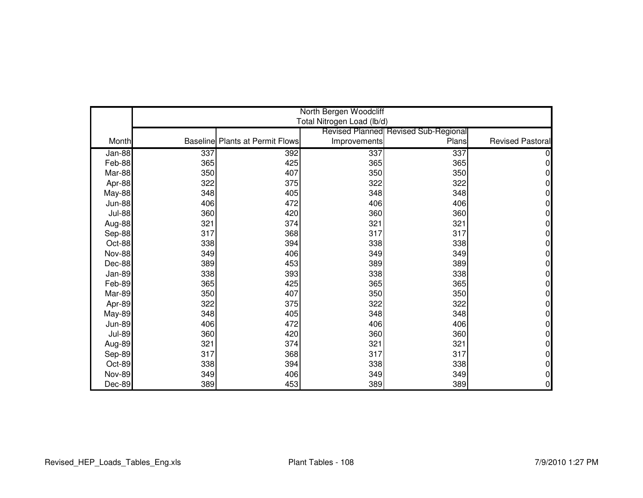|               | North Bergen Woodcliff |                                        |                            |                                      |                         |  |
|---------------|------------------------|----------------------------------------|----------------------------|--------------------------------------|-------------------------|--|
|               |                        |                                        | Total Nitrogen Load (lb/d) |                                      |                         |  |
|               |                        |                                        |                            | Revised Planned Revised Sub-Regional |                         |  |
| Month         |                        | <b>Baseline Plants at Permit Flows</b> | Improvements               | Plans                                | <b>Revised Pastoral</b> |  |
| Jan-88        | 337                    | 392                                    | 337                        | 337                                  |                         |  |
| Feb-88        | 365                    | 425                                    | 365                        | 365                                  | 0                       |  |
| Mar-88        | 350                    | 407                                    | 350                        | 350                                  | 0                       |  |
| Apr-88        | 322                    | 375                                    | 322                        | 322                                  | 0                       |  |
| May-88        | 348                    | 405                                    | 348                        | 348                                  | 0                       |  |
| <b>Jun-88</b> | 406                    | 472                                    | 406                        | 406                                  | 0                       |  |
| <b>Jul-88</b> | 360                    | 420                                    | 360                        | 360                                  | 0                       |  |
| Aug-88        | 321                    | 374                                    | 321                        | 321                                  | 0                       |  |
| Sep-88        | 317                    | 368                                    | 317                        | 317                                  | 0                       |  |
| Oct-88        | 338                    | 394                                    | 338                        | 338                                  | 0                       |  |
| <b>Nov-88</b> | 349                    | 406                                    | 349                        | 349                                  | 0                       |  |
| Dec-88        | 389                    | 453                                    | 389                        | 389                                  | 0                       |  |
| Jan-89        | 338                    | 393                                    | 338                        | 338                                  | 0                       |  |
| Feb-89        | 365                    | 425                                    | 365                        | 365                                  | 0                       |  |
| Mar-89        | 350                    | 407                                    | 350                        | 350                                  | 0                       |  |
| Apr-89        | 322                    | 375                                    | 322                        | 322                                  | 0                       |  |
| <b>May-89</b> | 348                    | 405                                    | 348                        | 348                                  | 0                       |  |
| <b>Jun-89</b> | 406                    | 472                                    | 406                        | 406                                  | 0                       |  |
| <b>Jul-89</b> | 360                    | 420                                    | 360                        | 360                                  | 0                       |  |
| Aug-89        | 321                    | 374                                    | 321                        | 321                                  | 0                       |  |
| Sep-89        | 317                    | 368                                    | 317                        | 317                                  | 0                       |  |
| Oct-89        | 338                    | 394                                    | 338                        | 338                                  | 0                       |  |
| <b>Nov-89</b> | 349                    | 406                                    | 349                        | 349                                  | 0                       |  |
| Dec-89        | 389                    | 453                                    | 389                        | 389                                  | 0                       |  |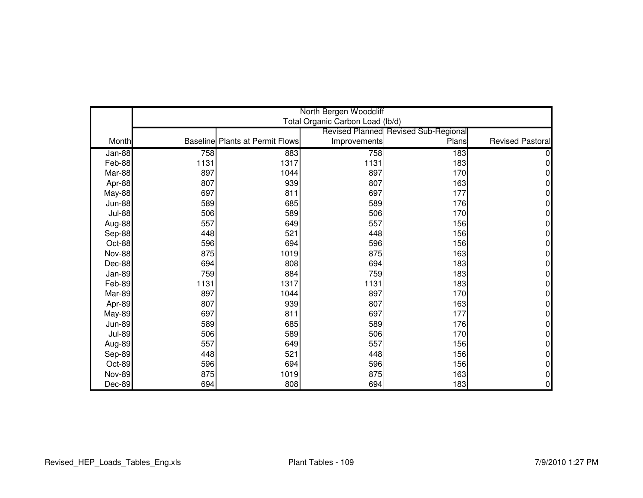|               | North Bergen Woodcliff |                                        |                                  |                                             |                         |  |
|---------------|------------------------|----------------------------------------|----------------------------------|---------------------------------------------|-------------------------|--|
|               |                        |                                        | Total Organic Carbon Load (lb/d) |                                             |                         |  |
|               |                        |                                        |                                  | <b>Revised Planned Revised Sub-Regional</b> |                         |  |
| Month         |                        | <b>Baseline Plants at Permit Flows</b> | Improvements                     | Plans                                       | <b>Revised Pastoral</b> |  |
| Jan-88        | 758                    | 883                                    | 758                              | 183                                         |                         |  |
| Feb-88        | 1131                   | 1317                                   | 1131                             | 183                                         | 0                       |  |
| Mar-88        | 897                    | 1044                                   | 897                              | 170                                         | $\Omega$                |  |
| Apr-88        | 807                    | 939                                    | 807                              | 163                                         | 0                       |  |
| May-88        | 697                    | 811                                    | 697                              | 177                                         | 0                       |  |
| <b>Jun-88</b> | 589                    | 685                                    | 589                              | 176                                         | 0                       |  |
| <b>Jul-88</b> | 506                    | 589                                    | 506                              | 170                                         | 0                       |  |
| Aug-88        | 557                    | 649                                    | 557                              | 156                                         | 0                       |  |
| Sep-88        | 448                    | 521                                    | 448                              | 156                                         | 0                       |  |
| Oct-88        | 596                    | 694                                    | 596                              | 156                                         | 0                       |  |
| <b>Nov-88</b> | 875                    | 1019                                   | 875                              | 163                                         | $\Omega$                |  |
| Dec-88        | 694                    | 808                                    | 694                              | 183                                         | 0                       |  |
| Jan-89        | 759                    | 884                                    | 759                              | 183                                         | N                       |  |
| Feb-89        | 1131                   | 1317                                   | 1131                             | 183                                         | 0                       |  |
| Mar-89        | 897                    | 1044                                   | 897                              | 170                                         | 0                       |  |
| Apr-89        | 807                    | 939                                    | 807                              | 163                                         | 0                       |  |
| <b>May-89</b> | 697                    | 811                                    | 697                              | 177                                         | 0                       |  |
| <b>Jun-89</b> | 589                    | 685                                    | 589                              | 176                                         | 0                       |  |
| <b>Jul-89</b> | 506                    | 589                                    | 506                              | 170                                         | 0                       |  |
| Aug-89        | 557                    | 649                                    | 557                              | 156                                         | 0                       |  |
| Sep-89        | 448                    | 521                                    | 448                              | 156                                         | 0                       |  |
| Oct-89        | 596                    | 694                                    | 596                              | 156                                         | 0                       |  |
| <b>Nov-89</b> | 875                    | 1019                                   | 875                              | 163                                         | 0                       |  |
| Dec-89        | 694                    | 808                                    | 694                              | 183                                         | 0                       |  |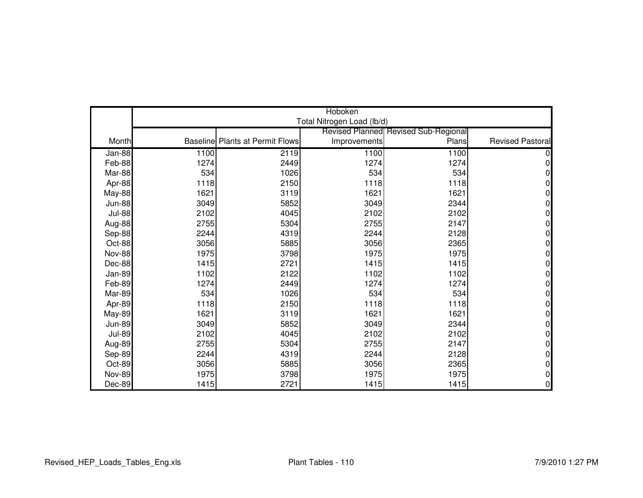|               | Hoboken |                                        |                            |                                      |                  |  |
|---------------|---------|----------------------------------------|----------------------------|--------------------------------------|------------------|--|
|               |         |                                        | Total Nitrogen Load (lb/d) |                                      |                  |  |
|               |         |                                        |                            | Revised Planned Revised Sub-Regional |                  |  |
| Month         |         | <b>Baseline Plants at Permit Flows</b> | Improvements               | Plans                                | Revised Pastoral |  |
| Jan-88        | 1100    | 2119                                   | 1100                       | 1100                                 |                  |  |
| Feb-88        | 1274    | 2449                                   | 1274                       | 1274                                 | 0                |  |
| Mar-88        | 534     | 1026                                   | 534                        | 534                                  |                  |  |
| Apr-88        | 1118    | 2150                                   | 1118                       | 1118                                 |                  |  |
| May-88        | 1621    | 3119                                   | 1621                       | 1621                                 | 0                |  |
| <b>Jun-88</b> | 3049    | 5852                                   | 3049                       | 2344                                 | 0                |  |
| <b>Jul-88</b> | 2102    | 4045                                   | 2102                       | 2102                                 | 0                |  |
| Aug-88        | 2755    | 5304                                   | 2755                       | 2147                                 | 01               |  |
| Sep-88        | 2244    | 4319                                   | 2244                       | 2128                                 | 0                |  |
| Oct-88        | 3056    | 5885                                   | 3056                       | 2365                                 | 0                |  |
| <b>Nov-88</b> | 1975    | 3798                                   | 1975                       | 1975                                 | 0                |  |
| Dec-88        | 1415    | 2721                                   | 1415                       | 1415                                 | 0                |  |
| Jan-89        | 1102    | 2122                                   | 1102                       | 1102                                 | 0                |  |
| Feb-89        | 1274    | 2449                                   | 1274                       | 1274                                 | 0                |  |
| Mar-89        | 534     | 1026                                   | 534                        | 534                                  | 0                |  |
| Apr-89        | 1118    | 2150                                   | 1118                       | 1118                                 | 0                |  |
| <b>May-89</b> | 1621    | 3119                                   | 1621                       | 1621                                 | 0                |  |
| <b>Jun-89</b> | 3049    | 5852                                   | 3049                       | 2344                                 | 0                |  |
| <b>Jul-89</b> | 2102    | 4045                                   | 2102                       | 2102                                 | 0                |  |
| Aug-89        | 2755    | 5304                                   | 2755                       | 2147                                 | 0                |  |
| Sep-89        | 2244    | 4319                                   | 2244                       | 2128                                 | 0                |  |
| Oct-89        | 3056    | 5885                                   | 3056                       | 2365                                 | 0                |  |
| <b>Nov-89</b> | 1975    | 3798                                   | 1975                       | 1975                                 | 0                |  |
| Dec-89        | 1415    | 2721                                   | 1415                       | 1415                                 | 0                |  |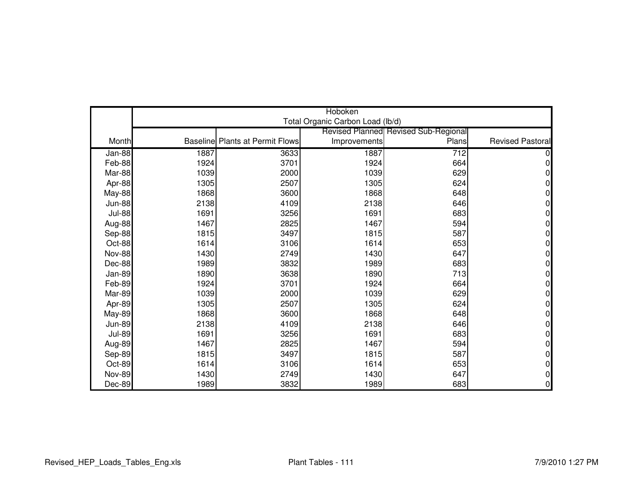|               | Hoboken |                                        |                                  |                                             |                         |  |
|---------------|---------|----------------------------------------|----------------------------------|---------------------------------------------|-------------------------|--|
|               |         |                                        | Total Organic Carbon Load (lb/d) |                                             |                         |  |
|               |         |                                        |                                  | <b>Revised Planned Revised Sub-Regional</b> |                         |  |
| Month         |         | <b>Baseline Plants at Permit Flows</b> | Improvements                     | Plans                                       | <b>Revised Pastoral</b> |  |
| Jan-88        | 1887    | 3633                                   | 1887                             | 712                                         |                         |  |
| Feb-88        | 1924    | 3701                                   | 1924                             | 664                                         | 0                       |  |
| Mar-88        | 1039    | 2000                                   | 1039                             | 629                                         | 0                       |  |
| Apr-88        | 1305    | 2507                                   | 1305                             | 624                                         | 0                       |  |
| <b>May-88</b> | 1868    | 3600                                   | 1868                             | 648                                         | 0                       |  |
| <b>Jun-88</b> | 2138    | 4109                                   | 2138                             | 646                                         | 0                       |  |
| <b>Jul-88</b> | 1691    | 3256                                   | 1691                             | 683                                         | 0                       |  |
| Aug-88        | 1467    | 2825                                   | 1467                             | 594                                         | 0                       |  |
| Sep-88        | 1815    | 3497                                   | 1815                             | 587                                         | 0                       |  |
| Oct-88        | 1614    | 3106                                   | 1614                             | 653                                         | O                       |  |
| <b>Nov-88</b> | 1430    | 2749                                   | 1430                             | 647                                         | 0                       |  |
| Dec-88        | 1989    | 3832                                   | 1989                             | 683                                         | 0                       |  |
| Jan-89        | 1890    | 3638                                   | 1890                             | 713                                         | 0                       |  |
| Feb-89        | 1924    | 3701                                   | 1924                             | 664                                         | 0                       |  |
| Mar-89        | 1039    | 2000                                   | 1039                             | 629                                         | 0                       |  |
| Apr-89        | 1305    | 2507                                   | 1305                             | 624                                         | 0                       |  |
| May-89        | 1868    | 3600                                   | 1868                             | 648                                         | 0                       |  |
| <b>Jun-89</b> | 2138    | 4109                                   | 2138                             | 646                                         | 0                       |  |
| <b>Jul-89</b> | 1691    | 3256                                   | 1691                             | 683                                         | 0                       |  |
| Aug-89        | 1467    | 2825                                   | 1467                             | 594                                         | 0                       |  |
| Sep-89        | 1815    | 3497                                   | 1815                             | 587                                         | 0                       |  |
| Oct-89        | 1614    | 3106                                   | 1614                             | 653                                         | 0                       |  |
| <b>Nov-89</b> | 1430    | 2749                                   | 1430                             | 647                                         | 0                       |  |
| Dec-89        | 1989    | 3832                                   | 1989                             | 683                                         | 0                       |  |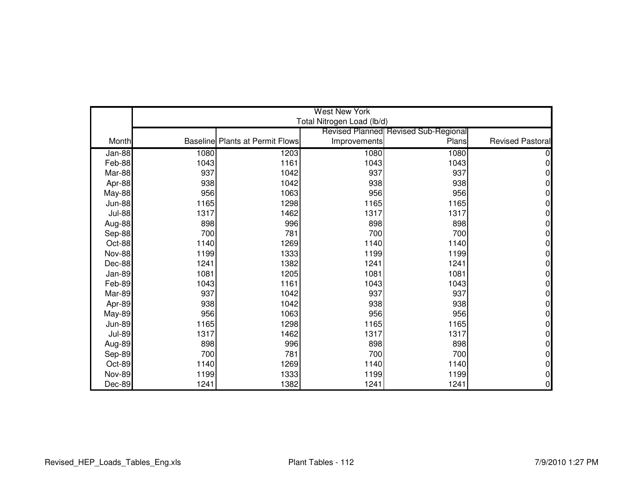|               | <b>West New York</b> |                                        |                            |                                             |                         |  |
|---------------|----------------------|----------------------------------------|----------------------------|---------------------------------------------|-------------------------|--|
|               |                      |                                        | Total Nitrogen Load (lb/d) |                                             |                         |  |
|               |                      |                                        |                            | <b>Revised Planned Revised Sub-Regional</b> |                         |  |
| Month         |                      | <b>Baseline Plants at Permit Flows</b> | Improvements               | Plans                                       | <b>Revised Pastoral</b> |  |
| Jan-88        | 1080                 | 1203                                   | 1080                       | 1080                                        |                         |  |
| Feb-88        | 1043                 | 1161                                   | 1043                       | 1043                                        | 0                       |  |
| Mar-88        | 937                  | 1042                                   | 937                        | 937                                         | $\Omega$                |  |
| Apr-88        | 938                  | 1042                                   | 938                        | 938                                         | 0                       |  |
| <b>May-88</b> | 956                  | 1063                                   | 956                        | 956                                         | 0                       |  |
| <b>Jun-88</b> | 1165                 | 1298                                   | 1165                       | 1165                                        | 0                       |  |
| <b>Jul-88</b> | 1317                 | 1462                                   | 1317                       | 1317                                        | 0                       |  |
| Aug-88        | 898                  | 996                                    | 898                        | 898                                         | $\Omega$                |  |
| Sep-88        | 700                  | 781                                    | 700                        | 700                                         | 0                       |  |
| Oct-88        | 1140                 | 1269                                   | 1140                       | 1140                                        | 0                       |  |
| <b>Nov-88</b> | 1199                 | 1333                                   | 1199                       | 1199                                        | $\Omega$                |  |
| Dec-88        | 1241                 | 1382                                   | 1241                       | 1241                                        | 0                       |  |
| Jan-89        | 1081                 | 1205                                   | 1081                       | 1081                                        | 0                       |  |
| Feb-89        | 1043                 | 1161                                   | 1043                       | 1043                                        | 0                       |  |
| Mar-89        | 937                  | 1042                                   | 937                        | 937                                         | 0                       |  |
| Apr-89        | 938                  | 1042                                   | 938                        | 938                                         | 0                       |  |
| <b>May-89</b> | 956                  | 1063                                   | 956                        | 956                                         | 0                       |  |
| <b>Jun-89</b> | 1165                 | 1298                                   | 1165                       | 1165                                        | 0                       |  |
| <b>Jul-89</b> | 1317                 | 1462                                   | 1317                       | 1317                                        | $\Omega$                |  |
| Aug-89        | 898                  | 996                                    | 898                        | 898                                         | 0                       |  |
| Sep-89        | 700                  | 781                                    | 700                        | 700                                         | 0                       |  |
| Oct-89        | 1140                 | 1269                                   | 1140                       | 1140                                        | 0                       |  |
| <b>Nov-89</b> | 1199                 | 1333                                   | 1199                       | 1199                                        | 0                       |  |
| Dec-89        | 1241                 | 1382                                   | 1241                       | 1241                                        | 0                       |  |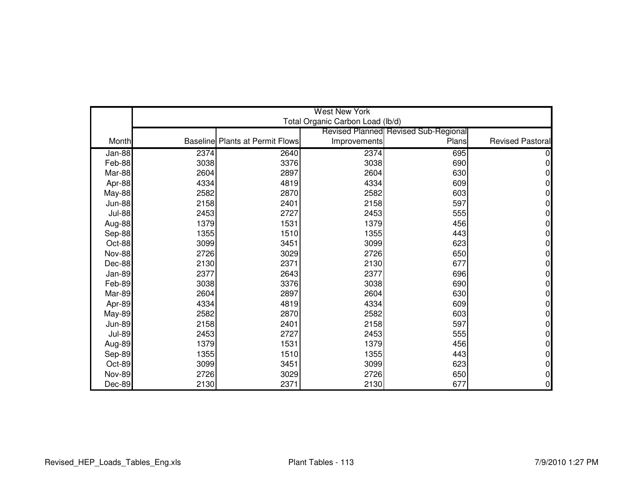|               |      |                                        | <b>West New York</b>             |                                             |                         |
|---------------|------|----------------------------------------|----------------------------------|---------------------------------------------|-------------------------|
|               |      |                                        | Total Organic Carbon Load (lb/d) |                                             |                         |
|               |      |                                        |                                  | <b>Revised Planned Revised Sub-Regional</b> |                         |
| Month         |      | <b>Baseline Plants at Permit Flows</b> | Improvements                     | Plans                                       | <b>Revised Pastoral</b> |
| Jan-88        | 2374 | 2640                                   | 2374                             | 695                                         |                         |
| Feb-88        | 3038 | 3376                                   | 3038                             | 690                                         | 0                       |
| Mar-88        | 2604 | 2897                                   | 2604                             | 630                                         | $\Omega$                |
| Apr-88        | 4334 | 4819                                   | 4334                             | 609                                         | 0                       |
| <b>May-88</b> | 2582 | 2870                                   | 2582                             | 603                                         | 0                       |
| <b>Jun-88</b> | 2158 | 2401                                   | 2158                             | 597                                         | 0                       |
| <b>Jul-88</b> | 2453 | 2727                                   | 2453                             | 555                                         | 0                       |
| Aug-88        | 1379 | 1531                                   | 1379                             | 456                                         | 0                       |
| Sep-88        | 1355 | 1510                                   | 1355                             | 443                                         | 0                       |
| Oct-88        | 3099 | 3451                                   | 3099                             | 623                                         | 0                       |
| <b>Nov-88</b> | 2726 | 3029                                   | 2726                             | 650                                         | 0                       |
| Dec-88        | 2130 | 2371                                   | 2130                             | 677                                         | 0                       |
| Jan-89        | 2377 | 2643                                   | 2377                             | 696                                         | 0                       |
| Feb-89        | 3038 | 3376                                   | 3038                             | 690                                         | 0                       |
| Mar-89        | 2604 | 2897                                   | 2604                             | 630                                         | 0                       |
| Apr-89        | 4334 | 4819                                   | 4334                             | 609                                         | 0                       |
| <b>May-89</b> | 2582 | 2870                                   | 2582                             | 603                                         | 0                       |
| <b>Jun-89</b> | 2158 | 2401                                   | 2158                             | 597                                         | 0                       |
| <b>Jul-89</b> | 2453 | 2727                                   | 2453                             | 555                                         | 0                       |
| Aug-89        | 1379 | 1531                                   | 1379                             | 456                                         | 0                       |
| Sep-89        | 1355 | 1510                                   | 1355                             | 443                                         | 0                       |
| Oct-89        | 3099 | 3451                                   | 3099                             | 623                                         | 0                       |
| <b>Nov-89</b> | 2726 | 3029                                   | 2726                             | 650                                         | 0                       |
| Dec-89        | 2130 | 2371                                   | 2130                             | 677                                         | 0                       |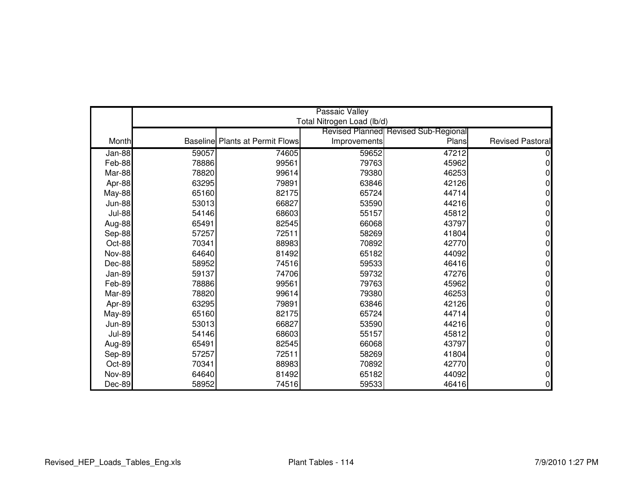|               | <b>Passaic Valley</b> |                                        |                            |                                             |                         |  |
|---------------|-----------------------|----------------------------------------|----------------------------|---------------------------------------------|-------------------------|--|
|               |                       |                                        | Total Nitrogen Load (lb/d) |                                             |                         |  |
|               |                       |                                        |                            | <b>Revised Planned Revised Sub-Regional</b> |                         |  |
| Month         |                       | <b>Baseline Plants at Permit Flows</b> | Improvements               | Plans                                       | <b>Revised Pastoral</b> |  |
| Jan-88        | 59057                 | 74605                                  | 59652                      | 47212                                       |                         |  |
| Feb-88        | 78886                 | 99561                                  | 79763                      | 45962                                       | 0                       |  |
| Mar-88        | 78820                 | 99614                                  | 79380                      | 46253                                       |                         |  |
| Apr-88        | 63295                 | 79891                                  | 63846                      | 42126                                       | 0                       |  |
| May-88        | 65160                 | 82175                                  | 65724                      | 44714                                       | 0                       |  |
| <b>Jun-88</b> | 53013                 | 66827                                  | 53590                      | 44216                                       | 0                       |  |
| <b>Jul-88</b> | 54146                 | 68603                                  | 55157                      | 45812                                       | 0                       |  |
| Aug-88        | 65491                 | 82545                                  | 66068                      | 43797                                       | U                       |  |
| Sep-88        | 57257                 | 72511                                  | 58269                      | 41804                                       | 0                       |  |
| Oct-88        | 70341                 | 88983                                  | 70892                      | 42770                                       | N                       |  |
| <b>Nov-88</b> | 64640                 | 81492                                  | 65182                      | 44092                                       | 0                       |  |
| Dec-88        | 58952                 | 74516                                  | 59533                      | 46416                                       | 0                       |  |
| Jan-89        | 59137                 | 74706                                  | 59732                      | 47276                                       | N                       |  |
| Feb-89        | 78886                 | 99561                                  | 79763                      | 45962                                       | 0                       |  |
| Mar-89        | 78820                 | 99614                                  | 79380                      | 46253                                       | 0                       |  |
| Apr-89        | 63295                 | 79891                                  | 63846                      | 42126                                       | U                       |  |
| <b>May-89</b> | 65160                 | 82175                                  | 65724                      | 44714                                       | 0                       |  |
| <b>Jun-89</b> | 53013                 | 66827                                  | 53590                      | 44216                                       | 0                       |  |
| <b>Jul-89</b> | 54146                 | 68603                                  | 55157                      | 45812                                       | 0                       |  |
| Aug-89        | 65491                 | 82545                                  | 66068                      | 43797                                       | 0                       |  |
| Sep-89        | 57257                 | 72511                                  | 58269                      | 41804                                       | 0                       |  |
| Oct-89        | 70341                 | 88983                                  | 70892                      | 42770                                       | 0                       |  |
| <b>Nov-89</b> | 64640                 | 81492                                  | 65182                      | 44092                                       | 0                       |  |
| Dec-89        | 58952                 | 74516                                  | 59533                      | 46416                                       | 0                       |  |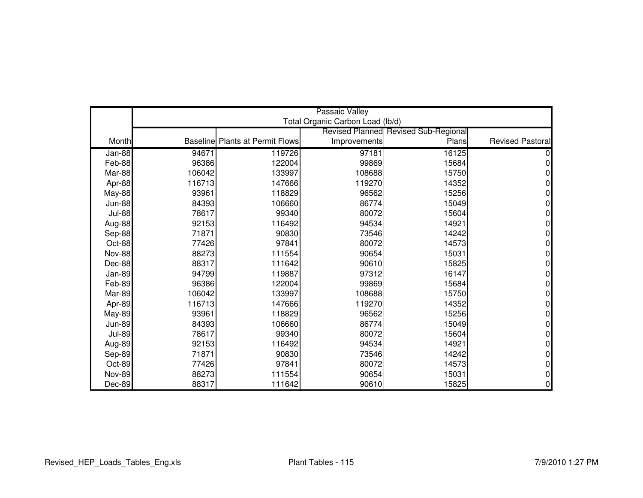|               | <b>Passaic Valley</b> |                                        |                                  |                                             |                         |  |
|---------------|-----------------------|----------------------------------------|----------------------------------|---------------------------------------------|-------------------------|--|
|               |                       |                                        | Total Organic Carbon Load (lb/d) |                                             |                         |  |
|               |                       |                                        |                                  | <b>Revised Planned Revised Sub-Regional</b> |                         |  |
| Month         |                       | <b>Baseline Plants at Permit Flows</b> | Improvements                     | Plans                                       | <b>Revised Pastoral</b> |  |
| Jan-88        | 94671                 | 119726                                 | 97181                            | 16125                                       |                         |  |
| Feb-88        | 96386                 | 122004                                 | 99869                            | 15684                                       | 0                       |  |
| Mar-88        | 106042                | 133997                                 | 108688                           | 15750                                       | n                       |  |
| Apr-88        | 116713                | 147666                                 | 119270                           | 14352                                       | 0                       |  |
| May-88        | 93961                 | 118829                                 | 96562                            | 15256                                       | 0                       |  |
| <b>Jun-88</b> | 84393                 | 106660                                 | 86774                            | 15049                                       | 0                       |  |
| <b>Jul-88</b> | 78617                 | 99340                                  | 80072                            | 15604                                       | 0                       |  |
| Aug-88        | 92153                 | 116492                                 | 94534                            | 14921                                       | $\Omega$                |  |
| Sep-88        | 71871                 | 90830                                  | 73546                            | 14242                                       | 0                       |  |
| Oct-88        | 77426                 | 97841                                  | 80072                            | 14573                                       | n                       |  |
| <b>Nov-88</b> | 88273                 | 111554                                 | 90654                            | 15031                                       | N                       |  |
| Dec-88        | 88317                 | 111642                                 | 90610                            | 15825                                       | ი                       |  |
| Jan-89        | 94799                 | 119887                                 | 97312                            | 16147                                       |                         |  |
| Feb-89        | 96386                 | 122004                                 | 99869                            | 15684                                       | 0                       |  |
| Mar-89        | 106042                | 133997                                 | 108688                           | 15750                                       | ი                       |  |
| Apr-89        | 116713                | 147666                                 | 119270                           | 14352                                       | N                       |  |
| <b>May-89</b> | 93961                 | 118829                                 | 96562                            | 15256                                       | 0                       |  |
| <b>Jun-89</b> | 84393                 | 106660                                 | 86774                            | 15049                                       | N                       |  |
| <b>Jul-89</b> | 78617                 | 99340                                  | 80072                            | 15604                                       | 0                       |  |
| Aug-89        | 92153                 | 116492                                 | 94534                            | 14921                                       | 0                       |  |
| Sep-89        | 71871                 | 90830                                  | 73546                            | 14242                                       | N                       |  |
| Oct-89        | 77426                 | 97841                                  | 80072                            | 14573                                       | 0                       |  |
| <b>Nov-89</b> | 88273                 | 111554                                 | 90654                            | 15031                                       | ი                       |  |
| Dec-89        | 88317                 | 111642                                 | 90610                            | 15825                                       | 0                       |  |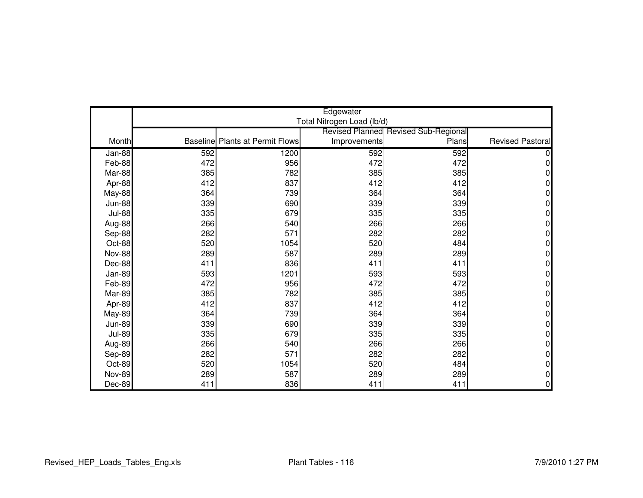|               | Edgewater |                                        |                            |                                             |                         |  |
|---------------|-----------|----------------------------------------|----------------------------|---------------------------------------------|-------------------------|--|
|               |           |                                        | Total Nitrogen Load (lb/d) |                                             |                         |  |
|               |           |                                        |                            | <b>Revised Planned Revised Sub-Regional</b> |                         |  |
| Month         |           | <b>Baseline Plants at Permit Flows</b> | Improvements               | Plans                                       | <b>Revised Pastoral</b> |  |
| Jan-88        | 592       | 1200                                   | 592                        | 592                                         |                         |  |
| Feb-88        | 472       | 956                                    | 472                        | 472                                         | 0                       |  |
| Mar-88        | 385       | 782                                    | 385                        | 385                                         | 0                       |  |
| Apr-88        | 412       | 837                                    | 412                        | 412                                         | 0                       |  |
| <b>May-88</b> | 364       | 739                                    | 364                        | 364                                         | 0                       |  |
| <b>Jun-88</b> | 339       | 690                                    | 339                        | 339                                         | 0                       |  |
| <b>Jul-88</b> | 335       | 679                                    | 335                        | 335                                         | 0                       |  |
| Aug-88        | 266       | 540                                    | 266                        | 266                                         | $\Omega$                |  |
| Sep-88        | 282       | 571                                    | 282                        | 282                                         | 0                       |  |
| Oct-88        | 520       | 1054                                   | 520                        | 484                                         | 0                       |  |
| <b>Nov-88</b> | 289       | 587                                    | 289                        | 289                                         | $\Omega$                |  |
| Dec-88        | 411       | 836                                    | 411                        | 411                                         | 0                       |  |
| Jan-89        | 593       | 1201                                   | 593                        | 593                                         | 0                       |  |
| Feb-89        | 472       | 956                                    | 472                        | 472                                         | 0                       |  |
| Mar-89        | 385       | 782                                    | 385                        | 385                                         | 0                       |  |
| Apr-89        | 412       | 837                                    | 412                        | 412                                         | 0                       |  |
| <b>May-89</b> | 364       | 739                                    | 364                        | 364                                         | 0                       |  |
| <b>Jun-89</b> | 339       | 690                                    | 339                        | 339                                         | 0                       |  |
| <b>Jul-89</b> | 335       | 679                                    | 335                        | 335                                         | 0                       |  |
| Aug-89        | 266       | 540                                    | 266                        | 266                                         | 0                       |  |
| Sep-89        | 282       | 571                                    | 282                        | 282                                         | 0                       |  |
| Oct-89        | 520       | 1054                                   | 520                        | 484                                         | 0                       |  |
| <b>Nov-89</b> | 289       | 587                                    | 289                        | 289                                         | 0                       |  |
| Dec-89        | 411       | 836                                    | 411                        | 411                                         | $\overline{0}$          |  |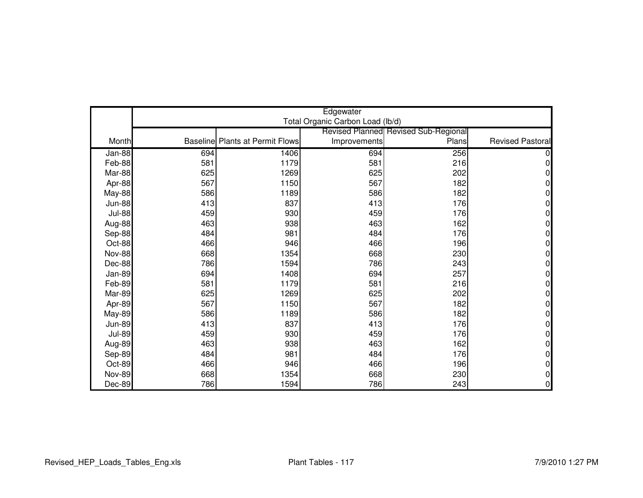|               | Edgewater<br>Total Organic Carbon Load (lb/d) |                                        |              |                                                      |                         |  |
|---------------|-----------------------------------------------|----------------------------------------|--------------|------------------------------------------------------|-------------------------|--|
|               |                                               |                                        |              |                                                      |                         |  |
| Month         |                                               | <b>Baseline Plants at Permit Flows</b> |              | <b>Revised Planned Revised Sub-Regional</b><br>Plans | <b>Revised Pastoral</b> |  |
|               |                                               |                                        | Improvements |                                                      |                         |  |
| <b>Jan-88</b> | 694                                           | 1406                                   | 694          | 256                                                  |                         |  |
| Feb-88        | 581                                           | 1179                                   | 581          | 216                                                  | 0                       |  |
| Mar-88        | 625                                           | 1269                                   | 625          | 202                                                  | 0                       |  |
| Apr-88        | 567                                           | 1150                                   | 567          | 182                                                  | 0                       |  |
| <b>May-88</b> | 586                                           | 1189                                   | 586          | 182                                                  | 0                       |  |
| <b>Jun-88</b> | 413                                           | 837                                    | 413          | 176                                                  | 0                       |  |
| <b>Jul-88</b> | 459                                           | 930                                    | 459          | 176                                                  | 0                       |  |
| Aug-88        | 463                                           | 938                                    | 463          | 162                                                  | $\Omega$                |  |
| Sep-88        | 484                                           | 981                                    | 484          | 176                                                  | 0                       |  |
| Oct-88        | 466                                           | 946                                    | 466          | 196                                                  | 0                       |  |
| <b>Nov-88</b> | 668                                           | 1354                                   | 668          | 230                                                  | $\Omega$                |  |
| Dec-88        | 786                                           | 1594                                   | 786          | 243                                                  | 0                       |  |
| Jan-89        | 694                                           | 1408                                   | 694          | 257                                                  | 0                       |  |
| Feb-89        | 581                                           | 1179                                   | 581          | 216                                                  | 0                       |  |
| Mar-89        | 625                                           | 1269                                   | 625          | 202                                                  | 0                       |  |
| Apr-89        | 567                                           | 1150                                   | 567          | 182                                                  | 0                       |  |
| <b>May-89</b> | 586                                           | 1189                                   | 586          | 182                                                  | 0                       |  |
| <b>Jun-89</b> | 413                                           | 837                                    | 413          | 176                                                  | 0                       |  |
| <b>Jul-89</b> | 459                                           | 930                                    | 459          | 176                                                  | 0                       |  |
| Aug-89        | 463                                           | 938                                    | 463          | 162                                                  | 0                       |  |
| Sep-89        | 484                                           | 981                                    | 484          | 176                                                  | 0                       |  |
| Oct-89        | 466                                           | 946                                    | 466          | 196                                                  | 0                       |  |
| <b>Nov-89</b> | 668                                           | 1354                                   | 668          | 230                                                  | 0                       |  |
| Dec-89        | 786                                           | 1594                                   | 786          | 243                                                  | 0                       |  |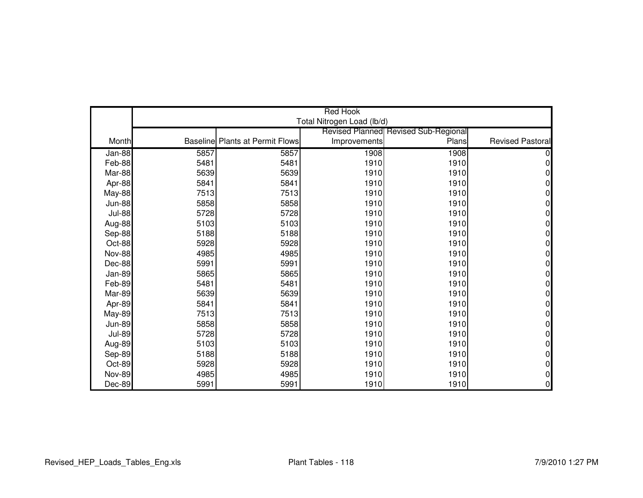|               | <b>Red Hook</b> |                                        |                            |                                             |                         |  |
|---------------|-----------------|----------------------------------------|----------------------------|---------------------------------------------|-------------------------|--|
|               |                 |                                        | Total Nitrogen Load (lb/d) |                                             |                         |  |
|               |                 |                                        |                            | <b>Revised Planned Revised Sub-Regional</b> |                         |  |
| Month         |                 | <b>Baseline Plants at Permit Flows</b> | Improvements               | Plans                                       | <b>Revised Pastoral</b> |  |
| $Jan-88$      | 5857            | 5857                                   | 1908                       | 1908                                        |                         |  |
| Feb-88        | 5481            | 5481                                   | 1910                       | 1910                                        | 0                       |  |
| Mar-88        | 5639            | 5639                                   | 1910                       | 1910                                        | O                       |  |
| Apr-88        | 5841            | 5841                                   | 1910                       | 1910                                        | 0                       |  |
| May-88        | 7513            | 7513                                   | 1910                       | 1910                                        | 0                       |  |
| <b>Jun-88</b> | 5858            | 5858                                   | 1910                       | 1910                                        | 0                       |  |
| <b>Jul-88</b> | 5728            | 5728                                   | 1910                       | 1910                                        | 0                       |  |
| Aug-88        | 5103            | 5103                                   | 1910                       | 1910                                        | 0                       |  |
| Sep-88        | 5188            | 5188                                   | 1910                       | 1910                                        | 0                       |  |
| Oct-88        | 5928            | 5928                                   | 1910                       | 1910                                        | 0                       |  |
| <b>Nov-88</b> | 4985            | 4985                                   | 1910                       | 1910                                        | $\Omega$                |  |
| Dec-88        | 5991            | 5991                                   | 1910                       | 1910                                        | 0                       |  |
| Jan-89        | 5865            | 5865                                   | 1910                       | 1910                                        | O                       |  |
| Feb-89        | 5481            | 5481                                   | 1910                       | 1910                                        | 0                       |  |
| Mar-89        | 5639            | 5639                                   | 1910                       | 1910                                        | 0                       |  |
| Apr-89        | 5841            | 5841                                   | 1910                       | 1910                                        | 0                       |  |
| <b>May-89</b> | 7513            | 7513                                   | 1910                       | 1910                                        | 0                       |  |
| <b>Jun-89</b> | 5858            | 5858                                   | 1910                       | 1910                                        | 0                       |  |
| <b>Jul-89</b> | 5728            | 5728                                   | 1910                       | 1910                                        | 0                       |  |
| Aug-89        | 5103            | 5103                                   | 1910                       | 1910                                        | 0                       |  |
| Sep-89        | 5188            | 5188                                   | 1910                       | 1910                                        | 0                       |  |
| Oct-89        | 5928            | 5928                                   | 1910                       | 1910                                        | 0                       |  |
| <b>Nov-89</b> | 4985            | 4985                                   | 1910                       | 1910                                        | 0                       |  |
| Dec-89        | 5991            | 5991                                   | 1910                       | 1910                                        | 0                       |  |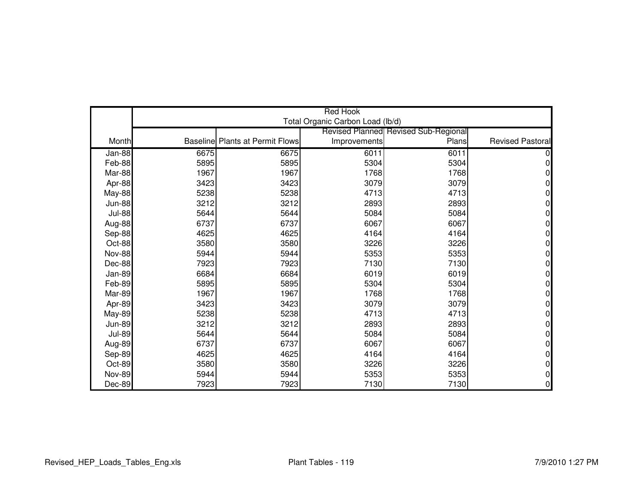|               |      |                                        | <b>Red Hook</b>                  |                                             |                         |
|---------------|------|----------------------------------------|----------------------------------|---------------------------------------------|-------------------------|
|               |      |                                        | Total Organic Carbon Load (lb/d) |                                             |                         |
|               |      |                                        |                                  | <b>Revised Planned Revised Sub-Regional</b> |                         |
| Month         |      | <b>Baseline Plants at Permit Flows</b> | Improvements                     | Plans                                       | <b>Revised Pastoral</b> |
| Jan-88        | 6675 | 6675                                   | 6011                             | 6011                                        |                         |
| Feb-88        | 5895 | 5895                                   | 5304                             | 5304                                        | N                       |
| Mar-88        | 1967 | 1967                                   | 1768                             | 1768                                        |                         |
| Apr-88        | 3423 | 3423                                   | 3079                             | 3079                                        | 0                       |
| May-88        | 5238 | 5238                                   | 4713                             | 4713                                        | 0                       |
| <b>Jun-88</b> | 3212 | 3212                                   | 2893                             | 2893                                        | 0                       |
| <b>Jul-88</b> | 5644 | 5644                                   | 5084                             | 5084                                        | ი                       |
| Aug-88        | 6737 | 6737                                   | 6067                             | 6067                                        | O                       |
| Sep-88        | 4625 | 4625                                   | 4164                             | 4164                                        | 0                       |
| Oct-88        | 3580 | 3580                                   | 3226                             | 3226                                        | N                       |
| <b>Nov-88</b> | 5944 | 5944                                   | 5353                             | 5353                                        | 0                       |
| Dec-88        | 7923 | 7923                                   | 7130                             | 7130                                        | 0                       |
| Jan-89        | 6684 | 6684                                   | 6019                             | 6019                                        | N                       |
| Feb-89        | 5895 | 5895                                   | 5304                             | 5304                                        | 0                       |
| Mar-89        | 1967 | 1967                                   | 1768                             | 1768                                        | ი                       |
| Apr-89        | 3423 | 3423                                   | 3079                             | 3079                                        | O                       |
| <b>May-89</b> | 5238 | 5238                                   | 4713                             | 4713                                        | 0                       |
| <b>Jun-89</b> | 3212 | 3212                                   | 2893                             | 2893                                        | 0                       |
| <b>Jul-89</b> | 5644 | 5644                                   | 5084                             | 5084                                        | 0                       |
| Aug-89        | 6737 | 6737                                   | 6067                             | 6067                                        | 0                       |
| Sep-89        | 4625 | 4625                                   | 4164                             | 4164                                        | 0                       |
| Oct-89        | 3580 | 3580                                   | 3226                             | 3226                                        | 0                       |
| <b>Nov-89</b> | 5944 | 5944                                   | 5353                             | 5353                                        | 0                       |
| Dec-89        | 7923 | 7923                                   | 7130                             | 7130                                        | 0                       |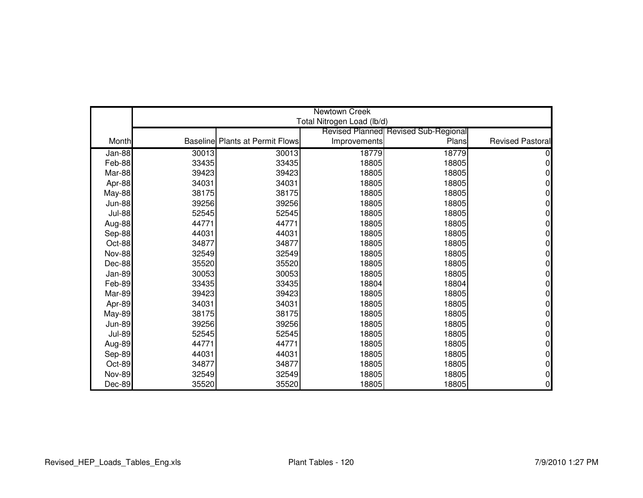|               | Newtown Creek |                                        |                            |                                             |                         |  |
|---------------|---------------|----------------------------------------|----------------------------|---------------------------------------------|-------------------------|--|
|               |               |                                        | Total Nitrogen Load (lb/d) |                                             |                         |  |
|               |               |                                        |                            | <b>Revised Planned Revised Sub-Regional</b> |                         |  |
| Month         |               | <b>Baseline Plants at Permit Flows</b> | Improvements               | Plans                                       | <b>Revised Pastoral</b> |  |
| Jan-88        | 30013         | 30013                                  | 18779                      | 18779                                       |                         |  |
| Feb-88        | 33435         | 33435                                  | 18805                      | 18805                                       | 0                       |  |
| Mar-88        | 39423         | 39423                                  | 18805                      | 18805                                       |                         |  |
| Apr-88        | 34031         | 34031                                  | 18805                      | 18805                                       |                         |  |
| May-88        | 38175         | 38175                                  | 18805                      | 18805                                       |                         |  |
| <b>Jun-88</b> | 39256         | 39256                                  | 18805                      | 18805                                       | 0                       |  |
| <b>Jul-88</b> | 52545         | 52545                                  | 18805                      | 18805                                       |                         |  |
| Aug-88        | 44771         | 44771                                  | 18805                      | 18805                                       | n                       |  |
| Sep-88        | 44031         | 44031                                  | 18805                      | 18805                                       | 0                       |  |
| Oct-88        | 34877         | 34877                                  | 18805                      | 18805                                       |                         |  |
| <b>Nov-88</b> | 32549         | 32549                                  | 18805                      | 18805                                       | ი                       |  |
| Dec-88        | 35520         | 35520                                  | 18805                      | 18805                                       | ი                       |  |
| Jan-89        | 30053         | 30053                                  | 18805                      | 18805                                       |                         |  |
| Feb-89        | 33435         | 33435                                  | 18804                      | 18804                                       | 0                       |  |
| Mar-89        | 39423         | 39423                                  | 18805                      | 18805                                       | ი                       |  |
| Apr-89        | 34031         | 34031                                  | 18805                      | 18805                                       |                         |  |
| <b>May-89</b> | 38175         | 38175                                  | 18805                      | 18805                                       | 0                       |  |
| <b>Jun-89</b> | 39256         | 39256                                  | 18805                      | 18805                                       | N                       |  |
| <b>Jul-89</b> | 52545         | 52545                                  | 18805                      | 18805                                       | O                       |  |
| Aug-89        | 44771         | 44771                                  | 18805                      | 18805                                       | 0                       |  |
| Sep-89        | 44031         | 44031                                  | 18805                      | 18805                                       | N                       |  |
| Oct-89        | 34877         | 34877                                  | 18805                      | 18805                                       | 0                       |  |
| <b>Nov-89</b> | 32549         | 32549                                  | 18805                      | 18805                                       | ი                       |  |
| Dec-89        | 35520         | 35520                                  | 18805                      | 18805                                       | 0                       |  |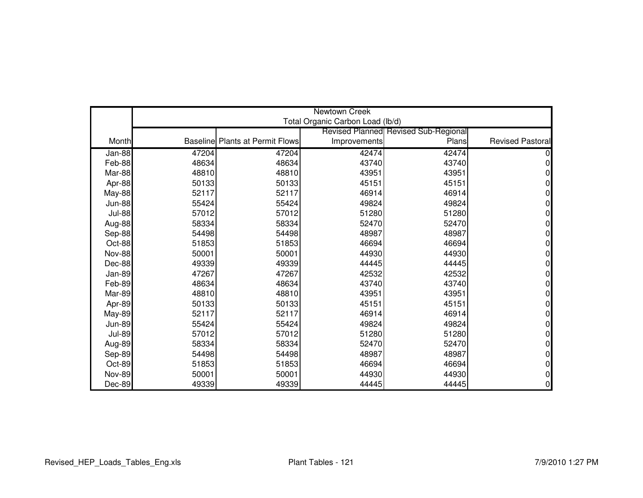|               | Newtown Creek |                                        |                                  |                                      |                         |  |
|---------------|---------------|----------------------------------------|----------------------------------|--------------------------------------|-------------------------|--|
|               |               |                                        | Total Organic Carbon Load (lb/d) |                                      |                         |  |
|               |               |                                        |                                  | Revised Planned Revised Sub-Regional |                         |  |
| Month         |               | <b>Baseline Plants at Permit Flows</b> | Improvements                     | Plans                                | <b>Revised Pastoral</b> |  |
| $Jan-88$      | 47204         | 47204                                  | 42474                            | 42474                                |                         |  |
| Feb-88        | 48634         | 48634                                  | 43740                            | 43740                                |                         |  |
| Mar-88        | 48810         | 48810                                  | 43951                            | 43951                                |                         |  |
| Apr-88        | 50133         | 50133                                  | 45151                            | 45151                                | 0                       |  |
| <b>May-88</b> | 52117         | 52117                                  | 46914                            | 46914                                | 0                       |  |
| <b>Jun-88</b> | 55424         | 55424                                  | 49824                            | 49824                                | 0                       |  |
| <b>Jul-88</b> | 57012         | 57012                                  | 51280                            | 51280                                | 0                       |  |
| Aug-88        | 58334         | 58334                                  | 52470                            | 52470                                | 0                       |  |
| Sep-88        | 54498         | 54498                                  | 48987                            | 48987                                | 0                       |  |
| Oct-88        | 51853         | 51853                                  | 46694                            | 46694                                | 0                       |  |
| <b>Nov-88</b> | 50001         | 50001                                  | 44930                            | 44930                                | 0                       |  |
| Dec-88        | 49339         | 49339                                  | 44445                            | 44445                                | 0                       |  |
| Jan-89        | 47267         | 47267                                  | 42532                            | 42532                                | 0                       |  |
| Feb-89        | 48634         | 48634                                  | 43740                            | 43740                                | 0                       |  |
| Mar-89        | 48810         | 48810                                  | 43951                            | 43951                                | 0                       |  |
| Apr-89        | 50133         | 50133                                  | 45151                            | 45151                                | 0                       |  |
| May-89        | 52117         | 52117                                  | 46914                            | 46914                                | 0                       |  |
| <b>Jun-89</b> | 55424         | 55424                                  | 49824                            | 49824                                | 0                       |  |
| <b>Jul-89</b> | 57012         | 57012                                  | 51280                            | 51280                                | 0                       |  |
| Aug-89        | 58334         | 58334                                  | 52470                            | 52470                                | 0                       |  |
| Sep-89        | 54498         | 54498                                  | 48987                            | 48987                                | 0                       |  |
| Oct-89        | 51853         | 51853                                  | 46694                            | 46694                                | 0                       |  |
| <b>Nov-89</b> | 50001         | 50001                                  | 44930                            | 44930                                | 0                       |  |
| Dec-89        | 49339         | 49339                                  | 44445                            | 44445                                | 0                       |  |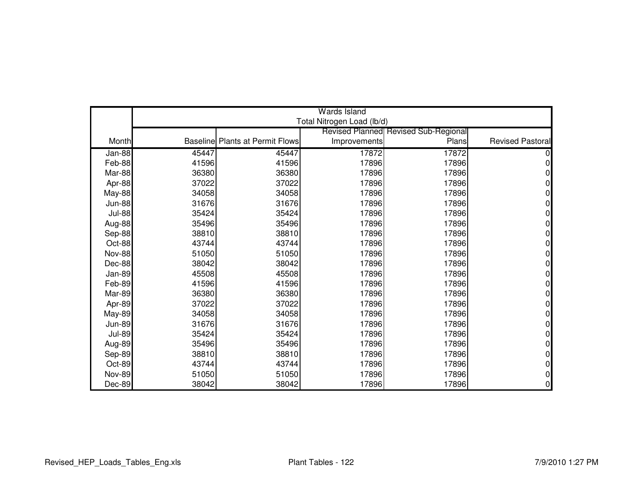|               |       |                                        | <b>Wards Island</b>        |                                             |                         |
|---------------|-------|----------------------------------------|----------------------------|---------------------------------------------|-------------------------|
|               |       |                                        | Total Nitrogen Load (lb/d) |                                             |                         |
|               |       |                                        |                            | <b>Revised Planned Revised Sub-Regional</b> |                         |
| Month         |       | <b>Baseline Plants at Permit Flows</b> | Improvements               | Plans                                       | <b>Revised Pastoral</b> |
| Jan-88        | 45447 | 45447                                  | 17872                      | 17872                                       |                         |
| Feb-88        | 41596 | 41596                                  | 17896                      | 17896                                       | n                       |
| Mar-88        | 36380 | 36380                                  | 17896                      | 17896                                       |                         |
| Apr-88        | 37022 | 37022                                  | 17896                      | 17896                                       |                         |
| May-88        | 34058 | 34058                                  | 17896                      | 17896                                       |                         |
| <b>Jun-88</b> | 31676 | 31676                                  | 17896                      | 17896                                       | N                       |
| <b>Jul-88</b> | 35424 | 35424                                  | 17896                      | 17896                                       |                         |
| Aug-88        | 35496 | 35496                                  | 17896                      | 17896                                       |                         |
| Sep-88        | 38810 | 38810                                  | 17896                      | 17896                                       | 0                       |
| Oct-88        | 43744 | 43744                                  | 17896                      | 17896                                       |                         |
| <b>Nov-88</b> | 51050 | 51050                                  | 17896                      | 17896                                       | ი                       |
| Dec-88        | 38042 | 38042                                  | 17896                      | 17896                                       | ი                       |
| Jan-89        | 45508 | 45508                                  | 17896                      | 17896                                       |                         |
| Feb-89        | 41596 | 41596                                  | 17896                      | 17896                                       | 0                       |
| Mar-89        | 36380 | 36380                                  | 17896                      | 17896                                       |                         |
| Apr-89        | 37022 | 37022                                  | 17896                      | 17896                                       |                         |
| <b>May-89</b> | 34058 | 34058                                  | 17896                      | 17896                                       | 0                       |
| <b>Jun-89</b> | 31676 | 31676                                  | 17896                      | 17896                                       | N                       |
| <b>Jul-89</b> | 35424 | 35424                                  | 17896                      | 17896                                       | ი                       |
| Aug-89        | 35496 | 35496                                  | 17896                      | 17896                                       | 0                       |
| Sep-89        | 38810 | 38810                                  | 17896                      | 17896                                       |                         |
| Oct-89        | 43744 | 43744                                  | 17896                      | 17896                                       | 0                       |
| <b>Nov-89</b> | 51050 | 51050                                  | 17896                      | 17896                                       | ი                       |
| Dec-89        | 38042 | 38042                                  | 17896                      | 17896                                       | 0                       |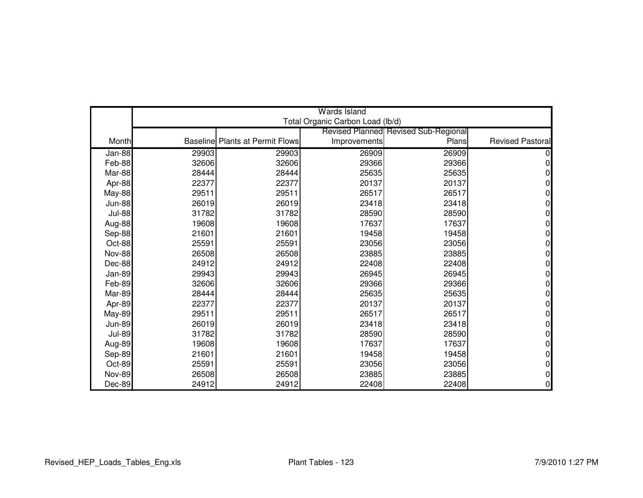|               |       |                                        | Wards Island                     |                                             |                         |
|---------------|-------|----------------------------------------|----------------------------------|---------------------------------------------|-------------------------|
|               |       |                                        | Total Organic Carbon Load (lb/d) |                                             |                         |
|               |       |                                        |                                  | <b>Revised Planned Revised Sub-Regional</b> |                         |
| Month         |       | <b>Baseline Plants at Permit Flows</b> | Improvements                     | Plans                                       | <b>Revised Pastoral</b> |
| $Jan-88$      | 29903 | 29903                                  | 26909                            | 26909                                       |                         |
| Feb-88        | 32606 | 32606                                  | 29366                            | 29366                                       |                         |
| Mar-88        | 28444 | 28444                                  | 25635                            | 25635                                       |                         |
| Apr-88        | 22377 | 22377                                  | 20137                            | 20137                                       | 0                       |
| May-88        | 29511 | 29511                                  | 26517                            | 26517                                       |                         |
| <b>Jun-88</b> | 26019 | 26019                                  | 23418                            | 23418                                       | n                       |
| <b>Jul-88</b> | 31782 | 31782                                  | 28590                            | 28590                                       |                         |
| Aug-88        | 19608 | 19608                                  | 17637                            | 17637                                       |                         |
| Sep-88        | 21601 | 21601                                  | 19458                            | 19458                                       | O                       |
| Oct-88        | 25591 | 25591                                  | 23056                            | 23056                                       |                         |
| <b>Nov-88</b> | 26508 | 26508                                  | 23885                            | 23885                                       |                         |
| Dec-88        | 24912 | 24912                                  | 22408                            | 22408                                       |                         |
| Jan-89        | 29943 | 29943                                  | 26945                            | 26945                                       |                         |
| Feb-89        | 32606 | 32606                                  | 29366                            | 29366                                       | 0                       |
| Mar-89        | 28444 | 28444                                  | 25635                            | 25635                                       |                         |
| Apr-89        | 22377 | 22377                                  | 20137                            | 20137                                       |                         |
| May-89        | 29511 | 29511                                  | 26517                            | 26517                                       | 0                       |
| <b>Jun-89</b> | 26019 | 26019                                  | 23418                            | 23418                                       |                         |
| <b>Jul-89</b> | 31782 | 31782                                  | 28590                            | 28590                                       |                         |
| Aug-89        | 19608 | 19608                                  | 17637                            | 17637                                       | ი                       |
| Sep-89        | 21601 | 21601                                  | 19458                            | 19458                                       |                         |
| Oct-89        | 25591 | 25591                                  | 23056                            | 23056                                       | 0                       |
| <b>Nov-89</b> | 26508 | 26508                                  | 23885                            | 23885                                       |                         |
| Dec-89        | 24912 | 24912                                  | 22408                            | 22408                                       | $\Omega$                |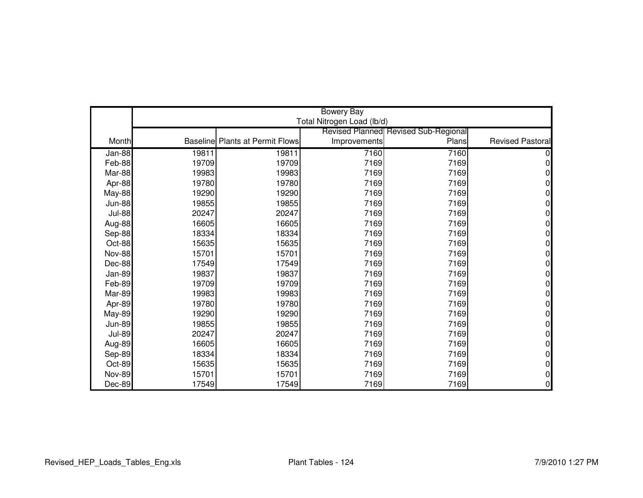|               | <b>Bowery Bay</b><br>Total Nitrogen Load (lb/d) |                                        |              |                                             |                         |  |
|---------------|-------------------------------------------------|----------------------------------------|--------------|---------------------------------------------|-------------------------|--|
|               |                                                 |                                        |              | <b>Revised Planned Revised Sub-Regional</b> |                         |  |
| Month         |                                                 | <b>Baseline Plants at Permit Flows</b> | Improvements | Plans                                       | <b>Revised Pastoral</b> |  |
| $Jan-88$      | 19811                                           | 19811                                  | 7160         | 7160                                        |                         |  |
| Feb-88        | 19709                                           | 19709                                  | 7169         | 7169                                        | 0                       |  |
| Mar-88        | 19983                                           | 19983                                  | 7169         | 7169                                        | 0                       |  |
| Apr-88        | 19780                                           | 19780                                  | 7169         | 7169                                        | 0                       |  |
| <b>May-88</b> | 19290                                           | 19290                                  | 7169         | 7169                                        | N                       |  |
| <b>Jun-88</b> | 19855                                           | 19855                                  | 7169         | 7169                                        | 0                       |  |
| <b>Jul-88</b> | 20247                                           | 20247                                  | 7169         | 7169                                        |                         |  |
| Aug-88        | 16605                                           | 16605                                  | 7169         | 7169                                        | N                       |  |
| Sep-88        | 18334                                           | 18334                                  | 7169         | 7169                                        | 0                       |  |
| Oct-88        | 15635                                           | 15635                                  | 7169         | 7169                                        | n                       |  |
| <b>Nov-88</b> | 15701                                           | 15701                                  | 7169         | 7169                                        | 0                       |  |
| Dec-88        | 17549                                           | 17549                                  | 7169         | 7169                                        | 0                       |  |
| Jan-89        | 19837                                           | 19837                                  | 7169         | 7169                                        |                         |  |
| Feb-89        | 19709                                           | 19709                                  | 7169         | 7169                                        | 0                       |  |
| Mar-89        | 19983                                           | 19983                                  | 7169         | 7169                                        |                         |  |
| Apr-89        | 19780                                           | 19780                                  | 7169         | 7169                                        |                         |  |
| <b>May-89</b> | 19290                                           | 19290                                  | 7169         | 7169                                        | 0                       |  |
| <b>Jun-89</b> | 19855                                           | 19855                                  | 7169         | 7169                                        | N                       |  |
| <b>Jul-89</b> | 20247                                           | 20247                                  | 7169         | 7169                                        | O                       |  |
| Aug-89        | 16605                                           | 16605                                  | 7169         | 7169                                        | 0                       |  |
| Sep-89        | 18334                                           | 18334                                  | 7169         | 7169                                        | 0                       |  |
| Oct-89        | 15635                                           | 15635                                  | 7169         | 7169                                        | 0                       |  |
| <b>Nov-89</b> | 15701                                           | 15701                                  | 7169         | 7169                                        | 0                       |  |
| Dec-89        | 17549                                           | 17549                                  | 7169         | 7169                                        | 0                       |  |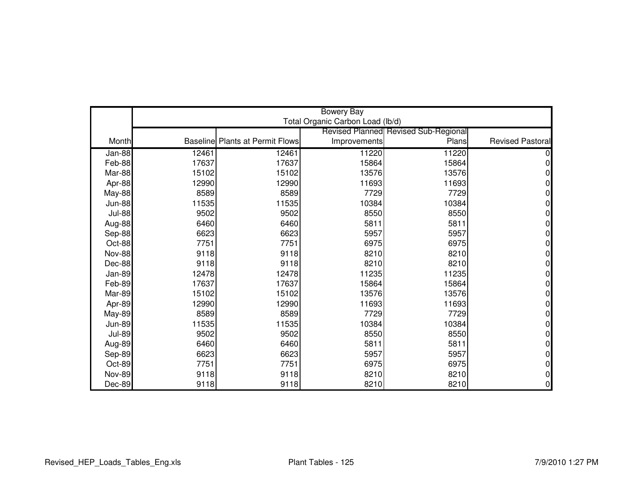|               | <b>Bowery Bay</b> |                                        |                                  |                                             |                         |  |
|---------------|-------------------|----------------------------------------|----------------------------------|---------------------------------------------|-------------------------|--|
|               |                   |                                        | Total Organic Carbon Load (lb/d) |                                             |                         |  |
|               |                   |                                        |                                  | <b>Revised Planned Revised Sub-Regional</b> |                         |  |
| Month         |                   | <b>Baseline Plants at Permit Flows</b> | Improvements                     | Plans                                       | <b>Revised Pastoral</b> |  |
| Jan-88        | 12461             | 12461                                  | 11220                            | 11220                                       |                         |  |
| Feb-88        | 17637             | 17637                                  | 15864                            | 15864                                       | 0                       |  |
| Mar-88        | 15102             | 15102                                  | 13576                            | 13576                                       |                         |  |
| Apr-88        | 12990             | 12990                                  | 11693                            | 11693                                       | 0                       |  |
| <b>May-88</b> | 8589              | 8589                                   | 7729                             | 7729                                        | N                       |  |
| <b>Jun-88</b> | 11535             | 11535                                  | 10384                            | 10384                                       | 0                       |  |
| <b>Jul-88</b> | 9502              | 9502                                   | 8550                             | 8550                                        | 0                       |  |
| Aug-88        | 6460              | 6460                                   | 5811                             | 5811                                        | N                       |  |
| Sep-88        | 6623              | 6623                                   | 5957                             | 5957                                        | 0                       |  |
| Oct-88        | 7751              | 7751                                   | 6975                             | 6975                                        | n                       |  |
| <b>Nov-88</b> | 9118              | 9118                                   | 8210                             | 8210                                        | 0                       |  |
| Dec-88        | 9118              | 9118                                   | 8210                             | 8210                                        | 0                       |  |
| Jan-89        | 12478             | 12478                                  | 11235                            | 11235                                       |                         |  |
| Feb-89        | 17637             | 17637                                  | 15864                            | 15864                                       | 0                       |  |
| Mar-89        | 15102             | 15102                                  | 13576                            | 13576                                       |                         |  |
| Apr-89        | 12990             | 12990                                  | 11693                            | 11693                                       |                         |  |
| <b>May-89</b> | 8589              | 8589                                   | 7729                             | 7729                                        | 0                       |  |
| <b>Jun-89</b> | 11535             | 11535                                  | 10384                            | 10384                                       | N                       |  |
| <b>Jul-89</b> | 9502              | 9502                                   | 8550                             | 8550                                        | O                       |  |
| Aug-89        | 6460              | 6460                                   | 5811                             | 5811                                        | 0                       |  |
| Sep-89        | 6623              | 6623                                   | 5957                             | 5957                                        | 0                       |  |
| Oct-89        | 7751              | 7751                                   | 6975                             | 6975                                        | 0                       |  |
| <b>Nov-89</b> | 9118              | 9118                                   | 8210                             | 8210                                        | 0                       |  |
| Dec-89        | 9118              | 9118                                   | 8210                             | 8210                                        | 0                       |  |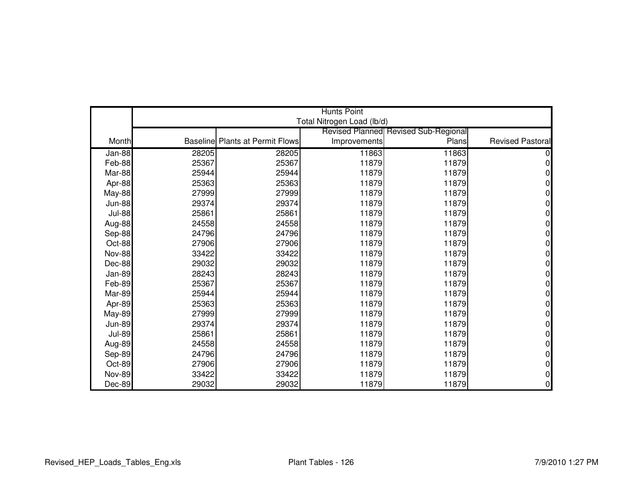|               | <b>Hunts Point</b> |                                        |                            |                                             |                         |  |
|---------------|--------------------|----------------------------------------|----------------------------|---------------------------------------------|-------------------------|--|
|               |                    |                                        | Total Nitrogen Load (lb/d) |                                             |                         |  |
|               |                    |                                        |                            | <b>Revised Planned Revised Sub-Regional</b> |                         |  |
| Month         |                    | <b>Baseline Plants at Permit Flows</b> | Improvements               | Plans                                       | <b>Revised Pastoral</b> |  |
| $Jan-88$      | 28205              | 28205                                  | 11863                      | 11863                                       |                         |  |
| Feb-88        | 25367              | 25367                                  | 11879                      | 11879                                       | ი                       |  |
| Mar-88        | 25944              | 25944                                  | 11879                      | 11879                                       |                         |  |
| Apr-88        | 25363              | 25363                                  | 11879                      | 11879                                       | 0                       |  |
| <b>May-88</b> | 27999              | 27999                                  | 11879                      | 11879                                       |                         |  |
| <b>Jun-88</b> | 29374              | 29374                                  | 11879                      | 11879                                       | N                       |  |
| <b>Jul-88</b> | 25861              | 25861                                  | 11879                      | 11879                                       |                         |  |
| Aug-88        | 24558              | 24558                                  | 11879                      | 11879                                       |                         |  |
| Sep-88        | 24796              | 24796                                  | 11879                      | 11879                                       | 0                       |  |
| Oct-88        | 27906              | 27906                                  | 11879                      | 11879                                       |                         |  |
| <b>Nov-88</b> | 33422              | 33422                                  | 11879                      | 11879                                       | N                       |  |
| Dec-88        | 29032              | 29032                                  | 11879                      | 11879                                       | N                       |  |
| Jan-89        | 28243              | 28243                                  | 11879                      | 11879                                       |                         |  |
| Feb-89        | 25367              | 25367                                  | 11879                      | 11879                                       | 0                       |  |
| Mar-89        | 25944              | 25944                                  | 11879                      | 11879                                       |                         |  |
| Apr-89        | 25363              | 25363                                  | 11879                      | 11879                                       |                         |  |
| <b>May-89</b> | 27999              | 27999                                  | 11879                      | 11879                                       | 0                       |  |
| <b>Jun-89</b> | 29374              | 29374                                  | 11879                      | 11879                                       | ი                       |  |
| <b>Jul-89</b> | 25861              | 25861                                  | 11879                      | 11879                                       | ი                       |  |
| Aug-89        | 24558              | 24558                                  | 11879                      | 11879                                       | 0                       |  |
| Sep-89        | 24796              | 24796                                  | 11879                      | 11879                                       |                         |  |
| Oct-89        | 27906              | 27906                                  | 11879                      | 11879                                       | 0                       |  |
| <b>Nov-89</b> | 33422              | 33422                                  | 11879                      | 11879                                       | ი                       |  |
| Dec-89        | 29032              | 29032                                  | 11879                      | 11879                                       | 0                       |  |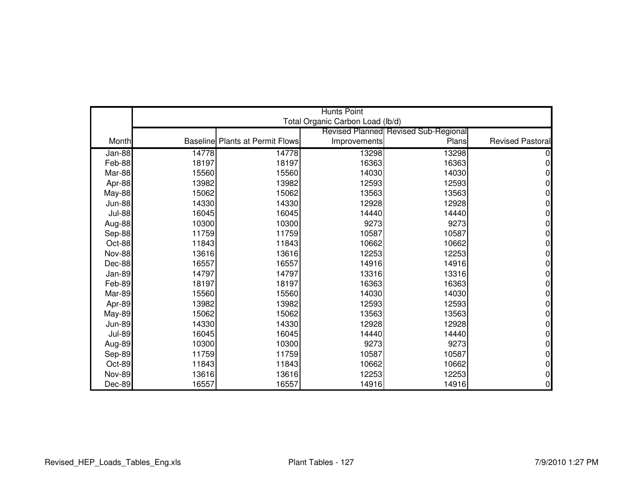|               | <b>Hunts Point</b> |                                        |                                  |                                      |                         |  |
|---------------|--------------------|----------------------------------------|----------------------------------|--------------------------------------|-------------------------|--|
|               |                    |                                        | Total Organic Carbon Load (lb/d) |                                      |                         |  |
|               |                    |                                        |                                  | Revised Planned Revised Sub-Regional |                         |  |
| Month         |                    | <b>Baseline Plants at Permit Flows</b> | Improvements                     | Plans                                | <b>Revised Pastoral</b> |  |
| Jan-88        | 14778              | 14778                                  | 13298                            | 13298                                |                         |  |
| Feb-88        | 18197              | 18197                                  | 16363                            | 16363                                | 0                       |  |
| Mar-88        | 15560              | 15560                                  | 14030                            | 14030                                | n                       |  |
| Apr-88        | 13982              | 13982                                  | 12593                            | 12593                                | 0                       |  |
| May-88        | 15062              | 15062                                  | 13563                            | 13563                                |                         |  |
| <b>Jun-88</b> | 14330              | 14330                                  | 12928                            | 12928                                | 0                       |  |
| <b>Jul-88</b> | 16045              | 16045                                  | 14440                            | 14440                                |                         |  |
| Aug-88        | 10300              | 10300                                  | 9273                             | 9273                                 | N                       |  |
| Sep-88        | 11759              | 11759                                  | 10587                            | 10587                                | 0                       |  |
| Oct-88        | 11843              | 11843                                  | 10662                            | 10662                                | ሰ                       |  |
| <b>Nov-88</b> | 13616              | 13616                                  | 12253                            | 12253                                | N                       |  |
| Dec-88        | 16557              | 16557                                  | 14916                            | 14916                                | ი                       |  |
| Jan-89        | 14797              | 14797                                  | 13316                            | 13316                                | N                       |  |
| Feb-89        | 18197              | 18197                                  | 16363                            | 16363                                | 0                       |  |
| Mar-89        | 15560              | 15560                                  | 14030                            | 14030                                | ი                       |  |
| Apr-89        | 13982              | 13982                                  | 12593                            | 12593                                | N                       |  |
| <b>May-89</b> | 15062              | 15062                                  | 13563                            | 13563                                | 0                       |  |
| <b>Jun-89</b> | 14330              | 14330                                  | 12928                            | 12928                                | 0                       |  |
| <b>Jul-89</b> | 16045              | 16045                                  | 14440                            | 14440                                | 0                       |  |
| Aug-89        | 10300              | 10300                                  | 9273                             | 9273                                 | 0                       |  |
| Sep-89        | 11759              | 11759                                  | 10587                            | 10587                                | 0                       |  |
| Oct-89        | 11843              | 11843                                  | 10662                            | 10662                                | 0                       |  |
| <b>Nov-89</b> | 13616              | 13616                                  | 12253                            | 12253                                | 0                       |  |
| Dec-89        | 16557              | 16557                                  | 14916                            | 14916                                | 0                       |  |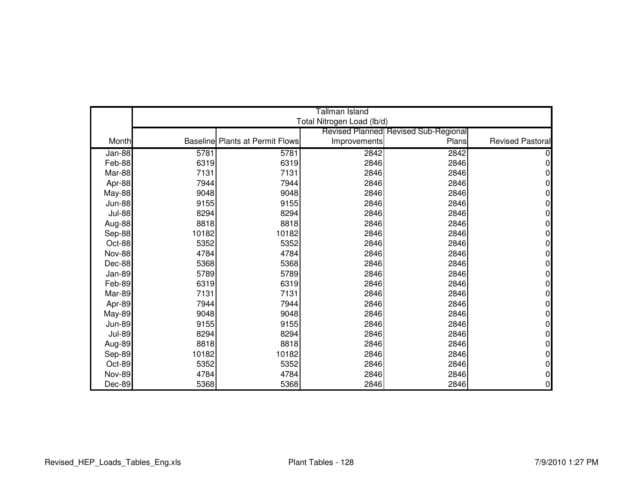|               |       |                                        | Tallman Island             |                                             |                         |
|---------------|-------|----------------------------------------|----------------------------|---------------------------------------------|-------------------------|
|               |       |                                        | Total Nitrogen Load (lb/d) |                                             |                         |
|               |       |                                        |                            | <b>Revised Planned Revised Sub-Regional</b> |                         |
| Month         |       | <b>Baseline Plants at Permit Flows</b> | Improvements               | Plans                                       | <b>Revised Pastoral</b> |
| Jan-88        | 5781  | 5781                                   | 2842                       | 2842                                        |                         |
| Feb-88        | 6319  | 6319                                   | 2846                       | 2846                                        | 0                       |
| Mar-88        | 7131  | 7131                                   | 2846                       | 2846                                        | 0                       |
| Apr-88        | 7944  | 7944                                   | 2846                       | 2846                                        | 0                       |
| May-88        | 9048  | 9048                                   | 2846                       | 2846                                        | 0                       |
| <b>Jun-88</b> | 9155  | 9155                                   | 2846                       | 2846                                        | 0                       |
| <b>Jul-88</b> | 8294  | 8294                                   | 2846                       | 2846                                        | 0                       |
| Aug-88        | 8818  | 8818                                   | 2846                       | 2846                                        | 0                       |
| Sep-88        | 10182 | 10182                                  | 2846                       | 2846                                        | 0                       |
| Oct-88        | 5352  | 5352                                   | 2846                       | 2846                                        | 0                       |
| <b>Nov-88</b> | 4784  | 4784                                   | 2846                       | 2846                                        | 0                       |
| Dec-88        | 5368  | 5368                                   | 2846                       | 2846                                        | 0                       |
| Jan-89        | 5789  | 5789                                   | 2846                       | 2846                                        | 0                       |
| Feb-89        | 6319  | 6319                                   | 2846                       | 2846                                        | 0                       |
| Mar-89        | 7131  | 7131                                   | 2846                       | 2846                                        | 0                       |
| Apr-89        | 7944  | 7944                                   | 2846                       | 2846                                        | 0                       |
| May-89        | 9048  | 9048                                   | 2846                       | 2846                                        | 0                       |
| <b>Jun-89</b> | 9155  | 9155                                   | 2846                       | 2846                                        | 0                       |
| <b>Jul-89</b> | 8294  | 8294                                   | 2846                       | 2846                                        | 0                       |
| Aug-89        | 8818  | 8818                                   | 2846                       | 2846                                        | 0                       |
| Sep-89        | 10182 | 10182                                  | 2846                       | 2846                                        | 0                       |
| Oct-89        | 5352  | 5352                                   | 2846                       | 2846                                        | 0                       |
| <b>Nov-89</b> | 4784  | 4784                                   | 2846                       | 2846                                        | 0                       |
| Dec-89        | 5368  | 5368                                   | 2846                       | 2846                                        | 0                       |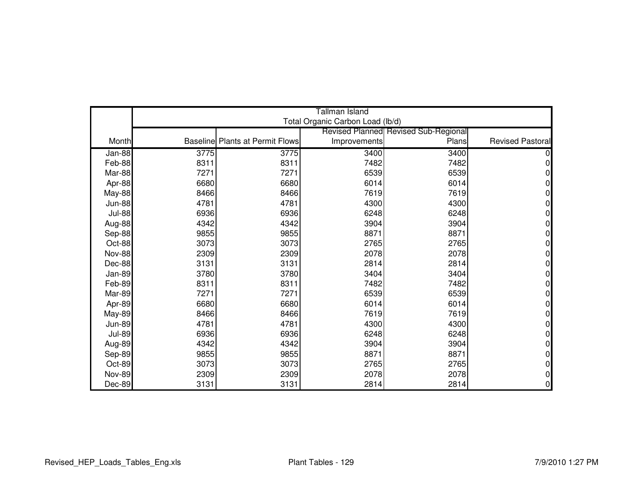|               |      |                                        | Tallman Island                   |                                             |                         |
|---------------|------|----------------------------------------|----------------------------------|---------------------------------------------|-------------------------|
|               |      |                                        | Total Organic Carbon Load (lb/d) |                                             |                         |
|               |      |                                        |                                  | <b>Revised Planned Revised Sub-Regional</b> |                         |
| Month         |      | <b>Baseline Plants at Permit Flows</b> | Improvements                     | Plans                                       | <b>Revised Pastoral</b> |
| Jan-88        | 3775 | 3775                                   | 3400                             | 3400                                        |                         |
| Feb-88        | 8311 | 8311                                   | 7482                             | 7482                                        | N                       |
| Mar-88        | 7271 | 7271                                   | 6539                             | 6539                                        | N                       |
| Apr-88        | 6680 | 6680                                   | 6014                             | 6014                                        | 0                       |
| May-88        | 8466 | 8466                                   | 7619                             | 7619                                        | 0                       |
| <b>Jun-88</b> | 4781 | 4781                                   | 4300                             | 4300                                        | 0                       |
| <b>Jul-88</b> | 6936 | 6936                                   | 6248                             | 6248                                        | 0                       |
| Aug-88        | 4342 | 4342                                   | 3904                             | 3904                                        | 0                       |
| Sep-88        | 9855 | 9855                                   | 8871                             | 8871                                        | 0                       |
| Oct-88        | 3073 | 3073                                   | 2765                             | 2765                                        | 0                       |
| <b>Nov-88</b> | 2309 | 2309                                   | 2078                             | 2078                                        | 0                       |
| Dec-88        | 3131 | 3131                                   | 2814                             | 2814                                        | 0                       |
| Jan-89        | 3780 | 3780                                   | 3404                             | 3404                                        | 0                       |
| Feb-89        | 8311 | 8311                                   | 7482                             | 7482                                        | 0                       |
| Mar-89        | 7271 | 7271                                   | 6539                             | 6539                                        | 0                       |
| Apr-89        | 6680 | 6680                                   | 6014                             | 6014                                        | 0                       |
| May-89        | 8466 | 8466                                   | 7619                             | 7619                                        | 0                       |
| <b>Jun-89</b> | 4781 | 4781                                   | 4300                             | 4300                                        | 0                       |
| <b>Jul-89</b> | 6936 | 6936                                   | 6248                             | 6248                                        | 0                       |
| Aug-89        | 4342 | 4342                                   | 3904                             | 3904                                        | 0                       |
| Sep-89        | 9855 | 9855                                   | 8871                             | 8871                                        | 0                       |
| Oct-89        | 3073 | 3073                                   | 2765                             | 2765                                        | 0                       |
| <b>Nov-89</b> | 2309 | 2309                                   | 2078                             | 2078                                        | 0                       |
| Dec-89        | 3131 | 3131                                   | 2814                             | 2814                                        | 0                       |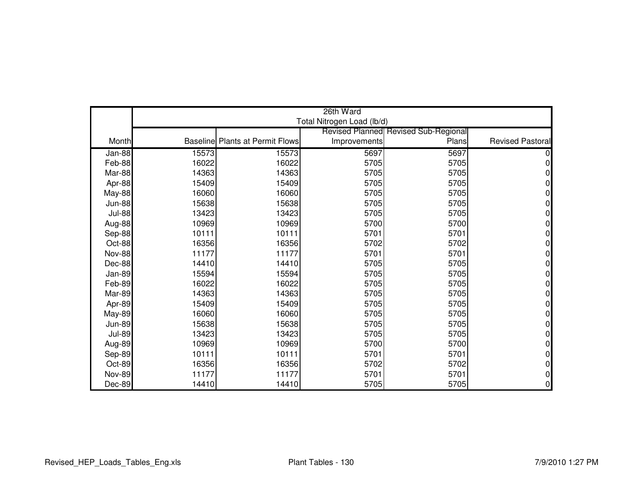|               |       |                                        | 26th Ward                  |                                             |                         |
|---------------|-------|----------------------------------------|----------------------------|---------------------------------------------|-------------------------|
|               |       |                                        | Total Nitrogen Load (lb/d) |                                             |                         |
|               |       |                                        |                            | <b>Revised Planned Revised Sub-Regional</b> |                         |
| Month         |       | <b>Baseline Plants at Permit Flows</b> | Improvements               | Plans                                       | <b>Revised Pastoral</b> |
| Jan-88        | 15573 | 15573                                  | 5697                       | 5697                                        |                         |
| Feb-88        | 16022 | 16022                                  | 5705                       | 5705                                        | 0                       |
| Mar-88        | 14363 | 14363                                  | 5705                       | 5705                                        | 0                       |
| Apr-88        | 15409 | 15409                                  | 5705                       | 5705                                        | 0                       |
| <b>May-88</b> | 16060 | 16060                                  | 5705                       | 5705                                        | 0                       |
| <b>Jun-88</b> | 15638 | 15638                                  | 5705                       | 5705                                        | 0                       |
| <b>Jul-88</b> | 13423 | 13423                                  | 5705                       | 5705                                        | 0                       |
| Aug-88        | 10969 | 10969                                  | 5700                       | 5700                                        | O                       |
| Sep-88        | 10111 | 10111                                  | 5701                       | 5701                                        | 0                       |
| Oct-88        | 16356 | 16356                                  | 5702                       | 5702                                        | N                       |
| <b>Nov-88</b> | 11177 | 11177                                  | 5701                       | 5701                                        | 0                       |
| Dec-88        | 14410 | 14410                                  | 5705                       | 5705                                        | 0                       |
| Jan-89        | 15594 | 15594                                  | 5705                       | 5705                                        | N                       |
| Feb-89        | 16022 | 16022                                  | 5705                       | 5705                                        | 0                       |
| Mar-89        | 14363 | 14363                                  | 5705                       | 5705                                        | 0                       |
| Apr-89        | 15409 | 15409                                  | 5705                       | 5705                                        | O                       |
| <b>May-89</b> | 16060 | 16060                                  | 5705                       | 5705                                        | 0                       |
| <b>Jun-89</b> | 15638 | 15638                                  | 5705                       | 5705                                        | 0                       |
| <b>Jul-89</b> | 13423 | 13423                                  | 5705                       | 5705                                        | 0                       |
| Aug-89        | 10969 | 10969                                  | 5700                       | 5700                                        | 0                       |
| Sep-89        | 10111 | 10111                                  | 5701                       | 5701                                        | 0                       |
| Oct-89        | 16356 | 16356                                  | 5702                       | 5702                                        | 0                       |
| <b>Nov-89</b> | 11177 | 11177                                  | 5701                       | 5701                                        | 0                       |
| Dec-89        | 14410 | 14410                                  | 5705                       | 5705                                        | 0                       |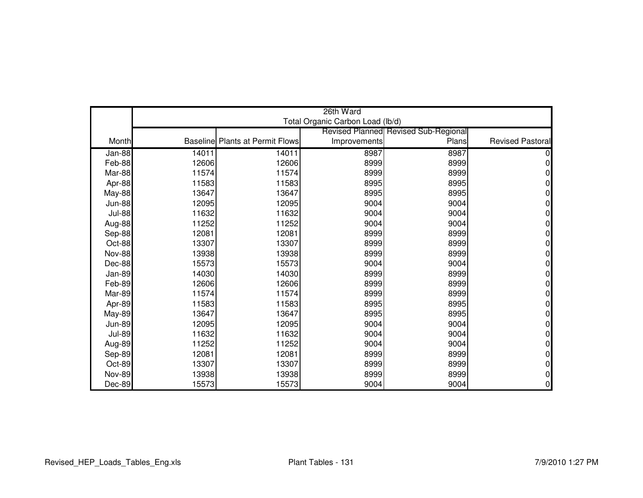|               |       |                                        | 26th Ward                        |                                             |                         |
|---------------|-------|----------------------------------------|----------------------------------|---------------------------------------------|-------------------------|
|               |       |                                        | Total Organic Carbon Load (lb/d) |                                             |                         |
|               |       |                                        |                                  | <b>Revised Planned Revised Sub-Regional</b> |                         |
| Month         |       | <b>Baseline Plants at Permit Flows</b> | Improvements                     | Plans                                       | <b>Revised Pastoral</b> |
| Jan-88        | 14011 | 14011                                  | 8987                             | 8987                                        |                         |
| Feb-88        | 12606 | 12606                                  | 8999                             | 8999                                        | 0                       |
| Mar-88        | 11574 | 11574                                  | 8999                             | 8999                                        |                         |
| Apr-88        | 11583 | 11583                                  | 8995                             | 8995                                        | 0                       |
| <b>May-88</b> | 13647 | 13647                                  | 8995                             | 8995                                        | N                       |
| <b>Jun-88</b> | 12095 | 12095                                  | 9004                             | 9004                                        | O                       |
| <b>Jul-88</b> | 11632 | 11632                                  | 9004                             | 9004                                        |                         |
| Aug-88        | 11252 | 11252                                  | 9004                             | 9004                                        | ი                       |
| Sep-88        | 12081 | 12081                                  | 8999                             | 8999                                        | 0                       |
| Oct-88        | 13307 | 13307                                  | 8999                             | 8999                                        | o                       |
| <b>Nov-88</b> | 13938 | 13938                                  | 8999                             | 8999                                        | 0                       |
| Dec-88        | 15573 | 15573                                  | 9004                             | 9004                                        | 0                       |
| Jan-89        | 14030 | 14030                                  | 8999                             | 8999                                        |                         |
| Feb-89        | 12606 | 12606                                  | 8999                             | 8999                                        | 0                       |
| Mar-89        | 11574 | 11574                                  | 8999                             | 8999                                        |                         |
| Apr-89        | 11583 | 11583                                  | 8995                             | 8995                                        |                         |
| May-89        | 13647 | 13647                                  | 8995                             | 8995                                        | 0                       |
| <b>Jun-89</b> | 12095 | 12095                                  | 9004                             | 9004                                        | N                       |
| <b>Jul-89</b> | 11632 | 11632                                  | 9004                             | 9004                                        | O                       |
| Aug-89        | 11252 | 11252                                  | 9004                             | 9004                                        | 0                       |
| Sep-89        | 12081 | 12081                                  | 8999                             | 8999                                        | 0                       |
| Oct-89        | 13307 | 13307                                  | 8999                             | 8999                                        | 0                       |
| <b>Nov-89</b> | 13938 | 13938                                  | 8999                             | 8999                                        | 0                       |
| Dec-89        | 15573 | 15573                                  | 9004                             | 9004                                        | 0                       |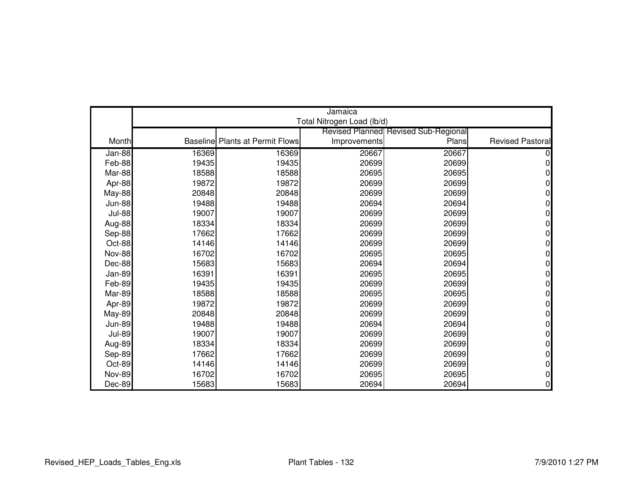|               |       |                                        | Jamaica                    |                                      |                         |
|---------------|-------|----------------------------------------|----------------------------|--------------------------------------|-------------------------|
|               |       |                                        | Total Nitrogen Load (lb/d) |                                      |                         |
|               |       |                                        |                            | Revised Planned Revised Sub-Regional | <b>Revised Pastoral</b> |
| Month         |       | <b>Baseline Plants at Permit Flows</b> | Improvements               | Plans                                |                         |
| Jan-88        | 16369 | 16369                                  | 20667                      | 20667                                |                         |
| Feb-88        | 19435 | 19435                                  | 20699                      | 20699                                |                         |
| Mar-88        | 18588 | 18588                                  | 20695                      | 20695                                |                         |
| Apr-88        | 19872 | 19872                                  | 20699                      | 20699                                |                         |
| <b>May-88</b> | 20848 | 20848                                  | 20699                      | 20699                                |                         |
| <b>Jun-88</b> | 19488 | 19488                                  | 20694                      | 20694                                |                         |
| <b>Jul-88</b> | 19007 | 19007                                  | 20699                      | 20699                                |                         |
| Aug-88        | 18334 | 18334                                  | 20699                      | 20699                                |                         |
| Sep-88        | 17662 | 17662                                  | 20699                      | 20699                                |                         |
| Oct-88        | 14146 | 14146                                  | 20699                      | 20699                                |                         |
| <b>Nov-88</b> | 16702 | 16702                                  | 20695                      | 20695                                |                         |
| Dec-88        | 15683 | 15683                                  | 20694                      | 20694                                |                         |
| Jan-89        | 16391 | 16391                                  | 20695                      | 20695                                |                         |
| Feb-89        | 19435 | 19435                                  | 20699                      | 20699                                |                         |
| Mar-89        | 18588 | 18588                                  | 20695                      | 20695                                |                         |
| Apr-89        | 19872 | 19872                                  | 20699                      | 20699                                |                         |
| <b>May-89</b> | 20848 | 20848                                  | 20699                      | 20699                                |                         |
| <b>Jun-89</b> | 19488 | 19488                                  | 20694                      | 20694                                |                         |
| <b>Jul-89</b> | 19007 | 19007                                  | 20699                      | 20699                                |                         |
| Aug-89        | 18334 | 18334                                  | 20699                      | 20699                                |                         |
| Sep-89        | 17662 | 17662                                  | 20699                      | 20699                                |                         |
| Oct-89        | 14146 | 14146                                  | 20699                      | 20699                                |                         |
| <b>Nov-89</b> | 16702 | 16702                                  | 20695                      | 20695                                |                         |
| Dec-89        | 15683 | 15683                                  | 20694                      | 20694                                |                         |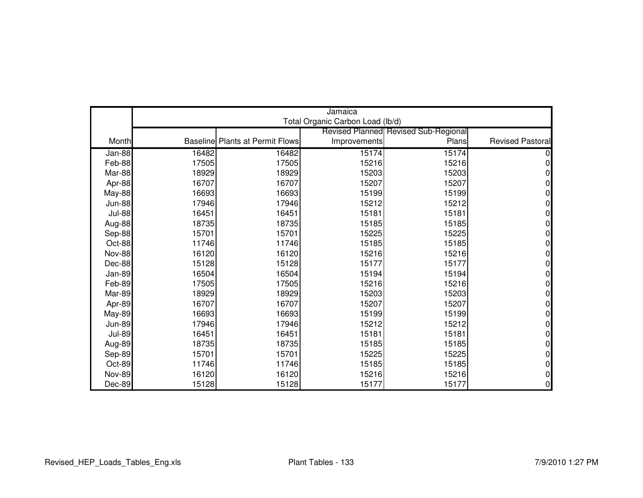|               |       |                                        | Jamaica                          |                                      |                         |
|---------------|-------|----------------------------------------|----------------------------------|--------------------------------------|-------------------------|
|               |       |                                        | Total Organic Carbon Load (lb/d) |                                      |                         |
|               |       |                                        |                                  | Revised Planned Revised Sub-Regional |                         |
| Month         |       | <b>Baseline Plants at Permit Flows</b> | Improvements                     | Plans                                | <b>Revised Pastoral</b> |
| Jan-88        | 16482 | 16482                                  | 15174                            | 15174                                |                         |
| Feb-88        | 17505 | 17505                                  | 15216                            | 15216                                | 0                       |
| Mar-88        | 18929 | 18929                                  | 15203                            | 15203                                | O                       |
| Apr-88        | 16707 | 16707                                  | 15207                            | 15207                                | 0                       |
| <b>May-88</b> | 16693 | 16693                                  | 15199                            | 15199                                | 0                       |
| <b>Jun-88</b> | 17946 | 17946                                  | 15212                            | 15212                                | 0                       |
| <b>Jul-88</b> | 16451 | 16451                                  | 15181                            | 15181                                | 0                       |
| Aug-88        | 18735 | 18735                                  | 15185                            | 15185                                | O                       |
| Sep-88        | 15701 | 15701                                  | 15225                            | 15225                                | 0                       |
| Oct-88        | 11746 | 11746                                  | 15185                            | 15185                                | N                       |
| <b>Nov-88</b> | 16120 | 16120                                  | 15216                            | 15216                                | 0                       |
| Dec-88        | 15128 | 15128                                  | 15177                            | 15177                                | 0                       |
| Jan-89        | 16504 | 16504                                  | 15194                            | 15194                                | N                       |
| Feb-89        | 17505 | 17505                                  | 15216                            | 15216                                | 0                       |
| Mar-89        | 18929 | 18929                                  | 15203                            | 15203                                | 0                       |
| Apr-89        | 16707 | 16707                                  | 15207                            | 15207                                | O                       |
| <b>May-89</b> | 16693 | 16693                                  | 15199                            | 15199                                | 0                       |
| <b>Jun-89</b> | 17946 | 17946                                  | 15212                            | 15212                                | 0                       |
| <b>Jul-89</b> | 16451 | 16451                                  | 15181                            | 15181                                | 0                       |
| Aug-89        | 18735 | 18735                                  | 15185                            | 15185                                | 0                       |
| Sep-89        | 15701 | 15701                                  | 15225                            | 15225                                | 0                       |
| Oct-89        | 11746 | 11746                                  | 15185                            | 15185                                | 0                       |
| <b>Nov-89</b> | 16120 | 16120                                  | 15216                            | 15216                                | 0                       |
| Dec-89        | 15128 | 15128                                  | 15177                            | 15177                                | 0                       |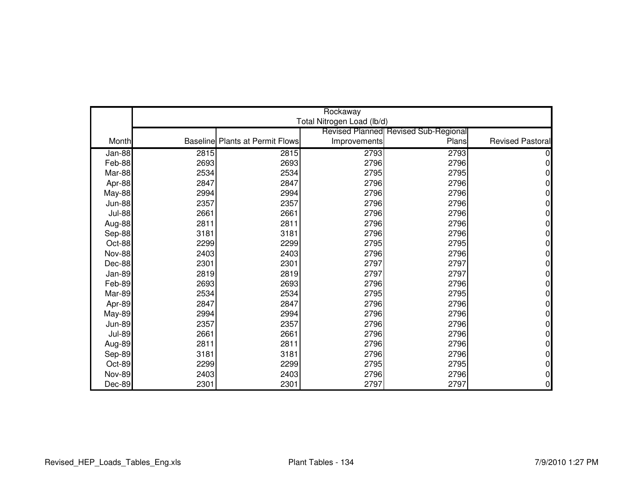|               |      |                                        | Rockaway                   |                                             |                         |
|---------------|------|----------------------------------------|----------------------------|---------------------------------------------|-------------------------|
|               |      |                                        | Total Nitrogen Load (lb/d) |                                             |                         |
|               |      |                                        |                            | <b>Revised Planned Revised Sub-Regional</b> |                         |
| Month         |      | <b>Baseline Plants at Permit Flows</b> | Improvements               | Plans                                       | <b>Revised Pastoral</b> |
| Jan-88        | 2815 | 2815                                   | 2793                       | 2793                                        |                         |
| Feb-88        | 2693 | 2693                                   | 2796                       | 2796                                        | 0                       |
| Mar-88        | 2534 | 2534                                   | 2795                       | 2795                                        | O                       |
| Apr-88        | 2847 | 2847                                   | 2796                       | 2796                                        | 0                       |
| May-88        | 2994 | 2994                                   | 2796                       | 2796                                        | 0                       |
| <b>Jun-88</b> | 2357 | 2357                                   | 2796                       | 2796                                        | 0                       |
| <b>Jul-88</b> | 2661 | 2661                                   | 2796                       | 2796                                        | 0                       |
| Aug-88        | 2811 | 2811                                   | 2796                       | 2796                                        | 0                       |
| Sep-88        | 3181 | 3181                                   | 2796                       | 2796                                        | 0                       |
| Oct-88        | 2299 | 2299                                   | 2795                       | 2795                                        | N                       |
| <b>Nov-88</b> | 2403 | 2403                                   | 2796                       | 2796                                        | 0                       |
| Dec-88        | 2301 | 2301                                   | 2797                       | 2797                                        | 0                       |
| Jan-89        | 2819 | 2819                                   | 2797                       | 2797                                        | N                       |
| Feb-89        | 2693 | 2693                                   | 2796                       | 2796                                        | 0                       |
| Mar-89        | 2534 | 2534                                   | 2795                       | 2795                                        | 0                       |
| Apr-89        | 2847 | 2847                                   | 2796                       | 2796                                        | O                       |
| <b>May-89</b> | 2994 | 2994                                   | 2796                       | 2796                                        | 0                       |
| <b>Jun-89</b> | 2357 | 2357                                   | 2796                       | 2796                                        | 0                       |
| <b>Jul-89</b> | 2661 | 2661                                   | 2796                       | 2796                                        | 0                       |
| Aug-89        | 2811 | 2811                                   | 2796                       | 2796                                        | 0                       |
| Sep-89        | 3181 | 3181                                   | 2796                       | 2796                                        | 0                       |
| Oct-89        | 2299 | 2299                                   | 2795                       | 2795                                        | 0                       |
| <b>Nov-89</b> | 2403 | 2403                                   | 2796                       | 2796                                        | 0                       |
| Dec-89        | 2301 | 2301                                   | 2797                       | 2797                                        | 0                       |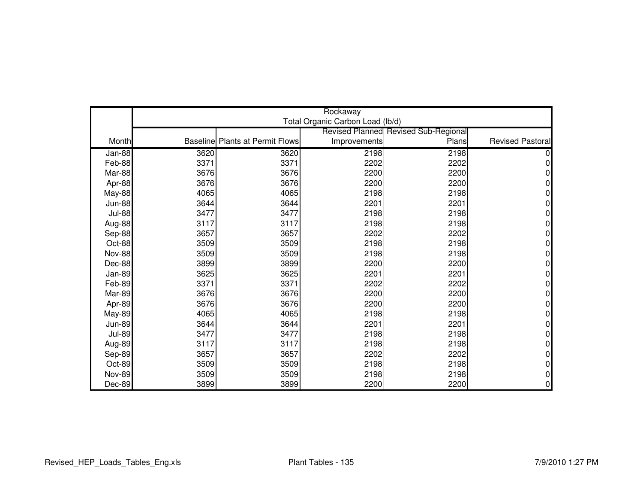|               |      |                                        | Rockaway                         |                                             |                         |
|---------------|------|----------------------------------------|----------------------------------|---------------------------------------------|-------------------------|
|               |      |                                        | Total Organic Carbon Load (lb/d) |                                             |                         |
|               |      |                                        |                                  | <b>Revised Planned Revised Sub-Regional</b> |                         |
| Month         |      | <b>Baseline Plants at Permit Flows</b> | Improvements                     | Plans                                       | <b>Revised Pastoral</b> |
| $Jan-88$      | 3620 | 3620                                   | 2198                             | 2198                                        |                         |
| Feb-88        | 3371 | 3371                                   | 2202                             | 2202                                        | 0                       |
| Mar-88        | 3676 | 3676                                   | 2200                             | 2200                                        |                         |
| Apr-88        | 3676 | 3676                                   | 2200                             | 2200                                        | 0                       |
| <b>May-88</b> | 4065 | 4065                                   | 2198                             | 2198                                        | 0                       |
| <b>Jun-88</b> | 3644 | 3644                                   | 2201                             | 2201                                        | 0                       |
| <b>Jul-88</b> | 3477 | 3477                                   | 2198                             | 2198                                        | 0                       |
| Aug-88        | 3117 | 3117                                   | 2198                             | 2198                                        | 0                       |
| Sep-88        | 3657 | 3657                                   | 2202                             | 2202                                        | 0                       |
| Oct-88        | 3509 | 3509                                   | 2198                             | 2198                                        | 0                       |
| <b>Nov-88</b> | 3509 | 3509                                   | 2198                             | 2198                                        | 0                       |
| Dec-88        | 3899 | 3899                                   | 2200                             | 2200                                        | 0                       |
| Jan-89        | 3625 | 3625                                   | 2201                             | 2201                                        | 0                       |
| Feb-89        | 3371 | 3371                                   | 2202                             | 2202                                        | 0                       |
| Mar-89        | 3676 | 3676                                   | 2200                             | 2200                                        | 0                       |
| Apr-89        | 3676 | 3676                                   | 2200                             | 2200                                        | 0                       |
| <b>May-89</b> | 4065 | 4065                                   | 2198                             | 2198                                        | 0                       |
| <b>Jun-89</b> | 3644 | 3644                                   | 2201                             | 2201                                        | 0                       |
| <b>Jul-89</b> | 3477 | 3477                                   | 2198                             | 2198                                        | 0                       |
| Aug-89        | 3117 | 3117                                   | 2198                             | 2198                                        | 0                       |
| Sep-89        | 3657 | 3657                                   | 2202                             | 2202                                        | 0                       |
| Oct-89        | 3509 | 3509                                   | 2198                             | 2198                                        | 0                       |
| <b>Nov-89</b> | 3509 | 3509                                   | 2198                             | 2198                                        | 0                       |
| Dec-89        | 3899 | 3899                                   | 2200                             | 2200                                        | 0                       |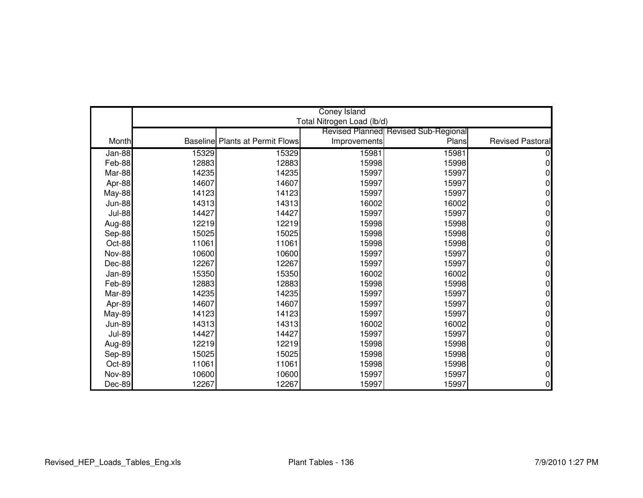|               |       |                                        | <b>Coney Island</b>        |                                             |                         |
|---------------|-------|----------------------------------------|----------------------------|---------------------------------------------|-------------------------|
|               |       |                                        | Total Nitrogen Load (lb/d) |                                             |                         |
|               |       |                                        |                            | <b>Revised Planned Revised Sub-Regional</b> |                         |
| Month         |       | <b>Baseline Plants at Permit Flows</b> | Improvements               | Plans                                       | <b>Revised Pastoral</b> |
| Jan-88        | 15329 | 15329                                  | 15981                      | 15981                                       |                         |
| Feb-88        | 12883 | 12883                                  | 15998                      | 15998                                       | 0                       |
| Mar-88        | 14235 | 14235                                  | 15997                      | 15997                                       |                         |
| Apr-88        | 14607 | 14607                                  | 15997                      | 15997                                       | 0                       |
| <b>May-88</b> | 14123 | 14123                                  | 15997                      | 15997                                       | 0                       |
| <b>Jun-88</b> | 14313 | 14313                                  | 16002                      | 16002                                       | 0                       |
| <b>Jul-88</b> | 14427 | 14427                                  | 15997                      | 15997                                       | ი                       |
| Aug-88        | 12219 | 12219                                  | 15998                      | 15998                                       | N                       |
| Sep-88        | 15025 | 15025                                  | 15998                      | 15998                                       | 0                       |
| Oct-88        | 11061 | 11061                                  | 15998                      | 15998                                       | N                       |
| <b>Nov-88</b> | 10600 | 10600                                  | 15997                      | 15997                                       | O                       |
| Dec-88        | 12267 | 12267                                  | 15997                      | 15997                                       | O                       |
| Jan-89        | 15350 | 15350                                  | 16002                      | 16002                                       | N                       |
| Feb-89        | 12883 | 12883                                  | 15998                      | 15998                                       | 0                       |
| Mar-89        | 14235 | 14235                                  | 15997                      | 15997                                       | ი                       |
| Apr-89        | 14607 | 14607                                  | 15997                      | 15997                                       | O                       |
| <b>May-89</b> | 14123 | 14123                                  | 15997                      | 15997                                       | 0                       |
| <b>Jun-89</b> | 14313 | 14313                                  | 16002                      | 16002                                       | 0                       |
| <b>Jul-89</b> | 14427 | 14427                                  | 15997                      | 15997                                       | 0                       |
| Aug-89        | 12219 | 12219                                  | 15998                      | 15998                                       | 0                       |
| Sep-89        | 15025 | 15025                                  | 15998                      | 15998                                       | 0                       |
| Oct-89        | 11061 | 11061                                  | 15998                      | 15998                                       | 0                       |
| <b>Nov-89</b> | 10600 | 10600                                  | 15997                      | 15997                                       | 0                       |
| Dec-89        | 12267 | 12267                                  | 15997                      | 15997                                       | 0                       |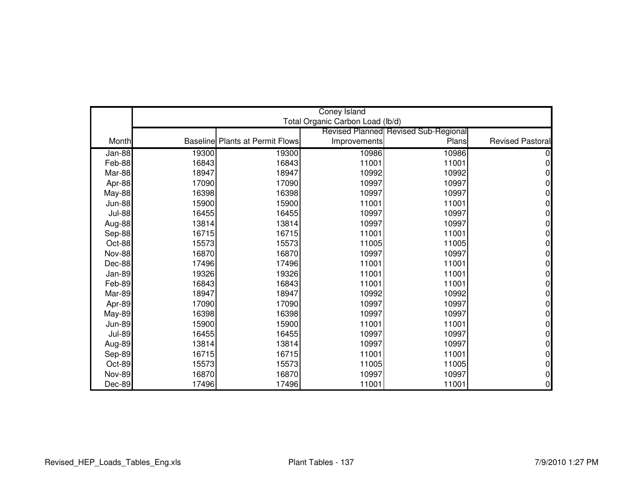|               |       |                                        | <b>Coney Island</b>              |                                      |                         |
|---------------|-------|----------------------------------------|----------------------------------|--------------------------------------|-------------------------|
|               |       |                                        | Total Organic Carbon Load (lb/d) |                                      |                         |
|               |       |                                        |                                  | Revised Planned Revised Sub-Regional |                         |
| Month         |       | <b>Baseline Plants at Permit Flows</b> | Improvements                     | Plans                                | <b>Revised Pastoral</b> |
| Jan-88        | 19300 | 19300                                  | 10986                            | 10986                                |                         |
| Feb-88        | 16843 | 16843                                  | 11001                            | 11001                                | 0                       |
| Mar-88        | 18947 | 18947                                  | 10992                            | 10992                                | 0                       |
| Apr-88        | 17090 | 17090                                  | 10997                            | 10997                                | 0                       |
| May-88        | 16398 | 16398                                  | 10997                            | 10997                                | 0                       |
| <b>Jun-88</b> | 15900 | 15900                                  | 11001                            | 11001                                | 0                       |
| <b>Jul-88</b> | 16455 | 16455                                  | 10997                            | 10997                                | ი                       |
| Aug-88        | 13814 | 13814                                  | 10997                            | 10997                                | N                       |
| Sep-88        | 16715 | 16715                                  | 11001                            | 11001                                | 0                       |
| Oct-88        | 15573 | 15573                                  | 11005                            | 11005                                | N                       |
| <b>Nov-88</b> | 16870 | 16870                                  | 10997                            | 10997                                | O                       |
| Dec-88        | 17496 | 17496                                  | 11001                            | 11001                                | O                       |
| Jan-89        | 19326 | 19326                                  | 11001                            | 11001                                | N                       |
| Feb-89        | 16843 | 16843                                  | 11001                            | 11001                                | 0                       |
| Mar-89        | 18947 | 18947                                  | 10992                            | 10992                                | ი                       |
| Apr-89        | 17090 | 17090                                  | 10997                            | 10997                                | O                       |
| <b>May-89</b> | 16398 | 16398                                  | 10997                            | 10997                                | 0                       |
| <b>Jun-89</b> | 15900 | 15900                                  | 11001                            | 11001                                | 0                       |
| <b>Jul-89</b> | 16455 | 16455                                  | 10997                            | 10997                                | 0                       |
| Aug-89        | 13814 | 13814                                  | 10997                            | 10997                                | 0                       |
| Sep-89        | 16715 | 16715                                  | 11001                            | 11001                                | 0                       |
| Oct-89        | 15573 | 15573                                  | 11005                            | 11005                                | 0                       |
| <b>Nov-89</b> | 16870 | 16870                                  | 10997                            | 10997                                | 0                       |
| Dec-89        | 17496 | 17496                                  | 11001                            | 11001                                | 0                       |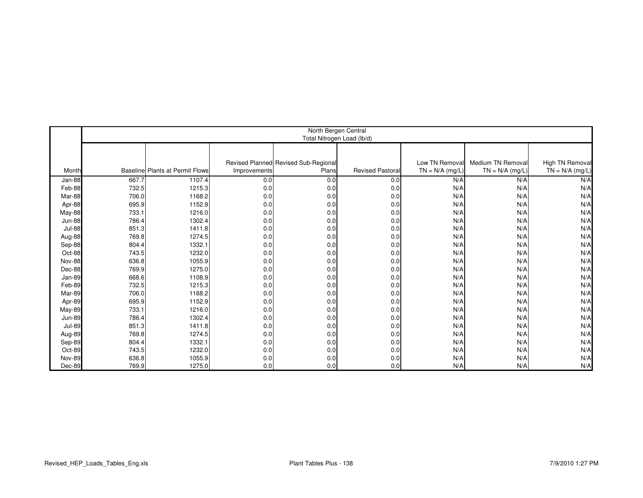|               | North Bergen Central<br>Total Nitrogen Load (lb/d) |                                        |              |                                      |                        |                   |                   |                        |  |
|---------------|----------------------------------------------------|----------------------------------------|--------------|--------------------------------------|------------------------|-------------------|-------------------|------------------------|--|
|               |                                                    |                                        |              |                                      |                        |                   |                   |                        |  |
|               |                                                    |                                        |              | Revised Planned Revised Sub-Regional |                        | Low TN Removal    | Medium TN Removal | <b>High TN Removal</b> |  |
| Month         |                                                    | <b>Baseline Plants at Permit Flows</b> | Improvements | Plans                                | <b>Revised Pastora</b> | $TN = N/A$ (mg/L) | $TN = N/A$ (mg/L) | $TN = N/A$ (mg/L)      |  |
| Jan-88        | 667.7                                              | 1107.4                                 | 0.0          | 0.0                                  | 0.0                    | N/A               | N/A               | N/A                    |  |
| Feb-88        | 732.5                                              | 1215.3                                 | 0.0          | 0.0                                  | 0.0                    | N/A               | N/A               | N/A                    |  |
| Mar-88        | 706.0                                              | 1168.2                                 | 0.0          | 0.0                                  | 0.0                    | N/A               | N/A               | N/A                    |  |
| Apr-88        | 695.9                                              | 1152.9                                 | 0.0          | 0.0                                  | 0.0                    | N/A               | N/A               | N/A                    |  |
| May-88        | 733.1                                              | 1216.0                                 | 0.0          | 0.0                                  | 0.0                    | N/A               | N/A               | N/A                    |  |
| <b>Jun-88</b> | 786.4                                              | 1302.4                                 | 0.0          | 0.0                                  | 0.0                    | N/A               | N/A               | N/A                    |  |
| <b>Jul-88</b> | 851.3                                              | 1411.8                                 | 0.0          | 0.0                                  | 0.0                    | N/A               | N/A               | N/A                    |  |
| Aug-88        | 769.8                                              | 1274.5                                 | 0.0          | 0.0                                  | 0.0                    | N/A               | N/A               | N/A                    |  |
| Sep-88        | 804.4                                              | 1332.1                                 | 0.0          | 0.0                                  | 0.0                    | N/A               | N/A               | N/A                    |  |
| Oct-88        | 743.5                                              | 1232.0                                 | 0.0          | 0.0                                  | 0.0                    | N/A               | N/A               | N/A                    |  |
| <b>Nov-88</b> | 636.8                                              | 1055.9                                 | 0.0          | 0.0                                  | 0.0                    | N/A               | N/A               | N/A                    |  |
| Dec-88        | 769.9                                              | 1275.0                                 | 0.0          | 0.0                                  | 0.0                    | N/A               | N/A               | N/A                    |  |
| Jan-89        | 668.6                                              | 1108.9                                 | 0.0          | 0.0                                  | 0.0                    | N/A               | N/A               | N/A                    |  |
| Feb-89        | 732.5                                              | 1215.3                                 | 0.0          | 0.0                                  | 0.0                    | N/A               | N/A               | N/A                    |  |
| Mar-89        | 706.0                                              | 1168.2                                 | 0.0          | 0.0                                  | 0.0                    | N/A               | N/A               | N/A                    |  |
| Apr-89        | 695.9                                              | 1152.9                                 | 0.0          | 0.0                                  | 0.0                    | N/A               | N/A               | N/A                    |  |
| May-89        | 733.1                                              | 1216.0                                 | 0.0          | 0.0                                  | 0.0                    | N/A               | N/A               | N/A                    |  |
| <b>Jun-89</b> | 786.4                                              | 1302.4                                 | 0.0          | 0.0                                  | 0.0                    | N/A               | N/A               | N/A                    |  |
| <b>Jul-89</b> | 851.3                                              | 1411.8                                 | 0.0          | 0.0                                  | 0.0                    | N/A               | N/A               | N/A                    |  |
| Aug-89        | 769.8                                              | 1274.5                                 | 0.0          | 0.0                                  | 0.0                    | N/A               | N/A               | N/A                    |  |
| Sep-89        | 804.4                                              | 1332.1                                 | 0.0          | 0.0                                  | 0.0                    | N/A               | N/A               | N/A                    |  |
| Oct-89        | 743.5                                              | 1232.0                                 | 0.0          | 0.0                                  | 0.0                    | N/A               | N/A               | N/A                    |  |
| <b>Nov-89</b> | 636.8                                              | 1055.9                                 | 0.0          | 0.0                                  | 0.0                    | N/A               | N/A               | N/A                    |  |
| Dec-89        | 769.9                                              | 1275.0                                 | 0.0          | 0.0                                  | 0.0                    | N/A               | N/A               | N/A                    |  |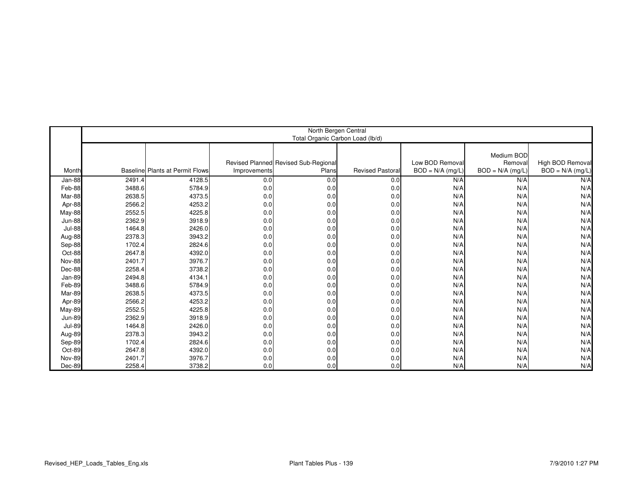|               | North Bergen Central<br>Total Organic Carbon Load (lb/d) |                                 |              |                                      |                        |                    |                       |                    |  |
|---------------|----------------------------------------------------------|---------------------------------|--------------|--------------------------------------|------------------------|--------------------|-----------------------|--------------------|--|
|               |                                                          |                                 |              | Revised Planned Revised Sub-Regional |                        | Low BOD Removal    | Medium BOD<br>Removal | High BOD Removal   |  |
| Month         |                                                          | Baseline Plants at Permit Flows | Improvements | Plans                                | <b>Revised Pastora</b> | $BOD = N/A$ (mg/L) | $BOD = N/A$ (mg/L)    | $BOD = N/A$ (mg/L) |  |
| Jan-88        | 2491.4                                                   | 4128.5                          | 0.0          | 0.0                                  | 0.0                    | N/A                | N/A                   | N/A                |  |
| Feb-88        | 3488.6                                                   | 5784.9                          | 0.0          | 0.0                                  | 0.0                    | N/A                | N/A                   | N/A                |  |
| Mar-88        | 2638.5                                                   | 4373.5                          | 0.0          | 0.0                                  | 0.0                    | N/A                | N/A                   | N/A                |  |
| Apr-88        | 2566.2                                                   | 4253.2                          | 0.0          | 0.0                                  | 0.0                    | N/A                | N/A                   | N/A                |  |
| May-88        | 2552.5                                                   | 4225.8                          | 0.0          | 0.0                                  | 0.0                    | N/A                | N/A                   | N/A                |  |
| <b>Jun-88</b> | 2362.9                                                   | 3918.9                          | 0.0          | 0.0                                  | 0.0                    | N/A                | N/A                   | N/A                |  |
| <b>Jul-88</b> | 1464.8                                                   | 2426.0                          | 0.0          | 0.0                                  | 0.0                    | N/A                | N/A                   | N/A                |  |
| Aug-88        | 2378.3                                                   | 3943.2                          | 0.0          | 0.0                                  | 0.0                    | N/A                | N/A                   | N/A                |  |
| Sep-88        | 1702.4                                                   | 2824.6                          | 0.0          | 0.0                                  | 0.0                    | N/A                | N/A                   | N/A                |  |
| Oct-88        | 2647.8                                                   | 4392.0                          | 0.0          | 0.0                                  | 0.0                    | N/A                | N/A                   | N/A                |  |
| <b>Nov-88</b> | 2401.7                                                   | 3976.7                          | 0.0          | 0.0                                  | 0.0                    | N/A                | N/A                   | N/A                |  |
| Dec-88        | 2258.4                                                   | 3738.2                          | 0.0          | 0.0                                  | 0.0                    | N/A                | N/A                   | N/A                |  |
| Jan-89        | 2494.8                                                   | 4134.1                          | 0.0          | 0.0                                  | 0.0                    | N/A                | N/A                   | N/A                |  |
| Feb-89        | 3488.6                                                   | 5784.9                          | 0.0          | 0.0                                  | 0.0                    | N/A                | N/A                   | N/A                |  |
| Mar-89        | 2638.5                                                   | 4373.5                          | 0.0          | 0.0                                  | 0.0                    | N/A                | N/A                   | N/A                |  |
| Apr-89        | 2566.2                                                   | 4253.2                          | 0.0          | 0.0                                  | 0.0                    | N/A                | N/A                   | N/A                |  |
| <b>May-89</b> | 2552.5                                                   | 4225.8                          | 0.0          | 0.0                                  | 0.0                    | N/A                | N/A                   | N/A                |  |
| <b>Jun-89</b> | 2362.9                                                   | 3918.9                          | 0.0          | 0.0                                  | 0.0                    | N/A                | N/A                   | N/A                |  |
| <b>Jul-89</b> | 1464.8                                                   | 2426.0                          | 0.0          | 0.0                                  | 0.0                    | N/A                | N/A                   | N/A                |  |
| Aug-89        | 2378.3                                                   | 3943.2                          | 0.0          | 0.0                                  | 0.0                    | N/A                | N/A                   | N/A                |  |
| Sep-89        | 1702.4                                                   | 2824.6                          | 0.0          | 0.0                                  | 0.0                    | N/A                | N/A                   | N/A                |  |
| Oct-89        | 2647.8                                                   | 4392.0                          | 0.0          | 0.0                                  | 0.0                    | N/A                | N/A                   | N/A                |  |
| <b>Nov-89</b> | 2401.7                                                   | 3976.7                          | 0.0          | 0.0                                  | 0.0                    | N/A                | N/A                   | N/A                |  |
| Dec-89        | 2258.4                                                   | 3738.2                          | 0.0          | 0.0                                  | 0.0                    | N/A                | N/A                   | N/A                |  |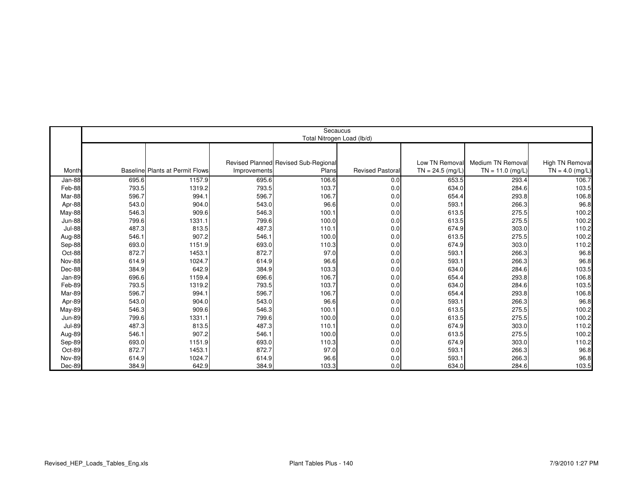|               | Secaucus<br>Total Nitrogen Load (lb/d) |                                        |              |                                     |                         |                    |                    |                        |  |  |
|---------------|----------------------------------------|----------------------------------------|--------------|-------------------------------------|-------------------------|--------------------|--------------------|------------------------|--|--|
|               |                                        |                                        |              |                                     |                         |                    |                    |                        |  |  |
|               |                                        |                                        |              |                                     |                         |                    |                    |                        |  |  |
|               |                                        |                                        |              | Revised Planned Revised Sub-Regiona |                         | Low TN Removal     | Medium TN Removal  | <b>High TN Removal</b> |  |  |
| Month         |                                        | <b>Baseline Plants at Permit Flows</b> | Improvements | Plans                               | <b>Revised Pastoral</b> | $TN = 24.5$ (mg/L) | $TN = 11.0$ (mg/L) | $TN = 4.0$ (mg/L)      |  |  |
| Jan-88        | 695.6                                  | 1157.9                                 | 695.6        | 106.6                               | 0.0                     | 653.5              | 293.4              | 106.7                  |  |  |
| Feb-88        | 793.5                                  | 1319.2                                 | 793.5        | 103.7                               | 0.0                     | 634.0              | 284.6              | 103.5                  |  |  |
| Mar-88        | 596.7                                  | 994.1                                  | 596.7        | 106.7                               | 0.0                     | 654.4              | 293.8              | 106.8                  |  |  |
| Apr-88        | 543.0                                  | 904.0                                  | 543.0        | 96.6                                | 0.0                     | 593.1              | 266.3              | 96.8                   |  |  |
| May-88        | 546.3                                  | 909.6                                  | 546.3        | 100.1                               | 0.0                     | 613.5              | 275.5              | 100.2                  |  |  |
| Jun-88        | 799.6                                  | 1331.1                                 | 799.6        | 100.0                               | 0.0                     | 613.5              | 275.5              | 100.2                  |  |  |
| <b>Jul-88</b> | 487.3                                  | 813.5                                  | 487.3        | 110.1                               | 0.0                     | 674.9              | 303.0              | 110.2                  |  |  |
| Aug-88        | 546.1                                  | 907.2                                  | 546.1        | 100.0                               | 0.0                     | 613.5              | 275.5              | 100.2                  |  |  |
| Sep-88        | 693.0                                  | 1151.9                                 | 693.0        | 110.3                               | 0.0                     | 674.9              | 303.0              | 110.2                  |  |  |
| Oct-88        | 872.7                                  | 1453.1                                 | 872.7        | 97.0                                | 0.0                     | 593.1              | 266.3              | 96.8                   |  |  |
| <b>Nov-88</b> | 614.9                                  | 1024.7                                 | 614.9        | 96.6                                | 0.0                     | 593.1              | 266.3              | 96.8                   |  |  |
| Dec-88        | 384.9                                  | 642.9                                  | 384.9        | 103.3                               | 0.0                     | 634.0              | 284.6              | 103.5                  |  |  |
| Jan-89        | 696.6                                  | 1159.4                                 | 696.6        | 106.7                               | 0.0                     | 654.4              | 293.8              | 106.8                  |  |  |
| Feb-89        | 793.5                                  | 1319.2                                 | 793.5        | 103.7                               | 0.0                     | 634.0              | 284.6              | 103.5                  |  |  |
| Mar-89        | 596.7                                  | 994.1                                  | 596.7        | 106.7                               | 0.0                     | 654.4              | 293.8              | 106.8                  |  |  |
| Apr-89        | 543.0                                  | 904.0                                  | 543.0        | 96.6                                | 0.0                     | 593.1              | 266.3              | 96.8                   |  |  |
| May-89        | 546.3                                  | 909.6                                  | 546.3        | 100.1                               | 0.0                     | 613.5              | 275.5              | 100.2                  |  |  |
| <b>Jun-89</b> | 799.6                                  | 1331.1                                 | 799.6        | 100.0                               | 0.0                     | 613.5              | 275.5              | 100.2                  |  |  |
| <b>Jul-89</b> | 487.3                                  | 813.5                                  | 487.3        | 110.1                               | 0.0                     | 674.9              | 303.0              | 110.2                  |  |  |
| Aug-89        | 546.1                                  | 907.2                                  | 546.1        | 100.0                               | 0.0                     | 613.5              | 275.5              | 100.2                  |  |  |
| Sep-89        | 693.0                                  | 1151.9                                 | 693.0        | 110.3                               | 0.0                     | 674.9              | 303.0              | 110.2                  |  |  |
| Oct-89        | 872.7                                  | 1453.1                                 | 872.7        | 97.0                                | 0.0                     | 593.1              | 266.3              | 96.8                   |  |  |
| <b>Nov-89</b> | 614.9                                  | 1024.7                                 | 614.9        | 96.6                                | 0.0                     | 593.1              | 266.3              | 96.8                   |  |  |
| Dec-89        | 384.9                                  | 642.9                                  | 384.9        | 103.3                               | 0.0                     | 634.0              | 284.6              | 103.5                  |  |  |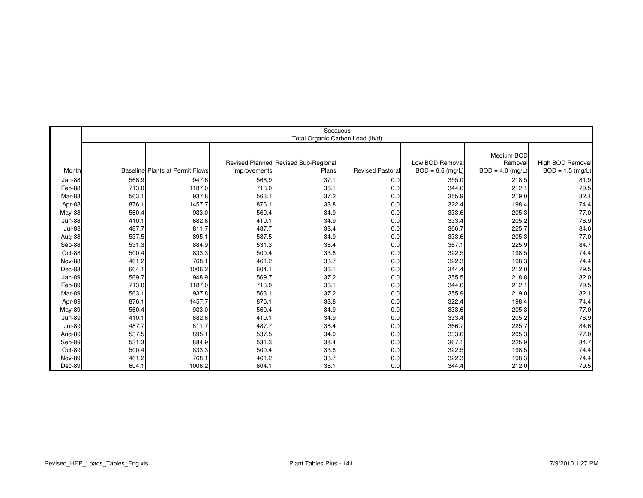|               | Secaucus<br>Total Organic Carbon Load (lb/d) |                                 |              |                                               |                        |                                       |                                             |                                        |  |
|---------------|----------------------------------------------|---------------------------------|--------------|-----------------------------------------------|------------------------|---------------------------------------|---------------------------------------------|----------------------------------------|--|
| Month         |                                              | Baseline Plants at Permit Flows | Improvements | Revised Planned Revised Sub-Regional<br>Plans | <b>Revised Pastora</b> | Low BOD Removal<br>$BOD = 6.5$ (mg/L) | Medium BOD<br>Removal<br>$BOD = 4.0$ (mg/L) | High BOD Removal<br>$BOD = 1.5$ (mg/L) |  |
| Jan-88        | 568.9                                        | 947.6                           | 568.9        | 37.1                                          | 0.0                    | 355.0                                 | 218.5                                       | 81.9                                   |  |
| Feb-88        | 713.0                                        | 1187.0                          | 713.0        | 36.1                                          | 0.0                    | 344.6                                 | 212.1                                       | 79.5                                   |  |
| Mar-88        | 563.1                                        | 937.8                           | 563.1        | 37.2                                          | 0.0                    | 355.9                                 | 219.0                                       | 82.1                                   |  |
| Apr-88        | 876.1                                        | 1457.7                          | 876.1        | 33.8                                          | 0.0                    | 322.4                                 | 198.4                                       | 74.4                                   |  |
| May-88        | 560.4                                        | 933.0                           | 560.4        | 34.9                                          | 0.0                    | 333.6                                 | 205.3                                       | 77.0                                   |  |
| <b>Jun-88</b> | 410.1                                        | 682.6                           | 410.1        | 34.9                                          | 0.0                    | 333.4                                 | 205.2                                       | 76.9                                   |  |
| <b>Jul-88</b> | 487.7                                        | 811.7                           | 487.7        | 38.4                                          | 0.0                    | 366.7                                 | 225.7                                       | 84.6                                   |  |
| Aug-88        | 537.5                                        | 895.1                           | 537.5        | 34.9                                          | 0.0                    | 333.6                                 | 205.3                                       | 77.0                                   |  |
| Sep-88        | 531.3                                        | 884.9                           | 531.3        | 38.4                                          | 0.0                    | 367.1                                 | 225.9                                       | 84.7                                   |  |
| Oct-88        | 500.4                                        | 833.3                           | 500.4        | 33.8                                          | 0.0                    | 322.5                                 | 198.5                                       | 74.4                                   |  |
| <b>Nov-88</b> | 461.2                                        | 768.1                           | 461.2        | 33.7                                          | 0.0                    | 322.3                                 | 198.3                                       | 74.4                                   |  |
| Dec-88        | 604.1                                        | 1006.2                          | 604.1        | 36.1                                          | 0.0                    | 344.4                                 | 212.0                                       | 79.5                                   |  |
| Jan-89        | 569.7                                        | 948.9                           | 569.7        | 37.2                                          | 0.0                    | 355.5                                 | 218.8                                       | 82.0                                   |  |
| Feb-89        | 713.0                                        | 1187.0                          | 713.0        | 36.1                                          | 0.0                    | 344.6                                 | 212.1                                       | 79.5                                   |  |
| Mar-89        | 563.1                                        | 937.8                           | 563.1        | 37.2                                          | 0.0                    | 355.9                                 | 219.0                                       | 82.1                                   |  |
| Apr-89        | 876.1                                        | 1457.7                          | 876.1        | 33.8                                          | 0.0                    | 322.4                                 | 198.4                                       | 74.4                                   |  |
| May-89        | 560.4                                        | 933.0                           | 560.4        | 34.9                                          | 0.0                    | 333.6                                 | 205.3                                       | 77.0                                   |  |
| <b>Jun-89</b> | 410.1                                        | 682.6                           | 410.1        | 34.9                                          | 0.0                    | 333.4                                 | 205.2                                       | 76.9                                   |  |
| <b>Jul-89</b> | 487.7                                        | 811.7                           | 487.7        | 38.4                                          | 0.0                    | 366.7                                 | 225.7                                       | 84.6                                   |  |
| Aug-89        | 537.5                                        | 895.1                           | 537.5        | 34.9                                          | 0.0                    | 333.6                                 | 205.3                                       | 77.0                                   |  |
| Sep-89        | 531.3                                        | 884.9                           | 531.3        | 38.4                                          | 0.0                    | 367.1                                 | 225.9                                       | 84.7                                   |  |
| Oct-89        | 500.4                                        | 833.3                           | 500.4        | 33.8                                          | 0.0                    | 322.5                                 | 198.5                                       | 74.4                                   |  |
| <b>Nov-89</b> | 461.2                                        | 768.1                           | 461.2        | 33.7                                          | 0.0                    | 322.3                                 | 198.3                                       | 74.4                                   |  |
| Dec-89        | 604.1                                        | 1006.2                          | 604.1        | 36.1                                          | 0.0                    | 344.4                                 | 212.0                                       | 79.5                                   |  |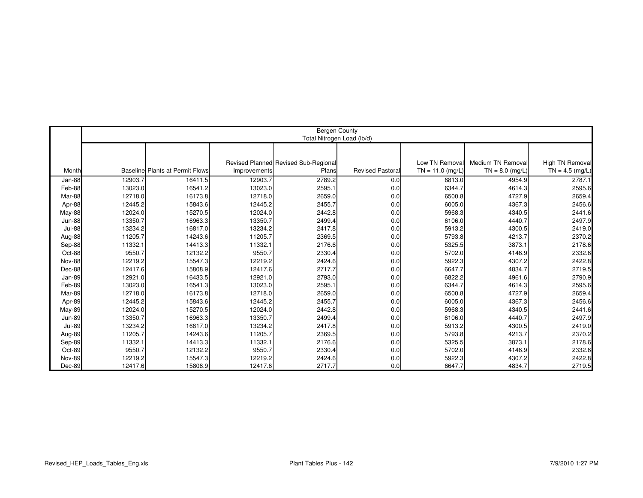|               |         |                                        |              | <b>Bergen County</b><br>Total Nitrogen Load (lb/d) |                         |                    |                   |                        |
|---------------|---------|----------------------------------------|--------------|----------------------------------------------------|-------------------------|--------------------|-------------------|------------------------|
|               |         |                                        |              |                                                    |                         |                    |                   |                        |
|               |         |                                        |              |                                                    |                         |                    |                   |                        |
|               |         |                                        |              | Revised Planned Revised Sub-Regiona                |                         | Low TN Removal     | Medium TN Removal | <b>High TN Removal</b> |
| Month         |         | <b>Baseline</b> Plants at Permit Flows | Improvements | Plans                                              | <b>Revised Pastoral</b> | $TN = 11.0$ (mg/L) | $TN = 8.0$ (mg/L) | $TN = 4.5$ (mg/L)      |
| Jan-88        | 12903.7 | 16411.5                                | 12903.7      | 2789.2                                             | 0.0                     | 6813.0             | 4954.9            | 2787.1                 |
| Feb-88        | 13023.0 | 16541.2                                | 13023.0      | 2595.1                                             | 0.0                     | 6344.7             | 4614.3            | 2595.6                 |
| Mar-88        | 12718.0 | 16173.8                                | 12718.0      | 2659.0                                             | 0.0                     | 6500.8             | 4727.9            | 2659.4                 |
| Apr-88        | 12445.2 | 15843.6                                | 12445.2      | 2455.7                                             | 0.0                     | 6005.0             | 4367.3            | 2456.6                 |
| May-88        | 12024.0 | 15270.5                                | 12024.0      | 2442.8                                             | 0.0                     | 5968.3             | 4340.5            | 2441.6                 |
| <b>Jun-88</b> | 13350.7 | 16963.3                                | 13350.7      | 2499.4                                             | 0.0                     | 6106.0             | 4440.7            | 2497.9                 |
| <b>Jul-88</b> | 13234.2 | 16817.0                                | 13234.2      | 2417.8                                             | 0.0                     | 5913.2             | 4300.5            | 2419.0                 |
| Aug-88        | 11205.7 | 14243.6                                | 11205.7      | 2369.5                                             | 0.0                     | 5793.8             | 4213.7            | 2370.2                 |
| Sep-88        | 11332.1 | 14413.3                                | 11332.1      | 2176.6                                             | 0.0                     | 5325.5             | 3873.1            | 2178.6                 |
| Oct-88        | 9550.7  | 12132.2                                | 9550.7       | 2330.4                                             | 0.0                     | 5702.0             | 4146.9            | 2332.6                 |
| <b>Nov-88</b> | 12219.2 | 15547.3                                | 12219.2      | 2424.6                                             | 0.0                     | 5922.3             | 4307.2            | 2422.8                 |
| Dec-88        | 12417.6 | 15808.9                                | 12417.6      | 2717.7                                             | 0.0                     | 6647.7             | 4834.7            | 2719.5                 |
| Jan-89        | 12921.0 | 16433.5                                | 12921.0      | 2793.0                                             | 0.0                     | 6822.2             | 4961.6            | 2790.9                 |
| Feb-89        | 13023.0 | 16541.3                                | 13023.0      | 2595.1                                             | 0.0                     | 6344.7             | 4614.3            | 2595.6                 |
| Mar-89        | 12718.0 | 16173.8                                | 12718.0      | 2659.0                                             | 0.0                     | 6500.8             | 4727.9            | 2659.4                 |
| Apr-89        | 12445.2 | 15843.6                                | 12445.2      | 2455.7                                             | 0.0                     | 6005.0             | 4367.3            | 2456.6                 |
| May-89        | 12024.0 | 15270.5                                | 12024.0      | 2442.8                                             | 0.0                     | 5968.3             | 4340.5            | 2441.6                 |
| <b>Jun-89</b> | 13350.7 | 16963.3                                | 13350.7      | 2499.4                                             | 0.0                     | 6106.0             | 4440.7            | 2497.9                 |
| <b>Jul-89</b> | 13234.2 | 16817.0                                | 13234.2      | 2417.8                                             | 0.0                     | 5913.2             | 4300.5            | 2419.0                 |
| Aug-89        | 11205.7 | 14243.6                                | 11205.7      | 2369.5                                             | 0.0                     | 5793.8             | 4213.7            | 2370.2                 |
| Sep-89        | 11332.1 | 14413.3                                | 11332.1      | 2176.6                                             | 0.0                     | 5325.5             | 3873.1            | 2178.6                 |
| Oct-89        | 9550.7  | 12132.2                                | 9550.7       | 2330.4                                             | 0.0                     | 5702.0             | 4146.9            | 2332.6                 |
| <b>Nov-89</b> | 12219.2 | 15547.3                                | 12219.2      | 2424.6                                             | 0.0                     | 5922.3             | 4307.2            | 2422.8                 |
| Dec-89        | 12417.6 | 15808.9                                | 12417.6      | 2717.7                                             | 0.0                     | 6647.7             | 4834.7            | 2719.5                 |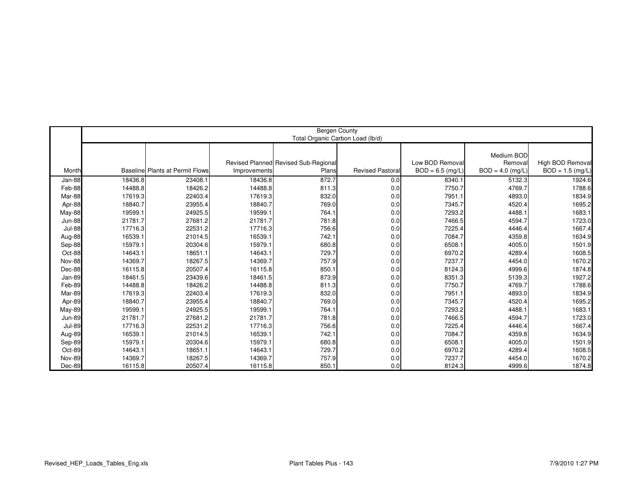|               |         |                                 |              | <b>Bergen County</b>                         | Total Organic Carbon Load (lb/d) |                                       |                                             |                                        |
|---------------|---------|---------------------------------|--------------|----------------------------------------------|----------------------------------|---------------------------------------|---------------------------------------------|----------------------------------------|
| Month         |         | Baseline Plants at Permit Flows | Improvements | Revised Planned Revised Sub-Regiona<br>Plans | <b>Revised Pastoral</b>          | Low BOD Removal<br>$BOD = 6.5$ (mg/L) | Medium BOD<br>Removal<br>$BOD = 4.0$ (mg/L) | High BOD Removal<br>$BOD = 1.5$ (mg/L) |
| Jan-88        | 18436.8 | 23408.1                         | 18436.8      | 872.7                                        | 0.0                              | 8340.1                                | 5132.3                                      | 1924.6                                 |
| Feb-88        | 14488.8 | 18426.2                         | 14488.8      | 811.3                                        | 0.0                              | 7750.7                                | 4769.7                                      | 1788.6                                 |
| Mar-88        | 17619.3 | 22403.4                         | 17619.3      | 832.0                                        | 0.0                              | 7951.1                                | 4893.0                                      | 1834.9                                 |
| Apr-88        | 18840.7 | 23955.4                         | 18840.7      | 769.0                                        | 0.0                              | 7345.7                                | 4520.4                                      | 1695.2                                 |
| May-88        | 19599.1 | 24925.5                         | 19599.1      | 764.1                                        | 0.0                              | 7293.2                                | 4488.1                                      | 1683.1                                 |
| Jun-88        | 21781.7 | 27681.2                         | 21781.7      | 781.8                                        | 0.0                              | 7466.5                                | 4594.7                                      | 1723.0                                 |
| <b>Jul-88</b> | 17716.3 | 22531.2                         | 17716.3      | 756.6                                        | 0.0                              | 7225.4                                | 4446.4                                      | 1667.4                                 |
| Aug-88        | 16539.1 | 21014.5                         | 16539.1      | 742.1                                        | 0.0                              | 7084.7                                | 4359.8                                      | 1634.9                                 |
| Sep-88        | 15979.1 | 20304.6                         | 15979.1      | 680.8                                        | 0.0                              | 6508.1                                | 4005.0                                      | 1501.9                                 |
| Oct-88        | 14643.1 | 18651.1                         | 14643.1      | 729.7                                        | 0.0                              | 6970.2                                | 4289.4                                      | 1608.5                                 |
| <b>Nov-88</b> | 14369.7 | 18267.5                         | 14369.7      | 757.9                                        | 0.0                              | 7237.7                                | 4454.0                                      | 1670.2                                 |
| Dec-88        | 16115.8 | 20507.4                         | 16115.8      | 850.1                                        | 0.0                              | 8124.3                                | 4999.6                                      | 1874.8                                 |
| Jan-89        | 18461.5 | 23439.6                         | 18461.5      | 873.9                                        | 0.0                              | 8351.3                                | 5139.3                                      | 1927.2                                 |
| Feb-89        | 14488.8 | 18426.2                         | 14488.8      | 811.3                                        | 0.0                              | 7750.7                                | 4769.7                                      | 1788.6                                 |
| Mar-89        | 17619.3 | 22403.4                         | 17619.3      | 832.0                                        | 0.0                              | 7951.1                                | 4893.0                                      | 1834.9                                 |
| Apr-89        | 18840.7 | 23955.4                         | 18840.7      | 769.0                                        | 0.0                              | 7345.7                                | 4520.4                                      | 1695.2                                 |
| May-89        | 19599.1 | 24925.5                         | 19599.1      | 764.1                                        | 0.0                              | 7293.2                                | 4488.1                                      | 1683.1                                 |
| <b>Jun-89</b> | 21781.7 | 27681.2                         | 21781.7      | 781.8                                        | 0.0                              | 7466.5                                | 4594.7                                      | 1723.0                                 |
| <b>Jul-89</b> | 17716.3 | 22531.2                         | 17716.3      | 756.6                                        | 0.0                              | 7225.4                                | 4446.4                                      | 1667.4                                 |
| Aug-89        | 16539.1 | 21014.5                         | 16539.1      | 742.1                                        | 0.0                              | 7084.7                                | 4359.8                                      | 1634.9                                 |
| Sep-89        | 15979.1 | 20304.6                         | 15979.1      | 680.8                                        | 0.0                              | 6508.1                                | 4005.0                                      | 1501.9                                 |
| Oct-89        | 14643.1 | 18651.1                         | 14643.1      | 729.7                                        | 0.0                              | 6970.2                                | 4289.4                                      | 1608.5                                 |
| <b>Nov-89</b> | 14369.7 | 18267.5                         | 14369.7      | 757.9                                        | 0.0                              | 7237.7                                | 4454.0                                      | 1670.2                                 |
| Dec-89        | 16115.8 | 20507.4                         | 16115.8      | 850.1                                        | 0.0                              | 8124.3                                | 4999.6                                      | 1874.8                                 |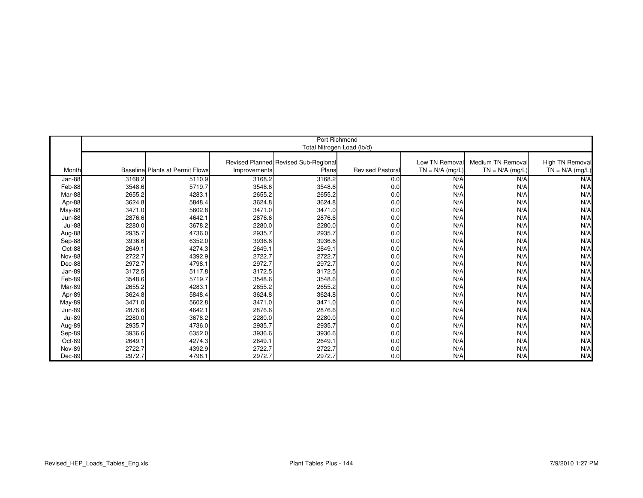|               |        |                                        |              | Port Richmond<br>Total Nitrogen Load (lb/d) |                        |                   |                   |                   |
|---------------|--------|----------------------------------------|--------------|---------------------------------------------|------------------------|-------------------|-------------------|-------------------|
|               |        |                                        |              |                                             |                        |                   |                   |                   |
|               |        |                                        |              | Revised Planned Revised Sub-Regional        |                        | Low TN Removal    | Medium TN Removal | High TN Removal   |
| Month         |        | <b>Baseline Plants at Permit Flows</b> | Improvements | Plans                                       | <b>Revised Pastora</b> | $TN = N/A$ (mg/L) | $TN = N/A$ (mg/L) | $TN = N/A$ (mg/L) |
|               |        |                                        |              |                                             |                        |                   |                   |                   |
| Jan-88        | 3168.2 | 5110.9                                 | 3168.2       | 3168.2                                      | 0.0                    | N/A               | N/A               | N/A               |
| Feb-88        | 3548.6 | 5719.7                                 | 3548.6       | 3548.6                                      | 0.0                    | N/A               | N/A               | N/A               |
| Mar-88        | 2655.2 | 4283.1                                 | 2655.2       | 2655.2                                      | 0.0                    | N/A               | N/A               | N/A               |
| Apr-88        | 3624.8 | 5848.4                                 | 3624.8       | 3624.8                                      | 0.0                    | N/A               | N/A               | N/A               |
| May-88        | 3471.0 | 5602.8                                 | 3471.0       | 3471.0                                      | 0.0                    | N/A               | N/A               | N/A               |
| <b>Jun-88</b> | 2876.6 | 4642.1                                 | 2876.6       | 2876.6                                      | 0.0                    | N/A               | N/A               | N/A               |
| <b>Jul-88</b> | 2280.0 | 3678.2                                 | 2280.0       | 2280.0                                      | 0.0                    | N/A               | N/A               | N/A               |
| Aug-88        | 2935.7 | 4736.0                                 | 2935.7       | 2935.7                                      | 0.0                    | N/A               | N/A               | N/A               |
| Sep-88        | 3936.6 | 6352.0                                 | 3936.6       | 3936.6                                      | 0.0                    | N/A               | N/A               | N/A               |
| Oct-88        | 2649.1 | 4274.3                                 | 2649.1       | 2649.1                                      | 0.0                    | N/A               | N/A               | N/A               |
| <b>Nov-88</b> | 2722.7 | 4392.9                                 | 2722.7       | 2722.7                                      | 0.0                    | N/A               | N/A               | N/A               |
| Dec-88        | 2972.7 | 4798.1                                 | 2972.7       | 2972.7                                      | 0.0                    | N/A               | N/A               | N/A               |
| Jan-89        | 3172.5 | 5117.8                                 | 3172.5       | 3172.5                                      | 0.0                    | N/A               | N/A               | N/A               |
| Feb-89        | 3548.6 | 5719.7                                 | 3548.6       | 3548.6                                      | 0.0                    | N/A               | N/A               | N/A               |
| Mar-89        | 2655.2 | 4283.1                                 | 2655.2       | 2655.2                                      | 0.0                    | N/A               | N/A               | N/A               |
| Apr-89        | 3624.8 | 5848.4                                 | 3624.8       | 3624.8                                      | 0.0                    | N/A               | N/A               | N/A               |
| May-89        | 3471.0 | 5602.8                                 | 3471.0       | 3471.0                                      | 0.0                    | N/A               | N/A               | N/A               |
| <b>Jun-89</b> | 2876.6 | 4642.1                                 | 2876.6       | 2876.6                                      | 0.0                    | N/A               | N/A               | N/A               |
| <b>Jul-89</b> | 2280.0 | 3678.2                                 | 2280.0       | 2280.0                                      | 0.0                    | N/A               | N/A               | N/A               |
| Aug-89        | 2935.7 | 4736.0                                 | 2935.7       | 2935.7                                      | 0.0                    | N/A               | N/A               | N/A               |
| Sep-89        | 3936.6 | 6352.0                                 | 3936.6       | 3936.6                                      | 0.0                    | N/A               | N/A               | N/A               |
| Oct-89        | 2649.1 | 4274.3                                 | 2649.1       | 2649.1                                      | 0.0                    | N/A               | N/A               | N/A               |
| <b>Nov-89</b> | 2722.7 | 4392.9                                 | 2722.7       | 2722.7                                      | 0.0                    | N/A               | N/A               | N/A               |
| Dec-89        | 2972.7 | 4798.1                                 | 2972.7       | 2972.7                                      | 0.0                    | N/A               | N/A               | N/A               |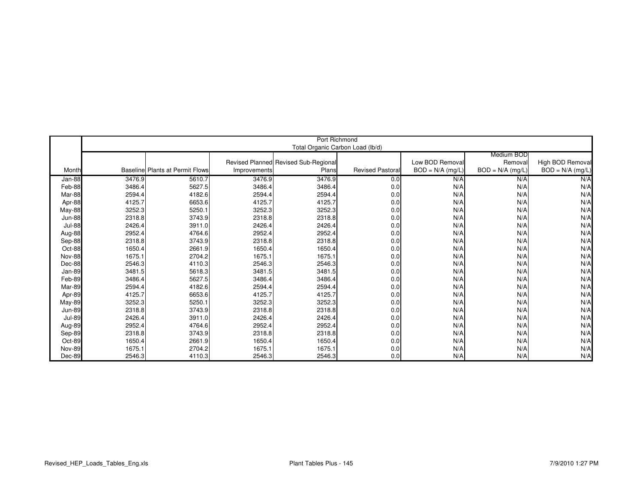|               |        |                                        |              | Port Richmond<br>Total Organic Carbon Load (lb/d) |                         |                    |                    |                    |
|---------------|--------|----------------------------------------|--------------|---------------------------------------------------|-------------------------|--------------------|--------------------|--------------------|
|               |        |                                        |              |                                                   |                         |                    | Medium BOD         |                    |
|               |        |                                        |              | Revised Planned Revised Sub-Regional              |                         | Low BOD Removal    | Removal            | High BOD Removal   |
| Month         |        | <b>Baseline Plants at Permit Flows</b> | Improvements | Plans                                             | <b>Revised Pastoral</b> | $BOD = N/A$ (mg/L) | $BOD = N/A$ (mg/L) | $BOD = N/A$ (mg/L) |
|               |        |                                        |              |                                                   |                         |                    |                    |                    |
| Jan-88        | 3476.9 | 5610.7                                 | 3476.9       | 3476.9                                            | 0.0                     | N/A                | N/A                | N/A                |
| Feb-88        | 3486.4 | 5627.5                                 | 3486.4       | 3486.4                                            | 0.0                     | N/A                | N/A                | N/A                |
| Mar-88        | 2594.4 | 4182.6                                 | 2594.4       | 2594.4                                            | 0.0                     | N/A                | N/A                | N/A                |
| Apr-88        | 4125.7 | 6653.6                                 | 4125.7       | 4125.7                                            | 0.0                     | N/A                | N/A                | N/A                |
| May-88        | 3252.3 | 5250.1                                 | 3252.3       | 3252.3                                            | 0.0                     | N/A                | N/A                | N/A                |
| <b>Jun-88</b> | 2318.8 | 3743.9                                 | 2318.8       | 2318.8                                            | 0.0                     | N/A                | N/A                | N/A                |
| <b>Jul-88</b> | 2426.4 | 3911.0                                 | 2426.4       | 2426.4                                            | 0.0                     | N/A                | N/A                | N/A                |
| Aug-88        | 2952.4 | 4764.6                                 | 2952.4       | 2952.4                                            | 0.0                     | N/A                | N/A                | N/A                |
| Sep-88        | 2318.8 | 3743.9                                 | 2318.8       | 2318.8                                            | 0.0                     | N/A                | N/A                | N/A                |
| Oct-88        | 1650.4 | 2661.9                                 | 1650.4       | 1650.4                                            | 0.0                     | N/A                | N/A                | N/A                |
| Nov-88        | 1675.1 | 2704.2                                 | 1675.1       | 1675.1                                            | 0.0                     | N/A                | N/A                | N/A                |
| Dec-88        | 2546.3 | 4110.3                                 | 2546.3       | 2546.3                                            | 0.0                     | N/A                | N/A                | N/A                |
| Jan-89        | 3481.5 | 5618.3                                 | 3481.5       | 3481.5                                            | 0.0                     | N/A                | N/A                | N/A                |
| Feb-89        | 3486.4 | 5627.5                                 | 3486.4       | 3486.4                                            | 0.0                     | N/A                | N/A                | N/A                |
| Mar-89        | 2594.4 | 4182.6                                 | 2594.4       | 2594.4                                            | 0.0                     | N/A                | N/A                | N/A                |
| Apr-89        | 4125.7 | 6653.6                                 | 4125.7       | 4125.7                                            | 0.0                     | N/A                | N/A                | N/A                |
| <b>May-89</b> | 3252.3 | 5250.1                                 | 3252.3       | 3252.3                                            | 0.0                     | N/A                | N/A                | N/A                |
| <b>Jun-89</b> | 2318.8 | 3743.9                                 | 2318.8       | 2318.8                                            | 0.0                     | N/A                | N/A                | N/A                |
| <b>Jul-89</b> | 2426.4 | 3911.0                                 | 2426.4       | 2426.4                                            | 0.0                     | N/A                | N/A                | N/A                |
| Aug-89        | 2952.4 | 4764.6                                 | 2952.4       | 2952.4                                            | 0.0                     | N/A                | N/A                | N/A                |
| Sep-89        | 2318.8 | 3743.9                                 | 2318.8       | 2318.8                                            | 0.0                     | N/A                | N/A                | N/A                |
| Oct-89        | 1650.4 | 2661.9                                 | 1650.4       | 1650.4                                            | 0.0                     | N/A                | N/A                | N/A                |
| Nov-89        | 1675.1 | 2704.2                                 | 1675.1       | 1675.1                                            | 0.0                     | N/A                | N/A                | N/A                |
| Dec-89        | 2546.3 | 4110.3                                 | 2546.3       | 2546.3                                            | 0.0                     | N/A                | N/A                | N/A                |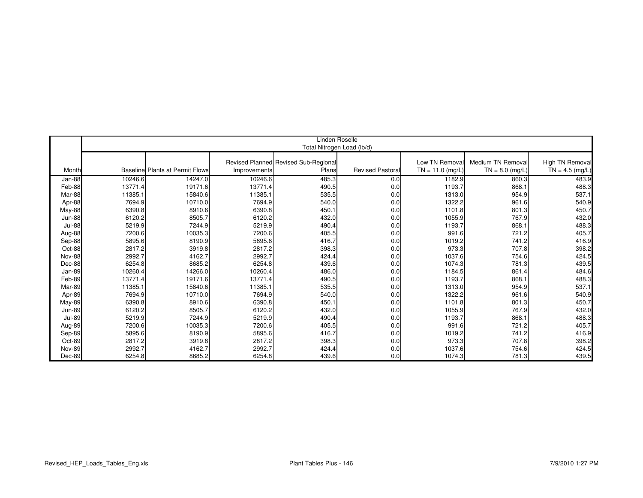|               |         |                                        |              | Linden Roselle                       |                         |                   |                   |                   |
|---------------|---------|----------------------------------------|--------------|--------------------------------------|-------------------------|-------------------|-------------------|-------------------|
|               |         |                                        |              | Total Nitrogen Load (lb/d)           |                         |                   |                   |                   |
|               |         |                                        |              |                                      |                         |                   |                   |                   |
|               |         |                                        |              | Revised Planned Revised Sub-Regional |                         | Low TN Remova     | Medium TN Removal | High TN Removal   |
| Month         |         | <b>Baseline Plants at Permit Flows</b> | Improvements | Plans                                | <b>Revised Pastoral</b> | $TN = 11.0$ (mg/L | $TN = 8.0$ (mg/L) | $TN = 4.5$ (mg/L) |
| Jan-88        | 10246.6 | 14247.0                                | 10246.6      | 485.3                                | 0.0                     | 1182.9            | 860.3             | 483.9             |
| Feb-88        | 13771.4 | 19171.6                                | 13771.4      | 490.5                                | 0.0                     | 1193.7            | 868.1             | 488.3             |
| Mar-88        | 11385.1 | 15840.6                                | 11385.1      | 535.5                                | 0.0                     | 1313.0            | 954.9             | 537.1             |
| Apr-88        | 7694.9  | 10710.0                                | 7694.9       | 540.0                                | 0.0                     | 1322.2            | 961.6             | 540.9             |
| May-88        | 6390.8  | 8910.6                                 | 6390.8       | 450.1                                | 0.0                     | 1101.8            | 801.3             | 450.7             |
| <b>Jun-88</b> | 6120.2  | 8505.7                                 | 6120.2       | 432.0                                | 0.0                     | 1055.9            | 767.9             | 432.0             |
| <b>Jul-88</b> | 5219.9  | 7244.9                                 | 5219.9       | 490.4                                | 0.0                     | 1193.7            | 868.1             | 488.3             |
| Aug-88        | 7200.6  | 10035.3                                | 7200.6       | 405.5                                | 0.0                     | 991.6             | 721.2             | 405.7             |
| Sep-88        | 5895.6  | 8190.9                                 | 5895.6       | 416.7                                | 0.0                     | 1019.2            | 741.2             | 416.9             |
| Oct-88        | 2817.2  | 3919.8                                 | 2817.2       | 398.3                                | 0.0                     | 973.3             | 707.8             | 398.2             |
| <b>Nov-88</b> | 2992.7  | 4162.7                                 | 2992.7       | 424.4                                | 0.0                     | 1037.6            | 754.6             | 424.5             |
| Dec-88        | 6254.8  | 8685.2                                 | 6254.8       | 439.6                                | 0.0                     | 1074.3            | 781.3             | 439.5             |
| Jan-89        | 10260.4 | 14266.0                                | 10260.4      | 486.0                                | 0.0                     | 1184.5            | 861.4             | 484.6             |
| Feb-89        | 13771.4 | 19171.6                                | 13771.4      | 490.5                                | 0.0                     | 1193.7            | 868.1             | 488.3             |
| Mar-89        | 11385.1 | 15840.6                                | 11385.1      | 535.5                                | 0.0                     | 1313.0            | 954.9             | 537.1             |
| Apr-89        | 7694.9  | 10710.0                                | 7694.9       | 540.0                                | 0.0                     | 1322.2            | 961.6             | 540.9             |
| May-89        | 6390.8  | 8910.6                                 | 6390.8       | 450.1                                | 0.0                     | 1101.8            | 801.3             | 450.7             |
| <b>Jun-89</b> | 6120.2  | 8505.7                                 | 6120.2       | 432.0                                | 0.0                     | 1055.9            | 767.9             | 432.0             |
| <b>Jul-89</b> | 5219.9  | 7244.9                                 | 5219.9       | 490.4                                | 0.0                     | 1193.7            | 868.1             | 488.3             |
| Aug-89        | 7200.6  | 10035.3                                | 7200.6       | 405.5                                | 0.0                     | 991.6             | 721.2             | 405.7             |
| Sep-89        | 5895.6  | 8190.9                                 | 5895.6       | 416.7                                | 0.0                     | 1019.2            | 741.2             | 416.9             |
| Oct-89        | 2817.2  | 3919.8                                 | 2817.2       | 398.3                                | 0.0                     | 973.3             | 707.8             | 398.2             |
| <b>Nov-89</b> | 2992.7  | 4162.7                                 | 2992.7       | 424.4                                | 0.0                     | 1037.6            | 754.6             | 424.5             |
| Dec-89        | 6254.8  | 8685.2                                 | 6254.8       | 439.6                                | 0.0                     | 1074.3            | 781.3             | 439.5             |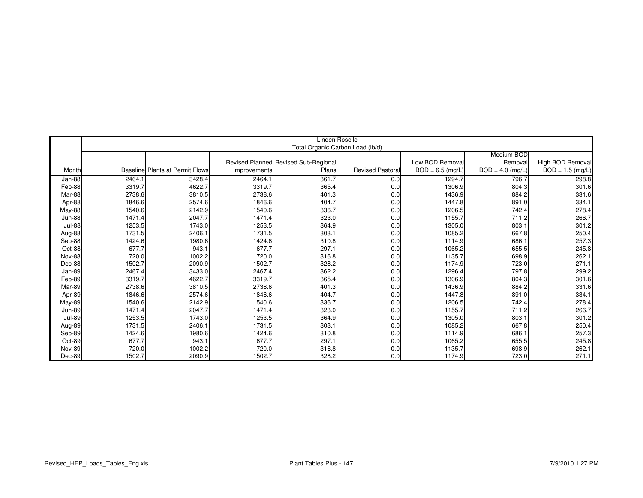|               | Linden Roselle |                                         |              |                                      |                         |                   |                    |                    |  |  |
|---------------|----------------|-----------------------------------------|--------------|--------------------------------------|-------------------------|-------------------|--------------------|--------------------|--|--|
|               |                |                                         |              | Total Organic Carbon Load (lb/d)     |                         |                   |                    |                    |  |  |
|               |                |                                         |              |                                      |                         |                   | Medium BOD         |                    |  |  |
|               |                |                                         |              | Revised Planned Revised Sub-Regional |                         | Low BOD Removal   | Removal            | High BOD Removal   |  |  |
| Month         |                | <b>Baselinel Plants at Permit Flows</b> | Improvements | Plans                                | <b>Revised Pastoral</b> | $BOD = 6.5$ (mg/L | $BOD = 4.0$ (mg/L) | $BOD = 1.5$ (mg/L) |  |  |
| Jan-88        | 2464.1         | 3428.4                                  | 2464.1       | 361.7                                | 0.0                     | 1294.7            | 796.7              | 298.8              |  |  |
| Feb-88        | 3319.7         | 4622.7                                  | 3319.7       | 365.4                                | 0.0                     | 1306.9            | 804.3              | 301.6              |  |  |
| Mar-88        | 2738.6         | 3810.5                                  | 2738.6       | 401.3                                | 0.0                     | 1436.9            | 884.2              | 331.6              |  |  |
| Apr-88        | 1846.6         | 2574.6                                  | 1846.6       | 404.7                                | 0.0                     | 1447.8            | 891.0              | 334.1              |  |  |
| May-88        | 1540.6         | 2142.9                                  | 1540.6       | 336.7                                | 0.0                     | 1206.5            | 742.4              | 278.4              |  |  |
| <b>Jun-88</b> | 1471.4         | 2047.7                                  | 1471.4       | 323.0                                | 0.0                     | 1155.7            | 711.2              | 266.7              |  |  |
| <b>Jul-88</b> | 1253.5         | 1743.0                                  | 1253.5       | 364.9                                | 0.0                     | 1305.0            | 803.1              | 301.2              |  |  |
| Aug-88        | 1731.5         | 2406.1                                  | 1731.5       | 303.1                                | 0.0                     | 1085.2            | 667.8              | 250.4              |  |  |
| Sep-88        | 1424.6         | 1980.6                                  | 1424.6       | 310.8                                | 0.0                     | 1114.9            | 686.1              | 257.3              |  |  |
| Oct-88        | 677.7          | 943.1                                   | 677.7        | 297.1                                | 0.0                     | 1065.2            | 655.5              | 245.8              |  |  |
| <b>Nov-88</b> | 720.0          | 1002.2                                  | 720.0        | 316.8                                | 0.0                     | 1135.7            | 698.9              | 262.1              |  |  |
| $Dec-88$      | 1502.7         | 2090.9                                  | 1502.7       | 328.2                                | 0.0                     | 1174.9            | 723.0              | 271.1              |  |  |
| Jan-89        | 2467.4         | 3433.0                                  | 2467.4       | 362.2                                | 0.0                     | 1296.4            | 797.8              | 299.2              |  |  |
| Feb-89        | 3319.7         | 4622.7                                  | 3319.7       | 365.4                                | 0.0                     | 1306.9            | 804.3              | 301.6              |  |  |
| Mar-89        | 2738.6         | 3810.5                                  | 2738.6       | 401.3                                | 0.0                     | 1436.9            | 884.2              | 331.6              |  |  |
| Apr-89        | 1846.6         | 2574.6                                  | 1846.6       | 404.7                                | 0.0                     | 1447.8            | 891.0              | 334.1              |  |  |
| May-89        | 1540.6         | 2142.9                                  | 1540.6       | 336.7                                | 0.0                     | 1206.5            | 742.4              | 278.4              |  |  |
| <b>Jun-89</b> | 1471.4         | 2047.7                                  | 1471.4       | 323.0                                | 0.0                     | 1155.7            | 711.2              | 266.7              |  |  |
| <b>Jul-89</b> | 1253.5         | 1743.0                                  | 1253.5       | 364.9                                | 0.0                     | 1305.0            | 803.1              | 301.2              |  |  |
| Aug-89        | 1731.5         | 2406.1                                  | 1731.5       | 303.1                                | 0.0                     | 1085.2            | 667.8              | 250.4              |  |  |
| Sep-89        | 1424.6         | 1980.6                                  | 1424.6       | 310.8                                | 0.0                     | 1114.9            | 686.1              | 257.3              |  |  |
| Oct-89        | 677.7          | 943.1                                   | 677.7        | 297.1                                | 0.0                     | 1065.2            | 655.5              | 245.8              |  |  |
| <b>Nov-89</b> | 720.0          | 1002.2                                  | 720.0        | 316.8                                | 0.0                     | 1135.7            | 698.9              | 262.1              |  |  |
| Dec-89        | 1502.7         | 2090.9                                  | 1502.7       | 328.2                                | 0.0                     | 1174.9            | 723.0              | 271.1              |  |  |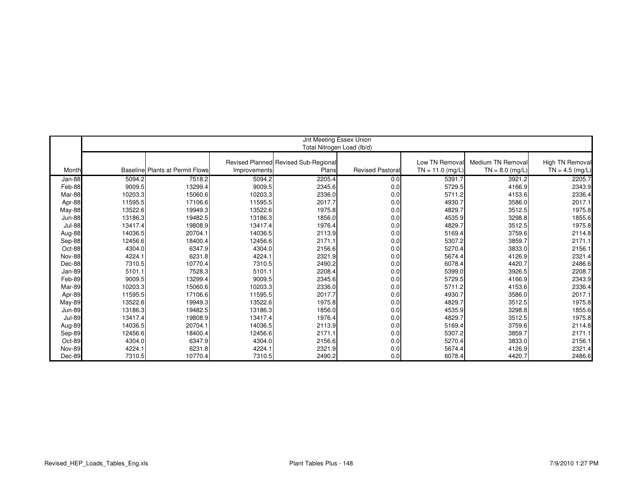|               |         |                                        |              | Jnt Meeting Essex Union              |                         |                   |                   |                        |
|---------------|---------|----------------------------------------|--------------|--------------------------------------|-------------------------|-------------------|-------------------|------------------------|
|               |         |                                        |              | Total Nitrogen Load (lb/d)           |                         |                   |                   |                        |
|               |         |                                        |              |                                      |                         |                   |                   |                        |
|               |         |                                        |              | Revised Planned Revised Sub-Regional |                         | Low TN Removal    | Medium TN Removal | <b>High TN Removal</b> |
| Month         |         | <b>Baseline Plants at Permit Flows</b> | Improvements | Plans                                | <b>Revised Pastoral</b> | $TN = 11.0$ (mg/L | $TN = 8.0$ (mg/L) | $TN = 4.5$ (mg/L)      |
| Jan-88        | 5094.2  | 7518.2                                 | 5094.2       | 2205.4                               | 0.0                     | 5391.7            | 3921.2            | 2205.7                 |
| Feb-88        | 9009.5  | 13299.4                                | 9009.5       | 2345.6                               | 0.0                     | 5729.5            | 4166.9            | 2343.9                 |
| Mar-88        | 10203.3 | 15060.6                                | 10203.3      | 2336.0                               | 0.0                     | 5711.2            | 4153.6            | 2336.4                 |
| Apr-88        | 11595.5 | 17106.6                                | 11595.5      | 2017.7                               | 0.0                     | 4930.7            | 3586.0            | 2017.1                 |
| May-88        | 13522.6 | 19949.3                                | 13522.6      | 1975.8                               | 0.0                     | 4829.7            | 3512.5            | 1975.8                 |
| <b>Jun-88</b> | 13186.3 | 19482.5                                | 13186.3      | 1856.0                               | 0.0                     | 4535.9            | 3298.8            | 1855.6                 |
| <b>Jul-88</b> | 13417.4 | 19808.9                                | 13417.4      | 1976.4                               | 0.0                     | 4829.7            | 3512.5            | 1975.8                 |
| Aug-88        | 14036.5 | 20704.1                                | 14036.5      | 2113.9                               | 0.0                     | 5169.4            | 3759.6            | 2114.8                 |
| Sep-88        | 12456.6 | 18400.4                                | 12456.6      | 2171.1                               | 0.0                     | 5307.2            | 3859.7            | 2171.1                 |
| Oct-88        | 4304.0  | 6347.9                                 | 4304.0       | 2156.6                               | 0.0                     | 5270.4            | 3833.0            | 2156.1                 |
| <b>Nov-88</b> | 4224.1  | 6231.8                                 | 4224.1       | 2321.9                               | 0.0                     | 5674.4            | 4126.9            | 2321.4                 |
| Dec-88        | 7310.5  | 10770.4                                | 7310.5       | 2490.2                               | 0.0                     | 6078.4            | 4420.7            | 2486.6                 |
| Jan-89        | 5101.1  | 7528.3                                 | 5101.1       | 2208.4                               | 0.0                     | 5399.0            | 3926.5            | 2208.7                 |
| Feb-89        | 9009.5  | 13299.4                                | 9009.5       | 2345.6                               | 0.0                     | 5729.5            | 4166.9            | 2343.9                 |
| Mar-89        | 10203.3 | 15060.6                                | 10203.3      | 2336.0                               | 0.0                     | 5711.2            | 4153.6            | 2336.4                 |
| Apr-89        | 11595.5 | 17106.6                                | 11595.5      | 2017.7                               | 0.0                     | 4930.7            | 3586.0            | 2017.1                 |
| May-89        | 13522.6 | 19949.3                                | 13522.6      | 1975.8                               | 0.0                     | 4829.7            | 3512.5            | 1975.8                 |
| <b>Jun-89</b> | 13186.3 | 19482.5                                | 13186.3      | 1856.0                               | 0.0                     | 4535.9            | 3298.8            | 1855.6                 |
| <b>Jul-89</b> | 13417.4 | 19808.9                                | 13417.4      | 1976.4                               | 0.0                     | 4829.7            | 3512.5            | 1975.8                 |
| Aug-89        | 14036.5 | 20704.1                                | 14036.5      | 2113.9                               | 0.0                     | 5169.4            | 3759.6            | 2114.8                 |
| Sep-89        | 12456.6 | 18400.4                                | 12456.6      | 2171.1                               | 0.0                     | 5307.2            | 3859.7            | 2171.1                 |
| Oct-89        | 4304.0  | 6347.9                                 | 4304.0       | 2156.6                               | 0.0                     | 5270.4            | 3833.0            | 2156.1                 |
| <b>Nov-89</b> | 4224.1  | 6231.8                                 | 4224.1       | 2321.9                               | 0.0                     | 5674.4            | 4126.9            | 2321.4                 |
| Dec-89        | 7310.5  | 10770.4                                | 7310.5       | 2490.2                               | 0.0                     | 6078.4            | 4420.7            | 2486.6                 |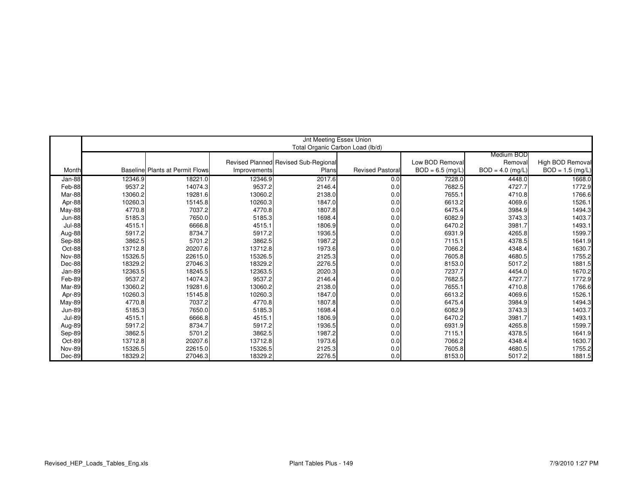|               |         |                                        |              | Jnt Meeting Essex Union              |                         |                   |                    |                    |
|---------------|---------|----------------------------------------|--------------|--------------------------------------|-------------------------|-------------------|--------------------|--------------------|
|               |         |                                        |              | Total Organic Carbon Load (lb/d)     |                         |                   |                    |                    |
|               |         |                                        |              |                                      |                         |                   | Medium BOD         |                    |
|               |         |                                        |              | Revised Planned Revised Sub-Regional |                         | Low BOD Remova    | Removal            | High BOD Removal   |
| Month         |         | <b>Baseline Plants at Permit Flows</b> | Improvements | Plans                                | <b>Revised Pastoral</b> | $BOD = 6.5$ (mg/L | $BOD = 4.0$ (mg/L) | $BOD = 1.5$ (mg/L) |
| Jan-88        | 12346.9 | 18221.0                                | 12346.9      | 2017.6                               | 0.0                     | 7228.0            | 4448.0             | 1668.0             |
| Feb-88        | 9537.2  | 14074.3                                | 9537.2       | 2146.4                               | 0.0                     | 7682.5            | 4727.7             | 1772.9             |
| Mar-88        | 13060.2 | 19281.6                                | 13060.2      | 2138.0                               | 0.0                     | 7655.1            | 4710.8             | 1766.6             |
| Apr-88        | 10260.3 | 15145.8                                | 10260.3      | 1847.0                               | 0.0                     | 6613.2            | 4069.6             | 1526.1             |
| May-88        | 4770.8  | 7037.2                                 | 4770.8       | 1807.8                               | 0.0                     | 6475.4            | 3984.9             | 1494.3             |
| <b>Jun-88</b> | 5185.3  | 7650.0                                 | 5185.3       | 1698.4                               | 0.0                     | 6082.9            | 3743.3             | 1403.7             |
| <b>Jul-88</b> | 4515.1  | 6666.8                                 | 4515.1       | 1806.9                               | 0.0                     | 6470.2            | 3981.7             | 1493.1             |
| Aug-88        | 5917.2  | 8734.7                                 | 5917.2       | 1936.5                               | 0.0                     | 6931.9            | 4265.8             | 1599.7             |
| Sep-88        | 3862.5  | 5701.2                                 | 3862.5       | 1987.2                               | 0.0                     | 7115.1            | 4378.5             | 1641.9             |
| Oct-88        | 13712.8 | 20207.6                                | 13712.8      | 1973.6                               | 0.0                     | 7066.2            | 4348.4             | 1630.7             |
| <b>Nov-88</b> | 15326.5 | 22615.0                                | 15326.5      | 2125.3                               | 0.0                     | 7605.8            | 4680.5             | 1755.2             |
| Dec-88        | 18329.2 | 27046.3                                | 18329.2      | 2276.5                               | 0.0                     | 8153.0            | 5017.2             | 1881.5             |
| Jan-89        | 12363.5 | 18245.5                                | 12363.5      | 2020.3                               | 0.0                     | 7237.7            | 4454.0             | 1670.2             |
| Feb-89        | 9537.2  | 14074.3                                | 9537.2       | 2146.4                               | 0.0                     | 7682.5            | 4727.7             | 1772.9             |
| Mar-89        | 13060.2 | 19281.6                                | 13060.2      | 2138.0                               | 0.0                     | 7655.1            | 4710.8             | 1766.6             |
| Apr-89        | 10260.3 | 15145.8                                | 10260.3      | 1847.0                               | 0.0                     | 6613.2            | 4069.6             | 1526.1             |
| $May-89$      | 4770.8  | 7037.2                                 | 4770.8       | 1807.8                               | 0.0                     | 6475.4            | 3984.9             | 1494.3             |
| <b>Jun-89</b> | 5185.3  | 7650.0                                 | 5185.3       | 1698.4                               | 0.0                     | 6082.9            | 3743.3             | 1403.7             |
| <b>Jul-89</b> | 4515.1  | 6666.8                                 | 4515.1       | 1806.9                               | 0.0                     | 6470.2            | 3981.7             | 1493.1             |
| Aug-89        | 5917.2  | 8734.7                                 | 5917.2       | 1936.5                               | 0.0                     | 6931.9            | 4265.8             | 1599.7             |
| Sep-89        | 3862.5  | 5701.2                                 | 3862.5       | 1987.2                               | 0.0                     | 7115.1            | 4378.5             | 1641.9             |
| Oct-89        | 13712.8 | 20207.6                                | 13712.8      | 1973.6                               | 0.0                     | 7066.2            | 4348.4             | 1630.7             |
| <b>Nov-89</b> | 15326.5 | 22615.0                                | 15326.5      | 2125.3                               | 0.0                     | 7605.8            | 4680.5             | 1755.2             |
| Dec-89        | 18329.2 | 27046.3                                | 18329.2      | 2276.5                               | 0.0                     | 8153.0            | 5017.2             | 1881.5             |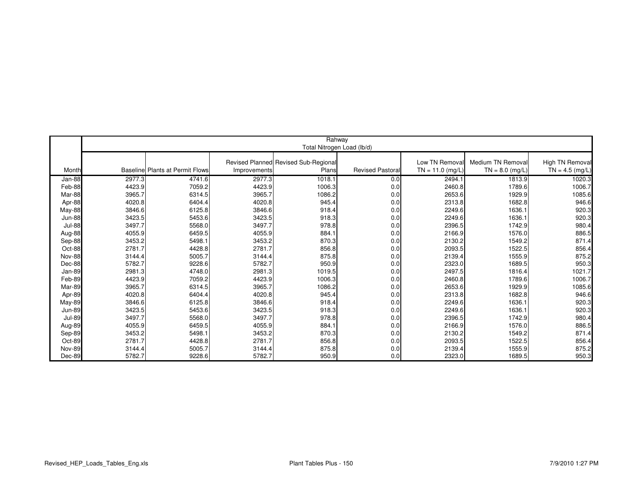|               |        |                                        |              | Rahway                               |                         |                   |                   |                   |
|---------------|--------|----------------------------------------|--------------|--------------------------------------|-------------------------|-------------------|-------------------|-------------------|
|               |        |                                        |              | Total Nitrogen Load (lb/d)           |                         |                   |                   |                   |
|               |        |                                        |              |                                      |                         |                   |                   |                   |
|               |        |                                        |              | Revised Planned Revised Sub-Regional |                         | Low TN Remova     | Medium TN Removal | High TN Removal   |
| Month         |        | <b>Baseline Plants at Permit Flows</b> | Improvements | Plans                                | <b>Revised Pastoral</b> | $TN = 11.0$ (mg/L | $TN = 8.0$ (mg/L) | $TN = 4.5$ (mg/L) |
| Jan-88        | 2977.3 | 4741.6                                 | 2977.3       | 1018.1                               | 0.0                     | 2494.1            | 1813.9            | 1020.3            |
| Feb-88        | 4423.9 | 7059.2                                 | 4423.9       | 1006.3                               | 0.0                     | 2460.8            | 1789.6            | 1006.7            |
| Mar-88        | 3965.7 | 6314.5                                 | 3965.7       | 1086.2                               | 0.0                     | 2653.6            | 1929.9            | 1085.6            |
| Apr-88        | 4020.8 | 6404.4                                 | 4020.8       | 945.4                                | 0.0                     | 2313.8            | 1682.8            | 946.6             |
| May-88        | 3846.6 | 6125.8                                 | 3846.6       | 918.4                                | 0.0                     | 2249.6            | 1636.1            | 920.3             |
| <b>Jun-88</b> | 3423.5 | 5453.6                                 | 3423.5       | 918.3                                | 0.0                     | 2249.6            | 1636.1            | 920.3             |
| <b>Jul-88</b> | 3497.7 | 5568.0                                 | 3497.7       | 978.8                                | 0.0                     | 2396.5            | 1742.9            | 980.4             |
| Aug-88        | 4055.9 | 6459.5                                 | 4055.9       | 884.1                                | 0.0                     | 2166.9            | 1576.0            | 886.5             |
| Sep-88        | 3453.2 | 5498.1                                 | 3453.2       | 870.3                                | 0.0                     | 2130.2            | 1549.2            | 871.4             |
| Oct-88        | 2781.7 | 4428.8                                 | 2781.7       | 856.8                                | 0.0                     | 2093.5            | 1522.5            | 856.4             |
| <b>Nov-88</b> | 3144.4 | 5005.7                                 | 3144.4       | 875.8                                | 0.0                     | 2139.4            | 1555.9            | 875.2             |
| Dec-88        | 5782.7 | 9228.6                                 | 5782.7       | 950.9                                | 0.0                     | 2323.0            | 1689.5            | 950.3             |
| Jan-89        | 2981.3 | 4748.0                                 | 2981.3       | 1019.5                               | 0.0                     | 2497.5            | 1816.4            | 1021.7            |
| Feb-89        | 4423.9 | 7059.2                                 | 4423.9       | 1006.3                               | 0.0                     | 2460.8            | 1789.6            | 1006.7            |
| Mar-89        | 3965.7 | 6314.5                                 | 3965.7       | 1086.2                               | 0.0                     | 2653.6            | 1929.9            | 1085.6            |
| Apr-89        | 4020.8 | 6404.4                                 | 4020.8       | 945.4                                | 0.0                     | 2313.8            | 1682.8            | 946.6             |
| May-89        | 3846.6 | 6125.8                                 | 3846.6       | 918.4                                | 0.0                     | 2249.6            | 1636.1            | 920.3             |
| <b>Jun-89</b> | 3423.5 | 5453.6                                 | 3423.5       | 918.3                                | 0.0                     | 2249.6            | 1636.1            | 920.3             |
| <b>Jul-89</b> | 3497.7 | 5568.0                                 | 3497.7       | 978.8                                | 0.0                     | 2396.5            | 1742.9            | 980.4             |
| Aug-89        | 4055.9 | 6459.5                                 | 4055.9       | 884.1                                | 0.0                     | 2166.9            | 1576.0            | 886.5             |
| Sep-89        | 3453.2 | 5498.1                                 | 3453.2       | 870.3                                | 0.0                     | 2130.2            | 1549.2            | 871.4             |
| Oct-89        | 2781.7 | 4428.8                                 | 2781.7       | 856.8                                | 0.0                     | 2093.5            | 1522.5            | 856.4             |
| <b>Nov-89</b> | 3144.4 | 5005.7                                 | 3144.4       | 875.8                                | 0.0                     | 2139.4            | 1555.9            | 875.2             |
| Dec-89        | 5782.7 | 9228.6                                 | 5782.7       | 950.9                                | 0.0                     | 2323.0            | 1689.5            | 950.3             |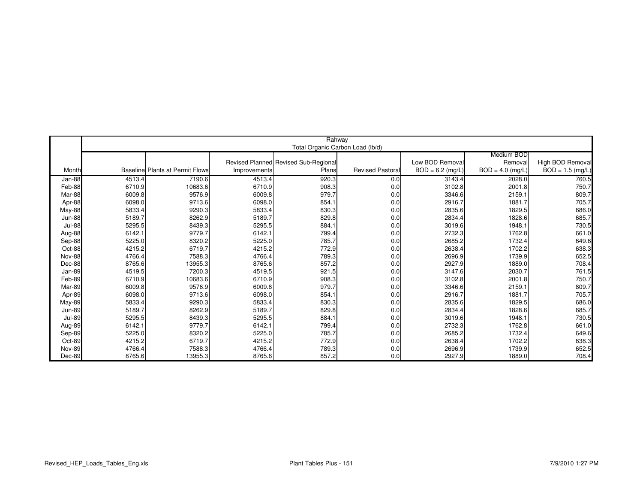|               |        |                                        |              | Rahway                               |                         |                   |                    |                    |
|---------------|--------|----------------------------------------|--------------|--------------------------------------|-------------------------|-------------------|--------------------|--------------------|
|               |        |                                        |              | Total Organic Carbon Load (lb/d)     |                         |                   |                    |                    |
|               |        |                                        |              |                                      |                         |                   | Medium BOD         |                    |
|               |        |                                        |              | Revised Planned Revised Sub-Regional |                         | Low BOD Remova    | Removal            | High BOD Removal   |
| Month         |        | <b>Baseline Plants at Permit Flows</b> | Improvements | Plans                                | <b>Revised Pastoral</b> | $BOD = 6.2$ (mg/L | $BOD = 4.0$ (mg/L) | $BOD = 1.5$ (mg/L) |
| Jan-88        | 4513.4 | 7190.6                                 | 4513.4       | 920.3                                | 0.0                     | 3143.4            | 2028.0             | 760.5              |
| Feb-88        | 6710.9 | 10683.6                                | 6710.9       | 908.3                                | 0.0                     | 3102.8            | 2001.8             | 750.7              |
| Mar-88        | 6009.8 | 9576.9                                 | 6009.8       | 979.7                                | 0.0                     | 3346.6            | 2159.1             | 809.7              |
| Apr-88        | 6098.0 | 9713.6                                 | 6098.0       | 854.1                                | 0.0                     | 2916.7            | 1881.7             | 705.7              |
| May-88        | 5833.4 | 9290.3                                 | 5833.4       | 830.3                                | 0.0                     | 2835.6            | 1829.5             | 686.0              |
| <b>Jun-88</b> | 5189.7 | 8262.9                                 | 5189.7       | 829.8                                | 0.0                     | 2834.4            | 1828.6             | 685.7              |
| <b>Jul-88</b> | 5295.5 | 8439.3                                 | 5295.5       | 884.1                                | 0.0                     | 3019.6            | 1948.1             | 730.5              |
| Aug-88        | 6142.1 | 9779.7                                 | 6142.1       | 799.4                                | 0.0                     | 2732.3            | 1762.8             | 661.0              |
| Sep-88        | 5225.0 | 8320.2                                 | 5225.0       | 785.7                                | 0.0                     | 2685.2            | 1732.4             | 649.6              |
| Oct-88        | 4215.2 | 6719.7                                 | 4215.2       | 772.9                                | 0.0                     | 2638.4            | 1702.2             | 638.3              |
| <b>Nov-88</b> | 4766.4 | 7588.3                                 | 4766.4       | 789.3                                | 0.0                     | 2696.9            | 1739.9             | 652.5              |
| Dec-88        | 8765.6 | 13955.3                                | 8765.6       | 857.2                                | 0.0                     | 2927.9            | 1889.0             | 708.4              |
| Jan-89        | 4519.5 | 7200.3                                 | 4519.5       | 921.5                                | 0.0                     | 3147.6            | 2030.7             | 761.5              |
| Feb-89        | 6710.9 | 10683.6                                | 6710.9       | 908.3                                | 0.0                     | 3102.8            | 2001.8             | 750.7              |
| Mar-89        | 6009.8 | 9576.9                                 | 6009.8       | 979.7                                | 0.0                     | 3346.6            | 2159.1             | 809.7              |
| Apr-89        | 6098.0 | 9713.6                                 | 6098.0       | 854.1                                | 0.0                     | 2916.7            | 1881.7             | 705.7              |
| May-89        | 5833.4 | 9290.3                                 | 5833.4       | 830.3                                | 0.0                     | 2835.6            | 1829.5             | 686.0              |
| <b>Jun-89</b> | 5189.7 | 8262.9                                 | 5189.7       | 829.8                                | 0.0                     | 2834.4            | 1828.6             | 685.7              |
| <b>Jul-89</b> | 5295.5 | 8439.3                                 | 5295.5       | 884.1                                | 0.0                     | 3019.6            | 1948.1             | 730.5              |
| Aug-89        | 6142.1 | 9779.7                                 | 6142.1       | 799.4                                | 0.0                     | 2732.3            | 1762.8             | 661.0              |
| Sep-89        | 5225.0 | 8320.2                                 | 5225.0       | 785.7                                | 0.0                     | 2685.2            | 1732.4             | 649.6              |
| Oct-89        | 4215.2 | 6719.7                                 | 4215.2       | 772.9                                | 0.0                     | 2638.4            | 1702.2             | 638.3              |
| <b>Nov-89</b> | 4766.4 | 7588.3                                 | 4766.4       | 789.3                                | 0.0                     | 2696.9            | 1739.9             | 652.5              |
| Dec-89        | 8765.6 | 13955.3                                | 8765.6       | 857.2                                | 0.0                     | 2927.9            | 1889.0             | 708.4              |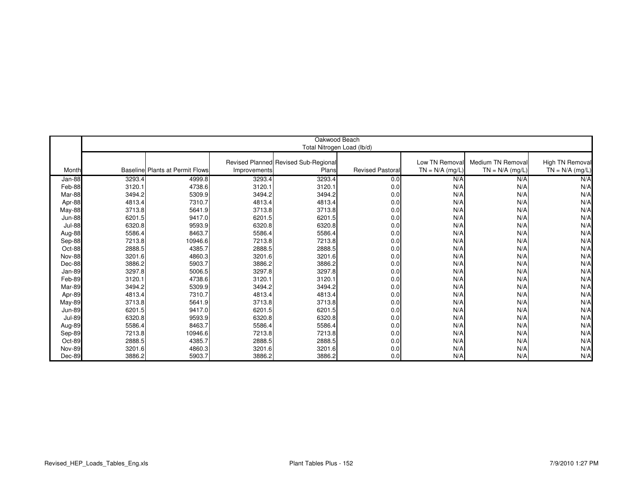|                  |                  |                                        |                  | Oakwood Beach                        |                        |                   |                   |                   |
|------------------|------------------|----------------------------------------|------------------|--------------------------------------|------------------------|-------------------|-------------------|-------------------|
|                  |                  |                                        |                  | Total Nitrogen Load (lb/d)           |                        |                   |                   |                   |
|                  |                  |                                        |                  |                                      |                        |                   |                   |                   |
|                  |                  |                                        |                  | Revised Planned Revised Sub-Regional |                        | Low TN Removal    | Medium TN Removal | High TN Removal   |
| Month            |                  | <b>Baseline Plants at Permit Flows</b> | Improvements     | Plans                                | <b>Revised Pastora</b> | $TN = N/A$ (mg/L) | $TN = N/A$ (mg/L) | $TN = N/A$ (mg/L) |
|                  |                  | 4999.8                                 |                  |                                      |                        |                   |                   |                   |
| Jan-88           | 3293.4<br>3120.1 |                                        | 3293.4           | 3293.4                               | 0.0                    | N/A<br>N/A        | N/A<br>N/A        | N/A<br>N/A        |
| Feb-88<br>Mar-88 | 3494.2           | 4738.6                                 | 3120.1<br>3494.2 | 3120.1<br>3494.2                     | 0.0<br>0.0             | N/A               | N/A               | N/A               |
|                  |                  | 5309.9                                 |                  |                                      |                        |                   |                   |                   |
| Apr-88           | 4813.4           | 7310.7                                 | 4813.4<br>3713.8 | 4813.4<br>3713.8                     | 0.0                    | N/A               | N/A               | N/A               |
| May-88           | 3713.8           | 5641.9                                 |                  |                                      | 0.0                    | N/A               | N/A               | N/A               |
| <b>Jun-88</b>    | 6201.5           | 9417.0                                 | 6201.5           | 6201.5                               | 0.0                    | N/A               | N/A               | N/A               |
| <b>Jul-88</b>    | 6320.8           | 9593.9                                 | 6320.8           | 6320.8                               | 0.0                    | N/A               | N/A               | N/A               |
| Aug-88           | 5586.4           | 8463.7                                 | 5586.4           | 5586.4                               | 0.0                    | N/A               | N/A               | N/A               |
| Sep-88           | 7213.8           | 10946.6                                | 7213.8           | 7213.8                               | 0.0                    | N/A               | N/A               | N/A               |
| Oct-88           | 2888.5           | 4385.7                                 | 2888.5           | 2888.5                               | 0.0                    | N/A               | N/A               | N/A               |
| <b>Nov-88</b>    | 3201.6           | 4860.3                                 | 3201.6           | 3201.6                               | 0.0                    | N/A               | N/A               | N/A               |
| Dec-88           | 3886.2           | 5903.7                                 | 3886.2           | 3886.2                               | 0.0                    | N/A               | N/A               | N/A               |
| Jan-89           | 3297.8           | 5006.5                                 | 3297.8           | 3297.8                               | 0.0                    | N/A               | N/A               | N/A               |
| Feb-89           | 3120.1           | 4738.6                                 | 3120.1           | 3120.1                               | 0.0                    | N/A               | N/A               | N/A               |
| Mar-89           | 3494.2           | 5309.9                                 | 3494.2           | 3494.2                               | 0.0                    | N/A               | N/A               | N/A               |
| Apr-89           | 4813.4           | 7310.7                                 | 4813.4           | 4813.4                               | 0.0                    | N/A               | N/A               | N/A               |
| <b>May-89</b>    | 3713.8           | 5641.9                                 | 3713.8           | 3713.8                               | 0.0                    | N/A               | N/A               | N/A               |
| <b>Jun-89</b>    | 6201.5           | 9417.0                                 | 6201.5           | 6201.5                               | 0.0                    | N/A               | N/A               | N/A               |
| <b>Jul-89</b>    | 6320.8           | 9593.9                                 | 6320.8           | 6320.8                               | 0.0                    | N/A               | N/A               | N/A               |
| Aug-89           | 5586.4           | 8463.7                                 | 5586.4           | 5586.4                               | 0.0                    | N/A               | N/A               | N/A               |
| Sep-89           | 7213.8           | 10946.6                                | 7213.8           | 7213.8                               | 0.0                    | N/A               | N/A               | N/A               |
| Oct-89           | 2888.5           | 4385.7                                 | 2888.5           | 2888.5                               | 0.0                    | N/A               | N/A               | N/A               |
| <b>Nov-89</b>    | 3201.6           | 4860.3                                 | 3201.6           | 3201.6                               | 0.0                    | N/A               | N/A               | N/A               |
| Dec-89           | 3886.2           | 5903.7                                 | 3886.2           | 3886.2                               | 0.0                    | N/A               | N/A               | N/A               |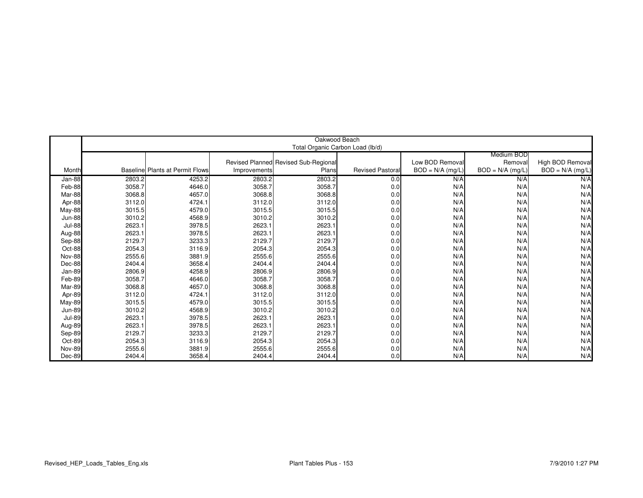|               |        |                                        |              | Oakwood Beach                        |                         |                    |                    |                    |
|---------------|--------|----------------------------------------|--------------|--------------------------------------|-------------------------|--------------------|--------------------|--------------------|
|               |        |                                        |              | Total Organic Carbon Load (lb/d)     |                         |                    |                    |                    |
|               |        |                                        |              |                                      |                         |                    | Medium BOD         |                    |
|               |        |                                        |              | Revised Planned Revised Sub-Regional |                         | Low BOD Removal    | Removal            | High BOD Removal   |
| Month         |        | <b>Baseline Plants at Permit Flows</b> | Improvements | Plans                                | <b>Revised Pastoral</b> | $BOD = N/A$ (mg/L) | $BOD = N/A$ (mg/L) | $BOD = N/A$ (mg/L) |
|               | 2803.2 | 4253.2                                 | 2803.2       | 2803.2                               | 0.0                     | N/A                | N/A                | N/A                |
| Jan-88        |        | 4646.0                                 |              |                                      |                         | N/A                | N/A                | N/A                |
| Feb-88        | 3058.7 | 4657.0                                 | 3058.7       | 3058.7                               | 0.0                     |                    |                    |                    |
| Mar-88        | 3068.8 |                                        | 3068.8       | 3068.8                               | 0.0                     | N/A                | N/A                | N/A                |
| Apr-88        | 3112.0 | 4724.1                                 | 3112.0       | 3112.0                               | 0.0                     | N/A                | N/A                | N/A                |
| May-88        | 3015.5 | 4579.0                                 | 3015.5       | 3015.5                               | 0.0                     | N/A                | N/A                | N/A                |
| <b>Jun-88</b> | 3010.2 | 4568.9                                 | 3010.2       | 3010.2                               | 0.0                     | N/A                | N/A                | N/A                |
| <b>Jul-88</b> | 2623.1 | 3978.5                                 | 2623.1       | 2623.1                               | 0.0                     | N/A                | N/A                | N/A                |
| Aug-88        | 2623.1 | 3978.5                                 | 2623.1       | 2623.1                               | 0.0                     | N/A                | N/A                | N/A                |
| Sep-88        | 2129.7 | 3233.3                                 | 2129.7       | 2129.7                               | 0.0                     | N/A                | N/A                | N/A                |
| Oct-88        | 2054.3 | 3116.9                                 | 2054.3       | 2054.3                               | 0.0                     | N/A                | N/A                | N/A                |
| Nov-88        | 2555.6 | 3881.9                                 | 2555.6       | 2555.6                               | 0.0                     | N/A                | N/A                | N/A                |
| Dec-88        | 2404.4 | 3658.4                                 | 2404.4       | 2404.4                               | 0.0                     | N/A                | N/A                | N/A                |
| Jan-89        | 2806.9 | 4258.9                                 | 2806.9       | 2806.9                               | 0.0                     | N/A                | N/A                | N/A                |
| Feb-89        | 3058.7 | 4646.0                                 | 3058.7       | 3058.7                               | 0.0                     | N/A                | N/A                | N/A                |
| Mar-89        | 3068.8 | 4657.0                                 | 3068.8       | 3068.8                               | 0.0                     | N/A                | N/A                | N/A                |
| Apr-89        | 3112.0 | 4724.1                                 | 3112.0       | 3112.0                               | 0.0                     | N/A                | N/A                | N/A                |
| <b>May-89</b> | 3015.5 | 4579.0                                 | 3015.5       | 3015.5                               | 0.0                     | N/A                | N/A                | N/A                |
| <b>Jun-89</b> | 3010.2 | 4568.9                                 | 3010.2       | 3010.2                               | 0.0                     | N/A                | N/A                | N/A                |
| <b>Jul-89</b> | 2623.1 | 3978.5                                 | 2623.1       | 2623.1                               | 0.0                     | N/A                | N/A                | N/A                |
| Aug-89        | 2623.1 | 3978.5                                 | 2623.1       | 2623.1                               | 0.0                     | N/A                | N/A                | N/A                |
| Sep-89        | 2129.7 | 3233.3                                 | 2129.7       | 2129.7                               | 0.0                     | N/A                | N/A                | N/A                |
| Oct-89        | 2054.3 | 3116.9                                 | 2054.3       | 2054.3                               | 0.0                     | N/A                | N/A                | N/A                |
| Nov-89        | 2555.6 | 3881.9                                 | 2555.6       | 2555.6                               | 0.0                     | N/A                | N/A                | N/A                |
| Dec-89        | 2404.4 | 3658.4                                 | 2404.4       | 2404.4                               | 0.0                     | N/A                | N/A                | N/A                |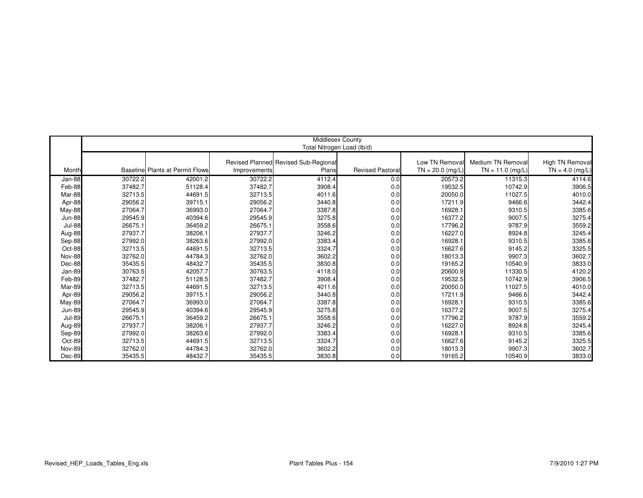|               |         |                                        |              | <b>Middlesex County</b>              |                         |                   |                    |                   |
|---------------|---------|----------------------------------------|--------------|--------------------------------------|-------------------------|-------------------|--------------------|-------------------|
|               |         |                                        |              | Total Nitrogen Load (lb/d)           |                         |                   |                    |                   |
|               |         |                                        |              |                                      |                         |                   |                    |                   |
|               |         |                                        |              | Revised Planned Revised Sub-Regional |                         | Low TN Removal    | Medium TN Removal  | High TN Removal   |
| Month         |         | <b>Baseline Plants at Permit Flows</b> | Improvements | Plans                                | <b>Revised Pastoral</b> | $TN = 20.0$ (mg/L | $TN = 11.0$ (mg/L) | $TN = 4.0$ (mg/L) |
| Jan-88        | 30722.2 | 42001.2                                | 30722.2      | 4112.4                               | 0.0                     | 20573.2           | 11315.3            | 4114.6            |
| Feb-88        | 37482.7 | 51128.4                                | 37482.7      | 3908.4                               | 0.0                     | 19532.5           | 10742.9            | 3906.5            |
| Mar-88        | 32713.5 | 44691.5                                | 32713.5      | 4011.6                               | 0.0                     | 20050.0           | 11027.5            | 4010.0            |
| Apr-88        | 29056.2 | 39715.1                                | 29056.2      | 3440.8                               | 0.0                     | 17211.9           | 9466.6             | 3442.4            |
| May-88        | 27064.7 | 36993.0                                | 27064.7      | 3387.8                               | 0.0                     | 16928.1           | 9310.5             | 3385.6            |
| <b>Jun-88</b> | 29545.9 | 40394.6                                | 29545.9      | 3275.8                               | 0.0                     | 16377.2           | 9007.5             | 3275.4            |
| <b>Jul-88</b> | 26675.1 | 36459.2                                | 26675.1      | 3558.6                               | 0.0                     | 17796.2           | 9787.9             | 3559.2            |
| Aug-88        | 27937.7 | 38206.1                                | 27937.7      | 3246.2                               | 0.0                     | 16227.0           | 8924.8             | 3245.4            |
| Sep-88        | 27992.0 | 38263.6                                | 27992.0      | 3383.4                               | 0.0                     | 16928.1           | 9310.5             | 3385.6            |
| Oct-88        | 32713.5 | 44691.5                                | 32713.5      | 3324.7                               | 0.0                     | 16627.6           | 9145.2             | 3325.5            |
| <b>Nov-88</b> | 32762.0 | 44784.3                                | 32762.0      | 3602.2                               | 0.0                     | 18013.3           | 9907.3             | 3602.7            |
| Dec-88        | 35435.5 | 48432.7                                | 35435.5      | 3830.8                               | 0.0                     | 19165.2           | 10540.9            | 3833.0            |
| Jan-89        | 30763.5 | 42057.7                                | 30763.5      | 4118.0                               | 0.0                     | 20600.9           | 11330.5            | 4120.2            |
| Feb-89        | 37482.7 | 51128.5                                | 37482.7      | 3908.4                               | 0.0                     | 19532.5           | 10742.9            | 3906.5            |
| Mar-89        | 32713.5 | 44691.5                                | 32713.5      | 4011.6                               | 0.0                     | 20050.0           | 11027.5            | 4010.0            |
| Apr-89        | 29056.2 | 39715.1                                | 29056.2      | 3440.8                               | 0.0                     | 17211.9           | 9466.6             | 3442.4            |
| May-89        | 27064.7 | 36993.0                                | 27064.7      | 3387.8                               | 0.0                     | 16928.1           | 9310.5             | 3385.6            |
| <b>Jun-89</b> | 29545.9 | 40394.6                                | 29545.9      | 3275.8                               | 0.0                     | 16377.2           | 9007.5             | 3275.4            |
| <b>Jul-89</b> | 26675.1 | 36459.2                                | 26675.1      | 3558.6                               | 0.0                     | 17796.2           | 9787.9             | 3559.2            |
| Aug-89        | 27937.7 | 38206.1                                | 27937.7      | 3246.2                               | 0.0                     | 16227.0           | 8924.8             | 3245.4            |
| Sep-89        | 27992.0 | 38263.6                                | 27992.0      | 3383.4                               | 0.0                     | 16928.1           | 9310.5             | 3385.6            |
| Oct-89        | 32713.5 | 44691.5                                | 32713.5      | 3324.7                               | 0.0                     | 16627.6           | 9145.2             | 3325.5            |
| <b>Nov-89</b> | 32762.0 | 44784.3                                | 32762.0      | 3602.2                               | 0.0                     | 18013.3           | 9907.3             | 3602.7            |
| $Dec-89$      | 35435.5 | 48432.7                                | 35435.5      | 3830.8                               | 0.0                     | 19165.2           | 10540.9            | 3833.0            |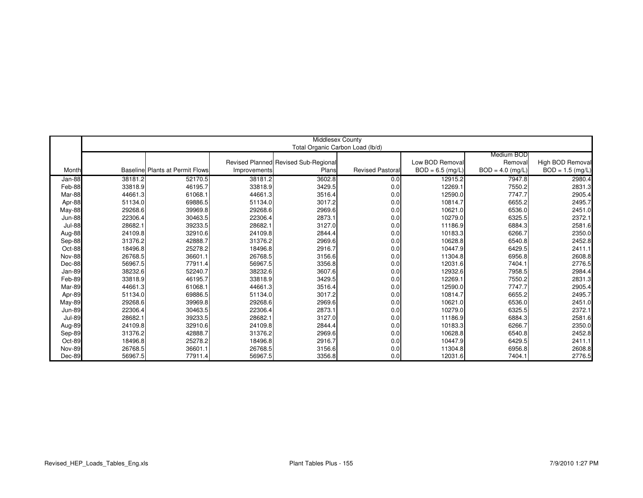|                         |         |                                        |              | <b>Middlesex County</b>              |                         |                    |                    |                    |
|-------------------------|---------|----------------------------------------|--------------|--------------------------------------|-------------------------|--------------------|--------------------|--------------------|
|                         |         |                                        |              | Total Organic Carbon Load (lb/d)     |                         |                    |                    |                    |
|                         |         |                                        |              |                                      |                         |                    | Medium BOD         |                    |
|                         |         |                                        |              | Revised Planned Revised Sub-Regional |                         | Low BOD Removal    | Removal            | High BOD Removal   |
| Month                   |         | <b>Baseline Plants at Permit Flows</b> | Improvements | Plans                                | <b>Revised Pastoral</b> | $BOD = 6.5$ (mg/L) | $BOD = 4.0$ (mg/L) | $BOD = 1.5 (mg/L)$ |
| Jan-88                  | 38181.2 | 52170.5                                | 38181.2      | 3602.8                               | 0.0                     | 12915.2            | 7947.8             | 2980.4             |
| Feb-88                  | 33818.9 | 46195.7                                | 33818.9      | 3429.5                               | 0.0                     | 12269.1            | 7550.2             | 2831.3             |
| Mar-88                  | 44661.3 | 61068.1                                | 44661.3      | 3516.4                               | 0.0                     | 12590.0            | 7747.7             | 2905.4             |
| Apr-88                  | 51134.0 | 69886.5                                | 51134.0      | 3017.2                               | 0.0                     | 10814.7            | 6655.2             | 2495.7             |
|                         | 29268.6 | 39969.8                                | 29268.6      | 2969.6                               | 0.0                     | 10621.0            | 6536.0             | 2451.0             |
| May-88<br><b>Jun-88</b> | 22306.4 | 30463.5                                | 22306.4      | 2873.1                               | 0.0                     | 10279.0            | 6325.5             | 2372.1             |
|                         | 28682.1 |                                        | 28682.1      | 3127.0                               |                         | 11186.9            |                    |                    |
| <b>Jul-88</b>           |         | 39233.5                                |              |                                      | 0.0                     |                    | 6884.3             | 2581.6             |
| Aug-88                  | 24109.8 | 32910.6                                | 24109.8      | 2844.4                               | 0.0                     | 10183.3            | 6266.7             | 2350.0             |
| Sep-88                  | 31376.2 | 42888.7                                | 31376.2      | 2969.6                               | 0.0                     | 10628.8            | 6540.8             | 2452.8             |
| Oct-88                  | 18496.8 | 25278.2                                | 18496.8      | 2916.7                               | 0.0                     | 10447.9            | 6429.5             | 2411.1             |
| <b>Nov-88</b>           | 26768.5 | 36601.1                                | 26768.5      | 3156.6                               | 0.0                     | 11304.8            | 6956.8             | 2608.8             |
| Dec-88                  | 56967.5 | 77911.4                                | 56967.5      | 3356.8                               | 0.0                     | 12031.6            | 7404.1             | 2776.5             |
| Jan-89                  | 38232.6 | 52240.7                                | 38232.6      | 3607.6                               | 0.0                     | 12932.6            | 7958.5             | 2984.4             |
| Feb-89                  | 33818.9 | 46195.7                                | 33818.9      | 3429.5                               | 0.0                     | 12269.1            | 7550.2             | 2831.3             |
| Mar-89                  | 44661.3 | 61068.1                                | 44661.3      | 3516.4                               | 0.0                     | 12590.0            | 7747.7             | 2905.4             |
| Apr-89                  | 51134.0 | 69886.5                                | 51134.0      | 3017.2                               | 0.0                     | 10814.7            | 6655.2             | 2495.7             |
| <b>May-89</b>           | 29268.6 | 39969.8                                | 29268.6      | 2969.6                               | 0.0                     | 10621.0            | 6536.0             | 2451.0             |
| <b>Jun-89</b>           | 22306.4 | 30463.5                                | 22306.4      | 2873.1                               | 0.0                     | 10279.0            | 6325.5             | 2372.1             |
| <b>Jul-89</b>           | 28682.1 | 39233.5                                | 28682.1      | 3127.0                               | 0.0                     | 11186.9            | 6884.3             | 2581.6             |
| Aug-89                  | 24109.8 | 32910.6                                | 24109.8      | 2844.4                               | 0.0                     | 10183.3            | 6266.7             | 2350.0             |
| Sep-89                  | 31376.2 | 42888.7                                | 31376.2      | 2969.6                               | 0.0                     | 10628.8            | 6540.8             | 2452.8             |
| Oct-89                  | 18496.8 | 25278.2                                | 18496.8      | 2916.7                               | 0.0                     | 10447.9            | 6429.5             | 2411.1             |
| Nov-89                  | 26768.5 | 36601.1                                | 26768.5      | 3156.6                               | 0.0                     | 11304.8            | 6956.8             | 2608.8             |
| Dec-89                  | 56967.5 | 77911.4                                | 56967.5      | 3356.8                               | 0.0                     | 12031.6            | 7404.1             | 2776.5             |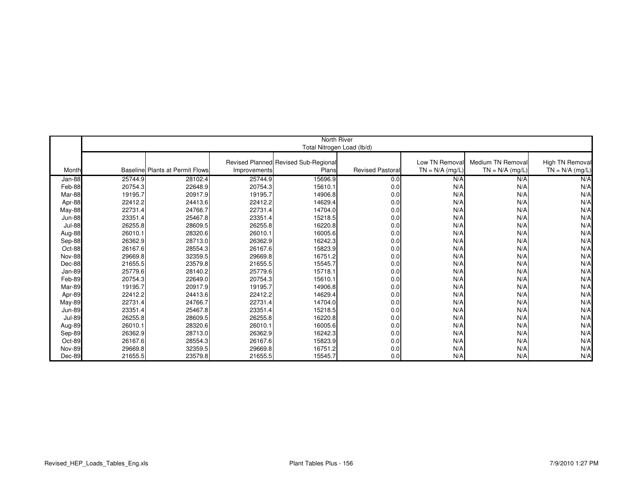|               |         |                                        |              | North River                          |                        |                   |                   |                   |
|---------------|---------|----------------------------------------|--------------|--------------------------------------|------------------------|-------------------|-------------------|-------------------|
|               |         |                                        |              | Total Nitrogen Load (lb/d)           |                        |                   |                   |                   |
|               |         |                                        |              |                                      |                        |                   |                   |                   |
|               |         |                                        |              | Revised Planned Revised Sub-Regional |                        | Low TN Removal    | Medium TN Removal | High TN Removal   |
| Month         |         | <b>Baseline Plants at Permit Flows</b> | Improvements | Plans                                | <b>Revised Pastora</b> | $TN = N/A$ (mg/L) | $TN = N/A$ (mg/L) | $TN = N/A$ (mg/L) |
| Jan-88        | 25744.9 | 28102.4                                | 25744.9      | 15696.9                              | 0.0                    | N/A               | N/A               | N/A               |
| Feb-88        | 20754.3 | 22648.9                                | 20754.3      | 15610.1                              | 0.0                    | N/A               | N/A               | N/A               |
| Mar-88        | 19195.7 | 20917.9                                | 19195.7      | 14906.8                              | 0.0                    | N/A               | N/A               | N/A               |
| Apr-88        | 22412.2 | 24413.6                                | 22412.2      | 14629.4                              | 0.0                    | N/A               | N/A               | N/A               |
| May-88        | 22731.4 | 24766.7                                | 22731.4      | 14704.0                              | 0.0                    | N/A               | N/A               | N/A               |
| <b>Jun-88</b> | 23351.4 | 25467.8                                | 23351.4      | 15218.5                              | 0.0                    | N/A               | N/A               | N/A               |
| <b>Jul-88</b> | 26255.8 | 28609.5                                | 26255.8      | 16220.8                              | 0.0                    | N/A               | N/A               | N/A               |
| Aug-88        | 26010.1 | 28320.6                                | 26010.1      | 16005.6                              | 0.0                    | N/A               | N/A               | N/A               |
| Sep-88        | 26362.9 | 28713.0                                | 26362.9      | 16242.3                              | 0.0                    | N/A               | N/A               | N/A               |
| Oct-88        | 26167.6 | 28554.3                                | 26167.6      | 15823.9                              | 0.0                    | N/A               | N/A               | N/A               |
| Nov-88        | 29669.8 | 32359.5                                | 29669.8      | 16751.2                              | 0.0                    | N/A               | N/A               | N/A               |
| Dec-88        | 21655.5 | 23579.8                                | 21655.5      | 15545.7                              | 0.0                    | N/A               | N/A               | N/A               |
| Jan-89        | 25779.6 | 28140.2                                | 25779.6      | 15718.1                              | 0.0                    | N/A               | N/A               | N/A               |
| Feb-89        | 20754.3 | 22649.0                                | 20754.3      | 15610.1                              | 0.0                    | N/A               | N/A               | N/A               |
| Mar-89        | 19195.7 | 20917.9                                | 19195.7      | 14906.8                              | 0.0                    | N/A               | N/A               | N/A               |
| Apr-89        | 22412.2 | 24413.6                                | 22412.2      | 14629.4                              | 0.0                    | N/A               | N/A               | N/A               |
| May-89        | 22731.4 | 24766.7                                | 22731.4      | 14704.0                              | 0.0                    | N/A               | N/A               | N/A               |
| <b>Jun-89</b> | 23351.4 | 25467.8                                | 23351.4      | 15218.5                              | 0.0                    | N/A               | N/A               | N/A               |
| <b>Jul-89</b> | 26255.8 | 28609.5                                | 26255.8      | 16220.8                              | 0.0                    | N/A               | N/A               | N/A               |
| Aug-89        | 26010.1 | 28320.6                                | 26010.1      | 16005.6                              | 0.0                    | N/A               | N/A               | N/A               |
| Sep-89        | 26362.9 | 28713.0                                | 26362.9      | 16242.3                              | 0.0                    | N/A               | N/A               | N/A               |
| Oct-89        | 26167.6 | 28554.3                                | 26167.6      | 15823.9                              | 0.0                    | N/A               | N/A               | N/A               |
| <b>Nov-89</b> | 29669.8 | 32359.5                                | 29669.8      | 16751.2                              | 0.0                    | N/A               | N/A               | N/A               |
| Dec-89        | 21655.5 | 23579.8                                | 21655.5      | 15545.7                              | 0.0                    | N/A               | N/A               | N/A               |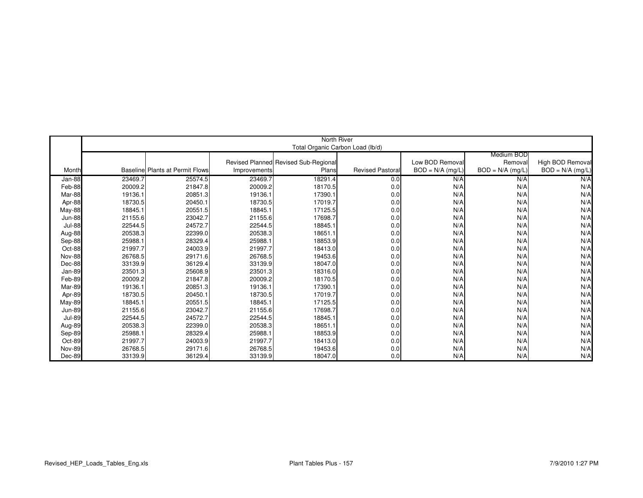|               |         |                                        |              | North River                          |                        |                    |                    |                    |
|---------------|---------|----------------------------------------|--------------|--------------------------------------|------------------------|--------------------|--------------------|--------------------|
|               |         |                                        |              | Total Organic Carbon Load (lb/d)     |                        |                    |                    |                    |
|               |         |                                        |              |                                      |                        |                    | Medium BOD         |                    |
|               |         |                                        |              | Revised Planned Revised Sub-Regional |                        | Low BOD Removal    | Removall           | High BOD Removal   |
| Month         |         | <b>Baseline Plants at Permit Flows</b> | Improvements | Plans                                | <b>Revised Pastora</b> | $BOD = N/A$ (mg/L) | $BOD = N/A$ (mg/L) | $BOD = N/A$ (mg/L) |
| Jan-88        | 23469.7 | 25574.5                                | 23469.7      | 18291.4                              | 0.0                    | N/A                | N/A                | N/A                |
| Feb-88        | 20009.2 | 21847.8                                | 20009.2      | 18170.5                              | 0.0                    | N/A                | N/A                | N/A                |
| Mar-88        | 19136.1 | 20851.3                                | 19136.1      | 17390.1                              | 0.0                    | N/A                | N/A                | N/A                |
| Apr-88        | 18730.5 | 20450.1                                | 18730.5      | 17019.7                              | 0.0                    | N/A                | N/A                | N/A                |
| May-88        | 18845.1 | 20551.5                                | 18845.1      | 17125.5                              | 0.0                    | N/A                | N/A                | N/A                |
| <b>Jun-88</b> | 21155.6 | 23042.7                                | 21155.6      | 17698.7                              | 0.0                    | N/A                | N/A                | N/A                |
| <b>Jul-88</b> | 22544.5 | 24572.7                                | 22544.5      | 18845.1                              | 0.0                    | N/A                | N/A                | N/A                |
| Aug-88        | 20538.3 | 22399.0                                | 20538.3      | 18651.1                              | 0.0                    | N/A                | N/A                | N/A                |
| Sep-88        | 25988.1 | 28329.4                                | 25988.1      | 18853.9                              | 0.0                    | N/A                | N/A                | N/A                |
| Oct-88        | 21997.7 | 24003.9                                | 21997.7      | 18413.0                              | 0.0                    | N/A                | N/A                | N/A                |
| Nov-88        | 26768.5 | 29171.6                                | 26768.5      | 19453.6                              | 0.0                    | N/A                | N/A                | N/A                |
| Dec-88        | 33139.9 | 36129.4                                | 33139.9      | 18047.0                              | 0.0                    | N/A                | N/A                | N/A                |
| Jan-89        | 23501.3 | 25608.9                                | 23501.3      | 18316.0                              | 0.0                    | N/A                | N/A                | N/A                |
| Feb-89        | 20009.2 | 21847.8                                | 20009.2      | 18170.5                              | 0.0                    | N/A                | N/A                | N/A                |
| Mar-89        | 19136.1 | 20851.3                                | 19136.1      | 17390.1                              | 0.0                    | N/A                | N/A                | N/A                |
| Apr-89        | 18730.5 | 20450.1                                | 18730.5      | 17019.7                              | 0.0                    | N/A                | N/A                | N/A                |
| May-89        | 18845.1 | 20551.5                                | 18845.1      | 17125.5                              | 0.0                    | N/A                | N/A                | N/A                |
| <b>Jun-89</b> | 21155.6 | 23042.7                                | 21155.6      | 17698.7                              | 0.0                    | N/A                | N/A                | N/A                |
| <b>Jul-89</b> | 22544.5 | 24572.7                                | 22544.5      | 18845.1                              | 0.0                    | N/A                | N/A                | N/A                |
| Aug-89        | 20538.3 | 22399.0                                | 20538.3      | 18651.1                              | 0.0                    | N/A                | N/A                | N/A                |
| Sep-89        | 25988.1 | 28329.4                                | 25988.1      | 18853.9                              | 0.0                    | N/A                | N/A                | N/A                |
| Oct-89        | 21997.7 | 24003.9                                | 21997.7      | 18413.0                              | 0.0                    | N/A                | N/A                | N/A                |
| Nov-89        | 26768.5 | 29171.6                                | 26768.5      | 19453.6                              | 0.0                    | N/A                | N/A                | N/A                |
| Dec-89        | 33139.9 | 36129.4                                | 33139.9      | 18047.0                              | 0.0                    | N/A                | N/A                | N/A                |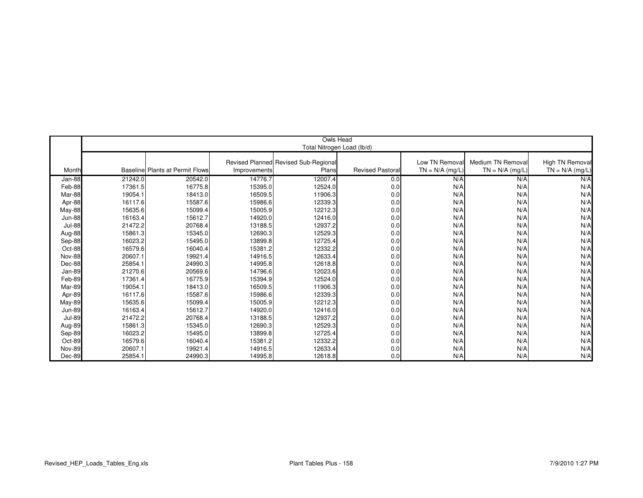|                         | Owls Head |                                        |                    |                                      |                        |                   |                   |                   |  |
|-------------------------|-----------|----------------------------------------|--------------------|--------------------------------------|------------------------|-------------------|-------------------|-------------------|--|
|                         |           |                                        |                    | Total Nitrogen Load (lb/d)           |                        |                   |                   |                   |  |
|                         |           |                                        |                    |                                      |                        |                   |                   |                   |  |
|                         |           |                                        |                    | Revised Planned Revised Sub-Regional |                        | Low TN Removal    | Medium TN Removal | High TN Removal   |  |
| Month                   |           | <b>Baseline Plants at Permit Flows</b> | Improvements       | Plans                                | <b>Revised Pastora</b> | $TN = N/A$ (mg/L) | $TN = N/A$ (mg/L) | $TN = N/A$ (mg/L) |  |
| Jan-88                  | 21242.0   | 20542.0                                | 14776.7            | 12007.4                              | 0.0                    | N/A               | N/A               | N/A               |  |
| Feb-88                  | 17361.5   | 16775.8                                | 15395.0            | 12524.0                              | 0.0                    | N/A               | N/A               | N/A               |  |
| Mar-88                  | 19054.1   | 18413.0                                | 16509.5            | 11906.3                              | 0.0                    | N/A               | N/A               | N/A               |  |
|                         | 16117.6   | 15587.6                                |                    |                                      |                        | N/A               |                   | N/A               |  |
| Apr-88                  | 15635.6   | 15099.4                                | 15986.6<br>15005.9 | 12339.3<br>12212.3                   | 0.0                    | N/A               | N/A<br>N/A        | N/A               |  |
| May-88<br><b>Jun-88</b> | 16163.4   | 15612.7                                | 14920.0            | 12416.0                              | 0.0<br>0.0             | N/A               | N/A               | N/A               |  |
|                         | 21472.2   |                                        |                    |                                      |                        |                   |                   |                   |  |
| <b>Jul-88</b>           |           | 20768.4                                | 13188.5            | 12937.2                              | 0.0                    | N/A<br>N/A        | N/A<br>N/A        | N/A               |  |
| Aug-88                  | 15861.3   | 15345.0                                | 12690.3            | 12529.3                              | 0.0                    |                   |                   | N/A               |  |
| Sep-88                  | 16023.2   | 15495.0                                | 13899.8            | 12725.4                              | 0.0                    | N/A               | N/A               | N/A               |  |
| Oct-88                  | 16579.6   | 16040.4                                | 15381.2            | 12332.2                              | 0.0                    | N/A               | N/A               | N/A               |  |
| Nov-88                  | 20607.1   | 19921.4                                | 14916.5            | 12633.4                              | 0.0                    | N/A               | N/A               | N/A               |  |
| Dec-88                  | 25854.1   | 24990.3                                | 14995.8            | 12618.8                              | 0.0                    | N/A               | N/A               | N/A               |  |
| Jan-89                  | 21270.6   | 20569.6                                | 14796.6            | 12023.6                              | 0.0                    | N/A               | N/A               | N/A               |  |
| Feb-89                  | 17361.4   | 16775.9                                | 15394.9            | 12524.0                              | 0.0                    | N/A               | N/A               | N/A               |  |
| Mar-89                  | 19054.1   | 18413.0                                | 16509.5            | 11906.3                              | 0.0                    | N/A               | N/A               | N/A               |  |
| Apr-89                  | 16117.6   | 15587.6                                | 15986.6            | 12339.3                              | 0.0                    | N/A               | N/A               | N/A               |  |
| May-89                  | 15635.6   | 15099.4                                | 15005.9            | 12212.3                              | 0.0                    | N/A               | N/A               | N/A               |  |
| <b>Jun-89</b>           | 16163.4   | 15612.7                                | 14920.0            | 12416.0                              | 0.0                    | N/A               | N/A               | N/A               |  |
| <b>Jul-89</b>           | 21472.2   | 20768.4                                | 13188.5            | 12937.2                              | 0.0                    | N/A               | N/A               | N/A               |  |
| Aug-89                  | 15861.3   | 15345.0                                | 12690.3            | 12529.3                              | 0.0                    | N/A               | N/A               | N/A               |  |
| Sep-89                  | 16023.2   | 15495.0                                | 13899.8            | 12725.4                              | 0.0                    | N/A               | N/A               | N/A               |  |
| Oct-89                  | 16579.6   | 16040.4                                | 15381.2            | 12332.2                              | 0.0                    | N/A               | N/A               | N/A               |  |
| <b>Nov-89</b>           | 20607.1   | 19921.4                                | 14916.5            | 12633.4                              | 0.0                    | N/A               | N/A               | N/A               |  |
| Dec-89                  | 25854.1   | 24990.3                                | 14995.8            | 12618.8                              | 0.0                    | N/A               | N/A               | N/A               |  |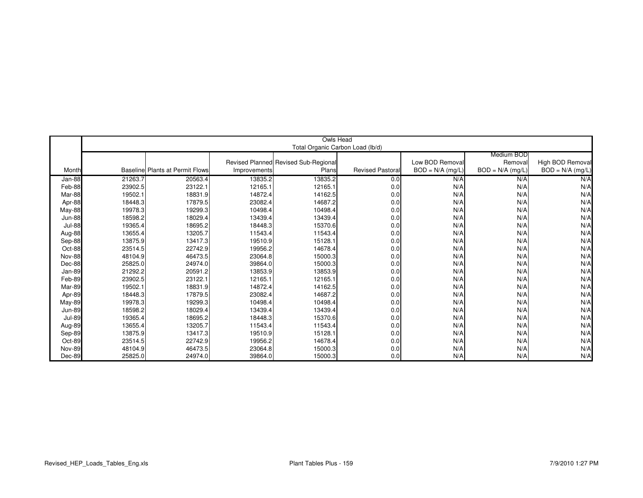|               |         |                                         |              | Owls Head                            |                        |                    |                    |                    |
|---------------|---------|-----------------------------------------|--------------|--------------------------------------|------------------------|--------------------|--------------------|--------------------|
|               |         |                                         |              | Total Organic Carbon Load (lb/d)     |                        |                    |                    |                    |
|               |         |                                         |              |                                      |                        |                    | Medium BOD         |                    |
|               |         |                                         |              | Revised Planned Revised Sub-Regional |                        | Low BOD Removal    | Removal            | High BOD Removal   |
| Month         |         | <b>Baselinel Plants at Permit Flows</b> | Improvements | Plans                                | <b>Revised Pastora</b> | $BOD = N/A$ (mg/L) | $BOD = N/A$ (mg/L) | $BOD = N/A$ (mg/L) |
| Jan-88        | 21263.7 | 20563.4                                 | 13835.2      | 13835.2                              | 0.0                    | N/A                | N/A                | N/A                |
| Feb-88        | 23902.5 | 23122.1                                 | 12165.1      | 12165.1                              | 0.0                    | N/A                | N/A                | N/A                |
| Mar-88        | 19502.1 | 18831.9                                 | 14872.4      | 14162.5                              | 0.0                    | N/A                | N/A                | N/A                |
| Apr-88        | 18448.3 | 17879.5                                 | 23082.4      | 14687.2                              | 0.0                    | N/A                | N/A                | N/A                |
| May-88        | 19978.3 | 19299.3                                 | 10498.4      | 10498.4                              | 0.0                    | N/A                | N/A                | N/A                |
| <b>Jun-88</b> | 18598.2 | 18029.4                                 | 13439.4      | 13439.4                              | 0.0                    | N/A                | N/A                | N/A                |
| <b>Jul-88</b> | 19365.4 | 18695.2                                 | 18448.3      | 15370.6                              | 0.0                    | N/A                | N/A                | N/A                |
| Aug-88        | 13655.4 | 13205.7                                 | 11543.4      | 11543.4                              | 0.0                    | N/A                | N/A                | N/A                |
| Sep-88        | 13875.9 | 13417.3                                 | 19510.9      | 15128.1                              | 0.0                    | N/A                | N/A                | N/A                |
| Oct-88        | 23514.5 | 22742.9                                 | 19956.2      | 14678.4                              | 0.0                    | N/A                | N/A                | N/A                |
| <b>Nov-88</b> | 48104.9 | 46473.5                                 | 23064.8      | 15000.3                              | 0.0                    | N/A                | N/A                | N/A                |
| Dec-88        | 25825.0 | 24974.0                                 | 39864.0      | 15000.3                              | 0.0                    | N/A                | N/A                | N/A                |
| Jan-89        | 21292.2 | 20591.2                                 | 13853.9      | 13853.9                              | 0.0                    | N/A                | N/A                | N/A                |
| Feb-89        | 23902.5 | 23122.1                                 | 12165.1      | 12165.1                              | 0.0                    | N/A                | N/A                | N/A                |
| Mar-89        | 19502.1 | 18831.9                                 | 14872.4      | 14162.5                              | 0.0                    | N/A                | N/A                | N/A                |
| Apr-89        | 18448.3 | 17879.5                                 | 23082.4      | 14687.2                              | 0.0                    | N/A                | N/A                | N/A                |
| May-89        | 19978.3 | 19299.3                                 | 10498.4      | 10498.4                              | 0.0                    | N/A                | N/A                | N/A                |
| <b>Jun-89</b> | 18598.2 | 18029.4                                 | 13439.4      | 13439.4                              | 0.0                    | N/A                | N/A                | N/A                |
| <b>Jul-89</b> | 19365.4 | 18695.2                                 | 18448.3      | 15370.6                              | 0.0                    | N/A                | N/A                | N/A                |
| Aug-89        | 13655.4 | 13205.7                                 | 11543.4      | 11543.4                              | 0.0                    | N/A                | N/A                | N/A                |
| Sep-89        | 13875.9 | 13417.3                                 | 19510.9      | 15128.1                              | 0.0                    | N/A                | N/A                | N/A                |
| Oct-89        | 23514.5 | 22742.9                                 | 19956.2      | 14678.4                              | 0.0                    | N/A                | N/A                | N/A                |
| <b>Nov-89</b> | 48104.9 | 46473.5                                 | 23064.8      | 15000.3                              | 0.0                    | N/A                | N/A                | N/A                |
| Dec-89        | 25825.0 | 24974.0                                 | 39864.0      | 15000.3                              | 0.0                    | N/A                | N/A                | N/A                |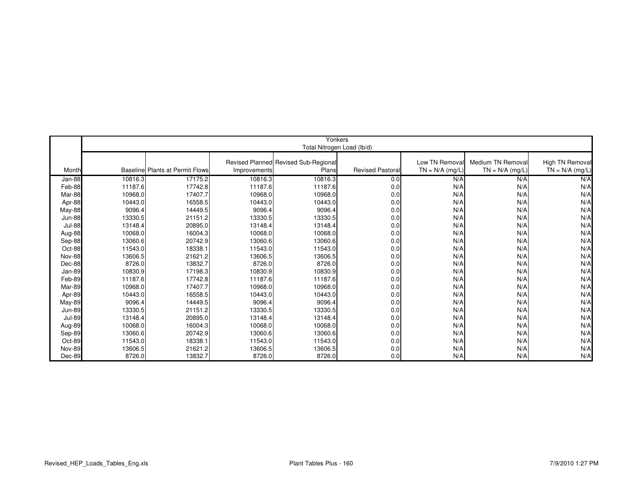|               | Yonkers |                                        |              |                                      |                        |                   |                   |                   |  |
|---------------|---------|----------------------------------------|--------------|--------------------------------------|------------------------|-------------------|-------------------|-------------------|--|
|               |         |                                        |              | Total Nitrogen Load (lb/d)           |                        |                   |                   |                   |  |
|               |         |                                        |              |                                      |                        |                   |                   |                   |  |
|               |         |                                        |              | Revised Planned Revised Sub-Regional |                        | Low TN Removal    | Medium TN Removal | High TN Removal   |  |
| Month         |         | <b>Baseline Plants at Permit Flows</b> | Improvements | Plans                                | <b>Revised Pastora</b> | $TN = N/A$ (mg/L) | $TN = N/A$ (mg/L) | $TN = N/A$ (mg/L) |  |
| Jan-88        | 10816.3 | 17175.2                                | 10816.3      | 10816.3                              | 0.0                    | N/A               | N/A               | N/A               |  |
| Feb-88        | 11187.6 | 17742.8                                | 11187.6      | 11187.6                              | 0.0                    | N/A               | N/A               | N/A               |  |
| Mar-88        | 10968.0 | 17407.7                                | 10968.0      | 10968.0                              | 0.0                    | N/A               | N/A               | N/A               |  |
| Apr-88        | 10443.0 | 16558.5                                | 10443.0      | 10443.0                              | 0.0                    | N/A               | N/A               | N/A               |  |
| May-88        | 9096.4  | 14449.5                                | 9096.4       | 9096.4                               | 0.0                    | N/A               | N/A               | N/A               |  |
| <b>Jun-88</b> | 13330.5 | 21151.2                                | 13330.5      | 13330.5                              | 0.0                    | N/A               | N/A               | N/A               |  |
| <b>Jul-88</b> | 13148.4 | 20895.0                                | 13148.4      | 13148.4                              | 0.0                    | N/A               | N/A               | N/A               |  |
| Aug-88        | 10068.0 | 16004.3                                | 10068.0      | 10068.0                              | 0.0                    | N/A               | N/A               | N/A               |  |
| Sep-88        | 13060.6 | 20742.9                                | 13060.6      | 13060.6                              | 0.0                    | N/A               | N/A               | N/A               |  |
| Oct-88        | 11543.0 | 18338.1                                | 11543.0      | 11543.0                              | 0.0                    | N/A               | N/A               | N/A               |  |
| Nov-88        | 13606.5 | 21621.2                                | 13606.5      | 13606.5                              | 0.0                    | N/A               | N/A               | N/A               |  |
| Dec-88        | 8726.0  | 13832.7                                | 8726.0       | 8726.0                               | 0.0                    | N/A               | N/A               | N/A               |  |
| Jan-89        | 10830.9 | 17198.3                                | 10830.9      | 10830.9                              | 0.0                    | N/A               | N/A               | N/A               |  |
| Feb-89        | 11187.6 | 17742.8                                | 11187.6      | 11187.6                              | 0.0                    | N/A               | N/A               | N/A               |  |
| Mar-89        | 10968.0 | 17407.7                                | 10968.0      | 10968.0                              | 0.0                    | N/A               | N/A               | N/A               |  |
| Apr-89        | 10443.0 | 16558.5                                | 10443.0      | 10443.0                              | 0.0                    | N/A               | N/A               | N/A               |  |
| May-89        | 9096.4  | 14449.5                                | 9096.4       | 9096.4                               | 0.0                    | N/A               | N/A               | N/A               |  |
| <b>Jun-89</b> | 13330.5 | 21151.2                                | 13330.5      | 13330.5                              | 0.0                    | N/A               | N/A               | N/A               |  |
| <b>Jul-89</b> | 13148.4 | 20895.0                                | 13148.4      | 13148.4                              | 0.0                    | N/A               | N/A               | N/A               |  |
| Aug-89        | 10068.0 | 16004.3                                | 10068.0      | 10068.0                              | 0.0                    | N/A               | N/A               | N/A               |  |
| Sep-89        | 13060.6 | 20742.9                                | 13060.6      | 13060.6                              | 0.0                    | N/A               | N/A               | N/A               |  |
| Oct-89        | 11543.0 | 18338.1                                | 11543.0      | 11543.0                              | 0.0                    | N/A               | N/A               | N/A               |  |
| <b>Nov-89</b> | 13606.5 | 21621.2                                | 13606.5      | 13606.5                              | 0.0                    | N/A               | N/A               | N/A               |  |
| Dec-89        | 8726.0  | 13832.7                                | 8726.0       | 8726.0                               | 0.0                    | N/A               | N/A               | N/A               |  |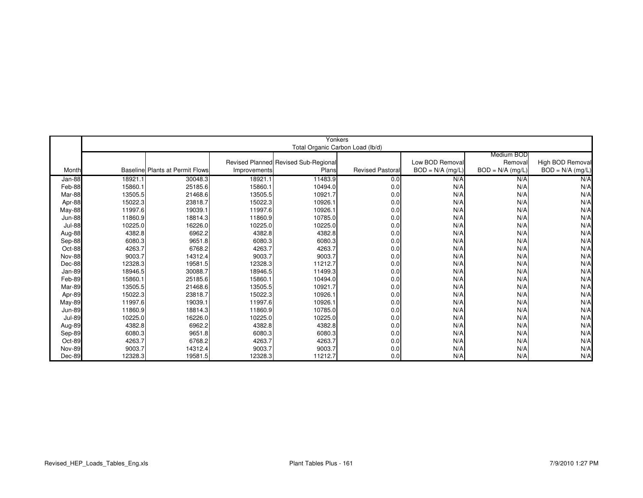|               |         |                                         |              |                                      |                        |                    |                    | Yonkers            |  |  |  |  |  |  |  |  |  |
|---------------|---------|-----------------------------------------|--------------|--------------------------------------|------------------------|--------------------|--------------------|--------------------|--|--|--|--|--|--|--|--|--|
|               |         |                                         |              | Total Organic Carbon Load (lb/d)     |                        |                    |                    |                    |  |  |  |  |  |  |  |  |  |
|               |         |                                         |              |                                      |                        |                    | Medium BOD         |                    |  |  |  |  |  |  |  |  |  |
|               |         |                                         |              | Revised Planned Revised Sub-Regional |                        | Low BOD Removal    | Removal            | High BOD Removal   |  |  |  |  |  |  |  |  |  |
| Month         |         | <b>Baselinel Plants at Permit Flows</b> | Improvements | Plans                                | <b>Revised Pastora</b> | $BOD = N/A$ (mg/L) | $BOD = N/A$ (mg/L) | $BOD = N/A$ (mg/L) |  |  |  |  |  |  |  |  |  |
| Jan-88        | 18921.1 | 30048.3                                 | 18921.1      | 11483.9                              | 0.0                    | N/A                | N/A                | N/A                |  |  |  |  |  |  |  |  |  |
| Feb-88        | 15860.1 | 25185.6                                 | 15860.1      | 10494.0                              | 0.0                    | N/A                | N/A                | N/A                |  |  |  |  |  |  |  |  |  |
| Mar-88        | 13505.5 | 21468.6                                 | 13505.5      | 10921.7                              | 0.0                    | N/A                | N/A                | N/A                |  |  |  |  |  |  |  |  |  |
| Apr-88        | 15022.3 | 23818.7                                 | 15022.3      | 10926.1                              | 0.0                    | N/A                | N/A                | N/A                |  |  |  |  |  |  |  |  |  |
| <b>May-88</b> | 11997.6 | 19039.1                                 | 11997.6      | 10926.1                              | 0.0                    | N/A                | N/A                | N/A                |  |  |  |  |  |  |  |  |  |
| <b>Jun-88</b> | 11860.9 | 18814.3                                 | 11860.9      | 10785.0                              | 0.0                    | N/A                | N/A                | N/A                |  |  |  |  |  |  |  |  |  |
| <b>Jul-88</b> | 10225.0 | 16226.0                                 | 10225.0      | 10225.0                              | 0.0                    | N/A                | N/A                | N/A                |  |  |  |  |  |  |  |  |  |
| Aug-88        | 4382.8  | 6962.2                                  | 4382.8       | 4382.8                               | 0.0                    | N/A                | N/A                | N/A                |  |  |  |  |  |  |  |  |  |
| Sep-88        | 6080.3  | 9651.8                                  | 6080.3       | 6080.3                               | 0.0                    | N/A                | N/A                | N/A                |  |  |  |  |  |  |  |  |  |
| Oct-88        | 4263.7  | 6768.2                                  | 4263.7       | 4263.7                               | 0.0                    | N/A                | N/A                | N/A                |  |  |  |  |  |  |  |  |  |
| <b>Nov-88</b> | 9003.7  | 14312.4                                 | 9003.7       | 9003.7                               | 0.0                    | N/A                | N/A                | N/A                |  |  |  |  |  |  |  |  |  |
| Dec-88        | 12328.3 | 19581.5                                 | 12328.3      | 11212.7                              | 0.0                    | N/A                | N/A                | N/A                |  |  |  |  |  |  |  |  |  |
| Jan-89        | 18946.5 | 30088.7                                 | 18946.5      | 11499.3                              | 0.0                    | N/A                | N/A                | N/A                |  |  |  |  |  |  |  |  |  |
| Feb-89        | 15860.1 | 25185.6                                 | 15860.1      | 10494.0                              | 0.0                    | N/A                | N/A                | N/A                |  |  |  |  |  |  |  |  |  |
| Mar-89        | 13505.5 | 21468.6                                 | 13505.5      | 10921.7                              | 0.0                    | N/A                | N/A                | N/A                |  |  |  |  |  |  |  |  |  |
| Apr-89        | 15022.3 | 23818.7                                 | 15022.3      | 10926.1                              | 0.0                    | N/A                | N/A                | N/A                |  |  |  |  |  |  |  |  |  |
| May-89        | 11997.6 | 19039.1                                 | 11997.6      | 10926.1                              | 0.0                    | N/A                | N/A                | N/A                |  |  |  |  |  |  |  |  |  |
| <b>Jun-89</b> | 11860.9 | 18814.3                                 | 11860.9      | 10785.0                              | 0.0                    | N/A                | N/A                | N/A                |  |  |  |  |  |  |  |  |  |
| <b>Jul-89</b> | 10225.0 | 16226.0                                 | 10225.0      | 10225.0                              | 0.0                    | N/A                | N/A                | N/A                |  |  |  |  |  |  |  |  |  |
| Aug-89        | 4382.8  | 6962.2                                  | 4382.8       | 4382.8                               | 0.0                    | N/A                | N/A                | N/A                |  |  |  |  |  |  |  |  |  |
| Sep-89        | 6080.3  | 9651.8                                  | 6080.3       | 6080.3                               | 0.0                    | N/A                | N/A                | N/A                |  |  |  |  |  |  |  |  |  |
| Oct-89        | 4263.7  | 6768.2                                  | 4263.7       | 4263.7                               | 0.0                    | N/A                | N/A                | N/A                |  |  |  |  |  |  |  |  |  |
| <b>Nov-89</b> | 9003.7  | 14312.4                                 | 9003.7       | 9003.7                               | 0.0                    | N/A                | N/A                | N/A                |  |  |  |  |  |  |  |  |  |
| Dec-89        | 12328.3 | 19581.5                                 | 12328.3      | 11212.7                              | 0.0                    | N/A                | N/A                | N/A                |  |  |  |  |  |  |  |  |  |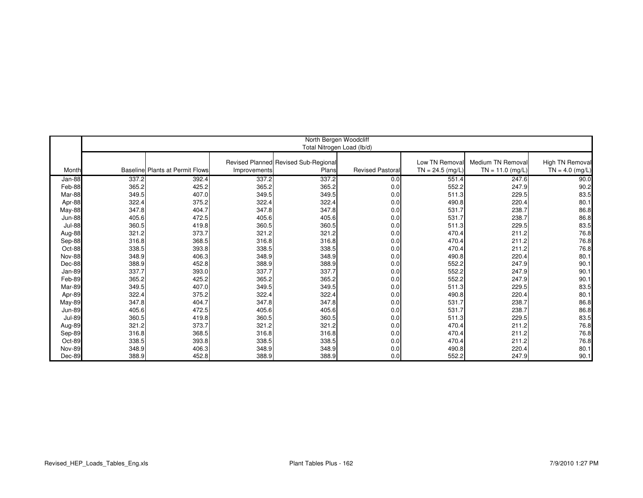|               | North Bergen Woodcliff |                                        |              |                                      |                         |                    |                    |                   |  |  |
|---------------|------------------------|----------------------------------------|--------------|--------------------------------------|-------------------------|--------------------|--------------------|-------------------|--|--|
|               |                        |                                        |              | Total Nitrogen Load (lb/d)           |                         |                    |                    |                   |  |  |
|               |                        |                                        |              |                                      |                         |                    |                    |                   |  |  |
|               |                        |                                        |              | Revised Planned Revised Sub-Regional |                         | Low TN Removal     | Medium TN Removal  | High TN Removal   |  |  |
| Month         |                        | <b>Baseline Plants at Permit Flows</b> | Improvements | Plans                                | <b>Revised Pastoral</b> | $TN = 24.5$ (mg/L) | $TN = 11.0$ (mg/L) | $TN = 4.0$ (mg/L) |  |  |
| Jan-88        | 337.2                  | 392.4                                  | 337.2        | 337.2                                | 0.0                     | 551.4              | 247.6              | 90.0              |  |  |
| Feb-88        | 365.2                  | 425.2                                  | 365.2        | 365.2                                | 0.0                     | 552.2              | 247.9              | 90.2              |  |  |
| Mar-88        | 349.5                  | 407.0                                  | 349.5        | 349.5                                | 0.0                     | 511.3              | 229.5              | 83.5              |  |  |
| Apr-88        | 322.4                  | 375.2                                  | 322.4        | 322.4                                | 0.0                     | 490.8              | 220.4              | 80.1              |  |  |
| May-88        | 347.8                  | 404.7                                  | 347.8        | 347.8                                | 0.0                     | 531.7              | 238.7              | 86.8              |  |  |
| <b>Jun-88</b> | 405.6                  | 472.5                                  | 405.6        | 405.6                                | 0.0                     | 531.7              | 238.7              | 86.8              |  |  |
| <b>Jul-88</b> | 360.5                  | 419.8                                  | 360.5        | 360.5                                | 0.0                     | 511.3              | 229.5              | 83.5              |  |  |
| Aug-88        | 321.2                  | 373.7                                  | 321.2        | 321.2                                | 0.0                     | 470.4              | 211.2              | 76.8              |  |  |
| Sep-88        | 316.8                  | 368.5                                  | 316.8        | 316.8                                | 0.0                     | 470.4              | 211.2              | 76.8              |  |  |
| Oct-88        | 338.5                  | 393.8                                  | 338.5        | 338.5                                | 0.0                     | 470.4              | 211.2              | 76.8              |  |  |
| <b>Nov-88</b> | 348.9                  | 406.3                                  | 348.9        | 348.9                                | 0.0                     | 490.8              | 220.4              | 80.1              |  |  |
| Dec-88        | 388.9                  | 452.8                                  | 388.9        | 388.9                                | 0.0                     | 552.2              | 247.9              | 90.1              |  |  |
| Jan-89        | 337.7                  | 393.0                                  | 337.7        | 337.7                                | 0.0                     | 552.2              | 247.9              | 90.1              |  |  |
| Feb-89        | 365.2                  | 425.2                                  | 365.2        | 365.2                                | 0.0                     | 552.2              | 247.9              | 90.1              |  |  |
| Mar-89        | 349.5                  | 407.0                                  | 349.5        | 349.5                                | 0.0                     | 511.3              | 229.5              | 83.5              |  |  |
| Apr-89        | 322.4                  | 375.2                                  | 322.4        | 322.4                                | 0.0                     | 490.8              | 220.4              | 80.1              |  |  |
| <b>May-89</b> | 347.8                  | 404.7                                  | 347.8        | 347.8                                | 0.0                     | 531.7              | 238.7              | 86.8              |  |  |
| <b>Jun-89</b> | 405.6                  | 472.5                                  | 405.6        | 405.6                                | 0.0                     | 531.7              | 238.7              | 86.8              |  |  |
| <b>Jul-89</b> | 360.5                  | 419.8                                  | 360.5        | 360.5                                | 0.0                     | 511.3              | 229.5              | 83.5              |  |  |
| Aug-89        | 321.2                  | 373.7                                  | 321.2        | 321.2                                | 0.0                     | 470.4              | 211.2              | 76.8              |  |  |
| Sep-89        | 316.8                  | 368.5                                  | 316.8        | 316.8                                | 0.0                     | 470.4              | 211.2              | 76.8              |  |  |
| Oct-89        | 338.5                  | 393.8                                  | 338.5        | 338.5                                | 0.0                     | 470.4              | 211.2              | 76.8              |  |  |
| <b>Nov-89</b> | 348.9                  | 406.3                                  | 348.9        | 348.9                                | 0.0                     | 490.8              | 220.4              | 80.1              |  |  |
| Dec-89        | 388.9                  | 452.8                                  | 388.9        | 388.9                                | 0.0                     | 552.2              | 247.9              | 90.1              |  |  |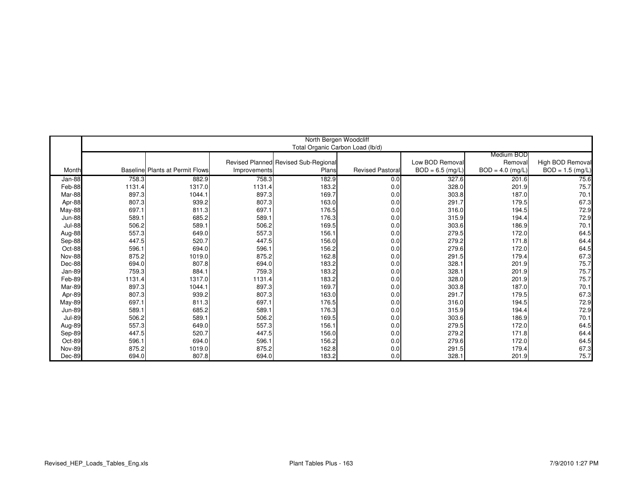|               | North Bergen Woodcliff |                                        |              |                                      |                         |                    |                    |                    |  |  |
|---------------|------------------------|----------------------------------------|--------------|--------------------------------------|-------------------------|--------------------|--------------------|--------------------|--|--|
|               |                        |                                        |              | Total Organic Carbon Load (lb/d)     |                         |                    |                    |                    |  |  |
|               |                        |                                        |              |                                      |                         |                    | Medium BOD         |                    |  |  |
|               |                        |                                        |              | Revised Planned Revised Sub-Regional |                         | Low BOD Removal    | Removal            | High BOD Removal   |  |  |
| Month         |                        | <b>Baseline Plants at Permit Flows</b> | Improvements | Plans                                | <b>Revised Pastoral</b> | $BOD = 6.5$ (mg/L) | $BOD = 4.0$ (mg/L) | $BOD = 1.5$ (mg/L) |  |  |
|               |                        |                                        |              |                                      |                         |                    |                    |                    |  |  |
| Jan-88        | 758.3                  | 882.9                                  | 758.3        | 182.9                                | 0.0                     | 327.6              | 201.6              | 75.6               |  |  |
| Feb-88        | 1131.4                 | 1317.0                                 | 1131.4       | 183.2                                | 0.0                     | 328.0              | 201.9              | 75.7               |  |  |
| Mar-88        | 897.3                  | 1044.1                                 | 897.3        | 169.7                                | 0.0                     | 303.8              | 187.0              | 70.1               |  |  |
| Apr-88        | 807.3                  | 939.2                                  | 807.3        | 163.0                                | 0.0                     | 291.7              | 179.5              | 67.3               |  |  |
| May-88        | 697.1                  | 811.3                                  | 697.1        | 176.5                                | 0.0                     | 316.0              | 194.5              | 72.9               |  |  |
| <b>Jun-88</b> | 589.1                  | 685.2                                  | 589.1        | 176.3                                | 0.0                     | 315.9              | 194.4              | 72.9               |  |  |
| <b>Jul-88</b> | 506.2                  | 589.1                                  | 506.2        | 169.5                                | 0.0                     | 303.6              | 186.9              | 70.1               |  |  |
| Aug-88        | 557.3                  | 649.0                                  | 557.3        | 156.1                                | 0.0                     | 279.5              | 172.0              | 64.5               |  |  |
| Sep-88        | 447.5                  | 520.7                                  | 447.5        | 156.0                                | 0.0                     | 279.2              | 171.8              | 64.4               |  |  |
| Oct-88        | 596.1                  | 694.0                                  | 596.1        | 156.2                                | 0.0                     | 279.6              | 172.0              | 64.5               |  |  |
| <b>Nov-88</b> | 875.2                  | 1019.0                                 | 875.2        | 162.8                                | 0.0                     | 291.5              | 179.4              | 67.3               |  |  |
| Dec-88        | 694.0                  | 807.8                                  | 694.0        | 183.2                                | 0.0                     | 328.1              | 201.9              | 75.7               |  |  |
| Jan-89        | 759.3                  | 884.1                                  | 759.3        | 183.2                                | 0.0                     | 328.1              | 201.9              | 75.7               |  |  |
| Feb-89        | 1131.4                 | 1317.0                                 | 1131.4       | 183.2                                | 0.0                     | 328.0              | 201.9              | 75.7               |  |  |
| Mar-89        | 897.3                  | 1044.1                                 | 897.3        | 169.7                                | 0.0                     | 303.8              | 187.0              | 70.1               |  |  |
| Apr-89        | 807.3                  | 939.2                                  | 807.3        | 163.0                                | 0.0                     | 291.7              | 179.5              | 67.3               |  |  |
| <b>May-89</b> | 697.1                  | 811.3                                  | 697.1        | 176.5                                | 0.0                     | 316.0              | 194.5              | 72.9               |  |  |
| <b>Jun-89</b> | 589.1                  | 685.2                                  | 589.1        | 176.3                                | 0.0                     | 315.9              | 194.4              | 72.9               |  |  |
| <b>Jul-89</b> | 506.2                  | 589.1                                  | 506.2        | 169.5                                | 0.0                     | 303.6              | 186.9              | 70.1               |  |  |
| Aug-89        | 557.3                  | 649.0                                  | 557.3        | 156.1                                | 0.0                     | 279.5              | 172.0              | 64.5               |  |  |
| Sep-89        | 447.5                  | 520.7                                  | 447.5        | 156.0                                | 0.0                     | 279.2              | 171.8              | 64.4               |  |  |
| Oct-89        | 596.1                  | 694.0                                  | 596.1        | 156.2                                | 0.0                     | 279.6              | 172.0              | 64.5               |  |  |
| <b>Nov-89</b> | 875.2                  | 1019.0                                 | 875.2        | 162.8                                | 0.0                     | 291.5              | 179.4              | 67.3               |  |  |
| Dec-89        | 694.0                  | 807.8                                  | 694.0        | 183.2                                | 0.0                     | 328.1              | 201.9              | 75.7               |  |  |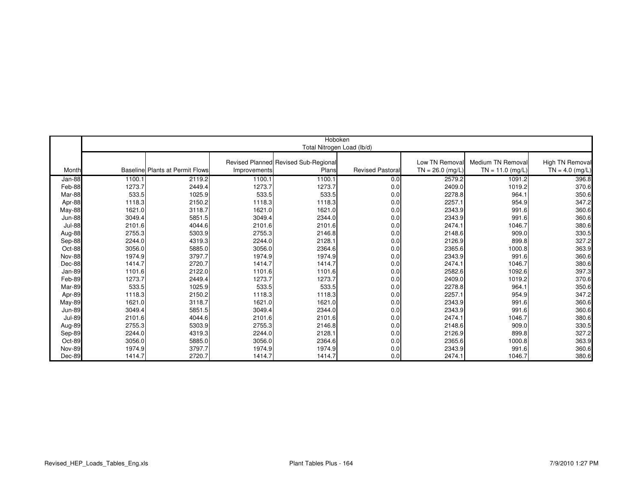|               | Hoboken |                                        |              |                                      |                         |                    |                    |                   |  |  |
|---------------|---------|----------------------------------------|--------------|--------------------------------------|-------------------------|--------------------|--------------------|-------------------|--|--|
|               |         |                                        |              | Total Nitrogen Load (lb/d)           |                         |                    |                    |                   |  |  |
|               |         |                                        |              |                                      |                         |                    |                    |                   |  |  |
|               |         |                                        |              | Revised Planned Revised Sub-Regional |                         | Low TN Removal     | Medium TN Removal  | High TN Removal   |  |  |
| Month         |         | <b>Baseline Plants at Permit Flows</b> | Improvements | <b>Plans</b>                         | <b>Revised Pastoral</b> | $TN = 26.0$ (mg/L) | $TN = 11.0$ (mg/L) | $TN = 4.0$ (mg/L) |  |  |
| Jan-88        | 1100.1  | 2119.2                                 | 1100.1       | 1100.1                               | 0.0                     | 2579.2             | 1091.2             | 396.8             |  |  |
| Feb-88        | 1273.7  | 2449.4                                 | 1273.7       | 1273.7                               | 0.0                     | 2409.0             | 1019.2             | 370.6             |  |  |
| Mar-88        | 533.5   | 1025.9                                 | 533.5        | 533.5                                | 0.0                     | 2278.8             | 964.1              | 350.6             |  |  |
| Apr-88        | 1118.3  | 2150.2                                 | 1118.3       | 1118.3                               | 0.0                     | 2257.1             | 954.9              | 347.2             |  |  |
| May-88        | 1621.0  | 3118.7                                 | 1621.0       | 1621.0                               | 0.0                     | 2343.9             | 991.6              | 360.6             |  |  |
| <b>Jun-88</b> | 3049.4  | 5851.5                                 | 3049.4       | 2344.0                               | 0.0                     | 2343.9             | 991.6              | 360.6             |  |  |
| <b>Jul-88</b> | 2101.6  | 4044.6                                 | 2101.6       | 2101.6                               | 0.0                     | 2474.1             | 1046.7             | 380.6             |  |  |
| Aug-88        | 2755.3  | 5303.9                                 | 2755.3       | 2146.8                               | 0.0                     | 2148.6             | 909.0              | 330.5             |  |  |
| Sep-88        | 2244.0  | 4319.3                                 | 2244.0       | 2128.1                               | 0.0                     | 2126.9             | 899.8              | 327.2             |  |  |
| Oct-88        | 3056.0  | 5885.0                                 | 3056.0       | 2364.6                               | 0.0                     | 2365.6             | 1000.8             | 363.9             |  |  |
| <b>Nov-88</b> | 1974.9  | 3797.7                                 | 1974.9       | 1974.9                               | 0.0                     | 2343.9             | 991.6              | 360.6             |  |  |
| Dec-88        | 1414.7  | 2720.7                                 | 1414.7       | 1414.7                               | 0.0                     | 2474.1             | 1046.7             | 380.6             |  |  |
| Jan-89        | 1101.6  | 2122.0                                 | 1101.6       | 1101.6                               | 0.0                     | 2582.6             | 1092.6             | 397.3             |  |  |
| Feb-89        | 1273.7  | 2449.4                                 | 1273.7       | 1273.7                               | 0.0                     | 2409.0             | 1019.2             | 370.6             |  |  |
| Mar-89        | 533.5   | 1025.9                                 | 533.5        | 533.5                                | 0.0                     | 2278.8             | 964.1              | 350.6             |  |  |
| Apr-89        | 1118.3  | 2150.2                                 | 1118.3       | 1118.3                               | 0.0                     | 2257.1             | 954.9              | 347.2             |  |  |
| <b>May-89</b> | 1621.0  | 3118.7                                 | 1621.0       | 1621.0                               | 0.0                     | 2343.9             | 991.6              | 360.6             |  |  |
| <b>Jun-89</b> | 3049.4  | 5851.5                                 | 3049.4       | 2344.0                               | 0.0                     | 2343.9             | 991.6              | 360.6             |  |  |
| <b>Jul-89</b> | 2101.6  | 4044.6                                 | 2101.6       | 2101.6                               | 0.0                     | 2474.1             | 1046.7             | 380.6             |  |  |
| Aug-89        | 2755.3  | 5303.9                                 | 2755.3       | 2146.8                               | 0.0                     | 2148.6             | 909.0              | 330.5             |  |  |
| Sep-89        | 2244.0  | 4319.3                                 | 2244.0       | 2128.1                               | 0.0                     | 2126.9             | 899.8              | 327.2             |  |  |
| Oct-89        | 3056.0  | 5885.0                                 | 3056.0       | 2364.6                               | 0.0                     | 2365.6             | 1000.8             | 363.9             |  |  |
| <b>Nov-89</b> | 1974.9  | 3797.7                                 | 1974.9       | 1974.9                               | 0.0                     | 2343.9             | 991.6              | 360.6             |  |  |
| Dec-89        | 1414.7  | 2720.7                                 | 1414.7       | 1414.7                               | 0.0                     | 2474.1             | 1046.7             | 380.6             |  |  |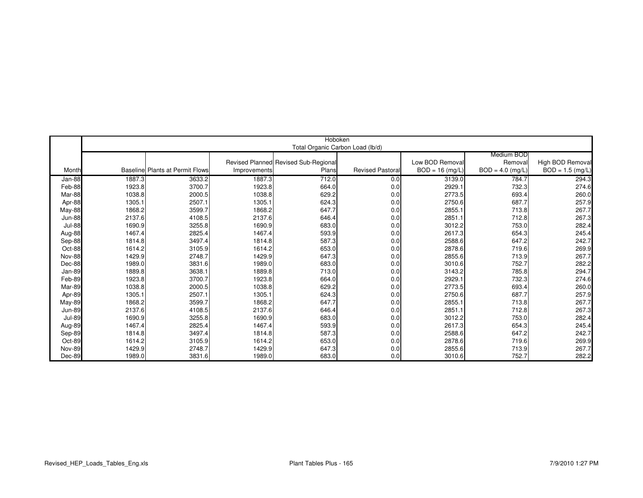|               |        |                                        |              | Hoboken                              |                         |                  |                    |                    |
|---------------|--------|----------------------------------------|--------------|--------------------------------------|-------------------------|------------------|--------------------|--------------------|
|               |        |                                        |              | Total Organic Carbon Load (lb/d)     |                         |                  |                    |                    |
|               |        |                                        |              |                                      |                         |                  | Medium BOD         |                    |
|               |        |                                        |              | Revised Planned Revised Sub-Regional |                         | Low BOD Remova   | Removal            | High BOD Removal   |
| Month         |        | <b>Baseline Plants at Permit Flows</b> | Improvements | Plans                                | <b>Revised Pastoral</b> | $BOD = 16$ (mg/L | $BOD = 4.0$ (mg/L) | $BOD = 1.5$ (mg/L) |
| Jan-88        | 1887.3 | 3633.2                                 | 1887.3       | 712.0                                | 0.0                     | 3139.0           | 784.7              | 294.3              |
| Feb-88        | 1923.8 | 3700.7                                 | 1923.8       | 664.0                                | 0.0                     | 2929.1           | 732.3              | 274.6              |
| Mar-88        | 1038.8 | 2000.5                                 | 1038.8       | 629.2                                | 0.0                     | 2773.5           | 693.4              | 260.0              |
| Apr-88        | 1305.1 | 2507.1                                 | 1305.1       | 624.3                                | 0.0                     | 2750.6           | 687.7              | 257.9              |
| May-88        | 1868.2 | 3599.7                                 | 1868.2       | 647.7                                | 0.0                     | 2855.1           | 713.8              | 267.7              |
| <b>Jun-88</b> | 2137.6 | 4108.5                                 | 2137.6       | 646.4                                | 0.0                     | 2851.1           | 712.8              | 267.3              |
| <b>Jul-88</b> | 1690.9 | 3255.8                                 | 1690.9       | 683.0                                | 0.0                     | 3012.2           | 753.0              | 282.4              |
| Aug-88        | 1467.4 | 2825.4                                 | 1467.4       | 593.9                                | 0.0                     | 2617.3           | 654.3              | 245.4              |
| Sep-88        | 1814.8 | 3497.4                                 | 1814.8       | 587.3                                | 0.0                     | 2588.6           | 647.2              | 242.7              |
| Oct-88        | 1614.2 | 3105.9                                 | 1614.2       | 653.0                                | 0.0                     | 2878.6           | 719.6              | 269.9              |
| <b>Nov-88</b> | 1429.9 | 2748.7                                 | 1429.9       | 647.3                                | 0.0                     | 2855.6           | 713.9              | 267.7              |
| Dec-88        | 1989.0 | 3831.6                                 | 1989.0       | 683.0                                | 0.0                     | 3010.6           | 752.7              | 282.2              |
| Jan-89        | 1889.8 | 3638.1                                 | 1889.8       | 713.0                                | 0.0                     | 3143.2           | 785.8              | 294.7              |
| Feb-89        | 1923.8 | 3700.7                                 | 1923.8       | 664.0                                | 0.0                     | 2929.1           | 732.3              | 274.6              |
| Mar-89        | 1038.8 | 2000.5                                 | 1038.8       | 629.2                                | 0.0                     | 2773.5           | 693.4              | 260.0              |
| Apr-89        | 1305.1 | 2507.1                                 | 1305.1       | 624.3                                | 0.0                     | 2750.6           | 687.7              | 257.9              |
| May-89        | 1868.2 | 3599.7                                 | 1868.2       | 647.7                                | 0.0                     | 2855.1           | 713.8              | 267.7              |
| <b>Jun-89</b> | 2137.6 | 4108.5                                 | 2137.6       | 646.4                                | 0.0                     | 2851.1           | 712.8              | 267.3              |
| <b>Jul-89</b> | 1690.9 | 3255.8                                 | 1690.9       | 683.0                                | 0.0                     | 3012.2           | 753.0              | 282.4              |
| Aug-89        | 1467.4 | 2825.4                                 | 1467.4       | 593.9                                | 0.0                     | 2617.3           | 654.3              | 245.4              |
| Sep-89        | 1814.8 | 3497.4                                 | 1814.8       | 587.3                                | 0.0                     | 2588.6           | 647.2              | 242.7              |
| Oct-89        | 1614.2 | 3105.9                                 | 1614.2       | 653.0                                | 0.0                     | 2878.6           | 719.6              | 269.9              |
| <b>Nov-89</b> | 1429.9 | 2748.7                                 | 1429.9       | 647.3                                | 0.0                     | 2855.6           | 713.9              | 267.7              |
| Dec-89        | 1989.0 | 3831.6                                 | 1989.0       | 683.0                                | 0.0                     | 3010.6           | 752.7              | 282.2              |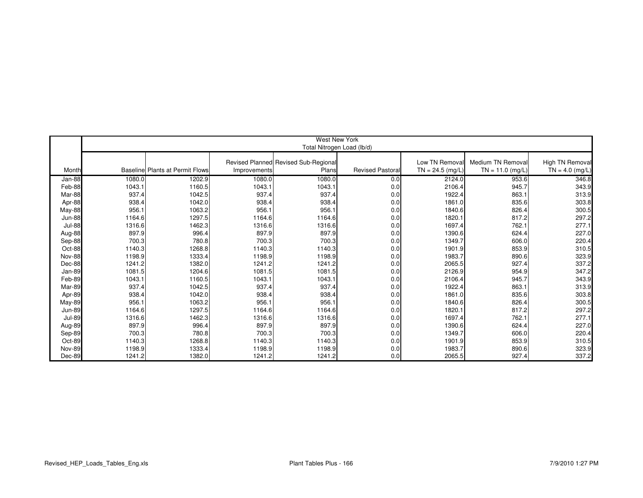|               |        |                                        |              | <b>West New York</b>                 |                         |                    |                    |                   |  |  |  |  |  |
|---------------|--------|----------------------------------------|--------------|--------------------------------------|-------------------------|--------------------|--------------------|-------------------|--|--|--|--|--|
|               |        |                                        |              | Total Nitrogen Load (lb/d)           |                         |                    |                    |                   |  |  |  |  |  |
|               |        |                                        |              |                                      |                         |                    |                    |                   |  |  |  |  |  |
|               |        |                                        |              | Revised Planned Revised Sub-Regional |                         | Low TN Removal     | Medium TN Removal  | High TN Removal   |  |  |  |  |  |
| Month         |        | <b>Baseline Plants at Permit Flows</b> | Improvements | Plans                                | <b>Revised Pastoral</b> | $TN = 24.5$ (mg/L) | $TN = 11.0$ (mg/L) | $TN = 4.0$ (mg/L) |  |  |  |  |  |
| Jan-88        | 1080.0 | 1202.9                                 | 1080.0       | 1080.0                               | 0.0                     | 2124.0             | 953.6              | 346.8             |  |  |  |  |  |
| Feb-88        | 1043.1 | 1160.5                                 | 1043.1       | 1043.1                               | 0.0                     | 2106.4             | 945.7              | 343.9             |  |  |  |  |  |
| Mar-88        | 937.4  | 1042.5                                 | 937.4        | 937.4                                | 0.0                     | 1922.4             | 863.1              | 313.9             |  |  |  |  |  |
| Apr-88        | 938.4  | 1042.0                                 | 938.4        | 938.4                                | 0.0                     | 1861.0             | 835.6              | 303.8             |  |  |  |  |  |
| May-88        | 956.1  | 1063.2                                 | 956.1        | 956.1                                | 0.0                     | 1840.6             | 826.4              | 300.5             |  |  |  |  |  |
| <b>Jun-88</b> | 1164.6 | 1297.5                                 | 1164.6       | 1164.6                               | 0.0                     | 1820.1             | 817.2              | 297.2             |  |  |  |  |  |
| <b>Jul-88</b> | 1316.6 | 1462.3                                 | 1316.6       | 1316.6                               | 0.0                     | 1697.4             | 762.1              | 277.1             |  |  |  |  |  |
| Aug-88        | 897.9  | 996.4                                  | 897.9        | 897.9                                | 0.0                     | 1390.6             | 624.4              | 227.0             |  |  |  |  |  |
| Sep-88        | 700.3  | 780.8                                  | 700.3        | 700.3                                | 0.0                     | 1349.7             | 606.0              | 220.4             |  |  |  |  |  |
| Oct-88        | 1140.3 | 1268.8                                 | 1140.3       | 1140.3                               | 0.0                     | 1901.9             | 853.9              | 310.5             |  |  |  |  |  |
| <b>Nov-88</b> | 1198.9 | 1333.4                                 | 1198.9       | 1198.9                               | 0.0                     | 1983.7             | 890.6              | 323.9             |  |  |  |  |  |
| Dec-88        | 1241.2 | 1382.0                                 | 1241.2       | 1241.2                               | 0.0                     | 2065.5             | 927.4              | 337.2             |  |  |  |  |  |
| Jan-89        | 1081.5 | 1204.6                                 | 1081.5       | 1081.5                               | 0.0                     | 2126.9             | 954.9              | 347.2             |  |  |  |  |  |
| Feb-89        | 1043.1 | 1160.5                                 | 1043.1       | 1043.1                               | 0.0                     | 2106.4             | 945.7              | 343.9             |  |  |  |  |  |
| Mar-89        | 937.4  | 1042.5                                 | 937.4        | 937.4                                | 0.0                     | 1922.4             | 863.1              | 313.9             |  |  |  |  |  |
| Apr-89        | 938.4  | 1042.0                                 | 938.4        | 938.4                                | 0.0                     | 1861.0             | 835.6              | 303.8             |  |  |  |  |  |
| <b>May-89</b> | 956.1  | 1063.2                                 | 956.1        | 956.1                                | 0.0                     | 1840.6             | 826.4              | 300.5             |  |  |  |  |  |
| <b>Jun-89</b> | 1164.6 | 1297.5                                 | 1164.6       | 1164.6                               | 0.0                     | 1820.1             | 817.2              | 297.2             |  |  |  |  |  |
| <b>Jul-89</b> | 1316.6 | 1462.3                                 | 1316.6       | 1316.6                               | 0.0                     | 1697.4             | 762.1              | 277.1             |  |  |  |  |  |
| Aug-89        | 897.9  | 996.4                                  | 897.9        | 897.9                                | 0.0                     | 1390.6             | 624.4              | 227.0             |  |  |  |  |  |
| Sep-89        | 700.3  | 780.8                                  | 700.3        | 700.3                                | 0.0                     | 1349.7             | 606.0              | 220.4             |  |  |  |  |  |
| Oct-89        | 1140.3 | 1268.8                                 | 1140.3       | 1140.3                               | 0.0                     | 1901.9             | 853.9              | 310.5             |  |  |  |  |  |
| <b>Nov-89</b> | 1198.9 | 1333.4                                 | 1198.9       | 1198.9                               | 0.0                     | 1983.7             | 890.6              | 323.9             |  |  |  |  |  |
| Dec-89        | 1241.2 | 1382.0                                 | 1241.2       | 1241.2                               | 0.0                     | 2065.5             | 927.4              | 337.2             |  |  |  |  |  |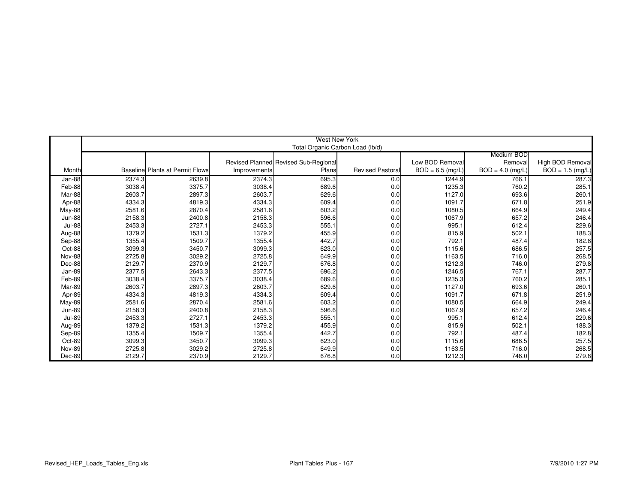|               |        |                                        |              | West New York                        |                         |                   |                    |                    |
|---------------|--------|----------------------------------------|--------------|--------------------------------------|-------------------------|-------------------|--------------------|--------------------|
|               |        |                                        |              | Total Organic Carbon Load (lb/d)     |                         |                   |                    |                    |
|               |        |                                        |              |                                      |                         |                   | Medium BOD         |                    |
|               |        |                                        |              | Revised Planned Revised Sub-Regional |                         | Low BOD Remova    | Removal            | High BOD Removal   |
| Month         |        | <b>Baseline Plants at Permit Flows</b> | Improvements | Plans                                | <b>Revised Pastoral</b> | $BOD = 6.5$ (mg/L | $BOD = 4.0$ (mg/L) | $BOD = 1.5$ (mg/L) |
| Jan-88        | 2374.3 | 2639.8                                 | 2374.3       | 695.3                                | 0.0                     | 1244.9            | 766.1              | 287.3              |
| Feb-88        | 3038.4 | 3375.7                                 | 3038.4       | 689.6                                | 0.0                     | 1235.3            | 760.2              | 285.1              |
| Mar-88        | 2603.7 | 2897.3                                 | 2603.7       | 629.6                                | 0.0                     | 1127.0            | 693.6              | 260.1              |
| Apr-88        | 4334.3 | 4819.3                                 | 4334.3       | 609.4                                | 0.0                     | 1091.7            | 671.8              | 251.9              |
| May-88        | 2581.6 | 2870.4                                 | 2581.6       | 603.2                                | 0.0                     | 1080.5            | 664.9              | 249.4              |
| <b>Jun-88</b> | 2158.3 | 2400.8                                 | 2158.3       | 596.6                                | 0.0                     | 1067.9            | 657.2              | 246.4              |
| <b>Jul-88</b> | 2453.3 | 2727.1                                 | 2453.3       | 555.1                                | 0.0                     | 995.1             | 612.4              | 229.6              |
| Aug-88        | 1379.2 | 1531.3                                 | 1379.2       | 455.9                                | 0.0                     | 815.9             | 502.1              | 188.3              |
| Sep-88        | 1355.4 | 1509.7                                 | 1355.4       | 442.7                                | 0.0                     | 792.1             | 487.4              | 182.8              |
| Oct-88        | 3099.3 | 3450.7                                 | 3099.3       | 623.0                                | 0.0                     | 1115.6            | 686.5              | 257.5              |
| <b>Nov-88</b> | 2725.8 | 3029.2                                 | 2725.8       | 649.9                                | 0.0                     | 1163.5            | 716.0              | 268.5              |
| Dec-88        | 2129.7 | 2370.9                                 | 2129.7       | 676.8                                | 0.0                     | 1212.3            | 746.0              | 279.8              |
| Jan-89        | 2377.5 | 2643.3                                 | 2377.5       | 696.2                                | 0.0                     | 1246.5            | 767.1              | 287.7              |
| Feb-89        | 3038.4 | 3375.7                                 | 3038.4       | 689.6                                | 0.0                     | 1235.3            | 760.2              | 285.1              |
| Mar-89        | 2603.7 | 2897.3                                 | 2603.7       | 629.6                                | 0.0                     | 1127.0            | 693.6              | 260.1              |
| Apr-89        | 4334.3 | 4819.3                                 | 4334.3       | 609.4                                | 0.0                     | 1091.7            | 671.8              | 251.9              |
| May-89        | 2581.6 | 2870.4                                 | 2581.6       | 603.2                                | 0.0                     | 1080.5            | 664.9              | 249.4              |
| <b>Jun-89</b> | 2158.3 | 2400.8                                 | 2158.3       | 596.6                                | 0.0                     | 1067.9            | 657.2              | 246.4              |
| <b>Jul-89</b> | 2453.3 | 2727.1                                 | 2453.3       | 555.1                                | 0.0                     | 995.1             | 612.4              | 229.6              |
| Aug-89        | 1379.2 | 1531.3                                 | 1379.2       | 455.9                                | 0.0                     | 815.9             | 502.1              | 188.3              |
| Sep-89        | 1355.4 | 1509.7                                 | 1355.4       | 442.7                                | 0.0                     | 792.1             | 487.4              | 182.8              |
| Oct-89        | 3099.3 | 3450.7                                 | 3099.3       | 623.0                                | 0.0                     | 1115.6            | 686.5              | 257.5              |
| <b>Nov-89</b> | 2725.8 | 3029.2                                 | 2725.8       | 649.9                                | 0.0                     | 1163.5            | 716.0              | 268.5              |
| Dec-89        | 2129.7 | 2370.9                                 | 2129.7       | 676.8                                | 0.0                     | 1212.3            | 746.0              | 279.8              |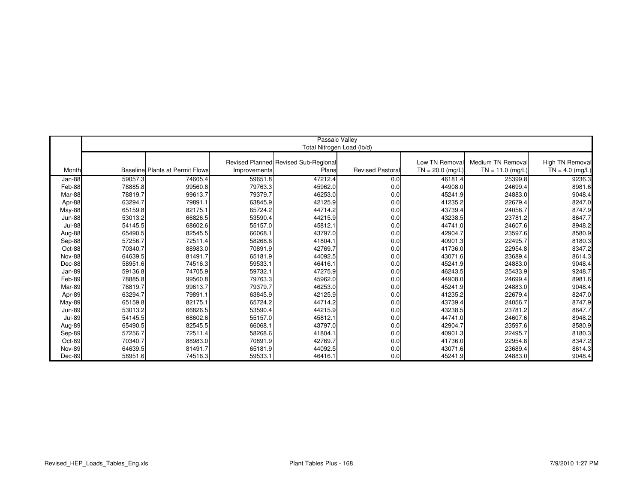|               |         |                                        |              | Passaic Valley                       |                         |                   |                    |                   |
|---------------|---------|----------------------------------------|--------------|--------------------------------------|-------------------------|-------------------|--------------------|-------------------|
|               |         |                                        |              | Total Nitrogen Load (lb/d)           |                         |                   |                    |                   |
|               |         |                                        |              |                                      |                         |                   |                    |                   |
|               |         |                                        |              | Revised Planned Revised Sub-Regional |                         | Low TN Removal    | Medium TN Removal  | High TN Removal   |
| Month         |         | <b>Baseline Plants at Permit Flows</b> | Improvements | Plans                                | <b>Revised Pastoral</b> | $TN = 20.0$ (mg/L | $TN = 11.0$ (mg/L) | $TN = 4.0$ (mg/L) |
| Jan-88        | 59057.3 | 74605.4                                | 59651.8      | 47212.4                              | 0.0                     | 46181.4           | 25399.8            | 9236.3            |
| Feb-88        | 78885.8 | 99560.8                                | 79763.3      | 45962.0                              | 0.0                     | 44908.0           | 24699.4            | 8981.6            |
| Mar-88        | 78819.7 | 99613.7                                | 79379.7      | 46253.0                              | 0.0                     | 45241.9           | 24883.0            | 9048.4            |
| Apr-88        | 63294.7 | 79891.1                                | 63845.9      | 42125.9                              | 0.0                     | 41235.2           | 22679.4            | 8247.0            |
| May-88        | 65159.8 | 82175.1                                | 65724.2      | 44714.2                              | 0.0                     | 43739.4           | 24056.7            | 8747.9            |
| <b>Jun-88</b> | 53013.2 | 66826.5                                | 53590.4      | 44215.9                              | 0.0                     | 43238.5           | 23781.2            | 8647.7            |
| <b>Jul-88</b> | 54145.5 | 68602.6                                | 55157.0      | 45812.1                              | 0.0                     | 44741.0           | 24607.6            | 8948.2            |
| Aug-88        | 65490.5 | 82545.5                                | 66068.1      | 43797.0                              | 0.0                     | 42904.7           | 23597.6            | 8580.9            |
| Sep-88        | 57256.7 | 72511.4                                | 58268.6      | 41804.1                              | 0.0                     | 40901.3           | 22495.7            | 8180.3            |
| Oct-88        | 70340.7 | 88983.0                                | 70891.9      | 42769.7                              | 0.0                     | 41736.0           | 22954.8            | 8347.2            |
| <b>Nov-88</b> | 64639.5 | 81491.7                                | 65181.9      | 44092.5                              | 0.0                     | 43071.6           | 23689.4            | 8614.3            |
| Dec-88        | 58951.6 | 74516.3                                | 59533.1      | 46416.1                              | 0.0                     | 45241.9           | 24883.0            | 9048.4            |
| Jan-89        | 59136.8 | 74705.9                                | 59732.1      | 47275.9                              | 0.0                     | 46243.5           | 25433.9            | 9248.7            |
| Feb-89        | 78885.8 | 99560.8                                | 79763.3      | 45962.0                              | 0.0                     | 44908.0           | 24699.4            | 8981.6            |
| Mar-89        | 78819.7 | 99613.7                                | 79379.7      | 46253.0                              | 0.0                     | 45241.9           | 24883.0            | 9048.4            |
| Apr-89        | 63294.7 | 79891.1                                | 63845.9      | 42125.9                              | 0.0                     | 41235.2           | 22679.4            | 8247.0            |
| <b>May-89</b> | 65159.8 | 82175.1                                | 65724.2      | 44714.2                              | 0.0                     | 43739.4           | 24056.7            | 8747.9            |
| <b>Jun-89</b> | 53013.2 | 66826.5                                | 53590.4      | 44215.9                              | 0.0                     | 43238.5           | 23781.2            | 8647.7            |
| <b>Jul-89</b> | 54145.5 | 68602.6                                | 55157.0      | 45812.1                              | 0.0                     | 44741.0           | 24607.6            | 8948.2            |
| Aug-89        | 65490.5 | 82545.5                                | 66068.1      | 43797.0                              | 0.0                     | 42904.7           | 23597.6            | 8580.9            |
| Sep-89        | 57256.7 | 72511.4                                | 58268.6      | 41804.1                              | 0.0                     | 40901.3           | 22495.7            | 8180.3            |
| Oct-89        | 70340.7 | 88983.0                                | 70891.9      | 42769.7                              | 0.0                     | 41736.0           | 22954.8            | 8347.2            |
| <b>Nov-89</b> | 64639.5 | 81491.7                                | 65181.9      | 44092.5                              | 0.0                     | 43071.6           | 23689.4            | 8614.3            |
| Dec-89        | 58951.6 | 74516.3                                | 59533.1      | 46416.1                              | 0.0                     | 45241.9           | 24883.0            | 9048.4            |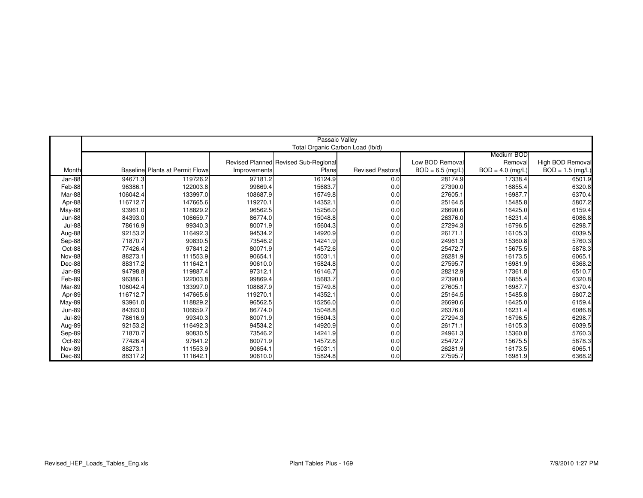|                         |          |                                        |              | Passaic Valley                       |                         |                    |                    |                    |
|-------------------------|----------|----------------------------------------|--------------|--------------------------------------|-------------------------|--------------------|--------------------|--------------------|
|                         |          |                                        |              | Total Organic Carbon Load (lb/d)     |                         |                    |                    |                    |
|                         |          |                                        |              |                                      |                         |                    | Medium BOD         |                    |
|                         |          |                                        |              | Revised Planned Revised Sub-Regional |                         | Low BOD Removal    | Removal            | High BOD Removal   |
| Month                   |          | <b>Baseline Plants at Permit Flows</b> | Improvements | Plans                                | <b>Revised Pastoral</b> | $BOD = 6.5$ (mg/L) | $BOD = 4.0$ (mg/L) | $BOD = 1.5$ (mg/L) |
| Jan-88                  | 94671.3  | 119726.2                               | 97181.2      | 16124.9                              | 0.0                     | 28174.9            | 17338.4            | 6501.9             |
| Feb-88                  | 96386.1  | 122003.8                               | 99869.4      | 15683.7                              | 0.0                     | 27390.0            | 16855.4            | 6320.8             |
| Mar-88                  | 106042.4 | 133997.0                               | 108687.9     | 15749.8                              | 0.0                     | 27605.1            | 16987.7            | 6370.4             |
| Apr-88                  | 116712.7 | 147665.6                               | 119270.1     | 14352.1                              | 0.0                     | 25164.5            | 15485.8            | 5807.2             |
|                         | 93961.0  | 118829.2                               | 96562.5      | 15256.0                              | 0.0                     | 26690.6            | 16425.0            | 6159.4             |
| May-88<br><b>Jun-88</b> | 84393.0  | 106659.7                               | 86774.0      | 15048.8                              | 0.0                     | 26376.0            | 16231.4            |                    |
|                         | 78616.9  | 99340.3                                | 80071.9      |                                      |                         | 27294.3            | 16796.5            | 6086.8             |
| Jul-88                  |          |                                        |              | 15604.3                              | 0.0                     |                    |                    | 6298.7             |
| Aug-88                  | 92153.2  | 116492.3                               | 94534.2      | 14920.9                              | 0.0                     | 26171.1            | 16105.3            | 6039.5             |
| Sep-88                  | 71870.7  | 90830.5                                | 73546.2      | 14241.9                              | 0.0                     | 24961.3            | 15360.8            | 5760.3             |
| Oct-88                  | 77426.4  | 97841.2                                | 80071.9      | 14572.6                              | 0.0                     | 25472.7            | 15675.5            | 5878.3             |
| <b>Nov-88</b>           | 88273.1  | 111553.9                               | 90654.1      | 15031.1                              | 0.0                     | 26281.9            | 16173.5            | 6065.1             |
| Dec-88                  | 88317.2  | 111642.1                               | 90610.0      | 15824.8                              | 0.0                     | 27595.7            | 16981.9            | 6368.2             |
| Jan-89                  | 94798.8  | 119887.4                               | 97312.1      | 16146.7                              | 0.0                     | 28212.9            | 17361.8            | 6510.7             |
| Feb-89                  | 96386.1  | 122003.8                               | 99869.4      | 15683.7                              | 0.0                     | 27390.0            | 16855.4            | 6320.8             |
| Mar-89                  | 106042.4 | 133997.0                               | 108687.9     | 15749.8                              | 0.0                     | 27605.1            | 16987.7            | 6370.4             |
| Apr-89                  | 116712.7 | 147665.6                               | 119270.1     | 14352.1                              | 0.0                     | 25164.5            | 15485.8            | 5807.2             |
| <b>May-89</b>           | 93961.0  | 118829.2                               | 96562.5      | 15256.0                              | 0.0                     | 26690.6            | 16425.0            | 6159.4             |
| <b>Jun-89</b>           | 84393.0  | 106659.7                               | 86774.0      | 15048.8                              | 0.0                     | 26376.0            | 16231.4            | 6086.8             |
| <b>Jul-89</b>           | 78616.9  | 99340.3                                | 80071.9      | 15604.3                              | 0.0                     | 27294.3            | 16796.5            | 6298.7             |
| Aug-89                  | 92153.2  | 116492.3                               | 94534.2      | 14920.9                              | 0.0                     | 26171.1            | 16105.3            | 6039.5             |
| Sep-89                  | 71870.7  | 90830.5                                | 73546.2      | 14241.9                              | 0.0                     | 24961.3            | 15360.8            | 5760.3             |
| Oct-89                  | 77426.4  | 97841.2                                | 80071.9      | 14572.6                              | 0.0                     | 25472.7            | 15675.5            | 5878.3             |
| Nov-89                  | 88273.1  | 111553.9                               | 90654.1      | 15031.1                              | 0.0                     | 26281.9            | 16173.5            | 6065.1             |
| Dec-89                  | 88317.2  | 111642.1                               | 90610.0      | 15824.8                              | 0.0                     | 27595.7            | 16981.9            | 6368.2             |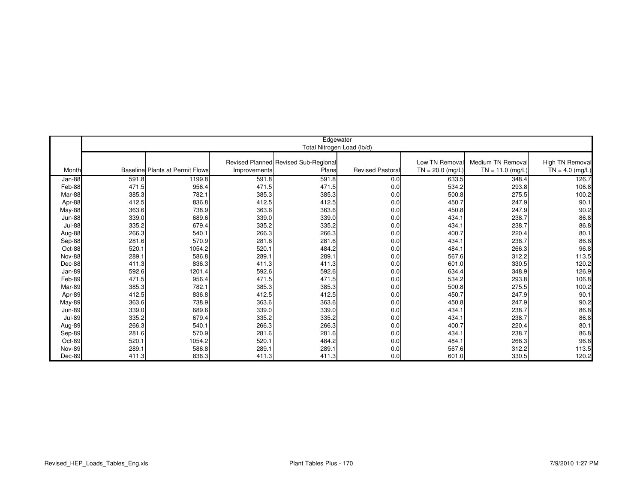|               |       |                                        |              | Edgewater                            |                         |                    |                    |                   |
|---------------|-------|----------------------------------------|--------------|--------------------------------------|-------------------------|--------------------|--------------------|-------------------|
|               |       |                                        |              | Total Nitrogen Load (lb/d)           |                         |                    |                    |                   |
|               |       |                                        |              |                                      |                         |                    |                    |                   |
|               |       |                                        |              | Revised Planned Revised Sub-Regional |                         | Low TN Remova      | Medium TN Removal  | High TN Removal   |
| Month         |       | <b>Baseline Plants at Permit Flows</b> | Improvements | Plans                                | <b>Revised Pastoral</b> | $TN = 20.0$ (mg/L) | $TN = 11.0$ (mg/L) | $TN = 4.0$ (mg/L) |
| Jan-88        | 591.8 | 1199.8                                 | 591.8        | 591.8                                | 0.0                     | 633.5              | 348.4              | 126.7             |
| Feb-88        | 471.5 | 956.4                                  | 471.5        | 471.5                                | 0.0                     | 534.2              | 293.8              | 106.8             |
| Mar-88        | 385.3 | 782.1                                  | 385.3        | 385.3                                | 0.0                     | 500.8              | 275.5              | 100.2             |
| Apr-88        | 412.5 | 836.8                                  | 412.5        | 412.5                                | 0.0                     | 450.7              | 247.9              | 90.1              |
| May-88        | 363.6 | 738.9                                  | 363.6        | 363.6                                | 0.0                     | 450.8              | 247.9              | 90.2              |
| <b>Jun-88</b> | 339.0 | 689.6                                  | 339.0        | 339.0                                | 0.0                     | 434.1              | 238.7              | 86.8              |
| <b>Jul-88</b> | 335.2 | 679.4                                  | 335.2        | 335.2                                | 0.0                     | 434.1              | 238.7              | 86.8              |
| Aug-88        | 266.3 | 540.1                                  | 266.3        | 266.3                                | 0.0                     | 400.7              | 220.4              | 80.1              |
| Sep-88        | 281.6 | 570.9                                  | 281.6        | 281.6                                | 0.0                     | 434.1              | 238.7              | 86.8              |
| Oct-88        | 520.1 | 1054.2                                 | 520.1        | 484.2                                | 0.0                     | 484.1              | 266.3              | 96.8              |
| <b>Nov-88</b> | 289.1 | 586.8                                  | 289.1        | 289.1                                | 0.0                     | 567.6              | 312.2              | 113.5             |
| Dec-88        | 411.3 | 836.3                                  | 411.3        | 411.3                                | 0.0                     | 601.0              | 330.5              | 120.2             |
| Jan-89        | 592.6 | 1201.4                                 | 592.6        | 592.6                                | 0.0                     | 634.4              | 348.9              | 126.9             |
| Feb-89        | 471.5 | 956.4                                  | 471.5        | 471.5                                | 0.0                     | 534.2              | 293.8              | 106.8             |
| Mar-89        | 385.3 | 782.1                                  | 385.3        | 385.3                                | 0.0                     | 500.8              | 275.5              | 100.2             |
| Apr-89        | 412.5 | 836.8                                  | 412.5        | 412.5                                | 0.0                     | 450.7              | 247.9              | 90.1              |
| <b>May-89</b> | 363.6 | 738.9                                  | 363.6        | 363.6                                | 0.0                     | 450.8              | 247.9              | 90.2              |
| <b>Jun-89</b> | 339.0 | 689.6                                  | 339.0        | 339.0                                | 0.0                     | 434.1              | 238.7              | 86.8              |
| <b>Jul-89</b> | 335.2 | 679.4                                  | 335.2        | 335.2                                | 0.0                     | 434.1              | 238.7              | 86.8              |
| Aug-89        | 266.3 | 540.1                                  | 266.3        | 266.3                                | 0.0                     | 400.7              | 220.4              | 80.1              |
| Sep-89        | 281.6 | 570.9                                  | 281.6        | 281.6                                | 0.0                     | 434.1              | 238.7              | 86.8              |
| Oct-89        | 520.1 | 1054.2                                 | 520.1        | 484.2                                | 0.0                     | 484.1              | 266.3              | 96.8              |
| <b>Nov-89</b> | 289.1 | 586.8                                  | 289.1        | 289.1                                | 0.0                     | 567.6              | 312.2              | 113.5             |
| Dec-89        | 411.3 | 836.3                                  | 411.3        | 411.3                                | 0.0                     | 601.0              | 330.5              | 120.2             |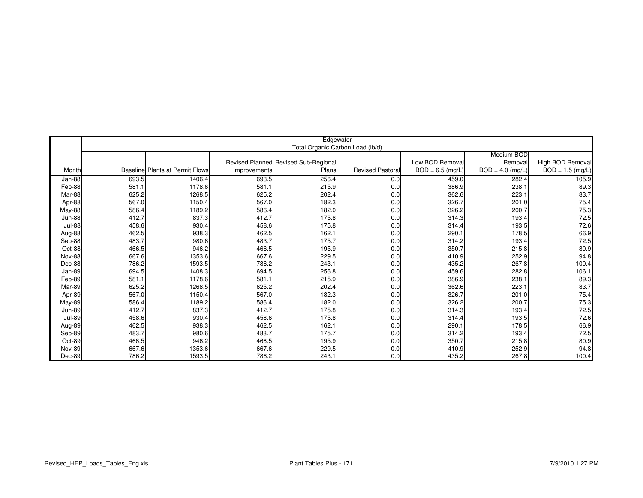|               |       |                                        |              | Edgewater                            |                         |                    |                    |                    |
|---------------|-------|----------------------------------------|--------------|--------------------------------------|-------------------------|--------------------|--------------------|--------------------|
|               |       |                                        |              | Total Organic Carbon Load (lb/d)     |                         |                    |                    |                    |
|               |       |                                        |              |                                      |                         |                    | Medium BOD         |                    |
|               |       |                                        |              | Revised Planned Revised Sub-Regional |                         | Low BOD Removal    | Removal            | High BOD Removal   |
| Month         |       | <b>Baseline Plants at Permit Flows</b> | Improvements | Plans                                | <b>Revised Pastoral</b> | $BOD = 6.5$ (mg/L) | $BOD = 4.0$ (mg/L) | $BOD = 1.5$ (mg/L) |
| Jan-88        | 693.5 | 1406.4                                 | 693.5        | 256.4                                | 0.0                     | 459.0              | 282.4              | 105.9              |
| Feb-88        | 581.1 | 1178.6                                 | 581.1        | 215.9                                | 0.0                     | 386.9              | 238.1              | 89.3               |
| Mar-88        | 625.2 | 1268.5                                 | 625.2        | 202.4                                | 0.0                     | 362.6              | 223.1              | 83.7               |
| Apr-88        | 567.0 | 1150.4                                 | 567.0        | 182.3                                | 0.0                     | 326.7              | 201.0              | 75.4               |
| May-88        | 586.4 | 1189.2                                 | 586.4        | 182.0                                | 0.0                     | 326.2              | 200.7              | 75.3               |
| <b>Jun-88</b> | 412.7 | 837.3                                  | 412.7        | 175.8                                | 0.0                     | 314.3              | 193.4              | 72.5               |
| Jul-88        | 458.6 | 930.4                                  | 458.6        | 175.8                                | 0.0                     | 314.4              | 193.5              | 72.6               |
| Aug-88        | 462.5 | 938.3                                  | 462.5        | 162.1                                | 0.0                     | 290.1              | 178.5              | 66.9               |
| Sep-88        | 483.7 | 980.6                                  | 483.7        | 175.7                                | 0.0                     | 314.2              | 193.4              | 72.5               |
| Oct-88        | 466.5 | 946.2                                  | 466.5        | 195.9                                | 0.0                     | 350.7              | 215.8              | 80.9               |
| <b>Nov-88</b> | 667.6 | 1353.6                                 | 667.6        | 229.5                                | 0.0                     | 410.9              | 252.9              | 94.8               |
| Dec-88        | 786.2 | 1593.5                                 | 786.2        | 243.1                                | 0.0                     | 435.2              | 267.8              | 100.4              |
| Jan-89        | 694.5 | 1408.3                                 | 694.5        | 256.8                                | 0.0                     | 459.6              | 282.8              | 106.1              |
| Feb-89        | 581.1 | 1178.6                                 | 581.1        | 215.9                                | 0.0                     | 386.9              | 238.1              | 89.3               |
| Mar-89        | 625.2 | 1268.5                                 | 625.2        | 202.4                                | 0.0                     | 362.6              | 223.1              | 83.7               |
| Apr-89        | 567.0 | 1150.4                                 | 567.0        | 182.3                                | 0.0                     | 326.7              | 201.0              | 75.4               |
| May-89        | 586.4 | 1189.2                                 | 586.4        | 182.0                                | 0.0                     | 326.2              | 200.7              | 75.3               |
| <b>Jun-89</b> | 412.7 | 837.3                                  | 412.7        | 175.8                                | 0.0                     | 314.3              | 193.4              | 72.5               |
| <b>Jul-89</b> | 458.6 | 930.4                                  | 458.6        | 175.8                                | 0.0                     | 314.4              | 193.5              | 72.6               |
| Aug-89        | 462.5 | 938.3                                  | 462.5        | 162.1                                | 0.0                     | 290.1              | 178.5              | 66.9               |
| Sep-89        | 483.7 | 980.6                                  | 483.7        | 175.7                                | 0.0                     | 314.2              | 193.4              | 72.5               |
| Oct-89        | 466.5 | 946.2                                  | 466.5        | 195.9                                | 0.0                     | 350.7              | 215.8              | 80.9               |
| <b>Nov-89</b> | 667.6 | 1353.6                                 | 667.6        | 229.5                                | 0.0                     | 410.9              | 252.9              | 94.8               |
| Dec-89        | 786.2 | 1593.5                                 | 786.2        | 243.1                                | 0.0                     | 435.2              | 267.8              | 100.4              |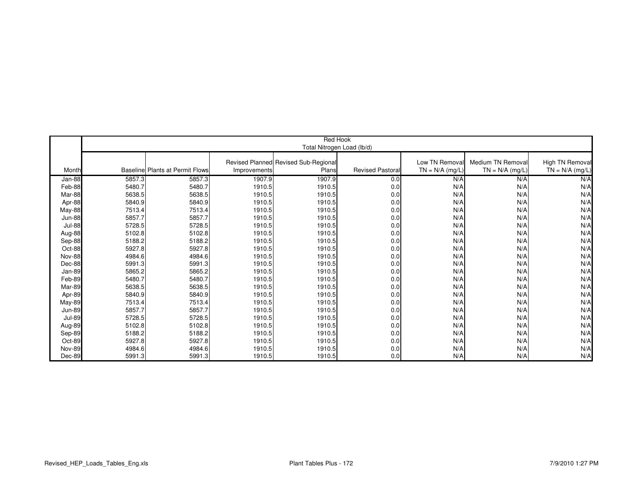|               | <b>Red Hook</b> |                                        |              |                                      |                        |                   |                   |                   |  |  |
|---------------|-----------------|----------------------------------------|--------------|--------------------------------------|------------------------|-------------------|-------------------|-------------------|--|--|
|               |                 |                                        |              | Total Nitrogen Load (lb/d)           |                        |                   |                   |                   |  |  |
|               |                 |                                        |              |                                      |                        |                   |                   |                   |  |  |
|               |                 |                                        |              | Revised Planned Revised Sub-Regional |                        | Low TN Removal    | Medium TN Removal | High TN Removal   |  |  |
| Month         |                 | <b>Baseline Plants at Permit Flows</b> | Improvements | Plans                                | <b>Revised Pastora</b> | $TN = N/A$ (mg/L) | $TN = N/A$ (mg/L) | $TN = N/A$ (mg/L) |  |  |
| Jan-88        | 5857.3          | 5857.3                                 | 1907.9       | 1907.9                               | 0.0                    | N/A               | N/A               | N/A               |  |  |
| Feb-88        | 5480.7          | 5480.7                                 | 1910.5       | 1910.5                               | 0.0                    | N/A               | N/A               | N/A               |  |  |
| Mar-88        | 5638.5          | 5638.5                                 | 1910.5       | 1910.5                               | 0.0                    | N/A               | N/A               | N/A               |  |  |
| Apr-88        | 5840.9          | 5840.9                                 | 1910.5       | 1910.5                               | 0.0                    | N/A               | N/A               | N/A               |  |  |
| May-88        | 7513.4          | 7513.4                                 | 1910.5       | 1910.5                               | 0.0                    | N/A               | N/A               | N/A               |  |  |
| <b>Jun-88</b> | 5857.7          | 5857.7                                 | 1910.5       | 1910.5                               | 0.0                    | N/A               | N/A               | N/A               |  |  |
| <b>Jul-88</b> | 5728.5          | 5728.5                                 | 1910.5       | 1910.5                               | 0.0                    | N/A               | N/A               | N/A               |  |  |
| Aug-88        | 5102.8          | 5102.8                                 | 1910.5       | 1910.5                               | 0.0                    | N/A               | N/A               | N/A               |  |  |
| Sep-88        | 5188.2          | 5188.2                                 | 1910.5       | 1910.5                               | 0.0                    | N/A               | N/A               | N/A               |  |  |
| Oct-88        | 5927.8          | 5927.8                                 | 1910.5       | 1910.5                               | 0.0                    | N/A               | N/A               | N/A               |  |  |
| Nov-88        | 4984.6          | 4984.6                                 | 1910.5       | 1910.5                               | 0.0                    | N/A               | N/A               | N/A               |  |  |
| Dec-88        | 5991.3          | 5991.3                                 | 1910.5       | 1910.5                               | 0.0                    | N/A               | N/A               | N/A               |  |  |
| Jan-89        | 5865.2          | 5865.2                                 | 1910.5       | 1910.5                               | 0.0                    | N/A               | N/A               | N/A               |  |  |
| Feb-89        | 5480.7          | 5480.7                                 | 1910.5       | 1910.5                               | 0.0                    | N/A               | N/A               | N/A               |  |  |
| Mar-89        | 5638.5          | 5638.5                                 | 1910.5       | 1910.5                               | 0.0                    | N/A               | N/A               | N/A               |  |  |
| Apr-89        | 5840.9          | 5840.9                                 | 1910.5       | 1910.5                               | 0.0                    | N/A               | N/A               | N/A               |  |  |
| May-89        | 7513.4          | 7513.4                                 | 1910.5       | 1910.5                               | 0.0                    | N/A               | N/A               | N/A               |  |  |
| <b>Jun-89</b> | 5857.7          | 5857.7                                 | 1910.5       | 1910.5                               | 0.0                    | N/A               | N/A               | N/A               |  |  |
| <b>Jul-89</b> | 5728.5          | 5728.5                                 | 1910.5       | 1910.5                               | 0.0                    | N/A               | N/A               | N/A               |  |  |
| Aug-89        | 5102.8          | 5102.8                                 | 1910.5       | 1910.5                               | 0.0                    | N/A               | N/A               | N/A               |  |  |
| Sep-89        | 5188.2          | 5188.2                                 | 1910.5       | 1910.5                               | 0.0                    | N/A               | N/A               | N/A               |  |  |
| Oct-89        | 5927.8          | 5927.8                                 | 1910.5       | 1910.5                               | 0.0                    | N/A               | N/A               | N/A               |  |  |
| <b>Nov-89</b> | 4984.6          | 4984.6                                 | 1910.5       | 1910.5                               | 0.0                    | N/A               | N/A               | N/A               |  |  |
| Dec-89        | 5991.3          | 5991.3                                 | 1910.5       | 1910.5                               | 0.0                    | N/A               | N/A               | N/A               |  |  |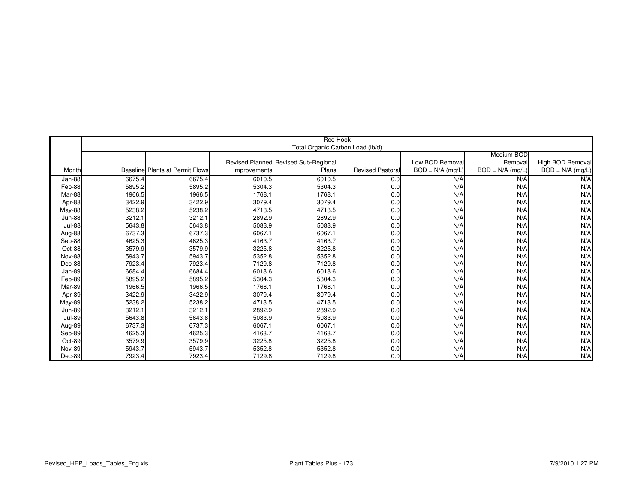|               |        |                                        |              | Red Hook                             |                        |                    |                    |                    |
|---------------|--------|----------------------------------------|--------------|--------------------------------------|------------------------|--------------------|--------------------|--------------------|
|               |        |                                        |              | Total Organic Carbon Load (lb/d)     |                        |                    |                    |                    |
|               |        |                                        |              |                                      |                        |                    | Medium BOD         |                    |
|               |        |                                        |              | Revised Planned Revised Sub-Regional |                        | Low BOD Removal    | Removal            | High BOD Removal   |
| Month         |        | <b>Baseline Plants at Permit Flows</b> | Improvements | Plans                                | <b>Revised Pastora</b> | $BOD = N/A$ (mg/L) | $BOD = N/A$ (mg/L) | $BOD = N/A$ (mg/L) |
| Jan-88        | 6675.4 | 6675.4                                 | 6010.5       | 6010.5                               | 0.0                    | N/A                | N/A                | N/A                |
| Feb-88        | 5895.2 | 5895.2                                 | 5304.3       | 5304.3                               | 0.0                    | N/A                | N/A                | N/A                |
| Mar-88        | 1966.5 | 1966.5                                 | 1768.1       | 1768.1                               | 0.0                    | N/A                | N/A                | N/A                |
| Apr-88        | 3422.9 | 3422.9                                 | 3079.4       | 3079.4                               | 0.0                    | N/A                | N/A                | N/A                |
| May-88        | 5238.2 | 5238.2                                 | 4713.5       | 4713.5                               | 0.0                    | N/A                | N/A                | N/A                |
| <b>Jun-88</b> | 3212.1 | 3212.1                                 | 2892.9       | 2892.9                               | 0.0                    | N/A                | N/A                | N/A                |
| <b>Jul-88</b> | 5643.8 | 5643.8                                 | 5083.9       | 5083.9                               | 0.0                    | N/A                | N/A                | N/A                |
| Aug-88        | 6737.3 | 6737.3                                 | 6067.1       | 6067.1                               | 0.0                    | N/A                | N/A                | N/A                |
| Sep-88        | 4625.3 | 4625.3                                 | 4163.7       | 4163.7                               | 0.0                    | N/A                | N/A                | N/A                |
| Oct-88        | 3579.9 | 3579.9                                 | 3225.8       | 3225.8                               | 0.0                    | N/A                | N/A                | N/A                |
| <b>Nov-88</b> | 5943.7 | 5943.7                                 | 5352.8       | 5352.8                               | 0.0                    | N/A                | N/A                | N/A                |
| Dec-88        | 7923.4 | 7923.4                                 | 7129.8       | 7129.8                               | 0.0                    | N/A                | N/A                | N/A                |
| Jan-89        | 6684.4 | 6684.4                                 | 6018.6       | 6018.6                               | 0.0                    | N/A                | N/A                | N/A                |
| Feb-89        | 5895.2 | 5895.2                                 | 5304.3       | 5304.3                               | 0.0                    | N/A                | N/A                | N/A                |
| Mar-89        | 1966.5 | 1966.5                                 | 1768.1       | 1768.1                               | 0.0                    | N/A                | N/A                | N/A                |
| Apr-89        | 3422.9 | 3422.9                                 | 3079.4       | 3079.4                               | 0.0                    | N/A                | N/A                | N/A                |
| May-89        | 5238.2 | 5238.2                                 | 4713.5       | 4713.5                               | 0.0                    | N/A                | N/A                | N/A                |
| <b>Jun-89</b> | 3212.1 | 3212.1                                 | 2892.9       | 2892.9                               | 0.0                    | N/A                | N/A                | N/A                |
| <b>Jul-89</b> | 5643.8 | 5643.8                                 | 5083.9       | 5083.9                               | 0.0                    | N/A                | N/A                | N/A                |
| Aug-89        | 6737.3 | 6737.3                                 | 6067.1       | 6067.1                               | 0.0                    | N/A                | N/A                | N/A                |
| Sep-89        | 4625.3 | 4625.3                                 | 4163.7       | 4163.7                               | 0.0                    | N/A                | N/A                | N/A                |
| Oct-89        | 3579.9 | 3579.9                                 | 3225.8       | 3225.8                               | 0.0                    | N/A                | N/A                | N/A                |
| <b>Nov-89</b> | 5943.7 | 5943.7                                 | 5352.8       | 5352.8                               | 0.0                    | N/A                | N/A                | N/A                |
| Dec-89        | 7923.4 | 7923.4                                 | 7129.8       | 7129.8                               | 0.0                    | N/A                | N/A                | N/A                |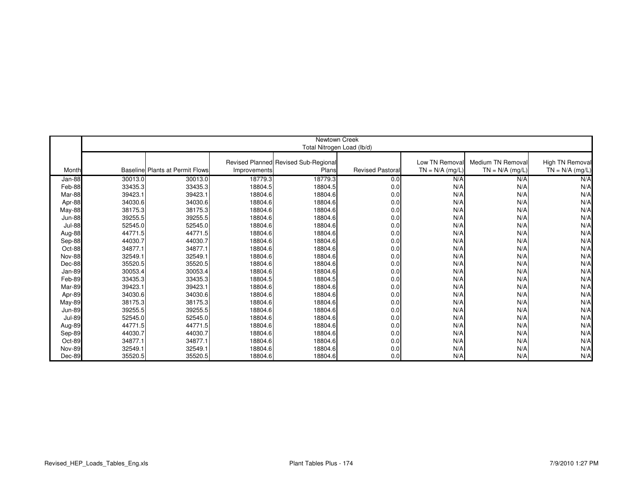|               |         |                                        |              | Newtown Creek                        |                        |                   |                   |                   |
|---------------|---------|----------------------------------------|--------------|--------------------------------------|------------------------|-------------------|-------------------|-------------------|
|               |         |                                        |              |                                      |                        |                   |                   |                   |
|               |         |                                        |              | Total Nitrogen Load (lb/d)           |                        |                   |                   |                   |
|               |         |                                        |              | Revised Planned Revised Sub-Regional |                        | Low TN Removal    | Medium TN Removal | High TN Removal   |
| Month         |         | <b>Baseline Plants at Permit Flows</b> | Improvements | Plans                                | <b>Revised Pastora</b> | $TN = N/A$ (mg/L) | $TN = N/A$ (mg/L) | $TN = N/A$ (mg/L) |
|               |         |                                        |              |                                      |                        |                   |                   |                   |
| Jan-88        | 30013.0 | 30013.0                                | 18779.3      | 18779.3                              | 0.0                    | N/A               | N/A               | N/A               |
| Feb-88        | 33435.3 | 33435.3                                | 18804.5      | 18804.5                              | 0.0                    | N/A               | N/A               | N/A               |
| Mar-88        | 39423.1 | 39423.1                                | 18804.6      | 18804.6                              | 0.0                    | N/A               | N/A               | N/A               |
| Apr-88        | 34030.6 | 34030.6                                | 18804.6      | 18804.6                              | 0.0                    | N/A               | N/A               | N/A               |
| May-88        | 38175.3 | 38175.3                                | 18804.6      | 18804.6                              | 0.0                    | N/A               | N/A               | N/A               |
| <b>Jun-88</b> | 39255.5 | 39255.5                                | 18804.6      | 18804.6                              | 0.0                    | N/A               | N/A               | N/A               |
| <b>Jul-88</b> | 52545.0 | 52545.0                                | 18804.6      | 18804.6                              | 0.0                    | N/A               | N/A               | N/A               |
| Aug-88        | 44771.5 | 44771.5                                | 18804.6      | 18804.6                              | 0.0                    | N/A               | N/A               | N/A               |
| Sep-88        | 44030.7 | 44030.7                                | 18804.6      | 18804.6                              | 0.0                    | N/A               | N/A               | N/A               |
| Oct-88        | 34877.1 | 34877.1                                | 18804.6      | 18804.6                              | 0.0                    | N/A               | N/A               | N/A               |
| Nov-88        | 32549.1 | 32549.1                                | 18804.6      | 18804.6                              | 0.0                    | N/A               | N/A               | N/A               |
| Dec-88        | 35520.5 | 35520.5                                | 18804.6      | 18804.6                              | 0.0                    | N/A               | N/A               | N/A               |
| Jan-89        | 30053.4 | 30053.4                                | 18804.6      | 18804.6                              | 0.0                    | N/A               | N/A               | N/A               |
| Feb-89        | 33435.3 | 33435.3                                | 18804.5      | 18804.5                              | 0.0                    | N/A               | N/A               | N/A               |
| Mar-89        | 39423.1 | 39423.1                                | 18804.6      | 18804.6                              | 0.0                    | N/A               | N/A               | N/A               |
| Apr-89        | 34030.6 | 34030.6                                | 18804.6      | 18804.6                              | 0.0                    | N/A               | N/A               | N/A               |
| May-89        | 38175.3 | 38175.3                                | 18804.6      | 18804.6                              | 0.0                    | N/A               | N/A               | N/A               |
| <b>Jun-89</b> | 39255.5 | 39255.5                                | 18804.6      | 18804.6                              | 0.0                    | N/A               | N/A               | N/A               |
| <b>Jul-89</b> | 52545.0 | 52545.0                                | 18804.6      | 18804.6                              | 0.0                    | N/A               | N/A               | N/A               |
| Aug-89        | 44771.5 | 44771.5                                | 18804.6      | 18804.6                              | 0.0                    | N/A               | N/A               | N/A               |
| Sep-89        | 44030.7 | 44030.7                                | 18804.6      | 18804.6                              | 0.0                    | N/A               | N/A               | N/A               |
| Oct-89        | 34877.1 | 34877.1                                | 18804.6      | 18804.6                              | 0.0                    | N/A               | N/A               | N/A               |
| <b>Nov-89</b> | 32549.1 | 32549.1                                | 18804.6      | 18804.6                              | 0.0                    | N/A               | N/A               | N/A               |
| Dec-89        | 35520.5 | 35520.5                                | 18804.6      | 18804.6                              | 0.0                    | N/A               | N/A               | N/A               |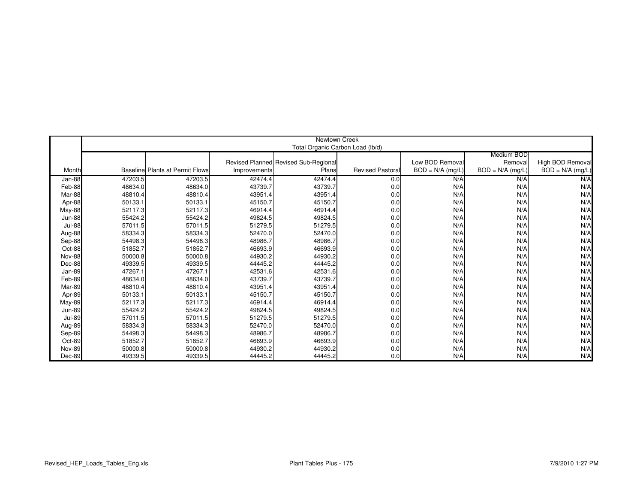|               |         |                                        |              | Newtown Creek                        |                         |                    |                    |                    |
|---------------|---------|----------------------------------------|--------------|--------------------------------------|-------------------------|--------------------|--------------------|--------------------|
|               |         |                                        |              | Total Organic Carbon Load (lb/d)     |                         |                    |                    |                    |
|               |         |                                        |              |                                      |                         |                    | Medium BOD         |                    |
|               |         |                                        |              | Revised Planned Revised Sub-Regional |                         | Low BOD Removal    | Removal            | High BOD Removal   |
| Month         |         | <b>Baseline Plants at Permit Flows</b> | Improvements | Plans                                | <b>Revised Pastoral</b> | $BOD = N/A$ (mg/L) | $BOD = N/A$ (mg/L) | $BOD = N/A$ (mg/L) |
| Jan-88        | 47203.5 | 47203.5                                | 42474.4      | 42474.4                              | 0.0                     | N/A                | N/A                | N/A                |
| Feb-88        | 48634.0 | 48634.0                                | 43739.7      | 43739.7                              | 0.0                     | N/A                | N/A                | N/A                |
| Mar-88        | 48810.4 | 48810.4                                | 43951.4      | 43951.4                              | 0.0                     | N/A                | N/A                | N/A                |
| Apr-88        | 50133.1 | 50133.1                                | 45150.7      | 45150.7                              | 0.0                     | N/A                | N/A                | N/A                |
| May-88        | 52117.3 | 52117.3                                | 46914.4      | 46914.4                              | 0.0                     | N/A                | N/A                | N/A                |
| <b>Jun-88</b> | 55424.2 | 55424.2                                | 49824.5      | 49824.5                              | 0.0                     | N/A                | N/A                | N/A                |
| <b>Jul-88</b> | 57011.5 | 57011.5                                | 51279.5      | 51279.5                              | 0.0                     | N/A                | N/A                | N/A                |
| Aug-88        | 58334.3 | 58334.3                                | 52470.0      | 52470.0                              | 0.0                     | N/A                | N/A                | N/A                |
| Sep-88        | 54498.3 | 54498.3                                | 48986.7      | 48986.7                              | 0.0                     | N/A                | N/A                | N/A                |
| Oct-88        | 51852.7 | 51852.7                                | 46693.9      | 46693.9                              | 0.0                     | N/A                | N/A                | N/A                |
| <b>Nov-88</b> | 50000.8 | 50000.8                                | 44930.2      | 44930.2                              | 0.0                     | N/A                | N/A                | N/A                |
| Dec-88        | 49339.5 | 49339.5                                | 44445.2      | 44445.2                              | 0.0                     | N/A                | N/A                | N/A                |
| Jan-89        | 47267.1 | 47267.1                                | 42531.6      | 42531.6                              | 0.0                     | N/A                | N/A                | N/A                |
| Feb-89        | 48634.0 | 48634.0                                | 43739.7      | 43739.7                              | 0.0                     | N/A                | N/A                | N/A                |
| Mar-89        | 48810.4 | 48810.4                                | 43951.4      | 43951.4                              | 0.0                     | N/A                | N/A                | N/A                |
| Apr-89        | 50133.1 | 50133.1                                | 45150.7      | 45150.7                              | 0.0                     | N/A                | N/A                | N/A                |
| <b>May-89</b> | 52117.3 | 52117.3                                | 46914.4      | 46914.4                              | 0.0                     | N/A                | N/A                | N/A                |
| <b>Jun-89</b> | 55424.2 | 55424.2                                | 49824.5      | 49824.5                              | 0.0                     | N/A                | N/A                | N/A                |
| <b>Jul-89</b> | 57011.5 | 57011.5                                | 51279.5      | 51279.5                              | 0.0                     | N/A                | N/A                | N/A                |
| Aug-89        | 58334.3 | 58334.3                                | 52470.0      | 52470.0                              | 0.0                     | N/A                | N/A                | N/A                |
| Sep-89        | 54498.3 | 54498.3                                | 48986.7      | 48986.7                              | 0.0                     | N/A                | N/A                | N/A                |
| Oct-89        | 51852.7 | 51852.7                                | 46693.9      | 46693.9                              | 0.0                     | N/A                | N/A                | N/A                |
| <b>Nov-89</b> | 50000.8 | 50000.8                                | 44930.2      | 44930.2                              | 0.0                     | N/A                | N/A                | N/A                |
| Dec-89        | 49339.5 | 49339.5                                | 44445.2      | 44445.2                              | 0.0                     | N/A                | N/A                | N/A                |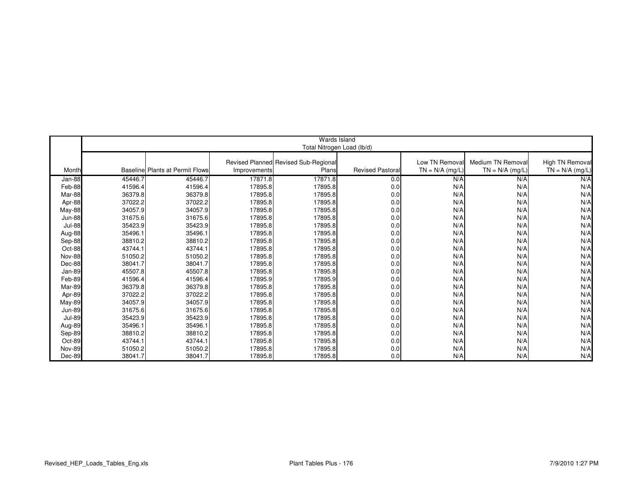|               |         |                                        |              | Wards Island                         |                        |                   |                   |                   |
|---------------|---------|----------------------------------------|--------------|--------------------------------------|------------------------|-------------------|-------------------|-------------------|
|               |         |                                        |              | Total Nitrogen Load (lb/d)           |                        |                   |                   |                   |
|               |         |                                        |              |                                      |                        |                   |                   |                   |
|               |         |                                        |              | Revised Planned Revised Sub-Regional |                        | Low TN Removal    | Medium TN Removal | High TN Removal   |
| Month         |         | <b>Baseline Plants at Permit Flows</b> | Improvements | Plans                                | <b>Revised Pastora</b> | $TN = N/A$ (mg/L) | $TN = N/A$ (mg/L) | $TN = N/A$ (mg/L) |
| Jan-88        | 45446.7 | 45446.7                                | 17871.8      | 17871.8                              | 0.0                    | N/A               | N/A               | N/A               |
| Feb-88        | 41596.4 | 41596.4                                | 17895.8      | 17895.8                              | 0.0                    | N/A               | N/A               | N/A               |
| Mar-88        | 36379.8 | 36379.8                                | 17895.8      | 17895.8                              | 0.0                    | N/A               | N/A               | N/A               |
| Apr-88        | 37022.2 | 37022.2                                | 17895.8      | 17895.8                              | 0.0                    | N/A               | N/A               | N/A               |
| May-88        | 34057.9 | 34057.9                                | 17895.8      | 17895.8                              | 0.0                    | N/A               | N/A               | N/A               |
| <b>Jun-88</b> | 31675.6 | 31675.6                                | 17895.8      | 17895.8                              | 0.0                    | N/A               | N/A               | N/A               |
| <b>Jul-88</b> | 35423.9 | 35423.9                                | 17895.8      | 17895.8                              | 0.0                    | N/A               | N/A               | N/A               |
| Aug-88        | 35496.1 | 35496.1                                | 17895.8      | 17895.8                              | 0.0                    | N/A               | N/A               | N/A               |
| Sep-88        | 38810.2 | 38810.2                                | 17895.8      | 17895.8                              | 0.0                    | N/A               | N/A               | N/A               |
| Oct-88        | 43744.1 | 43744.1                                | 17895.8      | 17895.8                              | 0.0                    | N/A               | N/A               | N/A               |
| Nov-88        | 51050.2 | 51050.2                                | 17895.8      | 17895.8                              | 0.0                    | N/A               | N/A               | N/A               |
| Dec-88        | 38041.7 | 38041.7                                | 17895.8      | 17895.8                              | 0.0                    | N/A               | N/A               | N/A               |
| Jan-89        | 45507.8 | 45507.8                                | 17895.8      | 17895.8                              | 0.0                    | N/A               | N/A               | N/A               |
| Feb-89        | 41596.4 | 41596.4                                | 17895.9      | 17895.9                              | 0.0                    | N/A               | N/A               | N/A               |
| Mar-89        | 36379.8 | 36379.8                                | 17895.8      | 17895.8                              | 0.0                    | N/A               | N/A               | N/A               |
| Apr-89        | 37022.2 | 37022.2                                | 17895.8      | 17895.8                              | 0.0                    | N/A               | N/A               | N/A               |
| May-89        | 34057.9 | 34057.9                                | 17895.8      | 17895.8                              | 0.0                    | N/A               | N/A               | N/A               |
| <b>Jun-89</b> | 31675.6 | 31675.6                                | 17895.8      | 17895.8                              | 0.0                    | N/A               | N/A               | N/A               |
| <b>Jul-89</b> | 35423.9 | 35423.9                                | 17895.8      | 17895.8                              | 0.0                    | N/A               | N/A               | N/A               |
| Aug-89        | 35496.1 | 35496.1                                | 17895.8      | 17895.8                              | 0.0                    | N/A               | N/A               | N/A               |
| Sep-89        | 38810.2 | 38810.2                                | 17895.8      | 17895.8                              | 0.0                    | N/A               | N/A               | N/A               |
| Oct-89        | 43744.1 | 43744.1                                | 17895.8      | 17895.8                              | 0.0                    | N/A               | N/A               | N/A               |
| <b>Nov-89</b> | 51050.2 | 51050.2                                | 17895.8      | 17895.8                              | 0.0                    | N/A               | N/A               | N/A               |
| Dec-89        | 38041.7 | 38041.7                                | 17895.8      | 17895.8                              | 0.0                    | N/A               | N/A               | N/A               |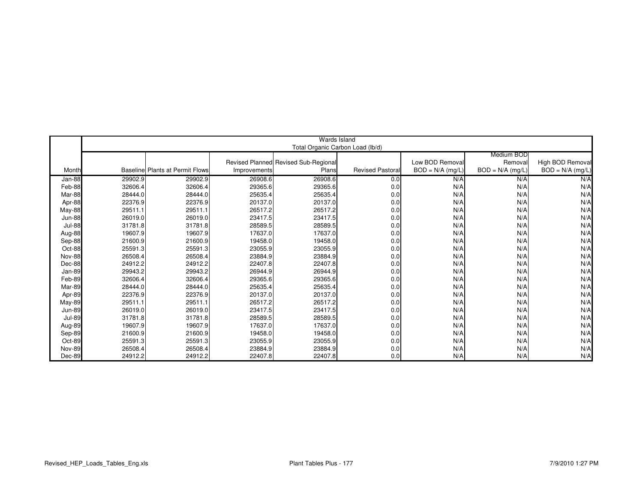|               |         |                                  |              | Wards Island                         |                         |                    |                    |                    |
|---------------|---------|----------------------------------|--------------|--------------------------------------|-------------------------|--------------------|--------------------|--------------------|
|               |         |                                  |              | Total Organic Carbon Load (lb/d)     |                         |                    |                    |                    |
|               |         |                                  |              |                                      |                         |                    | Medium BOD         |                    |
|               |         |                                  |              | Revised Planned Revised Sub-Regional |                         | Low BOD Removal    | Removal            | High BOD Removal   |
| Month         |         | Baselinel Plants at Permit Flows | Improvements | Plans                                | <b>Revised Pastoral</b> | $BOD = N/A$ (mg/L) | $BOD = N/A$ (mg/L) | $BOD = N/A$ (mg/L) |
| Jan-88        | 29902.9 | 29902.9                          | 26908.6      | 26908.6                              | 0.0                     | N/A                | N/A                | N/A                |
| Feb-88        | 32606.4 | 32606.4                          | 29365.6      | 29365.6                              | 0.0                     | N/A                | N/A                | N/A                |
| Mar-88        | 28444.0 | 28444.0                          | 25635.4      | 25635.4                              | 0.0                     | N/A                | N/A                | N/A                |
| Apr-88        | 22376.9 | 22376.9                          | 20137.0      | 20137.0                              | 0.0                     | N/A                | N/A                | N/A                |
| May-88        | 29511.1 | 29511.1                          | 26517.2      | 26517.2                              | 0.0                     | N/A                | N/A                | N/A                |
| <b>Jun-88</b> | 26019.0 | 26019.0                          | 23417.5      | 23417.5                              | 0.0                     | N/A                | N/A                | N/A                |
| <b>Jul-88</b> | 31781.8 | 31781.8                          | 28589.5      | 28589.5                              | 0.0                     | N/A                | N/A                | N/A                |
| Aug-88        | 19607.9 | 19607.9                          | 17637.0      | 17637.0                              | 0.0                     | N/A                | N/A                | N/A                |
| Sep-88        | 21600.9 | 21600.9                          | 19458.0      | 19458.0                              | 0.0                     | N/A                | N/A                | N/A                |
| Oct-88        | 25591.3 | 25591.3                          | 23055.9      | 23055.9                              | 0.0                     | N/A                | N/A                | N/A                |
| Nov-88        | 26508.4 | 26508.4                          | 23884.9      | 23884.9                              | 0.0                     | N/A                | N/A                | N/A                |
| Dec-88        | 24912.2 | 24912.2                          | 22407.8      | 22407.8                              | 0.0                     | N/A                | N/A                | N/A                |
| Jan-89        | 29943.2 | 29943.2                          | 26944.9      | 26944.9                              | 0.0                     | N/A                | N/A                | N/A                |
| Feb-89        | 32606.4 | 32606.4                          | 29365.6      | 29365.6                              | 0.0                     | N/A                | N/A                | N/A                |
| Mar-89        | 28444.0 | 28444.0                          | 25635.4      | 25635.4                              | 0.0                     | N/A                | N/A                | N/A                |
| Apr-89        | 22376.9 | 22376.9                          | 20137.0      | 20137.0                              | 0.0                     | N/A                | N/A                | N/A                |
| <b>May-89</b> | 29511.1 | 29511.1                          | 26517.2      | 26517.2                              | 0.0                     | N/A                | N/A                | N/A                |
| <b>Jun-89</b> | 26019.0 | 26019.0                          | 23417.5      | 23417.5                              | 0.0                     | N/A                | N/A                | N/A                |
| <b>Jul-89</b> | 31781.8 | 31781.8                          | 28589.5      | 28589.5                              | 0.0                     | N/A                | N/A                | N/A                |
| Aug-89        | 19607.9 | 19607.9                          | 17637.0      | 17637.0                              | 0.0                     | N/A                | N/A                | N/A                |
| Sep-89        | 21600.9 | 21600.9                          | 19458.0      | 19458.0                              | 0.0                     | N/A                | N/A                | N/A                |
| Oct-89        | 25591.3 | 25591.3                          | 23055.9      | 23055.9                              | 0.0                     | N/A                | N/A                | N/A                |
| Nov-89        | 26508.4 | 26508.4                          | 23884.9      | 23884.9                              | 0.0                     | N/A                | N/A                | N/A                |
| Dec-89        | 24912.2 | 24912.2                          | 22407.8      | 22407.8                              | 0.0                     | N/A                | N/A                | N/A                |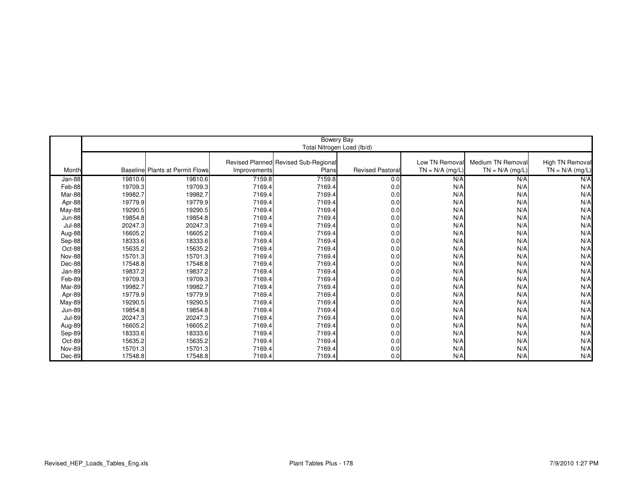|               | Bowery Bay |                                  |              |                                      |                        |                   |                   |                   |  |  |
|---------------|------------|----------------------------------|--------------|--------------------------------------|------------------------|-------------------|-------------------|-------------------|--|--|
|               |            |                                  |              | Total Nitrogen Load (lb/d)           |                        |                   |                   |                   |  |  |
|               |            |                                  |              |                                      |                        |                   |                   |                   |  |  |
|               |            |                                  |              | Revised Planned Revised Sub-Regional |                        | Low TN Removal    | Medium TN Removal | High TN Removal   |  |  |
| Month         |            | Baselinel Plants at Permit Flows | Improvements | Plans                                | <b>Revised Pastora</b> | $TN = N/A$ (mg/L) | $TN = N/A$ (mg/L) | $TN = N/A$ (mg/L) |  |  |
| Jan-88        | 19810.6    | 19810.6                          | 7159.8       | 7159.8                               | 0.0                    | N/A               | N/A               | N/A               |  |  |
| Feb-88        | 19709.3    | 19709.3                          | 7169.4       | 7169.4                               | 0.0                    | N/A               | N/A               | N/A               |  |  |
| Mar-88        | 19982.7    | 19982.7                          | 7169.4       | 7169.4                               | 0.0                    | N/A               | N/A               | N/A               |  |  |
| Apr-88        | 19779.9    | 19779.9                          | 7169.4       | 7169.4                               | 0.0                    | N/A               | N/A               | N/A               |  |  |
| May-88        | 19290.5    | 19290.5                          | 7169.4       | 7169.4                               | 0.0                    | N/A               | N/A               | N/A               |  |  |
| <b>Jun-88</b> | 19854.8    | 19854.8                          | 7169.4       | 7169.4                               | 0.0                    | N/A               | N/A               | N/A               |  |  |
| <b>Jul-88</b> | 20247.3    | 20247.3                          | 7169.4       | 7169.4                               | 0.0                    | N/A               | N/A               | N/A               |  |  |
| Aug-88        | 16605.2    | 16605.2                          | 7169.4       | 7169.4                               | 0.0                    | N/A               | N/A               | N/A               |  |  |
| Sep-88        | 18333.6    | 18333.6                          | 7169.4       | 7169.4                               | 0.0                    | N/A               | N/A               | N/A               |  |  |
| Oct-88        | 15635.2    | 15635.2                          | 7169.4       | 7169.4                               | 0.0                    | N/A               | N/A               | N/A               |  |  |
| <b>Nov-88</b> | 15701.3    | 15701.3                          | 7169.4       | 7169.4                               | 0.0                    | N/A               | N/A               | N/A               |  |  |
| Dec-88        | 17548.8    | 17548.8                          | 7169.4       | 7169.4                               | 0.0                    | N/A               | N/A               | N/A               |  |  |
| Jan-89        | 19837.2    | 19837.2                          | 7169.4       | 7169.4                               | 0.0                    | N/A               | N/A               | N/A               |  |  |
| Feb-89        | 19709.3    | 19709.3                          | 7169.4       | 7169.4                               | 0.0                    | N/A               | N/A               | N/A               |  |  |
| Mar-89        | 19982.7    | 19982.7                          | 7169.4       | 7169.4                               | 0.0                    | N/A               | N/A               | N/A               |  |  |
| Apr-89        | 19779.9    | 19779.9                          | 7169.4       | 7169.4                               | 0.0                    | N/A               | N/A               | N/A               |  |  |
| <b>May-89</b> | 19290.5    | 19290.5                          | 7169.4       | 7169.4                               | 0.0                    | N/A               | N/A               | N/A               |  |  |
| <b>Jun-89</b> | 19854.8    | 19854.8                          | 7169.4       | 7169.4                               | 0.0                    | N/A               | N/A               | N/A               |  |  |
| <b>Jul-89</b> | 20247.3    | 20247.3                          | 7169.4       | 7169.4                               | 0.0                    | N/A               | N/A               | N/A               |  |  |
| Aug-89        | 16605.2    | 16605.2                          | 7169.4       | 7169.4                               | 0.0                    | N/A               | N/A               | N/A               |  |  |
| Sep-89        | 18333.6    | 18333.6                          | 7169.4       | 7169.4                               | 0.0                    | N/A               | N/A               | N/A               |  |  |
| Oct-89        | 15635.2    | 15635.2                          | 7169.4       | 7169.4                               | 0.0                    | N/A               | N/A               | N/A               |  |  |
| <b>Nov-89</b> | 15701.3    | 15701.3                          | 7169.4       | 7169.4                               | 0.0                    | N/A               | N/A               | N/A               |  |  |
| Dec-89        | 17548.8    | 17548.8                          | 7169.4       | 7169.4                               | 0.0                    | N/A               | N/A               | N/A               |  |  |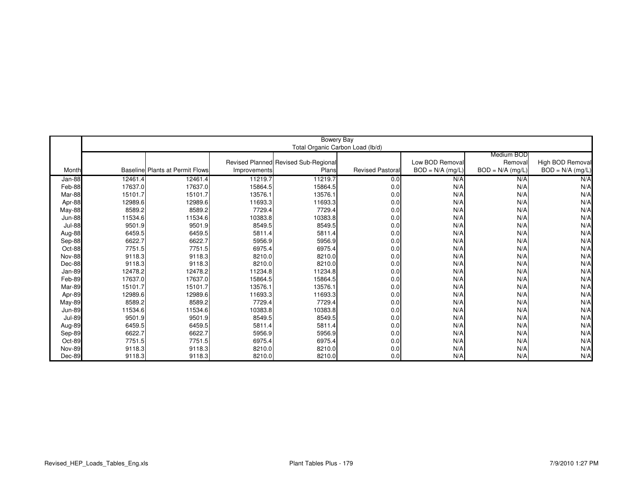|               |         |                                         |              | Bowery Bay                           |                        |                    |                    |                    |
|---------------|---------|-----------------------------------------|--------------|--------------------------------------|------------------------|--------------------|--------------------|--------------------|
|               |         |                                         |              | Total Organic Carbon Load (lb/d)     |                        |                    |                    |                    |
|               |         |                                         |              |                                      |                        |                    | Medium BOD         |                    |
|               |         |                                         |              | Revised Planned Revised Sub-Regional |                        | Low BOD Removal    | Removal            | High BOD Removal   |
| Month         |         | <b>Baselinel Plants at Permit Flows</b> | Improvements | Plans                                | <b>Revised Pastora</b> | $BOD = N/A$ (mg/L) | $BOD = N/A$ (mg/L) | $BOD = N/A$ (mg/L) |
| Jan-88        | 12461.4 | 12461.4                                 | 11219.7      | 11219.7                              | 0.0                    | N/A                | N/A                | N/A                |
| Feb-88        | 17637.0 | 17637.0                                 | 15864.5      | 15864.5                              | 0.0                    | N/A                | N/A                | N/A                |
| Mar-88        | 15101.7 | 15101.7                                 | 13576.1      | 13576.1                              | 0.0                    | N/A                | N/A                | N/A                |
| Apr-88        | 12989.6 | 12989.6                                 | 11693.3      | 11693.3                              | 0.0                    | N/A                | N/A                | N/A                |
| <b>May-88</b> | 8589.2  | 8589.2                                  | 7729.4       | 7729.4                               | 0.0                    | N/A                | N/A                | N/A                |
| <b>Jun-88</b> | 11534.6 | 11534.6                                 | 10383.8      | 10383.8                              | 0.0                    | N/A                | N/A                | N/A                |
| <b>Jul-88</b> | 9501.9  | 9501.9                                  | 8549.5       | 8549.5                               | 0.0                    | N/A                | N/A                | N/A                |
| Aug-88        | 6459.5  | 6459.5                                  | 5811.4       | 5811.4                               | 0.0                    | N/A                | N/A                | N/A                |
| Sep-88        | 6622.7  | 6622.7                                  | 5956.9       | 5956.9                               | 0.0                    | N/A                | N/A                | N/A                |
| Oct-88        | 7751.5  | 7751.5                                  | 6975.4       | 6975.4                               | 0.0                    | N/A                | N/A                | N/A                |
| <b>Nov-88</b> | 9118.3  | 9118.3                                  | 8210.0       | 8210.0                               | 0.0                    | N/A                | N/A                | N/A                |
| Dec-88        | 9118.3  | 9118.3                                  | 8210.0       | 8210.0                               | 0.0                    | N/A                | N/A                | N/A                |
| Jan-89        | 12478.2 | 12478.2                                 | 11234.8      | 11234.8                              | 0.0                    | N/A                | N/A                | N/A                |
| Feb-89        | 17637.0 | 17637.0                                 | 15864.5      | 15864.5                              | 0.0                    | N/A                | N/A                | N/A                |
| Mar-89        | 15101.7 | 15101.7                                 | 13576.1      | 13576.1                              | 0.0                    | N/A                | N/A                | N/A                |
| Apr-89        | 12989.6 | 12989.6                                 | 11693.3      | 11693.3                              | 0.0                    | N/A                | N/A                | N/A                |
| May-89        | 8589.2  | 8589.2                                  | 7729.4       | 7729.4                               | 0.0                    | N/A                | N/A                | N/A                |
| <b>Jun-89</b> | 11534.6 | 11534.6                                 | 10383.8      | 10383.8                              | 0.0                    | N/A                | N/A                | N/A                |
| <b>Jul-89</b> | 9501.9  | 9501.9                                  | 8549.5       | 8549.5                               | 0.0                    | N/A                | N/A                | N/A                |
| Aug-89        | 6459.5  | 6459.5                                  | 5811.4       | 5811.4                               | 0.0                    | N/A                | N/A                | N/A                |
| Sep-89        | 6622.7  | 6622.7                                  | 5956.9       | 5956.9                               | 0.0                    | N/A                | N/A                | N/A                |
| Oct-89        | 7751.5  | 7751.5                                  | 6975.4       | 6975.4                               | 0.0                    | N/A                | N/A                | N/A                |
| <b>Nov-89</b> | 9118.3  | 9118.3                                  | 8210.0       | 8210.0                               | 0.0                    | N/A                | N/A                | N/A                |
| Dec-89        | 9118.3  | 9118.3                                  | 8210.0       | 8210.0                               | 0.0                    | N/A                | N/A                | N/A                |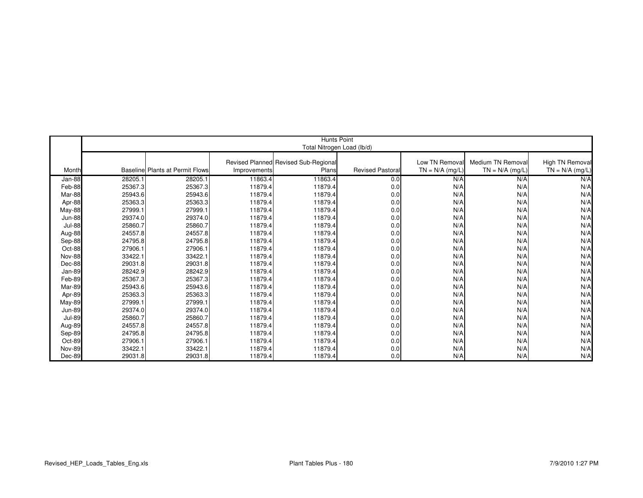|                         |                    |                                        |              | <b>Hunts Point</b>                   |                        |                   |                   |                   |
|-------------------------|--------------------|----------------------------------------|--------------|--------------------------------------|------------------------|-------------------|-------------------|-------------------|
|                         |                    |                                        |              | Total Nitrogen Load (lb/d)           |                        |                   |                   |                   |
|                         |                    |                                        |              |                                      |                        |                   |                   |                   |
|                         |                    |                                        |              | Revised Planned Revised Sub-Regional |                        | Low TN Removal    | Medium TN Removal | High TN Removal   |
| Month                   |                    | <b>Baseline Plants at Permit Flows</b> | Improvements | Plans                                | <b>Revised Pastora</b> | $TN = N/A$ (mg/L) | $TN = N/A$ (mg/L) | $TN = N/A$ (mg/L) |
| Jan-88                  | 28205.1            | 28205.1                                | 11863.4      | 11863.4                              | 0.0                    | N/A               | N/A               | N/A               |
| Feb-88                  | 25367.3            | 25367.3                                | 11879.4      | 11879.4                              | 0.0                    | N/A               | N/A               | N/A               |
| Mar-88                  | 25943.6            | 25943.6                                | 11879.4      | 11879.4                              | 0.0                    | N/A               | N/A               | N/A               |
|                         |                    | 25363.3                                | 11879.4      | 11879.4                              |                        | N/A               | N/A               | N/A               |
| Apr-88                  | 25363.3<br>27999.1 | 27999.1                                | 11879.4      | 11879.4                              | 0.0                    | N/A               | N/A               | N/A               |
| May-88<br><b>Jun-88</b> | 29374.0            | 29374.0                                | 11879.4      | 11879.4                              | 0.0<br>0.0             | N/A               | N/A               | N/A               |
|                         |                    |                                        |              |                                      |                        |                   |                   |                   |
| <b>Jul-88</b>           | 25860.7            | 25860.7<br>24557.8                     | 11879.4      | 11879.4                              | 0.0                    | N/A<br>N/A        | N/A<br>N/A        | N/A               |
| Aug-88                  | 24557.8            |                                        | 11879.4      | 11879.4                              | 0.0                    |                   |                   | N/A               |
| Sep-88                  | 24795.8            | 24795.8                                | 11879.4      | 11879.4                              | 0.0                    | N/A               | N/A               | N/A               |
| Oct-88                  | 27906.1            | 27906.1                                | 11879.4      | 11879.4                              | 0.0                    | N/A               | N/A               | N/A               |
| Nov-88                  | 33422.1            | 33422.1                                | 11879.4      | 11879.4                              | 0.0                    | N/A               | N/A               | N/A               |
| Dec-88                  | 29031.8            | 29031.8                                | 11879.4      | 11879.4                              | 0.0                    | N/A               | N/A               | N/A               |
| Jan-89                  | 28242.9            | 28242.9                                | 11879.4      | 11879.4                              | 0.0                    | N/A               | N/A               | N/A               |
| Feb-89                  | 25367.3            | 25367.3                                | 11879.4      | 11879.4                              | 0.0                    | N/A               | N/A               | N/A               |
| Mar-89                  | 25943.6            | 25943.6                                | 11879.4      | 11879.4                              | 0.0                    | N/A               | N/A               | N/A               |
| Apr-89                  | 25363.3            | 25363.3                                | 11879.4      | 11879.4                              | 0.0                    | N/A               | N/A               | N/A               |
| May-89                  | 27999.1            | 27999.1                                | 11879.4      | 11879.4                              | 0.0                    | N/A               | N/A               | N/A               |
| <b>Jun-89</b>           | 29374.0            | 29374.0                                | 11879.4      | 11879.4                              | 0.0                    | N/A               | N/A               | N/A               |
| <b>Jul-89</b>           | 25860.7            | 25860.7                                | 11879.4      | 11879.4                              | 0.0                    | N/A               | N/A               | N/A               |
| Aug-89                  | 24557.8            | 24557.8                                | 11879.4      | 11879.4                              | 0.0                    | N/A               | N/A               | N/A               |
| Sep-89                  | 24795.8            | 24795.8                                | 11879.4      | 11879.4                              | 0.0                    | N/A               | N/A               | N/A               |
| Oct-89                  | 27906.1            | 27906.1                                | 11879.4      | 11879.4                              | 0.0                    | N/A               | N/A               | N/A               |
| <b>Nov-89</b>           | 33422.1            | 33422.1                                | 11879.4      | 11879.4                              | 0.0                    | N/A               | N/A               | N/A               |
| Dec-89                  | 29031.8            | 29031.8                                | 11879.4      | 11879.4                              | 0.0                    | N/A               | N/A               | N/A               |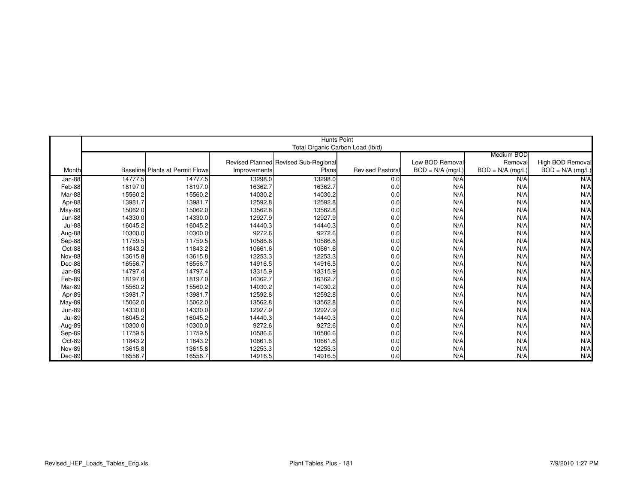|               |         |                                 |              | Hunts Point                          |                        |                    |                    |                    |
|---------------|---------|---------------------------------|--------------|--------------------------------------|------------------------|--------------------|--------------------|--------------------|
|               |         |                                 |              | Total Organic Carbon Load (lb/d)     |                        |                    |                    |                    |
|               |         |                                 |              |                                      |                        |                    | Medium BOD         |                    |
|               |         |                                 |              | Revised Planned Revised Sub-Regional |                        | Low BOD Removal    | Removal            | High BOD Removal   |
| Month         |         | Baseline Plants at Permit Flows | Improvements | Plans                                | <b>Revised Pastora</b> | $BOD = N/A$ (mg/L) | $BOD = N/A$ (mg/L) | $BOD = N/A$ (mg/L) |
| Jan-88        | 14777.5 | 14777.5                         | 13298.0      | 13298.0                              | 0.0                    | N/A                | N/A                | N/A                |
| Feb-88        | 18197.0 | 18197.0                         | 16362.7      | 16362.7                              | 0.0                    | N/A                | N/A                | N/A                |
| Mar-88        | 15560.2 | 15560.2                         | 14030.2      | 14030.2                              | 0.0                    | N/A                | N/A                | N/A                |
| Apr-88        | 13981.7 | 13981.7                         | 12592.8      | 12592.8                              | 0.0                    | N/A                | N/A                | N/A                |
| May-88        | 15062.0 | 15062.0                         | 13562.8      | 13562.8                              | 0.0                    | N/A                | N/A                | N/A                |
| <b>Jun-88</b> | 14330.0 | 14330.0                         | 12927.9      | 12927.9                              | 0.0                    | N/A                | N/A                | N/A                |
| <b>Jul-88</b> | 16045.2 | 16045.2                         | 14440.3      | 14440.3                              | 0.0                    | N/A                | N/A                | N/A                |
| Aug-88        | 10300.0 | 10300.0                         | 9272.6       | 9272.6                               | 0.0                    | N/A                | N/A                | N/A                |
| Sep-88        | 11759.5 | 11759.5                         | 10586.6      | 10586.6                              | 0.0                    | N/A                | N/A                | N/A                |
| Oct-88        | 11843.2 | 11843.2                         | 10661.6      | 10661.6                              | 0.0                    | N/A                | N/A                | N/A                |
| Nov-88        | 13615.8 | 13615.8                         | 12253.3      | 12253.3                              | 0.0                    | N/A                | N/A                | N/A                |
| Dec-88        | 16556.7 | 16556.7                         | 14916.5      | 14916.5                              | 0.0                    | N/A                | N/A                | N/A                |
| Jan-89        | 14797.4 | 14797.4                         | 13315.9      | 13315.9                              | 0.0                    | N/A                | N/A                | N/A                |
| Feb-89        | 18197.0 | 18197.0                         | 16362.7      | 16362.7                              | 0.0                    | N/A                | N/A                | N/A                |
| Mar-89        | 15560.2 | 15560.2                         | 14030.2      | 14030.2                              | 0.0                    | N/A                | N/A                | N/A                |
| Apr-89        | 13981.7 | 13981.7                         | 12592.8      | 12592.8                              | 0.0                    | N/A                | N/A                | N/A                |
| <b>May-89</b> | 15062.0 | 15062.0                         | 13562.8      | 13562.8                              | 0.0                    | N/A                | N/A                | N/A                |
| <b>Jun-89</b> | 14330.0 | 14330.0                         | 12927.9      | 12927.9                              | 0.0                    | N/A                | N/A                | N/A                |
| <b>Jul-89</b> | 16045.2 | 16045.2                         | 14440.3      | 14440.3                              | 0.0                    | N/A                | N/A                | N/A                |
| Aug-89        | 10300.0 | 10300.0                         | 9272.6       | 9272.6                               | 0.0                    | N/A                | N/A                | N/A                |
| Sep-89        | 11759.5 | 11759.5                         | 10586.6      | 10586.6                              | 0.0                    | N/A                | N/A                | N/A                |
| Oct-89        | 11843.2 | 11843.2                         | 10661.6      | 10661.6                              | 0.0                    | N/A                | N/A                | N/A                |
| Nov-89        | 13615.8 | 13615.8                         | 12253.3      | 12253.3                              | 0.0                    | N/A                | N/A                | N/A                |
| Dec-89        | 16556.7 | 16556.7                         | 14916.5      | 14916.5                              | 0.0                    | N/A                | N/A                | N/A                |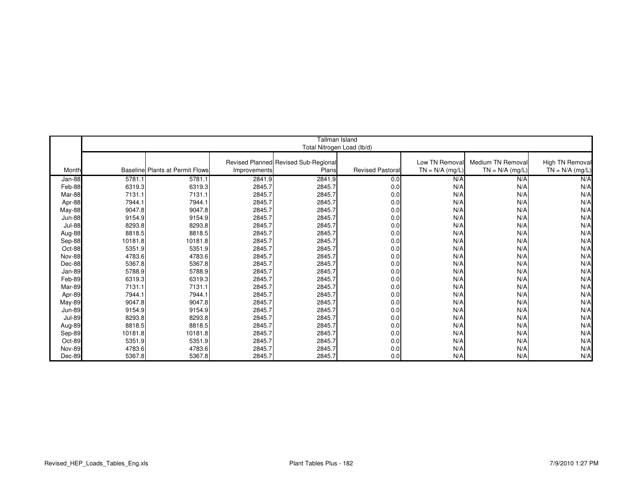|               |         |                                        |              | Tallman Island                       |                        |                   |                   |                   |
|---------------|---------|----------------------------------------|--------------|--------------------------------------|------------------------|-------------------|-------------------|-------------------|
|               |         |                                        |              |                                      |                        |                   |                   |                   |
|               |         |                                        |              | Total Nitrogen Load (lb/d)           |                        |                   |                   |                   |
|               |         |                                        |              | Revised Planned Revised Sub-Regional |                        | Low TN Removal    | Medium TN Removal | High TN Removal   |
| Month         |         | <b>Baseline Plants at Permit Flows</b> | Improvements | Plans                                | <b>Revised Pastora</b> | $TN = N/A$ (mg/L) | $TN = N/A$ (mg/L) | $TN = N/A$ (mg/L) |
|               |         |                                        |              |                                      |                        |                   |                   |                   |
| Jan-88        | 5781.1  | 5781.1                                 | 2841.9       | 2841.9                               | 0.0                    | N/A               | N/A               | N/A               |
| Feb-88        | 6319.3  | 6319.3                                 | 2845.7       | 2845.7                               | 0.0                    | N/A               | N/A               | N/A               |
| Mar-88        | 7131.1  | 7131.1                                 | 2845.7       | 2845.7                               | 0.0                    | N/A               | N/A               | N/A               |
| Apr-88        | 7944.1  | 7944.1                                 | 2845.7       | 2845.7                               | 0.0                    | N/A               | N/A               | N/A               |
| May-88        | 9047.8  | 9047.8                                 | 2845.7       | 2845.7                               | 0.0                    | N/A               | N/A               | N/A               |
| <b>Jun-88</b> | 9154.9  | 9154.9                                 | 2845.7       | 2845.7                               | 0.0                    | N/A               | N/A               | N/A               |
| <b>Jul-88</b> | 8293.8  | 8293.8                                 | 2845.7       | 2845.7                               | 0.0                    | N/A               | N/A               | N/A               |
| Aug-88        | 8818.5  | 8818.5                                 | 2845.7       | 2845.7                               | 0.0                    | N/A               | N/A               | N/A               |
| Sep-88        | 10181.8 | 10181.8                                | 2845.7       | 2845.7                               | 0.0                    | N/A               | N/A               | N/A               |
| Oct-88        | 5351.9  | 5351.9                                 | 2845.7       | 2845.7                               | 0.0                    | N/A               | N/A               | N/A               |
| <b>Nov-88</b> | 4783.6  | 4783.6                                 | 2845.7       | 2845.7                               | 0.0                    | N/A               | N/A               | N/A               |
| Dec-88        | 5367.8  | 5367.8                                 | 2845.7       | 2845.7                               | 0.0                    | N/A               | N/A               | N/A               |
| Jan-89        | 5788.9  | 5788.9                                 | 2845.7       | 2845.7                               | 0.0                    | N/A               | N/A               | N/A               |
| Feb-89        | 6319.3  | 6319.3                                 | 2845.7       | 2845.7                               | 0.0                    | N/A               | N/A               | N/A               |
| Mar-89        | 7131.1  | 7131.1                                 | 2845.7       | 2845.7                               | 0.0                    | N/A               | N/A               | N/A               |
| Apr-89        | 7944.1  | 7944.1                                 | 2845.7       | 2845.7                               | 0.0                    | N/A               | N/A               | N/A               |
| <b>May-89</b> | 9047.8  | 9047.8                                 | 2845.7       | 2845.7                               | 0.0                    | N/A               | N/A               | N/A               |
| <b>Jun-89</b> | 9154.9  | 9154.9                                 | 2845.7       | 2845.7                               | 0.0                    | N/A               | N/A               | N/A               |
| <b>Jul-89</b> | 8293.8  | 8293.8                                 | 2845.7       | 2845.7                               | 0.0                    | N/A               | N/A               | N/A               |
| Aug-89        | 8818.5  | 8818.5                                 | 2845.7       | 2845.7                               | 0.0                    | N/A               | N/A               | N/A               |
| Sep-89        | 10181.8 | 10181.8                                | 2845.7       | 2845.7                               | 0.0                    | N/A               | N/A               | N/A               |
| Oct-89        | 5351.9  | 5351.9                                 | 2845.7       | 2845.7                               | 0.0                    | N/A               | N/A               | N/A               |
| <b>Nov-89</b> | 4783.6  | 4783.6                                 | 2845.7       | 2845.7                               | 0.0                    | N/A               | N/A               | N/A               |
| Dec-89        | 5367.8  | 5367.8                                 | 2845.7       | 2845.7                               | 0.0                    | N/A               | N/A               | N/A               |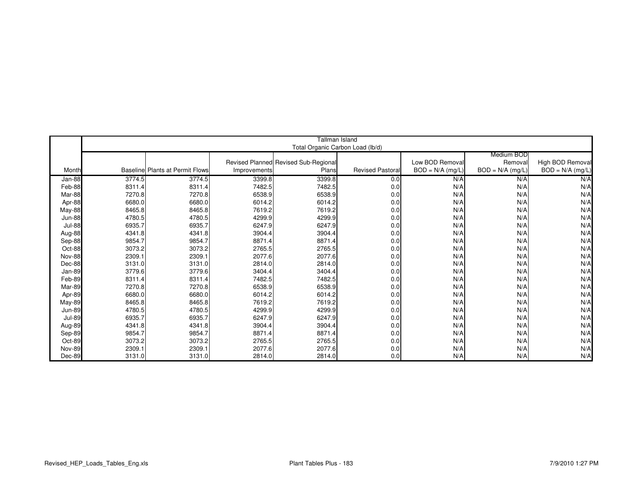|               |        |                                        |              | <b>Tallman Island</b>                |                         |                    |                    |                    |
|---------------|--------|----------------------------------------|--------------|--------------------------------------|-------------------------|--------------------|--------------------|--------------------|
|               |        |                                        |              | Total Organic Carbon Load (lb/d)     |                         |                    |                    |                    |
|               |        |                                        |              |                                      |                         |                    | Medium BOD         |                    |
|               |        |                                        |              | Revised Planned Revised Sub-Regional |                         | Low BOD Removal    | Removal            | High BOD Removal   |
| Month         |        | <b>Baseline Plants at Permit Flows</b> | Improvements | Plans                                | <b>Revised Pastoral</b> | $BOD = N/A$ (mg/L) | $BOD = N/A$ (mg/L) | $BOD = N/A$ (mg/L) |
| Jan-88        | 3774.5 | 3774.5                                 | 3399.8       | 3399.8                               | 0.0                     | N/A                | N/A                | N/A                |
| Feb-88        | 8311.4 | 8311.4                                 | 7482.5       | 7482.5                               | 0.0                     | N/A                | N/A                | N/A                |
| Mar-88        | 7270.8 | 7270.8                                 | 6538.9       | 6538.9                               | 0.0                     | N/A                | N/A                | N/A                |
| Apr-88        | 6680.0 | 6680.0                                 | 6014.2       | 6014.2                               | 0.0                     | N/A                | N/A                | N/A                |
| May-88        | 8465.8 | 8465.8                                 | 7619.2       | 7619.2                               | 0.0                     | N/A                | N/A                | N/A                |
| <b>Jun-88</b> | 4780.5 | 4780.5                                 | 4299.9       | 4299.9                               | 0.0                     | N/A                | N/A                | N/A                |
| <b>Jul-88</b> | 6935.7 | 6935.7                                 | 6247.9       | 6247.9                               | 0.0                     | N/A                | N/A                | N/A                |
| Aug-88        | 4341.8 | 4341.8                                 | 3904.4       | 3904.4                               | 0.0                     | N/A                | N/A                | N/A                |
| Sep-88        | 9854.7 | 9854.7                                 | 8871.4       | 8871.4                               | 0.0                     | N/A                | N/A                | N/A                |
| Oct-88        | 3073.2 | 3073.2                                 | 2765.5       | 2765.5                               | 0.0                     | N/A                | N/A                | N/A                |
| <b>Nov-88</b> | 2309.1 | 2309.1                                 | 2077.6       | 2077.6                               | 0.0                     | N/A                | N/A                | N/A                |
| Dec-88        | 3131.0 | 3131.0                                 | 2814.0       | 2814.0                               | 0.0                     | N/A                | N/A                | N/A                |
| Jan-89        | 3779.6 | 3779.6                                 | 3404.4       | 3404.4                               | 0.0                     | N/A                | N/A                | N/A                |
| Feb-89        | 8311.4 | 8311.4                                 | 7482.5       | 7482.5                               | 0.0                     | N/A                | N/A                | N/A                |
| Mar-89        | 7270.8 | 7270.8                                 | 6538.9       | 6538.9                               | 0.0                     | N/A                | N/A                | N/A                |
| Apr-89        | 6680.0 | 6680.0                                 | 6014.2       | 6014.2                               | 0.0                     | N/A                | N/A                | N/A                |
| <b>May-89</b> | 8465.8 | 8465.8                                 | 7619.2       | 7619.2                               | 0.0                     | N/A                | N/A                | N/A                |
| <b>Jun-89</b> | 4780.5 | 4780.5                                 | 4299.9       | 4299.9                               | 0.0                     | N/A                | N/A                | N/A                |
| <b>Jul-89</b> | 6935.7 | 6935.7                                 | 6247.9       | 6247.9                               | 0.0                     | N/A                | N/A                | N/A                |
| Aug-89        | 4341.8 | 4341.8                                 | 3904.4       | 3904.4                               | 0.0                     | N/A                | N/A                | N/A                |
| Sep-89        | 9854.7 | 9854.7                                 | 8871.4       | 8871.4                               | 0.0                     | N/A                | N/A                | N/A                |
| Oct-89        | 3073.2 | 3073.2                                 | 2765.5       | 2765.5                               | 0.0                     | N/A                | N/A                | N/A                |
| Nov-89        | 2309.1 | 2309.1                                 | 2077.6       | 2077.6                               | 0.0                     | N/A                | N/A                | N/A                |
| Dec-89        | 3131.0 | 3131.0                                 | 2814.0       | 2814.0                               | 0.0                     | N/A                | N/A                | N/A                |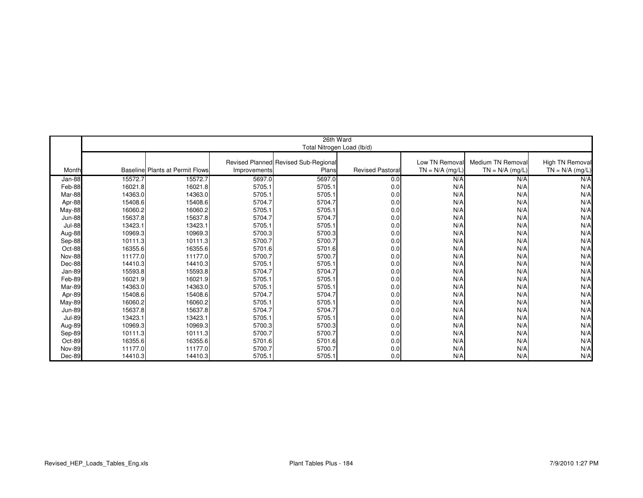|               |         |                                 |              | 26th Ward                            |                        |                   |                   |                   |
|---------------|---------|---------------------------------|--------------|--------------------------------------|------------------------|-------------------|-------------------|-------------------|
|               |         |                                 |              | Total Nitrogen Load (lb/d)           |                        |                   |                   |                   |
|               |         |                                 |              |                                      |                        |                   |                   |                   |
|               |         |                                 |              | Revised Planned Revised Sub-Regional |                        | Low TN Removal    | Medium TN Removal | High TN Removal   |
| Month         |         | Baseline Plants at Permit Flows | Improvements | Plans                                | <b>Revised Pastora</b> | $TN = N/A$ (mg/L) | $TN = N/A$ (mg/L) | $TN = N/A$ (mg/L) |
| Jan-88        | 15572.7 | 15572.7                         | 5697.0       | 5697.0                               | 0.0                    | N/A               | N/A               | N/A               |
| Feb-88        | 16021.8 | 16021.8                         | 5705.1       | 5705.1                               | 0.0                    | N/A               | N/A               | N/A               |
| Mar-88        | 14363.0 | 14363.0                         | 5705.1       | 5705.1                               | 0.0                    | N/A               | N/A               | N/A               |
| Apr-88        | 15408.6 | 15408.6                         | 5704.7       | 5704.7                               | 0.0                    | N/A               | N/A               | N/A               |
| May-88        | 16060.2 | 16060.2                         | 5705.1       | 5705.1                               | 0.0                    | N/A               | N/A               | N/A               |
| <b>Jun-88</b> | 15637.8 | 15637.8                         | 5704.7       | 5704.7                               | 0.0                    | N/A               | N/A               | N/A               |
| <b>Jul-88</b> | 13423.1 | 13423.1                         | 5705.1       | 5705.1                               | 0.0                    | N/A               | N/A               | N/A               |
| Aug-88        | 10969.3 | 10969.3                         | 5700.3       | 5700.3                               | 0.0                    | N/A               | N/A               | N/A               |
| Sep-88        | 10111.3 | 10111.3                         | 5700.7       | 5700.7                               | 0.0                    | N/A               | N/A               | N/A               |
| Oct-88        | 16355.6 | 16355.6                         | 5701.6       | 5701.6                               | 0.0                    | N/A               | N/A               | N/A               |
| <b>Nov-88</b> | 11177.0 | 11177.0                         | 5700.7       | 5700.7                               | 0.0                    | N/A               | N/A               | N/A               |
| Dec-88        | 14410.3 | 14410.3                         | 5705.1       | 5705.1                               | 0.0                    | N/A               | N/A               | N/A               |
| Jan-89        | 15593.8 | 15593.8                         | 5704.7       | 5704.7                               | 0.0                    | N/A               | N/A               | N/A               |
| Feb-89        | 16021.9 | 16021.9                         | 5705.1       | 5705.1                               | 0.0                    | N/A               | N/A               | N/A               |
| Mar-89        | 14363.0 | 14363.0                         | 5705.1       | 5705.1                               | 0.0                    | N/A               | N/A               | N/A               |
| Apr-89        | 15408.6 | 15408.6                         | 5704.7       | 5704.7                               | 0.0                    | N/A               | N/A               | N/A               |
| May-89        | 16060.2 | 16060.2                         | 5705.1       | 5705.1                               | 0.0                    | N/A               | N/A               | N/A               |
| <b>Jun-89</b> | 15637.8 | 15637.8                         | 5704.7       | 5704.7                               | 0.0                    | N/A               | N/A               | N/A               |
| <b>Jul-89</b> | 13423.1 | 13423.1                         | 5705.1       | 5705.1                               | 0.0                    | N/A               | N/A               | N/A               |
| Aug-89        | 10969.3 | 10969.3                         | 5700.3       | 5700.3                               | 0.0                    | N/A               | N/A               | N/A               |
| Sep-89        | 10111.3 | 10111.3                         | 5700.7       | 5700.7                               | 0.0                    | N/A               | N/A               | N/A               |
| Oct-89        | 16355.6 | 16355.6                         | 5701.6       | 5701.6                               | 0.0                    | N/A               | N/A               | N/A               |
| <b>Nov-89</b> | 11177.0 | 11177.0                         | 5700.7       | 5700.7                               | 0.0                    | N/A               | N/A               | N/A               |
| Dec-89        | 14410.3 | 14410.3                         | 5705.1       | 5705.1                               | 0.0                    | N/A               | N/A               | N/A               |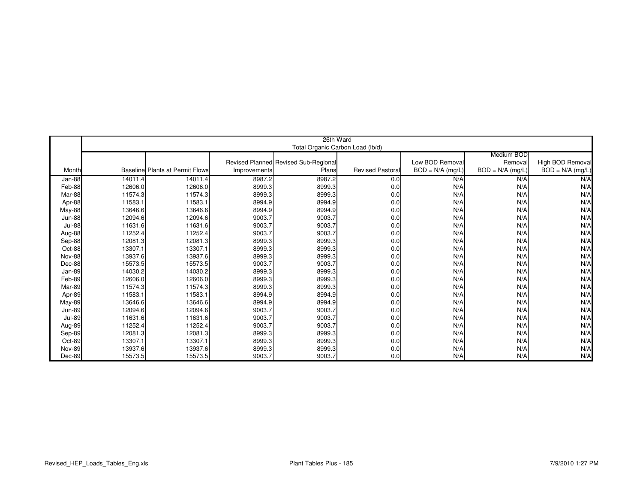|               |         |                                         |              | 26th Ward                            |                        |                    |                    |                    |
|---------------|---------|-----------------------------------------|--------------|--------------------------------------|------------------------|--------------------|--------------------|--------------------|
|               |         |                                         |              | Total Organic Carbon Load (lb/d)     |                        |                    |                    |                    |
|               |         |                                         |              |                                      |                        |                    | Medium BOD         |                    |
|               |         |                                         |              | Revised Planned Revised Sub-Regional |                        | Low BOD Removal    | Removal            | High BOD Removal   |
| Month         |         | <b>Baselinel Plants at Permit Flows</b> | Improvements | Plans                                | <b>Revised Pastora</b> | $BOD = N/A$ (mg/L) | $BOD = N/A$ (mg/L) | $BOD = N/A$ (mg/L) |
| Jan-88        | 14011.4 | 14011.4                                 | 8987.2       | 8987.2                               | 0.0                    | N/A                | N/A                | N/A                |
| Feb-88        | 12606.0 | 12606.0                                 | 8999.3       | 8999.3                               | 0.0                    | N/A                | N/A                | N/A                |
| Mar-88        | 11574.3 | 11574.3                                 | 8999.3       | 8999.3                               | 0.0                    | N/A                | N/A                | N/A                |
| Apr-88        | 11583.1 | 11583.1                                 | 8994.9       | 8994.9                               | 0.0                    | N/A                | N/A                | N/A                |
| <b>May-88</b> | 13646.6 | 13646.6                                 | 8994.9       | 8994.9                               | 0.0                    | N/A                | N/A                | N/A                |
| <b>Jun-88</b> | 12094.6 | 12094.6                                 | 9003.7       | 9003.7                               | 0.0                    | N/A                | N/A                | N/A                |
| <b>Jul-88</b> | 11631.6 | 11631.6                                 | 9003.7       | 9003.7                               | 0.0                    | N/A                | N/A                | N/A                |
| Aug-88        | 11252.4 | 11252.4                                 | 9003.7       | 9003.7                               | 0.0                    | N/A                | N/A                | N/A                |
| Sep-88        | 12081.3 | 12081.3                                 | 8999.3       | 8999.3                               | 0.0                    | N/A                | N/A                | N/A                |
| Oct-88        | 13307.1 | 13307.1                                 | 8999.3       | 8999.3                               | 0.0                    | N/A                | N/A                | N/A                |
| <b>Nov-88</b> | 13937.6 | 13937.6                                 | 8999.3       | 8999.3                               | 0.0                    | N/A                | N/A                | N/A                |
| Dec-88        | 15573.5 | 15573.5                                 | 9003.7       | 9003.7                               | 0.0                    | N/A                | N/A                | N/A                |
| Jan-89        | 14030.2 | 14030.2                                 | 8999.3       | 8999.3                               | 0.0                    | N/A                | N/A                | N/A                |
| Feb-89        | 12606.0 | 12606.0                                 | 8999.3       | 8999.3                               | 0.0                    | N/A                | N/A                | N/A                |
| Mar-89        | 11574.3 | 11574.3                                 | 8999.3       | 8999.3                               | 0.0                    | N/A                | N/A                | N/A                |
| Apr-89        | 11583.1 | 11583.1                                 | 8994.9       | 8994.9                               | 0.0                    | N/A                | N/A                | N/A                |
| May-89        | 13646.6 | 13646.6                                 | 8994.9       | 8994.9                               | 0.0                    | N/A                | N/A                | N/A                |
| <b>Jun-89</b> | 12094.6 | 12094.6                                 | 9003.7       | 9003.7                               | 0.0                    | N/A                | N/A                | N/A                |
| <b>Jul-89</b> | 11631.6 | 11631.6                                 | 9003.7       | 9003.7                               | 0.0                    | N/A                | N/A                | N/A                |
| Aug-89        | 11252.4 | 11252.4                                 | 9003.7       | 9003.7                               | 0.0                    | N/A                | N/A                | N/A                |
| Sep-89        | 12081.3 | 12081.3                                 | 8999.3       | 8999.3                               | 0.0                    | N/A                | N/A                | N/A                |
| Oct-89        | 13307.1 | 13307.1                                 | 8999.3       | 8999.3                               | 0.0                    | N/A                | N/A                | N/A                |
| <b>Nov-89</b> | 13937.6 | 13937.6                                 | 8999.3       | 8999.3                               | 0.0                    | N/A                | N/A                | N/A                |
| Dec-89        | 15573.5 | 15573.5                                 | 9003.7       | 9003.7                               | 0.0                    | N/A                | N/A                | N/A                |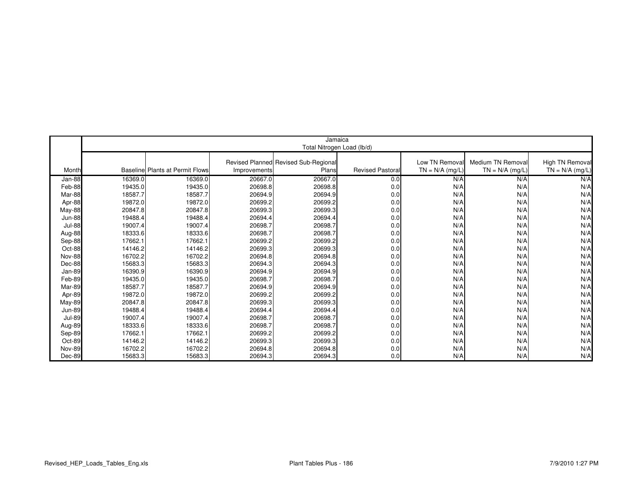|               |         |                                        |              | Jamaica<br>Total Nitrogen Load (lb/d) |                        |                   |                   |                   |
|---------------|---------|----------------------------------------|--------------|---------------------------------------|------------------------|-------------------|-------------------|-------------------|
|               |         |                                        |              |                                       |                        |                   |                   |                   |
|               |         |                                        |              | Revised Planned Revised Sub-Regional  |                        | Low TN Removal    | Medium TN Removal | High TN Removal   |
| Month         |         | <b>Baseline Plants at Permit Flows</b> | Improvements | Plans                                 | <b>Revised Pastora</b> | $TN = N/A$ (mg/L) | $TN = N/A$ (mg/L) | $TN = N/A$ (mg/L) |
| Jan-88        | 16369.0 | 16369.0                                | 20667.0      | 20667.0                               | 0.0                    | N/A               | N/A               | N/A               |
|               |         | 19435.0                                | 20698.8      |                                       |                        | N/A               | N/A               | N/A               |
| Feb-88        | 19435.0 |                                        |              | 20698.8                               | 0.0                    |                   |                   |                   |
| Mar-88        | 18587.7 | 18587.7                                | 20694.9      | 20694.9                               | 0.0                    | N/A               | N/A               | N/A               |
| Apr-88        | 19872.0 | 19872.0                                | 20699.2      | 20699.2                               | 0.0                    | N/A               | N/A               | N/A               |
| May-88        | 20847.8 | 20847.8                                | 20699.3      | 20699.3                               | 0.0                    | N/A               | N/A               | N/A               |
| <b>Jun-88</b> | 19488.4 | 19488.4                                | 20694.4      | 20694.4                               | 0.0                    | N/A               | N/A               | N/A               |
| <b>Jul-88</b> | 19007.4 | 19007.4                                | 20698.7      | 20698.7                               | 0.0                    | N/A               | N/A               | N/A               |
| Aug-88        | 18333.6 | 18333.6                                | 20698.7      | 20698.7                               | 0.0                    | N/A               | N/A               | N/A               |
| Sep-88        | 17662.1 | 17662.1                                | 20699.2      | 20699.2                               | 0.0                    | N/A               | N/A               | N/A               |
| Oct-88        | 14146.2 | 14146.2                                | 20699.3      | 20699.3                               | 0.0                    | N/A               | N/A               | N/A               |
| Nov-88        | 16702.2 | 16702.2                                | 20694.8      | 20694.8                               | 0.0                    | N/A               | N/A               | N/A               |
| Dec-88        | 15683.3 | 15683.3                                | 20694.3      | 20694.3                               | 0.0                    | N/A               | N/A               | N/A               |
| Jan-89        | 16390.9 | 16390.9                                | 20694.9      | 20694.9                               | 0.0                    | N/A               | N/A               | N/A               |
| Feb-89        | 19435.0 | 19435.0                                | 20698.7      | 20698.7                               | 0.0                    | N/A               | N/A               | N/A               |
| Mar-89        | 18587.7 | 18587.7                                | 20694.9      | 20694.9                               | 0.0                    | N/A               | N/A               | N/A               |
| Apr-89        | 19872.0 | 19872.0                                | 20699.2      | 20699.2                               | 0.0                    | N/A               | N/A               | N/A               |
| May-89        | 20847.8 | 20847.8                                | 20699.3      | 20699.3                               | 0.0                    | N/A               | N/A               | N/A               |
| <b>Jun-89</b> | 19488.4 | 19488.4                                | 20694.4      | 20694.4                               | 0.0                    | N/A               | N/A               | N/A               |
| <b>Jul-89</b> | 19007.4 | 19007.4                                | 20698.7      | 20698.7                               | 0.0                    | N/A               | N/A               | N/A               |
| Aug-89        | 18333.6 | 18333.6                                | 20698.7      | 20698.7                               | 0.0                    | N/A               | N/A               | N/A               |
| Sep-89        | 17662.1 | 17662.1                                | 20699.2      | 20699.2                               | 0.0                    | N/A               | N/A               | N/A               |
| Oct-89        | 14146.2 | 14146.2                                | 20699.3      | 20699.3                               | 0.0                    | N/A               | N/A               | N/A               |
| <b>Nov-89</b> | 16702.2 | 16702.2                                | 20694.8      | 20694.8                               | 0.0                    | N/A               | N/A               | N/A               |
| Dec-89        | 15683.3 | 15683.3                                | 20694.3      | 20694.3                               | 0.0                    | N/A               | N/A               | N/A               |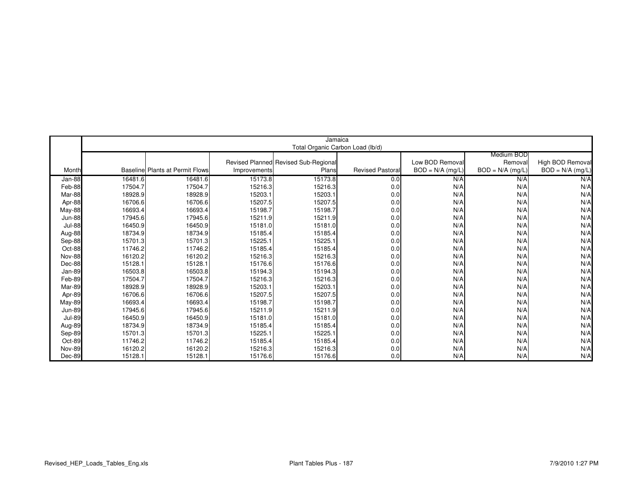|               |         |                                        |              | Jamaica                              |                        |                    |                    |                    |
|---------------|---------|----------------------------------------|--------------|--------------------------------------|------------------------|--------------------|--------------------|--------------------|
|               |         |                                        |              | Total Organic Carbon Load (lb/d)     |                        |                    |                    |                    |
|               |         |                                        |              |                                      |                        |                    | Medium BOD         |                    |
|               |         |                                        |              | Revised Planned Revised Sub-Regional |                        | Low BOD Removal    | Removall           | High BOD Removal   |
| Month         |         | <b>Baseline Plants at Permit Flows</b> | Improvements | Plans                                | <b>Revised Pastora</b> | $BOD = N/A$ (mg/L) | $BOD = N/A$ (mg/L) | $BOD = N/A$ (mg/L) |
| Jan-88        | 16481.6 | 16481.6                                | 15173.8      | 15173.8                              | 0.0                    | N/A                | N/A                | N/A                |
| Feb-88        | 17504.7 | 17504.7                                | 15216.3      | 15216.3                              | 0.0                    | N/A                | N/A                | N/A                |
| Mar-88        | 18928.9 | 18928.9                                | 15203.1      | 15203.1                              | 0.0                    | N/A                | N/A                | N/A                |
| Apr-88        | 16706.6 | 16706.6                                | 15207.5      | 15207.5                              | 0.0                    | N/A                | N/A                | N/A                |
| <b>May-88</b> | 16693.4 | 16693.4                                | 15198.7      | 15198.7                              | 0.0                    | N/A                | N/A                | N/A                |
| <b>Jun-88</b> | 17945.6 | 17945.6                                | 15211.9      | 15211.9                              | 0.0                    | N/A                | N/A                | N/A                |
| <b>Jul-88</b> | 16450.9 | 16450.9                                | 15181.0      | 15181.0                              | 0.0                    | N/A                | N/A                | N/A                |
| Aug-88        | 18734.9 | 18734.9                                | 15185.4      | 15185.4                              | 0.0                    | N/A                | N/A                | N/A                |
| Sep-88        | 15701.3 | 15701.3                                | 15225.1      | 15225.1                              | 0.0                    | N/A                | N/A                | N/A                |
| Oct-88        | 11746.2 | 11746.2                                | 15185.4      | 15185.4                              | 0.0                    | N/A                | N/A                | N/A                |
| Nov-88        | 16120.2 | 16120.2                                | 15216.3      | 15216.3                              | 0.0                    | N/A                | N/A                | N/A                |
| Dec-88        | 15128.1 | 15128.1                                | 15176.6      | 15176.6                              | 0.0                    | N/A                | N/A                | N/A                |
| Jan-89        | 16503.8 | 16503.8                                | 15194.3      | 15194.3                              | 0.0                    | N/A                | N/A                | N/A                |
| Feb-89        | 17504.7 | 17504.7                                | 15216.3      | 15216.3                              | 0.0                    | N/A                | N/A                | N/A                |
| Mar-89        | 18928.9 | 18928.9                                | 15203.1      | 15203.1                              | 0.0                    | N/A                | N/A                | N/A                |
| Apr-89        | 16706.6 | 16706.6                                | 15207.5      | 15207.5                              | 0.0                    | N/A                | N/A                | N/A                |
| May-89        | 16693.4 | 16693.4                                | 15198.7      | 15198.7                              | 0.0                    | N/A                | N/A                | N/A                |
| <b>Jun-89</b> | 17945.6 | 17945.6                                | 15211.9      | 15211.9                              | 0.0                    | N/A                | N/A                | N/A                |
| <b>Jul-89</b> | 16450.9 | 16450.9                                | 15181.0      | 15181.0                              | 0.0                    | N/A                | N/A                | N/A                |
| Aug-89        | 18734.9 | 18734.9                                | 15185.4      | 15185.4                              | 0.0                    | N/A                | N/A                | N/A                |
| Sep-89        | 15701.3 | 15701.3                                | 15225.1      | 15225.1                              | 0.0                    | N/A                | N/A                | N/A                |
| Oct-89        | 11746.2 | 11746.2                                | 15185.4      | 15185.4                              | 0.0                    | N/A                | N/A                | N/A                |
| Nov-89        | 16120.2 | 16120.2                                | 15216.3      | 15216.3                              | 0.0                    | N/A                | N/A                | N/A                |
| Dec-89        | 15128.1 | 15128.1                                | 15176.6      | 15176.6                              | 0.0                    | N/A                | N/A                | N/A                |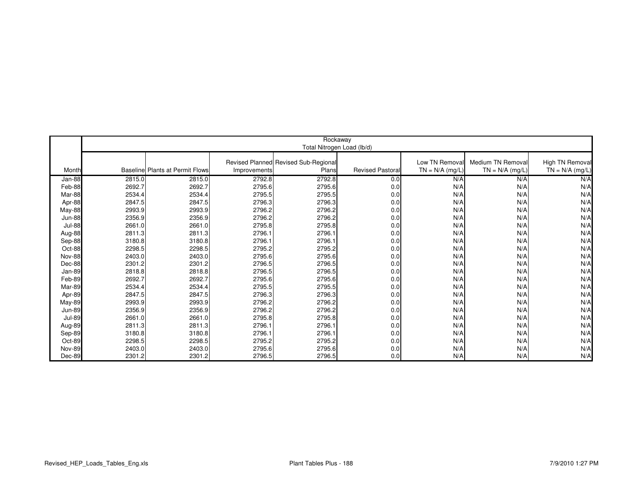|               | Rockaway |                                        |              |                                      |                        |                   |                   |                   |  |  |
|---------------|----------|----------------------------------------|--------------|--------------------------------------|------------------------|-------------------|-------------------|-------------------|--|--|
|               |          |                                        |              | Total Nitrogen Load (lb/d)           |                        |                   |                   |                   |  |  |
|               |          |                                        |              |                                      |                        |                   |                   |                   |  |  |
|               |          |                                        |              | Revised Planned Revised Sub-Regional |                        | Low TN Removal    | Medium TN Removal | High TN Removal   |  |  |
| Month         |          | <b>Baseline Plants at Permit Flows</b> | Improvements | Plans                                | <b>Revised Pastora</b> | $TN = N/A$ (mg/L) | $TN = N/A$ (mg/L) | $TN = N/A$ (mg/L) |  |  |
| Jan-88        | 2815.0   | 2815.0                                 | 2792.8       | 2792.8                               | 0.0                    | N/A               | N/A               | N/A               |  |  |
| Feb-88        | 2692.7   | 2692.7                                 | 2795.6       | 2795.6                               | 0.0                    | N/A               | N/A               | N/A               |  |  |
| Mar-88        | 2534.4   | 2534.4                                 | 2795.5       | 2795.5                               | 0.0                    | N/A               | N/A               | N/A               |  |  |
| Apr-88        | 2847.5   | 2847.5                                 | 2796.3       | 2796.3                               | 0.0                    | N/A               | N/A               | N/A               |  |  |
| May-88        | 2993.9   | 2993.9                                 | 2796.2       | 2796.2                               | 0.0                    | N/A               | N/A               | N/A               |  |  |
| <b>Jun-88</b> | 2356.9   | 2356.9                                 | 2796.2       | 2796.2                               | 0.0                    | N/A               | N/A               | N/A               |  |  |
| <b>Jul-88</b> | 2661.0   | 2661.0                                 | 2795.8       | 2795.8                               | 0.0                    | N/A               | N/A               | N/A               |  |  |
| Aug-88        | 2811.3   | 2811.3                                 | 2796.1       | 2796.1                               | 0.0                    | N/A               | N/A               | N/A               |  |  |
| Sep-88        | 3180.8   | 3180.8                                 | 2796.1       | 2796.1                               | 0.0                    | N/A               | N/A               | N/A               |  |  |
| Oct-88        | 2298.5   | 2298.5                                 | 2795.2       | 2795.2                               | 0.0                    | N/A               | N/A               | N/A               |  |  |
| <b>Nov-88</b> | 2403.0   | 2403.0                                 | 2795.6       | 2795.6                               | 0.0                    | N/A               | N/A               | N/A               |  |  |
| Dec-88        | 2301.2   | 2301.2                                 | 2796.5       | 2796.5                               | 0.0                    | N/A               | N/A               | N/A               |  |  |
| Jan-89        | 2818.8   | 2818.8                                 | 2796.5       | 2796.5                               | 0.0                    | N/A               | N/A               | N/A               |  |  |
| Feb-89        | 2692.7   | 2692.7                                 | 2795.6       | 2795.6                               | 0.0                    | N/A               | N/A               | N/A               |  |  |
| Mar-89        | 2534.4   | 2534.4                                 | 2795.5       | 2795.5                               | 0.0                    | N/A               | N/A               | N/A               |  |  |
| Apr-89        | 2847.5   | 2847.5                                 | 2796.3       | 2796.3                               | 0.0                    | N/A               | N/A               | N/A               |  |  |
| <b>May-89</b> | 2993.9   | 2993.9                                 | 2796.2       | 2796.2                               | 0.0                    | N/A               | N/A               | N/A               |  |  |
| <b>Jun-89</b> | 2356.9   | 2356.9                                 | 2796.2       | 2796.2                               | 0.0                    | N/A               | N/A               | N/A               |  |  |
| <b>Jul-89</b> | 2661.0   | 2661.0                                 | 2795.8       | 2795.8                               | 0.0                    | N/A               | N/A               | N/A               |  |  |
| Aug-89        | 2811.3   | 2811.3                                 | 2796.1       | 2796.1                               | 0.0                    | N/A               | N/A               | N/A               |  |  |
| Sep-89        | 3180.8   | 3180.8                                 | 2796.1       | 2796.1                               | 0.0                    | N/A               | N/A               | N/A               |  |  |
| Oct-89        | 2298.5   | 2298.5                                 | 2795.2       | 2795.2                               | 0.0                    | N/A               | N/A               | N/A               |  |  |
| <b>Nov-89</b> | 2403.0   | 2403.0                                 | 2795.6       | 2795.6                               | 0.0                    | N/A               | N/A               | N/A               |  |  |
| Dec-89        | 2301.2   | 2301.2                                 | 2796.5       | 2796.5                               | 0.0                    | N/A               | N/A               | N/A               |  |  |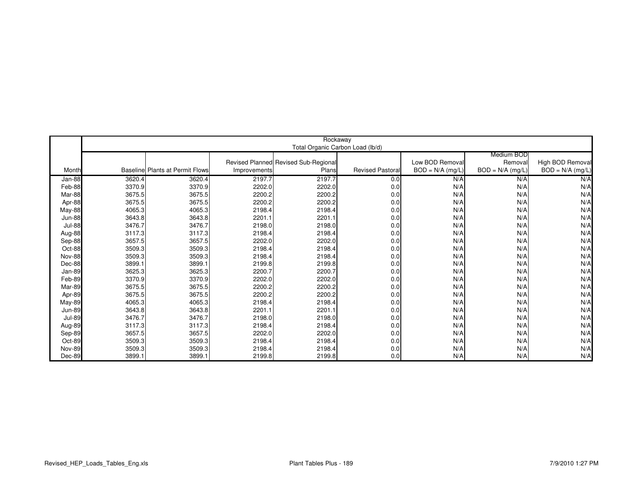|               |        |                                        |              | Rockaway                             |                        |                    |                    |                    |
|---------------|--------|----------------------------------------|--------------|--------------------------------------|------------------------|--------------------|--------------------|--------------------|
|               |        |                                        |              | Total Organic Carbon Load (lb/d)     |                        |                    |                    |                    |
|               |        |                                        |              |                                      |                        |                    | Medium BOD         |                    |
|               |        |                                        |              | Revised Planned Revised Sub-Regional |                        | Low BOD Removal    | Removal            | High BOD Removal   |
| Month         |        | <b>Baseline Plants at Permit Flows</b> | Improvements | Plans                                | <b>Revised Pastora</b> | $BOD = N/A$ (mg/L) | $BOD = N/A$ (mg/L) | $BOD = N/A$ (mg/L) |
| Jan-88        | 3620.4 | 3620.4                                 | 2197.7       | 2197.7                               | 0.0                    | N/A                | N/A                | N/A                |
| Feb-88        | 3370.9 | 3370.9                                 | 2202.0       | 2202.0                               | 0.0                    | N/A                | N/A                | N/A                |
| Mar-88        | 3675.5 | 3675.5                                 | 2200.2       | 2200.2                               | 0.0                    | N/A                | N/A                | N/A                |
| Apr-88        | 3675.5 | 3675.5                                 | 2200.2       | 2200.2                               | 0.0                    | N/A                | N/A                | N/A                |
| May-88        | 4065.3 | 4065.3                                 | 2198.4       | 2198.4                               | 0.0                    | N/A                | N/A                | N/A                |
| <b>Jun-88</b> | 3643.8 | 3643.8                                 | 2201.1       | 2201.1                               | 0.0                    | N/A                | N/A                | N/A                |
| <b>Jul-88</b> | 3476.7 | 3476.7                                 | 2198.0       | 2198.0                               | 0.0                    | N/A                | N/A                | N/A                |
| Aug-88        | 3117.3 | 3117.3                                 | 2198.4       | 2198.4                               | 0.0                    | N/A                | N/A                | N/A                |
| Sep-88        | 3657.5 | 3657.5                                 | 2202.0       | 2202.0                               | 0.0                    | N/A                | N/A                | N/A                |
| Oct-88        | 3509.3 | 3509.3                                 | 2198.4       | 2198.4                               | 0.0                    | N/A                | N/A                | N/A                |
| <b>Nov-88</b> | 3509.3 | 3509.3                                 | 2198.4       | 2198.4                               | 0.0                    | N/A                | N/A                | N/A                |
| Dec-88        | 3899.1 | 3899.1                                 | 2199.8       | 2199.8                               | 0.0                    | N/A                | N/A                | N/A                |
| Jan-89        | 3625.3 | 3625.3                                 | 2200.7       | 2200.7                               | 0.0                    | N/A                | N/A                | N/A                |
| Feb-89        | 3370.9 | 3370.9                                 | 2202.0       | 2202.0                               | 0.0                    | N/A                | N/A                | N/A                |
| Mar-89        | 3675.5 | 3675.5                                 | 2200.2       | 2200.2                               | 0.0                    | N/A                | N/A                | N/A                |
| Apr-89        | 3675.5 | 3675.5                                 | 2200.2       | 2200.2                               | 0.0                    | N/A                | N/A                | N/A                |
| May-89        | 4065.3 | 4065.3                                 | 2198.4       | 2198.4                               | 0.0                    | N/A                | N/A                | N/A                |
| <b>Jun-89</b> | 3643.8 | 3643.8                                 | 2201.1       | 2201.1                               | 0.0                    | N/A                | N/A                | N/A                |
| <b>Jul-89</b> | 3476.7 | 3476.7                                 | 2198.0       | 2198.0                               | 0.0                    | N/A                | N/A                | N/A                |
| Aug-89        | 3117.3 | 3117.3                                 | 2198.4       | 2198.4                               | 0.0                    | N/A                | N/A                | N/A                |
| Sep-89        | 3657.5 | 3657.5                                 | 2202.0       | 2202.0                               | 0.0                    | N/A                | N/A                | N/A                |
| Oct-89        | 3509.3 | 3509.3                                 | 2198.4       | 2198.4                               | 0.0                    | N/A                | N/A                | N/A                |
| <b>Nov-89</b> | 3509.3 | 3509.3                                 | 2198.4       | 2198.4                               | 0.0                    | N/A                | N/A                | N/A                |
| Dec-89        | 3899.1 | 3899.1                                 | 2199.8       | 2199.8                               | 0.0                    | N/A                | N/A                | N/A                |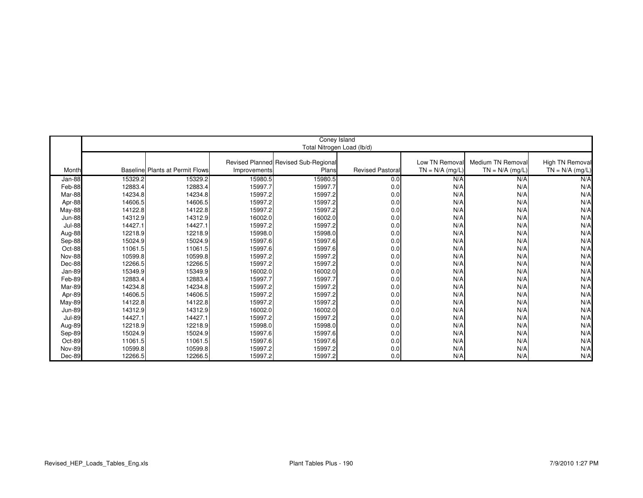|               | Coney Island               |                                        |              |                                      |                        |                   |                   |                   |
|---------------|----------------------------|----------------------------------------|--------------|--------------------------------------|------------------------|-------------------|-------------------|-------------------|
|               | Total Nitrogen Load (lb/d) |                                        |              |                                      |                        |                   |                   |                   |
|               |                            |                                        |              | Revised Planned Revised Sub-Regional |                        | Low TN Removal    | Medium TN Removal | High TN Removal   |
| Month         |                            | <b>Baseline Plants at Permit Flows</b> | Improvements | Plans                                | <b>Revised Pastora</b> | $TN = N/A$ (mg/L) | $TN = N/A$ (mg/L) | $TN = N/A$ (mg/L) |
|               |                            |                                        |              |                                      |                        |                   |                   |                   |
| Jan-88        | 15329.2                    | 15329.2                                | 15980.5      | 15980.5                              | 0.0                    | N/A               | N/A               | N/A               |
| Feb-88        | 12883.4                    | 12883.4                                | 15997.7      | 15997.7                              | 0.0                    | N/A               | N/A               | N/A               |
| Mar-88        | 14234.8                    | 14234.8                                | 15997.2      | 15997.2                              | 0.0                    | N/A               | N/A               | N/A               |
| Apr-88        | 14606.5                    | 14606.5                                | 15997.2      | 15997.2                              | 0.0                    | N/A               | N/A               | N/A               |
| May-88        | 14122.8                    | 14122.8                                | 15997.2      | 15997.2                              | 0.0                    | N/A               | N/A               | N/A               |
| <b>Jun-88</b> | 14312.9                    | 14312.9                                | 16002.0      | 16002.0                              | 0.0                    | N/A               | N/A               | N/A               |
| <b>Jul-88</b> | 14427.1                    | 14427.1                                | 15997.2      | 15997.2                              | 0.0                    | N/A               | N/A               | N/A               |
| Aug-88        | 12218.9                    | 12218.9                                | 15998.0      | 15998.0                              | 0.0                    | N/A               | N/A               | N/A               |
| Sep-88        | 15024.9                    | 15024.9                                | 15997.6      | 15997.6                              | 0.0                    | N/A               | N/A               | N/A               |
| Oct-88        | 11061.5                    | 11061.5                                | 15997.6      | 15997.6                              | 0.0                    | N/A               | N/A               | N/A               |
| <b>Nov-88</b> | 10599.8                    | 10599.8                                | 15997.2      | 15997.2                              | 0.0                    | N/A               | N/A               | N/A               |
| Dec-88        | 12266.5                    | 12266.5                                | 15997.2      | 15997.2                              | 0.0                    | N/A               | N/A               | N/A               |
| Jan-89        | 15349.9                    | 15349.9                                | 16002.0      | 16002.0                              | 0.0                    | N/A               | N/A               | N/A               |
| Feb-89        | 12883.4                    | 12883.4                                | 15997.7      | 15997.7                              | 0.0                    | N/A               | N/A               | N/A               |
| Mar-89        | 14234.8                    | 14234.8                                | 15997.2      | 15997.2                              | 0.0                    | N/A               | N/A               | N/A               |
| Apr-89        | 14606.5                    | 14606.5                                | 15997.2      | 15997.2                              | 0.0                    | N/A               | N/A               | N/A               |
| May-89        | 14122.8                    | 14122.8                                | 15997.2      | 15997.2                              | 0.0                    | N/A               | N/A               | N/A               |
| <b>Jun-89</b> | 14312.9                    | 14312.9                                | 16002.0      | 16002.0                              | 0.0                    | N/A               | N/A               | N/A               |
| <b>Jul-89</b> | 14427.1                    | 14427.1                                | 15997.2      | 15997.2                              | 0.0                    | N/A               | N/A               | N/A               |
| Aug-89        | 12218.9                    | 12218.9                                | 15998.0      | 15998.0                              | 0.0                    | N/A               | N/A               | N/A               |
| Sep-89        | 15024.9                    | 15024.9                                | 15997.6      | 15997.6                              | 0.0                    | N/A               | N/A               | N/A               |
| Oct-89        | 11061.5                    | 11061.5                                | 15997.6      | 15997.6                              | 0.0                    | N/A               | N/A               | N/A               |
| <b>Nov-89</b> | 10599.8                    | 10599.8                                | 15997.2      | 15997.2                              | 0.0                    | N/A               | N/A               | N/A               |
| Dec-89        | 12266.5                    | 12266.5                                | 15997.2      | 15997.2                              | 0.0                    | N/A               | N/A               | N/A               |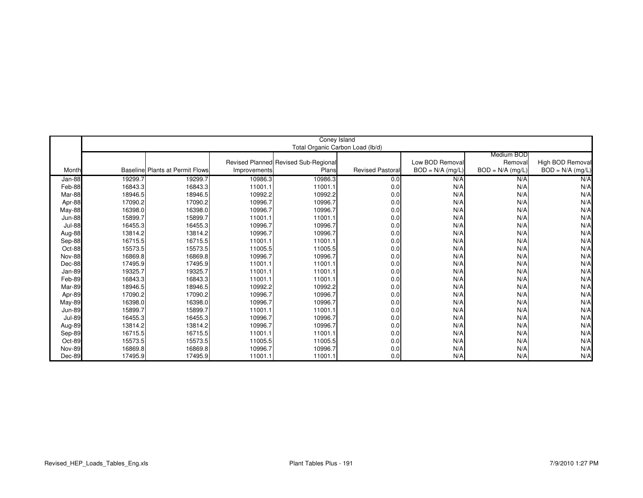|               | Coney Island |                                        |              |                                      |                        |                    |                    |                    |  |
|---------------|--------------|----------------------------------------|--------------|--------------------------------------|------------------------|--------------------|--------------------|--------------------|--|
|               |              | Total Organic Carbon Load (lb/d)       |              |                                      |                        |                    |                    |                    |  |
|               |              |                                        |              |                                      |                        |                    | Medium BOD         |                    |  |
|               |              |                                        |              | Revised Planned Revised Sub-Regional |                        | Low BOD Removal    | Removal            | High BOD Removal   |  |
| Month         |              | <b>Baseline Plants at Permit Flows</b> | Improvements | Plans                                | <b>Revised Pastora</b> | $BOD = N/A$ (mg/L) | $BOD = N/A$ (mg/L) | $BOD = N/A$ (mg/L) |  |
| Jan-88        | 19299.7      | 19299.7                                | 10986.3      | 10986.3                              | 0.0                    | N/A                | N/A                | N/A                |  |
| Feb-88        | 16843.3      | 16843.3                                | 11001.1      | 11001.1                              | 0.0                    | N/A                | N/A                | N/A                |  |
| Mar-88        | 18946.5      | 18946.5                                | 10992.2      | 10992.2                              | 0.0                    | N/A                | N/A                | N/A                |  |
| Apr-88        | 17090.2      | 17090.2                                | 10996.7      | 10996.7                              | 0.0                    | N/A                | N/A                | N/A                |  |
| May-88        | 16398.0      | 16398.0                                | 10996.7      | 10996.7                              | 0.0                    | N/A                | N/A                | N/A                |  |
| <b>Jun-88</b> | 15899.7      | 15899.7                                | 11001.1      | 11001.1                              | 0.0                    | N/A                | N/A                | N/A                |  |
| <b>Jul-88</b> | 16455.3      | 16455.3                                | 10996.7      | 10996.7                              | 0.0                    | N/A                | N/A                | N/A                |  |
| Aug-88        | 13814.2      | 13814.2                                | 10996.7      | 10996.7                              | 0.0                    | N/A                | N/A                | N/A                |  |
| Sep-88        | 16715.5      | 16715.5                                | 11001.1      | 11001.1                              | 0.0                    | N/A                | N/A                | N/A                |  |
| Oct-88        | 15573.5      | 15573.5                                | 11005.5      | 11005.5                              | 0.0                    | N/A                | N/A                | N/A                |  |
| <b>Nov-88</b> | 16869.8      | 16869.8                                | 10996.7      | 10996.7                              | 0.0                    | N/A                | N/A                | N/A                |  |
| Dec-88        | 17495.9      | 17495.9                                | 11001.1      | 11001.1                              | 0.0                    | N/A                | N/A                | N/A                |  |
| Jan-89        | 19325.7      | 19325.7                                | 11001.1      | 11001.1                              | 0.0                    | N/A                | N/A                | N/A                |  |
| Feb-89        | 16843.3      | 16843.3                                | 11001.1      | 11001.1                              | 0.0                    | N/A                | N/A                | N/A                |  |
| Mar-89        | 18946.5      | 18946.5                                | 10992.2      | 10992.2                              | 0.0                    | N/A                | N/A                | N/A                |  |
| Apr-89        | 17090.2      | 17090.2                                | 10996.7      | 10996.7                              | 0.0                    | N/A                | N/A                | N/A                |  |
| <b>May-89</b> | 16398.0      | 16398.0                                | 10996.7      | 10996.7                              | 0.0                    | N/A                | N/A                | N/A                |  |
| <b>Jun-89</b> | 15899.7      | 15899.7                                | 11001.1      | 11001.1                              | 0.0                    | N/A                | N/A                | N/A                |  |
| <b>Jul-89</b> | 16455.3      | 16455.3                                | 10996.7      | 10996.7                              | 0.0                    | N/A                | N/A                | N/A                |  |
| Aug-89        | 13814.2      | 13814.2                                | 10996.7      | 10996.7                              | 0.0                    | N/A                | N/A                | N/A                |  |
| Sep-89        | 16715.5      | 16715.5                                | 11001.1      | 11001.1                              | 0.0                    | N/A                | N/A                | N/A                |  |
| Oct-89        | 15573.5      | 15573.5                                | 11005.5      | 11005.5                              | 0.0                    | N/A                | N/A                | N/A                |  |
| <b>Nov-89</b> | 16869.8      | 16869.8                                | 10996.7      | 10996.7                              | 0.0                    | N/A                | N/A                | N/A                |  |
| Dec-89        | 17495.9      | 17495.9                                | 11001.1      | 11001.1                              | 0.0                    | N/A                | N/A                | N/A                |  |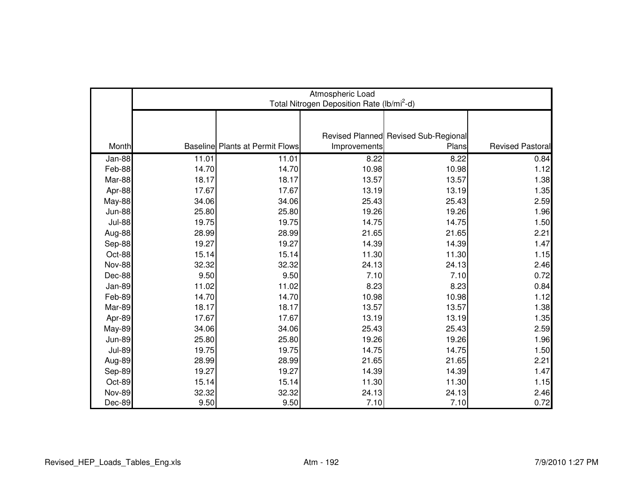|               | Atmospheric Load<br>Total Nitrogen Deposition Rate (lb/mi <sup>2</sup> -d) |                                        |              |                                      |                         |  |  |
|---------------|----------------------------------------------------------------------------|----------------------------------------|--------------|--------------------------------------|-------------------------|--|--|
|               |                                                                            |                                        |              |                                      |                         |  |  |
|               |                                                                            |                                        |              |                                      |                         |  |  |
|               |                                                                            |                                        |              | Revised Planned Revised Sub-Regional |                         |  |  |
| Month         |                                                                            | <b>Baseline Plants at Permit Flows</b> | Improvements | Plans                                | <b>Revised Pastoral</b> |  |  |
| Jan-88        | 11.01                                                                      | 11.01                                  | 8.22         | 8.22                                 | 0.84                    |  |  |
| Feb-88        | 14.70                                                                      | 14.70                                  | 10.98        | 10.98                                | 1.12                    |  |  |
| Mar-88        | 18.17                                                                      | 18.17                                  | 13.57        | 13.57                                | 1.38                    |  |  |
| Apr-88        | 17.67                                                                      | 17.67                                  | 13.19        | 13.19                                | 1.35                    |  |  |
| <b>May-88</b> | 34.06                                                                      | 34.06                                  | 25.43        | 25.43                                | 2.59                    |  |  |
| <b>Jun-88</b> | 25.80                                                                      | 25.80                                  | 19.26        | 19.26                                | 1.96                    |  |  |
| <b>Jul-88</b> | 19.75                                                                      | 19.75                                  | 14.75        | 14.75                                | 1.50                    |  |  |
| Aug-88        | 28.99                                                                      | 28.99                                  | 21.65        | 21.65                                | 2.21                    |  |  |
| Sep-88        | 19.27                                                                      | 19.27                                  | 14.39        | 14.39                                | 1.47                    |  |  |
| Oct-88        | 15.14                                                                      | 15.14                                  | 11.30        | 11.30                                | 1.15                    |  |  |
| Nov-88        | 32.32                                                                      | 32.32                                  | 24.13        | 24.13                                | 2.46                    |  |  |
| Dec-88        | 9.50                                                                       | 9.50                                   | 7.10         | 7.10                                 | 0.72                    |  |  |
| Jan-89        | 11.02                                                                      | 11.02                                  | 8.23         | 8.23                                 | 0.84                    |  |  |
| Feb-89        | 14.70                                                                      | 14.70                                  | 10.98        | 10.98                                | 1.12                    |  |  |
| Mar-89        | 18.17                                                                      | 18.17                                  | 13.57        | 13.57                                | 1.38                    |  |  |
| Apr-89        | 17.67                                                                      | 17.67                                  | 13.19        | 13.19                                | 1.35                    |  |  |
| <b>May-89</b> | 34.06                                                                      | 34.06                                  | 25.43        | 25.43                                | 2.59                    |  |  |
| <b>Jun-89</b> | 25.80                                                                      | 25.80                                  | 19.26        | 19.26                                | 1.96                    |  |  |
| <b>Jul-89</b> | 19.75                                                                      | 19.75                                  | 14.75        | 14.75                                | 1.50                    |  |  |
| Aug-89        | 28.99                                                                      | 28.99                                  | 21.65        | 21.65                                | 2.21                    |  |  |
| Sep-89        | 19.27                                                                      | 19.27                                  | 14.39        | 14.39                                | 1.47                    |  |  |
| Oct-89        | 15.14                                                                      | 15.14                                  | 11.30        | 11.30                                | 1.15                    |  |  |
| <b>Nov-89</b> | 32.32                                                                      | 32.32                                  | 24.13        | 24.13                                | 2.46                    |  |  |
| Dec-89        | 9.50                                                                       | 9.50                                   | 7.10         | 7.10                                 | 0.72                    |  |  |